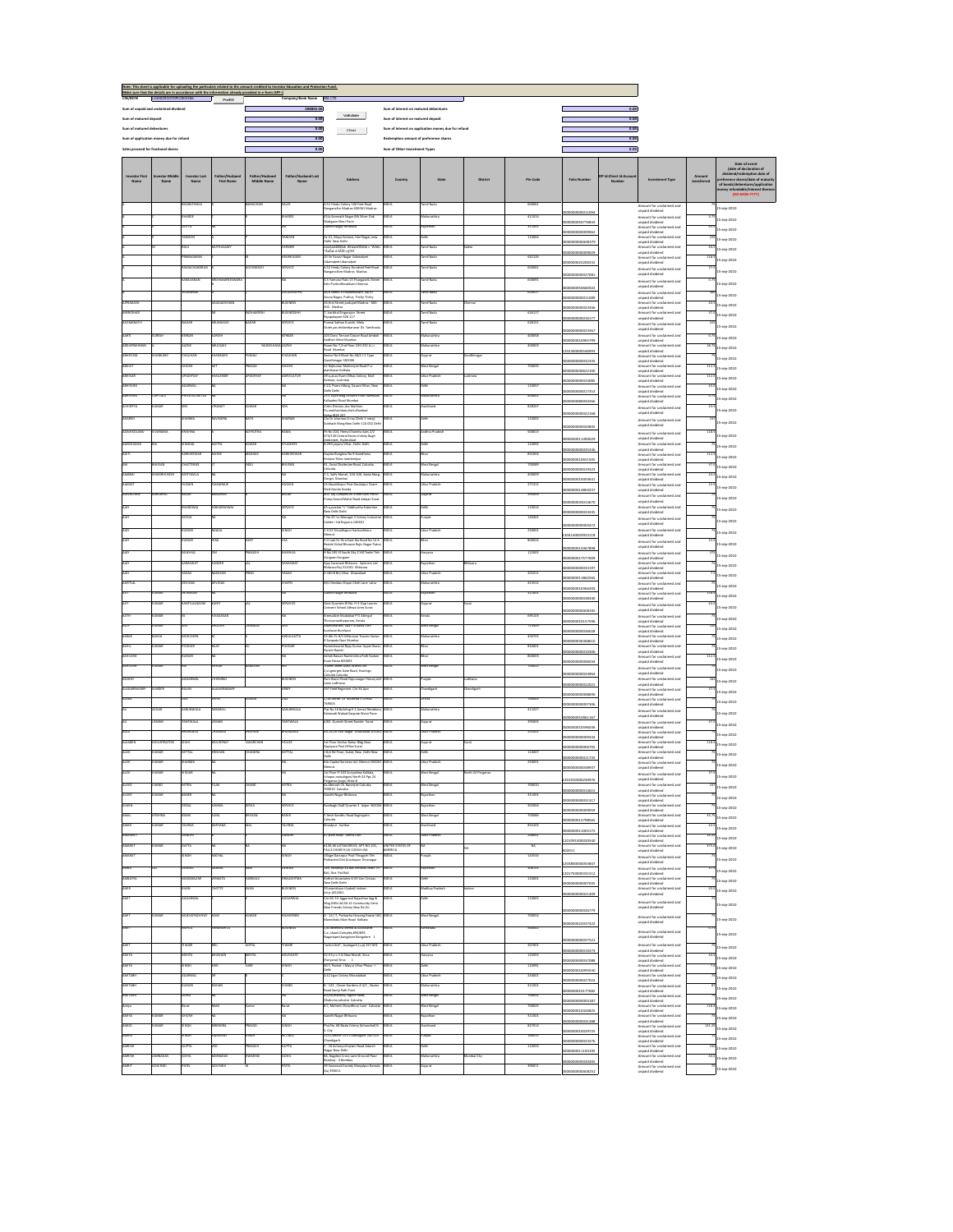|                           |                                                                                |             |                    |                               | Note: This sheet is applicable for uploading the particulars related to the amount credited to Investor Education and Protection Fund. |                                                                                                          |                                        |                                                     |             |              |                                   |                 |                                                                                                                        |                         |                                                                                                                                                                                |
|---------------------------|--------------------------------------------------------------------------------|-------------|--------------------|-------------------------------|----------------------------------------------------------------------------------------------------------------------------------------|----------------------------------------------------------------------------------------------------------|----------------------------------------|-----------------------------------------------------|-------------|--------------|-----------------------------------|-----------------|------------------------------------------------------------------------------------------------------------------------|-------------------------|--------------------------------------------------------------------------------------------------------------------------------------------------------------------------------|
| CIN/BCIN                  | Make sure that the details are in accordance with the in<br>1243028            |             | $\mathsf{Prefill}$ | rided in e-form IEPF-1        | Company/Bank Name                                                                                                                      | <b>BSL LT</b>                                                                                            |                                        |                                                     | ш           |              |                                   |                 |                                                                                                                        |                         |                                                                                                                                                                                |
|                           | Sum of unpaid and unclaimed dividend                                           |             |                    |                               | 398892.00                                                                                                                              |                                                                                                          | Sum of interest on matured debentures  |                                                     |             |              |                                   | 0.00            |                                                                                                                        |                         |                                                                                                                                                                                |
| Sum of matured deposit    |                                                                                |             |                    |                               | 0.05                                                                                                                                   | $\,$ Voliclate $\,$                                                                                      | Sum of interest on matured deposit     |                                                     |             |              |                                   | 0.00            |                                                                                                                        |                         |                                                                                                                                                                                |
| Sum of matured debentures |                                                                                |             |                    |                               | 0.00                                                                                                                                   | Clear                                                                                                    |                                        | Sum of interest on application money due for refund |             |              |                                   | 0.00            |                                                                                                                        |                         |                                                                                                                                                                                |
|                           | Sum of application money due for refund<br>Sales proceed for fractional shares |             |                    |                               | 0.05                                                                                                                                   |                                                                                                          | Redemption amount of preference shares |                                                     |             |              |                                   | 0.00            |                                                                                                                        |                         |                                                                                                                                                                                |
|                           |                                                                                |             |                    |                               | 0.05                                                                                                                                   |                                                                                                          | Sum of Other Investment Types          |                                                     |             |              |                                   | 0.00            |                                                                                                                        |                         |                                                                                                                                                                                |
| Investor First<br>Name    | Name                                                                           | Name        | First Name         | lather/Husband<br>Middle Name | /Husband Last<br>Name                                                                                                                  | Address                                                                                                  | Country                                | State                                               | District    | Pin Code     | <b>Folio Number</b>               | Id-Client Id-Ac | <b>Investment Type</b>                                                                                                 | Amount<br>transferred   | Date of event<br>(date of declaration of<br>dividend/redemption of<br>the dividend/redemption date of<br>of bonds/debantures/<br>ney refundable/interest then<br>(DD-MON-YYYY) |
|                           |                                                                                |             |                    |                               |                                                                                                                                        | rganalur Madras 600061 Madras                                                                            |                                        |                                                     |             |              | 000001109                         |                 | Amount for unclaimed and<br><b>unpaid dividend</b>                                                                     |                         | 15-sep-2010                                                                                                                                                                    |
|                           |                                                                                |             |                    |                               |                                                                                                                                        | /a Somnath Nagar 8/h Silver Oak<br>dgaon Sheri Pune                                                      |                                        |                                                     |             | 411014       | 00000050776834                    |                 | Amount for unclaimed and<br>unpaid dividend                                                                            | E                       | 5-sep-2010                                                                                                                                                                     |
|                           |                                                                                |             |                    |                               |                                                                                                                                        | ndhi Nagar Bhilwari                                                                                      |                                        |                                                     |             | 311001       |                                   |                 | Amount for unclaimed and                                                                                               | 41                      | S-sep-2010                                                                                                                                                                     |
|                           |                                                                                |             |                    |                               | UVER                                                                                                                                   | 41, Maya Enc<br>ΑΔΑκαδλο αδοολθελαι τ' νολ                                                               |                                        |                                                     |             | 11000        | 00379                             |                 | unpaid dividend                                                                                                        | 22                      | 15-sep-2010                                                                                                                                                                    |
|                           |                                                                                | IAGARAN     |                    |                               | <b>IMUGAN</b>                                                                                                                          | <b><i>Ok α Ελία επιτ</i>ο</b> τ<br>Sri Vasavi Nagar Udama'pe                                             |                                        |                                                     |             | 642126       | 00009029                          |                 | Amount for unclaimed and<br><b>unpaid dividend</b>                                                                     | 41.<br>118.             | 5-sep-2010                                                                                                                                                                     |
|                           |                                                                                |             |                    |                               |                                                                                                                                        | damalpet Udamalpet<br>52 Hindu Colony Hundred Feet R                                                     |                                        |                                                     |             | rocco        | 0000022200232                     |                 | Amount for unclaimed and<br>unpaid dividend<br>Amount for unclaimed and                                                | w.                      | 5-sep-2010                                                                                                                                                                     |
|                           |                                                                                |             |                    |                               |                                                                                                                                        | ganaliore Madras Madrar<br>Yamuna Flats 15 Thangavelu S                                                  |                                        |                                                     |             | 600091       | 127083                            |                 | brebivib bisons<br>Amount for unclaimed and                                                                            | 0.7                     | 15-sep-2010                                                                                                                                                                    |
|                           |                                                                                |             |                    |                               |                                                                                                                                        | n Puzhu<br>rakkam Che<br>Seenu cichidambaram, 4a.9-                                                      |                                        |                                                     |             | 620017       | WAOSOSCO                          |                 | unpaid dividend                                                                                                        |                         | S-sep-2010                                                                                                                                                                     |
|                           |                                                                                |             |                    |                               |                                                                                                                                        | ta Nanar, Puthur, Trichy Trichy                                                                          |                                        |                                                     |             |              | 000011089                         |                 | Amount for unclaimed and<br>imnaid dividend<br>enount for uncurries and<br>unpaid dividend<br>Amount for unclaimed and | $\overline{a}$          | S-sep-2010                                                                                                                                                                     |
|                           |                                                                                |             |                    | AKRISH                        | INESSHI                                                                                                                                | first Street, pudupet 1<br>1.  Madras<br>Varikkal Singarajan Street<br>(apalayam 626 117                 |                                        | nil Nac                                             |             | 626117       | 023346                            |                 | <b>Instant biagra</b><br>Amount for unclaimed and                                                                      | 17.5                    | 5-sep-2010<br>5-sep-2010                                                                                                                                                       |
|                           |                                                                                |             |                    |                               |                                                                                                                                        | nai Sathan Kurichi, Meli<br>ter po.chidambaranar Dt. Tamilna                                             |                                        |                                                     |             | 628151       | 016177                            |                 | brebivib bisque<br>Amount for unclaimed and                                                                            | $\overline{\mathbf{z}}$ | 5-sep-2010                                                                                                                                                                     |
|                           |                                                                                | KAR         |                    |                               |                                                                                                                                        | 3 Doris Terrace Ceaser Road Ambo                                                                         |                                        |                                                     |             | 400058       | 000023367                         |                 | unpaid dividend<br>Amount for unclaimed and                                                                            | 0.7                     | 5-sep-2010                                                                                                                                                                     |
|                           |                                                                                | <b>DAI</b>  | utqas              |                               | zм                                                                                                                                     | on No-7,2nd Floor 210-232 A.Lr.                                                                          | DLA                                    |                                                     |             | 400003       | 965799                            |                 | unpaid dividend                                                                                                        | 18.73                   | 5-sep-2010                                                                                                                                                                     |
|                           |                                                                                |             | or Adr             |                               |                                                                                                                                        | ad Mumbai<br>ctor No 6 Block No 48/2 J-1 Type<br>ndhinagar 382000                                        |                                        |                                                     |             |              | 202300000546993<br>00000000032335 |                 | Amount for unclaimed and<br>unpaid dividend<br>Amount for unclaimed and<br>unpaid dividend                             |                         | S-sep-2010                                                                                                                                                                     |
|                           |                                                                                |             |                    |                               |                                                                                                                                        |                                                                                                          |                                        |                                                     |             |              | 40622100                          |                 | Amount for unclaimed and<br>unpaid dividend                                                                            |                         | $5-$ sep $-2010$                                                                                                                                                               |
|                           |                                                                                |             |                    |                               |                                                                                                                                        | -a,avas Evam Vikas Colony, Mall<br>sue, Luci                                                             |                                        |                                                     |             |              | 00024085                          |                 | Amount for unclaimed and<br>brebivib bisons                                                                            | 112.                    | 5-sep-2010                                                                                                                                                                     |
|                           |                                                                                |             |                    |                               |                                                                                                                                        | 2. Poprvi Marg.<br>.<br>IDebi                                                                            |                                        |                                                     |             | 11005        | 000000017352                      |                 | Amount for unclaimed and<br>unpaid dividend<br>Amount for unclaimed and                                                | $-41$                   | S-sep-2010                                                                                                                                                                     |
|                           |                                                                                |             |                    |                               |                                                                                                                                        | : Gyan Bidg<br>m Division dyc Malthon                                                                    |                                        |                                                     |             | 828207       |                                   |                 | unpaid dividend                                                                                                        | þ<br>41.                | 5-sep-2010                                                                                                                                                                     |
|                           |                                                                                |             |                    |                               |                                                                                                                                        | m,datt.dhanbad<br>ar1828 207<br>XeavClok I-o                                                             |                                        |                                                     |             | 110007       | 000000022168                      |                 | Amount for unclaimed and<br>unpaid dividend                                                                            |                         | S-sep-2010                                                                                                                                                                     |
|                           |                                                                                |             |                    |                               |                                                                                                                                        | bhash Marx New Delhi-110 002 De                                                                          |                                        |                                                     |             |              | 000000020845                      |                 | Amount for unclaimed and<br>unpaid dividend                                                                            |                         | 15-sep-2010                                                                                                                                                                    |
|                           |                                                                                |             |                    |                               |                                                                                                                                        | t No 104, Herra Charidra Apts 2/2<br>14/136 Central Excles Colony Ragh                                   |                                        |                                                     |             | 500013       | 01140002                          |                 | Amount for unclaimed and<br>unpaid dividend                                                                            | 118                     | S-sep-2010                                                                                                                                                                     |
| <b>TONWAD</b>             |                                                                                |             |                    |                               |                                                                                                                                        | an ann an Dùthachd<br>99, yojarra Vhar, Delhi Delhi                                                      |                                        |                                                     |             | 110092       | 00000000035246                    |                 | Amount for unclaimed and<br>unpaid dividend                                                                            |                         | sep-2010                                                                                                                                                                       |
|                           |                                                                                |             |                    |                               |                                                                                                                                        | , Sarat Chatterjee Road, Calcutta                                                                        |                                        |                                                     |             | 700000       | 0000010651505                     |                 | Amount for unclaimed and<br>unpaid dividend<br>Amount for unclaimed and                                                | B                       | $-$ sep $-2010$                                                                                                                                                                |
|                           |                                                                                |             |                    |                               |                                                                                                                                        | sta                                                                                                      |                                        |                                                     |             |              | 00019323                          |                 | unpaid dividend<br>Amount for unclaimed and                                                                            | $\overline{41}$         | 5-sep-2010                                                                                                                                                                     |
|                           |                                                                                |             |                    |                               |                                                                                                                                        | i, Saify Manzii, 104-106, S<br>mgri, Mumbai                                                              |                                        |                                                     |             | 2713         | 0010003631                        |                 | unpaid dividend                                                                                                        |                         | 15-sep-2010                                                                                                                                                                    |
|                           |                                                                                |             |                    |                               |                                                                                                                                        | 3. Jay Complex Nr Shree Ram Petrol<br>mp Anand Mahal Road Adajan Surat                                   |                                        |                                                     |             | 395009       | 13804237                          |                 | Amount for unclaimed and<br>unpaid dividend<br>Amount for unclaimed and                                                |                         | 5-sep-2010<br>S-sep-2010                                                                                                                                                       |
|                           |                                                                                |             |                    |                               |                                                                                                                                        | a,pocket-"c" Sid<br>v Delhi Delhi                                                                        |                                        |                                                     |             | 110014       | 0033013670                        |                 | unpaid dividend<br>Amount for unclaimed and<br>imnaid dividend                                                         |                         | 15-sep-2010                                                                                                                                                                    |
|                           |                                                                                |             |                    |                               |                                                                                                                                        | i 20 Icc Marager 5 Colony<br>les I Ltd Rajpura 140401                                                    |                                        |                                                     |             |              | 000000024345                      |                 | .<br>Impaid d<br>Amount for unclaimed and                                                                              |                         | 15-sep-2010                                                                                                                                                                    |
|                           |                                                                                |             |                    |                               |                                                                                                                                        | 152 Shradhapuri Kankanicher                                                                              |                                        |                                                     |             | 250001       | 0000000004472                     |                 | unpaid dividend<br>Amount for unclaimed and                                                                            |                         | 15-sep-2010                                                                                                                                                                    |
|                           |                                                                                |             |                    |                               |                                                                                                                                        | Late Dr Hira Kant Jha Road No 14:                                                                        |                                        |                                                     |             | 800024       | 304140003923118                   |                 | moaid dividend<br>Amount for unclaimed and                                                                             |                         |                                                                                                                                                                                |
|                           |                                                                                |             |                    |                               |                                                                                                                                        | de Vistul Stu<br>van Rajiv Nagar Pat<br>.<br>195 Sf South City 2 Vill Teekri Te                          |                                        |                                                     |             | 122002       | 0000013367898                     |                 | ampaid dividend<br>Amount for unclaimed and                                                                            | 37                      | 15-sep-2010                                                                                                                                                                    |
|                           |                                                                                |             |                    |                               |                                                                                                                                        | argaon Gurgaon<br>vy Sacaswat Bhilwara - Spinners Ltd                                                    |                                        |                                                     |             |              | 00000017577609                    |                 | <b>unpaid dividend</b><br>Amount for unclaimed and                                                                     |                         | 5-sep-2010<br>5-sep-2010                                                                                                                                                       |
|                           |                                                                                |             |                    |                               |                                                                                                                                        | wara Raj 311001 Bhilwara<br>180 B Brij Vihar                                                             |                                        |                                                     |             | 201011       | 000003319                         |                 |                                                                                                                        |                         | 15-sep-2010                                                                                                                                                                    |
|                           |                                                                                | <b>NDAS</b> |                    |                               |                                                                                                                                        | s Devidas Chapsi Cloth Lane Latu                                                                         |                                        |                                                     |             | 413512       | 011862565<br>0000010366204        |                 | unpaid dividend<br>Amount for unclaimed and<br><b>unpaid dividend</b>                                                  |                         | 15-sep-2010                                                                                                                                                                    |
|                           |                                                                                |             |                    |                               |                                                                                                                                        | ndhi Nagar Bhilwara                                                                                      |                                        |                                                     |             | 311001       | 0038340                           |                 | Amount for unclaimed and<br>unpaid dividend                                                                            | 118.                    | 5-sep-2010                                                                                                                                                                     |
|                           |                                                                                |             |                    |                               |                                                                                                                                        | t Quarters III No. 14-2 Opp L<br>vent School Athwa Lines Surat                                           |                                        |                                                     |             |              |                                   |                 | Amount for unclaimed and<br>brebivib bisons                                                                            | $\overline{a}$          | 5-sep-2010                                                                                                                                                                     |
|                           |                                                                                |             | <b>ADASA</b>       |                               |                                                                                                                                        | salan Mudakkal P O Attingal<br>uvananthapuram, Kerala                                                    |                                        |                                                     |             | 695103       | 1015759                           |                 | Amount for unclaimed and<br>unpaid dividend<br>Amount for unclaimed and                                                |                         | 15-sep-2010                                                                                                                                                                    |
|                           |                                                                                |             |                    |                               |                                                                                                                                        | hismardini Tala P.o.kalna Dist-<br>dwan Burdwar                                                          |                                        |                                                     |             | 713409       |                                   |                 | unpaid dividend<br>Amount for unclai<br><b><i><u><u>And</u></u></i></b>                                                | $^{15}$                 | 5-sep-2010                                                                                                                                                                     |
|                           |                                                                                |             |                    |                               |                                                                                                                                        | <b>Cth Fir B/3 Millen</b><br>varlal Bijay Kumar Upper                                                    |                                        |                                                     |             | 834001       | 00000036368610                    |                 | unpaid dividend<br>Amount for unclaimed and                                                                            |                         | S-sep-2010                                                                                                                                                                     |
|                           |                                                                                |             |                    |                               |                                                                                                                                        | chi Ranchi<br>hok Bawan Ramkrishna Path Kas                                                              |                                        |                                                     |             | 800003       | 00000000010306                    |                 | <b>unpaid dividend</b><br>Amount for unclaimed and                                                                     | 112                     | 5-sep-2010<br>15-sep-2010                                                                                                                                                      |
|                           |                                                                                |             |                    |                               |                                                                                                                                        | an Patria 800003                                                                                         |                                        |                                                     |             | 7000         |                                   |                 | unpaid dividend<br>Amount for unclaimed and                                                                            |                         | 5-sep-2010                                                                                                                                                                     |
|                           |                                                                                |             |                    |                               |                                                                                                                                        | pro <sub>n</sub> o.<br><i>Ata Calcutta</i><br>Jhansi Road Opp.saaga                                      |                                        |                                                     |             |              | 00024964                          |                 | unpaid dividend<br>Amount for unclaimed and                                                                            |                         | 5-sep-2010                                                                                                                                                                     |
|                           |                                                                                |             |                    |                               |                                                                                                                                        | es Ludhiana<br>7 Field Regim<br>na Clin St.                                                              |                                        |                                                     |             |              | 12202                             |                 | brebivib bisqna<br>Amount for unclaimed and<br>unpaid dividend                                                         | 17                      | 15-sep-2010                                                                                                                                                                    |
|                           |                                                                                |             |                    |                               |                                                                                                                                        |                                                                                                          |                                        |                                                     |             |              |                                   |                 | Amount for unclain<br>unpaid dividend<br>ned and                                                                       |                         | 5-sep-2010                                                                                                                                                                     |
|                           |                                                                                |             |                    |                               |                                                                                                                                        | at No 16 Building H 2 Anmol Resid<br>wadi Wakad Kaspate Wasti Pune                                       |                                        |                                                     |             | 411027       | 052861167                         |                 | Amount for unclaimed and<br>unpaid dividend                                                                            |                         | S-sep-2010                                                                                                                                                                     |
|                           |                                                                                |             |                    |                               |                                                                                                                                        |                                                                                                          |                                        |                                                     |             |              | 00001059603                       |                 | Amount for unclaimed and                                                                                               |                         | S-sep-2010                                                                                                                                                                     |
|                           |                                                                                |             |                    |                               |                                                                                                                                        |                                                                                                          |                                        |                                                     |             |              | 009434                            |                 | unpaid dividend<br>Amount for unclaimed and<br><b>Instant biagra</b>                                                   |                         | 15-sep-2010                                                                                                                                                                    |
|                           | <b>UNTEATON</b>                                                                |             |                    |                               |                                                                                                                                        | t Floor Keshar Bahar Bidg Near<br>pura Post Office Surat<br><b>4. Il Rd Floor, Saket, New C</b>          |                                        |                                                     |             |              |                                   |                 | Amount for unclaimed and<br>unpaid dividend<br>Amount for unclaimed and                                                | 118.                    | 15-sep-2010                                                                                                                                                                    |
|                           |                                                                                |             |                    |                               |                                                                                                                                        |                                                                                                          |                                        |                                                     |             |              |                                   |                 | unpaid dividend                                                                                                        |                         |                                                                                                                                                                                |
|                           |                                                                                |             |                    |                               |                                                                                                                                        | : Floor F1 103 Suryadeep Kalitala,<br>apur,nawabganj North 24 Pgs 24                                     |                                        |                                                     | h 24 Pargan |              | 00038937                          |                 | Amount for unclaimed and<br>unpaid dividend<br>Amount for unclaimed and                                                | x                       | -sep-2010                                                                                                                                                                      |
|                           |                                                                                |             |                    |                               |                                                                                                                                        | <b>Tanas (gras) West B</b><br>ANNHH Ch. Bareniee Calculfa                                                |                                        |                                                     |             | 100010       | 01910300230976                    |                 | unpaid dividend                                                                                                        | $\overline{21}$         | 5-sep-2010                                                                                                                                                                     |
|                           |                                                                                |             |                    |                               |                                                                                                                                        | <b>2010 Calcutta</b>                                                                                     |                                        |                                                     |             |              | 00000000014615                    |                 | Amount for unclaimed and<br>unpaid dividend<br>Amount for unclaimed and                                                |                         | 5-sep-2010<br>5-sep-2010                                                                                                                                                       |
|                           |                                                                                |             |                    |                               |                                                                                                                                        | bagh Staff Quarter 2 Jalpur 102                                                                          |                                        |                                                     |             | 302004       | 0031317                           |                 | unpaid dividend<br>Amount for unclaimed and<br>brebivib bisons                                                         |                         | 15-sep-2010                                                                                                                                                                    |
|                           |                                                                                |             |                    |                               |                                                                                                                                        |                                                                                                          |                                        |                                                     |             |              | 000012798565                      |                 | Amount for unclaimed and<br>unpaid dividend<br>Amount for unclaimed and                                                | 31.7                    | 15-sep-2010                                                                                                                                                                    |
|                           |                                                                                |             |                    |                               |                                                                                                                                        |                                                                                                          |                                        |                                                     |             | R\$          | 11005172                          |                 | unpaid dividend                                                                                                        | $\overline{a}$          | 5-sep-2010                                                                                                                                                                     |
|                           |                                                                                |             |                    |                               |                                                                                                                                        | -park Road Dehra Dun<br>10, WILLSTAN DRIVE, APT.NO.101,                                                  | <b>NITED STATES OF</b>                 |                                                     |             | 248001<br>NA |                                   |                 | Amount for unclaimed and<br>unpaid dividend<br>Amount for unclaimed and                                                | 14.2<br>375.0           | 5-sep-2010                                                                                                                                                                     |
|                           |                                                                                |             |                    |                               |                                                                                                                                        | LLS CHARCH VA-22044-USA<br>lage Darsopur Post Thragarh Teh<br>thankot Dist Gurdaspur Dinaragar           | MERICA                                 |                                                     |             |              | 102011                            |                 | unpaid dividend<br>Amount for unclaimed and                                                                            |                         | S-sep-2010                                                                                                                                                                     |
| ДĀ                        |                                                                                | WAS         |                    |                               | WASI                                                                                                                                   | 189, Rebariyo Ka Bas Shrisela Dhani Ti                                                                   | DίA                                    |                                                     |             | 306701       | 055847<br>20380                   |                 | unpaid dividend                                                                                                        | 17.                     | 15-sep-2010                                                                                                                                                                    |
| <b>LAYYA</b>              |                                                                                |             | <b>ITATI</b>       |                               | <b>ISSICAL</b>                                                                                                                         | Dist Pal Ball<br>.<br>Naci Associatas G.AS Con Ciev.                                                     |                                        |                                                     |             | 110001       | 201750000335522                   |                 | Amount for unclaimed and<br>unpaid dividend<br>Amount for unclaimed and<br>unpaid dividend                             |                         | 5-sep-2010                                                                                                                                                                     |
|                           |                                                                                |             |                    |                               |                                                                                                                                        | w Delhi Delhi<br>stputi (s<br>1.p.)452001.                                                               |                                        |                                                     |             |              | 00000000007045                    |                 | Amount for unclaimed and                                                                                               |                         | 5-sep-2010<br>S-sep-2010                                                                                                                                                       |
|                           |                                                                                |             |                    |                               |                                                                                                                                        | is Mr S K Aggarwal Rajasthan Spg &<br>Ivg Milk Ltd 40-41 Community Cents<br>ew Friends Colony New De Lhi |                                        |                                                     |             | 110065       | 0021409                           |                 | unpaid dividend<br>Amount for unclaimed and                                                                            |                         |                                                                                                                                                                                |
|                           |                                                                                |             |                    |                               | HEREE                                                                                                                                  | 14 / 7, Purbasha No                                                                                      |                                        |                                                     |             | 700054       | 026779                            |                 | unpaid dividend                                                                                                        |                         | S-sep-2010                                                                                                                                                                     |
|                           |                                                                                |             |                    |                               |                                                                                                                                        | .<br>7, Purbasha Housing Estate 1<br>tala Main Road. Kolkata                                             |                                        |                                                     |             |              | 0000022037422                     |                 | Amount for unclaimed and<br>unpaid dividend                                                                            |                         | 15-sep-2010                                                                                                                                                                    |
|                           |                                                                                |             |                    |                               |                                                                                                                                        | : .devendra Mehta & Ass<br>. .sharti Complex,894/8<br>status Compensatore Bangalore 1                    |                                        |                                                     |             | 560002       |                                   |                 | Amount for unclaimed and<br>unpaid dividend                                                                            | 0.7                     | 5-sep-2010                                                                                                                                                                     |
|                           |                                                                                | VAR         |                    | <b>GOPA</b>                   | ūМ                                                                                                                                     | chut Ank", Azamgarh (u.p) 267 001                                                                        |                                        | ar Prade                                            |             | 267001       | 0037523<br>00019273               |                 | Amount for unclaimed and<br>brebivib bisons                                                                            |                         | 15-sep-2010                                                                                                                                                                    |
|                           |                                                                                |             |                    |                               |                                                                                                                                        | São clilli New March St<br>al Sina 1                                                                     |                                        |                                                     |             | 12505        | 00037088                          |                 | Amount for unclaimed and<br>unpaid dividend<br>Amount for unclaimed and                                                | $\overline{a}$          | 15-sep-2010                                                                                                                                                                    |
|                           |                                                                                |             |                    |                               |                                                                                                                                        |                                                                                                          |                                        |                                                     |             | 110          | 1093530                           |                 | unpaid dividend                                                                                                        |                         | 15-sep-2010                                                                                                                                                                    |
|                           |                                                                                | ARWAI       |                    |                               |                                                                                                                                        | 42 Jigar Colony Moradabad                                                                                |                                        | ar Prade                                            |             | 244001       | ano.                              |                 | Amount for unclaimed and<br>unpaid dividend<br>Amount for unclaimed and                                                |                         | 15-sep-2010                                                                                                                                                                    |
| <b>TAM</b>                |                                                                                |             |                    |                               |                                                                                                                                        | 141; Clover Gardens 4-4/1; Naylo<br>d Somil Path Pune                                                    |                                        |                                                     |             | 411001       | 00000010177682                    |                 | unpaid dividend                                                                                                        |                         | S-sep-2010                                                                                                                                                                     |
|                           |                                                                                |             |                    |                               |                                                                                                                                        | .<br>Maraj Tagore F<br>, Mahesh Chowchury Lane Ca                                                        |                                        |                                                     |             | 700025       | 000004187                         |                 | Amount for unclaimed and<br>unpaid dividend<br>Amount for unclaimed and                                                | 115                     | 5-sep-2010                                                                                                                                                                     |
|                           |                                                                                |             |                    |                               |                                                                                                                                        |                                                                                                          |                                        |                                                     |             | 31100        | 1426825                           |                 | unpaid dividend<br>Amount for unclaimed and                                                                            |                         | 5-sep-2010                                                                                                                                                                     |
|                           |                                                                                |             |                    |                               |                                                                                                                                        |                                                                                                          |                                        |                                                     |             |              | 031388                            |                 | unpaid dividend<br>Amount for unclaimed and<br>unpaid dividend                                                         | 131.                    | 15-sep-2010<br>5-sep-2010                                                                                                                                                      |
| RJ K                      |                                                                                |             |                    |                               |                                                                                                                                        | 131,sector-15-c Chandiga                                                                                 |                                        |                                                     |             | 160015       | 129725                            |                 | Amount for unclaimed and                                                                                               |                         | 15-sep-2010                                                                                                                                                                    |
| <b>ARISH</b>              |                                                                                | PTA         |                    |                               | PTA                                                                                                                                    | ndgarh<br>- 16 Acharya Kirp<br>1gar New Delhi                                                            |                                        |                                                     |             | 110033       | 23376<br>1119419                  |                 | unpaid dividend<br>Amount for unclaimed and                                                                            | $^{15}$                 | 5-sep-2010                                                                                                                                                                     |
| цg                        |                                                                                |             |                    |                               |                                                                                                                                        | , Nagdevi Cross Li<br>mbay - 3 Bombay                                                                    |                                        |                                                     |             |              |                                   |                 | anuan iur unuan<br>unpaid dividend<br>Amount for unclain<br>hed and<br>unpaid dividend                                 | 41.                     | S-sep-2010                                                                                                                                                                     |
| W                         |                                                                                |             |                    |                               |                                                                                                                                        | araswati Sc<br>a 290011                                                                                  |                                        |                                                     |             | 390011       |                                   |                 | Amount for unclaimed and<br>naid disident                                                                              |                         | 15-sep-2010                                                                                                                                                                    |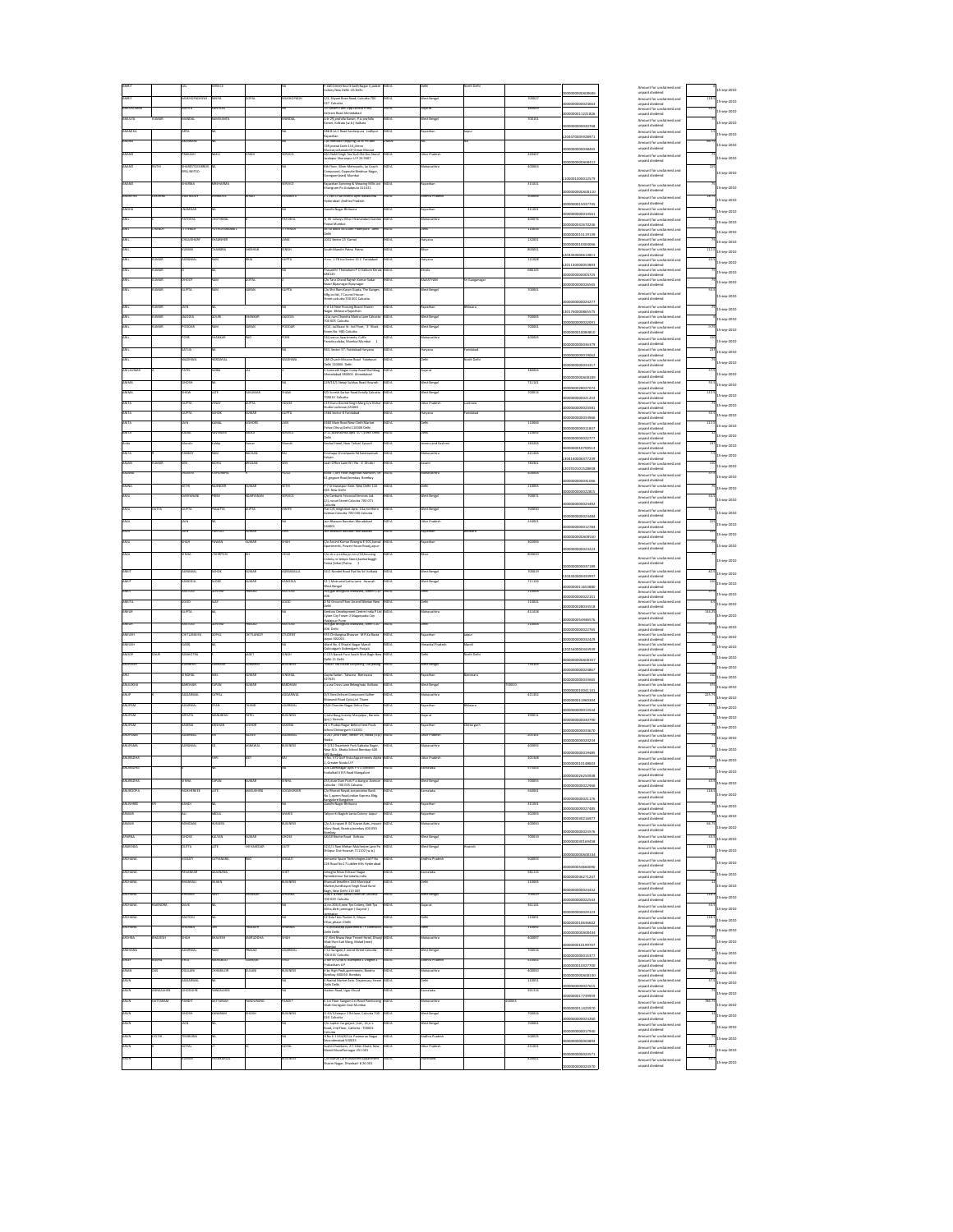| Amount for unclaimed and<br>su street no 24 saan naga<br>sny New Delhi -45 Delhi<br>unpaid dividend<br>I, Shyam Bose Road, Calcutta-700<br>Amount for unclaimed and<br>118<br>unpaid dividend<br>Amount for unclaimed and<br>27 Cal<br>Suffern Elsin One Ishleyt D<br>380009<br>$\overline{a}$<br>mi<br>am Road Ahr<br><b>Mahash</b><br>unpaid dividend<br>00000011221826<br>i-29, prafulla Kanan, P.o. prafulla<br>1an, Kolkata (w.b.) Kolkata<br>Amount for unclaimed and<br>700101<br>.<br>Impaid di<br>88 Blist C Road Sandaroura Jodh<br>Amount for unclaimed and<br>unpaid dividend<br>0447000592897<br>o.meridian Shipping Co.Rc<br>9,postal Code 114,jibroo<br>667<br>Amount for unclaimed and<br>unpaid dividend<br>cat.sultanate Of Oman Mur<br>Vs Nakli Singh Tea St<br>249407<br>Amount for unclaimed and<br>vici<br>ar Prad<br>dapur Sharanpur U P 24 9400<br>unpaid dividend<br>400413<br>Floor, Sliver Me<br>$\overline{\text{max}}$<br><b>SLIMITED</b><br>nd. Opposite Sim<br>Amount for unclaimed and<br>e Nagar<br>essoniesst) Mumbai<br>unpaid dividend<br>100001000012579<br>asthan Spinning & Weaving Mi<br>stigram Po Gulabpura 311021<br>Amount for unclaimed and<br>unpaid dividend<br>000A00110<br>1283 D Sai Vishnu Apts Nallaki<br>H.<br>500064<br>Amount for unclaimed and<br>lerabad Andhra Pradesh<br>unpaid dividend<br>15037745<br>Amount for unclaimed and<br>unpaid dividend<br>400070<br>Amount for unclaimed and<br>41<br>45 Jalvayu Vihar Hira<br>val Mum<br>unpaid dividend<br>Amount for unclaimed and<br>d 50 Block 5d South Pit<br>110034<br>unpaid dividend<br>Amount for unclaimed and<br>15119139<br>131 Sector 13 Ka<br>132001<br>unpaid dividend<br>112<br>nocco:<br>Amount for unclaimed and<br>203450000613811<br>unpaid dividend<br>121008<br>Amount for unclaimed and<br>$\overline{a}$<br>1. J-78 Jus Sector 21 0<br>Amount for uncurries and<br>unpaid dividend<br>Amount for unclaimed and<br>unpaid dividend<br>616145<br><br>4725<br>: Tara Chand Rajesh Kumar Sada<br>ASTHA<br>Amount for unclaimed and<br>ar Bijaynagar Bijaynagar<br>026565<br>unpaid dividend<br>to Shri Ram Karan Gupta, The Gange<br><b>A General</b><br>700001<br>Amount for unclaimed and<br>the co.fat., 7 Council Ho<br>eet, calcutta 700 001 Calcutta<br>unpaid dividend<br>024277<br>-16 New Mo<br>Amount for unclaimed and<br>the Brant Or<br>er Shihwara Ra<br>unpaid dividend<br>Amount for unclaimed and<br>865575<br>st Bengal<br>700005<br>I/a,ram Chandra Moltra Lane Ca<br>10 005  Calcutta<br>unpaid dividend<br>(12, Lal Bazar St. 3rd Floor, ' E' Block<br>est Bengal<br>700001<br>Amount for unclaimed and<br>0.7<br>MA<br>1048<br>DDAI<br>XA<br>No. 9(8) Calc<br>084810<br>unpaid dividend<br>12. venus Apartments, Cuffe<br>Amount for unclaimed and<br>rade colaba, Mumbai Mumbai 1<br>unpaid dividend<br>1379<br>53, Sector 37, Faridabad Haryana<br>Amount for unclaimed and<br>23<br>19062<br>unpaid dividend<br>89 Church Mission Road Fatehpuri<br>Amount for unclaimed and<br>h:110006 Dehi<br>83317<br>unpaid dividend<br>tath Nazar Camp Road Shahi<br>380004<br>Amount for unclaimed and<br>edabad 380004 Ahmedabad<br>unpaid dividend<br>29/10/1 Netaji Subhas Road Howrai<br>711102<br>st Beng<br>Amount for unclaimed and<br>s<br>unpaid dividend<br>Amount for unclaimed and<br>700014<br>112.<br>5 Suresh Sarkar Road Entaily Calcutts<br>st Genea<br>014 Calcutta<br>unpaid dividend<br>Amount for unclaimed and<br>1253<br>:9 Guru Govind Singh Marg C/o<br>urlin l <u>ucknow 226001</u><br>024581<br>unpaid dividend<br>TA<br>84 Se<br>Amount for unclaimed and<br>s<br>000033966<br>unpaid dividend<br>60 Main Road New Cloth Marke<br>Amount for unclaimed and<br>$^{112}$<br>110000<br>shari Dhiraj Delhi 110006 Delhi<br>unpaid dividend<br>Amount for unclaimed and<br>unpaid dividend<br>Apts. 67 Lp.ext.<br>1100%<br>2777<br>183200<br>hal Hotel, Near Tehsel Kass<br>Amount for unclaimed and<br>23<br>109513<br>unpaid dividend<br>chapa Chinchpada Rd Katemanivali<br>421100<br>Amount for unclaimed and<br>06377239<br>unpaid dividend<br>Instal<br>n Office Lane W / No - 6 Dhubr<br>783303<br>Amount for unclaimed and<br>201910101528658<br>unpaid dividend<br>ock 7,4th Floor,nagindas Marsion, 55<br>Lgirgaon Road,bombay Bombay<br>400004<br>Amount for unclaimed and<br>$\boldsymbol{17}$<br>.<br>Impaid dir<br>at Extri. New Delhi-110<br>110063<br>Amount for unclaimed and<br>mnra<br>65 New Delhi<br>unpaid dividend<br>122815<br>Conbank Financial Services Ltd.<br>,russel Street Calcutta-700 071<br>$\overline{a}$<br>Amount for unclaimed and<br>S-sep-2010<br>unpaid dividend<br>23492<br>lat C/4, meghdoot Apts. 24a, norther<br>venue Calcutta-700 010 Calcutta<br>nt Beng<br>700030<br>Amount for unclaimed and<br>41<br>π<br><b>JATT</b><br>023484<br>unpaid dividend<br>244001<br>Amount for unclaimed and<br>anni<br>012784<br>unpaid dividend<br>Amount for unclaimed and<br>22<br>1 Elhan<br>unpaid dividend<br>Jo Arvind Kumar Rocegta E-101, kam<br>asthan<br>302006<br>WAN<br>Amount for unclaimed and<br>artments, Power House Road jalput<br>unpaid dividend<br>2322<br>Amount for unclaimed and<br>tna (bihar) Patna<br>unpaid dividend<br>0000000037189<br>Amount for unclaimed and<br>/1 Nondel Road Flat No Sd Kolkata<br>st Bengal<br>700019<br>12.<br>203450000433997<br>unpaid dividend<br>1 Motrumal Lohia Lan<br>711100<br>Amount for unclaimed and<br>π<br>Sarp 2010<br>st Bengal<br>011653880<br>unpaid dividend<br>Amount for unclaimed and<br>S-sep-2010<br>unpaid dividend<br>Amount for unclaimed and<br>022101<br>110021<br>$-4.$<br>50 Ground Floor As<br>sep-2010<br>34518<br>unpaid dividend<br>411028<br>134.2<br>docs Development Centre India P Lt<br>Amount for unclaimed and<br>(ber City Tower 2 Magarpatta City<br>unpaid dividend<br>Amount for unclaimed and<br>ra, Delhi-11<br>17<br>19 <sub>-</sub> gali Bhojpura Ma<br>16 Delhi<br>11000<br>unpaid dividend<br>12765<br><b>TLANGIY</b><br>5 Chitlergiya Bhawan MR Ka Rasta<br>Amount for unclaimed and<br><b>TLANG</b><br>5-sep-2010<br>ur 30200<br>032429<br>unpaid dividend<br>iard No. 4 Shastri Nagar Mandi<br>Amount for unclaimed and<br>sep-2010<br>00343939<br>unpaid dividend<br>obindgarh Gobindgarh Punjab<br>135 Nanak Pura Scuth Moti Bagh N<br>Amount for unclaimed and<br>$-$ sep $-2010$<br>$h/21$ Defti<br>M00357<br>unpaid dividend<br>Amount for unclaimed and<br>var Tea Estate Darjeeling Darjeeling<br>734104<br>INESS<br>st Geogal<br>5-sep-2010<br>00024867<br>unpaid dividend<br>pta Sadan Talwara<br>Amount for unclaimed and<br>Sarp 2010<br>27025<br>1033665<br>unpaid dividend<br>Amount for unclaimed and<br>$\overline{r}$<br>5-sep-2010<br>10041141<br>unpaid dividend<br>Amount for unclaimed and<br>225.7<br>)/3 Sree Arihant Compound Kalher<br>Ihlwandi Road Cipla Ltd. Thane<br>421102<br>960304<br>unpaid dividend<br>5/d Chander Nagar Dehra Dun<br>Amount for unclaimed and<br>17<br>013544<br>unpaid dividend<br>(s) Baue Society M<br>290011<br>Amount for unclaimed and<br>unpaid dividend<br>ui.) Baroda<br>00030790<br>Pratap Naga<br>Amount for unclair<br>wd and<br>ttorgarh 3120<br>033670<br>unpaid dividend<br>-247,2nd Floor, Sector-19, Nolda (u.g<br>201101<br>Amount for unclaimed and<br>020234<br>unnaid distributed<br>1/12 Dwarkesh Park Salbaba<br>Amount for unclaimed and<br>r M.k. Bhatia School Bombay-400<br>anpaid dividend<br>Amount for unclaimed and<br>No. 572 Golf Vista Appartments Alph<br>Greater Noida U P<br>201108<br>XA<br>37<br>00000010148603<br>unpaid dividend<br>06 Laominagar Aphi P V S Junction<br>odialball X R R Road Mangalore<br>57500<br>Amount for unclaimed and<br>$\overline{v}$<br>unpaid dividend<br>Amount for unclaimed and<br>.<br>.<br>rutta - 700 055 Calcutta<br>41.<br>unpaid dividend<br>00022966<br>118<br>560001<br>Amount for unclaimed and<br>w whates Neyak,corporation Bank<br>o.1,queen Road,indian Express Bidg.<br>mealore Banzalore<br>s<br>sep 2010<br>unpaid dividend<br>121176<br>dhi Nagar Bhilwara<br>311001<br>Amount for unclaimed and<br>0000000027485<br>unpaid dividend<br>Amount for unclaimed and<br>unpaid dividend<br>30216977<br>66.7<br><b>NS</b><br>fo A.b. rayani B-34 Yuwan Apts., mou<br>lary Road, Bandra,bombay 400 050<br>400050<br>Amount for unclaimed and<br>unpaid dividend<br>0023576<br>nbay<br>18 Rachie Road - Kolkata<br>700019<br>Amount for unclaimed and<br>unpaid dividend<br>42.5<br>00000030169458<br>'1/1 Ram Mohan Mukherjee Lane<br>Ispur Dist Howrah 711102 (w.b.)<br>Amount for unclaimed and<br>unpaid dividend<br>00000000A00234<br>iantic Space Technologies Ltd P No<br>500033<br><b>hra Prac</b><br>Amount for unclaimed and<br>26 Road No 17 Jubilee Hills Hyderabac<br>unpaid dividend<br>58111<br>Amount for unclaimed and<br>11<br>6271247<br>unpaid dividend<br>sali Jewellers 163 Municipa<br>110007<br><b>INESS</b><br>Amount for unclaimed and<br>S-sep-2010<br>ket, hardhayan Singh Road Karol<br>unpaid dividend<br>0024432<br>arh. New Delhi-110 005<br>Amount for unclaimed and<br>118<br>700029<br>15-sep-2010<br>00 029 Calcutta<br>00022543<br>npaid div<br>о.<br>204/4,пем Трк<br>а. divisi :--<br>$\overline{a}$<br>Amount for unclaimed and<br>/4,пем Трз Colony, Ge<br>1.jamnagar ( Gujarat )<br>15-sep-2010<br>unpaid dividend<br>00000000029123<br>rmanar<br>Dda Flats Pocket-5, Mayu<br>110091<br>Amount for unclaimed and<br>118<br>S-sep-2010<br>tar, phase-i Delhi<br>010636602<br>unpaid dividend<br>110092<br>unpaid diwawnd<br>Amount for unclaimed and<br>unpaid diwdend<br>ер Араг<br>15-sep-2010<br><b>SDebt</b><br>00A00434<br>7, Kirti Niwas Near Trivedi Hotel, Dhar<br>Iadi Rani Sati Marg, Malad (east)<br>400097<br>Amount for unclaimed and<br>15-sep-2010<br>unpaid dividend<br>00000010199707<br>11 Sangam, 2-wood Street Calcutts<br>700010<br>Amount for unclaimed and<br>S-sep-2010<br>00 016 Calcutta<br>unpaid dividend<br>Amount for unclaimed and<br>unpaid dividend<br>00015377<br>523002<br>io 37/2/46 6 Islampeta 1 Ongole 2<br>ikasham A P<br>0.7<br>0327700<br>400050<br>Amount for unclaimed and<br>-22<br><b>LABILOI</b><br><b>INESS</b><br>ac High Peak,apertments, Bandra<br>ЛAN<br>bay 400050 Bombay<br>A00230<br>unpaid dividend<br>Rashid Market Extr. Dispensary Stre<br>110051<br>Amount for unclaimed and<br>27.<br><b>ARNA</b><br>hi Dehi<br>027615<br>unpaid dividend<br>Amount for unclaimed and<br>ASAHER<br>on Road, Unar Khurd<br>591116<br>nram<br><b>ASANTS</b><br>5-sep-2010<br>00017739959<br>unpaid dividend<br>st Floor Sangam 1st Road Panduran<br>di Goregaon East Mumbai<br>Amount for unclaimed and<br>unpaid dividend<br>786.7<br><b>TARAM</b><br>XA<br>.<br>Impaid di<br>425020<br>41/J.fateour 2 Rd.lane, Calcutta 700<br>700024<br>Amount for unclaimed and<br>INESS<br>st Genea<br>24 Cals<br>unpaid dividend<br>Aspiter Cargo(pvt.) Ltd., 16,n.s.<br>d, 2nd Floor, Calcutta - 700001<br>70000<br>Amount for unclaimed and<br>unpaid dividend<br>017940<br>Amount for unclaimed and<br>וותם<br>MEURN<br>No 6 1 344/8/1/a Padmarao Nagar<br>dhra Prades<br>500025<br>XA<br>ad 500025<br>1694<br>unpaid dividend<br>hil Chambers, 27- Gher Khatti,<br>251001<br>хÂ<br>41.<br>Amount for unclaimed and<br>nd Muzaffarnagar-251 001<br>unpaid dividend<br>00023571<br>o Maruti Care Shavitree Apparti<br>astri Nagar, Ohanbad- 8 26 001<br>826001<br>Amount for unclaimed and<br>43.<br>S-sep-2010 |  |  |  |  |  |  |  |                 |
|-----------------------------------------------------------------------------------------------------------------------------------------------------------------------------------------------------------------------------------------------------------------------------------------------------------------------------------------------------------------------------------------------------------------------------------------------------------------------------------------------------------------------------------------------------------------------------------------------------------------------------------------------------------------------------------------------------------------------------------------------------------------------------------------------------------------------------------------------------------------------------------------------------------------------------------------------------------------------------------------------------------------------------------------------------------------------------------------------------------------------------------------------------------------------------------------------------------------------------------------------------------------------------------------------------------------------------------------------------------------------------------------------------------------------------------------------------------------------------------------------------------------------------------------------------------------------------------------------------------------------------------------------------------------------------------------------------------------------------------------------------------------------------------------------------------------------------------------------------------------------------------------------------------------------------------------------------------------------------------------------------------------------------------------------------------------------------------------------------------------------------------------------------------------------------------------------------------------------------------------------------------------------------------------------------------------------------------------------------------------------------------------------------------------------------------------------------------------------------------------------------------------------------------------------------------------------------------------------------------------------------------------------------------------------------------------------------------------------------------------------------------------------------------------------------------------------------------------------------------------------------------------------------------------------------------------------------------------------------------------------------------------------------------------------------------------------------------------------------------------------------------------------------------------------------------------------------------------------------------------------------------------------------------------------------------------------------------------------------------------------------------------------------------------------------------------------------------------------------------------------------------------------------------------------------------------------------------------------------------------------------------------------------------------------------------------------------------------------------------------------------------------------------------------------------------------------------------------------------------------------------------------------------------------------------------------------------------------------------------------------------------------------------------------------------------------------------------------------------------------------------------------------------------------------------------------------------------------------------------------------------------------------------------------------------------------------------------------------------------------------------------------------------------------------------------------------------------------------------------------------------------------------------------------------------------------------------------------------------------------------------------------------------------------------------------------------------------------------------------------------------------------------------------------------------------------------------------------------------------------------------------------------------------------------------------------------------------------------------------------------------------------------------------------------------------------------------------------------------------------------------------------------------------------------------------------------------------------------------------------------------------------------------------------------------------------------------------------------------------------------------------------------------------------------------------------------------------------------------------------------------------------------------------------------------------------------------------------------------------------------------------------------------------------------------------------------------------------------------------------------------------------------------------------------------------------------------------------------------------------------------------------------------------------------------------------------------------------------------------------------------------------------------------------------------------------------------------------------------------------------------------------------------------------------------------------------------------------------------------------------------------------------------------------------------------------------------------------------------------------------------------------------------------------------------------------------------------------------------------------------------------------------------------------------------------------------------------------------------------------------------------------------------------------------------------------------------------------------------------------------------------------------------------------------------------------------------------------------------------------------------------------------------------------------------------------------------------------------------------------------------------------------------------------------------------------------------------------------------------------------------------------------------------------------------------------------------------------------------------------------------------------------------------------------------------------------------------------------------------------------------------------------------------------------------------------------------------------------------------------------------------------------------------------------------------------------------------------------------------------------------------------------------------------------------------------------------------------------------------------------------------------------------------------------------------------------------------------------------------------------------------------------------------------------------------------------------------------------------------------------------------------------------------------------------------------------------------------------------------------------------------------------------------------------------------------------------------------------------------------------------------------------------------------------------------------------------------------------------------------------------------------------------------------------------------------------------------------------------------------------------------------------------------------------------------------------------------------------------------------------------------------------------------------------------------------------------------------------------------------------------------------------------------------------------------------------------------------------------------------------------------------------------------------------------------------------------------------------------------------------------------------------------------------------------------------------------------------------------------------------------------------------------------------------------------------------------------------------------------------------------------------------------------------------------------------------------------------------------------------------------------------------------------------------------------------------------------------------------------------------------------------------------------------------------------------------------------------------------------------------------------------------------------------------------------------------------------------------------------------------------------------------------------------------------------------------------------------------------------------------------------------------------------------------------------------------------------------------------------------------------------------------------------------------------------------------------------------------------------------------------------------------------------------------------------------------------------------------------------------------------------------------------------------------------------------------------------------------------------------------------------------------------------------------------------------------------------------------------------------------------------------------------------------------------------------------------------------------------------------------------------------------------------------------------------------------------------------------------------------------------------------------------------------------------------------------------------------------------------------------------------------------------------------------------------------------------------------------------------------------------------------------------------------------------------------------------------------------------------------------------------------------------------------------------------------------------------------------------------------------------------------------------------------------------------------------------------------------------------------------------------------------------------------------------------------------------------------------------------------------------------------------------------------------|--|--|--|--|--|--|--|-----------------|
|                                                                                                                                                                                                                                                                                                                                                                                                                                                                                                                                                                                                                                                                                                                                                                                                                                                                                                                                                                                                                                                                                                                                                                                                                                                                                                                                                                                                                                                                                                                                                                                                                                                                                                                                                                                                                                                                                                                                                                                                                                                                                                                                                                                                                                                                                                                                                                                                                                                                                                                                                                                                                                                                                                                                                                                                                                                                                                                                                                                                                                                                                                                                                                                                                                                                                                                                                                                                                                                                                                                                                                                                                                                                                                                                                                                                                                                                                                                                                                                                                                                                                                                                                                                                                                                                                                                                                                                                                                                                                                                                                                                                                                                                                                                                                                                                                                                                                                                                                                                                                                                                                                                                                                                                                                                                                                                                                                                                                                                                                                                                                                                                                                                                                                                                                                                                                                                                                                                                                                                                                                                                                                                                                                                                                                                                                                                                                                                                                                                                                                                                                                                                                                                                                                                                                                                                                                                                                                                                                                                                                                                                                                                                                                                                                                                                                                                                                                                                                                                                                                                                                                                                                                                                                                                                                                                                                                                                                                                                                                                                                                                                                                                                                                                                                                                                                                                                                                                                                                                                                                                                                                                                                                                                                                                                                                                                                                                                                                                                                                                                                                                                                                                                                                                                                                                                                                                                                                                                                                                                                                                                                                                                                                                                                                                                                                                                                                                                                                                                                                                                                                                                                                                                                                                                                                                                                                                                                                                                                                                                                                                                                                                                                                                                                                                                                                                                                                                                                                                                                                                                                                                                                                                                                                                                                                                                                                                                                                                                                                                                                                                                               |  |  |  |  |  |  |  |                 |
|                                                                                                                                                                                                                                                                                                                                                                                                                                                                                                                                                                                                                                                                                                                                                                                                                                                                                                                                                                                                                                                                                                                                                                                                                                                                                                                                                                                                                                                                                                                                                                                                                                                                                                                                                                                                                                                                                                                                                                                                                                                                                                                                                                                                                                                                                                                                                                                                                                                                                                                                                                                                                                                                                                                                                                                                                                                                                                                                                                                                                                                                                                                                                                                                                                                                                                                                                                                                                                                                                                                                                                                                                                                                                                                                                                                                                                                                                                                                                                                                                                                                                                                                                                                                                                                                                                                                                                                                                                                                                                                                                                                                                                                                                                                                                                                                                                                                                                                                                                                                                                                                                                                                                                                                                                                                                                                                                                                                                                                                                                                                                                                                                                                                                                                                                                                                                                                                                                                                                                                                                                                                                                                                                                                                                                                                                                                                                                                                                                                                                                                                                                                                                                                                                                                                                                                                                                                                                                                                                                                                                                                                                                                                                                                                                                                                                                                                                                                                                                                                                                                                                                                                                                                                                                                                                                                                                                                                                                                                                                                                                                                                                                                                                                                                                                                                                                                                                                                                                                                                                                                                                                                                                                                                                                                                                                                                                                                                                                                                                                                                                                                                                                                                                                                                                                                                                                                                                                                                                                                                                                                                                                                                                                                                                                                                                                                                                                                                                                                                                                                                                                                                                                                                                                                                                                                                                                                                                                                                                                                                                                                                                                                                                                                                                                                                                                                                                                                                                                                                                                                                                                                                                                                                                                                                                                                                                                                                                                                                                                                                                                                                               |  |  |  |  |  |  |  | S-sep-2010      |
|                                                                                                                                                                                                                                                                                                                                                                                                                                                                                                                                                                                                                                                                                                                                                                                                                                                                                                                                                                                                                                                                                                                                                                                                                                                                                                                                                                                                                                                                                                                                                                                                                                                                                                                                                                                                                                                                                                                                                                                                                                                                                                                                                                                                                                                                                                                                                                                                                                                                                                                                                                                                                                                                                                                                                                                                                                                                                                                                                                                                                                                                                                                                                                                                                                                                                                                                                                                                                                                                                                                                                                                                                                                                                                                                                                                                                                                                                                                                                                                                                                                                                                                                                                                                                                                                                                                                                                                                                                                                                                                                                                                                                                                                                                                                                                                                                                                                                                                                                                                                                                                                                                                                                                                                                                                                                                                                                                                                                                                                                                                                                                                                                                                                                                                                                                                                                                                                                                                                                                                                                                                                                                                                                                                                                                                                                                                                                                                                                                                                                                                                                                                                                                                                                                                                                                                                                                                                                                                                                                                                                                                                                                                                                                                                                                                                                                                                                                                                                                                                                                                                                                                                                                                                                                                                                                                                                                                                                                                                                                                                                                                                                                                                                                                                                                                                                                                                                                                                                                                                                                                                                                                                                                                                                                                                                                                                                                                                                                                                                                                                                                                                                                                                                                                                                                                                                                                                                                                                                                                                                                                                                                                                                                                                                                                                                                                                                                                                                                                                                                                                                                                                                                                                                                                                                                                                                                                                                                                                                                                                                                                                                                                                                                                                                                                                                                                                                                                                                                                                                                                                                                                                                                                                                                                                                                                                                                                                                                                                                                                                                                                                               |  |  |  |  |  |  |  |                 |
|                                                                                                                                                                                                                                                                                                                                                                                                                                                                                                                                                                                                                                                                                                                                                                                                                                                                                                                                                                                                                                                                                                                                                                                                                                                                                                                                                                                                                                                                                                                                                                                                                                                                                                                                                                                                                                                                                                                                                                                                                                                                                                                                                                                                                                                                                                                                                                                                                                                                                                                                                                                                                                                                                                                                                                                                                                                                                                                                                                                                                                                                                                                                                                                                                                                                                                                                                                                                                                                                                                                                                                                                                                                                                                                                                                                                                                                                                                                                                                                                                                                                                                                                                                                                                                                                                                                                                                                                                                                                                                                                                                                                                                                                                                                                                                                                                                                                                                                                                                                                                                                                                                                                                                                                                                                                                                                                                                                                                                                                                                                                                                                                                                                                                                                                                                                                                                                                                                                                                                                                                                                                                                                                                                                                                                                                                                                                                                                                                                                                                                                                                                                                                                                                                                                                                                                                                                                                                                                                                                                                                                                                                                                                                                                                                                                                                                                                                                                                                                                                                                                                                                                                                                                                                                                                                                                                                                                                                                                                                                                                                                                                                                                                                                                                                                                                                                                                                                                                                                                                                                                                                                                                                                                                                                                                                                                                                                                                                                                                                                                                                                                                                                                                                                                                                                                                                                                                                                                                                                                                                                                                                                                                                                                                                                                                                                                                                                                                                                                                                                                                                                                                                                                                                                                                                                                                                                                                                                                                                                                                                                                                                                                                                                                                                                                                                                                                                                                                                                                                                                                                                                                                                                                                                                                                                                                                                                                                                                                                                                                                                                                                               |  |  |  |  |  |  |  | ep-2010         |
|                                                                                                                                                                                                                                                                                                                                                                                                                                                                                                                                                                                                                                                                                                                                                                                                                                                                                                                                                                                                                                                                                                                                                                                                                                                                                                                                                                                                                                                                                                                                                                                                                                                                                                                                                                                                                                                                                                                                                                                                                                                                                                                                                                                                                                                                                                                                                                                                                                                                                                                                                                                                                                                                                                                                                                                                                                                                                                                                                                                                                                                                                                                                                                                                                                                                                                                                                                                                                                                                                                                                                                                                                                                                                                                                                                                                                                                                                                                                                                                                                                                                                                                                                                                                                                                                                                                                                                                                                                                                                                                                                                                                                                                                                                                                                                                                                                                                                                                                                                                                                                                                                                                                                                                                                                                                                                                                                                                                                                                                                                                                                                                                                                                                                                                                                                                                                                                                                                                                                                                                                                                                                                                                                                                                                                                                                                                                                                                                                                                                                                                                                                                                                                                                                                                                                                                                                                                                                                                                                                                                                                                                                                                                                                                                                                                                                                                                                                                                                                                                                                                                                                                                                                                                                                                                                                                                                                                                                                                                                                                                                                                                                                                                                                                                                                                                                                                                                                                                                                                                                                                                                                                                                                                                                                                                                                                                                                                                                                                                                                                                                                                                                                                                                                                                                                                                                                                                                                                                                                                                                                                                                                                                                                                                                                                                                                                                                                                                                                                                                                                                                                                                                                                                                                                                                                                                                                                                                                                                                                                                                                                                                                                                                                                                                                                                                                                                                                                                                                                                                                                                                                                                                                                                                                                                                                                                                                                                                                                                                                                                                                                                               |  |  |  |  |  |  |  | ep-2010         |
|                                                                                                                                                                                                                                                                                                                                                                                                                                                                                                                                                                                                                                                                                                                                                                                                                                                                                                                                                                                                                                                                                                                                                                                                                                                                                                                                                                                                                                                                                                                                                                                                                                                                                                                                                                                                                                                                                                                                                                                                                                                                                                                                                                                                                                                                                                                                                                                                                                                                                                                                                                                                                                                                                                                                                                                                                                                                                                                                                                                                                                                                                                                                                                                                                                                                                                                                                                                                                                                                                                                                                                                                                                                                                                                                                                                                                                                                                                                                                                                                                                                                                                                                                                                                                                                                                                                                                                                                                                                                                                                                                                                                                                                                                                                                                                                                                                                                                                                                                                                                                                                                                                                                                                                                                                                                                                                                                                                                                                                                                                                                                                                                                                                                                                                                                                                                                                                                                                                                                                                                                                                                                                                                                                                                                                                                                                                                                                                                                                                                                                                                                                                                                                                                                                                                                                                                                                                                                                                                                                                                                                                                                                                                                                                                                                                                                                                                                                                                                                                                                                                                                                                                                                                                                                                                                                                                                                                                                                                                                                                                                                                                                                                                                                                                                                                                                                                                                                                                                                                                                                                                                                                                                                                                                                                                                                                                                                                                                                                                                                                                                                                                                                                                                                                                                                                                                                                                                                                                                                                                                                                                                                                                                                                                                                                                                                                                                                                                                                                                                                                                                                                                                                                                                                                                                                                                                                                                                                                                                                                                                                                                                                                                                                                                                                                                                                                                                                                                                                                                                                                                                                                                                                                                                                                                                                                                                                                                                                                                                                                                                                                                               |  |  |  |  |  |  |  | sep-2010        |
|                                                                                                                                                                                                                                                                                                                                                                                                                                                                                                                                                                                                                                                                                                                                                                                                                                                                                                                                                                                                                                                                                                                                                                                                                                                                                                                                                                                                                                                                                                                                                                                                                                                                                                                                                                                                                                                                                                                                                                                                                                                                                                                                                                                                                                                                                                                                                                                                                                                                                                                                                                                                                                                                                                                                                                                                                                                                                                                                                                                                                                                                                                                                                                                                                                                                                                                                                                                                                                                                                                                                                                                                                                                                                                                                                                                                                                                                                                                                                                                                                                                                                                                                                                                                                                                                                                                                                                                                                                                                                                                                                                                                                                                                                                                                                                                                                                                                                                                                                                                                                                                                                                                                                                                                                                                                                                                                                                                                                                                                                                                                                                                                                                                                                                                                                                                                                                                                                                                                                                                                                                                                                                                                                                                                                                                                                                                                                                                                                                                                                                                                                                                                                                                                                                                                                                                                                                                                                                                                                                                                                                                                                                                                                                                                                                                                                                                                                                                                                                                                                                                                                                                                                                                                                                                                                                                                                                                                                                                                                                                                                                                                                                                                                                                                                                                                                                                                                                                                                                                                                                                                                                                                                                                                                                                                                                                                                                                                                                                                                                                                                                                                                                                                                                                                                                                                                                                                                                                                                                                                                                                                                                                                                                                                                                                                                                                                                                                                                                                                                                                                                                                                                                                                                                                                                                                                                                                                                                                                                                                                                                                                                                                                                                                                                                                                                                                                                                                                                                                                                                                                                                                                                                                                                                                                                                                                                                                                                                                                                                                                                                                                               |  |  |  |  |  |  |  | S-sep-2010      |
|                                                                                                                                                                                                                                                                                                                                                                                                                                                                                                                                                                                                                                                                                                                                                                                                                                                                                                                                                                                                                                                                                                                                                                                                                                                                                                                                                                                                                                                                                                                                                                                                                                                                                                                                                                                                                                                                                                                                                                                                                                                                                                                                                                                                                                                                                                                                                                                                                                                                                                                                                                                                                                                                                                                                                                                                                                                                                                                                                                                                                                                                                                                                                                                                                                                                                                                                                                                                                                                                                                                                                                                                                                                                                                                                                                                                                                                                                                                                                                                                                                                                                                                                                                                                                                                                                                                                                                                                                                                                                                                                                                                                                                                                                                                                                                                                                                                                                                                                                                                                                                                                                                                                                                                                                                                                                                                                                                                                                                                                                                                                                                                                                                                                                                                                                                                                                                                                                                                                                                                                                                                                                                                                                                                                                                                                                                                                                                                                                                                                                                                                                                                                                                                                                                                                                                                                                                                                                                                                                                                                                                                                                                                                                                                                                                                                                                                                                                                                                                                                                                                                                                                                                                                                                                                                                                                                                                                                                                                                                                                                                                                                                                                                                                                                                                                                                                                                                                                                                                                                                                                                                                                                                                                                                                                                                                                                                                                                                                                                                                                                                                                                                                                                                                                                                                                                                                                                                                                                                                                                                                                                                                                                                                                                                                                                                                                                                                                                                                                                                                                                                                                                                                                                                                                                                                                                                                                                                                                                                                                                                                                                                                                                                                                                                                                                                                                                                                                                                                                                                                                                                                                                                                                                                                                                                                                                                                                                                                                                                                                                                                                                               |  |  |  |  |  |  |  | sep-2010        |
|                                                                                                                                                                                                                                                                                                                                                                                                                                                                                                                                                                                                                                                                                                                                                                                                                                                                                                                                                                                                                                                                                                                                                                                                                                                                                                                                                                                                                                                                                                                                                                                                                                                                                                                                                                                                                                                                                                                                                                                                                                                                                                                                                                                                                                                                                                                                                                                                                                                                                                                                                                                                                                                                                                                                                                                                                                                                                                                                                                                                                                                                                                                                                                                                                                                                                                                                                                                                                                                                                                                                                                                                                                                                                                                                                                                                                                                                                                                                                                                                                                                                                                                                                                                                                                                                                                                                                                                                                                                                                                                                                                                                                                                                                                                                                                                                                                                                                                                                                                                                                                                                                                                                                                                                                                                                                                                                                                                                                                                                                                                                                                                                                                                                                                                                                                                                                                                                                                                                                                                                                                                                                                                                                                                                                                                                                                                                                                                                                                                                                                                                                                                                                                                                                                                                                                                                                                                                                                                                                                                                                                                                                                                                                                                                                                                                                                                                                                                                                                                                                                                                                                                                                                                                                                                                                                                                                                                                                                                                                                                                                                                                                                                                                                                                                                                                                                                                                                                                                                                                                                                                                                                                                                                                                                                                                                                                                                                                                                                                                                                                                                                                                                                                                                                                                                                                                                                                                                                                                                                                                                                                                                                                                                                                                                                                                                                                                                                                                                                                                                                                                                                                                                                                                                                                                                                                                                                                                                                                                                                                                                                                                                                                                                                                                                                                                                                                                                                                                                                                                                                                                                                                                                                                                                                                                                                                                                                                                                                                                                                                                                                                               |  |  |  |  |  |  |  | 5-sep-2010      |
|                                                                                                                                                                                                                                                                                                                                                                                                                                                                                                                                                                                                                                                                                                                                                                                                                                                                                                                                                                                                                                                                                                                                                                                                                                                                                                                                                                                                                                                                                                                                                                                                                                                                                                                                                                                                                                                                                                                                                                                                                                                                                                                                                                                                                                                                                                                                                                                                                                                                                                                                                                                                                                                                                                                                                                                                                                                                                                                                                                                                                                                                                                                                                                                                                                                                                                                                                                                                                                                                                                                                                                                                                                                                                                                                                                                                                                                                                                                                                                                                                                                                                                                                                                                                                                                                                                                                                                                                                                                                                                                                                                                                                                                                                                                                                                                                                                                                                                                                                                                                                                                                                                                                                                                                                                                                                                                                                                                                                                                                                                                                                                                                                                                                                                                                                                                                                                                                                                                                                                                                                                                                                                                                                                                                                                                                                                                                                                                                                                                                                                                                                                                                                                                                                                                                                                                                                                                                                                                                                                                                                                                                                                                                                                                                                                                                                                                                                                                                                                                                                                                                                                                                                                                                                                                                                                                                                                                                                                                                                                                                                                                                                                                                                                                                                                                                                                                                                                                                                                                                                                                                                                                                                                                                                                                                                                                                                                                                                                                                                                                                                                                                                                                                                                                                                                                                                                                                                                                                                                                                                                                                                                                                                                                                                                                                                                                                                                                                                                                                                                                                                                                                                                                                                                                                                                                                                                                                                                                                                                                                                                                                                                                                                                                                                                                                                                                                                                                                                                                                                                                                                                                                                                                                                                                                                                                                                                                                                                                                                                                                                                                                               |  |  |  |  |  |  |  |                 |
|                                                                                                                                                                                                                                                                                                                                                                                                                                                                                                                                                                                                                                                                                                                                                                                                                                                                                                                                                                                                                                                                                                                                                                                                                                                                                                                                                                                                                                                                                                                                                                                                                                                                                                                                                                                                                                                                                                                                                                                                                                                                                                                                                                                                                                                                                                                                                                                                                                                                                                                                                                                                                                                                                                                                                                                                                                                                                                                                                                                                                                                                                                                                                                                                                                                                                                                                                                                                                                                                                                                                                                                                                                                                                                                                                                                                                                                                                                                                                                                                                                                                                                                                                                                                                                                                                                                                                                                                                                                                                                                                                                                                                                                                                                                                                                                                                                                                                                                                                                                                                                                                                                                                                                                                                                                                                                                                                                                                                                                                                                                                                                                                                                                                                                                                                                                                                                                                                                                                                                                                                                                                                                                                                                                                                                                                                                                                                                                                                                                                                                                                                                                                                                                                                                                                                                                                                                                                                                                                                                                                                                                                                                                                                                                                                                                                                                                                                                                                                                                                                                                                                                                                                                                                                                                                                                                                                                                                                                                                                                                                                                                                                                                                                                                                                                                                                                                                                                                                                                                                                                                                                                                                                                                                                                                                                                                                                                                                                                                                                                                                                                                                                                                                                                                                                                                                                                                                                                                                                                                                                                                                                                                                                                                                                                                                                                                                                                                                                                                                                                                                                                                                                                                                                                                                                                                                                                                                                                                                                                                                                                                                                                                                                                                                                                                                                                                                                                                                                                                                                                                                                                                                                                                                                                                                                                                                                                                                                                                                                                                                                                                                               |  |  |  |  |  |  |  | S-sep-2010      |
|                                                                                                                                                                                                                                                                                                                                                                                                                                                                                                                                                                                                                                                                                                                                                                                                                                                                                                                                                                                                                                                                                                                                                                                                                                                                                                                                                                                                                                                                                                                                                                                                                                                                                                                                                                                                                                                                                                                                                                                                                                                                                                                                                                                                                                                                                                                                                                                                                                                                                                                                                                                                                                                                                                                                                                                                                                                                                                                                                                                                                                                                                                                                                                                                                                                                                                                                                                                                                                                                                                                                                                                                                                                                                                                                                                                                                                                                                                                                                                                                                                                                                                                                                                                                                                                                                                                                                                                                                                                                                                                                                                                                                                                                                                                                                                                                                                                                                                                                                                                                                                                                                                                                                                                                                                                                                                                                                                                                                                                                                                                                                                                                                                                                                                                                                                                                                                                                                                                                                                                                                                                                                                                                                                                                                                                                                                                                                                                                                                                                                                                                                                                                                                                                                                                                                                                                                                                                                                                                                                                                                                                                                                                                                                                                                                                                                                                                                                                                                                                                                                                                                                                                                                                                                                                                                                                                                                                                                                                                                                                                                                                                                                                                                                                                                                                                                                                                                                                                                                                                                                                                                                                                                                                                                                                                                                                                                                                                                                                                                                                                                                                                                                                                                                                                                                                                                                                                                                                                                                                                                                                                                                                                                                                                                                                                                                                                                                                                                                                                                                                                                                                                                                                                                                                                                                                                                                                                                                                                                                                                                                                                                                                                                                                                                                                                                                                                                                                                                                                                                                                                                                                                                                                                                                                                                                                                                                                                                                                                                                                                                                                                               |  |  |  |  |  |  |  | sep-2010        |
|                                                                                                                                                                                                                                                                                                                                                                                                                                                                                                                                                                                                                                                                                                                                                                                                                                                                                                                                                                                                                                                                                                                                                                                                                                                                                                                                                                                                                                                                                                                                                                                                                                                                                                                                                                                                                                                                                                                                                                                                                                                                                                                                                                                                                                                                                                                                                                                                                                                                                                                                                                                                                                                                                                                                                                                                                                                                                                                                                                                                                                                                                                                                                                                                                                                                                                                                                                                                                                                                                                                                                                                                                                                                                                                                                                                                                                                                                                                                                                                                                                                                                                                                                                                                                                                                                                                                                                                                                                                                                                                                                                                                                                                                                                                                                                                                                                                                                                                                                                                                                                                                                                                                                                                                                                                                                                                                                                                                                                                                                                                                                                                                                                                                                                                                                                                                                                                                                                                                                                                                                                                                                                                                                                                                                                                                                                                                                                                                                                                                                                                                                                                                                                                                                                                                                                                                                                                                                                                                                                                                                                                                                                                                                                                                                                                                                                                                                                                                                                                                                                                                                                                                                                                                                                                                                                                                                                                                                                                                                                                                                                                                                                                                                                                                                                                                                                                                                                                                                                                                                                                                                                                                                                                                                                                                                                                                                                                                                                                                                                                                                                                                                                                                                                                                                                                                                                                                                                                                                                                                                                                                                                                                                                                                                                                                                                                                                                                                                                                                                                                                                                                                                                                                                                                                                                                                                                                                                                                                                                                                                                                                                                                                                                                                                                                                                                                                                                                                                                                                                                                                                                                                                                                                                                                                                                                                                                                                                                                                                                                                                                                                               |  |  |  |  |  |  |  | sep.2010        |
|                                                                                                                                                                                                                                                                                                                                                                                                                                                                                                                                                                                                                                                                                                                                                                                                                                                                                                                                                                                                                                                                                                                                                                                                                                                                                                                                                                                                                                                                                                                                                                                                                                                                                                                                                                                                                                                                                                                                                                                                                                                                                                                                                                                                                                                                                                                                                                                                                                                                                                                                                                                                                                                                                                                                                                                                                                                                                                                                                                                                                                                                                                                                                                                                                                                                                                                                                                                                                                                                                                                                                                                                                                                                                                                                                                                                                                                                                                                                                                                                                                                                                                                                                                                                                                                                                                                                                                                                                                                                                                                                                                                                                                                                                                                                                                                                                                                                                                                                                                                                                                                                                                                                                                                                                                                                                                                                                                                                                                                                                                                                                                                                                                                                                                                                                                                                                                                                                                                                                                                                                                                                                                                                                                                                                                                                                                                                                                                                                                                                                                                                                                                                                                                                                                                                                                                                                                                                                                                                                                                                                                                                                                                                                                                                                                                                                                                                                                                                                                                                                                                                                                                                                                                                                                                                                                                                                                                                                                                                                                                                                                                                                                                                                                                                                                                                                                                                                                                                                                                                                                                                                                                                                                                                                                                                                                                                                                                                                                                                                                                                                                                                                                                                                                                                                                                                                                                                                                                                                                                                                                                                                                                                                                                                                                                                                                                                                                                                                                                                                                                                                                                                                                                                                                                                                                                                                                                                                                                                                                                                                                                                                                                                                                                                                                                                                                                                                                                                                                                                                                                                                                                                                                                                                                                                                                                                                                                                                                                                                                                                                                                                               |  |  |  |  |  |  |  | 5-sep-2010      |
|                                                                                                                                                                                                                                                                                                                                                                                                                                                                                                                                                                                                                                                                                                                                                                                                                                                                                                                                                                                                                                                                                                                                                                                                                                                                                                                                                                                                                                                                                                                                                                                                                                                                                                                                                                                                                                                                                                                                                                                                                                                                                                                                                                                                                                                                                                                                                                                                                                                                                                                                                                                                                                                                                                                                                                                                                                                                                                                                                                                                                                                                                                                                                                                                                                                                                                                                                                                                                                                                                                                                                                                                                                                                                                                                                                                                                                                                                                                                                                                                                                                                                                                                                                                                                                                                                                                                                                                                                                                                                                                                                                                                                                                                                                                                                                                                                                                                                                                                                                                                                                                                                                                                                                                                                                                                                                                                                                                                                                                                                                                                                                                                                                                                                                                                                                                                                                                                                                                                                                                                                                                                                                                                                                                                                                                                                                                                                                                                                                                                                                                                                                                                                                                                                                                                                                                                                                                                                                                                                                                                                                                                                                                                                                                                                                                                                                                                                                                                                                                                                                                                                                                                                                                                                                                                                                                                                                                                                                                                                                                                                                                                                                                                                                                                                                                                                                                                                                                                                                                                                                                                                                                                                                                                                                                                                                                                                                                                                                                                                                                                                                                                                                                                                                                                                                                                                                                                                                                                                                                                                                                                                                                                                                                                                                                                                                                                                                                                                                                                                                                                                                                                                                                                                                                                                                                                                                                                                                                                                                                                                                                                                                                                                                                                                                                                                                                                                                                                                                                                                                                                                                                                                                                                                                                                                                                                                                                                                                                                                                                                                                                                               |  |  |  |  |  |  |  | sep-2010        |
|                                                                                                                                                                                                                                                                                                                                                                                                                                                                                                                                                                                                                                                                                                                                                                                                                                                                                                                                                                                                                                                                                                                                                                                                                                                                                                                                                                                                                                                                                                                                                                                                                                                                                                                                                                                                                                                                                                                                                                                                                                                                                                                                                                                                                                                                                                                                                                                                                                                                                                                                                                                                                                                                                                                                                                                                                                                                                                                                                                                                                                                                                                                                                                                                                                                                                                                                                                                                                                                                                                                                                                                                                                                                                                                                                                                                                                                                                                                                                                                                                                                                                                                                                                                                                                                                                                                                                                                                                                                                                                                                                                                                                                                                                                                                                                                                                                                                                                                                                                                                                                                                                                                                                                                                                                                                                                                                                                                                                                                                                                                                                                                                                                                                                                                                                                                                                                                                                                                                                                                                                                                                                                                                                                                                                                                                                                                                                                                                                                                                                                                                                                                                                                                                                                                                                                                                                                                                                                                                                                                                                                                                                                                                                                                                                                                                                                                                                                                                                                                                                                                                                                                                                                                                                                                                                                                                                                                                                                                                                                                                                                                                                                                                                                                                                                                                                                                                                                                                                                                                                                                                                                                                                                                                                                                                                                                                                                                                                                                                                                                                                                                                                                                                                                                                                                                                                                                                                                                                                                                                                                                                                                                                                                                                                                                                                                                                                                                                                                                                                                                                                                                                                                                                                                                                                                                                                                                                                                                                                                                                                                                                                                                                                                                                                                                                                                                                                                                                                                                                                                                                                                                                                                                                                                                                                                                                                                                                                                                                                                                                                                                                               |  |  |  |  |  |  |  | iep-2010        |
|                                                                                                                                                                                                                                                                                                                                                                                                                                                                                                                                                                                                                                                                                                                                                                                                                                                                                                                                                                                                                                                                                                                                                                                                                                                                                                                                                                                                                                                                                                                                                                                                                                                                                                                                                                                                                                                                                                                                                                                                                                                                                                                                                                                                                                                                                                                                                                                                                                                                                                                                                                                                                                                                                                                                                                                                                                                                                                                                                                                                                                                                                                                                                                                                                                                                                                                                                                                                                                                                                                                                                                                                                                                                                                                                                                                                                                                                                                                                                                                                                                                                                                                                                                                                                                                                                                                                                                                                                                                                                                                                                                                                                                                                                                                                                                                                                                                                                                                                                                                                                                                                                                                                                                                                                                                                                                                                                                                                                                                                                                                                                                                                                                                                                                                                                                                                                                                                                                                                                                                                                                                                                                                                                                                                                                                                                                                                                                                                                                                                                                                                                                                                                                                                                                                                                                                                                                                                                                                                                                                                                                                                                                                                                                                                                                                                                                                                                                                                                                                                                                                                                                                                                                                                                                                                                                                                                                                                                                                                                                                                                                                                                                                                                                                                                                                                                                                                                                                                                                                                                                                                                                                                                                                                                                                                                                                                                                                                                                                                                                                                                                                                                                                                                                                                                                                                                                                                                                                                                                                                                                                                                                                                                                                                                                                                                                                                                                                                                                                                                                                                                                                                                                                                                                                                                                                                                                                                                                                                                                                                                                                                                                                                                                                                                                                                                                                                                                                                                                                                                                                                                                                                                                                                                                                                                                                                                                                                                                                                                                                                                                                                               |  |  |  |  |  |  |  | S-sep-2010      |
|                                                                                                                                                                                                                                                                                                                                                                                                                                                                                                                                                                                                                                                                                                                                                                                                                                                                                                                                                                                                                                                                                                                                                                                                                                                                                                                                                                                                                                                                                                                                                                                                                                                                                                                                                                                                                                                                                                                                                                                                                                                                                                                                                                                                                                                                                                                                                                                                                                                                                                                                                                                                                                                                                                                                                                                                                                                                                                                                                                                                                                                                                                                                                                                                                                                                                                                                                                                                                                                                                                                                                                                                                                                                                                                                                                                                                                                                                                                                                                                                                                                                                                                                                                                                                                                                                                                                                                                                                                                                                                                                                                                                                                                                                                                                                                                                                                                                                                                                                                                                                                                                                                                                                                                                                                                                                                                                                                                                                                                                                                                                                                                                                                                                                                                                                                                                                                                                                                                                                                                                                                                                                                                                                                                                                                                                                                                                                                                                                                                                                                                                                                                                                                                                                                                                                                                                                                                                                                                                                                                                                                                                                                                                                                                                                                                                                                                                                                                                                                                                                                                                                                                                                                                                                                                                                                                                                                                                                                                                                                                                                                                                                                                                                                                                                                                                                                                                                                                                                                                                                                                                                                                                                                                                                                                                                                                                                                                                                                                                                                                                                                                                                                                                                                                                                                                                                                                                                                                                                                                                                                                                                                                                                                                                                                                                                                                                                                                                                                                                                                                                                                                                                                                                                                                                                                                                                                                                                                                                                                                                                                                                                                                                                                                                                                                                                                                                                                                                                                                                                                                                                                                                                                                                                                                                                                                                                                                                                                                                                                                                                                                                               |  |  |  |  |  |  |  | sep-2010        |
|                                                                                                                                                                                                                                                                                                                                                                                                                                                                                                                                                                                                                                                                                                                                                                                                                                                                                                                                                                                                                                                                                                                                                                                                                                                                                                                                                                                                                                                                                                                                                                                                                                                                                                                                                                                                                                                                                                                                                                                                                                                                                                                                                                                                                                                                                                                                                                                                                                                                                                                                                                                                                                                                                                                                                                                                                                                                                                                                                                                                                                                                                                                                                                                                                                                                                                                                                                                                                                                                                                                                                                                                                                                                                                                                                                                                                                                                                                                                                                                                                                                                                                                                                                                                                                                                                                                                                                                                                                                                                                                                                                                                                                                                                                                                                                                                                                                                                                                                                                                                                                                                                                                                                                                                                                                                                                                                                                                                                                                                                                                                                                                                                                                                                                                                                                                                                                                                                                                                                                                                                                                                                                                                                                                                                                                                                                                                                                                                                                                                                                                                                                                                                                                                                                                                                                                                                                                                                                                                                                                                                                                                                                                                                                                                                                                                                                                                                                                                                                                                                                                                                                                                                                                                                                                                                                                                                                                                                                                                                                                                                                                                                                                                                                                                                                                                                                                                                                                                                                                                                                                                                                                                                                                                                                                                                                                                                                                                                                                                                                                                                                                                                                                                                                                                                                                                                                                                                                                                                                                                                                                                                                                                                                                                                                                                                                                                                                                                                                                                                                                                                                                                                                                                                                                                                                                                                                                                                                                                                                                                                                                                                                                                                                                                                                                                                                                                                                                                                                                                                                                                                                                                                                                                                                                                                                                                                                                                                                                                                                                                                                                                               |  |  |  |  |  |  |  | 5-sep-2010      |
|                                                                                                                                                                                                                                                                                                                                                                                                                                                                                                                                                                                                                                                                                                                                                                                                                                                                                                                                                                                                                                                                                                                                                                                                                                                                                                                                                                                                                                                                                                                                                                                                                                                                                                                                                                                                                                                                                                                                                                                                                                                                                                                                                                                                                                                                                                                                                                                                                                                                                                                                                                                                                                                                                                                                                                                                                                                                                                                                                                                                                                                                                                                                                                                                                                                                                                                                                                                                                                                                                                                                                                                                                                                                                                                                                                                                                                                                                                                                                                                                                                                                                                                                                                                                                                                                                                                                                                                                                                                                                                                                                                                                                                                                                                                                                                                                                                                                                                                                                                                                                                                                                                                                                                                                                                                                                                                                                                                                                                                                                                                                                                                                                                                                                                                                                                                                                                                                                                                                                                                                                                                                                                                                                                                                                                                                                                                                                                                                                                                                                                                                                                                                                                                                                                                                                                                                                                                                                                                                                                                                                                                                                                                                                                                                                                                                                                                                                                                                                                                                                                                                                                                                                                                                                                                                                                                                                                                                                                                                                                                                                                                                                                                                                                                                                                                                                                                                                                                                                                                                                                                                                                                                                                                                                                                                                                                                                                                                                                                                                                                                                                                                                                                                                                                                                                                                                                                                                                                                                                                                                                                                                                                                                                                                                                                                                                                                                                                                                                                                                                                                                                                                                                                                                                                                                                                                                                                                                                                                                                                                                                                                                                                                                                                                                                                                                                                                                                                                                                                                                                                                                                                                                                                                                                                                                                                                                                                                                                                                                                                                                                                                               |  |  |  |  |  |  |  | 5-sep-2010      |
|                                                                                                                                                                                                                                                                                                                                                                                                                                                                                                                                                                                                                                                                                                                                                                                                                                                                                                                                                                                                                                                                                                                                                                                                                                                                                                                                                                                                                                                                                                                                                                                                                                                                                                                                                                                                                                                                                                                                                                                                                                                                                                                                                                                                                                                                                                                                                                                                                                                                                                                                                                                                                                                                                                                                                                                                                                                                                                                                                                                                                                                                                                                                                                                                                                                                                                                                                                                                                                                                                                                                                                                                                                                                                                                                                                                                                                                                                                                                                                                                                                                                                                                                                                                                                                                                                                                                                                                                                                                                                                                                                                                                                                                                                                                                                                                                                                                                                                                                                                                                                                                                                                                                                                                                                                                                                                                                                                                                                                                                                                                                                                                                                                                                                                                                                                                                                                                                                                                                                                                                                                                                                                                                                                                                                                                                                                                                                                                                                                                                                                                                                                                                                                                                                                                                                                                                                                                                                                                                                                                                                                                                                                                                                                                                                                                                                                                                                                                                                                                                                                                                                                                                                                                                                                                                                                                                                                                                                                                                                                                                                                                                                                                                                                                                                                                                                                                                                                                                                                                                                                                                                                                                                                                                                                                                                                                                                                                                                                                                                                                                                                                                                                                                                                                                                                                                                                                                                                                                                                                                                                                                                                                                                                                                                                                                                                                                                                                                                                                                                                                                                                                                                                                                                                                                                                                                                                                                                                                                                                                                                                                                                                                                                                                                                                                                                                                                                                                                                                                                                                                                                                                                                                                                                                                                                                                                                                                                                                                                                                                                                                                                               |  |  |  |  |  |  |  | sep.2010        |
|                                                                                                                                                                                                                                                                                                                                                                                                                                                                                                                                                                                                                                                                                                                                                                                                                                                                                                                                                                                                                                                                                                                                                                                                                                                                                                                                                                                                                                                                                                                                                                                                                                                                                                                                                                                                                                                                                                                                                                                                                                                                                                                                                                                                                                                                                                                                                                                                                                                                                                                                                                                                                                                                                                                                                                                                                                                                                                                                                                                                                                                                                                                                                                                                                                                                                                                                                                                                                                                                                                                                                                                                                                                                                                                                                                                                                                                                                                                                                                                                                                                                                                                                                                                                                                                                                                                                                                                                                                                                                                                                                                                                                                                                                                                                                                                                                                                                                                                                                                                                                                                                                                                                                                                                                                                                                                                                                                                                                                                                                                                                                                                                                                                                                                                                                                                                                                                                                                                                                                                                                                                                                                                                                                                                                                                                                                                                                                                                                                                                                                                                                                                                                                                                                                                                                                                                                                                                                                                                                                                                                                                                                                                                                                                                                                                                                                                                                                                                                                                                                                                                                                                                                                                                                                                                                                                                                                                                                                                                                                                                                                                                                                                                                                                                                                                                                                                                                                                                                                                                                                                                                                                                                                                                                                                                                                                                                                                                                                                                                                                                                                                                                                                                                                                                                                                                                                                                                                                                                                                                                                                                                                                                                                                                                                                                                                                                                                                                                                                                                                                                                                                                                                                                                                                                                                                                                                                                                                                                                                                                                                                                                                                                                                                                                                                                                                                                                                                                                                                                                                                                                                                                                                                                                                                                                                                                                                                                                                                                                                                                                                                                               |  |  |  |  |  |  |  | S-sep-2010      |
|                                                                                                                                                                                                                                                                                                                                                                                                                                                                                                                                                                                                                                                                                                                                                                                                                                                                                                                                                                                                                                                                                                                                                                                                                                                                                                                                                                                                                                                                                                                                                                                                                                                                                                                                                                                                                                                                                                                                                                                                                                                                                                                                                                                                                                                                                                                                                                                                                                                                                                                                                                                                                                                                                                                                                                                                                                                                                                                                                                                                                                                                                                                                                                                                                                                                                                                                                                                                                                                                                                                                                                                                                                                                                                                                                                                                                                                                                                                                                                                                                                                                                                                                                                                                                                                                                                                                                                                                                                                                                                                                                                                                                                                                                                                                                                                                                                                                                                                                                                                                                                                                                                                                                                                                                                                                                                                                                                                                                                                                                                                                                                                                                                                                                                                                                                                                                                                                                                                                                                                                                                                                                                                                                                                                                                                                                                                                                                                                                                                                                                                                                                                                                                                                                                                                                                                                                                                                                                                                                                                                                                                                                                                                                                                                                                                                                                                                                                                                                                                                                                                                                                                                                                                                                                                                                                                                                                                                                                                                                                                                                                                                                                                                                                                                                                                                                                                                                                                                                                                                                                                                                                                                                                                                                                                                                                                                                                                                                                                                                                                                                                                                                                                                                                                                                                                                                                                                                                                                                                                                                                                                                                                                                                                                                                                                                                                                                                                                                                                                                                                                                                                                                                                                                                                                                                                                                                                                                                                                                                                                                                                                                                                                                                                                                                                                                                                                                                                                                                                                                                                                                                                                                                                                                                                                                                                                                                                                                                                                                                                                                                                                               |  |  |  |  |  |  |  | sep-2010        |
|                                                                                                                                                                                                                                                                                                                                                                                                                                                                                                                                                                                                                                                                                                                                                                                                                                                                                                                                                                                                                                                                                                                                                                                                                                                                                                                                                                                                                                                                                                                                                                                                                                                                                                                                                                                                                                                                                                                                                                                                                                                                                                                                                                                                                                                                                                                                                                                                                                                                                                                                                                                                                                                                                                                                                                                                                                                                                                                                                                                                                                                                                                                                                                                                                                                                                                                                                                                                                                                                                                                                                                                                                                                                                                                                                                                                                                                                                                                                                                                                                                                                                                                                                                                                                                                                                                                                                                                                                                                                                                                                                                                                                                                                                                                                                                                                                                                                                                                                                                                                                                                                                                                                                                                                                                                                                                                                                                                                                                                                                                                                                                                                                                                                                                                                                                                                                                                                                                                                                                                                                                                                                                                                                                                                                                                                                                                                                                                                                                                                                                                                                                                                                                                                                                                                                                                                                                                                                                                                                                                                                                                                                                                                                                                                                                                                                                                                                                                                                                                                                                                                                                                                                                                                                                                                                                                                                                                                                                                                                                                                                                                                                                                                                                                                                                                                                                                                                                                                                                                                                                                                                                                                                                                                                                                                                                                                                                                                                                                                                                                                                                                                                                                                                                                                                                                                                                                                                                                                                                                                                                                                                                                                                                                                                                                                                                                                                                                                                                                                                                                                                                                                                                                                                                                                                                                                                                                                                                                                                                                                                                                                                                                                                                                                                                                                                                                                                                                                                                                                                                                                                                                                                                                                                                                                                                                                                                                                                                                                                                                                                                                                               |  |  |  |  |  |  |  | sep-2010        |
|                                                                                                                                                                                                                                                                                                                                                                                                                                                                                                                                                                                                                                                                                                                                                                                                                                                                                                                                                                                                                                                                                                                                                                                                                                                                                                                                                                                                                                                                                                                                                                                                                                                                                                                                                                                                                                                                                                                                                                                                                                                                                                                                                                                                                                                                                                                                                                                                                                                                                                                                                                                                                                                                                                                                                                                                                                                                                                                                                                                                                                                                                                                                                                                                                                                                                                                                                                                                                                                                                                                                                                                                                                                                                                                                                                                                                                                                                                                                                                                                                                                                                                                                                                                                                                                                                                                                                                                                                                                                                                                                                                                                                                                                                                                                                                                                                                                                                                                                                                                                                                                                                                                                                                                                                                                                                                                                                                                                                                                                                                                                                                                                                                                                                                                                                                                                                                                                                                                                                                                                                                                                                                                                                                                                                                                                                                                                                                                                                                                                                                                                                                                                                                                                                                                                                                                                                                                                                                                                                                                                                                                                                                                                                                                                                                                                                                                                                                                                                                                                                                                                                                                                                                                                                                                                                                                                                                                                                                                                                                                                                                                                                                                                                                                                                                                                                                                                                                                                                                                                                                                                                                                                                                                                                                                                                                                                                                                                                                                                                                                                                                                                                                                                                                                                                                                                                                                                                                                                                                                                                                                                                                                                                                                                                                                                                                                                                                                                                                                                                                                                                                                                                                                                                                                                                                                                                                                                                                                                                                                                                                                                                                                                                                                                                                                                                                                                                                                                                                                                                                                                                                                                                                                                                                                                                                                                                                                                                                                                                                                                                                                                               |  |  |  |  |  |  |  | 5-sep-2010      |
|                                                                                                                                                                                                                                                                                                                                                                                                                                                                                                                                                                                                                                                                                                                                                                                                                                                                                                                                                                                                                                                                                                                                                                                                                                                                                                                                                                                                                                                                                                                                                                                                                                                                                                                                                                                                                                                                                                                                                                                                                                                                                                                                                                                                                                                                                                                                                                                                                                                                                                                                                                                                                                                                                                                                                                                                                                                                                                                                                                                                                                                                                                                                                                                                                                                                                                                                                                                                                                                                                                                                                                                                                                                                                                                                                                                                                                                                                                                                                                                                                                                                                                                                                                                                                                                                                                                                                                                                                                                                                                                                                                                                                                                                                                                                                                                                                                                                                                                                                                                                                                                                                                                                                                                                                                                                                                                                                                                                                                                                                                                                                                                                                                                                                                                                                                                                                                                                                                                                                                                                                                                                                                                                                                                                                                                                                                                                                                                                                                                                                                                                                                                                                                                                                                                                                                                                                                                                                                                                                                                                                                                                                                                                                                                                                                                                                                                                                                                                                                                                                                                                                                                                                                                                                                                                                                                                                                                                                                                                                                                                                                                                                                                                                                                                                                                                                                                                                                                                                                                                                                                                                                                                                                                                                                                                                                                                                                                                                                                                                                                                                                                                                                                                                                                                                                                                                                                                                                                                                                                                                                                                                                                                                                                                                                                                                                                                                                                                                                                                                                                                                                                                                                                                                                                                                                                                                                                                                                                                                                                                                                                                                                                                                                                                                                                                                                                                                                                                                                                                                                                                                                                                                                                                                                                                                                                                                                                                                                                                                                                                                                                                               |  |  |  |  |  |  |  | 5-sep-2010      |
|                                                                                                                                                                                                                                                                                                                                                                                                                                                                                                                                                                                                                                                                                                                                                                                                                                                                                                                                                                                                                                                                                                                                                                                                                                                                                                                                                                                                                                                                                                                                                                                                                                                                                                                                                                                                                                                                                                                                                                                                                                                                                                                                                                                                                                                                                                                                                                                                                                                                                                                                                                                                                                                                                                                                                                                                                                                                                                                                                                                                                                                                                                                                                                                                                                                                                                                                                                                                                                                                                                                                                                                                                                                                                                                                                                                                                                                                                                                                                                                                                                                                                                                                                                                                                                                                                                                                                                                                                                                                                                                                                                                                                                                                                                                                                                                                                                                                                                                                                                                                                                                                                                                                                                                                                                                                                                                                                                                                                                                                                                                                                                                                                                                                                                                                                                                                                                                                                                                                                                                                                                                                                                                                                                                                                                                                                                                                                                                                                                                                                                                                                                                                                                                                                                                                                                                                                                                                                                                                                                                                                                                                                                                                                                                                                                                                                                                                                                                                                                                                                                                                                                                                                                                                                                                                                                                                                                                                                                                                                                                                                                                                                                                                                                                                                                                                                                                                                                                                                                                                                                                                                                                                                                                                                                                                                                                                                                                                                                                                                                                                                                                                                                                                                                                                                                                                                                                                                                                                                                                                                                                                                                                                                                                                                                                                                                                                                                                                                                                                                                                                                                                                                                                                                                                                                                                                                                                                                                                                                                                                                                                                                                                                                                                                                                                                                                                                                                                                                                                                                                                                                                                                                                                                                                                                                                                                                                                                                                                                                                                                                                                                               |  |  |  |  |  |  |  | Sarp 2010       |
|                                                                                                                                                                                                                                                                                                                                                                                                                                                                                                                                                                                                                                                                                                                                                                                                                                                                                                                                                                                                                                                                                                                                                                                                                                                                                                                                                                                                                                                                                                                                                                                                                                                                                                                                                                                                                                                                                                                                                                                                                                                                                                                                                                                                                                                                                                                                                                                                                                                                                                                                                                                                                                                                                                                                                                                                                                                                                                                                                                                                                                                                                                                                                                                                                                                                                                                                                                                                                                                                                                                                                                                                                                                                                                                                                                                                                                                                                                                                                                                                                                                                                                                                                                                                                                                                                                                                                                                                                                                                                                                                                                                                                                                                                                                                                                                                                                                                                                                                                                                                                                                                                                                                                                                                                                                                                                                                                                                                                                                                                                                                                                                                                                                                                                                                                                                                                                                                                                                                                                                                                                                                                                                                                                                                                                                                                                                                                                                                                                                                                                                                                                                                                                                                                                                                                                                                                                                                                                                                                                                                                                                                                                                                                                                                                                                                                                                                                                                                                                                                                                                                                                                                                                                                                                                                                                                                                                                                                                                                                                                                                                                                                                                                                                                                                                                                                                                                                                                                                                                                                                                                                                                                                                                                                                                                                                                                                                                                                                                                                                                                                                                                                                                                                                                                                                                                                                                                                                                                                                                                                                                                                                                                                                                                                                                                                                                                                                                                                                                                                                                                                                                                                                                                                                                                                                                                                                                                                                                                                                                                                                                                                                                                                                                                                                                                                                                                                                                                                                                                                                                                                                                                                                                                                                                                                                                                                                                                                                                                                                                                                                                                               |  |  |  |  |  |  |  | sep-2010        |
|                                                                                                                                                                                                                                                                                                                                                                                                                                                                                                                                                                                                                                                                                                                                                                                                                                                                                                                                                                                                                                                                                                                                                                                                                                                                                                                                                                                                                                                                                                                                                                                                                                                                                                                                                                                                                                                                                                                                                                                                                                                                                                                                                                                                                                                                                                                                                                                                                                                                                                                                                                                                                                                                                                                                                                                                                                                                                                                                                                                                                                                                                                                                                                                                                                                                                                                                                                                                                                                                                                                                                                                                                                                                                                                                                                                                                                                                                                                                                                                                                                                                                                                                                                                                                                                                                                                                                                                                                                                                                                                                                                                                                                                                                                                                                                                                                                                                                                                                                                                                                                                                                                                                                                                                                                                                                                                                                                                                                                                                                                                                                                                                                                                                                                                                                                                                                                                                                                                                                                                                                                                                                                                                                                                                                                                                                                                                                                                                                                                                                                                                                                                                                                                                                                                                                                                                                                                                                                                                                                                                                                                                                                                                                                                                                                                                                                                                                                                                                                                                                                                                                                                                                                                                                                                                                                                                                                                                                                                                                                                                                                                                                                                                                                                                                                                                                                                                                                                                                                                                                                                                                                                                                                                                                                                                                                                                                                                                                                                                                                                                                                                                                                                                                                                                                                                                                                                                                                                                                                                                                                                                                                                                                                                                                                                                                                                                                                                                                                                                                                                                                                                                                                                                                                                                                                                                                                                                                                                                                                                                                                                                                                                                                                                                                                                                                                                                                                                                                                                                                                                                                                                                                                                                                                                                                                                                                                                                                                                                                                                                                                                                               |  |  |  |  |  |  |  | 5-sep-2010      |
|                                                                                                                                                                                                                                                                                                                                                                                                                                                                                                                                                                                                                                                                                                                                                                                                                                                                                                                                                                                                                                                                                                                                                                                                                                                                                                                                                                                                                                                                                                                                                                                                                                                                                                                                                                                                                                                                                                                                                                                                                                                                                                                                                                                                                                                                                                                                                                                                                                                                                                                                                                                                                                                                                                                                                                                                                                                                                                                                                                                                                                                                                                                                                                                                                                                                                                                                                                                                                                                                                                                                                                                                                                                                                                                                                                                                                                                                                                                                                                                                                                                                                                                                                                                                                                                                                                                                                                                                                                                                                                                                                                                                                                                                                                                                                                                                                                                                                                                                                                                                                                                                                                                                                                                                                                                                                                                                                                                                                                                                                                                                                                                                                                                                                                                                                                                                                                                                                                                                                                                                                                                                                                                                                                                                                                                                                                                                                                                                                                                                                                                                                                                                                                                                                                                                                                                                                                                                                                                                                                                                                                                                                                                                                                                                                                                                                                                                                                                                                                                                                                                                                                                                                                                                                                                                                                                                                                                                                                                                                                                                                                                                                                                                                                                                                                                                                                                                                                                                                                                                                                                                                                                                                                                                                                                                                                                                                                                                                                                                                                                                                                                                                                                                                                                                                                                                                                                                                                                                                                                                                                                                                                                                                                                                                                                                                                                                                                                                                                                                                                                                                                                                                                                                                                                                                                                                                                                                                                                                                                                                                                                                                                                                                                                                                                                                                                                                                                                                                                                                                                                                                                                                                                                                                                                                                                                                                                                                                                                                                                                                                                                                               |  |  |  |  |  |  |  | sep-2010        |
|                                                                                                                                                                                                                                                                                                                                                                                                                                                                                                                                                                                                                                                                                                                                                                                                                                                                                                                                                                                                                                                                                                                                                                                                                                                                                                                                                                                                                                                                                                                                                                                                                                                                                                                                                                                                                                                                                                                                                                                                                                                                                                                                                                                                                                                                                                                                                                                                                                                                                                                                                                                                                                                                                                                                                                                                                                                                                                                                                                                                                                                                                                                                                                                                                                                                                                                                                                                                                                                                                                                                                                                                                                                                                                                                                                                                                                                                                                                                                                                                                                                                                                                                                                                                                                                                                                                                                                                                                                                                                                                                                                                                                                                                                                                                                                                                                                                                                                                                                                                                                                                                                                                                                                                                                                                                                                                                                                                                                                                                                                                                                                                                                                                                                                                                                                                                                                                                                                                                                                                                                                                                                                                                                                                                                                                                                                                                                                                                                                                                                                                                                                                                                                                                                                                                                                                                                                                                                                                                                                                                                                                                                                                                                                                                                                                                                                                                                                                                                                                                                                                                                                                                                                                                                                                                                                                                                                                                                                                                                                                                                                                                                                                                                                                                                                                                                                                                                                                                                                                                                                                                                                                                                                                                                                                                                                                                                                                                                                                                                                                                                                                                                                                                                                                                                                                                                                                                                                                                                                                                                                                                                                                                                                                                                                                                                                                                                                                                                                                                                                                                                                                                                                                                                                                                                                                                                                                                                                                                                                                                                                                                                                                                                                                                                                                                                                                                                                                                                                                                                                                                                                                                                                                                                                                                                                                                                                                                                                                                                                                                                                                                               |  |  |  |  |  |  |  | sep-2010        |
|                                                                                                                                                                                                                                                                                                                                                                                                                                                                                                                                                                                                                                                                                                                                                                                                                                                                                                                                                                                                                                                                                                                                                                                                                                                                                                                                                                                                                                                                                                                                                                                                                                                                                                                                                                                                                                                                                                                                                                                                                                                                                                                                                                                                                                                                                                                                                                                                                                                                                                                                                                                                                                                                                                                                                                                                                                                                                                                                                                                                                                                                                                                                                                                                                                                                                                                                                                                                                                                                                                                                                                                                                                                                                                                                                                                                                                                                                                                                                                                                                                                                                                                                                                                                                                                                                                                                                                                                                                                                                                                                                                                                                                                                                                                                                                                                                                                                                                                                                                                                                                                                                                                                                                                                                                                                                                                                                                                                                                                                                                                                                                                                                                                                                                                                                                                                                                                                                                                                                                                                                                                                                                                                                                                                                                                                                                                                                                                                                                                                                                                                                                                                                                                                                                                                                                                                                                                                                                                                                                                                                                                                                                                                                                                                                                                                                                                                                                                                                                                                                                                                                                                                                                                                                                                                                                                                                                                                                                                                                                                                                                                                                                                                                                                                                                                                                                                                                                                                                                                                                                                                                                                                                                                                                                                                                                                                                                                                                                                                                                                                                                                                                                                                                                                                                                                                                                                                                                                                                                                                                                                                                                                                                                                                                                                                                                                                                                                                                                                                                                                                                                                                                                                                                                                                                                                                                                                                                                                                                                                                                                                                                                                                                                                                                                                                                                                                                                                                                                                                                                                                                                                                                                                                                                                                                                                                                                                                                                                                                                                                                                                                               |  |  |  |  |  |  |  | 5-sep-2010      |
|                                                                                                                                                                                                                                                                                                                                                                                                                                                                                                                                                                                                                                                                                                                                                                                                                                                                                                                                                                                                                                                                                                                                                                                                                                                                                                                                                                                                                                                                                                                                                                                                                                                                                                                                                                                                                                                                                                                                                                                                                                                                                                                                                                                                                                                                                                                                                                                                                                                                                                                                                                                                                                                                                                                                                                                                                                                                                                                                                                                                                                                                                                                                                                                                                                                                                                                                                                                                                                                                                                                                                                                                                                                                                                                                                                                                                                                                                                                                                                                                                                                                                                                                                                                                                                                                                                                                                                                                                                                                                                                                                                                                                                                                                                                                                                                                                                                                                                                                                                                                                                                                                                                                                                                                                                                                                                                                                                                                                                                                                                                                                                                                                                                                                                                                                                                                                                                                                                                                                                                                                                                                                                                                                                                                                                                                                                                                                                                                                                                                                                                                                                                                                                                                                                                                                                                                                                                                                                                                                                                                                                                                                                                                                                                                                                                                                                                                                                                                                                                                                                                                                                                                                                                                                                                                                                                                                                                                                                                                                                                                                                                                                                                                                                                                                                                                                                                                                                                                                                                                                                                                                                                                                                                                                                                                                                                                                                                                                                                                                                                                                                                                                                                                                                                                                                                                                                                                                                                                                                                                                                                                                                                                                                                                                                                                                                                                                                                                                                                                                                                                                                                                                                                                                                                                                                                                                                                                                                                                                                                                                                                                                                                                                                                                                                                                                                                                                                                                                                                                                                                                                                                                                                                                                                                                                                                                                                                                                                                                                                                                                                                                               |  |  |  |  |  |  |  | Sarp 2010       |
|                                                                                                                                                                                                                                                                                                                                                                                                                                                                                                                                                                                                                                                                                                                                                                                                                                                                                                                                                                                                                                                                                                                                                                                                                                                                                                                                                                                                                                                                                                                                                                                                                                                                                                                                                                                                                                                                                                                                                                                                                                                                                                                                                                                                                                                                                                                                                                                                                                                                                                                                                                                                                                                                                                                                                                                                                                                                                                                                                                                                                                                                                                                                                                                                                                                                                                                                                                                                                                                                                                                                                                                                                                                                                                                                                                                                                                                                                                                                                                                                                                                                                                                                                                                                                                                                                                                                                                                                                                                                                                                                                                                                                                                                                                                                                                                                                                                                                                                                                                                                                                                                                                                                                                                                                                                                                                                                                                                                                                                                                                                                                                                                                                                                                                                                                                                                                                                                                                                                                                                                                                                                                                                                                                                                                                                                                                                                                                                                                                                                                                                                                                                                                                                                                                                                                                                                                                                                                                                                                                                                                                                                                                                                                                                                                                                                                                                                                                                                                                                                                                                                                                                                                                                                                                                                                                                                                                                                                                                                                                                                                                                                                                                                                                                                                                                                                                                                                                                                                                                                                                                                                                                                                                                                                                                                                                                                                                                                                                                                                                                                                                                                                                                                                                                                                                                                                                                                                                                                                                                                                                                                                                                                                                                                                                                                                                                                                                                                                                                                                                                                                                                                                                                                                                                                                                                                                                                                                                                                                                                                                                                                                                                                                                                                                                                                                                                                                                                                                                                                                                                                                                                                                                                                                                                                                                                                                                                                                                                                                                                                                                                                               |  |  |  |  |  |  |  | S-sep-2010      |
|                                                                                                                                                                                                                                                                                                                                                                                                                                                                                                                                                                                                                                                                                                                                                                                                                                                                                                                                                                                                                                                                                                                                                                                                                                                                                                                                                                                                                                                                                                                                                                                                                                                                                                                                                                                                                                                                                                                                                                                                                                                                                                                                                                                                                                                                                                                                                                                                                                                                                                                                                                                                                                                                                                                                                                                                                                                                                                                                                                                                                                                                                                                                                                                                                                                                                                                                                                                                                                                                                                                                                                                                                                                                                                                                                                                                                                                                                                                                                                                                                                                                                                                                                                                                                                                                                                                                                                                                                                                                                                                                                                                                                                                                                                                                                                                                                                                                                                                                                                                                                                                                                                                                                                                                                                                                                                                                                                                                                                                                                                                                                                                                                                                                                                                                                                                                                                                                                                                                                                                                                                                                                                                                                                                                                                                                                                                                                                                                                                                                                                                                                                                                                                                                                                                                                                                                                                                                                                                                                                                                                                                                                                                                                                                                                                                                                                                                                                                                                                                                                                                                                                                                                                                                                                                                                                                                                                                                                                                                                                                                                                                                                                                                                                                                                                                                                                                                                                                                                                                                                                                                                                                                                                                                                                                                                                                                                                                                                                                                                                                                                                                                                                                                                                                                                                                                                                                                                                                                                                                                                                                                                                                                                                                                                                                                                                                                                                                                                                                                                                                                                                                                                                                                                                                                                                                                                                                                                                                                                                                                                                                                                                                                                                                                                                                                                                                                                                                                                                                                                                                                                                                                                                                                                                                                                                                                                                                                                                                                                                                                                                                                               |  |  |  |  |  |  |  | 5-sep-2010      |
|                                                                                                                                                                                                                                                                                                                                                                                                                                                                                                                                                                                                                                                                                                                                                                                                                                                                                                                                                                                                                                                                                                                                                                                                                                                                                                                                                                                                                                                                                                                                                                                                                                                                                                                                                                                                                                                                                                                                                                                                                                                                                                                                                                                                                                                                                                                                                                                                                                                                                                                                                                                                                                                                                                                                                                                                                                                                                                                                                                                                                                                                                                                                                                                                                                                                                                                                                                                                                                                                                                                                                                                                                                                                                                                                                                                                                                                                                                                                                                                                                                                                                                                                                                                                                                                                                                                                                                                                                                                                                                                                                                                                                                                                                                                                                                                                                                                                                                                                                                                                                                                                                                                                                                                                                                                                                                                                                                                                                                                                                                                                                                                                                                                                                                                                                                                                                                                                                                                                                                                                                                                                                                                                                                                                                                                                                                                                                                                                                                                                                                                                                                                                                                                                                                                                                                                                                                                                                                                                                                                                                                                                                                                                                                                                                                                                                                                                                                                                                                                                                                                                                                                                                                                                                                                                                                                                                                                                                                                                                                                                                                                                                                                                                                                                                                                                                                                                                                                                                                                                                                                                                                                                                                                                                                                                                                                                                                                                                                                                                                                                                                                                                                                                                                                                                                                                                                                                                                                                                                                                                                                                                                                                                                                                                                                                                                                                                                                                                                                                                                                                                                                                                                                                                                                                                                                                                                                                                                                                                                                                                                                                                                                                                                                                                                                                                                                                                                                                                                                                                                                                                                                                                                                                                                                                                                                                                                                                                                                                                                                                                                                                               |  |  |  |  |  |  |  | sep-2010        |
|                                                                                                                                                                                                                                                                                                                                                                                                                                                                                                                                                                                                                                                                                                                                                                                                                                                                                                                                                                                                                                                                                                                                                                                                                                                                                                                                                                                                                                                                                                                                                                                                                                                                                                                                                                                                                                                                                                                                                                                                                                                                                                                                                                                                                                                                                                                                                                                                                                                                                                                                                                                                                                                                                                                                                                                                                                                                                                                                                                                                                                                                                                                                                                                                                                                                                                                                                                                                                                                                                                                                                                                                                                                                                                                                                                                                                                                                                                                                                                                                                                                                                                                                                                                                                                                                                                                                                                                                                                                                                                                                                                                                                                                                                                                                                                                                                                                                                                                                                                                                                                                                                                                                                                                                                                                                                                                                                                                                                                                                                                                                                                                                                                                                                                                                                                                                                                                                                                                                                                                                                                                                                                                                                                                                                                                                                                                                                                                                                                                                                                                                                                                                                                                                                                                                                                                                                                                                                                                                                                                                                                                                                                                                                                                                                                                                                                                                                                                                                                                                                                                                                                                                                                                                                                                                                                                                                                                                                                                                                                                                                                                                                                                                                                                                                                                                                                                                                                                                                                                                                                                                                                                                                                                                                                                                                                                                                                                                                                                                                                                                                                                                                                                                                                                                                                                                                                                                                                                                                                                                                                                                                                                                                                                                                                                                                                                                                                                                                                                                                                                                                                                                                                                                                                                                                                                                                                                                                                                                                                                                                                                                                                                                                                                                                                                                                                                                                                                                                                                                                                                                                                                                                                                                                                                                                                                                                                                                                                                                                                                                                                                                               |  |  |  |  |  |  |  | sep-2010        |
|                                                                                                                                                                                                                                                                                                                                                                                                                                                                                                                                                                                                                                                                                                                                                                                                                                                                                                                                                                                                                                                                                                                                                                                                                                                                                                                                                                                                                                                                                                                                                                                                                                                                                                                                                                                                                                                                                                                                                                                                                                                                                                                                                                                                                                                                                                                                                                                                                                                                                                                                                                                                                                                                                                                                                                                                                                                                                                                                                                                                                                                                                                                                                                                                                                                                                                                                                                                                                                                                                                                                                                                                                                                                                                                                                                                                                                                                                                                                                                                                                                                                                                                                                                                                                                                                                                                                                                                                                                                                                                                                                                                                                                                                                                                                                                                                                                                                                                                                                                                                                                                                                                                                                                                                                                                                                                                                                                                                                                                                                                                                                                                                                                                                                                                                                                                                                                                                                                                                                                                                                                                                                                                                                                                                                                                                                                                                                                                                                                                                                                                                                                                                                                                                                                                                                                                                                                                                                                                                                                                                                                                                                                                                                                                                                                                                                                                                                                                                                                                                                                                                                                                                                                                                                                                                                                                                                                                                                                                                                                                                                                                                                                                                                                                                                                                                                                                                                                                                                                                                                                                                                                                                                                                                                                                                                                                                                                                                                                                                                                                                                                                                                                                                                                                                                                                                                                                                                                                                                                                                                                                                                                                                                                                                                                                                                                                                                                                                                                                                                                                                                                                                                                                                                                                                                                                                                                                                                                                                                                                                                                                                                                                                                                                                                                                                                                                                                                                                                                                                                                                                                                                                                                                                                                                                                                                                                                                                                                                                                                                                                                                                               |  |  |  |  |  |  |  | sep.2010        |
|                                                                                                                                                                                                                                                                                                                                                                                                                                                                                                                                                                                                                                                                                                                                                                                                                                                                                                                                                                                                                                                                                                                                                                                                                                                                                                                                                                                                                                                                                                                                                                                                                                                                                                                                                                                                                                                                                                                                                                                                                                                                                                                                                                                                                                                                                                                                                                                                                                                                                                                                                                                                                                                                                                                                                                                                                                                                                                                                                                                                                                                                                                                                                                                                                                                                                                                                                                                                                                                                                                                                                                                                                                                                                                                                                                                                                                                                                                                                                                                                                                                                                                                                                                                                                                                                                                                                                                                                                                                                                                                                                                                                                                                                                                                                                                                                                                                                                                                                                                                                                                                                                                                                                                                                                                                                                                                                                                                                                                                                                                                                                                                                                                                                                                                                                                                                                                                                                                                                                                                                                                                                                                                                                                                                                                                                                                                                                                                                                                                                                                                                                                                                                                                                                                                                                                                                                                                                                                                                                                                                                                                                                                                                                                                                                                                                                                                                                                                                                                                                                                                                                                                                                                                                                                                                                                                                                                                                                                                                                                                                                                                                                                                                                                                                                                                                                                                                                                                                                                                                                                                                                                                                                                                                                                                                                                                                                                                                                                                                                                                                                                                                                                                                                                                                                                                                                                                                                                                                                                                                                                                                                                                                                                                                                                                                                                                                                                                                                                                                                                                                                                                                                                                                                                                                                                                                                                                                                                                                                                                                                                                                                                                                                                                                                                                                                                                                                                                                                                                                                                                                                                                                                                                                                                                                                                                                                                                                                                                                                                                                                                                                               |  |  |  |  |  |  |  | sep-2010        |
|                                                                                                                                                                                                                                                                                                                                                                                                                                                                                                                                                                                                                                                                                                                                                                                                                                                                                                                                                                                                                                                                                                                                                                                                                                                                                                                                                                                                                                                                                                                                                                                                                                                                                                                                                                                                                                                                                                                                                                                                                                                                                                                                                                                                                                                                                                                                                                                                                                                                                                                                                                                                                                                                                                                                                                                                                                                                                                                                                                                                                                                                                                                                                                                                                                                                                                                                                                                                                                                                                                                                                                                                                                                                                                                                                                                                                                                                                                                                                                                                                                                                                                                                                                                                                                                                                                                                                                                                                                                                                                                                                                                                                                                                                                                                                                                                                                                                                                                                                                                                                                                                                                                                                                                                                                                                                                                                                                                                                                                                                                                                                                                                                                                                                                                                                                                                                                                                                                                                                                                                                                                                                                                                                                                                                                                                                                                                                                                                                                                                                                                                                                                                                                                                                                                                                                                                                                                                                                                                                                                                                                                                                                                                                                                                                                                                                                                                                                                                                                                                                                                                                                                                                                                                                                                                                                                                                                                                                                                                                                                                                                                                                                                                                                                                                                                                                                                                                                                                                                                                                                                                                                                                                                                                                                                                                                                                                                                                                                                                                                                                                                                                                                                                                                                                                                                                                                                                                                                                                                                                                                                                                                                                                                                                                                                                                                                                                                                                                                                                                                                                                                                                                                                                                                                                                                                                                                                                                                                                                                                                                                                                                                                                                                                                                                                                                                                                                                                                                                                                                                                                                                                                                                                                                                                                                                                                                                                                                                                                                                                                                                                                               |  |  |  |  |  |  |  |                 |
|                                                                                                                                                                                                                                                                                                                                                                                                                                                                                                                                                                                                                                                                                                                                                                                                                                                                                                                                                                                                                                                                                                                                                                                                                                                                                                                                                                                                                                                                                                                                                                                                                                                                                                                                                                                                                                                                                                                                                                                                                                                                                                                                                                                                                                                                                                                                                                                                                                                                                                                                                                                                                                                                                                                                                                                                                                                                                                                                                                                                                                                                                                                                                                                                                                                                                                                                                                                                                                                                                                                                                                                                                                                                                                                                                                                                                                                                                                                                                                                                                                                                                                                                                                                                                                                                                                                                                                                                                                                                                                                                                                                                                                                                                                                                                                                                                                                                                                                                                                                                                                                                                                                                                                                                                                                                                                                                                                                                                                                                                                                                                                                                                                                                                                                                                                                                                                                                                                                                                                                                                                                                                                                                                                                                                                                                                                                                                                                                                                                                                                                                                                                                                                                                                                                                                                                                                                                                                                                                                                                                                                                                                                                                                                                                                                                                                                                                                                                                                                                                                                                                                                                                                                                                                                                                                                                                                                                                                                                                                                                                                                                                                                                                                                                                                                                                                                                                                                                                                                                                                                                                                                                                                                                                                                                                                                                                                                                                                                                                                                                                                                                                                                                                                                                                                                                                                                                                                                                                                                                                                                                                                                                                                                                                                                                                                                                                                                                                                                                                                                                                                                                                                                                                                                                                                                                                                                                                                                                                                                                                                                                                                                                                                                                                                                                                                                                                                                                                                                                                                                                                                                                                                                                                                                                                                                                                                                                                                                                                                                                                                                                                               |  |  |  |  |  |  |  |                 |
|                                                                                                                                                                                                                                                                                                                                                                                                                                                                                                                                                                                                                                                                                                                                                                                                                                                                                                                                                                                                                                                                                                                                                                                                                                                                                                                                                                                                                                                                                                                                                                                                                                                                                                                                                                                                                                                                                                                                                                                                                                                                                                                                                                                                                                                                                                                                                                                                                                                                                                                                                                                                                                                                                                                                                                                                                                                                                                                                                                                                                                                                                                                                                                                                                                                                                                                                                                                                                                                                                                                                                                                                                                                                                                                                                                                                                                                                                                                                                                                                                                                                                                                                                                                                                                                                                                                                                                                                                                                                                                                                                                                                                                                                                                                                                                                                                                                                                                                                                                                                                                                                                                                                                                                                                                                                                                                                                                                                                                                                                                                                                                                                                                                                                                                                                                                                                                                                                                                                                                                                                                                                                                                                                                                                                                                                                                                                                                                                                                                                                                                                                                                                                                                                                                                                                                                                                                                                                                                                                                                                                                                                                                                                                                                                                                                                                                                                                                                                                                                                                                                                                                                                                                                                                                                                                                                                                                                                                                                                                                                                                                                                                                                                                                                                                                                                                                                                                                                                                                                                                                                                                                                                                                                                                                                                                                                                                                                                                                                                                                                                                                                                                                                                                                                                                                                                                                                                                                                                                                                                                                                                                                                                                                                                                                                                                                                                                                                                                                                                                                                                                                                                                                                                                                                                                                                                                                                                                                                                                                                                                                                                                                                                                                                                                                                                                                                                                                                                                                                                                                                                                                                                                                                                                                                                                                                                                                                                                                                                                                                                                                                                               |  |  |  |  |  |  |  | sep-2010        |
|                                                                                                                                                                                                                                                                                                                                                                                                                                                                                                                                                                                                                                                                                                                                                                                                                                                                                                                                                                                                                                                                                                                                                                                                                                                                                                                                                                                                                                                                                                                                                                                                                                                                                                                                                                                                                                                                                                                                                                                                                                                                                                                                                                                                                                                                                                                                                                                                                                                                                                                                                                                                                                                                                                                                                                                                                                                                                                                                                                                                                                                                                                                                                                                                                                                                                                                                                                                                                                                                                                                                                                                                                                                                                                                                                                                                                                                                                                                                                                                                                                                                                                                                                                                                                                                                                                                                                                                                                                                                                                                                                                                                                                                                                                                                                                                                                                                                                                                                                                                                                                                                                                                                                                                                                                                                                                                                                                                                                                                                                                                                                                                                                                                                                                                                                                                                                                                                                                                                                                                                                                                                                                                                                                                                                                                                                                                                                                                                                                                                                                                                                                                                                                                                                                                                                                                                                                                                                                                                                                                                                                                                                                                                                                                                                                                                                                                                                                                                                                                                                                                                                                                                                                                                                                                                                                                                                                                                                                                                                                                                                                                                                                                                                                                                                                                                                                                                                                                                                                                                                                                                                                                                                                                                                                                                                                                                                                                                                                                                                                                                                                                                                                                                                                                                                                                                                                                                                                                                                                                                                                                                                                                                                                                                                                                                                                                                                                                                                                                                                                                                                                                                                                                                                                                                                                                                                                                                                                                                                                                                                                                                                                                                                                                                                                                                                                                                                                                                                                                                                                                                                                                                                                                                                                                                                                                                                                                                                                                                                                                                                                                                               |  |  |  |  |  |  |  | sep-2010        |
|                                                                                                                                                                                                                                                                                                                                                                                                                                                                                                                                                                                                                                                                                                                                                                                                                                                                                                                                                                                                                                                                                                                                                                                                                                                                                                                                                                                                                                                                                                                                                                                                                                                                                                                                                                                                                                                                                                                                                                                                                                                                                                                                                                                                                                                                                                                                                                                                                                                                                                                                                                                                                                                                                                                                                                                                                                                                                                                                                                                                                                                                                                                                                                                                                                                                                                                                                                                                                                                                                                                                                                                                                                                                                                                                                                                                                                                                                                                                                                                                                                                                                                                                                                                                                                                                                                                                                                                                                                                                                                                                                                                                                                                                                                                                                                                                                                                                                                                                                                                                                                                                                                                                                                                                                                                                                                                                                                                                                                                                                                                                                                                                                                                                                                                                                                                                                                                                                                                                                                                                                                                                                                                                                                                                                                                                                                                                                                                                                                                                                                                                                                                                                                                                                                                                                                                                                                                                                                                                                                                                                                                                                                                                                                                                                                                                                                                                                                                                                                                                                                                                                                                                                                                                                                                                                                                                                                                                                                                                                                                                                                                                                                                                                                                                                                                                                                                                                                                                                                                                                                                                                                                                                                                                                                                                                                                                                                                                                                                                                                                                                                                                                                                                                                                                                                                                                                                                                                                                                                                                                                                                                                                                                                                                                                                                                                                                                                                                                                                                                                                                                                                                                                                                                                                                                                                                                                                                                                                                                                                                                                                                                                                                                                                                                                                                                                                                                                                                                                                                                                                                                                                                                                                                                                                                                                                                                                                                                                                                                                                                                                                                               |  |  |  |  |  |  |  | sep-2010        |
|                                                                                                                                                                                                                                                                                                                                                                                                                                                                                                                                                                                                                                                                                                                                                                                                                                                                                                                                                                                                                                                                                                                                                                                                                                                                                                                                                                                                                                                                                                                                                                                                                                                                                                                                                                                                                                                                                                                                                                                                                                                                                                                                                                                                                                                                                                                                                                                                                                                                                                                                                                                                                                                                                                                                                                                                                                                                                                                                                                                                                                                                                                                                                                                                                                                                                                                                                                                                                                                                                                                                                                                                                                                                                                                                                                                                                                                                                                                                                                                                                                                                                                                                                                                                                                                                                                                                                                                                                                                                                                                                                                                                                                                                                                                                                                                                                                                                                                                                                                                                                                                                                                                                                                                                                                                                                                                                                                                                                                                                                                                                                                                                                                                                                                                                                                                                                                                                                                                                                                                                                                                                                                                                                                                                                                                                                                                                                                                                                                                                                                                                                                                                                                                                                                                                                                                                                                                                                                                                                                                                                                                                                                                                                                                                                                                                                                                                                                                                                                                                                                                                                                                                                                                                                                                                                                                                                                                                                                                                                                                                                                                                                                                                                                                                                                                                                                                                                                                                                                                                                                                                                                                                                                                                                                                                                                                                                                                                                                                                                                                                                                                                                                                                                                                                                                                                                                                                                                                                                                                                                                                                                                                                                                                                                                                                                                                                                                                                                                                                                                                                                                                                                                                                                                                                                                                                                                                                                                                                                                                                                                                                                                                                                                                                                                                                                                                                                                                                                                                                                                                                                                                                                                                                                                                                                                                                                                                                                                                                                                                                                                                                               |  |  |  |  |  |  |  | $-$ sep $-2010$ |
|                                                                                                                                                                                                                                                                                                                                                                                                                                                                                                                                                                                                                                                                                                                                                                                                                                                                                                                                                                                                                                                                                                                                                                                                                                                                                                                                                                                                                                                                                                                                                                                                                                                                                                                                                                                                                                                                                                                                                                                                                                                                                                                                                                                                                                                                                                                                                                                                                                                                                                                                                                                                                                                                                                                                                                                                                                                                                                                                                                                                                                                                                                                                                                                                                                                                                                                                                                                                                                                                                                                                                                                                                                                                                                                                                                                                                                                                                                                                                                                                                                                                                                                                                                                                                                                                                                                                                                                                                                                                                                                                                                                                                                                                                                                                                                                                                                                                                                                                                                                                                                                                                                                                                                                                                                                                                                                                                                                                                                                                                                                                                                                                                                                                                                                                                                                                                                                                                                                                                                                                                                                                                                                                                                                                                                                                                                                                                                                                                                                                                                                                                                                                                                                                                                                                                                                                                                                                                                                                                                                                                                                                                                                                                                                                                                                                                                                                                                                                                                                                                                                                                                                                                                                                                                                                                                                                                                                                                                                                                                                                                                                                                                                                                                                                                                                                                                                                                                                                                                                                                                                                                                                                                                                                                                                                                                                                                                                                                                                                                                                                                                                                                                                                                                                                                                                                                                                                                                                                                                                                                                                                                                                                                                                                                                                                                                                                                                                                                                                                                                                                                                                                                                                                                                                                                                                                                                                                                                                                                                                                                                                                                                                                                                                                                                                                                                                                                                                                                                                                                                                                                                                                                                                                                                                                                                                                                                                                                                                                                                                                                                                                               |  |  |  |  |  |  |  | sep-2010        |
|                                                                                                                                                                                                                                                                                                                                                                                                                                                                                                                                                                                                                                                                                                                                                                                                                                                                                                                                                                                                                                                                                                                                                                                                                                                                                                                                                                                                                                                                                                                                                                                                                                                                                                                                                                                                                                                                                                                                                                                                                                                                                                                                                                                                                                                                                                                                                                                                                                                                                                                                                                                                                                                                                                                                                                                                                                                                                                                                                                                                                                                                                                                                                                                                                                                                                                                                                                                                                                                                                                                                                                                                                                                                                                                                                                                                                                                                                                                                                                                                                                                                                                                                                                                                                                                                                                                                                                                                                                                                                                                                                                                                                                                                                                                                                                                                                                                                                                                                                                                                                                                                                                                                                                                                                                                                                                                                                                                                                                                                                                                                                                                                                                                                                                                                                                                                                                                                                                                                                                                                                                                                                                                                                                                                                                                                                                                                                                                                                                                                                                                                                                                                                                                                                                                                                                                                                                                                                                                                                                                                                                                                                                                                                                                                                                                                                                                                                                                                                                                                                                                                                                                                                                                                                                                                                                                                                                                                                                                                                                                                                                                                                                                                                                                                                                                                                                                                                                                                                                                                                                                                                                                                                                                                                                                                                                                                                                                                                                                                                                                                                                                                                                                                                                                                                                                                                                                                                                                                                                                                                                                                                                                                                                                                                                                                                                                                                                                                                                                                                                                                                                                                                                                                                                                                                                                                                                                                                                                                                                                                                                                                                                                                                                                                                                                                                                                                                                                                                                                                                                                                                                                                                                                                                                                                                                                                                                                                                                                                                                                                                                                                               |  |  |  |  |  |  |  |                 |
|                                                                                                                                                                                                                                                                                                                                                                                                                                                                                                                                                                                                                                                                                                                                                                                                                                                                                                                                                                                                                                                                                                                                                                                                                                                                                                                                                                                                                                                                                                                                                                                                                                                                                                                                                                                                                                                                                                                                                                                                                                                                                                                                                                                                                                                                                                                                                                                                                                                                                                                                                                                                                                                                                                                                                                                                                                                                                                                                                                                                                                                                                                                                                                                                                                                                                                                                                                                                                                                                                                                                                                                                                                                                                                                                                                                                                                                                                                                                                                                                                                                                                                                                                                                                                                                                                                                                                                                                                                                                                                                                                                                                                                                                                                                                                                                                                                                                                                                                                                                                                                                                                                                                                                                                                                                                                                                                                                                                                                                                                                                                                                                                                                                                                                                                                                                                                                                                                                                                                                                                                                                                                                                                                                                                                                                                                                                                                                                                                                                                                                                                                                                                                                                                                                                                                                                                                                                                                                                                                                                                                                                                                                                                                                                                                                                                                                                                                                                                                                                                                                                                                                                                                                                                                                                                                                                                                                                                                                                                                                                                                                                                                                                                                                                                                                                                                                                                                                                                                                                                                                                                                                                                                                                                                                                                                                                                                                                                                                                                                                                                                                                                                                                                                                                                                                                                                                                                                                                                                                                                                                                                                                                                                                                                                                                                                                                                                                                                                                                                                                                                                                                                                                                                                                                                                                                                                                                                                                                                                                                                                                                                                                                                                                                                                                                                                                                                                                                                                                                                                                                                                                                                                                                                                                                                                                                                                                                                                                                                                                                                                                                                               |  |  |  |  |  |  |  | 5-sep-2010      |
|                                                                                                                                                                                                                                                                                                                                                                                                                                                                                                                                                                                                                                                                                                                                                                                                                                                                                                                                                                                                                                                                                                                                                                                                                                                                                                                                                                                                                                                                                                                                                                                                                                                                                                                                                                                                                                                                                                                                                                                                                                                                                                                                                                                                                                                                                                                                                                                                                                                                                                                                                                                                                                                                                                                                                                                                                                                                                                                                                                                                                                                                                                                                                                                                                                                                                                                                                                                                                                                                                                                                                                                                                                                                                                                                                                                                                                                                                                                                                                                                                                                                                                                                                                                                                                                                                                                                                                                                                                                                                                                                                                                                                                                                                                                                                                                                                                                                                                                                                                                                                                                                                                                                                                                                                                                                                                                                                                                                                                                                                                                                                                                                                                                                                                                                                                                                                                                                                                                                                                                                                                                                                                                                                                                                                                                                                                                                                                                                                                                                                                                                                                                                                                                                                                                                                                                                                                                                                                                                                                                                                                                                                                                                                                                                                                                                                                                                                                                                                                                                                                                                                                                                                                                                                                                                                                                                                                                                                                                                                                                                                                                                                                                                                                                                                                                                                                                                                                                                                                                                                                                                                                                                                                                                                                                                                                                                                                                                                                                                                                                                                                                                                                                                                                                                                                                                                                                                                                                                                                                                                                                                                                                                                                                                                                                                                                                                                                                                                                                                                                                                                                                                                                                                                                                                                                                                                                                                                                                                                                                                                                                                                                                                                                                                                                                                                                                                                                                                                                                                                                                                                                                                                                                                                                                                                                                                                                                                                                                                                                                                                                                                               |  |  |  |  |  |  |  |                 |
|                                                                                                                                                                                                                                                                                                                                                                                                                                                                                                                                                                                                                                                                                                                                                                                                                                                                                                                                                                                                                                                                                                                                                                                                                                                                                                                                                                                                                                                                                                                                                                                                                                                                                                                                                                                                                                                                                                                                                                                                                                                                                                                                                                                                                                                                                                                                                                                                                                                                                                                                                                                                                                                                                                                                                                                                                                                                                                                                                                                                                                                                                                                                                                                                                                                                                                                                                                                                                                                                                                                                                                                                                                                                                                                                                                                                                                                                                                                                                                                                                                                                                                                                                                                                                                                                                                                                                                                                                                                                                                                                                                                                                                                                                                                                                                                                                                                                                                                                                                                                                                                                                                                                                                                                                                                                                                                                                                                                                                                                                                                                                                                                                                                                                                                                                                                                                                                                                                                                                                                                                                                                                                                                                                                                                                                                                                                                                                                                                                                                                                                                                                                                                                                                                                                                                                                                                                                                                                                                                                                                                                                                                                                                                                                                                                                                                                                                                                                                                                                                                                                                                                                                                                                                                                                                                                                                                                                                                                                                                                                                                                                                                                                                                                                                                                                                                                                                                                                                                                                                                                                                                                                                                                                                                                                                                                                                                                                                                                                                                                                                                                                                                                                                                                                                                                                                                                                                                                                                                                                                                                                                                                                                                                                                                                                                                                                                                                                                                                                                                                                                                                                                                                                                                                                                                                                                                                                                                                                                                                                                                                                                                                                                                                                                                                                                                                                                                                                                                                                                                                                                                                                                                                                                                                                                                                                                                                                                                                                                                                                                                                                                               |  |  |  |  |  |  |  |                 |
|                                                                                                                                                                                                                                                                                                                                                                                                                                                                                                                                                                                                                                                                                                                                                                                                                                                                                                                                                                                                                                                                                                                                                                                                                                                                                                                                                                                                                                                                                                                                                                                                                                                                                                                                                                                                                                                                                                                                                                                                                                                                                                                                                                                                                                                                                                                                                                                                                                                                                                                                                                                                                                                                                                                                                                                                                                                                                                                                                                                                                                                                                                                                                                                                                                                                                                                                                                                                                                                                                                                                                                                                                                                                                                                                                                                                                                                                                                                                                                                                                                                                                                                                                                                                                                                                                                                                                                                                                                                                                                                                                                                                                                                                                                                                                                                                                                                                                                                                                                                                                                                                                                                                                                                                                                                                                                                                                                                                                                                                                                                                                                                                                                                                                                                                                                                                                                                                                                                                                                                                                                                                                                                                                                                                                                                                                                                                                                                                                                                                                                                                                                                                                                                                                                                                                                                                                                                                                                                                                                                                                                                                                                                                                                                                                                                                                                                                                                                                                                                                                                                                                                                                                                                                                                                                                                                                                                                                                                                                                                                                                                                                                                                                                                                                                                                                                                                                                                                                                                                                                                                                                                                                                                                                                                                                                                                                                                                                                                                                                                                                                                                                                                                                                                                                                                                                                                                                                                                                                                                                                                                                                                                                                                                                                                                                                                                                                                                                                                                                                                                                                                                                                                                                                                                                                                                                                                                                                                                                                                                                                                                                                                                                                                                                                                                                                                                                                                                                                                                                                                                                                                                                                                                                                                                                                                                                                                                                                                                                                                                                                                                                               |  |  |  |  |  |  |  |                 |
|                                                                                                                                                                                                                                                                                                                                                                                                                                                                                                                                                                                                                                                                                                                                                                                                                                                                                                                                                                                                                                                                                                                                                                                                                                                                                                                                                                                                                                                                                                                                                                                                                                                                                                                                                                                                                                                                                                                                                                                                                                                                                                                                                                                                                                                                                                                                                                                                                                                                                                                                                                                                                                                                                                                                                                                                                                                                                                                                                                                                                                                                                                                                                                                                                                                                                                                                                                                                                                                                                                                                                                                                                                                                                                                                                                                                                                                                                                                                                                                                                                                                                                                                                                                                                                                                                                                                                                                                                                                                                                                                                                                                                                                                                                                                                                                                                                                                                                                                                                                                                                                                                                                                                                                                                                                                                                                                                                                                                                                                                                                                                                                                                                                                                                                                                                                                                                                                                                                                                                                                                                                                                                                                                                                                                                                                                                                                                                                                                                                                                                                                                                                                                                                                                                                                                                                                                                                                                                                                                                                                                                                                                                                                                                                                                                                                                                                                                                                                                                                                                                                                                                                                                                                                                                                                                                                                                                                                                                                                                                                                                                                                                                                                                                                                                                                                                                                                                                                                                                                                                                                                                                                                                                                                                                                                                                                                                                                                                                                                                                                                                                                                                                                                                                                                                                                                                                                                                                                                                                                                                                                                                                                                                                                                                                                                                                                                                                                                                                                                                                                                                                                                                                                                                                                                                                                                                                                                                                                                                                                                                                                                                                                                                                                                                                                                                                                                                                                                                                                                                                                                                                                                                                                                                                                                                                                                                                                                                                                                                                                                                                                                               |  |  |  |  |  |  |  | iep-2010        |
|                                                                                                                                                                                                                                                                                                                                                                                                                                                                                                                                                                                                                                                                                                                                                                                                                                                                                                                                                                                                                                                                                                                                                                                                                                                                                                                                                                                                                                                                                                                                                                                                                                                                                                                                                                                                                                                                                                                                                                                                                                                                                                                                                                                                                                                                                                                                                                                                                                                                                                                                                                                                                                                                                                                                                                                                                                                                                                                                                                                                                                                                                                                                                                                                                                                                                                                                                                                                                                                                                                                                                                                                                                                                                                                                                                                                                                                                                                                                                                                                                                                                                                                                                                                                                                                                                                                                                                                                                                                                                                                                                                                                                                                                                                                                                                                                                                                                                                                                                                                                                                                                                                                                                                                                                                                                                                                                                                                                                                                                                                                                                                                                                                                                                                                                                                                                                                                                                                                                                                                                                                                                                                                                                                                                                                                                                                                                                                                                                                                                                                                                                                                                                                                                                                                                                                                                                                                                                                                                                                                                                                                                                                                                                                                                                                                                                                                                                                                                                                                                                                                                                                                                                                                                                                                                                                                                                                                                                                                                                                                                                                                                                                                                                                                                                                                                                                                                                                                                                                                                                                                                                                                                                                                                                                                                                                                                                                                                                                                                                                                                                                                                                                                                                                                                                                                                                                                                                                                                                                                                                                                                                                                                                                                                                                                                                                                                                                                                                                                                                                                                                                                                                                                                                                                                                                                                                                                                                                                                                                                                                                                                                                                                                                                                                                                                                                                                                                                                                                                                                                                                                                                                                                                                                                                                                                                                                                                                                                                                                                                                                                                                               |  |  |  |  |  |  |  | sep-2010        |
|                                                                                                                                                                                                                                                                                                                                                                                                                                                                                                                                                                                                                                                                                                                                                                                                                                                                                                                                                                                                                                                                                                                                                                                                                                                                                                                                                                                                                                                                                                                                                                                                                                                                                                                                                                                                                                                                                                                                                                                                                                                                                                                                                                                                                                                                                                                                                                                                                                                                                                                                                                                                                                                                                                                                                                                                                                                                                                                                                                                                                                                                                                                                                                                                                                                                                                                                                                                                                                                                                                                                                                                                                                                                                                                                                                                                                                                                                                                                                                                                                                                                                                                                                                                                                                                                                                                                                                                                                                                                                                                                                                                                                                                                                                                                                                                                                                                                                                                                                                                                                                                                                                                                                                                                                                                                                                                                                                                                                                                                                                                                                                                                                                                                                                                                                                                                                                                                                                                                                                                                                                                                                                                                                                                                                                                                                                                                                                                                                                                                                                                                                                                                                                                                                                                                                                                                                                                                                                                                                                                                                                                                                                                                                                                                                                                                                                                                                                                                                                                                                                                                                                                                                                                                                                                                                                                                                                                                                                                                                                                                                                                                                                                                                                                                                                                                                                                                                                                                                                                                                                                                                                                                                                                                                                                                                                                                                                                                                                                                                                                                                                                                                                                                                                                                                                                                                                                                                                                                                                                                                                                                                                                                                                                                                                                                                                                                                                                                                                                                                                                                                                                                                                                                                                                                                                                                                                                                                                                                                                                                                                                                                                                                                                                                                                                                                                                                                                                                                                                                                                                                                                                                                                                                                                                                                                                                                                                                                                                                                                                                                                                                               |  |  |  |  |  |  |  |                 |
|                                                                                                                                                                                                                                                                                                                                                                                                                                                                                                                                                                                                                                                                                                                                                                                                                                                                                                                                                                                                                                                                                                                                                                                                                                                                                                                                                                                                                                                                                                                                                                                                                                                                                                                                                                                                                                                                                                                                                                                                                                                                                                                                                                                                                                                                                                                                                                                                                                                                                                                                                                                                                                                                                                                                                                                                                                                                                                                                                                                                                                                                                                                                                                                                                                                                                                                                                                                                                                                                                                                                                                                                                                                                                                                                                                                                                                                                                                                                                                                                                                                                                                                                                                                                                                                                                                                                                                                                                                                                                                                                                                                                                                                                                                                                                                                                                                                                                                                                                                                                                                                                                                                                                                                                                                                                                                                                                                                                                                                                                                                                                                                                                                                                                                                                                                                                                                                                                                                                                                                                                                                                                                                                                                                                                                                                                                                                                                                                                                                                                                                                                                                                                                                                                                                                                                                                                                                                                                                                                                                                                                                                                                                                                                                                                                                                                                                                                                                                                                                                                                                                                                                                                                                                                                                                                                                                                                                                                                                                                                                                                                                                                                                                                                                                                                                                                                                                                                                                                                                                                                                                                                                                                                                                                                                                                                                                                                                                                                                                                                                                                                                                                                                                                                                                                                                                                                                                                                                                                                                                                                                                                                                                                                                                                                                                                                                                                                                                                                                                                                                                                                                                                                                                                                                                                                                                                                                                                                                                                                                                                                                                                                                                                                                                                                                                                                                                                                                                                                                                                                                                                                                                                                                                                                                                                                                                                                                                                                                                                                                                                                                                               |  |  |  |  |  |  |  |                 |
|                                                                                                                                                                                                                                                                                                                                                                                                                                                                                                                                                                                                                                                                                                                                                                                                                                                                                                                                                                                                                                                                                                                                                                                                                                                                                                                                                                                                                                                                                                                                                                                                                                                                                                                                                                                                                                                                                                                                                                                                                                                                                                                                                                                                                                                                                                                                                                                                                                                                                                                                                                                                                                                                                                                                                                                                                                                                                                                                                                                                                                                                                                                                                                                                                                                                                                                                                                                                                                                                                                                                                                                                                                                                                                                                                                                                                                                                                                                                                                                                                                                                                                                                                                                                                                                                                                                                                                                                                                                                                                                                                                                                                                                                                                                                                                                                                                                                                                                                                                                                                                                                                                                                                                                                                                                                                                                                                                                                                                                                                                                                                                                                                                                                                                                                                                                                                                                                                                                                                                                                                                                                                                                                                                                                                                                                                                                                                                                                                                                                                                                                                                                                                                                                                                                                                                                                                                                                                                                                                                                                                                                                                                                                                                                                                                                                                                                                                                                                                                                                                                                                                                                                                                                                                                                                                                                                                                                                                                                                                                                                                                                                                                                                                                                                                                                                                                                                                                                                                                                                                                                                                                                                                                                                                                                                                                                                                                                                                                                                                                                                                                                                                                                                                                                                                                                                                                                                                                                                                                                                                                                                                                                                                                                                                                                                                                                                                                                                                                                                                                                                                                                                                                                                                                                                                                                                                                                                                                                                                                                                                                                                                                                                                                                                                                                                                                                                                                                                                                                                                                                                                                                                                                                                                                                                                                                                                                                                                                                                                                                                                                                                               |  |  |  |  |  |  |  |                 |
|                                                                                                                                                                                                                                                                                                                                                                                                                                                                                                                                                                                                                                                                                                                                                                                                                                                                                                                                                                                                                                                                                                                                                                                                                                                                                                                                                                                                                                                                                                                                                                                                                                                                                                                                                                                                                                                                                                                                                                                                                                                                                                                                                                                                                                                                                                                                                                                                                                                                                                                                                                                                                                                                                                                                                                                                                                                                                                                                                                                                                                                                                                                                                                                                                                                                                                                                                                                                                                                                                                                                                                                                                                                                                                                                                                                                                                                                                                                                                                                                                                                                                                                                                                                                                                                                                                                                                                                                                                                                                                                                                                                                                                                                                                                                                                                                                                                                                                                                                                                                                                                                                                                                                                                                                                                                                                                                                                                                                                                                                                                                                                                                                                                                                                                                                                                                                                                                                                                                                                                                                                                                                                                                                                                                                                                                                                                                                                                                                                                                                                                                                                                                                                                                                                                                                                                                                                                                                                                                                                                                                                                                                                                                                                                                                                                                                                                                                                                                                                                                                                                                                                                                                                                                                                                                                                                                                                                                                                                                                                                                                                                                                                                                                                                                                                                                                                                                                                                                                                                                                                                                                                                                                                                                                                                                                                                                                                                                                                                                                                                                                                                                                                                                                                                                                                                                                                                                                                                                                                                                                                                                                                                                                                                                                                                                                                                                                                                                                                                                                                                                                                                                                                                                                                                                                                                                                                                                                                                                                                                                                                                                                                                                                                                                                                                                                                                                                                                                                                                                                                                                                                                                                                                                                                                                                                                                                                                                                                                                                                                                                                                                               |  |  |  |  |  |  |  |                 |
|                                                                                                                                                                                                                                                                                                                                                                                                                                                                                                                                                                                                                                                                                                                                                                                                                                                                                                                                                                                                                                                                                                                                                                                                                                                                                                                                                                                                                                                                                                                                                                                                                                                                                                                                                                                                                                                                                                                                                                                                                                                                                                                                                                                                                                                                                                                                                                                                                                                                                                                                                                                                                                                                                                                                                                                                                                                                                                                                                                                                                                                                                                                                                                                                                                                                                                                                                                                                                                                                                                                                                                                                                                                                                                                                                                                                                                                                                                                                                                                                                                                                                                                                                                                                                                                                                                                                                                                                                                                                                                                                                                                                                                                                                                                                                                                                                                                                                                                                                                                                                                                                                                                                                                                                                                                                                                                                                                                                                                                                                                                                                                                                                                                                                                                                                                                                                                                                                                                                                                                                                                                                                                                                                                                                                                                                                                                                                                                                                                                                                                                                                                                                                                                                                                                                                                                                                                                                                                                                                                                                                                                                                                                                                                                                                                                                                                                                                                                                                                                                                                                                                                                                                                                                                                                                                                                                                                                                                                                                                                                                                                                                                                                                                                                                                                                                                                                                                                                                                                                                                                                                                                                                                                                                                                                                                                                                                                                                                                                                                                                                                                                                                                                                                                                                                                                                                                                                                                                                                                                                                                                                                                                                                                                                                                                                                                                                                                                                                                                                                                                                                                                                                                                                                                                                                                                                                                                                                                                                                                                                                                                                                                                                                                                                                                                                                                                                                                                                                                                                                                                                                                                                                                                                                                                                                                                                                                                                                                                                                                                                                                                                               |  |  |  |  |  |  |  |                 |
|                                                                                                                                                                                                                                                                                                                                                                                                                                                                                                                                                                                                                                                                                                                                                                                                                                                                                                                                                                                                                                                                                                                                                                                                                                                                                                                                                                                                                                                                                                                                                                                                                                                                                                                                                                                                                                                                                                                                                                                                                                                                                                                                                                                                                                                                                                                                                                                                                                                                                                                                                                                                                                                                                                                                                                                                                                                                                                                                                                                                                                                                                                                                                                                                                                                                                                                                                                                                                                                                                                                                                                                                                                                                                                                                                                                                                                                                                                                                                                                                                                                                                                                                                                                                                                                                                                                                                                                                                                                                                                                                                                                                                                                                                                                                                                                                                                                                                                                                                                                                                                                                                                                                                                                                                                                                                                                                                                                                                                                                                                                                                                                                                                                                                                                                                                                                                                                                                                                                                                                                                                                                                                                                                                                                                                                                                                                                                                                                                                                                                                                                                                                                                                                                                                                                                                                                                                                                                                                                                                                                                                                                                                                                                                                                                                                                                                                                                                                                                                                                                                                                                                                                                                                                                                                                                                                                                                                                                                                                                                                                                                                                                                                                                                                                                                                                                                                                                                                                                                                                                                                                                                                                                                                                                                                                                                                                                                                                                                                                                                                                                                                                                                                                                                                                                                                                                                                                                                                                                                                                                                                                                                                                                                                                                                                                                                                                                                                                                                                                                                                                                                                                                                                                                                                                                                                                                                                                                                                                                                                                                                                                                                                                                                                                                                                                                                                                                                                                                                                                                                                                                                                                                                                                                                                                                                                                                                                                                                                                                                                                                                                                               |  |  |  |  |  |  |  | sep-2010        |
|                                                                                                                                                                                                                                                                                                                                                                                                                                                                                                                                                                                                                                                                                                                                                                                                                                                                                                                                                                                                                                                                                                                                                                                                                                                                                                                                                                                                                                                                                                                                                                                                                                                                                                                                                                                                                                                                                                                                                                                                                                                                                                                                                                                                                                                                                                                                                                                                                                                                                                                                                                                                                                                                                                                                                                                                                                                                                                                                                                                                                                                                                                                                                                                                                                                                                                                                                                                                                                                                                                                                                                                                                                                                                                                                                                                                                                                                                                                                                                                                                                                                                                                                                                                                                                                                                                                                                                                                                                                                                                                                                                                                                                                                                                                                                                                                                                                                                                                                                                                                                                                                                                                                                                                                                                                                                                                                                                                                                                                                                                                                                                                                                                                                                                                                                                                                                                                                                                                                                                                                                                                                                                                                                                                                                                                                                                                                                                                                                                                                                                                                                                                                                                                                                                                                                                                                                                                                                                                                                                                                                                                                                                                                                                                                                                                                                                                                                                                                                                                                                                                                                                                                                                                                                                                                                                                                                                                                                                                                                                                                                                                                                                                                                                                                                                                                                                                                                                                                                                                                                                                                                                                                                                                                                                                                                                                                                                                                                                                                                                                                                                                                                                                                                                                                                                                                                                                                                                                                                                                                                                                                                                                                                                                                                                                                                                                                                                                                                                                                                                                                                                                                                                                                                                                                                                                                                                                                                                                                                                                                                                                                                                                                                                                                                                                                                                                                                                                                                                                                                                                                                                                                                                                                                                                                                                                                                                                                                                                                                                                                                                                                               |  |  |  |  |  |  |  |                 |
|                                                                                                                                                                                                                                                                                                                                                                                                                                                                                                                                                                                                                                                                                                                                                                                                                                                                                                                                                                                                                                                                                                                                                                                                                                                                                                                                                                                                                                                                                                                                                                                                                                                                                                                                                                                                                                                                                                                                                                                                                                                                                                                                                                                                                                                                                                                                                                                                                                                                                                                                                                                                                                                                                                                                                                                                                                                                                                                                                                                                                                                                                                                                                                                                                                                                                                                                                                                                                                                                                                                                                                                                                                                                                                                                                                                                                                                                                                                                                                                                                                                                                                                                                                                                                                                                                                                                                                                                                                                                                                                                                                                                                                                                                                                                                                                                                                                                                                                                                                                                                                                                                                                                                                                                                                                                                                                                                                                                                                                                                                                                                                                                                                                                                                                                                                                                                                                                                                                                                                                                                                                                                                                                                                                                                                                                                                                                                                                                                                                                                                                                                                                                                                                                                                                                                                                                                                                                                                                                                                                                                                                                                                                                                                                                                                                                                                                                                                                                                                                                                                                                                                                                                                                                                                                                                                                                                                                                                                                                                                                                                                                                                                                                                                                                                                                                                                                                                                                                                                                                                                                                                                                                                                                                                                                                                                                                                                                                                                                                                                                                                                                                                                                                                                                                                                                                                                                                                                                                                                                                                                                                                                                                                                                                                                                                                                                                                                                                                                                                                                                                                                                                                                                                                                                                                                                                                                                                                                                                                                                                                                                                                                                                                                                                                                                                                                                                                                                                                                                                                                                                                                                                                                                                                                                                                                                                                                                                                                                                                                                                                                                                               |  |  |  |  |  |  |  | ep-2010         |
|                                                                                                                                                                                                                                                                                                                                                                                                                                                                                                                                                                                                                                                                                                                                                                                                                                                                                                                                                                                                                                                                                                                                                                                                                                                                                                                                                                                                                                                                                                                                                                                                                                                                                                                                                                                                                                                                                                                                                                                                                                                                                                                                                                                                                                                                                                                                                                                                                                                                                                                                                                                                                                                                                                                                                                                                                                                                                                                                                                                                                                                                                                                                                                                                                                                                                                                                                                                                                                                                                                                                                                                                                                                                                                                                                                                                                                                                                                                                                                                                                                                                                                                                                                                                                                                                                                                                                                                                                                                                                                                                                                                                                                                                                                                                                                                                                                                                                                                                                                                                                                                                                                                                                                                                                                                                                                                                                                                                                                                                                                                                                                                                                                                                                                                                                                                                                                                                                                                                                                                                                                                                                                                                                                                                                                                                                                                                                                                                                                                                                                                                                                                                                                                                                                                                                                                                                                                                                                                                                                                                                                                                                                                                                                                                                                                                                                                                                                                                                                                                                                                                                                                                                                                                                                                                                                                                                                                                                                                                                                                                                                                                                                                                                                                                                                                                                                                                                                                                                                                                                                                                                                                                                                                                                                                                                                                                                                                                                                                                                                                                                                                                                                                                                                                                                                                                                                                                                                                                                                                                                                                                                                                                                                                                                                                                                                                                                                                                                                                                                                                                                                                                                                                                                                                                                                                                                                                                                                                                                                                                                                                                                                                                                                                                                                                                                                                                                                                                                                                                                                                                                                                                                                                                                                                                                                                                                                                                                                                                                                                                                                                                               |  |  |  |  |  |  |  | iep-2010        |
|                                                                                                                                                                                                                                                                                                                                                                                                                                                                                                                                                                                                                                                                                                                                                                                                                                                                                                                                                                                                                                                                                                                                                                                                                                                                                                                                                                                                                                                                                                                                                                                                                                                                                                                                                                                                                                                                                                                                                                                                                                                                                                                                                                                                                                                                                                                                                                                                                                                                                                                                                                                                                                                                                                                                                                                                                                                                                                                                                                                                                                                                                                                                                                                                                                                                                                                                                                                                                                                                                                                                                                                                                                                                                                                                                                                                                                                                                                                                                                                                                                                                                                                                                                                                                                                                                                                                                                                                                                                                                                                                                                                                                                                                                                                                                                                                                                                                                                                                                                                                                                                                                                                                                                                                                                                                                                                                                                                                                                                                                                                                                                                                                                                                                                                                                                                                                                                                                                                                                                                                                                                                                                                                                                                                                                                                                                                                                                                                                                                                                                                                                                                                                                                                                                                                                                                                                                                                                                                                                                                                                                                                                                                                                                                                                                                                                                                                                                                                                                                                                                                                                                                                                                                                                                                                                                                                                                                                                                                                                                                                                                                                                                                                                                                                                                                                                                                                                                                                                                                                                                                                                                                                                                                                                                                                                                                                                                                                                                                                                                                                                                                                                                                                                                                                                                                                                                                                                                                                                                                                                                                                                                                                                                                                                                                                                                                                                                                                                                                                                                                                                                                                                                                                                                                                                                                                                                                                                                                                                                                                                                                                                                                                                                                                                                                                                                                                                                                                                                                                                                                                                                                                                                                                                                                                                                                                                                                                                                                                                                                                                                                                               |  |  |  |  |  |  |  | Sarp 2010       |
|                                                                                                                                                                                                                                                                                                                                                                                                                                                                                                                                                                                                                                                                                                                                                                                                                                                                                                                                                                                                                                                                                                                                                                                                                                                                                                                                                                                                                                                                                                                                                                                                                                                                                                                                                                                                                                                                                                                                                                                                                                                                                                                                                                                                                                                                                                                                                                                                                                                                                                                                                                                                                                                                                                                                                                                                                                                                                                                                                                                                                                                                                                                                                                                                                                                                                                                                                                                                                                                                                                                                                                                                                                                                                                                                                                                                                                                                                                                                                                                                                                                                                                                                                                                                                                                                                                                                                                                                                                                                                                                                                                                                                                                                                                                                                                                                                                                                                                                                                                                                                                                                                                                                                                                                                                                                                                                                                                                                                                                                                                                                                                                                                                                                                                                                                                                                                                                                                                                                                                                                                                                                                                                                                                                                                                                                                                                                                                                                                                                                                                                                                                                                                                                                                                                                                                                                                                                                                                                                                                                                                                                                                                                                                                                                                                                                                                                                                                                                                                                                                                                                                                                                                                                                                                                                                                                                                                                                                                                                                                                                                                                                                                                                                                                                                                                                                                                                                                                                                                                                                                                                                                                                                                                                                                                                                                                                                                                                                                                                                                                                                                                                                                                                                                                                                                                                                                                                                                                                                                                                                                                                                                                                                                                                                                                                                                                                                                                                                                                                                                                                                                                                                                                                                                                                                                                                                                                                                                                                                                                                                                                                                                                                                                                                                                                                                                                                                                                                                                                                                                                                                                                                                                                                                                                                                                                                                                                                                                                                                                                                                                                                               |  |  |  |  |  |  |  | 15-sep-2010     |
|                                                                                                                                                                                                                                                                                                                                                                                                                                                                                                                                                                                                                                                                                                                                                                                                                                                                                                                                                                                                                                                                                                                                                                                                                                                                                                                                                                                                                                                                                                                                                                                                                                                                                                                                                                                                                                                                                                                                                                                                                                                                                                                                                                                                                                                                                                                                                                                                                                                                                                                                                                                                                                                                                                                                                                                                                                                                                                                                                                                                                                                                                                                                                                                                                                                                                                                                                                                                                                                                                                                                                                                                                                                                                                                                                                                                                                                                                                                                                                                                                                                                                                                                                                                                                                                                                                                                                                                                                                                                                                                                                                                                                                                                                                                                                                                                                                                                                                                                                                                                                                                                                                                                                                                                                                                                                                                                                                                                                                                                                                                                                                                                                                                                                                                                                                                                                                                                                                                                                                                                                                                                                                                                                                                                                                                                                                                                                                                                                                                                                                                                                                                                                                                                                                                                                                                                                                                                                                                                                                                                                                                                                                                                                                                                                                                                                                                                                                                                                                                                                                                                                                                                                                                                                                                                                                                                                                                                                                                                                                                                                                                                                                                                                                                                                                                                                                                                                                                                                                                                                                                                                                                                                                                                                                                                                                                                                                                                                                                                                                                                                                                                                                                                                                                                                                                                                                                                                                                                                                                                                                                                                                                                                                                                                                                                                                                                                                                                                                                                                                                                                                                                                                                                                                                                                                                                                                                                                                                                                                                                                                                                                                                                                                                                                                                                                                                                                                                                                                                                                                                                                                                                                                                                                                                                                                                                                                                                                                                                                                                                                                                                               |  |  |  |  |  |  |  | 5-sep-2010      |
|                                                                                                                                                                                                                                                                                                                                                                                                                                                                                                                                                                                                                                                                                                                                                                                                                                                                                                                                                                                                                                                                                                                                                                                                                                                                                                                                                                                                                                                                                                                                                                                                                                                                                                                                                                                                                                                                                                                                                                                                                                                                                                                                                                                                                                                                                                                                                                                                                                                                                                                                                                                                                                                                                                                                                                                                                                                                                                                                                                                                                                                                                                                                                                                                                                                                                                                                                                                                                                                                                                                                                                                                                                                                                                                                                                                                                                                                                                                                                                                                                                                                                                                                                                                                                                                                                                                                                                                                                                                                                                                                                                                                                                                                                                                                                                                                                                                                                                                                                                                                                                                                                                                                                                                                                                                                                                                                                                                                                                                                                                                                                                                                                                                                                                                                                                                                                                                                                                                                                                                                                                                                                                                                                                                                                                                                                                                                                                                                                                                                                                                                                                                                                                                                                                                                                                                                                                                                                                                                                                                                                                                                                                                                                                                                                                                                                                                                                                                                                                                                                                                                                                                                                                                                                                                                                                                                                                                                                                                                                                                                                                                                                                                                                                                                                                                                                                                                                                                                                                                                                                                                                                                                                                                                                                                                                                                                                                                                                                                                                                                                                                                                                                                                                                                                                                                                                                                                                                                                                                                                                                                                                                                                                                                                                                                                                                                                                                                                                                                                                                                                                                                                                                                                                                                                                                                                                                                                                                                                                                                                                                                                                                                                                                                                                                                                                                                                                                                                                                                                                                                                                                                                                                                                                                                                                                                                                                                                                                                                                                                                                                                                               |  |  |  |  |  |  |  | sep-2010        |
|                                                                                                                                                                                                                                                                                                                                                                                                                                                                                                                                                                                                                                                                                                                                                                                                                                                                                                                                                                                                                                                                                                                                                                                                                                                                                                                                                                                                                                                                                                                                                                                                                                                                                                                                                                                                                                                                                                                                                                                                                                                                                                                                                                                                                                                                                                                                                                                                                                                                                                                                                                                                                                                                                                                                                                                                                                                                                                                                                                                                                                                                                                                                                                                                                                                                                                                                                                                                                                                                                                                                                                                                                                                                                                                                                                                                                                                                                                                                                                                                                                                                                                                                                                                                                                                                                                                                                                                                                                                                                                                                                                                                                                                                                                                                                                                                                                                                                                                                                                                                                                                                                                                                                                                                                                                                                                                                                                                                                                                                                                                                                                                                                                                                                                                                                                                                                                                                                                                                                                                                                                                                                                                                                                                                                                                                                                                                                                                                                                                                                                                                                                                                                                                                                                                                                                                                                                                                                                                                                                                                                                                                                                                                                                                                                                                                                                                                                                                                                                                                                                                                                                                                                                                                                                                                                                                                                                                                                                                                                                                                                                                                                                                                                                                                                                                                                                                                                                                                                                                                                                                                                                                                                                                                                                                                                                                                                                                                                                                                                                                                                                                                                                                                                                                                                                                                                                                                                                                                                                                                                                                                                                                                                                                                                                                                                                                                                                                                                                                                                                                                                                                                                                                                                                                                                                                                                                                                                                                                                                                                                                                                                                                                                                                                                                                                                                                                                                                                                                                                                                                                                                                                                                                                                                                                                                                                                                                                                                                                                                                                                                                                               |  |  |  |  |  |  |  |                 |
|                                                                                                                                                                                                                                                                                                                                                                                                                                                                                                                                                                                                                                                                                                                                                                                                                                                                                                                                                                                                                                                                                                                                                                                                                                                                                                                                                                                                                                                                                                                                                                                                                                                                                                                                                                                                                                                                                                                                                                                                                                                                                                                                                                                                                                                                                                                                                                                                                                                                                                                                                                                                                                                                                                                                                                                                                                                                                                                                                                                                                                                                                                                                                                                                                                                                                                                                                                                                                                                                                                                                                                                                                                                                                                                                                                                                                                                                                                                                                                                                                                                                                                                                                                                                                                                                                                                                                                                                                                                                                                                                                                                                                                                                                                                                                                                                                                                                                                                                                                                                                                                                                                                                                                                                                                                                                                                                                                                                                                                                                                                                                                                                                                                                                                                                                                                                                                                                                                                                                                                                                                                                                                                                                                                                                                                                                                                                                                                                                                                                                                                                                                                                                                                                                                                                                                                                                                                                                                                                                                                                                                                                                                                                                                                                                                                                                                                                                                                                                                                                                                                                                                                                                                                                                                                                                                                                                                                                                                                                                                                                                                                                                                                                                                                                                                                                                                                                                                                                                                                                                                                                                                                                                                                                                                                                                                                                                                                                                                                                                                                                                                                                                                                                                                                                                                                                                                                                                                                                                                                                                                                                                                                                                                                                                                                                                                                                                                                                                                                                                                                                                                                                                                                                                                                                                                                                                                                                                                                                                                                                                                                                                                                                                                                                                                                                                                                                                                                                                                                                                                                                                                                                                                                                                                                                                                                                                                                                                                                                                                                                                                                                               |  |  |  |  |  |  |  | sep-2010        |
|                                                                                                                                                                                                                                                                                                                                                                                                                                                                                                                                                                                                                                                                                                                                                                                                                                                                                                                                                                                                                                                                                                                                                                                                                                                                                                                                                                                                                                                                                                                                                                                                                                                                                                                                                                                                                                                                                                                                                                                                                                                                                                                                                                                                                                                                                                                                                                                                                                                                                                                                                                                                                                                                                                                                                                                                                                                                                                                                                                                                                                                                                                                                                                                                                                                                                                                                                                                                                                                                                                                                                                                                                                                                                                                                                                                                                                                                                                                                                                                                                                                                                                                                                                                                                                                                                                                                                                                                                                                                                                                                                                                                                                                                                                                                                                                                                                                                                                                                                                                                                                                                                                                                                                                                                                                                                                                                                                                                                                                                                                                                                                                                                                                                                                                                                                                                                                                                                                                                                                                                                                                                                                                                                                                                                                                                                                                                                                                                                                                                                                                                                                                                                                                                                                                                                                                                                                                                                                                                                                                                                                                                                                                                                                                                                                                                                                                                                                                                                                                                                                                                                                                                                                                                                                                                                                                                                                                                                                                                                                                                                                                                                                                                                                                                                                                                                                                                                                                                                                                                                                                                                                                                                                                                                                                                                                                                                                                                                                                                                                                                                                                                                                                                                                                                                                                                                                                                                                                                                                                                                                                                                                                                                                                                                                                                                                                                                                                                                                                                                                                                                                                                                                                                                                                                                                                                                                                                                                                                                                                                                                                                                                                                                                                                                                                                                                                                                                                                                                                                                                                                                                                                                                                                                                                                                                                                                                                                                                                                                                                                                                                                               |  |  |  |  |  |  |  |                 |
|                                                                                                                                                                                                                                                                                                                                                                                                                                                                                                                                                                                                                                                                                                                                                                                                                                                                                                                                                                                                                                                                                                                                                                                                                                                                                                                                                                                                                                                                                                                                                                                                                                                                                                                                                                                                                                                                                                                                                                                                                                                                                                                                                                                                                                                                                                                                                                                                                                                                                                                                                                                                                                                                                                                                                                                                                                                                                                                                                                                                                                                                                                                                                                                                                                                                                                                                                                                                                                                                                                                                                                                                                                                                                                                                                                                                                                                                                                                                                                                                                                                                                                                                                                                                                                                                                                                                                                                                                                                                                                                                                                                                                                                                                                                                                                                                                                                                                                                                                                                                                                                                                                                                                                                                                                                                                                                                                                                                                                                                                                                                                                                                                                                                                                                                                                                                                                                                                                                                                                                                                                                                                                                                                                                                                                                                                                                                                                                                                                                                                                                                                                                                                                                                                                                                                                                                                                                                                                                                                                                                                                                                                                                                                                                                                                                                                                                                                                                                                                                                                                                                                                                                                                                                                                                                                                                                                                                                                                                                                                                                                                                                                                                                                                                                                                                                                                                                                                                                                                                                                                                                                                                                                                                                                                                                                                                                                                                                                                                                                                                                                                                                                                                                                                                                                                                                                                                                                                                                                                                                                                                                                                                                                                                                                                                                                                                                                                                                                                                                                                                                                                                                                                                                                                                                                                                                                                                                                                                                                                                                                                                                                                                                                                                                                                                                                                                                                                                                                                                                                                                                                                                                                                                                                                                                                                                                                                                                                                                                                                                                                                                                               |  |  |  |  |  |  |  | S-sep-2010      |
|                                                                                                                                                                                                                                                                                                                                                                                                                                                                                                                                                                                                                                                                                                                                                                                                                                                                                                                                                                                                                                                                                                                                                                                                                                                                                                                                                                                                                                                                                                                                                                                                                                                                                                                                                                                                                                                                                                                                                                                                                                                                                                                                                                                                                                                                                                                                                                                                                                                                                                                                                                                                                                                                                                                                                                                                                                                                                                                                                                                                                                                                                                                                                                                                                                                                                                                                                                                                                                                                                                                                                                                                                                                                                                                                                                                                                                                                                                                                                                                                                                                                                                                                                                                                                                                                                                                                                                                                                                                                                                                                                                                                                                                                                                                                                                                                                                                                                                                                                                                                                                                                                                                                                                                                                                                                                                                                                                                                                                                                                                                                                                                                                                                                                                                                                                                                                                                                                                                                                                                                                                                                                                                                                                                                                                                                                                                                                                                                                                                                                                                                                                                                                                                                                                                                                                                                                                                                                                                                                                                                                                                                                                                                                                                                                                                                                                                                                                                                                                                                                                                                                                                                                                                                                                                                                                                                                                                                                                                                                                                                                                                                                                                                                                                                                                                                                                                                                                                                                                                                                                                                                                                                                                                                                                                                                                                                                                                                                                                                                                                                                                                                                                                                                                                                                                                                                                                                                                                                                                                                                                                                                                                                                                                                                                                                                                                                                                                                                                                                                                                                                                                                                                                                                                                                                                                                                                                                                                                                                                                                                                                                                                                                                                                                                                                                                                                                                                                                                                                                                                                                                                                                                                                                                                                                                                                                                                                                                                                                                                                                                                                                               |  |  |  |  |  |  |  | $-$ sep $-2010$ |
|                                                                                                                                                                                                                                                                                                                                                                                                                                                                                                                                                                                                                                                                                                                                                                                                                                                                                                                                                                                                                                                                                                                                                                                                                                                                                                                                                                                                                                                                                                                                                                                                                                                                                                                                                                                                                                                                                                                                                                                                                                                                                                                                                                                                                                                                                                                                                                                                                                                                                                                                                                                                                                                                                                                                                                                                                                                                                                                                                                                                                                                                                                                                                                                                                                                                                                                                                                                                                                                                                                                                                                                                                                                                                                                                                                                                                                                                                                                                                                                                                                                                                                                                                                                                                                                                                                                                                                                                                                                                                                                                                                                                                                                                                                                                                                                                                                                                                                                                                                                                                                                                                                                                                                                                                                                                                                                                                                                                                                                                                                                                                                                                                                                                                                                                                                                                                                                                                                                                                                                                                                                                                                                                                                                                                                                                                                                                                                                                                                                                                                                                                                                                                                                                                                                                                                                                                                                                                                                                                                                                                                                                                                                                                                                                                                                                                                                                                                                                                                                                                                                                                                                                                                                                                                                                                                                                                                                                                                                                                                                                                                                                                                                                                                                                                                                                                                                                                                                                                                                                                                                                                                                                                                                                                                                                                                                                                                                                                                                                                                                                                                                                                                                                                                                                                                                                                                                                                                                                                                                                                                                                                                                                                                                                                                                                                                                                                                                                                                                                                                                                                                                                                                                                                                                                                                                                                                                                                                                                                                                                                                                                                                                                                                                                                                                                                                                                                                                                                                                                                                                                                                                                                                                                                                                                                                                                                                                                                                                                                                                                                                                                               |  |  |  |  |  |  |  | 5-sep-2010      |
|                                                                                                                                                                                                                                                                                                                                                                                                                                                                                                                                                                                                                                                                                                                                                                                                                                                                                                                                                                                                                                                                                                                                                                                                                                                                                                                                                                                                                                                                                                                                                                                                                                                                                                                                                                                                                                                                                                                                                                                                                                                                                                                                                                                                                                                                                                                                                                                                                                                                                                                                                                                                                                                                                                                                                                                                                                                                                                                                                                                                                                                                                                                                                                                                                                                                                                                                                                                                                                                                                                                                                                                                                                                                                                                                                                                                                                                                                                                                                                                                                                                                                                                                                                                                                                                                                                                                                                                                                                                                                                                                                                                                                                                                                                                                                                                                                                                                                                                                                                                                                                                                                                                                                                                                                                                                                                                                                                                                                                                                                                                                                                                                                                                                                                                                                                                                                                                                                                                                                                                                                                                                                                                                                                                                                                                                                                                                                                                                                                                                                                                                                                                                                                                                                                                                                                                                                                                                                                                                                                                                                                                                                                                                                                                                                                                                                                                                                                                                                                                                                                                                                                                                                                                                                                                                                                                                                                                                                                                                                                                                                                                                                                                                                                                                                                                                                                                                                                                                                                                                                                                                                                                                                                                                                                                                                                                                                                                                                                                                                                                                                                                                                                                                                                                                                                                                                                                                                                                                                                                                                                                                                                                                                                                                                                                                                                                                                                                                                                                                                                                                                                                                                                                                                                                                                                                                                                                                                                                                                                                                                                                                                                                                                                                                                                                                                                                                                                                                                                                                                                                                                                                                                                                                                                                                                                                                                                                                                                                                                                                                                                                                               |  |  |  |  |  |  |  | S-sep-2010      |
|                                                                                                                                                                                                                                                                                                                                                                                                                                                                                                                                                                                                                                                                                                                                                                                                                                                                                                                                                                                                                                                                                                                                                                                                                                                                                                                                                                                                                                                                                                                                                                                                                                                                                                                                                                                                                                                                                                                                                                                                                                                                                                                                                                                                                                                                                                                                                                                                                                                                                                                                                                                                                                                                                                                                                                                                                                                                                                                                                                                                                                                                                                                                                                                                                                                                                                                                                                                                                                                                                                                                                                                                                                                                                                                                                                                                                                                                                                                                                                                                                                                                                                                                                                                                                                                                                                                                                                                                                                                                                                                                                                                                                                                                                                                                                                                                                                                                                                                                                                                                                                                                                                                                                                                                                                                                                                                                                                                                                                                                                                                                                                                                                                                                                                                                                                                                                                                                                                                                                                                                                                                                                                                                                                                                                                                                                                                                                                                                                                                                                                                                                                                                                                                                                                                                                                                                                                                                                                                                                                                                                                                                                                                                                                                                                                                                                                                                                                                                                                                                                                                                                                                                                                                                                                                                                                                                                                                                                                                                                                                                                                                                                                                                                                                                                                                                                                                                                                                                                                                                                                                                                                                                                                                                                                                                                                                                                                                                                                                                                                                                                                                                                                                                                                                                                                                                                                                                                                                                                                                                                                                                                                                                                                                                                                                                                                                                                                                                                                                                                                                                                                                                                                                                                                                                                                                                                                                                                                                                                                                                                                                                                                                                                                                                                                                                                                                                                                                                                                                                                                                                                                                                                                                                                                                                                                                                                                                                                                                                                                                                                                                                               |  |  |  |  |  |  |  | 5-sep-2010      |
|                                                                                                                                                                                                                                                                                                                                                                                                                                                                                                                                                                                                                                                                                                                                                                                                                                                                                                                                                                                                                                                                                                                                                                                                                                                                                                                                                                                                                                                                                                                                                                                                                                                                                                                                                                                                                                                                                                                                                                                                                                                                                                                                                                                                                                                                                                                                                                                                                                                                                                                                                                                                                                                                                                                                                                                                                                                                                                                                                                                                                                                                                                                                                                                                                                                                                                                                                                                                                                                                                                                                                                                                                                                                                                                                                                                                                                                                                                                                                                                                                                                                                                                                                                                                                                                                                                                                                                                                                                                                                                                                                                                                                                                                                                                                                                                                                                                                                                                                                                                                                                                                                                                                                                                                                                                                                                                                                                                                                                                                                                                                                                                                                                                                                                                                                                                                                                                                                                                                                                                                                                                                                                                                                                                                                                                                                                                                                                                                                                                                                                                                                                                                                                                                                                                                                                                                                                                                                                                                                                                                                                                                                                                                                                                                                                                                                                                                                                                                                                                                                                                                                                                                                                                                                                                                                                                                                                                                                                                                                                                                                                                                                                                                                                                                                                                                                                                                                                                                                                                                                                                                                                                                                                                                                                                                                                                                                                                                                                                                                                                                                                                                                                                                                                                                                                                                                                                                                                                                                                                                                                                                                                                                                                                                                                                                                                                                                                                                                                                                                                                                                                                                                                                                                                                                                                                                                                                                                                                                                                                                                                                                                                                                                                                                                                                                                                                                                                                                                                                                                                                                                                                                                                                                                                                                                                                                                                                                                                                                                                                                                                                                               |  |  |  |  |  |  |  | S-sep-2010      |
|                                                                                                                                                                                                                                                                                                                                                                                                                                                                                                                                                                                                                                                                                                                                                                                                                                                                                                                                                                                                                                                                                                                                                                                                                                                                                                                                                                                                                                                                                                                                                                                                                                                                                                                                                                                                                                                                                                                                                                                                                                                                                                                                                                                                                                                                                                                                                                                                                                                                                                                                                                                                                                                                                                                                                                                                                                                                                                                                                                                                                                                                                                                                                                                                                                                                                                                                                                                                                                                                                                                                                                                                                                                                                                                                                                                                                                                                                                                                                                                                                                                                                                                                                                                                                                                                                                                                                                                                                                                                                                                                                                                                                                                                                                                                                                                                                                                                                                                                                                                                                                                                                                                                                                                                                                                                                                                                                                                                                                                                                                                                                                                                                                                                                                                                                                                                                                                                                                                                                                                                                                                                                                                                                                                                                                                                                                                                                                                                                                                                                                                                                                                                                                                                                                                                                                                                                                                                                                                                                                                                                                                                                                                                                                                                                                                                                                                                                                                                                                                                                                                                                                                                                                                                                                                                                                                                                                                                                                                                                                                                                                                                                                                                                                                                                                                                                                                                                                                                                                                                                                                                                                                                                                                                                                                                                                                                                                                                                                                                                                                                                                                                                                                                                                                                                                                                                                                                                                                                                                                                                                                                                                                                                                                                                                                                                                                                                                                                                                                                                                                                                                                                                                                                                                                                                                                                                                                                                                                                                                                                                                                                                                                                                                                                                                                                                                                                                                                                                                                                                                                                                                                                                                                                                                                                                                                                                                                                                                                                                                                                                                                                               |  |  |  |  |  |  |  | 15-sep-2010     |
|                                                                                                                                                                                                                                                                                                                                                                                                                                                                                                                                                                                                                                                                                                                                                                                                                                                                                                                                                                                                                                                                                                                                                                                                                                                                                                                                                                                                                                                                                                                                                                                                                                                                                                                                                                                                                                                                                                                                                                                                                                                                                                                                                                                                                                                                                                                                                                                                                                                                                                                                                                                                                                                                                                                                                                                                                                                                                                                                                                                                                                                                                                                                                                                                                                                                                                                                                                                                                                                                                                                                                                                                                                                                                                                                                                                                                                                                                                                                                                                                                                                                                                                                                                                                                                                                                                                                                                                                                                                                                                                                                                                                                                                                                                                                                                                                                                                                                                                                                                                                                                                                                                                                                                                                                                                                                                                                                                                                                                                                                                                                                                                                                                                                                                                                                                                                                                                                                                                                                                                                                                                                                                                                                                                                                                                                                                                                                                                                                                                                                                                                                                                                                                                                                                                                                                                                                                                                                                                                                                                                                                                                                                                                                                                                                                                                                                                                                                                                                                                                                                                                                                                                                                                                                                                                                                                                                                                                                                                                                                                                                                                                                                                                                                                                                                                                                                                                                                                                                                                                                                                                                                                                                                                                                                                                                                                                                                                                                                                                                                                                                                                                                                                                                                                                                                                                                                                                                                                                                                                                                                                                                                                                                                                                                                                                                                                                                                                                                                                                                                                                                                                                                                                                                                                                                                                                                                                                                                                                                                                                                                                                                                                                                                                                                                                                                                                                                                                                                                                                                                                                                                                                                                                                                                                                                                                                                                                                                                                                                                                                                                                                               |  |  |  |  |  |  |  |                 |
|                                                                                                                                                                                                                                                                                                                                                                                                                                                                                                                                                                                                                                                                                                                                                                                                                                                                                                                                                                                                                                                                                                                                                                                                                                                                                                                                                                                                                                                                                                                                                                                                                                                                                                                                                                                                                                                                                                                                                                                                                                                                                                                                                                                                                                                                                                                                                                                                                                                                                                                                                                                                                                                                                                                                                                                                                                                                                                                                                                                                                                                                                                                                                                                                                                                                                                                                                                                                                                                                                                                                                                                                                                                                                                                                                                                                                                                                                                                                                                                                                                                                                                                                                                                                                                                                                                                                                                                                                                                                                                                                                                                                                                                                                                                                                                                                                                                                                                                                                                                                                                                                                                                                                                                                                                                                                                                                                                                                                                                                                                                                                                                                                                                                                                                                                                                                                                                                                                                                                                                                                                                                                                                                                                                                                                                                                                                                                                                                                                                                                                                                                                                                                                                                                                                                                                                                                                                                                                                                                                                                                                                                                                                                                                                                                                                                                                                                                                                                                                                                                                                                                                                                                                                                                                                                                                                                                                                                                                                                                                                                                                                                                                                                                                                                                                                                                                                                                                                                                                                                                                                                                                                                                                                                                                                                                                                                                                                                                                                                                                                                                                                                                                                                                                                                                                                                                                                                                                                                                                                                                                                                                                                                                                                                                                                                                                                                                                                                                                                                                                                                                                                                                                                                                                                                                                                                                                                                                                                                                                                                                                                                                                                                                                                                                                                                                                                                                                                                                                                                                                                                                                                                                                                                                                                                                                                                                                                                                                                                                                                                                                                                               |  |  |  |  |  |  |  |                 |
|                                                                                                                                                                                                                                                                                                                                                                                                                                                                                                                                                                                                                                                                                                                                                                                                                                                                                                                                                                                                                                                                                                                                                                                                                                                                                                                                                                                                                                                                                                                                                                                                                                                                                                                                                                                                                                                                                                                                                                                                                                                                                                                                                                                                                                                                                                                                                                                                                                                                                                                                                                                                                                                                                                                                                                                                                                                                                                                                                                                                                                                                                                                                                                                                                                                                                                                                                                                                                                                                                                                                                                                                                                                                                                                                                                                                                                                                                                                                                                                                                                                                                                                                                                                                                                                                                                                                                                                                                                                                                                                                                                                                                                                                                                                                                                                                                                                                                                                                                                                                                                                                                                                                                                                                                                                                                                                                                                                                                                                                                                                                                                                                                                                                                                                                                                                                                                                                                                                                                                                                                                                                                                                                                                                                                                                                                                                                                                                                                                                                                                                                                                                                                                                                                                                                                                                                                                                                                                                                                                                                                                                                                                                                                                                                                                                                                                                                                                                                                                                                                                                                                                                                                                                                                                                                                                                                                                                                                                                                                                                                                                                                                                                                                                                                                                                                                                                                                                                                                                                                                                                                                                                                                                                                                                                                                                                                                                                                                                                                                                                                                                                                                                                                                                                                                                                                                                                                                                                                                                                                                                                                                                                                                                                                                                                                                                                                                                                                                                                                                                                                                                                                                                                                                                                                                                                                                                                                                                                                                                                                                                                                                                                                                                                                                                                                                                                                                                                                                                                                                                                                                                                                                                                                                                                                                                                                                                                                                                                                                                                                                                                                               |  |  |  |  |  |  |  |                 |
|                                                                                                                                                                                                                                                                                                                                                                                                                                                                                                                                                                                                                                                                                                                                                                                                                                                                                                                                                                                                                                                                                                                                                                                                                                                                                                                                                                                                                                                                                                                                                                                                                                                                                                                                                                                                                                                                                                                                                                                                                                                                                                                                                                                                                                                                                                                                                                                                                                                                                                                                                                                                                                                                                                                                                                                                                                                                                                                                                                                                                                                                                                                                                                                                                                                                                                                                                                                                                                                                                                                                                                                                                                                                                                                                                                                                                                                                                                                                                                                                                                                                                                                                                                                                                                                                                                                                                                                                                                                                                                                                                                                                                                                                                                                                                                                                                                                                                                                                                                                                                                                                                                                                                                                                                                                                                                                                                                                                                                                                                                                                                                                                                                                                                                                                                                                                                                                                                                                                                                                                                                                                                                                                                                                                                                                                                                                                                                                                                                                                                                                                                                                                                                                                                                                                                                                                                                                                                                                                                                                                                                                                                                                                                                                                                                                                                                                                                                                                                                                                                                                                                                                                                                                                                                                                                                                                                                                                                                                                                                                                                                                                                                                                                                                                                                                                                                                                                                                                                                                                                                                                                                                                                                                                                                                                                                                                                                                                                                                                                                                                                                                                                                                                                                                                                                                                                                                                                                                                                                                                                                                                                                                                                                                                                                                                                                                                                                                                                                                                                                                                                                                                                                                                                                                                                                                                                                                                                                                                                                                                                                                                                                                                                                                                                                                                                                                                                                                                                                                                                                                                                                                                                                                                                                                                                                                                                                                                                                                                                                                                                                                                               |  |  |  |  |  |  |  |                 |
|                                                                                                                                                                                                                                                                                                                                                                                                                                                                                                                                                                                                                                                                                                                                                                                                                                                                                                                                                                                                                                                                                                                                                                                                                                                                                                                                                                                                                                                                                                                                                                                                                                                                                                                                                                                                                                                                                                                                                                                                                                                                                                                                                                                                                                                                                                                                                                                                                                                                                                                                                                                                                                                                                                                                                                                                                                                                                                                                                                                                                                                                                                                                                                                                                                                                                                                                                                                                                                                                                                                                                                                                                                                                                                                                                                                                                                                                                                                                                                                                                                                                                                                                                                                                                                                                                                                                                                                                                                                                                                                                                                                                                                                                                                                                                                                                                                                                                                                                                                                                                                                                                                                                                                                                                                                                                                                                                                                                                                                                                                                                                                                                                                                                                                                                                                                                                                                                                                                                                                                                                                                                                                                                                                                                                                                                                                                                                                                                                                                                                                                                                                                                                                                                                                                                                                                                                                                                                                                                                                                                                                                                                                                                                                                                                                                                                                                                                                                                                                                                                                                                                                                                                                                                                                                                                                                                                                                                                                                                                                                                                                                                                                                                                                                                                                                                                                                                                                                                                                                                                                                                                                                                                                                                                                                                                                                                                                                                                                                                                                                                                                                                                                                                                                                                                                                                                                                                                                                                                                                                                                                                                                                                                                                                                                                                                                                                                                                                                                                                                                                                                                                                                                                                                                                                                                                                                                                                                                                                                                                                                                                                                                                                                                                                                                                                                                                                                                                                                                                                                                                                                                                                                                                                                                                                                                                                                                                                                                                                                                                                                                                                               |  |  |  |  |  |  |  |                 |
|                                                                                                                                                                                                                                                                                                                                                                                                                                                                                                                                                                                                                                                                                                                                                                                                                                                                                                                                                                                                                                                                                                                                                                                                                                                                                                                                                                                                                                                                                                                                                                                                                                                                                                                                                                                                                                                                                                                                                                                                                                                                                                                                                                                                                                                                                                                                                                                                                                                                                                                                                                                                                                                                                                                                                                                                                                                                                                                                                                                                                                                                                                                                                                                                                                                                                                                                                                                                                                                                                                                                                                                                                                                                                                                                                                                                                                                                                                                                                                                                                                                                                                                                                                                                                                                                                                                                                                                                                                                                                                                                                                                                                                                                                                                                                                                                                                                                                                                                                                                                                                                                                                                                                                                                                                                                                                                                                                                                                                                                                                                                                                                                                                                                                                                                                                                                                                                                                                                                                                                                                                                                                                                                                                                                                                                                                                                                                                                                                                                                                                                                                                                                                                                                                                                                                                                                                                                                                                                                                                                                                                                                                                                                                                                                                                                                                                                                                                                                                                                                                                                                                                                                                                                                                                                                                                                                                                                                                                                                                                                                                                                                                                                                                                                                                                                                                                                                                                                                                                                                                                                                                                                                                                                                                                                                                                                                                                                                                                                                                                                                                                                                                                                                                                                                                                                                                                                                                                                                                                                                                                                                                                                                                                                                                                                                                                                                                                                                                                                                                                                                                                                                                                                                                                                                                                                                                                                                                                                                                                                                                                                                                                                                                                                                                                                                                                                                                                                                                                                                                                                                                                                                                                                                                                                                                                                                                                                                                                                                                                                                                                                                               |  |  |  |  |  |  |  |                 |
|                                                                                                                                                                                                                                                                                                                                                                                                                                                                                                                                                                                                                                                                                                                                                                                                                                                                                                                                                                                                                                                                                                                                                                                                                                                                                                                                                                                                                                                                                                                                                                                                                                                                                                                                                                                                                                                                                                                                                                                                                                                                                                                                                                                                                                                                                                                                                                                                                                                                                                                                                                                                                                                                                                                                                                                                                                                                                                                                                                                                                                                                                                                                                                                                                                                                                                                                                                                                                                                                                                                                                                                                                                                                                                                                                                                                                                                                                                                                                                                                                                                                                                                                                                                                                                                                                                                                                                                                                                                                                                                                                                                                                                                                                                                                                                                                                                                                                                                                                                                                                                                                                                                                                                                                                                                                                                                                                                                                                                                                                                                                                                                                                                                                                                                                                                                                                                                                                                                                                                                                                                                                                                                                                                                                                                                                                                                                                                                                                                                                                                                                                                                                                                                                                                                                                                                                                                                                                                                                                                                                                                                                                                                                                                                                                                                                                                                                                                                                                                                                                                                                                                                                                                                                                                                                                                                                                                                                                                                                                                                                                                                                                                                                                                                                                                                                                                                                                                                                                                                                                                                                                                                                                                                                                                                                                                                                                                                                                                                                                                                                                                                                                                                                                                                                                                                                                                                                                                                                                                                                                                                                                                                                                                                                                                                                                                                                                                                                                                                                                                                                                                                                                                                                                                                                                                                                                                                                                                                                                                                                                                                                                                                                                                                                                                                                                                                                                                                                                                                                                                                                                                                                                                                                                                                                                                                                                                                                                                                                                                                                                                                                               |  |  |  |  |  |  |  |                 |
|                                                                                                                                                                                                                                                                                                                                                                                                                                                                                                                                                                                                                                                                                                                                                                                                                                                                                                                                                                                                                                                                                                                                                                                                                                                                                                                                                                                                                                                                                                                                                                                                                                                                                                                                                                                                                                                                                                                                                                                                                                                                                                                                                                                                                                                                                                                                                                                                                                                                                                                                                                                                                                                                                                                                                                                                                                                                                                                                                                                                                                                                                                                                                                                                                                                                                                                                                                                                                                                                                                                                                                                                                                                                                                                                                                                                                                                                                                                                                                                                                                                                                                                                                                                                                                                                                                                                                                                                                                                                                                                                                                                                                                                                                                                                                                                                                                                                                                                                                                                                                                                                                                                                                                                                                                                                                                                                                                                                                                                                                                                                                                                                                                                                                                                                                                                                                                                                                                                                                                                                                                                                                                                                                                                                                                                                                                                                                                                                                                                                                                                                                                                                                                                                                                                                                                                                                                                                                                                                                                                                                                                                                                                                                                                                                                                                                                                                                                                                                                                                                                                                                                                                                                                                                                                                                                                                                                                                                                                                                                                                                                                                                                                                                                                                                                                                                                                                                                                                                                                                                                                                                                                                                                                                                                                                                                                                                                                                                                                                                                                                                                                                                                                                                                                                                                                                                                                                                                                                                                                                                                                                                                                                                                                                                                                                                                                                                                                                                                                                                                                                                                                                                                                                                                                                                                                                                                                                                                                                                                                                                                                                                                                                                                                                                                                                                                                                                                                                                                                                                                                                                                                                                                                                                                                                                                                                                                                                                                                                                                                                                                                                               |  |  |  |  |  |  |  |                 |
|                                                                                                                                                                                                                                                                                                                                                                                                                                                                                                                                                                                                                                                                                                                                                                                                                                                                                                                                                                                                                                                                                                                                                                                                                                                                                                                                                                                                                                                                                                                                                                                                                                                                                                                                                                                                                                                                                                                                                                                                                                                                                                                                                                                                                                                                                                                                                                                                                                                                                                                                                                                                                                                                                                                                                                                                                                                                                                                                                                                                                                                                                                                                                                                                                                                                                                                                                                                                                                                                                                                                                                                                                                                                                                                                                                                                                                                                                                                                                                                                                                                                                                                                                                                                                                                                                                                                                                                                                                                                                                                                                                                                                                                                                                                                                                                                                                                                                                                                                                                                                                                                                                                                                                                                                                                                                                                                                                                                                                                                                                                                                                                                                                                                                                                                                                                                                                                                                                                                                                                                                                                                                                                                                                                                                                                                                                                                                                                                                                                                                                                                                                                                                                                                                                                                                                                                                                                                                                                                                                                                                                                                                                                                                                                                                                                                                                                                                                                                                                                                                                                                                                                                                                                                                                                                                                                                                                                                                                                                                                                                                                                                                                                                                                                                                                                                                                                                                                                                                                                                                                                                                                                                                                                                                                                                                                                                                                                                                                                                                                                                                                                                                                                                                                                                                                                                                                                                                                                                                                                                                                                                                                                                                                                                                                                                                                                                                                                                                                                                                                                                                                                                                                                                                                                                                                                                                                                                                                                                                                                                                                                                                                                                                                                                                                                                                                                                                                                                                                                                                                                                                                                                                                                                                                                                                                                                                                                                                                                                                                                                                                                                               |  |  |  |  |  |  |  | 15-sep-2010     |
|                                                                                                                                                                                                                                                                                                                                                                                                                                                                                                                                                                                                                                                                                                                                                                                                                                                                                                                                                                                                                                                                                                                                                                                                                                                                                                                                                                                                                                                                                                                                                                                                                                                                                                                                                                                                                                                                                                                                                                                                                                                                                                                                                                                                                                                                                                                                                                                                                                                                                                                                                                                                                                                                                                                                                                                                                                                                                                                                                                                                                                                                                                                                                                                                                                                                                                                                                                                                                                                                                                                                                                                                                                                                                                                                                                                                                                                                                                                                                                                                                                                                                                                                                                                                                                                                                                                                                                                                                                                                                                                                                                                                                                                                                                                                                                                                                                                                                                                                                                                                                                                                                                                                                                                                                                                                                                                                                                                                                                                                                                                                                                                                                                                                                                                                                                                                                                                                                                                                                                                                                                                                                                                                                                                                                                                                                                                                                                                                                                                                                                                                                                                                                                                                                                                                                                                                                                                                                                                                                                                                                                                                                                                                                                                                                                                                                                                                                                                                                                                                                                                                                                                                                                                                                                                                                                                                                                                                                                                                                                                                                                                                                                                                                                                                                                                                                                                                                                                                                                                                                                                                                                                                                                                                                                                                                                                                                                                                                                                                                                                                                                                                                                                                                                                                                                                                                                                                                                                                                                                                                                                                                                                                                                                                                                                                                                                                                                                                                                                                                                                                                                                                                                                                                                                                                                                                                                                                                                                                                                                                                                                                                                                                                                                                                                                                                                                                                                                                                                                                                                                                                                                                                                                                                                                                                                                                                                                                                                                                                                                                                                                                               |  |  |  |  |  |  |  | 15-sep-2010     |
|                                                                                                                                                                                                                                                                                                                                                                                                                                                                                                                                                                                                                                                                                                                                                                                                                                                                                                                                                                                                                                                                                                                                                                                                                                                                                                                                                                                                                                                                                                                                                                                                                                                                                                                                                                                                                                                                                                                                                                                                                                                                                                                                                                                                                                                                                                                                                                                                                                                                                                                                                                                                                                                                                                                                                                                                                                                                                                                                                                                                                                                                                                                                                                                                                                                                                                                                                                                                                                                                                                                                                                                                                                                                                                                                                                                                                                                                                                                                                                                                                                                                                                                                                                                                                                                                                                                                                                                                                                                                                                                                                                                                                                                                                                                                                                                                                                                                                                                                                                                                                                                                                                                                                                                                                                                                                                                                                                                                                                                                                                                                                                                                                                                                                                                                                                                                                                                                                                                                                                                                                                                                                                                                                                                                                                                                                                                                                                                                                                                                                                                                                                                                                                                                                                                                                                                                                                                                                                                                                                                                                                                                                                                                                                                                                                                                                                                                                                                                                                                                                                                                                                                                                                                                                                                                                                                                                                                                                                                                                                                                                                                                                                                                                                                                                                                                                                                                                                                                                                                                                                                                                                                                                                                                                                                                                                                                                                                                                                                                                                                                                                                                                                                                                                                                                                                                                                                                                                                                                                                                                                                                                                                                                                                                                                                                                                                                                                                                                                                                                                                                                                                                                                                                                                                                                                                                                                                                                                                                                                                                                                                                                                                                                                                                                                                                                                                                                                                                                                                                                                                                                                                                                                                                                                                                                                                                                                                                                                                                                                                                                                                                               |  |  |  |  |  |  |  | 5-sep-2010      |
|                                                                                                                                                                                                                                                                                                                                                                                                                                                                                                                                                                                                                                                                                                                                                                                                                                                                                                                                                                                                                                                                                                                                                                                                                                                                                                                                                                                                                                                                                                                                                                                                                                                                                                                                                                                                                                                                                                                                                                                                                                                                                                                                                                                                                                                                                                                                                                                                                                                                                                                                                                                                                                                                                                                                                                                                                                                                                                                                                                                                                                                                                                                                                                                                                                                                                                                                                                                                                                                                                                                                                                                                                                                                                                                                                                                                                                                                                                                                                                                                                                                                                                                                                                                                                                                                                                                                                                                                                                                                                                                                                                                                                                                                                                                                                                                                                                                                                                                                                                                                                                                                                                                                                                                                                                                                                                                                                                                                                                                                                                                                                                                                                                                                                                                                                                                                                                                                                                                                                                                                                                                                                                                                                                                                                                                                                                                                                                                                                                                                                                                                                                                                                                                                                                                                                                                                                                                                                                                                                                                                                                                                                                                                                                                                                                                                                                                                                                                                                                                                                                                                                                                                                                                                                                                                                                                                                                                                                                                                                                                                                                                                                                                                                                                                                                                                                                                                                                                                                                                                                                                                                                                                                                                                                                                                                                                                                                                                                                                                                                                                                                                                                                                                                                                                                                                                                                                                                                                                                                                                                                                                                                                                                                                                                                                                                                                                                                                                                                                                                                                                                                                                                                                                                                                                                                                                                                                                                                                                                                                                                                                                                                                                                                                                                                                                                                                                                                                                                                                                                                                                                                                                                                                                                                                                                                                                                                                                                                                                                                                                                                                                               |  |  |  |  |  |  |  |                 |
|                                                                                                                                                                                                                                                                                                                                                                                                                                                                                                                                                                                                                                                                                                                                                                                                                                                                                                                                                                                                                                                                                                                                                                                                                                                                                                                                                                                                                                                                                                                                                                                                                                                                                                                                                                                                                                                                                                                                                                                                                                                                                                                                                                                                                                                                                                                                                                                                                                                                                                                                                                                                                                                                                                                                                                                                                                                                                                                                                                                                                                                                                                                                                                                                                                                                                                                                                                                                                                                                                                                                                                                                                                                                                                                                                                                                                                                                                                                                                                                                                                                                                                                                                                                                                                                                                                                                                                                                                                                                                                                                                                                                                                                                                                                                                                                                                                                                                                                                                                                                                                                                                                                                                                                                                                                                                                                                                                                                                                                                                                                                                                                                                                                                                                                                                                                                                                                                                                                                                                                                                                                                                                                                                                                                                                                                                                                                                                                                                                                                                                                                                                                                                                                                                                                                                                                                                                                                                                                                                                                                                                                                                                                                                                                                                                                                                                                                                                                                                                                                                                                                                                                                                                                                                                                                                                                                                                                                                                                                                                                                                                                                                                                                                                                                                                                                                                                                                                                                                                                                                                                                                                                                                                                                                                                                                                                                                                                                                                                                                                                                                                                                                                                                                                                                                                                                                                                                                                                                                                                                                                                                                                                                                                                                                                                                                                                                                                                                                                                                                                                                                                                                                                                                                                                                                                                                                                                                                                                                                                                                                                                                                                                                                                                                                                                                                                                                                                                                                                                                                                                                                                                                                                                                                                                                                                                                                                                                                                                                                                                                                                                                               |  |  |  |  |  |  |  | 5-sep-2010      |
|                                                                                                                                                                                                                                                                                                                                                                                                                                                                                                                                                                                                                                                                                                                                                                                                                                                                                                                                                                                                                                                                                                                                                                                                                                                                                                                                                                                                                                                                                                                                                                                                                                                                                                                                                                                                                                                                                                                                                                                                                                                                                                                                                                                                                                                                                                                                                                                                                                                                                                                                                                                                                                                                                                                                                                                                                                                                                                                                                                                                                                                                                                                                                                                                                                                                                                                                                                                                                                                                                                                                                                                                                                                                                                                                                                                                                                                                                                                                                                                                                                                                                                                                                                                                                                                                                                                                                                                                                                                                                                                                                                                                                                                                                                                                                                                                                                                                                                                                                                                                                                                                                                                                                                                                                                                                                                                                                                                                                                                                                                                                                                                                                                                                                                                                                                                                                                                                                                                                                                                                                                                                                                                                                                                                                                                                                                                                                                                                                                                                                                                                                                                                                                                                                                                                                                                                                                                                                                                                                                                                                                                                                                                                                                                                                                                                                                                                                                                                                                                                                                                                                                                                                                                                                                                                                                                                                                                                                                                                                                                                                                                                                                                                                                                                                                                                                                                                                                                                                                                                                                                                                                                                                                                                                                                                                                                                                                                                                                                                                                                                                                                                                                                                                                                                                                                                                                                                                                                                                                                                                                                                                                                                                                                                                                                                                                                                                                                                                                                                                                                                                                                                                                                                                                                                                                                                                                                                                                                                                                                                                                                                                                                                                                                                                                                                                                                                                                                                                                                                                                                                                                                                                                                                                                                                                                                                                                                                                                                                                                                                                                                                               |  |  |  |  |  |  |  | S-sep-2010      |
|                                                                                                                                                                                                                                                                                                                                                                                                                                                                                                                                                                                                                                                                                                                                                                                                                                                                                                                                                                                                                                                                                                                                                                                                                                                                                                                                                                                                                                                                                                                                                                                                                                                                                                                                                                                                                                                                                                                                                                                                                                                                                                                                                                                                                                                                                                                                                                                                                                                                                                                                                                                                                                                                                                                                                                                                                                                                                                                                                                                                                                                                                                                                                                                                                                                                                                                                                                                                                                                                                                                                                                                                                                                                                                                                                                                                                                                                                                                                                                                                                                                                                                                                                                                                                                                                                                                                                                                                                                                                                                                                                                                                                                                                                                                                                                                                                                                                                                                                                                                                                                                                                                                                                                                                                                                                                                                                                                                                                                                                                                                                                                                                                                                                                                                                                                                                                                                                                                                                                                                                                                                                                                                                                                                                                                                                                                                                                                                                                                                                                                                                                                                                                                                                                                                                                                                                                                                                                                                                                                                                                                                                                                                                                                                                                                                                                                                                                                                                                                                                                                                                                                                                                                                                                                                                                                                                                                                                                                                                                                                                                                                                                                                                                                                                                                                                                                                                                                                                                                                                                                                                                                                                                                                                                                                                                                                                                                                                                                                                                                                                                                                                                                                                                                                                                                                                                                                                                                                                                                                                                                                                                                                                                                                                                                                                                                                                                                                                                                                                                                                                                                                                                                                                                                                                                                                                                                                                                                                                                                                                                                                                                                                                                                                                                                                                                                                                                                                                                                                                                                                                                                                                                                                                                                                                                                                                                                                                                                                                                                                                                                                                               |  |  |  |  |  |  |  | S-sep-2010      |
|                                                                                                                                                                                                                                                                                                                                                                                                                                                                                                                                                                                                                                                                                                                                                                                                                                                                                                                                                                                                                                                                                                                                                                                                                                                                                                                                                                                                                                                                                                                                                                                                                                                                                                                                                                                                                                                                                                                                                                                                                                                                                                                                                                                                                                                                                                                                                                                                                                                                                                                                                                                                                                                                                                                                                                                                                                                                                                                                                                                                                                                                                                                                                                                                                                                                                                                                                                                                                                                                                                                                                                                                                                                                                                                                                                                                                                                                                                                                                                                                                                                                                                                                                                                                                                                                                                                                                                                                                                                                                                                                                                                                                                                                                                                                                                                                                                                                                                                                                                                                                                                                                                                                                                                                                                                                                                                                                                                                                                                                                                                                                                                                                                                                                                                                                                                                                                                                                                                                                                                                                                                                                                                                                                                                                                                                                                                                                                                                                                                                                                                                                                                                                                                                                                                                                                                                                                                                                                                                                                                                                                                                                                                                                                                                                                                                                                                                                                                                                                                                                                                                                                                                                                                                                                                                                                                                                                                                                                                                                                                                                                                                                                                                                                                                                                                                                                                                                                                                                                                                                                                                                                                                                                                                                                                                                                                                                                                                                                                                                                                                                                                                                                                                                                                                                                                                                                                                                                                                                                                                                                                                                                                                                                                                                                                                                                                                                                                                                                                                                                                                                                                                                                                                                                                                                                                                                                                                                                                                                                                                                                                                                                                                                                                                                                                                                                                                                                                                                                                                                                                                                                                                                                                                                                                                                                                                                                                                                                                                                                                                                                                                               |  |  |  |  |  |  |  | 5-sep-2010      |
|                                                                                                                                                                                                                                                                                                                                                                                                                                                                                                                                                                                                                                                                                                                                                                                                                                                                                                                                                                                                                                                                                                                                                                                                                                                                                                                                                                                                                                                                                                                                                                                                                                                                                                                                                                                                                                                                                                                                                                                                                                                                                                                                                                                                                                                                                                                                                                                                                                                                                                                                                                                                                                                                                                                                                                                                                                                                                                                                                                                                                                                                                                                                                                                                                                                                                                                                                                                                                                                                                                                                                                                                                                                                                                                                                                                                                                                                                                                                                                                                                                                                                                                                                                                                                                                                                                                                                                                                                                                                                                                                                                                                                                                                                                                                                                                                                                                                                                                                                                                                                                                                                                                                                                                                                                                                                                                                                                                                                                                                                                                                                                                                                                                                                                                                                                                                                                                                                                                                                                                                                                                                                                                                                                                                                                                                                                                                                                                                                                                                                                                                                                                                                                                                                                                                                                                                                                                                                                                                                                                                                                                                                                                                                                                                                                                                                                                                                                                                                                                                                                                                                                                                                                                                                                                                                                                                                                                                                                                                                                                                                                                                                                                                                                                                                                                                                                                                                                                                                                                                                                                                                                                                                                                                                                                                                                                                                                                                                                                                                                                                                                                                                                                                                                                                                                                                                                                                                                                                                                                                                                                                                                                                                                                                                                                                                                                                                                                                                                                                                                                                                                                                                                                                                                                                                                                                                                                                                                                                                                                                                                                                                                                                                                                                                                                                                                                                                                                                                                                                                                                                                                                                                                                                                                                                                                                                                                                                                                                                                                                                                                                                               |  |  |  |  |  |  |  | 15-sep-2010     |
| unpaid dividend<br>0023570                                                                                                                                                                                                                                                                                                                                                                                                                                                                                                                                                                                                                                                                                                                                                                                                                                                                                                                                                                                                                                                                                                                                                                                                                                                                                                                                                                                                                                                                                                                                                                                                                                                                                                                                                                                                                                                                                                                                                                                                                                                                                                                                                                                                                                                                                                                                                                                                                                                                                                                                                                                                                                                                                                                                                                                                                                                                                                                                                                                                                                                                                                                                                                                                                                                                                                                                                                                                                                                                                                                                                                                                                                                                                                                                                                                                                                                                                                                                                                                                                                                                                                                                                                                                                                                                                                                                                                                                                                                                                                                                                                                                                                                                                                                                                                                                                                                                                                                                                                                                                                                                                                                                                                                                                                                                                                                                                                                                                                                                                                                                                                                                                                                                                                                                                                                                                                                                                                                                                                                                                                                                                                                                                                                                                                                                                                                                                                                                                                                                                                                                                                                                                                                                                                                                                                                                                                                                                                                                                                                                                                                                                                                                                                                                                                                                                                                                                                                                                                                                                                                                                                                                                                                                                                                                                                                                                                                                                                                                                                                                                                                                                                                                                                                                                                                                                                                                                                                                                                                                                                                                                                                                                                                                                                                                                                                                                                                                                                                                                                                                                                                                                                                                                                                                                                                                                                                                                                                                                                                                                                                                                                                                                                                                                                                                                                                                                                                                                                                                                                                                                                                                                                                                                                                                                                                                                                                                                                                                                                                                                                                                                                                                                                                                                                                                                                                                                                                                                                                                                                                                                                                                                                                                                                                                                                                                                                                                                                                                                                                                                                                    |  |  |  |  |  |  |  |                 |

| d ar<br>n fo<br>d<br>npaid dividend                                                     |          | p-2010<br>1Ś   |
|-----------------------------------------------------------------------------------------|----------|----------------|
| Amount for uncli<br>unpaid dividend<br>imed and                                         | 5        | sep-2010<br>ŕ. |
| k<br>iour<br>for and<br>imed and                                                        |          |                |
| .<br>Iddin<br>ü                                                                         |          | sep-2010       |
| Amount for und<br>imed and<br>aid distributed                                           |          | sep-2010       |
| Amount for unclaimed and                                                                | i<br>ś   | sep-2010       |
| <b>Innahäult Närnm</b>                                                                  |          |                |
| Amount for und<br>d and<br>unpaid dividend                                              |          | sep-2010       |
| Amour<br>e for undi<br>d and<br>ie                                                      | 75       | p.2010         |
| aid disadand                                                                            |          |                |
| .<br>Inpaid divid<br>d and<br>im                                                        |          | p-2010         |
|                                                                                         |          |                |
| Amount for unclaimed and<br>unpaid dividend                                             |          | sep-2010<br>1Ś |
| t for undi<br>neur<br>å.<br>ä                                                           |          |                |
| id divis<br>nş<br>md                                                                    |          | 2010           |
| ount for und<br>Nid dividend<br>ı.<br>d a<br>ä                                          |          | p-2010         |
| ų<br>Amount for und<br>imed and                                                         |          |                |
| unpaid dividend<br>aimed and<br>Amount for und                                          | ś        | ep-2010        |
| <b>Innability Pricess</b>                                                               |          | sep-2010       |
| .<br>An<br>.<br>1011<br>for und<br><b>Imediand</b><br>.<br>aid d<br><b>MAG</b><br>'n.   |          | sep-2010       |
| .<br>mount for und<br>npaid dividend<br>d and<br>im                                     |          | sep-2010<br>Ľ, |
| Amount for unclaimed and                                                                |          |                |
| npaid dividend<br>j,<br>$\alpha$<br>for und<br>bns bemis                                |          | 15-sep-2010    |
| aid dividend<br>nş                                                                      |          | 5-sep-2010     |
| Amount for und<br>unpaid dividend<br>im<br>d and                                        |          | sep-2010       |
| ä                                                                                       |          |                |
| Amount fo<br>unpaid div<br>ar und<br>Afland<br>d a<br>ij                                |          | p-2010         |
| Amount for unclaimed and                                                                | š        | sep-2010<br>ò, |
| unpaid dividend<br>Amount for uncl<br>unpaid dividend<br>aimed and                      |          |                |
|                                                                                         |          | p-2010         |
| Amount for unclaimed and<br>unpaid dividend                                             | 75       | sep-2010       |
| re fo<br>r und<br>d and<br>mo                                                           | ć        |                |
| unpaid dividend                                                                         |          | p-2010         |
| Amount for uncl<br>unpaid dividend<br>d and<br>im                                       |          | 2010<br>ép-    |
| Amount for unclaimed and<br>unpaid dividend                                             | 5        | sep-2010<br>1Ś |
| e fe<br>r und<br>d and<br>mo                                                            |          |                |
| unpaid dividend                                                                         |          | sep-2010<br>1Ś |
| mount for und<br>imed and<br>unpaid dividend                                            |          | p-2010         |
| Amount for unclaimed and                                                                | 112<br>ś | sep-2010       |
| mpaid dividend<br>Amoun<br>fer und<br>bns bemis                                         | ī.       |                |
| aid divide<br>ü                                                                         |          | p-2010         |
| Amount for und<br>unpaid dividend<br>d and                                              |          | p-2010         |
| Amount for unclaimed and                                                                | 3        | 15-sep-2010    |
| mpaid dividend<br>'n<br>$\alpha$<br>fer und<br><b>Imediand</b>                          | ī        |                |
| aid divi<br>dend<br>nş                                                                  |          | sep-2010       |
| d and<br><i>Amount for und</i><br>unpaid dividend<br>im                                 |          | ėρ             |
| Amount for unclaimed and<br>unpaid dividend                                             | 5        | sep-2010<br>1Ś |
| Amour<br>for und<br><b>Imediand</b>                                                     | 150      | sep-2010<br>ò, |
| id divide<br>'n.                                                                        |          |                |
| <b>Amnuel for und</b><br>imed and<br>aid dividend                                       |          | sep-2010<br>ò, |
| Amount for unclaimed and                                                                | ś        | sep-2010<br>1Ś |
| <b>Innability National</b>                                                              |          |                |
| Amount for und<br>d and<br>unpaid dividend                                              |          | sep-2010       |
| Amour<br>n for und<br>imed and                                                          | ś        | p-2010         |
| aid divide<br>'n.<br>ų                                                                  |          |                |
| Amount for unclaimed and                                                                |          | sep-2010<br>ò, |
| unpaid dividend<br>Amount for uncl<br>unpaid dividend<br>aimed and                      |          | p-2010         |
| .<br>Amount for uncl<br>unpaid dividend<br>d a<br>ä                                     | 75       |                |
|                                                                                         |          | $-2010$        |
| nt for und<br>d and<br>im                                                               |          | 15-sep-2010    |
| unpaid dividend                                                                         |          |                |
| t for undi<br>neur<br>ù<br>i ar<br>ä<br>id dividend                                     |          | p-2010         |
| np<br>Amount for unclaimed and                                                          | Ľ        | 15-sep-2010    |
| <b>unpaid dividend</b><br>Amount for und<br><b>Imediand</b>                             |          |                |
| enoun to und<br>unpaid dividend<br>Amount for und<br>unpaid dividend                    |          | 5-sep-2010     |
| imed and                                                                                |          | p-2010         |
| int for und<br>id dividend<br>ă.<br>Amour<br>ä                                          | 13<br>25 | ep-2010        |
| Amount for und<br>imed and                                                              |          |                |
| and elisable<br>nş                                                                      |          | sep-2010<br>ò, |
| imed and<br><i>Amount for und</i><br>unpaid dividend                                    |          | ip.            |
| Amount for unclaimed and<br>unpaid dividend                                             | u        | sep-2010       |
|                                                                                         | š        |                |
| Amount for unclaimed and<br>unpaid dividend<br>Amount for unclaimed and<br>in.<br>for   |          | sep-2010       |
| <br>dd<br>nd<br>'np                                                                     |          | p-2010         |
| Amount for unda<br>imed and                                                             | Ľ        | 5-sep-2010     |
| unpaid dividend<br>Amount for und<br><b>Imediand</b>                                    |          | 5-sep-2010     |
| unpaid dividend<br>Amount for und<br>unpaid dividend<br>Cornel<br>imed and              |          |                |
|                                                                                         |          | p-2010         |
| Amount for unclaimed and<br>unpaid dividend                                             | ś        | sep-2010<br>1Ś |
| Amour<br>ount for und<br>wid dividend<br><b>Imediand</b>                                | ī        | sep-2010<br>ò, |
| <br>for und<br>a se<br>ä                                                                | 75       | sep-2010       |
| id d<br>unpaid dividend<br>Amount for und<br>imed and                                   |          |                |
| unpaid dividend                                                                         | 75       | 15-sep-2010    |
| e for u<br>md<br>im<br>d and<br>mo                                                      | n        | sep-2010<br>ß  |
| unpaid dividend<br>t for und<br>d and<br>ù<br>iour<br>ù                                 |          |                |
| d divi<br>nş<br>nd                                                                      | 5        | 15-sep-2010    |
| -<br>Amount for uncl<br>unpaid dividend<br>imed and                                     |          | 15-sep-2010    |
| Ġ<br>ă.                                                                                 | 0.5      | sep-2010       |
| d i<br>Amount for und<br>med and                                                        |          |                |
| aid divi<br>ų                                                                           |          | 15-sep-2010    |
| Amount for unclaimed and<br><b>Innahörith History</b>                                   | ś        | sep-2010<br>īś |
| iou<br>for und<br>Hiddend<br>í.<br>d a<br>ä                                             | ÷,       | sep-2010       |
| int<br>did<br>Amount for und<br>imed and                                                |          |                |
| aid divi<br>ış                                                                          |          | 5-sep-2010     |
| Amount for uncl <mark>i</mark><br>unpaid dividend<br>bns bemis                          | š        | sep-2010<br>īś |
| Amount for und<br>imed and                                                              |          |                |
| mpaid dividend                                                                          |          | 15-sep-2010    |
| t for undi<br>men<br>d ar<br>ä                                                          |          | p-2010         |
| id dividend<br>np<br>ı.<br>iour<br>da<br>ä                                              | ī        |                |
| t for und<br>dividend<br>ij                                                             |          | p.2010         |
| Amount for und<br>imed and<br>aid dividend                                              |          | sep-2010<br>ò, |
| <b>Amnuel for und</b><br>imed and                                                       | m<br>š   |                |
| aid dividend                                                                            |          | 5-sep-2010     |
| Amount for unclaimed and<br>breakd dividend                                             |          | 5-sep-2010     |
| Amount for unclaimed and                                                                | 3        |                |
| brebivib bisons<br>ount for und<br>bns bemis<br>Ast                                     | ż.       | 15-sep-2010    |
| aid dividend<br>ų                                                                       |          | 15-sep-2010    |
| Amount for unclaimed and<br>hreaid dividend                                             |          | sep-2010<br>īś |
| Amount for unclaimed and                                                                |          |                |
| mpaid dividend<br>ä                                                                     |          | 5-sep-2010     |
| $\alpha$<br>for und<br>bns bemis<br>aid dividend<br>m                                   |          | 15-sep-2010    |
| imed and<br>Amount for und<br>unpaid dividend                                           |          | sep-2010       |
| Amount for unclaimed and<br>unpaid dividend                                             | 5        |                |
| Amour                                                                                   | š        | 15-sep-2010    |
|                                                                                         |          | sep-2010<br>ò, |
| Amount for und<br>imed and<br>aid dividend                                              |          | 5-sep-2010     |
| Amount for unclaimed and                                                                |          |                |
| breakd dividend                                                                         |          |                |
|                                                                                         | Þ        | 15-sep-2010    |
| Amount for und<br>imed and                                                              | 75       | 15-sep-2010    |
| unpaid dividend<br>im<br>d and                                                          |          |                |
| mount for und<br>unpaid dividend                                                        | 75       | sep-2010       |
| d and<br>im                                                                             |          | 15-sep-2010    |
| .<br>mount for und<br>npaid dividend<br>nş<br>mount for unclaimed and<br>brebivib bisqu |          | 15-sep-2010    |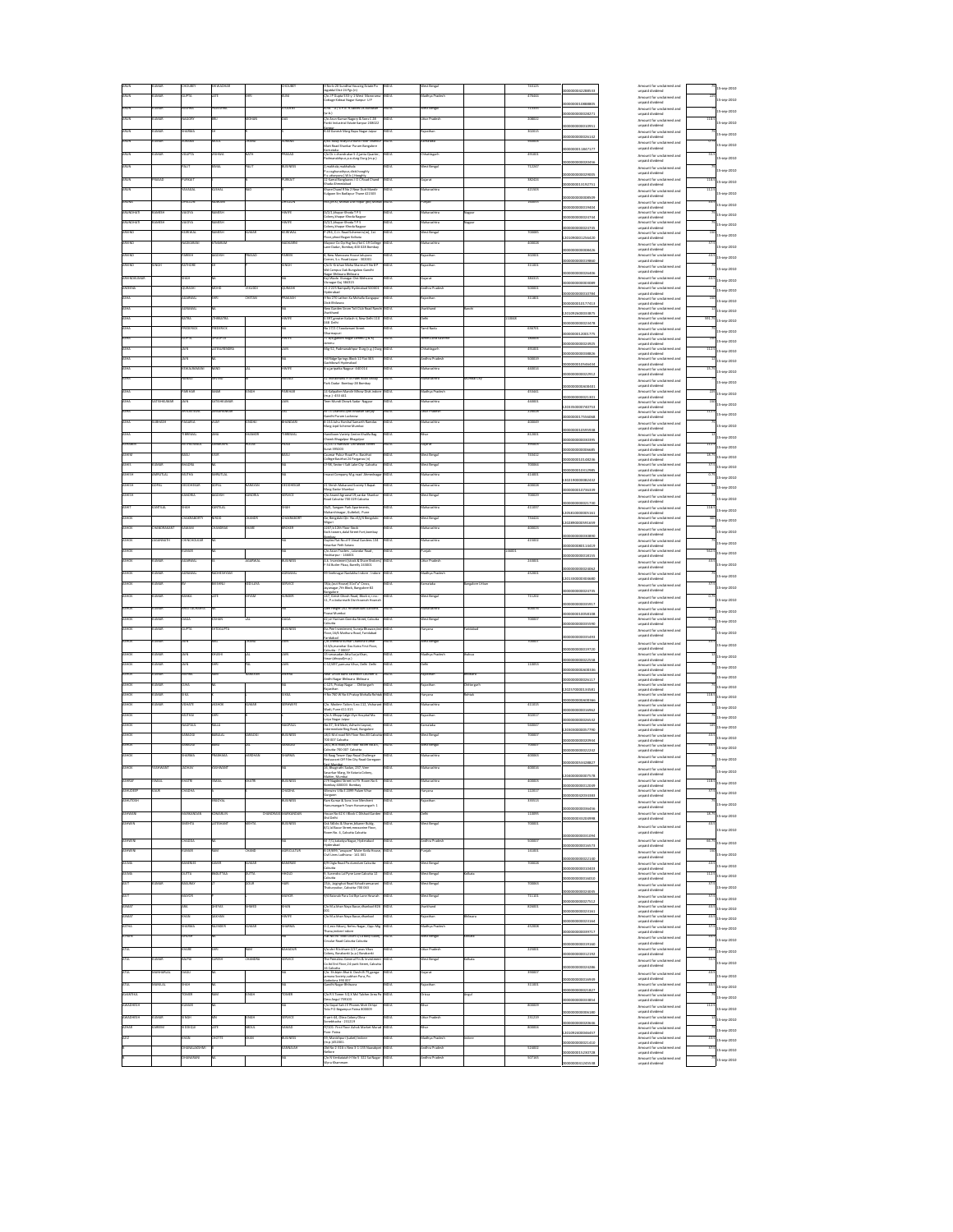|              |                |         |        |                | tdal Dist-24 Pgs (n)                                                                                   |             |            | 74312            |                           | Amount for unclaimed and<br>unpaid dividend                                                                                                |                  | 5-sep-2010                                                                                                                                                                                                                                                            |
|--------------|----------------|---------|--------|----------------|--------------------------------------------------------------------------------------------------------|-------------|------------|------------------|---------------------------|--------------------------------------------------------------------------------------------------------------------------------------------|------------------|-----------------------------------------------------------------------------------------------------------------------------------------------------------------------------------------------------------------------------------------------------------------------|
|              |                |         |        |                | est Ma.<br>TUP                                                                                         |             |            |                  |                           | Amount for unclaimed and<br>unpaid dividend                                                                                                |                  |                                                                                                                                                                                                                                                                       |
|              |                |         |        |                | з. - D / 4 P.a. N.cal<br>kb.)                                                                          |             |            | 711135<br>208022 | 2827                      | Amount for unclaimed and<br>unpaid dividend                                                                                                | ш                | 5-sep-2010                                                                                                                                                                                                                                                            |
|              |                |         |        |                | Arun Kumar Nagory & Sons C 28<br>iki Industrial Estate Kanpur 208022<br><b>SEP</b>                     |             |            |                  | 0010951                   | Amount for unclaimed and<br>unpaid dividend                                                                                                |                  | S-sep-2010                                                                                                                                                                                                                                                            |
|              |                |         |        |                | esh Marg Bapu Nagar Jaipur                                                                             |             |            | 302015           | 26142                     | Amount for unclaimed and<br>unpaid dividend                                                                                                |                  | sep-2010                                                                                                                                                                                                                                                              |
|              |                |         |        |                | (54 Balaji Nilaya Ground Floor Shank<br>lutt Road Shankar Puram Bangalore                              |             |            | 560004           | 11847177                  | Amount for unclaimed and<br>unpaid dividend                                                                                                | $\alpha$         | sep-2010                                                                                                                                                                                                                                                              |
|              |                |         |        |                | : Dr. r.chandrakar 5-2, janta Quarter<br>dmanabhpur, p. o. durg Durg (m. p.)                           |             |            | 49100            |                           | Amount for unclaimed and<br>unpaid dividend                                                                                                | z                | Sarp 2010                                                                                                                                                                                                                                                             |
|              |                |         |        | INESS          | ukhala, makhaltala<br>raghunathpur,disti.hooghiy                                                       |             |            | 712247           |                           | Amount for unclaimed and<br>unpaid dividend                                                                                                |                  | $5 - 56p - 2010$                                                                                                                                                                                                                                                      |
|              |                |         |        |                | Ramses (W b 1 Ho<br>da Ahmedabad                                                                       |             |            | 382424           | 013192751                 | Amount for unclaimed and<br>npaid d                                                                                                        | $\overline{115}$ | <b>S-sep-2010</b>                                                                                                                                                                                                                                                     |
|              |                |         |        |                | vo z niear Dutt Mand<br>Iapur Thane 421503                                                             |             |            |                  |                           | Amount for unclaimed and                                                                                                                   | - 112            | Sarp 2010                                                                                                                                                                                                                                                             |
|              |                |         |        |                | is ph Xi, Mohali Dist-ropar (pb) Mol                                                                   |             |            | 160055           | 1008509                   | unpaid dividend<br>Amount for unclaimed and                                                                                                | $\overline{a}$   | sep-2010                                                                                                                                                                                                                                                              |
|              |                |         |        |                | ar Khoda TP S<br>ńъ                                                                                    |             |            |                  | 0019404                   | unpaid dividend<br>Amount for unclaimed and                                                                                                |                  | -<br>sep-2010                                                                                                                                                                                                                                                         |
|              |                |         |        |                | 2/1,khapar Khoda T P S<br>Iony,khapar Khoda Nagg                                                       |             |            |                  | 024744                    | unpaid dividend<br>Amount for unclaimed and                                                                                                |                  | sep-2010                                                                                                                                                                                                                                                              |
|              | <b>FI WA</b>   |         |        | WA             | -294, C.Lt. Road Scheme-M(m), 1st<br>r phool Bagan Kokata                                              |             | st Genea   | 700083           | 024745<br>01256420        | unpaid dividend<br>Amount for unclaimed and                                                                                                | π                | sep-2010                                                                                                                                                                                                                                                              |
|              |                |         |        |                | voor Co Do Hur Soc Rat C-19 Coll<br>ne Dadar, Bombay 400 028 Bo                                        |             |            | <b>MOON</b>      |                           | unpaid dividend<br>Amount for unclaimed and                                                                                                | v                | 5-sep-2010                                                                                                                                                                                                                                                            |
|              | ЩЮ             |         |        | sο             | lew Ma<br>wa House Jalupun                                                                             |             |            | 302001           | 1426                      | unpaid dividend<br>Amount for unclaimed and                                                                                                | $\overline{a}$   | 5-sep-2010                                                                                                                                                                                                                                                            |
|              |                |         |        |                | ner, S.c. Road Jaipur - 102001<br>is Er Krishan Moha Sharma H No 8 F                                   |             |            | 311001           | 019860                    | unpaid dividend<br>Amount for unclaimed and                                                                                                |                  | sep-2010                                                                                                                                                                                                                                                              |
|              |                |         |        |                | Id Campus Dak Bungalow Gandhi<br>ear Bhibeara Bhibeara<br>1 Wado: Visnagar Dist Me<br>nagar Guj 384315 |             |            |                  |                           | unpaid dividend<br>Amount for unclaimed and                                                                                                | 43               |                                                                                                                                                                                                                                                                       |
|              |                |         |        | અડા            | 2 225 Nampsly Hyderabad 50000                                                                          |             |            | 500001           |                           | unpaid dividend<br>Amount for unclaimed and                                                                                                |                  | sep-2010                                                                                                                                                                                                                                                              |
|              |                |         | CHETAP | <b>YAS</b>     | lerabad<br>No 270 Lathon Ka Mohalla Ganeapu                                                            |             |            | 311502           |                           | unpaid dividend<br>Amount for unclaimed and                                                                                                | $\overline{15}$  | 5-sep-2010<br>sep-2010                                                                                                                                                                                                                                                |
|              |                |         |        |                | att Bhlwara<br>v Garden S                                                                              |             |            |                  | 177413                    | unpaid dividend<br>Amount for unclai<br>wd and                                                                                             |                  |                                                                                                                                                                                                                                                                       |
|              |                |         |        |                | w Dahi 110<br>97,gre                                                                                   |             |            |                  | 0003875                   | unpaid dividend<br>Amount for unclaimed and                                                                                                | 5913             | sep-2010<br>5-sep-2010                                                                                                                                                                                                                                                |
|              |                |         |        |                | 48 Dr<br>io 17/1 C Scoda                                                                               |             |            | 636701           | 000023478                 | unpaid dividend<br>Amount for unclaimed and                                                                                                |                  | S-sep-2010                                                                                                                                                                                                                                                            |
|              |                |         |        |                | A/b, gandhi Nagar Ja<br>= () & K)                                                                      |             |            | 1800             |                           | Senson for undertring and<br>Amount for underred and<br>unpaid dividend                                                                    | 15               | sep-2010                                                                                                                                                                                                                                                              |
|              |                |         |        |                | 6g-52, Padmanabhpur Durg (c.g.) Di                                                                     |             |            | 491007           | 4925                      | Amount for unclaimed and                                                                                                                   | 112              | 5-sep-2010                                                                                                                                                                                                                                                            |
|              |                |         |        |                | Il Ridge Springs Block 12 Flat 303<br>schbowl Hyderabad                                                |             |            | 500019           | 13826                     | unpaid dividend<br>Amount for unclaimed and                                                                                                |                  | sep-2010                                                                                                                                                                                                                                                              |
|              |                |         |        |                | i, jaripatka Nagpur -440 0                                                                             |             |            | 440014           |                           | unpaid dividend<br>Amount for unclaimed and                                                                                                | 157              | sep-2010                                                                                                                                                                                                                                                              |
|              |                |         |        |                | 2 Indradhanu H M Patel Road Shivaji<br>ark Dadar Bombay-28 Bombay                                      |             |            |                  | 022912                    | unpaid dividend<br>Amount for unclaimed and                                                                                                |                  | sep-2010                                                                                                                                                                                                                                                              |
|              |                |         |        |                | and a latin control of the local control                                                               |             |            | 453443           |                           | .<br>Impaid dir<br>Amount for unclaimed and                                                                                                | $^{22}$          | sep-2010                                                                                                                                                                                                                                                              |
|              |                |         |        |                | $p$ .) -452 441                                                                                        |             |            | 44000            | 32130:                    | unpaid dividend<br>Amount for unclaimed and                                                                                                | $\overline{15}$  |                                                                                                                                                                                                                                                                       |
|              |                |         |        |                | 73 Chandra Jyoti Bhaw.<br>Sanjay                                                                       |             |            | 220028           | 103350<br>000740753       | unpaid dividend<br>Amount for unclaimed and                                                                                                | 112              | sep-2010                                                                                                                                                                                                                                                              |
|              |                |         |        |                | ndhi Puram Lucknow<br>-154 Juhu Harshal Samarth Ramda                                                  |             |            | 400049           | 00000017556068            | unpaid dividend<br>Amount for unclaimed and                                                                                                |                  | 5-sep-2010                                                                                                                                                                                                                                                            |
|              |                |         |        |                | larg Jupd Scheme Mumbai                                                                                |             |            |                  | 10595938                  | unpaid dividend                                                                                                                            |                  | sep-2010                                                                                                                                                                                                                                                              |
|              | <b>LAIWALA</b> |         |        |                | hagaipur Bhag<br>1/1472 Nanavat Chiriwalas Stree                                                       |             |            |                  |                           | Amount for unclaimed and<br>unpaid dividend                                                                                                | 112              | iep-2010                                                                                                                                                                                                                                                              |
|              |                |         |        |                | rat 395003<br>mar Pukur R                                                                              |             |            | 395007<br>743412 |                           | Amount for unclaimed and<br><b>Innabid distributed</b><br>Amount for unclaimed and                                                         | H.               | S-sep-2010                                                                                                                                                                                                                                                            |
|              |                |         |        |                | erem Panan Panan P.O. Walking<br>98, Sector-I Sait Lake City                                           |             |            |                  | 10148236                  | unpaid dividend                                                                                                                            | x                | ep-2010                                                                                                                                                                                                                                                               |
|              |                |         |        |                | irat Company M.g.road                                                                                  |             |            | 414007           |                           | Amount for unclaimed and<br>unpaid dividend<br>Amount for unclaimed and                                                                    | ă                | iep-2010                                                                                                                                                                                                                                                              |
|              |                |         |        |                | Shrish Makarand Society S Bagat                                                                        |             |            | 400028           |                           | unpaid dividend<br>Amount for unclaimed and                                                                                                |                  | 5-sep-2010                                                                                                                                                                                                                                                            |
|              |                |         |        |                | rg Dadar Mumba                                                                                         |             |            |                  | 736339                    | unpaid dividend<br>Amount for unclaimed and                                                                                                |                  | sep-2010                                                                                                                                                                                                                                                              |
|              |                |         |        |                | .<br>Anand Agrawal 19,sardar SI<br>ad Calcutta-700 029 Calcutta                                        |             |            |                  | 121730                    | unpaid dividend                                                                                                                            |                  | 5-sep-2010                                                                                                                                                                                                                                                            |
| <b>NTILA</b> |                |         |        |                | b/S, Sangam Park Apartments<br>taharshinagar, Gultekdi, Pune                                           |             |            | 411037           | 005161<br>nsatr           | Amount for unclaimed and<br>unpaid dividend                                                                                                | 118.             | 5-sep-2010                                                                                                                                                                                                                                                            |
|              |                |         |        |                | r. Benedubi Otr. No.c5 /\/4 Bened                                                                      |             |            | 734424           | 202890000591659           | Amount for unclaimed and<br>unpaid dividend                                                                                                |                  | ep-2010                                                                                                                                                                                                                                                               |
|              |                |         |        |                | .<br>107,b 12th Floor Stock<br>ch towers, dalal Street Fort, bombay                                    |             |            |                  |                           | Amount for unclaimed and<br>unpaid dividend                                                                                                |                  | Sarp 2010                                                                                                                                                                                                                                                             |
|              | CHOUGH         |         |        |                | sbav<br>Aox Flat No.d-9 Vimal Gardens 134<br>iarkar Peth Satara<br>: Asian Traders . Jala              |             |            | 415002           | 0114419                   | Amount for unclaimed and<br>unpaid dividend                                                                                                |                  | sep-2010                                                                                                                                                                                                                                                              |
|              |                |         |        |                | dar Brust<br>hiarpur - 146001                                                                          |             |            |                  | 0018155                   | Amount for unclaimed and<br>unpaid dividend                                                                                                | 562              | sep-2010                                                                                                                                                                                                                                                              |
|              |                |         |        | NESS           | k. Investment (stock & Share Broker<br>34 Butler Plaza, Barelly 241001                                 |             |            | 243001           | 024062                    | Amount for unclaimed and<br>unpaid dividend                                                                                                | 41               | -<br>sep-2010                                                                                                                                                                                                                                                         |
|              |                |         |        |                | .<br>3 Snehrugar Navlakha Indone : Inc                                                                 |             |            | 452001           |                           | Amount for unclaimed and<br>unpaid dividend                                                                                                |                  | sep-2010                                                                                                                                                                                                                                                              |
|              |                |         |        |                | ut House) 31st″a″ Cross,<br>şar,7th Block, Bangalore-82                                                |             |            |                  |                           | Amount for unclaimed and                                                                                                                   | 17               | sep-2010                                                                                                                                                                                                                                                              |
|              |                |         |        |                | ish Chosh Road, Mock-n.r.n                                                                             |             |            | 711202           | 735                       | unpaid dividend<br>Amount for unclaimed and                                                                                                | ø                | sep-2010                                                                                                                                                                                                                                                              |
|              |                |         |        |                | 1, P.o. bolunmath Dist-howrah<br><b>Heatt 2021</b>                                                     |             |            |                  | 15917                     | unpaid dividend<br>Amount for unclaimed and                                                                                                |                  |                                                                                                                                                                                                                                                                       |
|              |                |         |        |                | an in                                                                                                  |             |            |                  | 05810                     | Amount for uncurried and<br>unpaid dividend<br>Amount for unclaimed and                                                                    | $\alpha$         | S-sep-2010                                                                                                                                                                                                                                                            |
|              |                |         |        | <b>INESS</b>   |                                                                                                        |             |            |                  |                           | unpaid dividend<br>Amount for unclaimed and                                                                                                |                  | sep.2010                                                                                                                                                                                                                                                              |
|              |                |         |        |                | us Pee Investment, Suneja Bhawan,iir<br>oor,16 <sub>1</sub> 6 Mathura Road, Faridabad<br>s Kumar O     |             |            |                  | 35493                     | unpaid dividend                                                                                                                            |                  | sep-2010                                                                                                                                                                                                                                                              |
|              |                |         |        |                | 13/b.manphar Das Katra First Floor                                                                     |             |            |                  |                           | Amount for unclaimed and<br>unpaid dividend                                                                                                |                  |                                                                                                                                                                                                                                                                       |
|              |                |         |        |                |                                                                                                        |             |            |                  |                           |                                                                                                                                            |                  | 5-sep-2010                                                                                                                                                                                                                                                            |
|              |                |         |        |                | b, manus<br>utta - 7 00007<br>- Ynn Atta Surja Kha<br>ari,bhopal(m.p.)                                 |             |            |                  | 0019720<br>000022558      | Amount for unclaimed and<br>unpaid dividend                                                                                                |                  | 5-sep-2010                                                                                                                                                                                                                                                            |
|              |                |         |        |                | -12/497,yamuna Vihar, Delhi Delh                                                                       |             |            | 110057           |                           | Amount for unclaimed and                                                                                                                   |                  | 5-sep-2010                                                                                                                                                                                                                                                            |
|              |                |         |        |                | ır Union Bank Extention Co<br>Shi Nazar Bhilwara, Bhilwar                                              |             |            |                  |                           |                                                                                                                                            |                  | sep.2010                                                                                                                                                                                                                                                              |
|              |                |         |        |                | 125, Pratap Nagar  Chittorgarh                                                                         |             |            |                  | 6117<br>00134581          | Amount for uncularmed and<br>unpaid dividend<br>Amount for unclaimed and<br>unpaid dividend<br>Amount for unclaimed and<br>unpaid dividend |                  | 5-sep-2010                                                                                                                                                                                                                                                            |
|              |                |         |        |                | No 760 W No 6 Pratao Mohalla Rob                                                                       |             |            |                  |                           | Amount for unclaimed and                                                                                                                   | 118              | sep-2010                                                                                                                                                                                                                                                              |
|              |                |         |        |                | E. Pune 411 011                                                                                        |             |            | 411015           | 016962                    | unpaid dividend<br>Amount for unclaimed and                                                                                                |                  | ep-2010                                                                                                                                                                                                                                                               |
|              |                |         |        |                | A 49app Calgiri Eye Hu<br>dya Nagar Jalpur                                                             |             |            | 302017           | 00000000026532            | unpaid dividend<br>Amount for unclair<br>wd and<br>unpaid dividend                                                                         |                  | S-sep-2010                                                                                                                                                                                                                                                            |
|              |                |         |        |                | o. 17, 3rd Main, Ashwini Li<br>emediate Ring Road, Bangalo                                             |             |            | 560047           | 03030000057790            | Amount for unclaimed and<br><b>Innahid Hidden</b>                                                                                          |                  | sep-2010                                                                                                                                                                                                                                                              |
|              |                |         |        |                | 1/1 M.d.road 5th Floor Rno.83 C<br>007 Calcutta                                                        |             |            |                  | 10944                     | Amount for unclaimed and                                                                                                                   | $\overline{a}$   | -<br>S-sep-2010                                                                                                                                                                                                                                                       |
|              | ARMA           | ABILAKA | ROHAN  |                | .il/1,m.d.road,5th Floor Room No.83,<br>:alcutta-700 007  Calcutta<br>4 Raag Tower Doo Royal Challenge |             | aharashtra |                  | 122242                    | unpaid dividend<br>Amount for unclair<br>ned and<br>unpaid dividend                                                                        | 43.5             | sep-2010                                                                                                                                                                                                                                                              |
|              |                |         |        | AMA            |                                                                                                        | <b>IDIA</b> |            | 400063           |                           | -<br>Amount for unclaimed and<br>unpaid dividend                                                                                           |                  | $-$ sep $-2010$                                                                                                                                                                                                                                                       |
|              |                |         |        |                | 6, Bhagirathi Sadan, 237, Vee<br>suarkar Marg, Nr Kataria Crim                                         |             |            |                  |                           | Amount for unclaimed and<br>unpaid dividend                                                                                                |                  | Sarp 2010                                                                                                                                                                                                                                                             |
|              |                |         |        | <b>INESS</b>   | abim. Mumba<br>tistFir Ro<br>nby 400001 Bombay                                                         |             |            | 400007           | 00007578                  | Amount for unclaimed and<br>unpaid dividend                                                                                                | 118              | 5-sep-2010                                                                                                                                                                                                                                                            |
|              |                |         |        |                | vins Villa E 2099 Palam<br>rgao                                                                        |             |            | 122017           | A2034383                  | Amount for unclaimed and                                                                                                                   | IJ               | s<br>sep 2010                                                                                                                                                                                                                                                         |
|              |                |         |        |                | ugarh 1<br>nangarh                                                                                     |             |            | 115511           |                           | unpaid dividend<br>Amount for unclaimed and                                                                                                |                  |                                                                                                                                                                                                                                                                       |
|              |                |         |        | <b>BCANDAR</b> |                                                                                                        |             |            | 110095           | 036456                    | unpaid dividend<br>Amount for unclaimed and                                                                                                | 18.7             |                                                                                                                                                                                                                                                                       |
|              |                |         |        |                | suse No 62 X I Block C Dilshad Garde<br>id Delhi<br><b>Sides &amp; Ch</b><br>List Back                 |             |            |                  | 033204998                 | unpaid dividend                                                                                                                            |                  |                                                                                                                                                                                                                                                                       |
|              |                |         |        |                | ne Floo<br>m No. 4, Calcutta Calcutta                                                                  |             |            |                  | 00031094                  | Amount for unclaimed and<br>unpaid dividend                                                                                                |                  |                                                                                                                                                                                                                                                                       |
|              |                |         |        |                | 7/1,kaka0y.                                                                                            |             |            |                  | 016573                    | Amount for unclaimed and<br>unpaid dividend                                                                                                |                  |                                                                                                                                                                                                                                                                       |
|              |                |         |        |                | yoeracac<br>19/699,"anupam" Maler Kot<br>Wi Lines Ludhiana - 141 001                                   |             |            | 141001           | 022140                    | Amount for unclaimed and<br>unpaid dividend                                                                                                |                  |                                                                                                                                                                                                                                                                       |
|              |                |         |        |                | 9 Diria Road Po.du                                                                                     |             |            | 700028           | 0010403                   | Amount for unclaimed and                                                                                                                   | 42.5             |                                                                                                                                                                                                                                                                       |
|              |                |         |        |                | urendra Lal Pyne Lane Ci                                                                               |             | t Bengal   |                  |                           | unpaid dividend<br>Amount for unclaimed and<br>unpaid dividend                                                                             | 112              |                                                                                                                                                                                                                                                                       |
|              |                |         |        |                | 5/c, Jaigirghat Road Kshudirams<br>takurpukur, Calcutta-700 063                                        |             | st Bengal  | 700063           |                           |                                                                                                                                            | 17               |                                                                                                                                                                                                                                                                       |
|              |                |         |        |                | uab Para 1st Dye I                                                                                     |             |            | 711101           | 14045                     | Amount for unclaimed and<br>unpaid dividend<br>Amount for unclaimed and                                                                    | 17.5             |                                                                                                                                                                                                                                                                       |
|              |                |         |        |                | M.a.khan Naya Bazar, di                                                                                |             |            | 826001           | 027512                    | unpaid dividend<br>Amount for unclaimed and                                                                                                | 43.              |                                                                                                                                                                                                                                                                       |
|              |                |         |        |                | is M.a.khan Naya Ba                                                                                    |             |            |                  | 000023161<br>023164       | unpaid dividend<br>Amount for unclaimed and<br>unpaid dividend                                                                             | 41               |                                                                                                                                                                                                                                                                       |
|              |                |         |        |                | a indon                                                                                                |             |            | 452008           |                           | Amount for unclaimed and                                                                                                                   | 37               |                                                                                                                                                                                                                                                                       |
|              |                |         |        |                | e No.90 Tivoli Court 1/1a Bally Gaunj<br>cular Road Calcutta Calcutta                                  | ιA          | st Bengal  |                  | 039717                    | unpaid dividend                                                                                                                            | 43.              |                                                                                                                                                                                                                                                                       |
|              |                |         |        |                | iahri R.b.khare 2/17.avas Viki                                                                         |             |            | 225001           | 000019160                 | Amount for unclaimed and<br>unpaid dividend<br>Amount for unclaimed and                                                                    | 41               |                                                                                                                                                                                                                                                                       |
|              |                |         |        |                | ny, Barabanki (u.p.) Barabanki                                                                         |             |            |                  |                           | unpaid dividend<br>Amount for unclaimed and                                                                                                | S.               |                                                                                                                                                                                                                                                                       |
|              |                |         |        |                | e Peeraless General Fin.& Investm<br>Jid 3rd Floor,24-park Street, Calc                                |             |            |                  | 024286                    | unpaid dividend                                                                                                                            |                  |                                                                                                                                                                                                                                                                       |
|              |                |         |        |                | Calcutta<br>CSh.bipin Ehai A. Doshi B-75,gang<br>ina Society, subhan Pura, Po.                         |             |            | 390007           | 116949                    | Amount for unclaimed and<br>unpaid dividend                                                                                                | $\overline{a}$   |                                                                                                                                                                                                                                                                       |
|              |                |         |        |                | odara 350 007<br>dhi Nazar Bhilw                                                                       |             |            | 311001           | 00021827                  | Amount for unclaimed and                                                                                                                   | 42.5             |                                                                                                                                                                                                                                                                       |
|              |                |         |        |                | s R S Tomer S Q X McI Talcher Are<br>ra Angul 759103                                                   |             |            |                  | 033854                    | unpaid dividend<br>Amount for unclaimed and<br>unpaid dividend                                                                             |                  | Sarp 2010<br>5-sep-2010<br>5-sep-2010<br>sep-2010<br>$-$ sep $-2010$<br><b>S-sep-2010</b><br>sep-2010<br>sep-2010<br>5-sep-2010<br>5-sep-2010<br>5-sep-2010<br>5-sep-2010<br><b>S-sep-2010</b><br>S-sep-2010<br>S-sep-2010<br>$-$ sep $-2010$<br>sep-2010<br>sep-2010 |
|              |                |         |        |                | (o Gopal Sah J E Phones Moh Chhi)<br>da P O Begampur Patria 800009                                     |             |            | soccos           |                           | Amount for unclaimed and<br>unpaid dividend                                                                                                | 112              | sep-2010                                                                                                                                                                                                                                                              |
|              |                |         |        |                | e-t-44, Obra Colony Ob<br>iebhadra - 231219                                                            |             |            | 231219           |                           | Amount for unclaimed and                                                                                                                   |                  | S-sep-2010                                                                                                                                                                                                                                                            |
|              |                |         |        |                | .01 - First Floor Ashol<br>re Patria                                                                   |             |            | BOCCO            | 020646<br>201092400046457 | unpaid dividend<br>Amount for unclaimed and<br>unpaid dividend                                                                             |                  | 5-sep-2010                                                                                                                                                                                                                                                            |
|              |                |         |        | INESS          | , Mankhpuri (saket) I<br>p.)452001                                                                     |             |            |                  | 0021410                   | Amount for unclaimed and<br>unpaid dividend                                                                                                | $\overline{a}$   | 5-sep-2010                                                                                                                                                                                                                                                            |
|              |                |         |        |                | No-2-316-c New 3-1<br>N Venkatalah H No 5 322 Sai Nagar                                                |             |            | 524002<br>507165 | 015230728                 | Amount for unclaimed and<br>unpaid dividend<br>Amount for unclaimed and                                                                    | IJ               | 15-sep-2010                                                                                                                                                                                                                                                           |

| Amount for unclaimed and<br>hrebivib bison                                                           | 5                       | sep-2010<br>ß              |
|------------------------------------------------------------------------------------------------------|-------------------------|----------------------------|
| Amount for und<br>imed and                                                                           |                         | sep-2010<br>ß              |
| unpaid dividend<br>unt for und<br>d and<br>no                                                        |                         |                            |
| unpaid dividend<br>$m\alpha$<br>d and                                                                |                         | 2010                       |
| unt for und<br>id dividend<br>np                                                                     |                         | 2010                       |
| .<br>Amount for undi<br>d a<br>id dividend<br>np                                                     |                         | 2010                       |
| لسب<br>Int for und<br>Andews<br>Amour<br>d a                                                         | 0.75                    | $-2010$                    |
| mount for und<br>d and<br>im                                                                         |                         |                            |
| unpaid dividend                                                                                      |                         | ep-2010                    |
| Amount for und<br>d and<br>aid dividend<br>nş                                                        |                         | 0-2010                     |
| Amount for uncl<br>unpaid dividend<br>imed and                                                       |                         | sep-2010                   |
| Amount for und<br>imed and                                                                           |                         | sep-2010<br>ß              |
| npaid dividend                                                                                       | 5                       |                            |
| Amount for uncl<br>unpaid dividend<br>imed and                                                       |                         | sep-2010<br>ŕ.             |
| Amount for uncl<br>unpaid dividend<br>Amount for uncl<br>.<br>Her<br>ed and                          |                         | sep-2010                   |
| å.<br>d divid<br>nş<br>nd                                                                            |                         | 2010                       |
| Amount for und<br>ed and<br>unpaid dividend                                                          |                         | sep-2010<br>ß              |
| Amount for und<br>d and                                                                              |                         | ep-2010                    |
| unpaid dividend<br>d and                                                                             |                         |                            |
| .<br>Amount for und<br>unpaid dividend                                                               |                         | ep-2010                    |
| ount for und<br>ı.<br>d an<br>d dividend<br>nş                                                       |                         | -2010                      |
| .<br>Amount for uncl<br>unpaid dividend<br>å.                                                        |                         | 2010                       |
| nt fo<br>d and<br>mo<br>nd                                                                           |                         | p-2010                     |
| unpaid dividend<br>Amount for und<br>imed and                                                        | Ì<br>s.                 | sep-2010<br>ß              |
| hrebivib bison<br>d a                                                                                |                         |                            |
| ount for<br>Nid divis<br>n,<br>d and<br>im                                                           |                         | p-2010                     |
| Amount for und<br>unpaid dividend                                                                    |                         | sep-2010                   |
| Amount for unclaimed and<br>npaid dividend                                                           |                         | sep-2010<br>í.             |
| Amoun<br>for und<br>imed and<br>.<br>aid d<br>.<br>1d<br>ü                                           |                         | sep-2010                   |
| mount for und<br>npaid dividend<br>med and                                                           |                         | ep-2010                    |
| Amount for unclaimed and                                                                             |                         | sep-2010<br>ß              |
| brebivib bison<br>'n<br>$\alpha$<br>for und<br>imed and                                              |                         | sep-2010<br>ú              |
| aid dividend<br>nş                                                                                   |                         |                            |
| Amount for unclaimed and<br>unpaid dividend                                                          |                         | sep-2010                   |
| Amount for unclaimed and<br>brebivib bison                                                           | 22                      | sep-2010<br>1Ś             |
| ount for<br>said divid<br>d a<br>ų                                                                   |                         | p-2010                     |
| Amount for und<br>unpaid dividend<br>d and<br>im                                                     |                         | sep-2010                   |
| t for und<br>Amour<br>å.                                                                             |                         |                            |
| id divid<br>nd<br>nş                                                                                 |                         | ep-2010                    |
| ount for und<br>Nid dividend<br>ı.<br>d and<br>ų                                                     |                         | p-2010                     |
| d and<br>Amount for und<br>im<br>unpaid dividend                                                     |                         | p-2010                     |
| imed and<br>Amount for und<br><b>Innahörite History</b>                                              |                         | irp-2010                   |
| .<br>Iount for und<br>paid dividend<br>j,<br>å.                                                      | ŧ                       | p-2010                     |
| ų<br>nt for u<br>mo<br>nd                                                                            |                         |                            |
| unpaid dividend<br>Amount for und<br>imed and                                                        |                         | p-2010                     |
| npaid dividend                                                                                       |                         | sep-2010<br>1Ś             |
| Amount for unclaimed and<br>unpaid dividend                                                          |                         | sep-2010<br>ß              |
| t fe<br>r und<br>d and<br>mo                                                                         | 11<br>u                 | $-2010$                    |
| unpaid dividend<br>ount for und<br>imed and<br>k                                                     |                         | ep-2010<br>ú               |
| aid dividend<br>Amount for unclaimed and                                                             |                         |                            |
| hrebivib bison                                                                                       |                         | sep-2010                   |
| Amount for und<br>d and<br>unpaid dividend                                                           |                         | sep-2010<br>ß              |
| k<br>sount for und<br>imed and<br>aid dividend<br>ų                                                  |                         | sep-2010                   |
|                                                                                                      |                         | sep-2010<br>ú              |
| Amount for und<br>aimed and                                                                          |                         |                            |
| unpaid dividend                                                                                      |                         |                            |
| Amount for und<br>imed and<br>breakd dividend                                                        |                         | sep-2010<br>ī.             |
| -<br>Amount for u<br>nd<br>in<br>d and<br>unpaid dividend                                            |                         | sep-2010                   |
| e for und<br>d and<br>ź<br>mour                                                                      |                         |                            |
| aid dividend<br>nş                                                                                   | 225                     | sep-2010                   |
| Amount for uncl<br>unpaid dividend<br>aimed and                                                      |                         | sep-2010                   |
| <br>for und<br>ù<br>d ar<br>id divid<br>nd<br>nş                                                     | $\overline{\mathbf{r}}$ | ep-2010                    |
| d and                                                                                                |                         | p-2010                     |
| ام<br>ant fo<br>id d><br>id d<br>da.<br>Irund<br>Ade<br>ų<br>e fe<br>nd<br>d and<br>mo               |                         |                            |
| unpaid dividend                                                                                      |                         | p-2010                     |
| .<br>mount for und<br>npaid dividend<br>imed and                                                     |                         | 2010<br>ėρ                 |
| Amount for unclaimed and<br>npaid dividend                                                           | 75                      | sep-2010                   |
| 'n<br>.<br>1011<br>for und<br>imed and<br>.<br>aid d<br>.<br>ا<br>ï                                  | 75                      | ep-2010                    |
| med and<br>nd                                                                                        |                         | ép                         |
| mount for v<br>npaid dividi<br>end<br>np<br>Amount for unclaimed and                                 |                         | sep-2010<br>ß              |
| brebivib bien<br>'n<br>$\alpha$<br>for und<br>aimed and                                              | n                       | sep-2010<br>ú              |
| aid divide<br>sunt for u<br>'n.<br>ung<br>Am<br>aimed and<br>.<br>Cu                                 |                         |                            |
| int for i<br>d dividi<br>nd<br>nş                                                                    | 105                     | 2010<br>κp                 |
| Amount for unclaimed and<br>unpaid dividend                                                          |                         | sep-2010<br>ß              |
| aimed and                                                                                            |                         | sep-2010<br>ú              |
| Amount for unclu<br>unpaid dividend<br>Amount for unclu<br>d and<br>d divis<br>nd<br>ń,              |                         | sep-2010                   |
| ount for unda<br>said divident<br>imed and                                                           | 5                       | sep-2010<br>ıs             |
| ų<br>Amount for unclaimed and                                                                        | 75                      |                            |
| aid dias<br><b>and</b>                                                                               |                         | 15-sep-2010                |
| t fe<br>d and<br>nd<br>im<br>unpaid dividend                                                         |                         | sep-2010                   |
| aimed and<br>Amount for und<br>hrebivib bison                                                        |                         | 15-sep-2010                |
| Amount for und<br>imed and                                                                           |                         | 15-sep-2010                |
| hrebivib bison<br>Amount for und<br>d and<br>im.                                                     | 18.75                   |                            |
| unpaid dividend                                                                                      |                         | 5-sep-2010                 |
| d and                                                                                                |                         | sep-2010<br>LS             |
| Amount for uncl<br>unpaid dividend<br>d and                                                          |                         |                            |
| Amount for uncla<br>unpaid dividend                                                                  |                         | 15-sep-2010                |
| Amount for unclaimed and<br>aid dividend<br>nş                                                       |                         | sep-2010<br>ıs             |
| Amount for unclaimed and                                                                             |                         | 15-sep-2010                |
| aimed and                                                                                            |                         | sep-2010<br>ú,             |
| enoun to und<br>unpaid dividend<br>Amount for und<br>unpaid dividend<br>d and                        | x<br>5                  |                            |
| .<br>Amount for unclair<br>unpaid dividend                                                           |                         | is<br>sep-2010             |
| Amount for unclaimed and                                                                             |                         | 15-sep-2010                |
| aimed and                                                                                            |                         | sep-2010<br>ß              |
| unpaid dividend<br>Amount for uncl<br>unpaid dividend<br>Amount for unclaimed and<br>unpaid dividend | ¢,                      | 15-sep-2010                |
| imed and                                                                                             | ī                       | 15-sep-2010                |
| <b>Amount for und</b><br>unpaid dividend<br>n,<br>imed and                                           |                         |                            |
| Amount for uncl<br>unpaid dividend                                                                   |                         | 15-sep-2010                |
| Amount for unclaimed and<br><b>unpaid dividend</b>                                                   |                         | 5-sep-2010                 |
| Amount for uncli<br>unpaid dividend<br>imed and                                                      |                         | 5-sep-2010                 |
| Amount for unclaimed and                                                                             |                         |                            |
| npaid dividend                                                                                       |                         | ıs<br>sep-2010             |
| Amount for unclaimed and                                                                             |                         | 15-sep-2010                |
| aimed and                                                                                            |                         | sep-2010<br>ú,             |
| unpaid dividend<br>Amount for uncl<br>unpaid dividend<br>d and                                       | 112.5                   | sep-2010<br>is             |
| Amount for unclair<br>unpaid dividend<br>Amount for unclaimed and                                    | n                       |                            |
| aimed and                                                                                            | 7                       | 15-sep-2010                |
| unpaid dividend<br>Amount for uncl<br>unpaid dividend                                                |                         | 5-sep-2010                 |
| Amount for unclaimed and<br>unpaid dividend                                                          | a.                      | 15-sep-2010                |
| -<br>Amount for unclaimed and<br>unpaid dividend<br>Amount for unclaimed and<br>h<br>npia<br>mpu     | 37.5                    | 15-sep-2010<br>15-sep-2010 |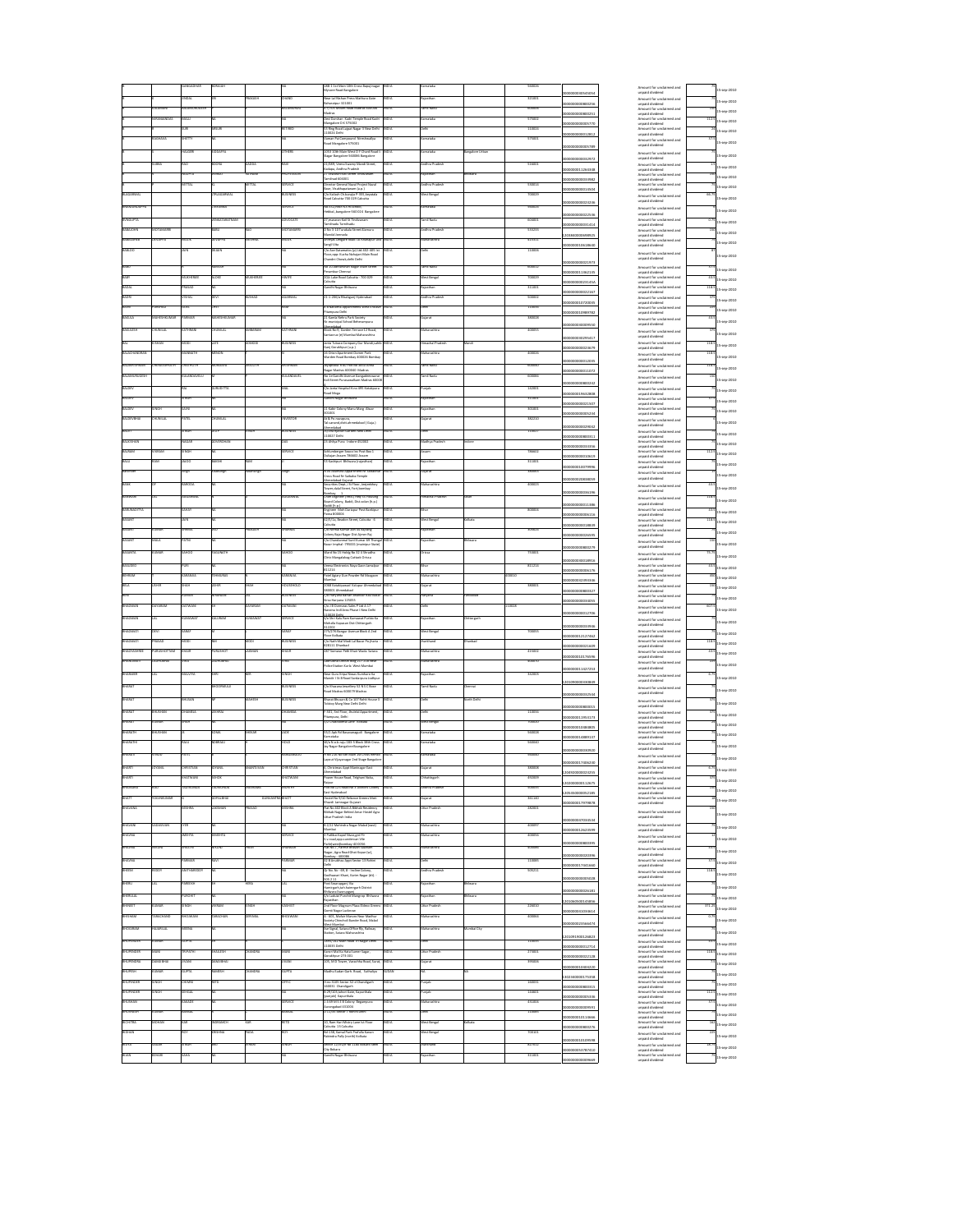|      |                |               |       |                 | l-1 1st Main 10th uro<br>sore Road Bangalore                                                                 |                |             |          |                  | 30545054                    | Amount for unclaimed and<br>unpaid dividend                                                                            |                          | 5-sep-2010                                                                                                                                                                                                                                                                                                                                                                                                                                                                                                                                                                  |
|------|----------------|---------------|-------|-----------------|--------------------------------------------------------------------------------------------------------------|----------------|-------------|----------|------------------|-----------------------------|------------------------------------------------------------------------------------------------------------------------|--------------------------|-----------------------------------------------------------------------------------------------------------------------------------------------------------------------------------------------------------------------------------------------------------------------------------------------------------------------------------------------------------------------------------------------------------------------------------------------------------------------------------------------------------------------------------------------------------------------------|
|      |                |               |       | <b>AMURUC</b>   | ir Lal Nishan Press Mathura Gate<br>pur 321001<br>7705 Mount Road Mac<br>sccoos                              |                |             |          | 321001<br>raccor |                             | Amount for unclaimed and<br>unpaid dividend<br>Amount for unclaimed and                                                |                          | $-2010$                                                                                                                                                                                                                                                                                                                                                                                                                                                                                                                                                                     |
|      |                |               |       |                 |                                                                                                              |                |             |          | 575002           | 00251                       | unpaid dividend<br>Amount for unclaimed and                                                                            | 112                      | sep-2010                                                                                                                                                                                                                                                                                                                                                                                                                                                                                                                                                                    |
|      |                |               |       |                 | il Darshan, Kadri Tem<br>ngalore D.K.S.75002<br>3 Ring Road Lajpat Nagar 31                                  |                |             |          | 110024           | 00005770                    | unpaid dividend<br>Amount for unclaimed and                                                                            |                          | 5-sep-2010<br>sep-2010                                                                                                                                                                                                                                                                                                                                                                                                                                                                                                                                                      |
|      |                |               |       |                 | 024 Delhi<br>in Pal Co<br>ad Mangalore 575001                                                                |                |             |          | 525001           | 0012812                     | unpaid dividend<br>Amount for unclaimed and                                                                            |                          | 5-sep-2010                                                                                                                                                                                                                                                                                                                                                                                                                                                                                                                                                                  |
|      |                |               |       |                 | 53 10th Main West O F Chard Roa<br>gar Bangalore 560086 Bangalore                                            |                |             |          |                  | 005789                      | unpaid dividend<br>Amount for unclaimed and                                                                            |                          | S-sep-2010                                                                                                                                                                                                                                                                                                                                                                                                                                                                                                                                                                  |
|      |                |               |       |                 | .<br>/189, Veera Swarny Mandi Street,<br>slapa, Andhra Pradesh                                               |                |             |          | 516001           | 2972                        | unpaid dividend<br>Amount for unclaimed and                                                                            |                          | sep 2010                                                                                                                                                                                                                                                                                                                                                                                                                                                                                                                                                                    |
|      |                |               |       |                 |                                                                                                              |                |             |          |                  | 0011264348<br>0033982       | unpaid dividend<br>Amount for unclaimed and<br>unpaid dividend                                                         |                          | sep-2010                                                                                                                                                                                                                                                                                                                                                                                                                                                                                                                                                                    |
|      |                |               |       |                 | tor General Naval<br>me, Visakhapataram (a.p.)                                                               |                |             |          | 530014           | 014504                      | Amount for unclaimed and<br>unpaid dividend                                                                            |                          | 5-sep-2010                                                                                                                                                                                                                                                                                                                                                                                                                                                                                                                                                                  |
|      |                |               |       |                 | Xailash Ch.baraila P-355.<br>ad Calcutta-700 029 Calcutta                                                    |                |             |          | monzo            | 000023236                   | Amount for unclaimed and<br>unpaid dividend                                                                            | 66                       | 5-sep-2010                                                                                                                                                                                                                                                                                                                                                                                                                                                                                                                                                                  |
|      |                |               |       |                 | 552,near N.t.m.school,<br>sbal.,bangalore-560 024 Bangalore                                                  |                |             |          |                  |                             | Amount for unclaimed and<br>unpaid dividend                                                                            |                          | S-sep-2010                                                                                                                                                                                                                                                                                                                                                                                                                                                                                                                                                                  |
|      |                |               |       | <b>YOCAT</b>    | rewaran Koli St Tindiyanan                                                                                   |                |             |          | 604001           | 00022536<br>031414          | Amount for unclaimed and                                                                                               | $\alpha$                 | S-sep-2010                                                                                                                                                                                                                                                                                                                                                                                                                                                                                                                                                                  |
|      |                |               |       |                 | milnədu Tamilnədə<br>Ao 3-10 Turakala Street Ab<br><b><i><u><b>CALL International</b>ly</u></i></b>          |                |             |          | 533233           | 203840000698925             | unpaid dividend<br>Amount for unclaimed and                                                                            | $\overline{\mathbf{15}}$ | -sep-2010                                                                                                                                                                                                                                                                                                                                                                                                                                                                                                                                                                   |
|      |                |               |       |                 | reyas <mark>Lengare Road Tal Ki</mark><br>ngli Vita<br>lo Ace Datamatics (p) Ltd.402-405 (s                  |                |             |          | 415311           | 000000010618640             | unpaid dividend<br>Amount for unclair<br>wd and<br>unpaid dividend                                                     |                          | 5-sep-2010                                                                                                                                                                                                                                                                                                                                                                                                                                                                                                                                                                  |
|      |                |               |       |                 | or,opp: Kucha Nahajani Main Road<br>andni Chowk,delhi Delhi                                                  |                |             |          | 110000           |                             | Amount for unclaimed and<br>unpaid dividend                                                                            |                          | $-$ sep $-2010$                                                                                                                                                                                                                                                                                                                                                                                                                                                                                                                                                             |
|      |                |               |       |                 | 10 Adhlanshan Nasar Main Street<br>inbur Chenna                                                              |                |             |          | 600017           | 021973<br>00000011362135    | Amount for unclaimed and<br>monaid distributed<br>unpaid div                                                           | $\overline{v}$           | sep-2010                                                                                                                                                                                                                                                                                                                                                                                                                                                                                                                                                                    |
|      |                |               |       |                 | c Lake Road Calcutt                                                                                          |                |             |          |                  | 0023145A                    | Amount for unclaimed and<br>unpaid dividend                                                                            |                          | sep-2010                                                                                                                                                                                                                                                                                                                                                                                                                                                                                                                                                                    |
|      |                |               |       |                 | ndhi Nagar Bhilwara                                                                                          |                |             |          | 311001           | 00022167                    | Amount for unclaimed and<br>unpaid dividend                                                                            | 115                      | sep-2010                                                                                                                                                                                                                                                                                                                                                                                                                                                                                                                                                                    |
|      |                |               |       |                 | Onchessi                                                                                                     |                |             |          |                  | 001072003                   | w-y-wo owldend<br>Amount for unclaimed and<br>inpaid dividend                                                          |                          | <b>S-sep-2010</b>                                                                                                                                                                                                                                                                                                                                                                                                                                                                                                                                                           |
|      |                |               |       |                 | 1 Kamla Nehru Park Society                                                                                   |                | (arat       |          | 380028           | 89782                       | Amount for unclaimed and<br>unpaid dividend                                                                            | 41.                      | sep-2010                                                                                                                                                                                                                                                                                                                                                                                                                                                                                                                                                                    |
|      |                |               |       |                 | icipal School Beherampura                                                                                    |                |             |          |                  | osse                        | Amount for unclaimed and<br>unpaid dividend                                                                            |                          | sep-2010                                                                                                                                                                                                                                                                                                                                                                                                                                                                                                                                                                    |
|      |                |               |       |                 | sed<br>© Garden Terrace 12 Roa<br>tacruz (e) Mumbai Maharashtra                                              |                |             |          |                  | 030205417                   | Amount for unclaimed and<br>unpaid dividend                                                                            |                          | 5-sep-2010                                                                                                                                                                                                                                                                                                                                                                                                                                                                                                                                                                  |
|      |                |               |       | <b>NESS</b>     | ta Tubaco Company Gur M<br>anj Gorakhpur (u.p.)                                                              |                |             |          |                  | 00000000023679              | Amount for unclaimed and<br>unpaid dividend                                                                            | щ                        | 5-sep-2010                                                                                                                                                                                                                                                                                                                                                                                                                                                                                                                                                                  |
|      |                |               |       |                 | 6 Orion Apartment O<br>arden Road Bombay 400026 Bomba                                                        |                |             |          | 400020           | 000012035                   | Amount for unclaimed and<br>unpaid dividend                                                                            | 118                      | sep-2010                                                                                                                                                                                                                                                                                                                                                                                                                                                                                                                                                                    |
|      |                |               |       |                 |                                                                                                              |                |             |          |                  | 0011072                     | Amount for unclaimed and<br>unpaid dividend                                                                            |                          | sep-2010                                                                                                                                                                                                                                                                                                                                                                                                                                                                                                                                                                    |
|      |                |               |       |                 | 1e Gandhi Avenue Gangade<br>Street Purasawalkam Madras 600                                                   |                |             |          |                  | 0242                        | Amount for unclaimed and<br>unpaid dividend                                                                            |                          | S-sep-2010                                                                                                                                                                                                                                                                                                                                                                                                                                                                                                                                                                  |
|      |                |               |       |                 | anta Hospital N.no 495 Kotaki:<br>ad Moga                                                                    |                |             |          | 142001           | 00000019632808              | Amount for unclaimed and<br>unpaid dividend                                                                            |                          | sep-2010                                                                                                                                                                                                                                                                                                                                                                                                                                                                                                                                                                    |
|      |                |               |       |                 |                                                                                                              |                |             |          | 301001           | 021507                      | Amount for unclaimed and<br>unpaid dividend<br>Amount for unclaimed and                                                |                          | sep-2010                                                                                                                                                                                                                                                                                                                                                                                                                                                                                                                                                                    |
|      |                |               |       |                 | Kabir Colony Manu Marg, Alwar<br>0001<br>構物                                                                  |                |             |          | 382210           | 1005234                     | unpaid dividend<br>Amount for unclaimed and                                                                            |                          | Sarp 2010                                                                                                                                                                                                                                                                                                                                                                                                                                                                                                                                                                   |
|      |                |               |       |                 | sampled dam at<br>edabad ( Guia.)                                                                            |                |             |          |                  | 00029042                    | unpaid dividend<br>Amount for unclaimed and                                                                            |                          | 5-sep-2010                                                                                                                                                                                                                                                                                                                                                                                                                                                                                                                                                                  |
|      |                |               |       |                 | (49a Rjacuri Garden New Delhi<br>0027 Delhi<br>i Ahilya Pura Iliti                                           |                |             |          | 110027           | 000800311                   | unpaid dividend<br>Amount for unclaimed and                                                                            |                          | 5-sep-2010                                                                                                                                                                                                                                                                                                                                                                                                                                                                                                                                                                  |
|      |                |               |       |                 |                                                                                                              |                |             |          | 78550            | 033356                      | unpaid dividend<br>Amount for unclaimed and                                                                            | 112                      | 5-sep-2010<br>S-sep-2010                                                                                                                                                                                                                                                                                                                                                                                                                                                                                                                                                    |
|      |                |               |       |                 | laian As<br>m 786602 Au<br>Kashipuri Bhilwara (rajast)                                                       |                |             |          | 311001           | 10619                       | unpaid dividend<br>Amount for unclaimed and                                                                            |                          | $-$ sep $-2010$                                                                                                                                                                                                                                                                                                                                                                                                                                                                                                                                                             |
|      |                |               |       |                 | 04 Akansha Appartment Nr Satta<br>ss Road Nr Salbaba Temple                                                  |                | (arat       |          | 380063           |                             | unpaid dividend<br>Amount for unclaimed and                                                                            |                          | sep-2010                                                                                                                                                                                                                                                                                                                                                                                                                                                                                                                                                                    |
|      |                |               |       |                 | urities Dept., i St Floor, Jeeje<br>ver,dalal Street, Fort, bomba                                            |                |             |          |                  |                             | unpaid dividend<br>Amount for unclaimed and                                                                            | $\overline{a}$           | sep-2010                                                                                                                                                                                                                                                                                                                                                                                                                                                                                                                                                                    |
|      |                |               |       |                 |                                                                                                              |                |             |          |                  | 36196                       | unpaid dividend<br>Amount for unclaimed and                                                                            | Ħ                        |                                                                                                                                                                                                                                                                                                                                                                                                                                                                                                                                                                             |
|      |                |               |       |                 | seer (retd.) Meq-55 Mousing<br>xny, Baddi, Dist solan (h.p.)<br>di (h.n.)<br>Ineer Moh Darlapur Post Bankips |                |             |          |                  | 011386                      | unpaid dividend                                                                                                        | $\overline{a}$           | <b>S-sep-2010</b>                                                                                                                                                                                                                                                                                                                                                                                                                                                                                                                                                           |
|      |                |               |       |                 | na 800004                                                                                                    |                |             |          |                  | 006116                      | Amount for unclaimed and<br>unpaid dividend<br>Amount for unclaimed and                                                |                          | iep-2010                                                                                                                                                                                                                                                                                                                                                                                                                                                                                                                                                                    |
|      |                |               |       |                 | (o Nirmal Kumar Jain 44 Bajrang<br>slony Bajai Nagar Dist Ajmer Raj                                          |                |             |          | 305624           | 018839                      | unpaid dividend<br>Amount for unclaimed and                                                                            |                          | sep-2010<br>sep-2010                                                                                                                                                                                                                                                                                                                                                                                                                                                                                                                                                        |
|      |                |               |       |                 | nai Sunil Kumar 69 Ti<br>tar Imphal -795001 (mainipur Sta                                                    |                |             |          |                  | 026595                      | unpaid dividend<br>Amount for unclaimed and                                                                            |                          | 5-sep-2010                                                                                                                                                                                                                                                                                                                                                                                                                                                                                                                                                                  |
|      |                |               |       |                 | ard No 15 Holdg No 32 4 Shradha<br>Inic Mangalabag Cuttack Orissa                                            |                |             |          | 753001           | 1800279                     | unpaid dividend<br>Amount for unclaimed and                                                                            | 75.7                     |                                                                                                                                                                                                                                                                                                                                                                                                                                                                                                                                                                             |
|      |                |               |       |                 | na Electronics Nava Gar                                                                                      |                |             |          | 811214           | 18916                       | npaid d<br>Amount for unclaimed and                                                                                    | 43.5                     | S-sep-2010<br>sep-2010                                                                                                                                                                                                                                                                                                                                                                                                                                                                                                                                                      |
|      |                |               |       |                 | 11214<br>i Aglary Gun Po<br>I                                                                                |                |             |          |                  |                             | unpaid dividend<br>Amount for unclaimed and                                                                            | B                        | iep-2010                                                                                                                                                                                                                                                                                                                                                                                                                                                                                                                                                                    |
|      |                |               |       |                 | X8 Katakiyawad  Kalup<br><b>CO1 Ahmedabad</b>                                                                |                |             |          | 380001           | 032393346<br>00000000800327 | unpaid dividend<br>Amount for unclaimed and<br>unpaid dividend                                                         |                          | 5-sep-2010                                                                                                                                                                                                                                                                                                                                                                                                                                                                                                                                                                  |
|      |                |               |       |                 | Ís Haryana Bartan Ehandar F<br>a Haryana 125055                                                              |                |             |          |                  |                             | Amount for unclaimed and<br>unpaid dividend                                                                            |                          | sep-2010                                                                                                                                                                                                                                                                                                                                                                                                                                                                                                                                                                    |
|      |                |               |       |                 | .<br>J.B. Overseas Sales P Ltd A 17<br>Jaina Indi Area Phase I New Delhi                                     |                |             |          |                  | 012706                      | Amount for unclaimed and<br>unpaid dividend                                                                            | 60                       | sep-2010                                                                                                                                                                                                                                                                                                                                                                                                                                                                                                                                                                    |
|      |                |               |       |                 | 1928 Delhi<br>Shri Kalu Ram Kumawat Purbio K<br>shalla Kapasan Dist Chittorgarh                              |                |             |          |                  | 033946                      | Amount for unclaimed and<br>unpaid dividend                                                                            |                          |                                                                                                                                                                                                                                                                                                                                                                                                                                                                                                                                                                             |
|      |                |               |       |                 | 2202<br>5/276 Bangur Avenue Block A 2nd                                                                      |                |             |          |                  |                             |                                                                                                                        |                          |                                                                                                                                                                                                                                                                                                                                                                                                                                                                                                                                                                             |
|      |                |               |       |                 | or Kolkatı                                                                                                   |                |             |          |                  |                             |                                                                                                                        |                          |                                                                                                                                                                                                                                                                                                                                                                                                                                                                                                                                                                             |
|      |                |               |       |                 | th Mai Mod                                                                                                   |                |             |          |                  | 00000012127462              | Amount for unclaimed and<br>unpaid dividend<br>Amount for unclaimed and<br>unpaid dividend                             |                          |                                                                                                                                                                                                                                                                                                                                                                                                                                                                                                                                                                             |
|      |                |               |       |                 | 17 Somwar Peth Khair Wada Satara                                                                             |                |             |          | 415002           | 010176596                   | Amount for unclaimed and<br>unpaid dividend                                                                            | 41                       |                                                                                                                                                                                                                                                                                                                                                                                                                                                                                                                                                                             |
|      |                |               |       |                 | .<br>Ihubhai Devshi Bidg 217 218 Ne.<br>Ice Station Kurla West Mumbai                                        |                |             |          | ton w            |                             | Amount for unclaimed and<br>unpaid dividend                                                                            |                          |                                                                                                                                                                                                                                                                                                                                                                                                                                                                                                                                                                             |
|      |                |               |       |                 | ır Guru Kripa Niwas Kumharo Ka<br>ndir I St B Road Sardarpura Jodhpu                                         |                |             |          | 342003           | 00000011427253              |                                                                                                                        | 6.7                      |                                                                                                                                                                                                                                                                                                                                                                                                                                                                                                                                                                             |
|      |                |               |       |                 | : Khazana Jewellery 52 N S C B<br>ad Madras 600079 Madras                                                    |                |             |          |                  | <b>STORAT</b>               | Amount for unclaimed and<br>unpaid dividend<br>Amount for unclaimed and                                                |                          |                                                                                                                                                                                                                                                                                                                                                                                                                                                                                                                                                                             |
|      |                |               |       |                 | loy Marg New D                                                                                               |                |             |          |                  | 03254                       | unpaid dividend<br>Amount for unclaimed and                                                                            |                          |                                                                                                                                                                                                                                                                                                                                                                                                                                                                                                                                                                             |
|      |                |               |       |                 | 301, 3rd Floor, Stuielal Ap                                                                                  |                |             |          | 110034           | 0800015                     | unpaid dividend<br>Amount for unclaimed and<br><b>Israèlekéh histori</b> a                                             |                          |                                                                                                                                                                                                                                                                                                                                                                                                                                                                                                                                                                             |
|      |                |               |       |                 | rqura, Delhi                                                                                                 |                |             |          |                  | 011953173                   | mount for unclaimed and                                                                                                |                          |                                                                                                                                                                                                                                                                                                                                                                                                                                                                                                                                                                             |
|      |                |               |       |                 | 5/1 Apk Rd Basavanagudi Bangalon                                                                             |                |             |          | 560028           | 10484805<br>14889137        | unpaid dividend<br>Amount for unclaimed and<br>unpaid dividend                                                         |                          |                                                                                                                                                                                                                                                                                                                                                                                                                                                                                                                                                                             |
|      |                |               |       |                 | (/o N.o.b.raiu 183-5 Block 38th Cros<br>y Nagar Bangalore Baangalore                                         |                |             |          | 560040           |                             | Amount for unclaimed and<br>unpaid dividend                                                                            |                          |                                                                                                                                                                                                                                                                                                                                                                                                                                                                                                                                                                             |
|      |                |               |       |                 | out Vijayanagar 2nd Stage Banga                                                                              |                |             |          |                  | 017406230                   | Amount for unclair<br>ad and<br>unpaid dividend                                                                        |                          |                                                                                                                                                                                                                                                                                                                                                                                                                                                                                                                                                                             |
|      |                |               |       |                 | sagar Car<br>medabad                                                                                         |                |             |          | 380000           | masser                      | Amount for unclaimed and<br>unpaid dividend                                                                            | ¢,                       |                                                                                                                                                                                                                                                                                                                                                                                                                                                                                                                                                                             |
|      |                |               |       |                 | ayer House R                                                                                                 |                |             |          | 492009           | 000112675                   | Amount for unclaimed and                                                                                               | $\overline{17}$          |                                                                                                                                                                                                                                                                                                                                                                                                                                                                                                                                                                             |
|      |                |               |       |                 | No 125                                                                                                       |                |             |          |                  | 52185                       | Amount for uncleaned and<br>Amount for uncleaned and<br>unpaid dividend                                                | $\overline{1}$           |                                                                                                                                                                                                                                                                                                                                                                                                                                                                                                                                                                             |
|      |                |               |       |                 | stel No 9/10 Rel<br>ns Moti<br>avdi Jamnagar Gujarat                                                         |                |             |          | 361140<br>282001 | 1979878                     | Amount for unclaimed and<br>unpaid dividend                                                                            |                          |                                                                                                                                                                                                                                                                                                                                                                                                                                                                                                                                                                             |
|      |                |               |       |                 | lat No 402 Block A Bibhab Residency<br>Ibhab Nagar Behind Amar Hostel Agra<br>ttar Pradesh India             |                |             |          |                  | 7034534                     | Amount for unclaimed and<br>unpaid dividend                                                                            |                          |                                                                                                                                                                                                                                                                                                                                                                                                                                                                                                                                                                             |
|      |                |               |       |                 | :/12 Mal<br>ndra Nagar                                                                                       |                |             |          | 400097           | 12623599                    | Amount for unclaimed and<br>unpaid dividend                                                                            |                          |                                                                                                                                                                                                                                                                                                                                                                                                                                                                                                                                                                             |
|      |                | жъ            |       | VICE            | Putibai Kapol Nivas grd Fl<br>road,opp.sund                                                                  |                |             |          | 400050           |                             |                                                                                                                        |                          |                                                                                                                                                                                                                                                                                                                                                                                                                                                                                                                                                                             |
|      |                |               |       |                 | at No.7, Paresh Bhawan Saainam<br>agar, Agra Road Ghat Kopar (w),                                            |                |             |          | 400080           | 000020396                   | Amount for unclaimed and<br>unpaid dividend<br>Amount for unclaimed and<br>unpaid dividend                             | 41                       |                                                                                                                                                                                                                                                                                                                                                                                                                                                                                                                                                                             |
|      |                |               |       |                 | ibay - 400086<br>  Anubhay Appt Sector                                                                       |                |             |          |                  | 0017441660                  | Amount for unclaimed and<br>unpaid dividend                                                                            |                          |                                                                                                                                                                                                                                                                                                                                                                                                                                                                                                                                                                             |
|      | <b>O</b>       |               |       |                 | .<br>21 No. Nc - 69, 8 - Incline Colony,<br>Godhawari Khani, Karim Nagar (dt).                               |                | thra Prades |          | 505211           | 28                          |                                                                                                                        | 115                      |                                                                                                                                                                                                                                                                                                                                                                                                                                                                                                                                                                             |
|      |                |               |       |                 | 15 2 11<br>Ist Swarupganj Via<br>Imirganh,tah.haime<br>reach District                                        |                |             |          |                  |                             | Amount for unclaimed and<br>unpaid dividend<br>Amount for unclaimed and                                                |                          |                                                                                                                                                                                                                                                                                                                                                                                                                                                                                                                                                                             |
|      |                | <b>ROMT</b>   |       |                 | ileara Seorupeani<br>b Ladulai Purchit Margrop Bhilear<br>nuthan                                             |                |             |          |                  | 6181                        | unpaid dividend<br>Amount for unclaimed and                                                                            |                          |                                                                                                                                                                                                                                                                                                                                                                                                                                                                                                                                                                             |
|      | <b>UAN</b>     | ĠН            | 01M   | aust            | nd Floor Magnum Placa Eldeco Gre<br>nti Nagar Lucknow                                                        | $\overline{a}$ |             |          | 226010           |                             | unpaid dividend<br>Amount for unclaimed and                                                                            | 371.25                   |                                                                                                                                                                                                                                                                                                                                                                                                                                                                                                                                                                             |
|      |                |               |       |                 | .<br>601, Mafair Marvez Near Madhur<br>Jety Chincholi Bunder Road, Malad                                     |                |             |          |                  | 1034614                     | unpaid dividend<br>Amount for unclaimed and<br>unpaid dividend                                                         | $\alpha$                 |                                                                                                                                                                                                                                                                                                                                                                                                                                                                                                                                                                             |
|      | <b>JARILAL</b> | eena          |       |                 | <b>Inst Mumbai</b>                                                                                           |                | harashtra   | nbal Cit |                  | 23566474                    | Amount for unclaimed and                                                                                               |                          |                                                                                                                                                                                                                                                                                                                                                                                                                                                                                                                                                                             |
|      |                |               |       |                 | se Signal, Satara Office Riy, Railway<br>tation, Satara Maharashtra<br>195/142 Main Road Tri Nagar           |                |             |          | 110035           | 01091900126823              | unpaid dividend<br>Amount for unclaimed and                                                                            | 42                       |                                                                                                                                                                                                                                                                                                                                                                                                                                                                                                                                                                             |
|      |                |               |       |                 | <b>DIS Delhi</b>                                                                                             | XA             | ar Prade    |          | 273001           | 0012714                     | unpaid dividend<br>Amount for unclaimed and                                                                            | $-118.5$                 |                                                                                                                                                                                                                                                                                                                                                                                                                                                                                                                                                                             |
|      | MIBIA          | /ANI          | Mages | XN.             | rori Mal Ka Hata Surner Sagar,<br>rakhpur-273 001<br>05, M D Tower, Varachha Road, Surat                     | XA             | qarat       |          | 395000           | 22128<br>0404220            | unpaid dividend<br>Amount for unclaimed and                                                                            | $\mathcal{I}$            |                                                                                                                                                                                                                                                                                                                                                                                                                                                                                                                                                                             |
|      | m              | $\frac{1}{2}$ |       | $\overline{11}$ | thu Sudan Garh, Road, Suthaliy                                                                               |                |             |          |                  | 302340000175358             |                                                                                                                        |                          |                                                                                                                                                                                                                                                                                                                                                                                                                                                                                                                                                                             |
|      |                |               |       |                 | 3105 Sector 32<br>31 Chandige                                                                                |                |             |          |                  | 00315                       | unpaid dividend<br>Amount for unclaimed and<br>unpaid dividend<br>Amount for unclaimed and<br>unpaid dividend          |                          |                                                                                                                                                                                                                                                                                                                                                                                                                                                                                                                                                                             |
|      | ē              |               |       |                 | -29/103 Jahori Gate, Kap<br>(ab) Kapurthali<br>G9 MS EB Colony                                               |                | njat        |          | 144601<br>431004 | 05336                       | Amount for unclaimed and<br>unpaid dividend                                                                            | 112.                     |                                                                                                                                                                                                                                                                                                                                                                                                                                                                                                                                                                             |
| ikrm |                |               |       |                 | neabad 431004                                                                                                |                |             |          | 110              | 09591                       |                                                                                                                        | 37                       |                                                                                                                                                                                                                                                                                                                                                                                                                                                                                                                                                                             |
|      | WAN            |               |       |                 |                                                                                                              |                | est Bengal  |          |                  | 10114666                    | Amount for unclaimed and<br>unpaid dividend<br>Amount for unclaimed and<br>unpaid dividend<br>Amount for unclaimed and | 162                      | S-sep-2010<br>sep 2010<br>sep-2010<br>sep-2010<br>5-sep-2010<br>5-sep-2010<br>5-sep-2010<br>Sarp 2010<br>S-sep-2010<br>S-sep-2010<br>$-$ sep $-2010$<br>sep-2010<br>15-sep-2010<br>5-sep-2010<br>S-sep-2010<br>S-sep-2010<br>15-sep-2010<br>$-$ sep $-2010$<br>15-sep-2010<br><b>S-sep-2010</b><br>15-sep-2010<br>$-$ sep $-2010$<br>$-$ sep $-2010$<br>S-sep-2010<br>15-sep-2010<br>5-sep-2010<br>5-sep-2010<br>$-$ sep $-2010$<br>15-sep-2010<br>$-$ sep $-2010$<br>5-sep-2010<br>5-sep-2010<br>$-$ sep $-2010$<br>S-sep-2010<br>15-sep-2010<br>S-sep-2010<br>15-sep-2010 |
|      |                |               |       |                 | 0, Ram Hari Mistry Lane ist Floor<br>alcutta  11 Calcutta<br>d-138. Karnal Park Prafulla Ka                  |                | st Gener    |          | 700101           |                             | unpaid dividend<br>Amount for unclaimed and                                                                            | 225                      | 5-sep-2010                                                                                                                                                                                                                                                                                                                                                                                                                                                                                                                                                                  |
| ERUU |                |               |       |                 | ndra Pally (north) Kolkata<br>ctor 12/d Qtr No 1180 Bokaro Steel<br>ty Bokaro                                | XA             | rkhand      |          | 827012           | 010109598<br>53787410       | unpaid dividend<br>Amount for unclaimed and<br>unpaid dividend                                                         | 18.75                    | 15-sep-2010                                                                                                                                                                                                                                                                                                                                                                                                                                                                                                                                                                 |

| mount for und<br>imed and<br>npaid dividend<br>Amount for und<br>imed and<br>unpaid dividend<br>Amount for und<br>imed and |                         |                            |
|----------------------------------------------------------------------------------------------------------------------------|-------------------------|----------------------------|
|                                                                                                                            |                         | sep-2010<br>1Ś             |
|                                                                                                                            |                         | 15-sep-2010                |
|                                                                                                                            |                         |                            |
| id divide<br>lend<br>und<br>imed and<br>.<br>Cu                                                                            |                         | sep-2010<br>ò,             |
| ant for u<br>id divide<br>nd<br>nş                                                                                         |                         |                            |
| Amount for unclaimed and<br>unpaid dividend                                                                                |                         | sep-2010                   |
| t fe<br>r und<br>d and<br>no                                                                                               | š                       | p-2010                     |
| unpaid dividend<br>Amour<br>for unclaimed and                                                                              |                         |                            |
| aid disadand                                                                                                               |                         | sep-2010                   |
| Amount for und<br>imed and<br><b>Innahörite Namm</b>                                                                       | i<br>ś                  | sep-2010                   |
| .<br>ount<br>vid d<br>for<br>Shis<br>imed and                                                                              |                         | 2010                       |
| n,<br>d and<br>Amount for und                                                                                              |                         | 2010<br>ip                 |
| unpaid dividend<br>t for und<br>mo<br>d and                                                                                | ś                       |                            |
| unt tor<br>id divid<br>np<br>lend                                                                                          |                         | p-2010                     |
| Amount for unclaimed and<br>brebivib bison                                                                                 | 7                       | sep-2010                   |
| Amount for und<br>imed and                                                                                                 | 5                       |                            |
| unpaid dividend<br>ount for und<br><b>Imediand</b><br>Ast                                                                  | ż                       | sep-2010                   |
| id divi<br>'n.<br>o.<br>imed and                                                                                           |                         | sep-2010<br>ú              |
| unt for<br>id divid<br>.<br>end<br>np                                                                                      |                         | sep-2010                   |
| Amount for und<br>d and                                                                                                    |                         | p-2010                     |
| aid divide<br>inş<br>id                                                                                                    |                         |                            |
| Amount for unclaimed and<br>aid dividend                                                                                   | š                       | sep-2010                   |
| Amount for uncl<br>Amount for uncl<br>Amount for uncl<br>simed and                                                         |                         | p-2010                     |
| im<br>d and                                                                                                                | L\$                     | sep-2010                   |
| unpaid dividend<br><b>Amount for und</b><br>unpaid dividend<br>imed and                                                    | š                       | 0.2010                     |
| .<br>104<br>for und<br>å.                                                                                                  | ż,                      |                            |
| d divid<br>np<br>nd                                                                                                        |                         | 2010                       |
| Amount for und<br>imed and<br>aid divide<br>١d<br>ų                                                                        | 5                       | 2010                       |
| t for<br>n<br>d and                                                                                                        | š                       | p-2010                     |
| unpaid dividend<br>d and                                                                                                   |                         |                            |
| .<br>mount for und<br>npaid dividend                                                                                       |                         | p-2010                     |
| t for und<br>ù<br>nour<br>å.<br>ä<br>d divid<br>nş<br>nd                                                                   | 5                       | 2010                       |
| e 60<br>our<br>ar und<br>Aden <sup>7</sup><br>d a<br>ä                                                                     | ŧ                       | 2010                       |
| <br>id:c<br>ų<br>Amount for und<br>imed and                                                                                |                         |                            |
| aid divis<br>'n.<br>ų                                                                                                      |                         | 0-2010                     |
| Amount for und<br>imed and<br>aid divide<br>۱d                                                                             |                         | 0-2010                     |
| άü<br>t for und<br>imed and                                                                                                |                         | 2010                       |
| Amount for uncl<br>unpaid dividend<br>Amount for uncl<br>im<br>d and                                                       | 75                      | ep-2010                    |
| unpaid dividend<br>j<br>e for i<br>nd<br>d and<br>mo                                                                       | ī                       |                            |
| unpaid dividend                                                                                                            |                         | p-2010                     |
| t for und<br>k<br>iour<br>d and<br>d divide<br>nd<br>nş                                                                    | 5                       | 2010<br>ip-                |
| imed and<br>Amount for uncl<br>unpaid dividend                                                                             | 3                       | sep-2010                   |
| Amour<br>for and<br>imed and                                                                                               | 3                       | sep-2010                   |
| aid divide<br>نہیں<br>Molend<br>for und<br>unpai<br>4mou<br>d an<br>ä                                                      |                         | $-2010$                    |
| an<br>id diwd<br>nd<br>'np<br>ed and                                                                                       | 15                      |                            |
| ount for und<br>baid dividend<br>ij                                                                                        |                         | p-2010                     |
| Amount for und<br>d and<br>unpaid dividend                                                                                 |                         | sep-2010                   |
| Amount for und<br><b>Imediand</b>                                                                                          |                         |                            |
| aid divide<br>nd<br>ų                                                                                                      |                         | 0-2010                     |
| Amount for und<br>imed and<br>aid divid<br>۱d                                                                              | š                       | 0-2010                     |
| imed and<br>Amount for uncl<br>unpaid dividend<br>Amount for uncl                                                          |                         | 2010                       |
| d and<br>irr                                                                                                               | 75                      | sep-2010                   |
| unpaid dividend<br>t for und<br>mo<br>d and                                                                                | ż                       |                            |
| unpaid dividend                                                                                                            |                         | p-2010                     |
| e for und<br><b>Imediand</b><br>Amour<br>noaid dividend                                                                    |                         | 0-2010                     |
| Amount for und<br>imed and                                                                                                 | ś                       | sep-2010                   |
| hmbivib bison<br>$\alpha$<br>for und<br>imed and<br>ı                                                                      |                         | 2010                       |
| aid dividend<br>nş<br>d and<br>im                                                                                          |                         |                            |
| <i>Amount for und</i><br>unpaid dividend                                                                                   |                         | 2010<br>ip                 |
| imed and<br>Amount for und<br>brebivib bison                                                                               | 5                       | sep-2010                   |
| Amount for und<br>ed and<br>unpaid dividend                                                                                |                         | sep-2010                   |
| Amount for und<br>imed and                                                                                                 |                         | ep-2010                    |
|                                                                                                                            |                         |                            |
| aid divide<br>nd<br>ų                                                                                                      |                         |                            |
| Amount for und<br>imed and<br>aid divid<br>۱d                                                                              |                         | 0-2010                     |
| imed and<br>άü<br>t for und                                                                                                |                         | 2010                       |
| irr<br>d and                                                                                                               | ś                       |                            |
| Amourit for unci<br>unpaid dividend<br>Amourit for uncl<br>unpaid dividend                                                 | z                       | ep-2010                    |
| t for und<br>mo<br>d and<br>unpaid dividend                                                                                |                         | p-2010                     |
| <b>Imediand</b><br>mour                                                                                                    |                         | sep-2010                   |
| ount for und<br>wid dividend<br>e 60<br>r und<br>d and                                                                     | ś                       |                            |
| .<br>id dividend<br>np                                                                                                     |                         | p-2010                     |
| Amount for und<br>d and<br><b>Innahörite History</b>                                                                       |                         | p-2010                     |
| Amount for und<br>imed and                                                                                                 | 3                       | sep-2010                   |
| unpaid dividend<br>h<br>iour<br>for und<br>.<br>Imad and                                                                   | z                       |                            |
| .<br>aid d<br>piè<br>104<br>d and                                                                                          |                         | sep-2010                   |
| i<br>indend<br>for und<br>d divis<br>nd<br>ń,                                                                              |                         | sep.2010                   |
| ount for und<br>Nid divident<br>ed and                                                                                     | 75                      | sep-2010                   |
| mount for und<br>imed and                                                                                                  |                         |                            |
| unpaid dividend<br>im                                                                                                      |                         | 15-sep-2010                |
| mount for und<br>d and<br>mpaid dividend<br>in.<br>d and                                                                   |                         | 15-sep-2010                |
| Amount for uncl<br>aid dividend                                                                                            | š                       | 15-sep-2010                |
| nou<br>ant for und<br>id divident<br>d ar<br>ä                                                                             | $\frac{1}{1}$           | 5-sep-2010                 |
| med and<br>f<br>mo<br>nd                                                                                                   |                         | 15-sep-2010                |
| unpaid dividend<br>t for und<br>d a                                                                                        | s.                      |                            |
| id dividend<br>npi                                                                                                         |                         | $-2010$                    |
| Amount for unclaimed and                                                                                                   | $\overline{\mathbf{z}}$ | sep-2010<br>ò,             |
| aid dividend<br>inş<br>imed and                                                                                            |                         |                            |
| Amount for uncl<br>unpaid dividend                                                                                         |                         | sep-2010<br>ò,             |
| unt for und<br>id dividend<br>d and<br>mo<br>im<br>npi                                                                     | ś                       | p-2010                     |
| imed and                                                                                                                   | 5                       |                            |
| Amount for undi<br>unpaid dividend<br>d ar<br>d                                                                            | L\$<br>11               | p.2010                     |
| <i><b>Amount for und</b></i><br>unpaid dividend                                                                            |                         | ep-2010                    |
| t for und<br>Amou<br>d and<br>im<br>unpaid dividend                                                                        |                         | 15-sep-2010                |
| Amo<br>e for und<br>imed and                                                                                               |                         |                            |
| unpaid dividend<br>Amount for und<br>aimed and                                                                             | ĭ<br>25                 | 15-sep-2010                |
| mpaid dividend                                                                                                             |                         | 15-sep-2010                |
| Amount for unclaimed and<br>unpaid dividend                                                                                |                         | 15-sep-2010                |
| Amount for und<br>imed and                                                                                                 | 75                      |                            |
| aid dividend<br>inş                                                                                                        | 3                       | sep-2010                   |
| Amount for unclaimed and                                                                                                   |                         | sep.2010<br>ò,             |
| aid dividend<br>sunt for und<br>unpai<br>Amou<br>d and<br>ä<br>nş<br>nd                                                    | 5                       | sep.2010                   |
| Amount for unclaimed and<br>unpaid dividend                                                                                | 7.5                     | 15-sep-2010                |
| k<br>ount for und<br><b>Imediand</b><br>id dividend                                                                        | š                       | 15-sep-2010                |
| aimed and                                                                                                                  |                         | sep-2010                   |
| imed and                                                                                                                   | 12.5                    |                            |
| ompless services<br>Amount for uncl<br>unpaid dividend<br>Amount for uncl<br>unpaid dividend<br>Amoun<br><b>Imediand</b>   | 3                       | 15-sep-2010                |
| <b>Imount for und</b><br>Impaid dividend                                                                                   |                         | 5-sep-2010                 |
| .<br>101<br>for und<br>d and<br>dd                                                                                         | 75                      | 15-sep-2010                |
| dividend<br>it for und<br>unpaid<br>Amoun<br>imed and<br>unpaid dividend                                                   | ĵ                       | 15-sep-2010                |
| imed and                                                                                                                   | 225                     | sep-2010<br>ß              |
| .<br>mount for und<br>npaid dividend<br>d ar<br>ä                                                                          |                         |                            |
| Amount for unclair<br>d dividend<br>nş<br>Amount for unclaimed and                                                         | 3                       | 15-sep-2010<br>15-sep-2010 |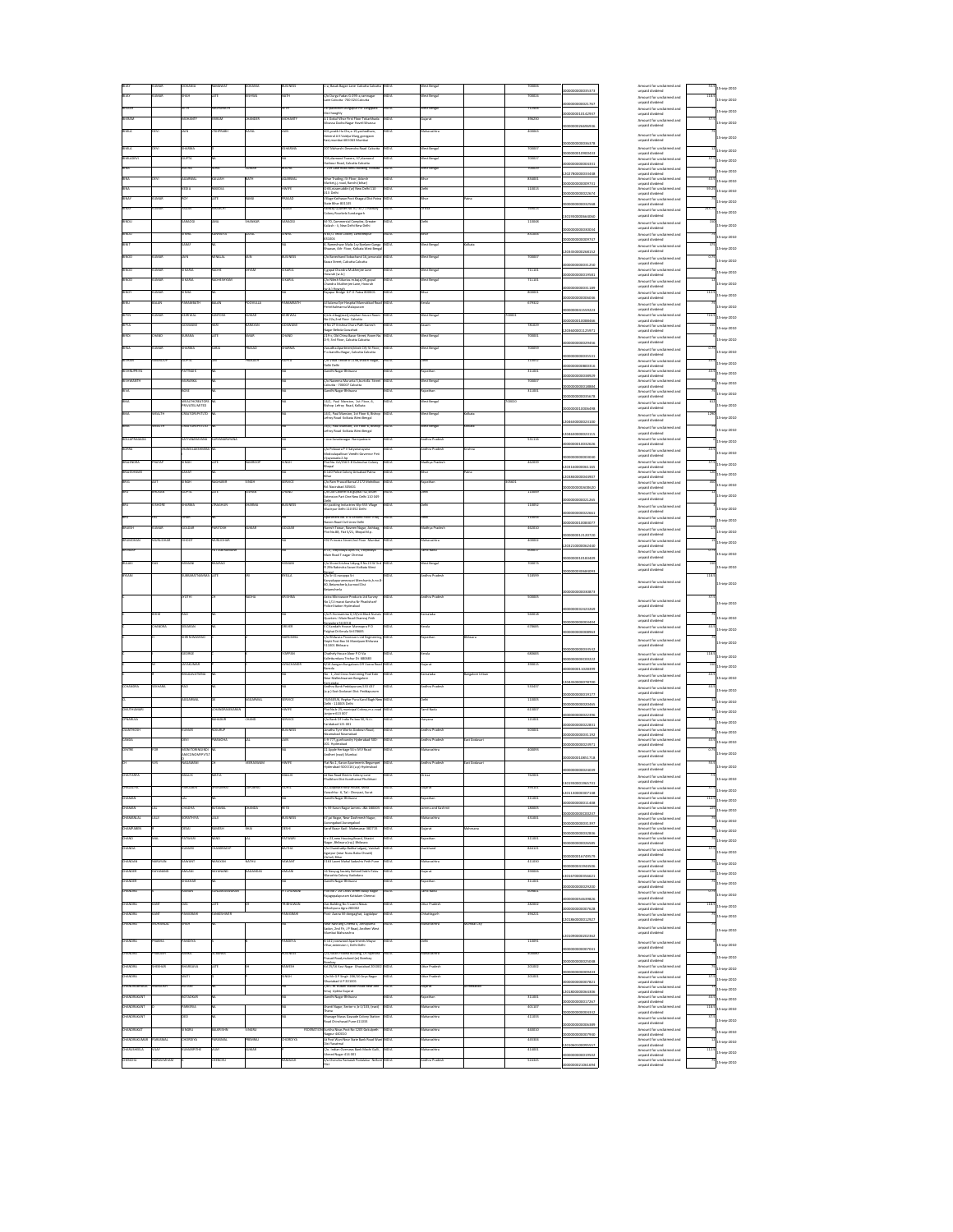|    |                            |                          |             |               |                                                                                                    |    |            |                  |                        | Amount for unclaimed and<br>unpaid dividend<br>Amount for unclaimed and                    | 55.3<br>$\frac{1}{2}$    | 5-sep-2010                                                                                              |
|----|----------------------------|--------------------------|-------------|---------------|----------------------------------------------------------------------------------------------------|----|------------|------------------|------------------------|--------------------------------------------------------------------------------------------|--------------------------|---------------------------------------------------------------------------------------------------------|
|    |                            |                          |             |               | : Durga Yai<br>e Calcutta                                                                          |    |            | 712400           | 0021767                | unpaid dividend<br>Amount for unclaimed and                                                |                          | irp-2010                                                                                                |
|    |                            |                          |             |               | t-hooghly<br>1 Coloul Vil                                                                          |    |            | 296230           | 010142937              | unpaid dividend<br>Amount for unclaimed and                                                | IJ                       | 5-sep-2010                                                                                              |
|    |                            |                          |             |               | ssa Dadra Nagar Havel Silvassa                                                                     |    |            | 400067           | 0000026696936          | unpaid dividend                                                                            |                          | 5-sep-2010                                                                                              |
|    |                            |                          |             |               | II "pratik Ha Chs,a-19, yashodham,<br>meral A K Vaidya Marg, goregaon<br>st, mumbai 400 063 Mumbai |    |            |                  | 36378                  | Amount for unclaimed and<br>unpaid dividend                                                |                          | Sarp 2010                                                                                               |
|    |                            |                          |             |               | 37 Maharshi Devendra Road Calcutt                                                                  |    | nt Bengal  | 700007           | 10433                  | Amount for unclaimed and<br>unpaid dividend                                                |                          | 5-sep-2010                                                                                              |
|    |                            |                          |             |               | S.diamond Towers, 37.diamond<br><b>Dour Road, Calcutta Calcutta</b>                                |    |            | 700027           | 004331                 | Amount for unclaimed and<br>unpaid dividend                                                | $\overline{v}$           | sep-2010                                                                                                |
|    |                            |                          |             |               | ar Trading, 152 Floor, Adam                                                                        |    |            | 834003           | 033448                 | Amount for unclaimed and<br>unpaid dividend<br>Amount for unclaimed and                    | $\overline{a}$           | sep-2010                                                                                                |
|    |                            |                          |             |               | rket,j.j.road, Ranchi (bihar)<br>uddin (w) New Delhi 110                                           |    |            | 110017           | 09731                  | unpaid dividend<br>Amount for unclaimed and                                                | 59.2                     | 5-sep-2010<br>S-sep-2010                                                                                |
|    |                            |                          |             |               | 13 Delhi<br>age Kothwan<br>1. There 8011                                                           |    |            |                  | 122674                 | Amount for uncommodiate<br>Amount for unclaimed and<br>unpaid dividend                     |                          | sep.2010                                                                                                |
|    |                            |                          |             |               | hvay Quarter No. 8/30 / 1 Railway<br>lony Rourkela Sundargarh                                      |    |            | 769013           |                        | Amount for unclaimed and<br>unpaid dividend                                                | 241.7                    | sep 2010                                                                                                |
|    |                            |                          |             |               | 70, Commercial Complex, Grea<br>Iash - II, New Delhi New Delhi                                     |    |            | 110048           |                        | Amount for unclaimed and                                                                   |                          | 5-sep-2010                                                                                              |
|    |                            |                          |             |               | 55/1 Telco Colony Jamshedpur                                                                       |    |            | 831004           | 00030034               | unpaid dividend<br>Amount for unclaimed and                                                |                          | 5-sep-2010                                                                                              |
|    |                            |                          |             |               | 31004<br>Rameshwar Mala 1sy Dyelane G<br>wwan, 4th- Floor, Kolkata West Beng                       |    |            |                  | 0000000747             | unpaid dividend<br>Amount for unclaimed and                                                |                          | sep.2010                                                                                                |
|    |                            |                          |             |               | : Ranechand Sobachand 16.ja<br>raz Street, Calcutta Calcutta                                       |    |            |                  |                        | unpaid dividend<br>Amount for unclaimed and                                                | $\alpha$                 | Sarp 2010                                                                                               |
| MA | <b>LARIA</b>               | ж¢                       |             | ARI A         | gopal Chandra Mukherjee Lane                                                                       |    | est Bengal | 711101           |                        | unpaid dividend<br>Amount for unclaimed and                                                |                          | 5-sep-2010                                                                                              |
|    |                            |                          |             | u tra         | [w.b.]<br>o Nilesh Sikarias m.baiai 05.eo<br>ndra Mukherjee Lane, Howrah                           |    |            | 711101           | 119581                 | unpaid dividend<br>Amount for unclaimed and                                                |                          | 5-sep-2010                                                                                              |
|    |                            |                          |             |               | a b Hourst<br>qapur Bridge G P O Patna 800001                                                      |    |            | socco:           | 0031189                | unpaid dividend<br>Amount for unclaimed and                                                | 112                      | sep-2010                                                                                                |
|    |                            |                          |             |               | Salama Eye Hospital Manrakkad<br>erinthalmanna Malapuram                                           |    |            | 679322           | 6046                   | unpaid dividend<br>Amount for unclaimed and                                                |                          | sep-2010                                                                                                |
|    |                            |                          |             |               | a.b.d.bag(east)_stephar<br>i-22a,2nd Floor Calcutt                                                 |    | t Benga    |                  |                        | unpaid dividend<br>Amount for unclaimed and                                                | 724                      | iep-2010                                                                                                |
|    | SWAM                       |                          |             | WAN           | io 27 Krishna Chura Path Ga<br>gar Bel<br>ola Guwahat                                              |    |            | 781029           | 203600001125971        | unpaid dividend<br>Amount for unclaimed and<br>unpaid dividend                             | E                        | 5-sep-2010                                                                                              |
|    |                            |                          |             |               | 19-c, Old China Bazar Street, Ro<br>-9, 3rd Floor, Calcutta Calcutta                               |    | st Gener   | 700001           | 9456                   | Amount for unclaimed and<br>unpaid dividend                                                |                          | $-$ sep $-2010$                                                                                         |
|    |                            |                          |             |               |                                                                                                    |    |            |                  |                        | Amount for unclaimed and                                                                   | o.                       | Sarp 2010                                                                                               |
|    |                            |                          |             |               | (o Vikas Textile B-1198, shastri Nagar,<br>elhi Delhi                                              |    |            | 110052           | 035531<br>800316       | unpaid dividend<br>Amount for unclaimed and<br>unpaid dividend                             | 41                       | sep-2010                                                                                                |
|    |                            |                          |             |               |                                                                                                    |    |            | 311001           | 038929                 | Amount for unclaimed and<br>unpaid dividend                                                | $\overline{a}$           | S-sep-2010                                                                                              |
|    |                            |                          |             |               |                                                                                                    |    |            |                  | 8884                   | Amount for unclaimed and<br>unpaid dividend                                                |                          | sep-2010                                                                                                |
|    | <b>ALTHOREATC</b>          |                          |             |               | ındhi Nagar ühibwara<br>(/1, Paul Manukon, 1st Fig                                                 |    | asthar     | 311001           | 35678                  | Amount for unclaimed and<br>unpaid dividend                                                |                          | 5-sep-2010                                                                                              |
|    | <b><i>SVATELIMITED</i></b> |                          |             |               | op Lefroy Road, Kolkatı                                                                            |    |            |                  | 006498                 | Amount for unclaimed and<br>unpaid dividend                                                |                          | 5-sep-2010                                                                                              |
|    |                            |                          |             |               | 4/1, Paul Marsion, 1st Floor 6, Bis<br>ffroy Road: Kolkata West Bengal                             |    | st Bengal  |                  | 204630000023100        | Amount for unclaimed and<br>unpaid dividend                                                | 129                      | sep-2010                                                                                                |
|    |                            |                          |             |               | (/1, Paul Mansion, 1st Floor 6, Bis<br>froy Road Kolkata West Bengal                               |    |            |                  | 204630000023115        | Amount for unclaimed and<br>unpaid dividend                                                |                          | sep-2010                                                                                                |
|    |                            |                          |             |               |                                                                                                    |    |            |                  | 032626                 | Amount for unclaimed and<br>unpaid dividend                                                |                          | $-$ sep $-2010$                                                                                         |
|    |                            |                          |             |               | Polawara P V Satyanarayana<br>Iowlapaliivari Veedhi Governor Pet                                   |    |            |                  |                        | Amount for unclaimed and<br>unpaid dividend                                                | 42                       | sep-2010                                                                                                |
|    |                            |                          |             |               | rrawada 2 Ap<br>t No. G2/156 E-8 Gulmohar Colo                                                     |    |            | 462039           | 203160000061165        | Amount for unclaimed and<br>unpaid dividend<br>Amount for unclaimed and                    | w.                       | iep-2010                                                                                                |
|    |                            |                          |             | vici          | 40 Police Colony A                                                                                 |    |            |                  | 0044907                | unpaid dividend<br>Amount for unclaimed and                                                | 12<br>B                  | iep-2010                                                                                                |
|    |                            |                          |             |               | o Ram Prasad Bansal 2172 I<br>I Naskabad 305601                                                    |    |            | 110049           | 1400620                | unpaid dividend<br>Amount for unclaimed and                                                |                          | sep-2010                                                                                                |
|    |                            |                          |             |               | Llut Colonel B.b.gupta J-42, south<br>msion Part One New Delhi 110 049                             |    |            | 110052           | 000021265              | unpaid dividend                                                                            |                          | 5-sep-2010                                                                                              |
|    |                            |                          |             | INESS         | r. packing Industries Wp-553 Vilage<br>Iazirpur Delhi 110 052 Delhi                                |    |            |                  |                        | Amount for unclaimed and<br>.<br>Impaid d                                                  |                          | 5-sep-2010                                                                                              |
|    |                            |                          |             |               | ent No. A-4 Gro<br>and Floor 9 Rail<br>rain Road Civil Lines Delh                                  |    |            | 110054<br>46201  |                        | Amount for unclaimed and<br>unpaid dividend<br>Amount for unclaimed and                    | $^{22}$                  | S-sep-2010                                                                                              |
|    |                            | RUDHA                    |             |               | lot No.88, Flat 5/21, Bhopal M.p.<br>92 Princess Street 2nd Floor Mumba                            |    |            | 400002           |                        | unpaid dividend<br>Amount for unclaimed and                                                |                          | sep-2010                                                                                                |
|    |                            |                          |             |               | 13. Vidvodava Apts 54. Vid                                                                         |    |            | 600017           | 00062440<br>1012101    | unpaid dividend<br>Amount for unclaimed and                                                |                          | 5-sep-2010                                                                                              |
|    |                            |                          |             |               | in Road T.nagar Che                                                                                |    |            |                  | 00010183409            | unpaid dividend                                                                            |                          | 5-sep-2010                                                                                              |
|    |                            |                          |             |               | o Shree Krishna Udyog R No 23 W 3r<br>29b Rabindra Sarani Kolkata West                             |    | st Bengal  | 700073           | 00000030684093         | Amount for unclaimed and<br>unpaid dividend                                                | 15                       | S-sep-2010                                                                                              |
|    |                            |                          |             |               | Sri Ginarappa Si<br>ryakapara<br>wwari Merchants, h.no.<br>0, Betamcherla, kurnool Dist            |    |            | 518500           |                        | Amount for unclaimed and                                                                   | 118                      | S-sep-2010                                                                                              |
|    |                            |                          |             |               | ra Microwave Products Ltd Su                                                                       |    |            |                  | 10873                  | unpaid dividend                                                                            |                          |                                                                                                         |
|    |                            |                          |             |               | io 1/1 Imarat Kancha Nr Pt<br>olice Station Hyderabad                                              |    |            |                  | 03242326               | Amount for unclaimed and<br>unpaid dividend                                                |                          | 5-sep-2010                                                                                              |
|    |                            |                          |             |               | d Chamraj Pet<br>15   Mari 112<br>1103   SG 0018                                                   |    |            |                  |                        | Amount for unclaimed and<br>unpaid dividend                                                |                          | Sarp 2010                                                                                               |
|    |                            |                          |             | VER           | Kandath House Mannapra P O<br>hat Dt Kerala St 678685<br>CKar                                      |    |            | 678680           | 003404<br>messe        | Amount for unclaimed and<br>unpaid dividend                                                | 41                       | 5-sep-2010                                                                                              |
|    |                            |                          |             |               | <b>Ohibarara</b> Don<br>tt Post Box 16 Mand<br>11001 Bhilwa                                        |    |            |                  |                        | Amount for unclaimed and<br>unpaid dividend                                                |                          | 5-sep-2010                                                                                              |
|    |                            |                          |             |               | hely House Aloor P O Via<br>Humkara Trichur Dt 680683                                              |    |            |                  | 033532                 | Amount for unclaimed and                                                                   |                          | sep-2010                                                                                                |
|    |                            |                          |             |               | /14 Aangan Bungalows Off Var<br>oda                                                                |    |            | 390015           | 00222<br>1028399       | unpaid dividend<br>Amount for unclaimed and<br><b>Innehicle National</b>                   |                          | 5-sep-2010                                                                                              |
|    |                            |                          |             |               | s - 1, 2nd Cross Swimming Pool<br>ser Malleshwaram Bangalore                                       |    |            |                  |                        | Amount for unclaimed and                                                                   | $\overline{a}$           | 5-sep-2010                                                                                              |
|    |                            |                          |             |               | nataka<br>dhra Bank Peddapuram, 533 437<br>p.) East Godavari Dist. Peddapurar                      |    |            | 533437           | 20445<br>000078700     | unpaid dividend<br>Amount for unclaimed and                                                | 41                       | sep-2010                                                                                                |
|    |                            |                          |             |               | /S605/6, Reghar Pura Karol Bagh N<br>hi - 110005 Deh                                               |    |            | 110005           | 019177                 | unpaid dividend<br>Amount for unclaimed and                                                |                          | sep-2010                                                                                                |
|    |                            |                          |             |               | : No. b-25, mu<br>cre-613 007                                                                      |    |            | 61300            |                        | unpaid dividend<br>Amount for unclaimed and                                                |                          | sep-2010                                                                                                |
|    |                            |                          |             |               | Bank Of India Po.b<br>idabad-121 001                                                               |    |            | 121001           | 022396<br>000000022831 | unpaid dividend<br>Amount for unclaimed and<br>unpaid dividend                             | 17                       | S-sep-2010                                                                                              |
|    |                            |                          |             | <b>INESS</b>  | utha Tyre Works Gos<br>amabad Nizam                                                                |    |            | 503001           | 0031192                | Amount for unclaimed and<br>unpaid dividend                                                |                          | S-sep-2010                                                                                              |
|    |                            |                          |             |               | $-227$ munfo<br>.<br>rabad<br>b.<br>Apple Heritage 54 < M 1                                        |    |            |                  | 0023971                | mount for unclaimed and<br>unpaid dividend                                                 | $\overline{a}$<br>0.75   | 5-sep-2010                                                                                              |
|    |                            |                          |             |               | at No.1, Karan Aparti                                                                              |    |            |                  | 000000010851718        | Amount for unclaimed and<br>unpaid dividend                                                |                          |                                                                                                         |
|    |                            |                          |             |               | derabad-500 016 (a.p) Hyderabad                                                                    |    |            |                  | 0000000024039          | Amount for unclaimed and<br>unpaid dividend                                                |                          | sep-2010                                                                                                |
|    |                            |                          |             |               | iac Road Electric Colony Lane<br>Ibhani Dist Kandhamal Phulbhani                                   |    |            |                  | 301930001965731        | Amount for unclaimed and<br>unpaid dividend                                                |                          | S-sep-2010                                                                                              |
|    |                            |                          |             |               | Copinath Row House, Mota<br>rachha - 6, Tal. - Choryasi, Sura<br>dhi Nazar Bhilwara                |    |            | 394101<br>311001 | 201130000302148        | Amount for unclaimed and<br>unpaid dividend<br>Amount for unclaimed and                    | $\overline{17}$<br>112.5 | 5-sep-2010                                                                                              |
|    |                            |                          |             |               | 59 Karan Nagar Jammu J&k 180                                                                       |    |            | 180007           | 00000000011408         | unpaid dividend<br>Amount for unclaimed and                                                | $^{22}$                  | 5-sep-2010                                                                                              |
|    |                            |                          |             | INESS         | 7, jai Nagar, Near Dashmesh Nagar<br>urangabad Aurangabad                                          |    |            | 431001           | 00237                  | unpaid dividend<br>Amount for unclaimed and                                                |                          | sep-2010<br>S-sep-2010                                                                                  |
|    |                            |                          |             |               | f Bazar Kedi   Mahesanar 382711                                                                    |    |            |                  | 00031397<br>0032836    | unpaid dividend                                                                            |                          | 5-sep-2010                                                                                              |
|    |                            |                          |             |               | tousing Board,<br>ara (raj.) Bhilw.                                                                |    |            |                  | 5585                   | Amount for unclaimed and<br>unpaid dividend<br>Amount for unclaimed and<br>unpaid dividend |                          | Ssep-2010                                                                                               |
|    |                            |                          |             | <b>THA</b>    | .<br>Jo Chandradip Baitha Lalganj, Valshal<br>garpur (near Nunu Babu Chowk)                        |    | rkhans     | 844121           | 016749579              | Amount for unclaimed and<br>unpaid dividend                                                | 17.                      | Ssep-2010                                                                                               |
|    |                            |                          |             |               | a any                                                                                              |    |            | 411030           | 0041944506             | Amount for unclaimed and                                                                   |                          | 15-sep-2010                                                                                             |
|    | LAN                        |                          |             | LAN           | i Navyug Society Behind Dobhi Talav<br>Iarashia Colony Vadodara                                    |    | arat       | 390006           | 301670000356621        | unpaid dividend<br>Amount for unclaimed and<br>unpaid dividend<br>Amount for unclaimed and | 150                      | S-sep-2010                                                                                              |
|    |                            |                          |             |               | anchi Nagar Dhiwara<br>ot No 7 1st Cross Street Balaii N                                           |    |            | 311001<br>rassat | 029200                 | unpaid dividend<br>Amount for unclaimed and                                                | $\alpha$                 | S-sep-2010                                                                                              |
|    |                            |                          |             |               | ran Eurolan Our                                                                                    |    |            |                  | 639826                 | unpaid dividend                                                                            |                          | 15-sep-2010                                                                                             |
|    |                            | <b><i>UCES HYNTE</i></b> |             | <b>DICAVA</b> | a Building No S Learni Niwas<br>chpura Agra 282002<br>at-Aasna Wi-donnarhat, Jandalous             |    | ır Prade   | 282002<br>494221 | 007628                 | Amount for unclaimed and<br>unpaid dividend<br>Amount for unclaimed and                    | 118                      | 5-sep-2010                                                                                              |
| NΤ | EGRAH                      |                          |             |               | ,<br>Navrang Cinema 4, Annap<br>In, 2nd Fir, J P Road, Andhe                                       |    |            |                  | 101860000012927        | unpaid dividend<br>Amount for unclaimed and                                                |                          | 5-sep-2010                                                                                              |
|    |                            |                          |             |               |                                                                                                    |    |            |                  | 201000000202362        | unpaid dividend                                                                            |                          | 15-sep-2010                                                                                             |
|    |                            |                          |             |               | mbal Maha<br>stra                                                                                  |    |            |                  |                        |                                                                                            |                          |                                                                                                         |
|    |                            |                          |             | <b>DEYA</b>   | 102,rosewood Apartments Mayur<br>tar,extension-i, Delhi Delhi                                      | XA |            | 110091           |                        |                                                                                            |                          |                                                                                                         |
|    |                            |                          |             | antsi         | i,nutan Prabha Building, Dr.raje<br>mad Road,mulund (w) Bombay                                     |    |            | 400000           | 0000000007041          | Amount for unclaimed and<br>unpaid dividend<br>Amount for unclaimed and                    |                          |                                                                                                         |
|    |                            |                          |             |               | abay<br>25/16 Kavi Nagar  Gh                                                                       |    |            |                  | 0025048                | unpaid dividend<br>Amount for unclaimed and                                                |                          |                                                                                                         |
|    |                            |                          |             |               | s Mr G P Singh. 206/10 Arya Naj<br>aziabad U P 201001                                              |    |            | 201001           | 009433<br>07821        | unpaid dividend<br>Amount for unclaimed and<br>unpaid dividend                             | B                        |                                                                                                         |
|    |                            |                          |             |               | lo C.m. Butani Station<br>aj Upleta Gujarat                                                        |    |            |                  | 064306                 | Amount for unclaimed and<br>unpaid dividend                                                |                          |                                                                                                         |
|    |                            |                          |             |               | dhi Nagar B                                                                                        |    |            |                  | 7267                   | Amount for unclaimed and<br>unpaid dividend                                                | $\overline{a}$           |                                                                                                         |
|    |                            |                          |             |               | nti Nagar, Sector-x,b-1/103, (e<br>na                                                              |    |            | 401107<br>411037 |                        | Amount for unclaimed and<br>unpaid dividend                                                | m<br>$\overline{v}$      | 5-sep-2010<br>Ssep-2010<br>$-$ sep $-2010$<br>5-sep-2010<br>5-sep-2010<br>$-$ sep $-2010$<br>5-sep-2010 |
|    |                            |                          |             |               | hanage Niwas Gawade Colony<br>sad Chinchwad Pune 411033                                            |    |            |                  |                        | Amount for unclaimed and<br>unpaid dividend                                                |                          | 15-sep-2010                                                                                             |
|    | <b>DRIDEYA</b>             |                          | <b>EMRA</b> | <b>DROITA</b> | Post Wani Near State Bank Road Wa                                                                  |    | harashtr.  | 445106           | 7940                   | Amount for unclaimed and<br>unpaid dividend<br>Amount for unclaimed and                    |                          | Ssep-2010<br>15-sep-2010                                                                                |
|    |                            |                          |             |               | t Yawa<br>: Indian Overseas Bank M<br>nned Nagar 414 001<br>o Chenchu Ramalah P                    |    |            | 414001           | 100095557<br>019502    | unpaid dividend<br>Amount for unclaimed and<br>unpaid dividend                             | 112.5                    | S-sep-2010                                                                                              |

| Amount for unclaimed and<br>npaid dividend                                      | 3        | 15-sep-2010    |
|---------------------------------------------------------------------------------|----------|----------------|
| Amount for und<br>imed and                                                      |          | 15-sep-2010    |
| unpaid dividend<br>mount for und<br>d and<br>im                                 |          |                |
| unpaid dividend                                                                 |          | p-2010         |
| .<br>mount for unc<br>npaid dividenc<br>d and<br>im<br>md<br>nş                 | ś        | p-2010         |
| mount for unclaimed and                                                         |          |                |
| unpaid dividend                                                                 |          | sep-2010       |
| e fe<br>d and<br>im<br>unpaid dividend                                          | 12       | p-2010         |
| Amount for und<br>imed and<br>aid dividend                                      | š        | sep-2010       |
| ount for<br>said divis<br>imed and                                              |          | 2010           |
| n,<br>Amount for und<br>med and                                                 |          |                |
| unpaid dividend<br>imed and<br>Amount for und                                   | ś        |                |
| hmbivib bison                                                                   | ī.       | sep-2010       |
| $\alpha$<br>ent for und<br>d dividend<br>d an<br>ä                              |          | sep-2010       |
| Amount for und<br>imed and<br>aid divide<br>'n.                                 |          | sep-2010<br>ú  |
| 13<br>t fe<br>d and                                                             | ć        |                |
| unpaid dividend                                                                 |          | p-2010         |
| pe<br>Jount for und<br>paid dividend<br>Direct<br>t for und<br>h<br>d and<br>np |          | sep-2010       |
| t for und<br>Amour<br>d a<br>ä                                                  | 5        | p-2010         |
| id diwd<br>nş<br>end                                                            |          |                |
| Amount for unclaimed and<br>unpaid dividend                                     |          | p-2010         |
| e fe<br>r und<br>mo<br>d and<br>unpaid dividend                                 | 75       | p-2010         |
| mount for und<br>npaid dividend<br>d and<br>im                                  | n        | p-2010         |
| t for und<br>Amour<br>d ar<br>ä                                                 |          |                |
| id diwd<br>nş<br>nd                                                             |          | $-2010$        |
| unt for und<br>unt for und<br>id dividend<br>d and<br>ij                        | 5        | p-2010         |
| Amount for und<br>imed and                                                      | 3        | 2010           |
| aid dividend<br>Amount for und<br>unpaid dividend<br>med and                    |          | p-2010         |
| t for und<br>Amour<br>d and                                                     |          |                |
| en.<br>Id diwd<br>nd<br>npi                                                     |          | 2010           |
| Amount for und<br>imed and<br>breakd dividend                                   |          | sep-2010<br>1Ś |
| Amount for und<br>d and<br>im                                                   | 41.5     |                |
| unpaid dividend<br>imed and                                                     | 3        | sep-2010       |
| <b>Amount for uncl</b><br>unpaid dividend<br>مبر<br>101<br>d ar<br>ä            | 75       | sep-2010       |
| t for und<br>Amourn <sub>het wood<br/>unpaid dividend<br/>Amount for uncl</sub> |          | $-2010$        |
| d and<br>unpaid dividend                                                        | 75       | p-2010         |
| mount for und<br>npaid dividend<br>d and                                        | n        | 0-2010         |
| imed and                                                                        |          |                |
| Amount for uncl<br>unpaid dividend                                              |          | sep-2010<br>ú  |
| Amount for uncl<br>d ar<br>ä<br>d dividend                                      | 5        | 2010           |
| np<br>e 60<br>our<br>لەت<br>ar uncl<br>مۇم<br>d a<br>ä                          | ī        | 2010           |
| <br>id:c<br>ij<br><b>Amnuel for und</b><br>imed and                             |          |                |
| aid divis<br>ü<br>13                                                            |          | 2010           |
| <b>Amnuel for und</b><br>imed and<br>aid divi<br>ń                              | š        | 0-2010         |
| unpai<br>Amou<br>imed and                                                       |          | 2010           |
| Amount for uncl<br>unpaid dividend<br>Amount for uncl<br>in<br>d and            | ċ        | sep-2010       |
| unpaid dividend<br>for und<br>mo<br>d and                                       | ø        |                |
| unpaid dividend                                                                 |          | p-2010         |
| Amour<br><b>Imount</b> for uncl<br>Insaid dividend<br><b>Imediand</b>           |          | sep-2010       |
| Amount for und<br>imed and                                                      | 225      | sep-2010       |
| hmbivib bison                                                                   |          |                |
| Amount for uncl<br>unpaid dividend<br>imed and                                  |          | ep-2010        |
| e fe<br>r und<br>d and<br>ma<br>unpaid dividend                                 | 15       | p-2010         |
| .<br>Amount for und<br>unpaid dividend<br>d and<br>im                           | š        | ep-2010        |
|                                                                                 |          |                |
| Amount for unclaimed and<br>unpaid dividend                                     |          | sep-2010<br>ò, |
| d ar<br>ä                                                                       |          |                |
| ount for und<br>said dividend                                                   |          | sep-2010       |
|                                                                                 |          |                |
| t for u<br>d a<br>ï<br>npaid dividend                                           |          | ep-2010        |
| mount for und<br>d and                                                          |          |                |
| npaid dividend                                                                  |          | sep-2010       |
| <i>Amount for und</i><br>unpaid dividend<br>d and                               | 5        | sep-2010       |
| t for und<br>d and                                                              |          |                |
| id dividend<br>I<br>np                                                          |          | p-2010         |
| unt fo<br>iid div<br>for und<br>Miderr <sup>7</sup><br>d a<br>ä<br>ų            | 5        | 2010           |
| unpura awaena<br>Amount for und<br>unpuid dividend<br>d and                     |          | ep-2010        |
| unt for unc<br>id dividenc<br>d and<br>ma                                       | ś        |                |
| npi<br>lend                                                                     |          | p-2010         |
| Imount for unclaimed and<br>hrebivib bison                                      |          | 0.2010         |
| Amount for uncl<br>imed and                                                     | ï        | sep-2010       |
| mpaid dividend<br>$\alpha$<br>for und<br><b>Imediand</b><br>ı                   | n        | 62010          |
| aid divi<br>iend<br>und<br>lend<br>ed and                                       |          |                |
| an.<br>Lount fo.<br>Daid divid<br>ń,                                            | 5        | ėρ             |
| Amount for unclaimed and<br>unpaid dividend                                     |          | 15-sep-2010    |
| h<br>iour<br>for and<br><b>Imediand</b><br>.<br>Iddinis<br>ü                    | š        | 15-sep-2010    |
| Amount for uncl<br>unpaid dividend<br>imed and                                  |          | 15-sep-2010    |
| nount for und<br>d and                                                          | S        |                |
| d divis<br>nd<br>'n,                                                            |          | 15-sep-2010    |
| <b>Amnunt</b> for und<br>ś<br>id di<br>ıd.                                      |          | p-2010<br>1Ś   |
| Amount for und<br>ed and                                                        |          | 15-sep-2010    |
| unpaid dividend<br>Amount for und<br>imed and                                   | m        | 15-sep-2010    |
| id divide<br>lend<br>und<br>.<br>unpai<br>4mou<br>aimed and                     |          | sep-2010       |
| Amount for und<br>unpaid dividend<br>Amount for und<br>imed and                 | 75       |                |
| unpaid dividend<br>imed and                                                     | 75       | is<br>sep-2010 |
| <b>Amount for uncl</b><br>unpaid dividend                                       |          | sep.2010<br>ò, |
| مبر<br>101<br>for und<br>d ar<br>ä<br>d dividend<br>np                          | 75       | sep-2010       |
| urrend<br>unt for und<br>id divident<br>ı.<br>our<br>d a<br>ä                   | ś        | p-2010         |
| ų<br>Amount for und<br><b>Imediand</b>                                          | 75       |                |
| aid dividend<br>ount for und<br>unpais<br>Amou<br>d ar<br>ä                     |          | 5-sep-2010     |
| in.<br>d d<br>nd<br>'np                                                         |          | 5-sep-2010     |
| <b>Amount for uncl</b><br>unpaid dividend<br>imed and                           | 5        | 15-sep-2010    |
| mount for und<br>d and<br>im                                                    |          | sep-2010       |
| unpaid dividend<br>d and<br>m                                                   |          |                |
| .<br>mount for und<br>npaid dividend<br>Amount for unclaimed and                | 3        | sep-2010<br>ß  |
| npaid dividend                                                                  |          | 15-sep-2010    |
| t fe<br>d and<br>im                                                             |          | 0-2010<br>LS   |
| unpaid dividend                                                                 |          |                |
| t for unclaimed and<br>j<br>unpaid dividend                                     |          | 15-sep-2010    |
| Amour<br>t for und<br>d ar<br>d                                                 | 3        | sep-2010       |
| id dividend<br>npi<br>imed and                                                  | ţ        |                |
| -<br>Amount for uncl<br>Imnaid dividend<br>ų                                    |          | sep-2010       |
| Amount for und<br>imed and<br>unpaid dividend                                   |          | sep-2010       |
| imed and<br>Amount for und<br>breakd dividend                                   | ø        | sep.2010       |
| <i>Amount for und</i><br>unpaid dividend<br>i si<br>ä                           | ś        | sep-2010       |
| t fo<br>med and<br>Amo<br>nd                                                    |          | p-2010         |
| unpaid dividend<br>k<br>iour<br>ed and                                          | ś        |                |
| us underna<br>unt for und<br>id dividend<br>npi                                 |          | sep-2010       |
| Amour<br>t for und<br>d ar<br>ä                                                 | 75       | 5-sep-2010     |
| unpaid dividend<br>Amount for und<br>med and<br>unpaid dividend                 | 12       | sep-2010<br>ß  |
| Amount for unclaimed and<br>unpaid dividend                                     | 112<br>š | 15-sep-2010    |
| int for unclaimed and<br>id distriend<br>$\alpha$                               |          | 15-sep-2010    |
|                                                                                 |          |                |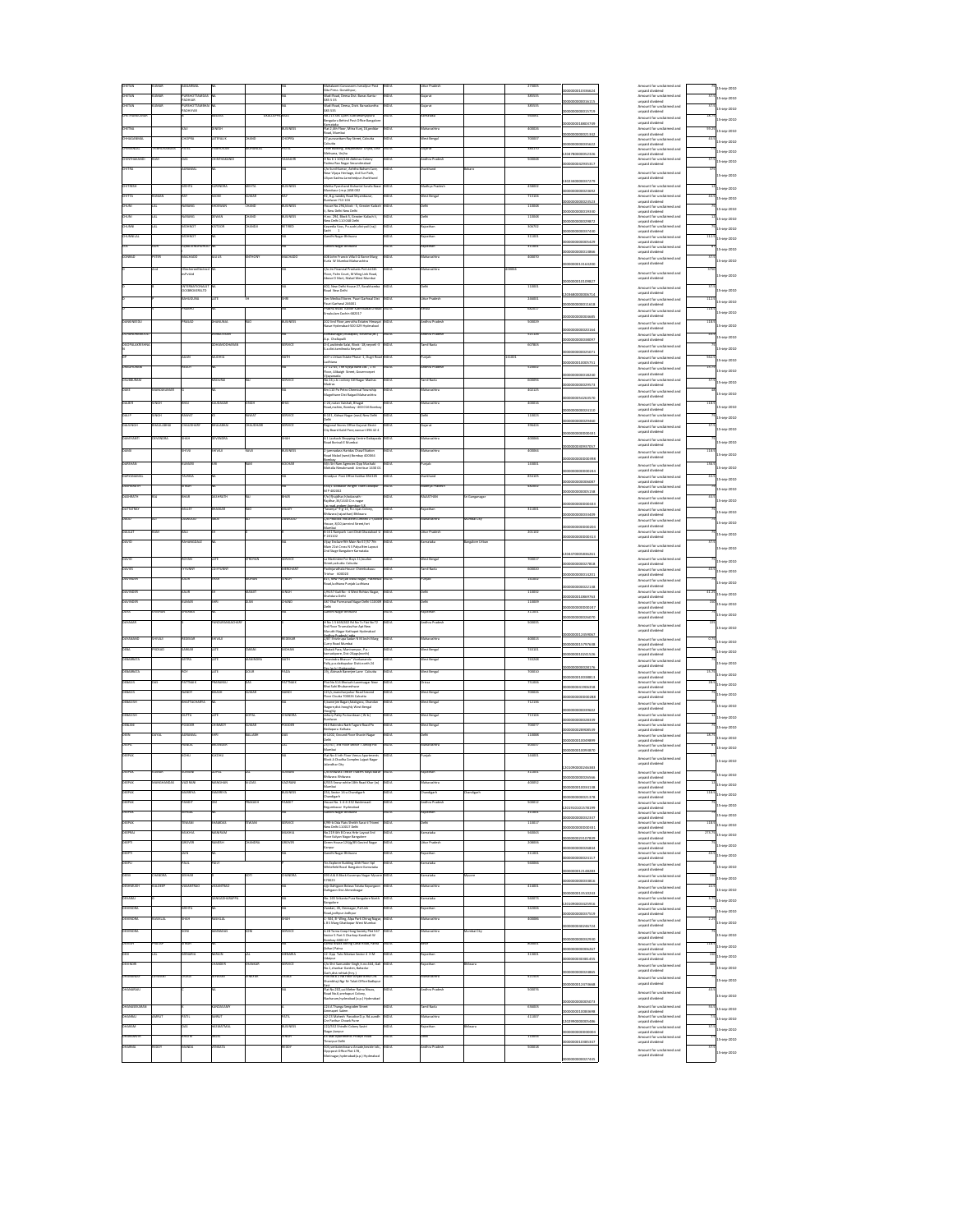|            |                                  |                      |             |                         |                                                                                                                                      |             |             |      |                  |                    | Amount for unclaimed and                                                                            |                   |                                                                                                                                                                                                                                                                                                                                                                                                                                                                                                                                                                 |
|------------|----------------------------------|----------------------|-------------|-------------------------|--------------------------------------------------------------------------------------------------------------------------------------|-------------|-------------|------|------------------|--------------------|-----------------------------------------------------------------------------------------------------|-------------------|-----------------------------------------------------------------------------------------------------------------------------------------------------------------------------------------------------------------------------------------------------------------------------------------------------------------------------------------------------------------------------------------------------------------------------------------------------------------------------------------------------------------------------------------------------------------|
|            |                                  |                      |             |                         | ita Press Gorakhpur                                                                                                                  |             |             |      | 11552            |                    | Senson for undertring and<br>Amount for underred and<br>unpaid dividend                             | IJ                | Sarp 2010<br>ep-2010                                                                                                                                                                                                                                                                                                                                                                                                                                                                                                                                            |
|            | SHOTTA<br><b>DELYAR</b>          |                      |             |                         | 85 535                                                                                                                               |             |             |      | 385522           | 015719             | Amount for unclaimed and<br>unpaid dividend                                                         | IJ                | 5-sep-2010                                                                                                                                                                                                                                                                                                                                                                                                                                                                                                                                                      |
|            |                                  |                      |             |                         | lo 215 Sks Quirs Subran<br>sgaluru Behind Post Office Bangalon                                                                       |             |             |      | 560061           |                    | Amount for unclaimed and<br>unpaid dividend                                                         | 187               | iep-2010                                                                                                                                                                                                                                                                                                                                                                                                                                                                                                                                                        |
|            |                                  |                      |             |                         |                                                                                                                                      |             |             |      |                  | 1342               | Amount for unclaimed and<br>unpaid dividend                                                         |                   | iep-2010                                                                                                                                                                                                                                                                                                                                                                                                                                                                                                                                                        |
|            |                                  |                      |             |                         | urusottam Ray Street, Calcutts<br>utta                                                                                               |             | st Beny     |      | 700007           |                    | Amount for unclaimed and<br>unpaid dividend<br>Amount for unclaimed and                             | 41                | 5-sep-2010                                                                                                                                                                                                                                                                                                                                                                                                                                                                                                                                                      |
|            | $\overline{\mathbf{r}}$          |                      | <b>ANTA</b> | $\overline{\mathbf{m}}$ | del Brilding, Atliantifika, Halba, Dig<br>hsana, Ur                                                                                  |             |             |      | 384170           | 2326               | unpaid dividend                                                                                     | Ŧ.                | sep-2010                                                                                                                                                                                                                                                                                                                                                                                                                                                                                                                                                        |
|            |                                  |                      |             |                         | No 6 1 103/104 Abhin<br>sa Rao Nagar Se<br>: Sunil Kumar, Ashtha Balram Car                                                          |             |             |      |                  | 042935317          | Amount for unclaimed and<br>unpaid dividend                                                         | 17                | sep-2010                                                                                                                                                                                                                                                                                                                                                                                                                                                                                                                                                        |
|            |                                  |                      |             |                         | ar Vijaya Heritage, Anil Sur Path,<br>yan Kadma Jamshedpur Jharkhand                                                                 |             |             |      |                  | 302340000037279    | Amount for unclaimed and<br>unpaid dividend                                                         |                   | sep-2010                                                                                                                                                                                                                                                                                                                                                                                                                                                                                                                                                        |
|            |                                  |                      |             | INESS                   | rhta Pyarchand Kishanlal Sarafa Baz<br>ndsaur (m.p.)458 002                                                                          |             | han Pra     |      | 458002           |                    | Amount for unclaimed and                                                                            |                   | Sarp 2010                                                                                                                                                                                                                                                                                                                                                                                                                                                                                                                                                       |
|            |                                  |                      |             |                         |                                                                                                                                      |             |             |      | 713104           | 023523             | unpaid dividend<br>Amount for unclaimed and<br>unpaid dividend<br>Amount for unclaimed and          | $^{41}$           | $5 - 56p - 2010$                                                                                                                                                                                                                                                                                                                                                                                                                                                                                                                                                |
|            |                                  |                      |             | INESS<br><b>INESS</b>   | se No. 294, block - 5, Gr<br>New Delhi New Delhi<br>to. 294, Block 5, Greater K                                                      |             |             |      | 110048<br>110048 | 00019330           | unpaid dividend<br>Amount for unclaimed and                                                         |                   | 5-sep-2010                                                                                                                                                                                                                                                                                                                                                                                                                                                                                                                                                      |
|            |                                  |                      |             |                         | w Delhi 110 048 Delhi                                                                                                                |             |             |      |                  | 029872             | unpaid dividend<br>Amount for unclaimed and                                                         |                   | Sarp 2010                                                                                                                                                                                                                                                                                                                                                                                                                                                                                                                                                       |
|            |                                  |                      |             |                         | $\mathbf{r}$<br>ndhi Nagar Bhilwara                                                                                                  |             |             |      | 311001           | 037430             | unpaid dividend<br>Amount for unclaimed and                                                         | 112               | S-sep-2010<br>sep.2010                                                                                                                                                                                                                                                                                                                                                                                                                                                                                                                                          |
|            | alsingn                          |                      |             |                         | ndhi Nagar Bhilwara                                                                                                                  |             |             |      | 311001           | 05429              | unpaid dividend<br>Amount for unclaimed and                                                         |                   | S-sep-2010                                                                                                                                                                                                                                                                                                                                                                                                                                                                                                                                                      |
|            |                                  |                      |             |                         | 8 John Francis Villa 5 G Barve N<br>ria W.Mumhai Maharashiri                                                                         |             |             |      |                  | 113866             | unpaid dividend<br>Amount for unclaimed and                                                         | v                 | 5-sep-2010                                                                                                                                                                                                                                                                                                                                                                                                                                                                                                                                                      |
|            |                                  |                      |             |                         | <b>Jm Financial Pn</b><br>aducts Pvt Ltd 4                                                                                           |             |             |      |                  | 13163200           | unpaid dividend<br>Amount for unclaimed and                                                         | 37                |                                                                                                                                                                                                                                                                                                                                                                                                                                                                                                                                                                 |
|            | Villa                            |                      |             |                         | or, Palm Court, M Wing Link Road,<br>sve D Mart, Malad West Mumbai                                                                   |             |             |      |                  | 000000010109827    | unpaid dividend                                                                                     |                   | 5-sep-2010                                                                                                                                                                                                                                                                                                                                                                                                                                                                                                                                                      |
|            | ERNATIONAL<br><b>CORDIZES TO</b> |                      |             |                         | 32, New Delhi House 27, Barakhami<br>and New Delhi                                                                                   |             |             |      | 110001           |                    | Amount for unclaimed and<br>unpaid dividend                                                         | 27                | sep-2010                                                                                                                                                                                                                                                                                                                                                                                                                                                                                                                                                        |
|            |                                  |                      |             |                         | r Medical Stores F<br>iri Garhwal 24600                                                                                              |             |             |      | 24600            | 011618             | Amount for unclaimed and<br>unpaid dividend                                                         | $^{\rm 1D}$       | sep-2010                                                                                                                                                                                                                                                                                                                                                                                                                                                                                                                                                        |
|            |                                  |                      |             |                         | ibhu Nivas Kaloor Kat<br>kulam Cochin 682017                                                                                         |             |             |      | 682017           |                    | Amount for unclaimed and<br>unpaid dividend                                                         | Ħ                 | .<br>sep 2010                                                                                                                                                                                                                                                                                                                                                                                                                                                                                                                                                   |
|            |                                  |                      |             |                         | 2 lind Floor.amrutha Esta<br>ur Hyderabad-500 029 Hyderabad                                                                          |             |             |      |                  | 2016               | Amount for unclaimed and<br>unpaid dividend                                                         | 11E               | 5-sep-2010                                                                                                                                                                                                                                                                                                                                                                                                                                                                                                                                                      |
|            |                                  |                      |             |                         | salanagar,challapalli, Krishma (dt.)<br>Challapalli                                                                                  |             |             |      | 521126           | 18097              | Amount for unclaimed and<br>unpaid dividend                                                         | 43.5              | sep-2010                                                                                                                                                                                                                                                                                                                                                                                                                                                                                                                                                        |
|            |                                  |                      |             |                         | 4,arabindo Salai, Block-18,neyveli -<br>a dat taminodu Neyvel                                                                        |             |             |      | 607803           |                    | Amount for unclaimed and<br>unpaid dividend                                                         |                   | $-$ sep $-2010$                                                                                                                                                                                                                                                                                                                                                                                                                                                                                                                                                 |
|            |                                  |                      |             |                         |                                                                                                                                      |             |             |      |                  | 75:                | Amount for unclaimed and<br>unpaid dividend                                                         | 562               | sep-2010                                                                                                                                                                                                                                                                                                                                                                                                                                                                                                                                                        |
|            |                                  |                      |             |                         | -12-45, The Vysya Bank Ltd., 15t<br>igh Street, Gov<br>ır, Al                                                                        |             |             |      | 520002           |                    | Amount for unclaimed and<br>unpaid dividend                                                         | 35                | iep-2010                                                                                                                                                                                                                                                                                                                                                                                                                                                                                                                                                        |
|            |                                  |                      |             |                         | colony Gill Nagar Madras                                                                                                             |             |             |      |                  | 19573              | Amount for unclaimed and<br>unpaid dividend                                                         | IJ                | iep-2010                                                                                                                                                                                                                                                                                                                                                                                                                                                                                                                                                        |
|            |                                  |                      |             |                         |                                                                                                                                      |             |             |      | 402125           | 1263570            | Amount for unclaimed and<br>unpaid dividend                                                         |                   | sep-2010                                                                                                                                                                                                                                                                                                                                                                                                                                                                                                                                                        |
|            |                                  |                      |             |                         | -24 rutan Valshali, Bhagat<br>oad mahim, Bombay -400 016 Bo                                                                          |             |             |      | 400016           |                    | Amount for unclaimed and<br>unpaid dividend                                                         | 115               | sep-2010                                                                                                                                                                                                                                                                                                                                                                                                                                                                                                                                                        |
|            |                                  |                      |             |                         | 01, Kidwai Nagar (east)                                                                                                              |             |             |      | 110027           | 029460             | Amount for unclaimed and<br>unpaid dividend                                                         |                   | sep-2010                                                                                                                                                                                                                                                                                                                                                                                                                                                                                                                                                        |
|            |                                  |                      |             |                         | rgional Stores Office Gujarat Electri<br>ty Board Kabil Pore,russuri-396 42 4                                                        |             |             |      | 396424           |                    | Amount for unclaimed and<br>unpaid dividend                                                         | $\boldsymbol{17}$ | ep-2010                                                                                                                                                                                                                                                                                                                                                                                                                                                                                                                                                         |
|            |                                  |                      |             |                         | Llavkush Shopping Centre Da<br>ad Borivali E Mumbai                                                                                  |             |             |      | www              |                    | Amount for unclaimed and<br>unpaid dividend                                                         |                   | 5-sep-2010                                                                                                                                                                                                                                                                                                                                                                                                                                                                                                                                                      |
|            |                                  |                      |             |                         | mnaqass manqas unawi station<br>d Malad (west) Bombay 400064                                                                         |             |             |      |                  |                    | Amount for unclaimed and                                                                            | 111               | S-sep-2010                                                                                                                                                                                                                                                                                                                                                                                                                                                                                                                                                      |
|            |                                  |                      |             |                         | /s Siri Ram Agencies Opp Mushaki<br>ohalla Nimakmandi-Amritsar 1430 0:                                                               |             |             |      | 143001           | 0000398            | unpaid dividend<br>Amount for unclaimed and                                                         | 116               | sep-2010                                                                                                                                                                                                                                                                                                                                                                                                                                                                                                                                                        |
|            |                                  |                      |             |                         | r 854105                                                                                                                             |             |             |      | 854105           |                    | unpaid dividend<br>Amount for unclaimed and                                                         | 41                | sep-2010                                                                                                                                                                                                                                                                                                                                                                                                                                                                                                                                                        |
|            |                                  |                      |             |                         | 34/1 Golbazar Wright Tor<br>1 P 482002                                                                                               |             |             |      | 412002           | ce:                | unpaid dividend<br>Amount for unclaimed and                                                         |                   | 5-sep-2010                                                                                                                                                                                                                                                                                                                                                                                                                                                                                                                                                      |
|            |                                  |                      |             |                         | o (f)rajdhar,h/odasrat<br>char, 36/1443 D.n.naga                                                                                     |             |             |      |                  | 1005158            | unpaid dividend<br>Amount for unclaimed and                                                         | 42                | sep-2010                                                                                                                                                                                                                                                                                                                                                                                                                                                                                                                                                        |
|            |                                  |                      |             |                         | road andeeri bombay-5<br>anya'' 9-g-14, R.c.vyas C                                                                                   |             |             |      |                  | 0433               | unpaid dividend<br>Amount for unclaimed and                                                         |                   | sep-2010                                                                                                                                                                                                                                                                                                                                                                                                                                                                                                                                                        |
|            |                                  |                      |             |                         | ries Limited 1-f;<br>use, 8/10, tamrind Street, fort                                                                                 |             |             |      |                  | 333409             | unpaid dividend<br>Amount for unclaimed and                                                         |                   | sep-2010                                                                                                                                                                                                                                                                                                                                                                                                                                                                                                                                                        |
|            |                                  |                      |             |                         | moank Loni Distt Chap<br>201102                                                                                                      |             |             |      | 201102           |                    | unpaid dividend<br>Amount for unclaimed and                                                         |                   | S-sep-2010                                                                                                                                                                                                                                                                                                                                                                                                                                                                                                                                                      |
|            |                                  |                      |             |                         | ijay Enclave 9th Main No 57/17 7th<br>Iain 21st Cross N 5 Palya Bitm Layout<br>nd Stage Bangalore Karnataka                          |             |             |      |                  | 000313             | unpaid dividend<br>Amount for unclaimed and                                                         | $\boldsymbol{17}$ | sep-2010                                                                                                                                                                                                                                                                                                                                                                                                                                                                                                                                                        |
|            |                                  |                      |             |                         |                                                                                                                                      |             |             |      |                  | 583626             | unpaid dividend                                                                                     |                   |                                                                                                                                                                                                                                                                                                                                                                                                                                                                                                                                                                 |
|            |                                  |                      |             | wit                     | a Martiniere For Roys 11, loudce<br>t,calcutta Cal<br><b>Shiarathala House Ch</b>                                                    | XA          | est Bengal  |      | 700017<br>600020 | 027818             | Amount for unclaimed and<br>unpaid dividend                                                         | $\overline{a}$    | 5-sep-2010                                                                                                                                                                                                                                                                                                                                                                                                                                                                                                                                                      |
|            |                                  |                      |             |                         | $hur$ 600020<br>i, New Punjab Mata Nagar, Pi<br>id,Judhiana Punjab Ludhiana                                                          |             |             |      |                  | 0014201            | Amount for unclaimed and<br>unpaid dividend<br>Amount for unclaimed and                             |                   | sep-2010                                                                                                                                                                                                                                                                                                                                                                                                                                                                                                                                                        |
|            |                                  |                      |             |                         | 9157 Gall No - 4 West Rohtas Nagar                                                                                                   |             |             |      | 110032           | 022138             | unpaid dividend<br>Amount for unclaimed and                                                         | 41.2              | S-sep-2010                                                                                                                                                                                                                                                                                                                                                                                                                                                                                                                                                      |
|            |                                  |                      |             |                         | tahdara Delhi<br>17 Ehai Parmanad Nagar Delhi-11000                                                                                  |             |             |      | 110005           | 69763              | unpaid dividend<br>Amount for unclaimed and                                                         | Ŧ                 | Sarp 2010                                                                                                                                                                                                                                                                                                                                                                                                                                                                                                                                                       |
|            |                                  |                      |             |                         |                                                                                                                                      |             |             |      |                  |                    |                                                                                                     |                   |                                                                                                                                                                                                                                                                                                                                                                                                                                                                                                                                                                 |
|            |                                  |                      |             |                         | dhi Nagar Bhi                                                                                                                        |             |             |      | 311001           | 000247             | unpaid dividend<br>Amount for unclair<br>wd and                                                     |                   |                                                                                                                                                                                                                                                                                                                                                                                                                                                                                                                                                                 |
|            |                                  |                      |             |                         |                                                                                                                                      |             |             |      | 500035           |                    | unpaid dividend                                                                                     | z                 |                                                                                                                                                                                                                                                                                                                                                                                                                                                                                                                                                                 |
|            |                                  |                      |             |                         | No 1 5 669/402 Rd No 7c Flat No T2<br>rd Floor Tinumalavihar Apt New<br>uthi Nagar Kothapet Hyderabad                                |             |             |      |                  | 12459067           | Amount for unclaimed and<br>unpaid dividend                                                         |                   |                                                                                                                                                                                                                                                                                                                                                                                                                                                                                                                                                                 |
|            |                                  |                      |             |                         | .<br>Ibra Fradesh India.<br>I <sup>mra</sup> nistes Sadan N M Joshi Marj<br>ry Road Mumbai                                           |             |             |      | 400013           | 00000015797638     | Amount for unclaimed and<br>monaid distributed<br>unpaid di                                         | $\overline{a}$    |                                                                                                                                                                                                                                                                                                                                                                                                                                                                                                                                                                 |
|            |                                  |                      |             |                         | k Para, Man<br>indra Bhavan" Viv                                                                                                     |             |             |      | 743248           | 10241526           | Amount for unclaimed and<br>unpaid dividend                                                         |                   |                                                                                                                                                                                                                                                                                                                                                                                                                                                                                                                                                                 |
|            |                                  |                      |             |                         | ally p.o. dattapakur Distt. north 24                                                                                                 |             |             |      | 700010           | 128176             | Amount for unclaimed and<br>unpaid dividend<br>Amount for unclaimed and                             | 15.7              |                                                                                                                                                                                                                                                                                                                                                                                                                                                                                                                                                                 |
|            |                                  |                      |             |                         | (w.b.) Dattapulour<br>M. Bargariae Lane Calcutta                                                                                     |             |             |      |                  | 010038813          |                                                                                                     |                   |                                                                                                                                                                                                                                                                                                                                                                                                                                                                                                                                                                 |
|            |                                  |                      |             |                         | t No 514 Bhoisahi Laumisagar Ne                                                                                                      |             | st Ben      |      | 751000<br>700020 | 041906358          | unpaid dividend<br>Amount for unclaimed and<br>unpaid dividend<br>Amount for unclaimed and          | 28.               |                                                                                                                                                                                                                                                                                                                                                                                                                                                                                                                                                                 |
|            |                                  |                      |             |                         | 21/c,mancharpukur Road Second<br>oor Cloutta 700026 Calcutta                                                                         |             |             |      | 712130           | 000288             | unpaid dividend<br>Amount for unclaimed and                                                         |                   |                                                                                                                                                                                                                                                                                                                                                                                                                                                                                                                                                                 |
|            |                                  |                      |             |                         | nerjee Bagan, fatakgora, Chan<br>xe, dist.hoogbly West Bengal<br>ury Patty Po.burdwan (W.b.)                                         |             | st Genga    |      | 713104           | 0039602            | unpaid dividend<br>Amount for unclaimed and                                                         |                   |                                                                                                                                                                                                                                                                                                                                                                                                                                                                                                                                                                 |
|            |                                  |                      |             |                         | <b>10 Rabindra Nath Tagore Road P</b>                                                                                                |             |             |      | 100077           | 0000028339         | unpaid dividend<br>Amount for unclaimed and                                                         |                   |                                                                                                                                                                                                                                                                                                                                                                                                                                                                                                                                                                 |
|            |                                  |                      |             |                         | lapara Kolkata                                                                                                                       |             |             |      | tons             | 028908531          | <b>Innahid Hidden</b><br>Amount for unclaimed and                                                   | u.                |                                                                                                                                                                                                                                                                                                                                                                                                                                                                                                                                                                 |
|            |                                  |                      |             |                         | 767, and Floor S                                                                                                                     |             |             |      |                  | 10049891<br>203870 | unpaid dividend<br>Amount for unclaimed and<br>unpaid dividend                                      | $\overline{a}$    |                                                                                                                                                                                                                                                                                                                                                                                                                                                                                                                                                                 |
|            |                                  |                      |             |                         | lat No 4 Ivth Floor Venus Apartments                                                                                                 | <b>NDIA</b> | u.          |      | 144001           |                    | Amount for unclaimed and                                                                            | $\overline{1}$    |                                                                                                                                                                                                                                                                                                                                                                                                                                                                                                                                                                 |
|            |                                  |                      |             |                         | lock A Chadha Complex Lajpat Nagar<br>slandhar City<br>ilwara Te                                                                     |             |             |      | 311001           | 101010000246383    | unpaid dividend                                                                                     |                   |                                                                                                                                                                                                                                                                                                                                                                                                                                                                                                                                                                 |
|            |                                  |                      |             |                         | ora del                                                                                                                              |             |             |      |                  | 00002656           | Amount for unclaimed and<br>unpaid dividend<br>Amount for unclaimed and                             |                   |                                                                                                                                                                                                                                                                                                                                                                                                                                                                                                                                                                 |
|            | an                               |                      |             | antss                   | 54. Sector 16-a Chandigarh                                                                                                           | XA          | indigart    | dear |                  | 034138<br>021378   | unpaid dividend<br>Amount for unclaimed and                                                         | 118.              |                                                                                                                                                                                                                                                                                                                                                                                                                                                                                                                                                                 |
|            | m.                               |                      |             | vort                    | use No. 1-4-4-232 Balden<br>umbarar Hyderabad                                                                                        |             |             |      | 500012           | 201910101578199    | unpaid dividend                                                                                     |                   |                                                                                                                                                                                                                                                                                                                                                                                                                                                                                                                                                                 |
|            |                                  |                      |             |                         |                                                                                                                                      |             |             |      |                  | 0032337            | Amount for unclaimed and<br>unpaid dividend<br>Amount for unclaimed and<br>unpaid dividend          |                   |                                                                                                                                                                                                                                                                                                                                                                                                                                                                                                                                                                 |
|            |                                  |                      |             | na                      | (99-b Dda Flats Sheikh S<br>ew Delhi 110017 Delhi                                                                                    |             |             |      | 110017           | 000331             | Amount for unclaimed and<br>unpaid dividend                                                         | 118               |                                                                                                                                                                                                                                                                                                                                                                                                                                                                                                                                                                 |
|            |                                  |                      |             |                         | o 219 4th B Cross Hithr Lay<br>r Kalyan Nagar Banga                                                                                  |             |             |      |                  | 023107839          | Amount for unclaimed and                                                                            | 271.7             |                                                                                                                                                                                                                                                                                                                                                                                                                                                                                                                                                                 |
|            |                                  |                      |             |                         | ichi Nagar Ohilwari                                                                                                                  |             |             |      | 311007           | 844                | Amount for uncleaned and<br>Amount for uncleaned and<br>unpaid dividend<br>Amount for unclaimed and | 41                |                                                                                                                                                                                                                                                                                                                                                                                                                                                                                                                                                                 |
|            |                                  |                      |             |                         |                                                                                                                                      |             |             |      | 560066           | 4117               | unpaid dividend<br>Amount for unclaimed and                                                         |                   |                                                                                                                                                                                                                                                                                                                                                                                                                                                                                                                                                                 |
|            |                                  |                      |             |                         | s Explorer Building 10th Floor Itpl<br>hitefield Road-Bangalore Karnataka                                                            |             |             |      |                  | 012148283          | unpaid dividend<br>Amount for unclaimed and                                                         |                   |                                                                                                                                                                                                                                                                                                                                                                                                                                                                                                                                                                 |
| LDEER      | ANTRAD                           |                      |             |                         |                                                                                                                                      |             | harashtr.   |      | 414001           | 33816              | unpaid dividend                                                                                     | $_{22}$           |                                                                                                                                                                                                                                                                                                                                                                                                                                                                                                                                                                 |
|            |                                  |                      |             |                         | V/p Dahigaon Bolava Taluka Kopargao<br>Dahigaon Dist Ahmednagar<br>16556                                                             |             |             |      | 550073           | 013510243          | Amount for unclaimed and<br>unpaid dividend<br>Amount for unclaimed and                             | E                 |                                                                                                                                                                                                                                                                                                                                                                                                                                                                                                                                                                 |
|            |                                  |                      |             |                         |                                                                                                                                      |             | sthan       |      | 342006           | 003425916          | unpaid dividend<br>Amount for unclaimed and                                                         | 1.5               |                                                                                                                                                                                                                                                                                                                                                                                                                                                                                                                                                                 |
|            |                                  | antu                 |             |                         | ından, 45, Devnagar, Pal Link<br>səd jodhpur Jodhpur<br>504, B-Wrig, Alpa Park Chirag Naga<br>85 Marg Ghatkopar West Mumba           |             |             |      | 400000           | 0037519            | unpaid dividend<br>Amount for unclaimed and                                                         | $\overline{22}$   |                                                                                                                                                                                                                                                                                                                                                                                                                                                                                                                                                                 |
|            |                                  |                      |             |                         |                                                                                                                                      |             |             |      |                  |                    | unpaid dividend<br>Amount for unclaimed and                                                         |                   |                                                                                                                                                                                                                                                                                                                                                                                                                                                                                                                                                                 |
| w          |                                  |                      |             |                         | .<br>28 Torna Coop Hung Society Plot S4<br>ctor 5 Part 3 Charkop Kandvall W                                                          |             |             |      | 800001           | 00032930           | unpaid dividend<br>Amount for unclaimed and                                                         | m                 |                                                                                                                                                                                                                                                                                                                                                                                                                                                                                                                                                                 |
|            |                                  |                      |             |                         | .<br>mbay 4000 67<br>mla Niwas Boring Canal Road, Patri<br>(har) Patria<br>2 Opp Tuhi Niketan Si<br>                                 |             |             |      | 313003           | 006267             | unpaid dividend<br>Amount for unclaimed and                                                         | -15               |                                                                                                                                                                                                                                                                                                                                                                                                                                                                                                                                                                 |
|            |                                  |                      |             |                         |                                                                                                                                      |             |             |      |                  | 0381455            | unpaid dividend<br>Amount for unclaimed and                                                         |                   |                                                                                                                                                                                                                                                                                                                                                                                                                                                                                                                                                                 |
| <b>WAN</b> | iм                               |                      |             | ALE                     | Shri Samunder Singh,h.no.<br>1,shankar Garden, Bahadu<br>h dist.rohtak (hrv.)                                                        |             |             |      | 421503           | 024865             | unpaid dividend                                                                                     |                   |                                                                                                                                                                                                                                                                                                                                                                                                                                                                                                                                                                 |
|            |                                  |                      |             |                         | iot No 8 2 Nd Floor Aryakrishna Chi<br>tambhaji Ngr Nr Talati Office Badlapı                                                         |             |             |      |                  | 0012473668         | Amount for unclaimed and<br>unpaid dividend                                                         | $\overline{a}$    |                                                                                                                                                                                                                                                                                                                                                                                                                                                                                                                                                                 |
|            |                                  |                      |             |                         | an<br>at No.202,xai Meher Ratna<br>sad No.6.xnehaouri Colony<br>aa cooxay mee wyne chawnery.<br>charaen, hyderabad (a.p. ) Hvderabad |             |             |      |                  | 105073             | Amount for unclaimed and<br>unpaid dividend                                                         |                   |                                                                                                                                                                                                                                                                                                                                                                                                                                                                                                                                                                 |
|            |                                  |                      |             |                         | 24 A Thanga Sengoden Street<br>mmapet: Salem                                                                                         |             | nil Nadu    |      | 636003           | 1083698            | Amount for unclaimed and<br>unpaid dividend                                                         | 55.5              |                                                                                                                                                                                                                                                                                                                                                                                                                                                                                                                                                                 |
|            |                                  | RИ                   |             |                         | 2-23 Mahesh Paradise D.p. Rd aundr                                                                                                   |             |             |      | 411007           | 05486              | Amount for unclaimed and                                                                            |                   | -sep-2010<br>sep-2010<br>$-$ sep $-2010$<br>sep-2010<br>sep-2010<br>sep-2010<br>sep-2010<br>sep-2010<br>Sarp 2010<br>5-sep-2010<br>5-sep-2010<br>sep-2010<br>S-sep-2010<br>sep-2010<br>$-$ sep $-2010$<br>-<br>5-sep-2010<br>sep-2010<br>5-sep-2010<br>S-sep-2010<br>$-$ sep $-2010$<br>5-sep-2010<br>5-sep-2010<br>$-$ sep $-2010$<br>5-sep-2010<br>15-sep-2010<br>$-$ sep $-2010$<br>$-$ sep $-2010$<br>S-sep-2010<br>$-$ sep $-2010$<br>sep-2010<br>5-sep-2010<br>5-sep-2010<br>5-sep-2010<br>S-sep-2010<br>sep-2010<br>15-sep-2010<br>sep-2010<br>Sarp 2010 |
|            | <b>ATR</b>                       | <b>MATMAIL</b><br>LЩ |             | <b>INESS</b>            | r Parihar Chowk Pune<br>2/552 Shindhi Colony Sastr<br>ar.kansur                                                                      | XA          |             |      |                  | 000004             | unpaid dividend<br>Amount for unclaimed and                                                         | w.                | -<br>sep-2010                                                                                                                                                                                                                                                                                                                                                                                                                                                                                                                                                   |
| <b>O</b>   |                                  |                      |             |                         | Mall Apartme<br>wmar Delhi<br>33,venkateshwara Arcade<br>pp:post Office Plot 178,                                                    |             | thra Prades |      | 110054<br>500018 | 10385347           | unpaid dividend<br>Amount for unclaimed and<br>unpaid dividend<br>Amount for unclaimed and          | IJ                | sep-2010<br>sep-2010                                                                                                                                                                                                                                                                                                                                                                                                                                                                                                                                            |

| 16<br>ă.<br>unpaid dividend<br>Amount for und<br>med and<br>mpaid dividend       |                         |                |
|----------------------------------------------------------------------------------|-------------------------|----------------|
|                                                                                  | $\overline{\mathbf{r}}$ | p-2010         |
|                                                                                  | s                       | 15-sep-2010    |
| ount for und<br>imed and<br>ь<br>aid dividend                                    |                         | sep-2010<br>ò, |
| Amount for unclaimed and                                                         |                         | sep-2010       |
| hrebivib bison<br>Amount for und<br>ed and                                       |                         |                |
| unpaid dividend                                                                  |                         | sep-2010       |
| Amount for und<br>imed and                                                       | š                       | sep-2010       |
| paid dividend<br>nount for und<br>paid dividend<br>ed and<br>nş                  |                         | p-2010         |
| <b>Amount for uncl</b><br>unpaid dividend<br>im<br>d and                         | ś                       | sep-2010       |
| d and<br>in                                                                      |                         |                |
| .<br>mount for und<br>npaid dividend                                             |                         | 0-2010         |
| mount for und<br>d and                                                           | n                       | p-2010         |
| unpaid dividend<br>Amount for und<br>med and                                     | L\$                     | sep-2010       |
| unpaid dividend<br>imed and<br>Amount for und                                    | ś                       | sep-2010       |
| npaid dividend<br>$rac{1}{2}$<br>å.<br>ä                                         | ö                       |                |
| t<br>for und<br><sup>Hist</sup> dend<br>rf<br>id<br>ant fo<br>med and            |                         | 2010           |
| mo<br>nd<br>unpaid dividend                                                      |                         | sep-2010       |
| Amount for und<br>imed and<br>npaid dividend                                     | 112<br>ś                | 15-sep-2010    |
| ount for und<br>said dividend<br>ed and                                          |                         | p-2010         |
| ų<br>Amount for uncl<br>unpaid dividend<br>ed and                                |                         | sep-2010       |
|                                                                                  | ć                       |                |
| t for ur<br>rlair<br>d an<br>ä<br>id diwi                                        |                         | 0.2010         |
| npi<br>lend                                                                      |                         |                |
| mount for und<br>d and<br>unpaid dividend                                        |                         | sep-2010       |
| Amount for und<br>imed and<br>unpaid dividend                                    | ś                       | ep-2010        |
| t fe<br>r und<br>d and<br>mo                                                     |                         |                |
| unpaid dividend                                                                  |                         | p-2010         |
| Amount for uncl<br>unpaid dividend<br>ed and                                     |                         | 0-2010         |
| Amount for und<br>d and                                                          | ś                       | p-2010         |
| hmbivib bison<br>Amount for und<br>ed and                                        |                         |                |
| unpaid dividend                                                                  |                         | p-2010         |
| t fe<br>d and<br>mo<br>unpaid dividend                                           | 5                       | sep-2010       |
| mount for u<br>nd<br>d and                                                       |                         | p-2010         |
| unpaid dividend<br>t for und<br>ù<br>.<br>Waxa<br>i ar<br>ä                      |                         |                |
| d divis<br>nd<br>'nş                                                             |                         | p-2010         |
| e for und<br>Amour<br>d ar<br>ä<br>e<br>id diwd<br>np<br>nd                      |                         | 2010           |
| Amount for und<br>ed and                                                         | ī                       | sep-2010       |
| unpaid dividend<br>.<br>mount for und<br>d and                                   |                         |                |
| unpaid dividend                                                                  | 75                      | p-2010         |
| int for unc<br>d dividenc<br>d and<br>nş<br>lend                                 | ś                       | p-2010         |
| Amount for und<br>ed and<br>iim                                                  |                         | 0-2010         |
| <b>Innahörite Namm</b>                                                           |                         |                |
| .<br>Lfr<br>r und<br>d and<br>d divid<br>d<br>nş<br>nd                           |                         | $-2010$        |
| Amount for und<br>d and                                                          |                         |                |
| npaid dividend                                                                   |                         | sep-2010       |
| Amount for uncl<br>unpaid dividend<br>imed and                                   | ś                       | sep-2010       |
| Amour<br>unt for und<br>aid dividend<br>imed and                                 | š                       | 0-2010         |
| Amount for und<br>ed and                                                         |                         | sep-2010       |
| npaid dividend<br>imed and                                                       | 3                       |                |
| Amount for uncl<br>unpaid dividend                                               | š                       | sep-2010       |
| t fe<br>d and<br>no<br>unpaid dividend                                           |                         | sep-2010       |
| t for und<br>mour<br>d and                                                       |                         | p-2010         |
| unpaid dividend<br>t for und<br>d and                                            | ś                       |                |
| <br>id divid<br>np<br>end                                                        |                         | p-2010         |
| Amount for und<br>d and<br>aid districts                                         |                         | 0-2010         |
| n<br><i>Amount for und</i><br>unpaid dividend<br>d and<br>m                      |                         | p-2010         |
| t for und<br>Amour<br>d ar<br>ä                                                  | S                       |                |
| d divis<br>nd<br>'n,                                                             |                         | 2010           |
| unt for und<br>id dividend<br>our<br>d and                                       |                         | -2010          |
| Amount for und<br>d and                                                          |                         | ep-2010        |
| unpaid dividend<br>Amount for und<br>ed and                                      | 75                      | sep-2010       |
| hmbivib bison                                                                    |                         |                |
| nd<br>d and<br>mou<br>unpaid dividend                                            |                         | sep-2010       |
| Amount for und<br>unpaid dividend<br>d and                                       |                         | p-2010         |
| imed and                                                                         | 3                       |                |
| Amount for uncl<br>unpaid dividend                                               | š                       | sep-2010       |
| t fe<br>d and<br>mo<br>unpaid dividend                                           |                         | sep-2010       |
| mount for und<br>d and                                                           |                         | 2010<br>ip     |
| unpaid dividend<br>imed and<br>Amount for und                                    | 3                       | sep-2010       |
| hmbivib bison<br>'n<br>.<br>1011<br>for und<br>ed and                            | 75                      | ep-2010        |
| .<br>add<br>ń<br><b>Amnuel for und</b>                                           |                         |                |
| imed and                                                                         |                         |                |
| aid divide<br>١d                                                                 |                         | sep-2010       |
| Amount for unclaimed and                                                         | Þ                       | sep-2010       |
| brebivib bison<br>a se<br>ä                                                      | 75                      |                |
| .<br>CH<br>unt for und<br>id dividend<br>med and<br>۵f<br>mo<br>nd               |                         | sep-2010       |
| unpaid dividend                                                                  | ю                       | sep-2010<br>ß  |
| Amount for und<br>imed and<br>npaid dividend                                     |                         | 15-sep-2010    |
| med and                                                                          |                         | 5-sep-2010     |
| Amount for uncl<br>unpaid dividend                                               |                         |                |
| med and<br>t fa<br>d<br>ń,                                                       |                         |                |
| Amount for und<br>imed and<br>npaid dividend                                     | ø                       | 15-sep-2010    |
| 'n<br>$\alpha$<br>for und<br>imed and<br>aid divi<br>١d<br>nş                    |                         | 15-sep-2010    |
| imed and                                                                         |                         | 5-sep-2010     |
| Amount for und<br>unpaid dividend                                                | 3                       |                |
| Amount for unclaimed and<br>unpaid dividend<br>Amount for und<br><b>Imediand</b> | 118.5                   | 15-sep-2010    |
| aid divide<br>d ar<br>ä                                                          |                         | 15-sep-2010    |
| End<br>Inidend<br>for und<br>.<br>unpai<br>4mou<br>d<br>nd<br>nş                 |                         | 15-sep-2010    |
| Amount for unclaimed and<br>unpaid dividend                                      | 3                       | 5-sep-2010     |
| ount for und<br><b>Imediand</b><br>Ast<br>aid dividend<br>nş                     | 3                       | 15-sep-2010    |
| Amount for unclaimed and                                                         |                         | 15-sep-2010    |
| <b>Insald dividend</b><br>Amount for uncl<br>imed and                            | ĵ<br>s,                 |                |
| unpaid dividend                                                                  |                         | 15-sep-2010    |
| Amount for unclaimed and<br>unpaid dividend                                      |                         | 15-sep-2010    |
| it for und<br>$m\alpha$<br>med and<br>unpaid dividend                            |                         | 5-sep-2010     |
| Amount for unclaimed and                                                         | ī<br>3                  | 15-sep-2010    |
| mpaid dividend                                                                   |                         |                |
| Amount for unclaimed and<br>unpaid dividend                                      |                         | 5-sep-2010     |
| nount for und<br>spaid dividend<br>d ar<br>ä<br>ų                                | 75                      | S-sep-2010     |
| Amount for und<br><b>Imediand</b>                                                | 1ES                     | 15-sep-2010    |
| aid dividend<br>sunt for und<br>unpais<br>Amou<br>d ar<br>ä                      |                         |                |
| id diwd<br>nş<br>lend                                                            |                         | sep-2010<br>ß  |
| Amount for und<br>imed and<br>id dividend<br>I<br>npi                            |                         | sep-2010       |
| Amount for unclaimed and                                                         | ī.                      | 15-sep-2010    |
| unpaid dividend                                                                  | ś                       |                |
| mount for unclaimed and<br>aid dividend<br>ış                                    |                         | 15-sep-2010    |
| Amount for unclaimed and                                                         | 3                       |                |
| brebivib bisons<br>imed and<br>Á                                                 |                         | 15-sep-2010    |
| alla www<br>ount for und<br>said dividend<br>n,                                  |                         | sep.2010       |
| Amount for und<br>med and<br>unpaid dividend                                     |                         | 5-sep-2010     |
| imed and<br>Amount for und<br>npaid dividend                                     | 3<br>1                  | 15-sep-2010    |
| mount for und<br>imed and<br>unpaid dividend                                     |                         | 15-sep-2010    |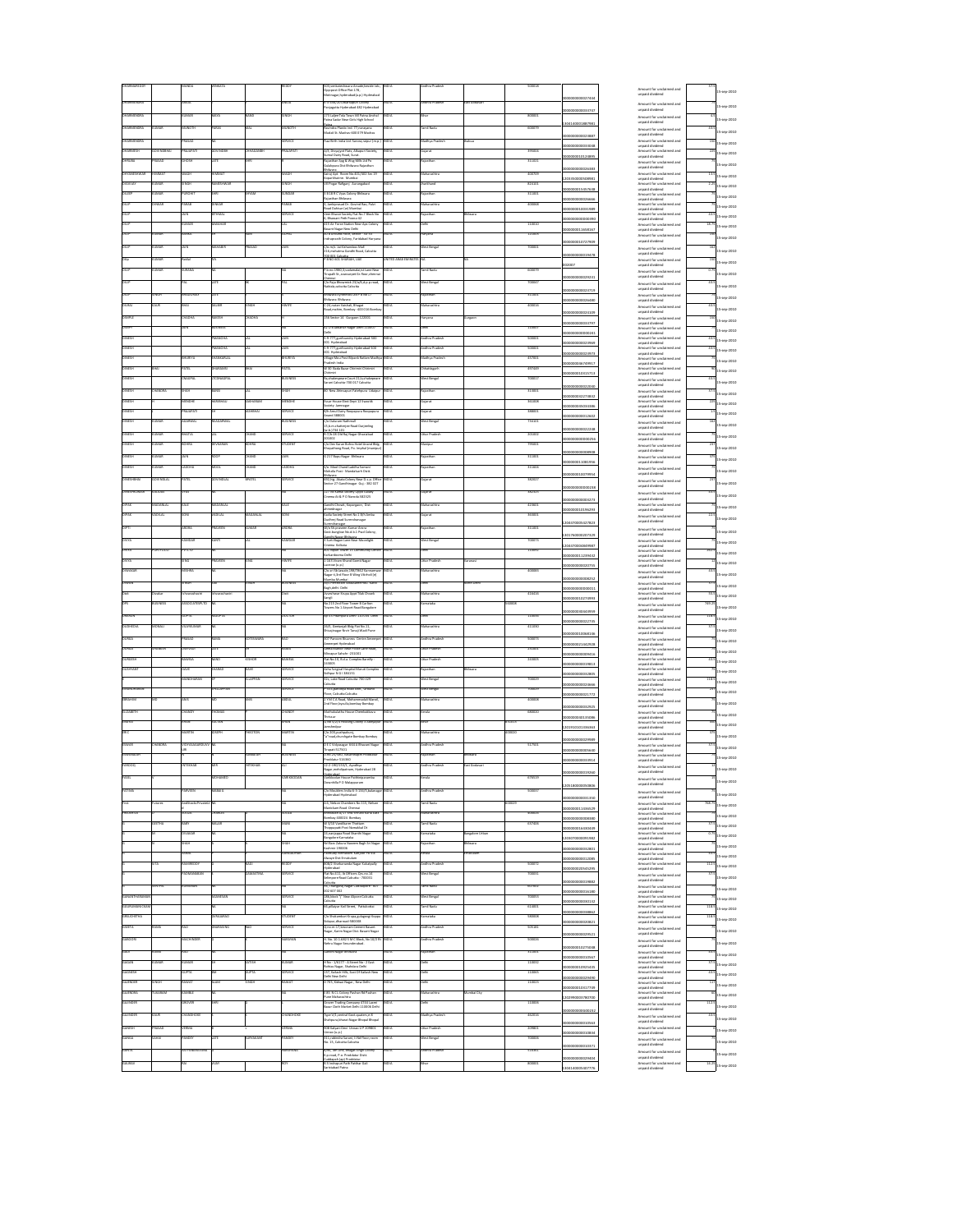|      |              |      |              | p:post Office Plot 178<br>inagar,hyderabad(a.p.) Hyderaba                                                            |    |             |        |                                    | Amount for unclaimed and                                                                   |                         | 5-sep-2010                                                                                                                                                                                                                                                                               |
|------|--------------|------|--------------|----------------------------------------------------------------------------------------------------------------------|----|-------------|--------|------------------------------------|--------------------------------------------------------------------------------------------|-------------------------|------------------------------------------------------------------------------------------------------------------------------------------------------------------------------------------------------------------------------------------------------------------------------------------|
|      |              |      |              | -456/20 D<br>iagutta Hyderabad 482 Hyderabad                                                                         |    |             |        |                                    | Amount for unclaimed and                                                                   |                         | 5-sep-2010                                                                                                                                                                                                                                                                               |
|      |              |      |              | Laijee Tola Town VIII Patna Anc<br>1a Sadar Near Girls High School                                                   |    |             |        | 00000000033747                     | unpaid dividend<br>Amount for unclaimed and                                                |                         | S-sep-2010                                                                                                                                                                                                                                                                               |
|      |              |      |              | dra Plastic Ind. 77 narayana                                                                                         |    |             |        | 1304140001887981                   | unpaid dividend<br>Amount for unclaimed and                                                | 41                      |                                                                                                                                                                                                                                                                                          |
|      |              |      |              | ludali St. Madras-600 079 Madras                                                                                     |    |             |        |                                    | unpaid dividend<br>Amount for unclaimed and                                                | 15                      | sep-2010                                                                                                                                                                                                                                                                                 |
|      |              |      |              | 3, Divyajyot Flats, Alkapuri Society,                                                                                |    |             | 33500  |                                    | unpaid dividend<br>Amount for unclaimed and                                                | -22                     | sep-2010<br>5-sep-2010                                                                                                                                                                                                                                                                   |
|      |              |      |              | nul Dairy Road, Surat<br>ajasthan Spg & Wvg Mills Ltd Po<br>labpura Dist Bhilwara Rajasthan                          |    |             | 311021 | 00000010124895                     | unpaid dividend<br>Amount for unclaimed and                                                |                         | sep-2010                                                                                                                                                                                                                                                                                 |
|      |              |      |              | ibeara<br>Iraj Apt. Ros                                                                                              |    |             |        | (6383                              | unpaid dividend<br>Amount for unclaimed and                                                | n                       | sep-2010                                                                                                                                                                                                                                                                                 |
|      |              |      |              | il Pogar Rafiganj - Aurangabao                                                                                       |    |             | 824101 |                                    | unpaid dividend<br>Amount for unclaimed and                                                | 22                      | 5-sep-2010                                                                                                                                                                                                                                                                               |
|      |              |      |              | B 18 R C Vyas Colony I<br>ajasthan Bhilwara                                                                          |    |             | 311001 |                                    | unpaid dividend<br>Amount for unclaimed and                                                |                         | sep-2010                                                                                                                                                                                                                                                                                 |
|      |              |      |              | ankiprasad Dr. G<br>id Dahisar (w) M                                                                                 |    |             |        | 026666                             | unpaid dividend<br>Amount for unclaimed and                                                |                         | sep-2010                                                                                                                                                                                                                                                                                 |
|      |              |      |              | ciety Flat No.<br>er Alharat So<br>Bhawani Peth Poona-42                                                             |    |             |        | 0031989                            | unpaid dividend<br>Amount for unclaimed and<br><b>Institute Manager</b>                    | $\overline{a}$          | 5-sep-2010                                                                                                                                                                                                                                                                               |
|      |              |      |              | 15 Air Force Station Near<br>ant Nagar New Delhi                                                                     |    |             | 110010 | 1658167                            | Amount for unclaimed and<br>unpaid dividend                                                | 187                     | sep-2010                                                                                                                                                                                                                                                                                 |
|      |              |      |              | , .ector - 30<br>sny, Faridalw<br>eth Colo                                                                           |    |             | 121007 |                                    | Amount for unclaimed and<br>unpaid dividend                                                |                         | sep-2010                                                                                                                                                                                                                                                                                 |
|      |              |      |              | o.m/s. Jai Kishandass Mall<br>6,mahatma Gandhi Road, Calcutta                                                        |    | st Beng     | 700001 | 10727909                           | Amount for unclaimed and                                                                   | 16                      | sep-2010                                                                                                                                                                                                                                                                                 |
|      |              |      |              | .<br>0.001 Calcutta<br>1 NO 601 SHARUAH, UAE                                                                         |    |             |        | 019478                             | unpaid dividend<br>Amount for unclaimed and                                                |                         | sep-2010                                                                                                                                                                                                                                                                                 |
|      |              |      |              | .no. 1980, 3, vadamalai, ist Lane Near<br>spalli St., sowcarpet Gr. floor, chennai                                   |    |             | 600079 |                                    | unpaid dividend<br>,<br>Amount for unclaimed and<br>unpaid dividend                        | $\alpha$                | sep-2010                                                                                                                                                                                                                                                                                 |
|      |              |      |              | .<br>Raja Ehowmick 23/a/5/d.p.p.road                                                                                 |    | st Gene.    | 700047 | 0029231                            | Amount for unclaimed and                                                                   | $-41$                   |                                                                                                                                                                                                                                                                                          |
|      |              |      |              | sktala, calcutta Calcutta<br>ara Sy                                                                                  |    |             |        | 123711                             | unpaid dividend<br>Amount for unclaimed and                                                |                         | $-$ sep $-2010$                                                                                                                                                                                                                                                                          |
|      |              |      |              | 24 nutan Valshali, Bhagat                                                                                            |    |             | 400010 |                                    | unpaid dividend<br>Amount for unclaimed and                                                | 41                      | $-$ sep $-2010$                                                                                                                                                                                                                                                                          |
|      |              |      |              | ed,mahim, Bombay -400 016 Boml<br>Sector 14 Guneao                                                                   |    |             |        |                                    | unpaid dividend<br>Amount for unclaimed and                                                |                         | -<br>sep-2010                                                                                                                                                                                                                                                                            |
|      |              |      |              |                                                                                                                      |    |             |        | 033797                             | npaid di<br>Amount for unclaimed and                                                       |                         | S-sep-2010                                                                                                                                                                                                                                                                               |
|      |              |      |              | -9-777 gunfoundry Hyderabad-500                                                                                      |    | dhra Prades | 500001 | 0241                               | unpaid dividend<br>Amount for unclaimed and                                                | 41.                     | sep-2010                                                                                                                                                                                                                                                                                 |
|      |              |      |              | 2-777.munfour<br>www.soc                                                                                             |    |             | saccon | 123969                             | unpaid dividend<br>Amount for unclaimed and<br>unpaid dividend                             | $\overline{a}$          | Sarp 2010<br>sep-2010                                                                                                                                                                                                                                                                    |
|      |              |      |              | 11 Hyderabad                                                                                                         |    |             |        | 00023973                           | Amount for unclaimed and                                                                   |                         | sep-2010                                                                                                                                                                                                                                                                                 |
|      |              |      |              | / 10 Bada Bazar Ch                                                                                                   |    |             | 497445 | 46749917                           | unpaid dividend<br>Amount for unclaimed and                                                |                         | 5-sep-2010                                                                                                                                                                                                                                                                               |
|      |              |      |              | ani Calcutta-700 017 Calcutti                                                                                        |    |             | 700017 | 10315713                           | unpaid dividend<br>Amount for unclaimed and                                                | $\overline{a}$          | 5-sep-2010                                                                                                                                                                                                                                                                               |
|      |              |      |              | New Ahinsapuri Fatehpura Udalpi                                                                                      |    |             | 313001 | 000022040                          | unpaid dividend<br>Amount for unclaimed and                                                | 17 <sub>z</sub>         | sep-2010                                                                                                                                                                                                                                                                                 |
|      |              |      |              | Mouse Elect Dept 12 Swaith                                                                                           |    |             | 361008 | 00000032273832                     | unpaid dividend<br>Amount for unclaimed and                                                | $\overline{z}$          | sep-2010                                                                                                                                                                                                                                                                                 |
|      |              |      |              | lety Jan<br>d Dain<br>$nd$ 388003                                                                                    |    |             | 388003 | 0045034386                         | unpaid dividend<br>Amount for unclaimed and<br>unpaid dividend                             |                         | <b>S-sep-2010</b>                                                                                                                                                                                                                                                                        |
|      |              |      |              | ad Darjeeling                                                                                                        |    |             |        |                                    | Amount for unclaimed and                                                                   |                         | -sep-2010                                                                                                                                                                                                                                                                                |
|      |              |      |              | a 1734-101<br>(b-28 Old Raj Nagar Gh                                                                                 |    |             | 201002 | 000022248                          | unpaid dividend<br>Amount for unclaimed and                                                |                         | 5-sep-2010                                                                                                                                                                                                                                                                               |
|      |              |      |              | 1002<br>.<br>Dev Karan Bohra Hotel Anand Bidg<br>syathong Road, Po. Imphal (manipu                                   |    |             | 7950   |                                    | unpaid dividend<br>Amount for unclaimed and                                                | $\overline{z}$          | sep-2010                                                                                                                                                                                                                                                                                 |
|      |              |      |              | 217 Bapu Nagar Bhi                                                                                                   |    |             | 311001 |                                    | unpaid dividend<br>Amount for unclaimed and                                                | F                       | 5-sep-2010                                                                                                                                                                                                                                                                               |
|      |              |      |              | Mool Chard Laddha Somani<br>Ialla Post - Mandalsarh Distt                                                            |    |             | 311604 | 108105                             | unpaid dividend<br>Amount for unclaimed and                                                |                         |                                                                                                                                                                                                                                                                                          |
|      |              |      |              |                                                                                                                      |    |             |        | 00010079954                        | unpaid dividend<br>Amount for unclaimed and                                                |                         | 5-sep-2010                                                                                                                                                                                                                                                                               |
|      |              |      |              | hears<br>2,Ng, Akata Colony Near D.s.p. Offi<br>tor-27 Gandhinagar Guj - 382 027                                     |    |             |        | 0000238                            | unpaid dividend                                                                            |                         | 5-sep-2010                                                                                                                                                                                                                                                                               |
|      |              |      |              | 7 Nil Kamal Society Oppo Galax<br>ema At & P O Naroda 382325                                                         |    |             | 382325 |                                    | Amount for unclaimed and<br>unpaid dividend                                                | 41                      | sep-2010                                                                                                                                                                                                                                                                                 |
|      |              |      |              | ek, Kopargaon, Di                                                                                                    |    |             | 42360  | 29)                                | Amount for unclaimed and<br>unpaid dividend                                                |                         | sep.2010                                                                                                                                                                                                                                                                                 |
|      |              |      |              | dia Society Street No 1 B/h Ambi<br>hrej Road Surendranagar                                                          |    |             | 363003 | 05427823                           | Amount for unclaimed and<br>unpaid dividend                                                | 22                      | <b>S-sep-2010</b>                                                                                                                                                                                                                                                                        |
|      |              |      |              | engra <sub>mmen</sub><br>15h praveen Kumar Arora<br>1. bunglow No.d.b.1 Pwd Colony,                                  |    |             | 311002 |                                    | Amount for unclaimed and<br>unpaid dividend                                                |                         | 5-sep-2010                                                                                                                                                                                                                                                                               |
|      |              |      |              | ndhi Nazar Bhihaan<br>urti Bagan Lane Near Moonlight<br>ema Kolkata                                                  |    |             | 700073 | 301760000207329<br>204470004849987 | Amount for unclaimed and<br>unpaid dividend                                                |                         | sep-2010                                                                                                                                                                                                                                                                                 |
|      |              |      |              | 11 Nipun Tower 15 Co<br>rkardooma Delhi                                                                              |    |             | 110093 | 0011239432                         | Amount for unclaimed and<br>unpaid dividend                                                | 262                     | sep-2010                                                                                                                                                                                                                                                                                 |
|      |              |      |              | 63 Viram Vhann<br>ow (u.o.)                                                                                          |    |             |        |                                    | Amount for unclaimed and<br>unpaid dividend                                                |                         | <b>S-sep-2010</b>                                                                                                                                                                                                                                                                        |
|      |              |      |              | sri Sb Jawale,:<br>ar-4, Jird Floor<br>Kann.<br>Arholi (e)<br>a wing Viki                                            |    |             |        |                                    | Amount for unclaimed and<br>unpaid dividend                                                |                         | sep-2010                                                                                                                                                                                                                                                                                 |
|      |              |      |              | kå uree Ho.<br>gh,debi Debi                                                                                          |    |             |        | 00008252                           | Amount for unclaimed and                                                                   | 27                      | S-sep-2010                                                                                                                                                                                                                                                                               |
|      |              |      |              | r Krupa Ap                                                                                                           |    |             | 416410 | 10274993                           | Amount for uncommodiate<br>Amount for unclaimed and<br>unpaid dividend                     | z                       | 5-sep-2010                                                                                                                                                                                                                                                                               |
|      | ATESPLTI     |      |              | io 215 2nd Floor Tower & Carlton<br>owers No 1 Airport Road Bangalor                                                 |    |             |        |                                    | Amount for unclaimed and<br>unpaid dividend                                                | 749.2                   | sep-2010                                                                                                                                                                                                                                                                                 |
|      |              |      |              | $-33Pb$<br>urs Delhi, 110.034 Dalt                                                                                   |    |             | 110034 |                                    | Amount for unclaimed and                                                                   | 115                     | sep-2010                                                                                                                                                                                                                                                                                 |
|      |              |      |              | anjali Bidg Flat No. 11,<br>e Nevie Tanaji Wadi Pu<br>ajinaga                                                        |    |             | 41103  |                                    | unpaid dividend<br>Amount for unclaimed and                                                | IJ                      | sep-2010                                                                                                                                                                                                                                                                                 |
|      |              |      |              | 17 Pancom Bisuness Centre A                                                                                          |    |             | 500073 | 0068146                            | unpaid dividend<br>Amount for unclaimed and                                                |                         | 5-sep-2010                                                                                                                                                                                                                                                                               |
|      |              |      |              | empet Hyderabas<br>ta Mandir Near Dol<br>apur Sahahr -211001                                                         |    |             | 211001 | 442028                             | unpaid dividend<br>Amount for unclaimed and<br>unpaid dividend                             |                         | 5-sep-2010                                                                                                                                                                                                                                                                               |
|      |              |      |              | t No. 10, 0.d.a.                                                                                                     |    |             |        | 9416                               | unpaid diwawnd<br>Amount for unclaimed and<br>unpaid diwdend                               | 43                      | sep-2010                                                                                                                                                                                                                                                                                 |
|      |              |      |              | ha Swigical Hospital Marut<br><b>Pipur NGI 384151</b>                                                                |    |             |        | 9813                               | Amount for unclaimed and                                                                   |                         | 5-sep-2010                                                                                                                                                                                                                                                                               |
|      |              |      |              | 2c. Lake Road Calcutta-700 02<br>.<br>Ndër                                                                           |    | it B        | 700029 | 024666                             | unpaid dividend<br>Amount for unclaimed and<br>unpaid dividend                             | 118                     | sep-2010                                                                                                                                                                                                                                                                                 |
|      |              |      |              |                                                                                                                      |    |             |        |                                    | Amount for unclaimed and<br>unpaid dividend                                                |                         |                                                                                                                                                                                                                                                                                          |
|      |              |      |              |                                                                                                                      |    |             |        |                                    |                                                                                            |                         |                                                                                                                                                                                                                                                                                          |
|      |              |      |              | sor, Calcutta Calcutta<br>Y M C A Road, Moham<br>dali Manci                                                          |    |             | 400000 | 121772                             | Amount for unclaimed and                                                                   |                         |                                                                                                                                                                                                                                                                                          |
|      |              |      |              | d Floor, byculla, bombay Bombay<br><b>Purk statfor Historia Chambigking</b>                                          |    |             | 680020 | 132925                             | unpaid dividend                                                                            |                         |                                                                                                                                                                                                                                                                                          |
|      |              |      |              | io 5/2/41                                                                                                            |    |             |        | 00000040135086                     | Amount for unclaimed and<br>unpaid dividend<br>Amount for unclaimed and                    |                         |                                                                                                                                                                                                                                                                                          |
|      |              |      |              |                                                                                                                      |    |             |        | 1910101336363                      | unpaid dividend<br>Amount for unclaimed and                                                | $\overline{1}$          | sep-2010<br>-sep-2010<br>sep-2010<br>sep-2010                                                                                                                                                                                                                                            |
|      |              |      |              | o 201 pushpakunj,<br>"road,churchgate Bo<br>nbay Sombay<br>CVideosan 664 A Bha                                       |    |             |        |                                    | unpaid dividend<br>Amount for unclaimed and                                                | 27.                     | sep-2010                                                                                                                                                                                                                                                                                 |
|      |              |      |              | ati 517501                                                                                                           |    |             |        | 5640                               | unpaid dividend<br>Amount for unclaimed and                                                |                         | sep-2010<br>sep-2010                                                                                                                                                                                                                                                                     |
|      |              |      |              | 5/580, Vası<br>tur 516360<br>2-2-190/153/1, Ayodhy.                                                                  |    |             |        | 00000000033914                     | unpaid dividend                                                                            |                         |                                                                                                                                                                                                                                                                                          |
|      |              |      |              | rar.mehdipatnam. Hyderabad 28                                                                                        |    |             |        |                                    | Amount for unclaimed and<br>unpaid dividend                                                |                         | sep-2010                                                                                                                                                                                                                                                                                 |
|      |              |      |              | rikkodan House Pathir<br>wrhilla P O Malappura                                                                       |    |             | 676519 |                                    | Amount for unclaimed and<br>unpaid dividend                                                |                         | 5-sep-2010                                                                                                                                                                                                                                                                               |
|      | ato          |      |              | o Moulders India 6-1-134/5<br>lerabad Hyderabad                                                                      |    |             | 500037 | 0031350                            | Amount for unclaimed and<br>unpaid dividend                                                |                         | <b>S-sep-2010</b>                                                                                                                                                                                                                                                                        |
|      |              |      |              | Nelson Chambers No 11<br>ckern Road, One                                                                             |    |             |        | 0011436529                         | Amount for unclaimed and                                                                   | 768.7                   | S-sep-2010                                                                                                                                                                                                                                                                               |
|      |              |      |              | avan A/17 Shiv Sh<br>ay 400024 Bomb                                                                                  |    |             |        | 8380                               | Amount for uncurried and<br>unpaid dividend<br>Amount for unclaimed and<br>unpaid dividend |                         | 5-sep-2010                                                                                                                                                                                                                                                                               |
| ITHA |              | ALAR |              | / 3/10 Vandikarer Thottan<br>upatti Post Na                                                                          | XA | mî Nadi     | 637406 | 016430449                          | Amount for unclaimed and<br>unpaid dividend                                                | 37.5                    | 15-sep-2010                                                                                                                                                                                                                                                                              |
|      |              |      |              | saniapoa Road Shanthi Nag<br><b>Inalgre Karnataka</b>                                                                |    |             |        | 203070000091982                    | Amount for unclaimed and<br>unpaid dividend                                                | 0.75                    |                                                                                                                                                                                                                                                                                          |
|      |              |      | GADHA        | .<br>Barc Zakura Ni<br>hmir 190006                                                                                   |    |             |        | 032801                             | Amount for unclaimed and<br>unpaid dividend                                                |                         |                                                                                                                                                                                                                                                                                          |
|      |              |      |              | ekudy Nirmaliam Kanjoor Po Via<br>aaye Dist Ernakulam<br>8/2 Vivekananda Nazar Kuka                                  |    |             |        | 012085                             | Amount for unclaimed and<br><b>Institute Manager</b>                                       | 43.5                    |                                                                                                                                                                                                                                                                                          |
|      |              |      |              | .<br>Mark                                                                                                            |    |             |        | 0545295                            | Amount for unclaimed and<br>unpaid dividend<br>Amount for unclaimed and                    | 112.<br>- 27            |                                                                                                                                                                                                                                                                                          |
|      |              |      |              | verman<br>: No.411, ib Officers Qrs.no.14<br>impore Road Calcutta - 700031                                           |    |             | 607002 | 0000019882                         | unpaid dividend<br>Amount for unclaimed and                                                |                         |                                                                                                                                                                                                                                                                                          |
|      |              |      |              | ta<br>angaraj Nagar Cuddalpore - 601<br>02 607 002<br>Jacob <sup>4</sup> T                                           |    |             | monst  | 0016180                            | unpaid dividend                                                                            |                         |                                                                                                                                                                                                                                                                                          |
|      |              |      |              | .<br>Wa                                                                                                              |    |             |        | 030132                             | Amount for unclaimed and<br>unpaid dividend                                                |                         |                                                                                                                                                                                                                                                                                          |
|      |              |      | IDENT        |                                                                                                                      |    | nataka      | 580008 | 8862                               | Amount for unclaimed and<br>unpaid dividend<br>Amount for unclaimed and                    | - 118<br>118.           |                                                                                                                                                                                                                                                                                          |
|      |              |      | viri         | /o Shakambari Krupa,gulagovgi Koppa<br>idapur,charwad-580008<br>on multiple and company flament                      |    |             | 505182 | 20821                              | unpaid dividend<br>Amount for unclaimed and                                                |                         |                                                                                                                                                                                                                                                                                          |
|      |              |      |              | gar, Karim Nagar Dist. Basant Naga                                                                                   |    |             |        | 129521                             | unpaid dividend                                                                            |                         |                                                                                                                                                                                                                                                                                          |
|      | <b>ENDER</b> |      | <b>LAYAN</b> | . No. 10.1.682 S M C Block, No 10/2 I                                                                                | ιA | thra Pri    | 500026 | 1275048                            | Amount for unclaimed and<br>unpaid dividend                                                |                         |                                                                                                                                                                                                                                                                                          |
|      |              |      |              | ıdıl Nagar Blıkana                                                                                                   |    |             | 311002 |                                    | Amount for unclaimed and                                                                   | 41.5                    |                                                                                                                                                                                                                                                                                          |
|      |              |      |              | No - 1/6177 - A Street No<br>htas Nagar, Shahdara De<br>$-2$ Cast                                                    |    |             | 110032 | 925435                             | unpaid dividend<br>Amount for unclaimed and<br>unpaid dividend                             | $17.5$                  |                                                                                                                                                                                                                                                                                          |
|      |              |      | VICE         | 37, Kallash Hills, East Of Kallash New<br>si New Delhi                                                               |    |             | 110063 | 029490                             | Amount for unclaimed and<br>unpaid dividend                                                | $\overline{a}$          |                                                                                                                                                                                                                                                                                          |
|      |              |      | w            | 705, Kidwai Nagar, New Delhi                                                                                         |    |             | 110023 | 0317749                            | Amount for unclaimed and                                                                   | $\overline{\mathbf{u}}$ |                                                                                                                                                                                                                                                                                          |
|      |              |      |              | .<br>85 N C L Colony Par<br>me Maharashtra                                                                           |    |             |        | 03780700                           | unpaid dividend<br>Amount for unclaimed and<br>unpaid dividend                             |                         |                                                                                                                                                                                                                                                                                          |
|      |              |      |              | over Trading Company 4744 Laurni<br>rar Cloth Market Delhi 110006 Delhi                                              |    |             | 110000 |                                    | Amount for unclaimed and<br>unpaid di                                                      | 112                     |                                                                                                                                                                                                                                                                                          |
|      | inat         |      |              | se V/1, central Govt.quaters,e-8<br>shpura, bharat Nagar Ahopal Ahopal                                               |    |             | 462010 |                                    | Amount for unclaimed and<br>unpaid dividend                                                | $\overline{41}$         |                                                                                                                                                                                                                                                                                          |
|      |              |      |              | o (u.p.)                                                                                                             |    |             |        | 0834                               | Amount for unclaimed and                                                                   |                         | 5-sep-2010<br>$-$ sep $-2010$<br>5-sep-2010<br>5-sep-2010<br>S-sep-2010<br>S-sep-2010<br>15-sep-2010<br>5-sep-2010<br>5-sep-2010<br>15-sep-2010<br>5-sep-2010<br>S-sep-2010<br>$-$ sep $-2010$<br>15-sep-2010<br>5-sep-2010<br>5-sep-2010<br>5-sep-2010<br>5-sep-2010<br>$-$ sep $-2010$ |
| нA   | øø           |      | vory         | 11, rabindra Sarani, li Nd Floor, room<br>o. 15, Calcutta Calcutta                                                   | XA | est Bengal  | 700006 |                                    | unpaid dividend<br>Amount for unclaimed and                                                |                         | Ssep-2010                                                                                                                                                                                                                                                                                |
|      |              |      |              |                                                                                                                      |    |             | 516161 |                                    | unpaid dividend<br>Amount for unclaimed and                                                |                         |                                                                                                                                                                                                                                                                                          |
|      |              |      |              | 6, 4th Line, Bhagat Singh Co<br>.road. P.o. Proddatur Diatt.<br>Idapah (ap) Proddatur<br>Indrapuri Path Patthar Gall |    |             | nocco: | 0029404                            | unpaid dividend<br>Amount for unclaimed and                                                | 14.2                    | S-sep-2010<br>5-sep-2010                                                                                                                                                                                                                                                                 |

| tount for und<br>paid dividend<br>d ar                                                              |          | 0-2010<br>ú             |
|-----------------------------------------------------------------------------------------------------|----------|-------------------------|
| t for und<br>d a                                                                                    |          |                         |
| id dividend<br>npi                                                                                  |          | p-2010                  |
| mount for und<br>imed and<br>hrebivib bison                                                         |          | sep-2010<br>1Ś          |
| t for und<br>å.<br>ä                                                                                |          |                         |
| d divis<br>nd<br>'np                                                                                |          | $-2010$                 |
| Amount for und<br>imed and<br><br>add<br>ü                                                          |          | p-2010                  |
| mount for und<br>npaid dividend<br>d and                                                            |          | 2010                    |
| t for und<br>ù<br>.<br>Waxa<br>å.<br>ä                                                              |          | 2010                    |
| id diwi<br>nş<br>raind<br>unt for und<br>id div<br>.<br><br>d a<br>ä                                |          | p-2010                  |
| d and<br>mount for und                                                                              |          |                         |
| unpaid dividend                                                                                     |          | p-2010                  |
| imed and<br>Amount for und<br>hrebivib bison                                                        | ś        | ep-2010                 |
| int for und<br>d dividend<br>iou<br>å.                                                              | ŧ        | 2010                    |
| d and<br>nt f<br>mo<br>nd                                                                           |          | p-2010                  |
| unpaid dividend<br>Amount for und<br>imed and                                                       | ś        | p-2010                  |
| hmbivib bison<br>Amount for und<br>dand                                                             |          |                         |
| unpaid dividend                                                                                     |          | sep-2010<br>1Ś          |
| e for und<br>d and<br>a.<br>aid dividend<br>ų                                                       | ĵ        | p-2010                  |
| Amount for uncl<br>d and<br>ie                                                                      | ć        | sep-2010                |
| aid dividend<br>Amount for und<br>imed and                                                          |          |                         |
| aid dividend                                                                                        |          | 0.2010                  |
| t for und<br><b>Lincor</b><br>d a<br>ä<br>d dividend                                                |          | p-2010                  |
| np<br>ent for und<br>id divident<br>.<br><br>d ar<br>ä                                              |          | p-2010                  |
| Amount for unclaims<br>d and                                                                        |          |                         |
| .<br>Iddinis<br>ü                                                                                   |          | 0-2010                  |
| Amount for und<br>imed and<br>id dividend                                                           | ć        | 0-2010                  |
| imed ar<br>Amount for und<br>unpaid dividend<br>Amount for und<br>ä                                 |          | 2010                    |
| d and                                                                                               | 5        | sep-2010                |
| unpaid dividend<br>Amour<br>imed and                                                                | š        |                         |
| ount for und<br>wid dividend<br><br>for und<br>å.<br>ä                                              | ŧ        | sep-2010                |
| unpaid dividend<br>Amount for und                                                                   |          | sep-2010                |
| d and<br>unpaid dividend                                                                            |          | p-2010                  |
| mount for und<br>npaid dividend<br>d and                                                            |          | ep-2010                 |
| Amount for und<br>å.<br>ä                                                                           |          | p-2010                  |
| d<br>nd<br>'n,<br>Amount for unclu<br>imed and                                                      | S        |                         |
| unpaid dividend<br>ount for und<br>imed and                                                         |          | sep-2010                |
| k<br>id dividend                                                                                    |          | 0-2010                  |
| Amount for und<br>dand<br><b>Innahörite Namm</b>                                                    |          | sep-2010                |
| Amount for und<br>d and                                                                             |          | sep-2010<br>1Ś          |
| hmbivib bison<br>mount for und<br>d and                                                             |          |                         |
| unpaid dividend                                                                                     |          | sep-2010                |
| t fe<br>r und<br>d and<br>mo<br>unpaid dividend                                                     |          | p-2010                  |
| Amount for uncl<br>unpaid dividend<br>d ar<br>ä                                                     |          | p-2010                  |
| Amount for und<br>dand<br>ime                                                                       |          |                         |
| mpaid dividend                                                                                      |          | sep-2010<br>1Ś          |
| t for und<br>neur<br>å.<br>ä<br>id divis                                                            |          | $-2010$                 |
| nş<br>nd<br><b>Amnunt</b> for unit<br>d and                                                         |          | p-2010                  |
| id divi<br>ų<br><b>Amnuel for und</b><br>d and                                                      |          |                         |
| aid divide<br>'n.<br>ij                                                                             |          | 0.2010                  |
| .<br>mount for und<br>npaid dividend<br>d and                                                       |          | p-2010                  |
| Amount for und<br>å.<br>ä                                                                           |          | 2010                    |
| d<br>nd<br>'n,<br>Amount for unclu<br>imed and                                                      | 5        |                         |
| unpaid dividend<br>Amount for und<br>imed and                                                       | n        | sep-2010                |
| id dividend                                                                                         |          | sep-2010                |
| Amount for und<br>d and<br>hmbivib bison                                                            |          | 0-2010                  |
| Amount for und<br>imed and                                                                          |          | sep-2010<br>1Ś          |
| npaid dividend<br>ä<br>$\alpha$<br>for und<br>imed and                                              |          | sep-2010<br>ú           |
| aid dividend<br>nş<br>d and                                                                         |          |                         |
| Amount for uncl<br>unpaid dividend                                                                  |          | sep-2010                |
| Amount for und<br>d and<br>brebivib bison                                                           | 11<br>ś  | sep-2010                |
| Amount for und<br>imed and                                                                          |          | sep-2010<br>ŕ.          |
| unpaid dividend<br>t fe<br>r und<br>d and<br>nc                                                     |          |                         |
| unpaid dividend                                                                                     |          | p-2010                  |
| Amount for und<br>imed and<br>aid divide<br>۱d                                                      |          | sep-2010<br>ú           |
| imed and<br>.<br>ount<br>xaid d<br>for<br>Shis<br>n,                                                |          | 2010                    |
| d and<br>mount for und<br>im<br>unpaid dividend                                                     |          | 2010                    |
| aimed and<br>Amount for und                                                                         | 11<br>ś  | sep-2010                |
| brebivib bison<br>for und<br>IMdend<br>Á<br>iou<br>å.<br>ä                                          | ń        | 2010                    |
| int<br>did<br>Amount for und<br>imed and                                                            |          |                         |
| and else<br>ų                                                                                       |          | 0-2010                  |
| Amount for uncl<br>unpaid dividend<br>imed and                                                      | š        | sep-2010                |
| .<br>iou<br>for und<br>d ar<br>ä                                                                    | ä        | sep.2010                |
| d divi<br>١d<br>'np<br><b>Amnunt</b> for unit<br>imed and                                           |          |                         |
| .<br>Iddinis<br>ij<br>Amount for invitaimed and                                                     |          | p-2010                  |
| aid divi<br>Lind<br>BMdend<br>for uncl<br><br>.<br>npa<br>mou                                       |          | sep-2010<br>is          |
| d and<br>id divis<br>nd<br>'np                                                                      |          | 15-sep-2010             |
| ount fo<br>Nid div<br>nd<br>imed and                                                                | ï        | 15-sep-2010             |
| ij<br>n for<br>d and<br>Amour<br>undaim                                                             | īs       |                         |
| unpaid dividend                                                                                     |          | 15-sep-2010             |
| Amour<br>n for und<br>imed and<br>aid divide<br>'n.                                                 |          | 15-sep-2010             |
| Amount for unclaimed and<br><b>Senderich Print</b>                                                  | š        | 15-sep-2010             |
| ä                                                                                                   |          | sep-2010                |
| unpaid diwawnd<br>Amount for unclaimed an<br>unpaid dividend<br>Amount for unclaimed an<br>imed and | 17.5     |                         |
| unpaid dividend<br>Amour<br>bns bemis                                                               | ţ<br>7   | 15-sep-2010             |
| <i>l</i><br>mount for uncli<br>impaid dividend<br>즚                                                 |          | 15-sep-2010             |
| for und<br>d ar<br>ù<br>ä<br>Amburn na Cool<br>unpaid dividend<br>Amount for uncl                   | 75       | 15-sep-2010             |
| imed and<br>unpaid dividend                                                                         |          | 15-sep-2010             |
| ount for und<br>bns bemis<br>k<br>npaid dividend                                                    | 112<br>ś | 15-sep-2010             |
| Amount for unclaimed and                                                                            |          | 15-sep-2010             |
| <b>Innability Pricess</b><br>Amount for unclaimed and                                               | 5        |                         |
| <b>unpaid dividend</b>                                                                              |          | 5-sep-2010              |
| ount for unclaimed and<br>k<br>aid dividend                                                         | š        | 15-sep-2010             |
| unpaid diwoind<br>Amount for unclaimed and<br>unpaid diwdend<br>Amount for unclaimed and            |          | 15-sep-2010             |
| unpaid dividend                                                                                     | LS<br>11 | 15-sep-2010             |
| t fa<br>r und<br>d and<br>mo                                                                        | š        | 15-sep-2010             |
| unpaid dividend                                                                                     |          |                         |
| Amount for unclaimed and<br>unpaid dividend                                                         |          | 15-sep-2010             |
| Amount for unclaimed and<br>npaid dividend                                                          | 3        | 15-sep-2010             |
| 'n<br>iour<br>for und<br>bns bemis                                                                  |          | sep-2010                |
| aid dividend<br>nş<br>imed and                                                                      |          |                         |
| <i>Amount for und</i><br>unpaid dividend<br>Amount for unclaimed and                                |          | sep-2010<br>ß           |
| inpaid dividend<br>Ymount for undi<br>.<br>An<br>bns bemis                                          | h        | 15-sep-2010             |
| aid dividend                                                                                        |          | 15-sep-2010             |
| .<br>Amount for uncl<br>unpaid dividend<br>imed and                                                 |          | 15-sep-2010             |
| unt for und<br>id dividend<br>d and<br>im<br>mo.                                                    |          |                         |
| npi<br>imed ar<br>ä                                                                                 |          | sep-2010<br>LS          |
| .<br>Amount for uncla<br>unpaid dividend                                                            |          |                         |
|                                                                                                     | ć        | sep-2010                |
| im<br>da<br>d                                                                                       | š        | sep-2010                |
| <i><b>Amount for uncl</b></i><br>unpaid dividend                                                    |          |                         |
| Amount for uncl<br>im<br>d and<br>unpaid dividend<br>nount for und<br>imed and                      |          | 15-sep-2010<br>sep-2010 |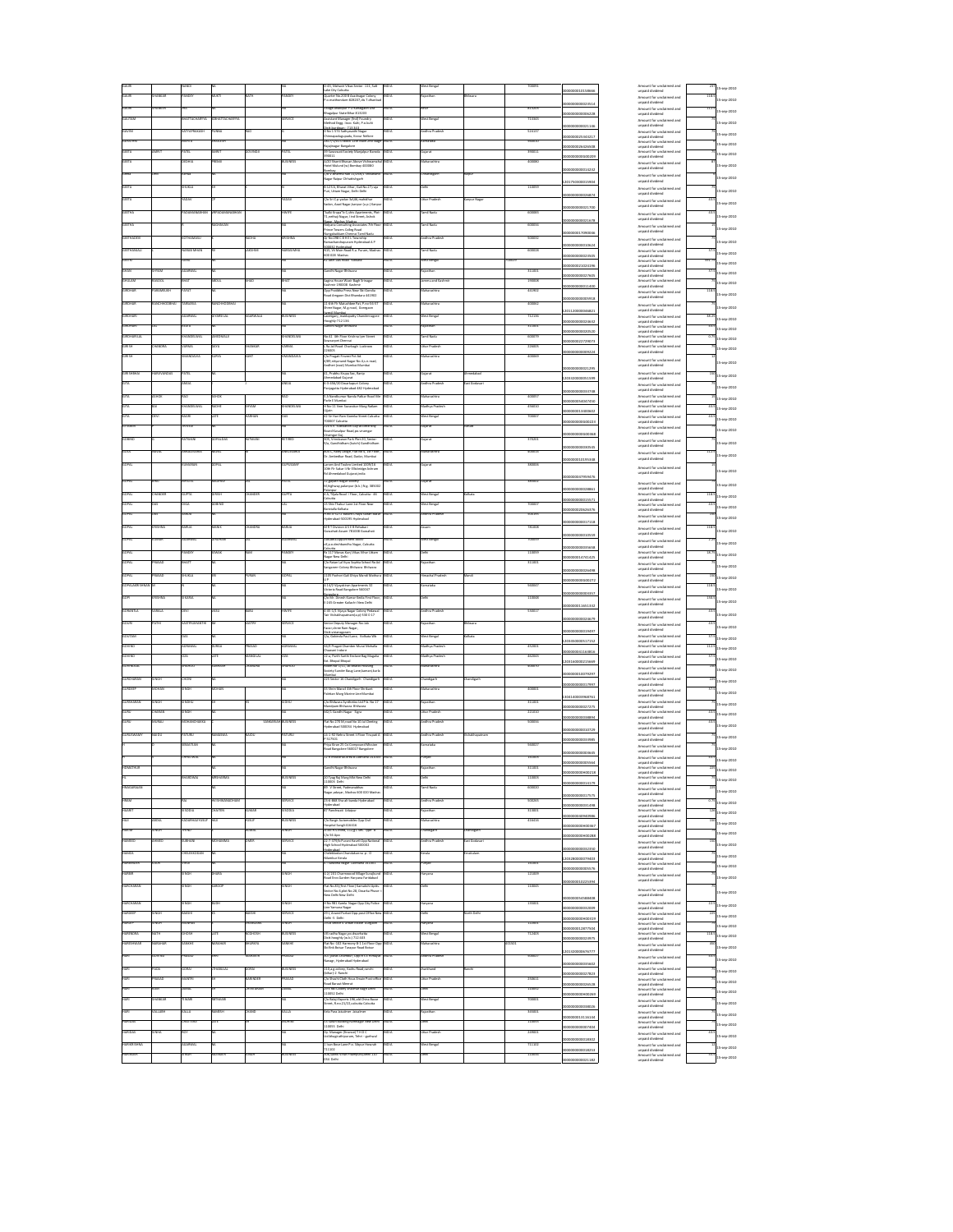| Amount for unclaimed and<br>$\overline{21}$<br>ske City Calcutta<br>unpaid dividend<br>$_{\rm H}$<br>Amount for unclaimed and<br>unpaid dividend<br>0023514<br>813207<br>112<br>Amount for unclaimed and<br>WXI<br>age Anadipur P O Kahalg<br>hagalpur State Bihar 813203<br>unpaid dividend<br>stant Manager (find) Foundry<br>hod Engg. Iisco. Kulti, P.o.kulti<br>711141<br>Amount for unclaimed and<br>5-sep-2010<br>unpaid dividend<br>ttburdwan - 711 341<br>000021146<br>Amount for unclaimed and<br>io 1 574 Sathyavathi Nagar<br>nnapadugupadu, Kovur Nelio<br>524137<br>XA<br>0025343217<br>unpaid dividend<br>817/1/01 D Block 12th Main 2nd Sta<br>560010<br>Amount for unclaimed and<br>26426508<br>unpaid dividend<br>Amount for unclaimed and<br>unpaid dividend<br>390011<br>яi<br>Amount for unclaimed and<br>d (w) R<br>unpaid dividend<br>00000000014232<br>V.dharma Rao 11/258/15h<br>Amount for unclaimed and<br>agar Raipur Chhattishgarh<br>unpaid dividend<br>-123 A, Bharat Vihar, Gali No<br>uri, Uttam Nagar, Delhi Delhi<br>110056<br>Amount for unclaimed and<br>unpaid dividend<br>26874<br>/o Sri C.p.yadav 3a\46,mahidhar<br>adan, Azad Nagar,kanpur (u.p.) Kanp<br>41<br>tar Prad<br>Amount for unclaimed and<br>021700<br>unpaid dividend<br>ki Krupa "b-1.shiy A<br>coccar<br>$\overline{a}$<br>Amount for unclaimed and<br>ar. lind Street, Ashok<br>unpaid dividend<br>021678<br>ar. Madras Madras<br>600034<br>Amount for unclaimed and<br>e Towers Colleg Road<br>unpaid dividend<br>709004<br>rabakkarn Chennai Tamil<br>o 298 C B H E L Township<br>ton <sub>33</sub><br>Amount for unclaimed and<br>h Hyderabad A P<br>unpaid dividend<br>032 Hyderabad<br>01062<br>Amount for unclaimed and<br>15, VI Main Road R.a. Puram, Madra<br>30 028  Madras<br>600028<br>37.<br>023505<br>unpaid dividend<br>2 Jatin Das Road Kolkata<br>Amount for unclaimed and<br>591.7<br>st Gene.<br>21024196<br>unpaid dividend<br>311001<br>Amount for unclaimed and<br>$\overline{v}$<br>hi Nazar Bhihe<br>027605<br>unpaid dividend<br>Amount for unclaimed and<br>ina House Wazir Bagh Srinagar<br>hmir 190008. Kashmir<br>190008<br>ιA<br>sep-2010<br>011400<br>unpaid dividend<br>pp Pratibha Press Near Sbi Gondia<br>sad Amgaon Dist Bhandara 441902<br>441902<br>118<br>šΚ<br>Amount for unclaimed and<br>unpaid dividend<br>4th Fir Matushbee Pat, P.no-56-1<br>ree Nagar, M.g.road,  Goregaon<br>Amount for unclaimed and<br>unpaid dividend<br>esti Mumba<br>5821<br>712130<br>Amount for unclaimed and<br>38.25<br><b>INESS</b><br>patty Chandemagos<br>st Beng<br>oghly-712 136<br>unpaid dividend<br>Amount for unclaimed and<br>dhi Nazar Bhilw<br>311001<br>43.5<br>unpaid dividend<br>A1 4th Floor Krishna Iyer Street<br>60007<br>0.7<br>Amount for unclaimed and<br>00000022729073<br>unpaid dividend<br>Ra Jali Road, Charbagh L<br>220007<br>Amount for unclaimed and<br>scos<br>00000000009224<br>unpaid dividend<br><b>Jo Pragati Finyest Pyt. Ito</b><br>400005<br>Amount for unclaimed and<br>(\$9,nityanand Nagar No.4,s.n.road,<br>cheri (east) Mumbai Mumba<br>unpaid dividend<br>Amount for unclaimed and<br>, Prabhu Krupa Soc, Ranip<br>medabad Guiarat<br>15<br>203320000051599<br>unpaid dividend<br>l-456/20 Dwarkapuri Colony<br>1jagutta Hyderabad 482 Hyderabad<br>Amount for unclaimed and<br>.<br>Impaid d<br>13748<br>ndkumar Nanda Patkar Road Vile<br>400057<br>Amount for unclaimed and<br>rle E Mumbai<br>unpaid dividend<br>io-11 Veer Savarakar Marg F<br>456010<br>41<br>Amount for unclaimed and<br>unpaid dividend<br>013400602<br>$\overline{a}$<br>t Sir Mari Ram C<br>700007<br>Amount for unclaimed and<br>ICO7 Calcutta<br>00000000000223<br>unpaid dividend<br>20 K.v. Substation Guirat Electricity<br>Amount for unclaimed and<br>ard Kasalpur Road, po. viramgar<br>unpaid dividend<br>00000368<br>18fu rum <sub>ma</sub> us<br><mark>rammar Gad.</mark><br>15, Windawan Park Piot-20, Sector-<br>1a, Gandhidham (kuitch) Gandhidhan<br>Amount for unclaimed and<br>unpaid dividend<br>000030545<br>54 C, Ratty Lodge, Flat No 4, 1st Floo<br>400014<br>112<br>Amount for unclaimed and<br>r. Ambedkar Road, Dadar, Mumbai<br>unpaid dividend<br>rsen And Toubro Limite<br>th Fir Sakar II Nr Ellisbri<br>Amount for unclaimed and<br>dabad Guiarat indi<br>unpaid dividend<br>AN.<br>00000047959476<br>l gayatri Nagar Society<br>,highway,palanpur (b.k.) N.g. 385002<br>385002<br>Amount for unclaimed and<br>unpaid dividend<br>arat<br>S-sep-2010<br><sup>Tijala Road I Floor, Calcutta - 46</sup><br>Amount for unclaimed and<br>118.5<br>st Gene<br>sep-2010<br>unpaid dividend<br>315573<br>5 Shiv Thakur Lane 1st Floor Near<br>41.<br>Amount for unclaimed and<br>unpaid dividend<br>sep-2010<br>0626376<br>no.4-5272 Basant Chaya Sultan<br>derabad-500195 Hyderabad<br>500193<br>Amount for unclaimed and<br>S-sep-2010<br>017118<br>unpaid dividend<br>RT Division AS E B Rehabari<br>781008<br>11E<br>Amount for unclaimed and<br>uhat Assam 781006 Guwahati<br>unpaid dividend<br>udha Appartment Block-<br>1. o deshbandhu Nagar, Calcutta<br>700059<br>Amount for unclaimed and<br>unpaid dividend<br>2.2<br>st Geogal<br>00035658<br>cutta<br>117 Marias Kunj Vikas Vihar Uttam<br>110056<br>Amount for unclaimed and<br>187<br>gar New Delhi<br>unpaid dividend<br>14741425<br>311001<br>.<br>Ratan Lal Vyas Sophia School Ro A<br>ganerr Colony Bhilwara -Bhilwara<br>Amount for unclaimed and<br>unpaid dividend<br>026498<br>25 Pachori Gali Ghiya Ma<br>Amount for unclaimed and<br>unpaid dividend<br>000272<br>560047<br>m<br>.<br>4/2 Vijayakiran Apartments 3.<br>fioria Road Bangalore 560047<br>Amount for unclaimed and<br>unpaid dividend<br>000003357<br><b>inalors</b><br>o Mr. Cinesh Kumar Kedia First Flos<br>245 Greater Kallash-i New Delhi<br>110048<br>Amount for unclaimed and<br>130<br>unpaid dividend<br>00011651332<br>45-1/1 Vijaya Nagar Colory Pedaw<br>530017<br>$\overline{a}$<br>Amount for unclaimed and<br>air Vishakhapatnam(a.p)-530 0 17<br>unpaid dividend<br>Amount for unclaimed and<br>41<br>unpaid dividend<br>019497<br>inda Paul Lane, Kokata Wt<br>Amount for unclaimed and<br>17.<br>st Bene<br>00517152<br>unpaid dividend<br>Amount for unclaimed and<br>unpaid dividend<br>112.<br>3 Praeas Ch<br>45200<br>041163816<br>Amount for unclaimed and<br>B<br>unpaid dividend<br>om No-1/11, Jai Bharat Housing<br>:lety Sunder Baug Lane,kamani,kurla<br>400070<br>-15<br>Amount for unclaimed and<br>079297<br>unpaid dividend<br>or 16 Chandigath Chu<br>Amount for unclaimed and<br>unpaid dividend<br>0017997<br>400001<br>Amount for unclaimed and<br>unpaid dividend<br>37.<br>Shrin Manzil 4th Floor Shrikant<br>ekan Marg Marine Line Mumbai<br>304140003968761<br>o Milwara Synthetics Ltd P.b. No 17<br>311001<br>Amount for unclaimed and<br>dpam Milwara Milwara<br>Amount for uncommodiate<br>Amount for unclaimed and<br>unpaid dividend<br>221010<br>41.<br>i Nagar Sign<br>usu<br><b>IANCHAIX</b><br>at No 270 M,road No 10 Jul Cleeting<br>yderabad 500034 Hyderabad<br>500034<br>Amount for unclaimed and<br>$\overline{a}$<br>unpaid dividend<br>Amount for unclaimed and<br>6-1-92 Nehru Street II FI<br>517501<br>unpaid dividend<br>iya Kiran 25 Cu<br>ad Bangalore !<br>Amount for unclaimed and<br>unpaid dividend<br>Amount for unclaimed and<br>41<br><b>Area Blud</b><br>141007<br><b>Institute Manager</b><br>31100<br>Amount for unclaimed and<br>unpaid dividend<br>Amount for unclaimed and<br>Tyag Raj<br>unpaid dividend<br>1417<br>9 - V Street, Padmanabhav<br>Iagar,adayar, Madras 600 020 Madra<br>mî Nadi<br>600020<br>$\overline{\mathbf{z}}$<br>Amount for unclaimed and<br>0017575<br>unpaid dividend<br>44685546<br>Amount for unclaimed and<br>antes<br>ø,<br>031498<br>unpaid dividend<br>Amount for unclaimed and<br>Panchwati Udalpur<br>313001<br>120<br>ЮU<br>sthan<br>140986<br>unpaid dividend<br>INESS<br>lo Bargir Automobiles Opp Civi<br>416410<br>Amount for unclaimed and<br>arashtra<br>$\overline{15}$<br>5-sep-2010<br>spital Sangli 416416<br>coliti x thind: 112 a L Ses. Type "b"<br>00367<br>unpaid dividend<br>Amount for unclaimed and<br>cн<br>5-sep-2010<br>55 App<br>H00288<br>unpaid dividend<br>-7-379/b Purani Haveli Opp Ni<br>rh School Hyderabad 500002<br>Amount for unclaimed and<br>15<br>лс<br>ιA<br>5-sep-2010<br>unpaid dividend<br>032350<br>erabad<br>lekkodan Chandakunnu.p. O<br>Amount for unclaimed and<br>LEXXODA<br>ambur Kerala<br>unpaid dividend<br>Amount for unclaimed and<br>079403<br>Sarabha Nagar Ludhi<br>na 1410<br>141001<br>S-sep-2010<br>unpaid dividend<br>00005576<br>2/201 Charmwood Village Surajkun<br>sed Eros Garden Haryana Faridabad<br>121009<br>Procure for unclaimed and<br>Amount for unclaimed and<br>unpaid dividend<br>S-sep-2010<br>225394<br>of No. 83 (Rest Elser) Kr<br>110045<br>Amount for unclaimed and<br>tor No.6,plot No.28, Dwarka Phas<br>ew Delhi New Delhi<br>unpaid dividend<br>458840<br>io 981 Kamla <i>Nagar Opp Oly</i><br>- Yuwana Nang<br>Amount for unclaimed and<br>11500<br>$\overline{\mathbf{z}}$<br>ryana<br>unpaid dividend<br>91, Anand Parbat Opp.post Office N<br>Amount for unclaimed and<br>-22<br>ā<br>ĸм<br>WICE<br><b>KSHI</b><br>si-5 Delhi<br>H00319<br>unpaid dividend<br>WEARA<br>œн<br>918 Sector 4 Urban Estate Gurgaor<br>122001<br>Amount for unclaimed and<br>Q)<br>Amount for uncularmed and<br>unpaid dividend<br>Amount for unclaimed and<br>unpaid dividend<br>2877504<br>712407<br>щ<br><b>INES</b><br>.radha Nagar,po.dwarhatt<br>tt.hooghly (w.b.) 712 403<br>5-sep-2010<br>023975<br>at No - 102 Harmony B-1 1st Floor Op<br># Brik Boisar Tarapur Road Boisar<br>Amount for unclaimed and<br>unpaid dividend<br>45<br><b>BOOK</b><br>ΟU<br>ιA<br>unpaid d<br>576777<br>500027<br>$\overline{41}$<br>KAD<br><b>GAC</b><br>17 paras Chambur, Opp:h S E H<br>anagr, Hyderabad Hyderabad<br>Amount for unclaimed and<br>unpaid dividend<br>Amount for unclaimed and<br>),a.g.colony, Kac<br>tar)-2 Ranchi<br>7823<br>unpaid dividend<br>Amount for unclaimed and<br><b>MSAD</b><br>WTR<br>RINDER<br><b>ASAD</b><br>Jo Shashi Cloth Hous Emain Post-offic<br>tar Pradesl<br>250611<br>XA<br>d Baraut Mee<br>26528<br>unpaid dividend<br><b>MTABAN</b><br>< Rbi Colony Shallmar Bash Delhi<br>110052<br>Amount for unclaimed and<br>unpaid dividend<br>45<br>u.<br>DOS2 Delhi<br>HD0269<br>: Balaji Exports 196,old China Bazı<br>ret, R.no.21/22,calcutta Calcutta<br>Amount for unclaimed and<br>unpaid dividend<br>038026<br>da Para Jahalmer Jahalm<br>345001<br>Amount for unclaimed and<br>13116144<br>unpaid dividend<br>Amount for unclaimed and<br>Saran Building P<br>110055<br><b>STTEP</b><br>.<br>S-sep-2010<br>DSS Delhi<br>unpaid dividend<br>0007404<br>. Manager (finance) T H D C<br>Lbhagirathipuram, Tehri – garhwal<br>249001<br>Amount for unclaimed and<br>41<br>r Prade<br>unpaid dividend<br>0018302<br>ian Bose Lane P.o. Sibpur Howrah<br>nt Bengal<br>711102<br>Amount for unclaimed and<br>11102<br>8253 |  |  |  |             |  |        |                                             |    |                        |
|-----------------------------------------------------------------------------------------------------------------------------------------------------------------------------------------------------------------------------------------------------------------------------------------------------------------------------------------------------------------------------------------------------------------------------------------------------------------------------------------------------------------------------------------------------------------------------------------------------------------------------------------------------------------------------------------------------------------------------------------------------------------------------------------------------------------------------------------------------------------------------------------------------------------------------------------------------------------------------------------------------------------------------------------------------------------------------------------------------------------------------------------------------------------------------------------------------------------------------------------------------------------------------------------------------------------------------------------------------------------------------------------------------------------------------------------------------------------------------------------------------------------------------------------------------------------------------------------------------------------------------------------------------------------------------------------------------------------------------------------------------------------------------------------------------------------------------------------------------------------------------------------------------------------------------------------------------------------------------------------------------------------------------------------------------------------------------------------------------------------------------------------------------------------------------------------------------------------------------------------------------------------------------------------------------------------------------------------------------------------------------------------------------------------------------------------------------------------------------------------------------------------------------------------------------------------------------------------------------------------------------------------------------------------------------------------------------------------------------------------------------------------------------------------------------------------------------------------------------------------------------------------------------------------------------------------------------------------------------------------------------------------------------------------------------------------------------------------------------------------------------------------------------------------------------------------------------------------------------------------------------------------------------------------------------------------------------------------------------------------------------------------------------------------------------------------------------------------------------------------------------------------------------------------------------------------------------------------------------------------------------------------------------------------------------------------------------------------------------------------------------------------------------------------------------------------------------------------------------------------------------------------------------------------------------------------------------------------------------------------------------------------------------------------------------------------------------------------------------------------------------------------------------------------------------------------------------------------------------------------------------------------------------------------------------------------------------------------------------------------------------------------------------------------------------------------------------------------------------------------------------------------------------------------------------------------------------------------------------------------------------------------------------------------------------------------------------------------------------------------------------------------------------------------------------------------------------------------------------------------------------------------------------------------------------------------------------------------------------------------------------------------------------------------------------------------------------------------------------------------------------------------------------------------------------------------------------------------------------------------------------------------------------------------------------------------------------------------------------------------------------------------------------------------------------------------------------------------------------------------------------------------------------------------------------------------------------------------------------------------------------------------------------------------------------------------------------------------------------------------------------------------------------------------------------------------------------------------------------------------------------------------------------------------------------------------------------------------------------------------------------------------------------------------------------------------------------------------------------------------------------------------------------------------------------------------------------------------------------------------------------------------------------------------------------------------------------------------------------------------------------------------------------------------------------------------------------------------------------------------------------------------------------------------------------------------------------------------------------------------------------------------------------------------------------------------------------------------------------------------------------------------------------------------------------------------------------------------------------------------------------------------------------------------------------------------------------------------------------------------------------------------------------------------------------------------------------------------------------------------------------------------------------------------------------------------------------------------------------------------------------------------------------------------------------------------------------------------------------------------------------------------------------------------------------------------------------------------------------------------------------------------------------------------------------------------------------------------------------------------------------------------------------------------------------------------------------------------------------------------------------------------------------------------------------------------------------------------------------------------------------------------------------------------------------------------------------------------------------------------------------------------------------------------------------------------------------------------------------------------------------------------------------------------------------------------------------------------------------------------------------------------------------------------------------------------------------------------------------------------------------------------------------------------------------------------------------------------------------------------------------------------------------------------------------------------------------------------------------------------------------------------------------------------------------------------------------------------------------------------------------------------------------------------------------------------------------------------------------------------------------------------------------------------------------------------------------------------------------------------------------------------------------------------------------------------------------------------------------------------------------------------------------------------------------------------------------------------------------------------------------------------------------------------------------------------------------------------------------------------------------------------------------------------------------------------------------------------------------------------------------------------------------------------------------------------------------------------------------------------------------------------------------------------------------------------------------------------------------------------------------------------------------------------------------------------------------------------------------------------------------------------------------------------------------------------------------------------------------------------------------------------------------------------------------------------------------------------------------------------------------------------------------------------------------------------------------------------------------------------------------------------------------------------------------------------------------------------------------------------------------------------------------------------------------------------------------------------------------------------------------------------------------------------------------------------------------------------------------------------------------------------------------------------------------------------------------------------------------------------------------------------------------------------------------------------------------------------------------------------------------------------------------------------------------------------------------------------------------------------------------------------------------------------------------------------------------------------------------------------------------------------------------------------|--|--|--|-------------|--|--------|---------------------------------------------|----|------------------------|
|                                                                                                                                                                                                                                                                                                                                                                                                                                                                                                                                                                                                                                                                                                                                                                                                                                                                                                                                                                                                                                                                                                                                                                                                                                                                                                                                                                                                                                                                                                                                                                                                                                                                                                                                                                                                                                                                                                                                                                                                                                                                                                                                                                                                                                                                                                                                                                                                                                                                                                                                                                                                                                                                                                                                                                                                                                                                                                                                                                                                                                                                                                                                                                                                                                                                                                                                                                                                                                                                                                                                                                                                                                                                                                                                                                                                                                                                                                                                                                                                                                                                                                                                                                                                                                                                                                                                                                                                                                                                                                                                                                                                                                                                                                                                                                                                                                                                                                                                                                                                                                                                                                                                                                                                                                                                                                                                                                                                                                                                                                                                                                                                                                                                                                                                                                                                                                                                                                                                                                                                                                                                                                                                                                                                                                                                                                                                                                                                                                                                                                                                                                                                                                                                                                                                                                                                                                                                                                                                                                                                                                                                                                                                                                                                                                                                                                                                                                                                                                                                                                                                                                                                                                                                                                                                                                                                                                                                                                                                                                                                                                                                                                                                                                                                                                                                                                                                                                                                                                                                                                                                                                                                                                                                                                                                                                                                                                                                                                                                                                                                                                                                                                                                                                                                                                                                                                                                                                                                                                                                                                                                                                                                                                                                                                                                                                                                                                                                                                                                                                                                                                                                                                                                                                                                                                                                                                                                                                                                                                                                                                                                                                                                                                                                                                                                                                                                                                                                                                                                                                                                                                                                                                                                                                 |  |  |  |             |  |        |                                             |    |                        |
|                                                                                                                                                                                                                                                                                                                                                                                                                                                                                                                                                                                                                                                                                                                                                                                                                                                                                                                                                                                                                                                                                                                                                                                                                                                                                                                                                                                                                                                                                                                                                                                                                                                                                                                                                                                                                                                                                                                                                                                                                                                                                                                                                                                                                                                                                                                                                                                                                                                                                                                                                                                                                                                                                                                                                                                                                                                                                                                                                                                                                                                                                                                                                                                                                                                                                                                                                                                                                                                                                                                                                                                                                                                                                                                                                                                                                                                                                                                                                                                                                                                                                                                                                                                                                                                                                                                                                                                                                                                                                                                                                                                                                                                                                                                                                                                                                                                                                                                                                                                                                                                                                                                                                                                                                                                                                                                                                                                                                                                                                                                                                                                                                                                                                                                                                                                                                                                                                                                                                                                                                                                                                                                                                                                                                                                                                                                                                                                                                                                                                                                                                                                                                                                                                                                                                                                                                                                                                                                                                                                                                                                                                                                                                                                                                                                                                                                                                                                                                                                                                                                                                                                                                                                                                                                                                                                                                                                                                                                                                                                                                                                                                                                                                                                                                                                                                                                                                                                                                                                                                                                                                                                                                                                                                                                                                                                                                                                                                                                                                                                                                                                                                                                                                                                                                                                                                                                                                                                                                                                                                                                                                                                                                                                                                                                                                                                                                                                                                                                                                                                                                                                                                                                                                                                                                                                                                                                                                                                                                                                                                                                                                                                                                                                                                                                                                                                                                                                                                                                                                                                                                                                                                                                                                                 |  |  |  |             |  |        |                                             |    | S-sep-2010<br>irp-2010 |
|                                                                                                                                                                                                                                                                                                                                                                                                                                                                                                                                                                                                                                                                                                                                                                                                                                                                                                                                                                                                                                                                                                                                                                                                                                                                                                                                                                                                                                                                                                                                                                                                                                                                                                                                                                                                                                                                                                                                                                                                                                                                                                                                                                                                                                                                                                                                                                                                                                                                                                                                                                                                                                                                                                                                                                                                                                                                                                                                                                                                                                                                                                                                                                                                                                                                                                                                                                                                                                                                                                                                                                                                                                                                                                                                                                                                                                                                                                                                                                                                                                                                                                                                                                                                                                                                                                                                                                                                                                                                                                                                                                                                                                                                                                                                                                                                                                                                                                                                                                                                                                                                                                                                                                                                                                                                                                                                                                                                                                                                                                                                                                                                                                                                                                                                                                                                                                                                                                                                                                                                                                                                                                                                                                                                                                                                                                                                                                                                                                                                                                                                                                                                                                                                                                                                                                                                                                                                                                                                                                                                                                                                                                                                                                                                                                                                                                                                                                                                                                                                                                                                                                                                                                                                                                                                                                                                                                                                                                                                                                                                                                                                                                                                                                                                                                                                                                                                                                                                                                                                                                                                                                                                                                                                                                                                                                                                                                                                                                                                                                                                                                                                                                                                                                                                                                                                                                                                                                                                                                                                                                                                                                                                                                                                                                                                                                                                                                                                                                                                                                                                                                                                                                                                                                                                                                                                                                                                                                                                                                                                                                                                                                                                                                                                                                                                                                                                                                                                                                                                                                                                                                                                                                                                                                 |  |  |  |             |  |        |                                             |    |                        |
|                                                                                                                                                                                                                                                                                                                                                                                                                                                                                                                                                                                                                                                                                                                                                                                                                                                                                                                                                                                                                                                                                                                                                                                                                                                                                                                                                                                                                                                                                                                                                                                                                                                                                                                                                                                                                                                                                                                                                                                                                                                                                                                                                                                                                                                                                                                                                                                                                                                                                                                                                                                                                                                                                                                                                                                                                                                                                                                                                                                                                                                                                                                                                                                                                                                                                                                                                                                                                                                                                                                                                                                                                                                                                                                                                                                                                                                                                                                                                                                                                                                                                                                                                                                                                                                                                                                                                                                                                                                                                                                                                                                                                                                                                                                                                                                                                                                                                                                                                                                                                                                                                                                                                                                                                                                                                                                                                                                                                                                                                                                                                                                                                                                                                                                                                                                                                                                                                                                                                                                                                                                                                                                                                                                                                                                                                                                                                                                                                                                                                                                                                                                                                                                                                                                                                                                                                                                                                                                                                                                                                                                                                                                                                                                                                                                                                                                                                                                                                                                                                                                                                                                                                                                                                                                                                                                                                                                                                                                                                                                                                                                                                                                                                                                                                                                                                                                                                                                                                                                                                                                                                                                                                                                                                                                                                                                                                                                                                                                                                                                                                                                                                                                                                                                                                                                                                                                                                                                                                                                                                                                                                                                                                                                                                                                                                                                                                                                                                                                                                                                                                                                                                                                                                                                                                                                                                                                                                                                                                                                                                                                                                                                                                                                                                                                                                                                                                                                                                                                                                                                                                                                                                                                                                                 |  |  |  |             |  |        |                                             |    | S-sep-2010             |
|                                                                                                                                                                                                                                                                                                                                                                                                                                                                                                                                                                                                                                                                                                                                                                                                                                                                                                                                                                                                                                                                                                                                                                                                                                                                                                                                                                                                                                                                                                                                                                                                                                                                                                                                                                                                                                                                                                                                                                                                                                                                                                                                                                                                                                                                                                                                                                                                                                                                                                                                                                                                                                                                                                                                                                                                                                                                                                                                                                                                                                                                                                                                                                                                                                                                                                                                                                                                                                                                                                                                                                                                                                                                                                                                                                                                                                                                                                                                                                                                                                                                                                                                                                                                                                                                                                                                                                                                                                                                                                                                                                                                                                                                                                                                                                                                                                                                                                                                                                                                                                                                                                                                                                                                                                                                                                                                                                                                                                                                                                                                                                                                                                                                                                                                                                                                                                                                                                                                                                                                                                                                                                                                                                                                                                                                                                                                                                                                                                                                                                                                                                                                                                                                                                                                                                                                                                                                                                                                                                                                                                                                                                                                                                                                                                                                                                                                                                                                                                                                                                                                                                                                                                                                                                                                                                                                                                                                                                                                                                                                                                                                                                                                                                                                                                                                                                                                                                                                                                                                                                                                                                                                                                                                                                                                                                                                                                                                                                                                                                                                                                                                                                                                                                                                                                                                                                                                                                                                                                                                                                                                                                                                                                                                                                                                                                                                                                                                                                                                                                                                                                                                                                                                                                                                                                                                                                                                                                                                                                                                                                                                                                                                                                                                                                                                                                                                                                                                                                                                                                                                                                                                                                                                                                 |  |  |  |             |  |        |                                             |    | sep-2010               |
|                                                                                                                                                                                                                                                                                                                                                                                                                                                                                                                                                                                                                                                                                                                                                                                                                                                                                                                                                                                                                                                                                                                                                                                                                                                                                                                                                                                                                                                                                                                                                                                                                                                                                                                                                                                                                                                                                                                                                                                                                                                                                                                                                                                                                                                                                                                                                                                                                                                                                                                                                                                                                                                                                                                                                                                                                                                                                                                                                                                                                                                                                                                                                                                                                                                                                                                                                                                                                                                                                                                                                                                                                                                                                                                                                                                                                                                                                                                                                                                                                                                                                                                                                                                                                                                                                                                                                                                                                                                                                                                                                                                                                                                                                                                                                                                                                                                                                                                                                                                                                                                                                                                                                                                                                                                                                                                                                                                                                                                                                                                                                                                                                                                                                                                                                                                                                                                                                                                                                                                                                                                                                                                                                                                                                                                                                                                                                                                                                                                                                                                                                                                                                                                                                                                                                                                                                                                                                                                                                                                                                                                                                                                                                                                                                                                                                                                                                                                                                                                                                                                                                                                                                                                                                                                                                                                                                                                                                                                                                                                                                                                                                                                                                                                                                                                                                                                                                                                                                                                                                                                                                                                                                                                                                                                                                                                                                                                                                                                                                                                                                                                                                                                                                                                                                                                                                                                                                                                                                                                                                                                                                                                                                                                                                                                                                                                                                                                                                                                                                                                                                                                                                                                                                                                                                                                                                                                                                                                                                                                                                                                                                                                                                                                                                                                                                                                                                                                                                                                                                                                                                                                                                                                                                                 |  |  |  |             |  |        |                                             |    | S-sep-2010             |
|                                                                                                                                                                                                                                                                                                                                                                                                                                                                                                                                                                                                                                                                                                                                                                                                                                                                                                                                                                                                                                                                                                                                                                                                                                                                                                                                                                                                                                                                                                                                                                                                                                                                                                                                                                                                                                                                                                                                                                                                                                                                                                                                                                                                                                                                                                                                                                                                                                                                                                                                                                                                                                                                                                                                                                                                                                                                                                                                                                                                                                                                                                                                                                                                                                                                                                                                                                                                                                                                                                                                                                                                                                                                                                                                                                                                                                                                                                                                                                                                                                                                                                                                                                                                                                                                                                                                                                                                                                                                                                                                                                                                                                                                                                                                                                                                                                                                                                                                                                                                                                                                                                                                                                                                                                                                                                                                                                                                                                                                                                                                                                                                                                                                                                                                                                                                                                                                                                                                                                                                                                                                                                                                                                                                                                                                                                                                                                                                                                                                                                                                                                                                                                                                                                                                                                                                                                                                                                                                                                                                                                                                                                                                                                                                                                                                                                                                                                                                                                                                                                                                                                                                                                                                                                                                                                                                                                                                                                                                                                                                                                                                                                                                                                                                                                                                                                                                                                                                                                                                                                                                                                                                                                                                                                                                                                                                                                                                                                                                                                                                                                                                                                                                                                                                                                                                                                                                                                                                                                                                                                                                                                                                                                                                                                                                                                                                                                                                                                                                                                                                                                                                                                                                                                                                                                                                                                                                                                                                                                                                                                                                                                                                                                                                                                                                                                                                                                                                                                                                                                                                                                                                                                                                                                 |  |  |  |             |  |        |                                             |    | S-sep-2010             |
|                                                                                                                                                                                                                                                                                                                                                                                                                                                                                                                                                                                                                                                                                                                                                                                                                                                                                                                                                                                                                                                                                                                                                                                                                                                                                                                                                                                                                                                                                                                                                                                                                                                                                                                                                                                                                                                                                                                                                                                                                                                                                                                                                                                                                                                                                                                                                                                                                                                                                                                                                                                                                                                                                                                                                                                                                                                                                                                                                                                                                                                                                                                                                                                                                                                                                                                                                                                                                                                                                                                                                                                                                                                                                                                                                                                                                                                                                                                                                                                                                                                                                                                                                                                                                                                                                                                                                                                                                                                                                                                                                                                                                                                                                                                                                                                                                                                                                                                                                                                                                                                                                                                                                                                                                                                                                                                                                                                                                                                                                                                                                                                                                                                                                                                                                                                                                                                                                                                                                                                                                                                                                                                                                                                                                                                                                                                                                                                                                                                                                                                                                                                                                                                                                                                                                                                                                                                                                                                                                                                                                                                                                                                                                                                                                                                                                                                                                                                                                                                                                                                                                                                                                                                                                                                                                                                                                                                                                                                                                                                                                                                                                                                                                                                                                                                                                                                                                                                                                                                                                                                                                                                                                                                                                                                                                                                                                                                                                                                                                                                                                                                                                                                                                                                                                                                                                                                                                                                                                                                                                                                                                                                                                                                                                                                                                                                                                                                                                                                                                                                                                                                                                                                                                                                                                                                                                                                                                                                                                                                                                                                                                                                                                                                                                                                                                                                                                                                                                                                                                                                                                                                                                                                                                                 |  |  |  |             |  |        |                                             |    | S-sep-2010             |
|                                                                                                                                                                                                                                                                                                                                                                                                                                                                                                                                                                                                                                                                                                                                                                                                                                                                                                                                                                                                                                                                                                                                                                                                                                                                                                                                                                                                                                                                                                                                                                                                                                                                                                                                                                                                                                                                                                                                                                                                                                                                                                                                                                                                                                                                                                                                                                                                                                                                                                                                                                                                                                                                                                                                                                                                                                                                                                                                                                                                                                                                                                                                                                                                                                                                                                                                                                                                                                                                                                                                                                                                                                                                                                                                                                                                                                                                                                                                                                                                                                                                                                                                                                                                                                                                                                                                                                                                                                                                                                                                                                                                                                                                                                                                                                                                                                                                                                                                                                                                                                                                                                                                                                                                                                                                                                                                                                                                                                                                                                                                                                                                                                                                                                                                                                                                                                                                                                                                                                                                                                                                                                                                                                                                                                                                                                                                                                                                                                                                                                                                                                                                                                                                                                                                                                                                                                                                                                                                                                                                                                                                                                                                                                                                                                                                                                                                                                                                                                                                                                                                                                                                                                                                                                                                                                                                                                                                                                                                                                                                                                                                                                                                                                                                                                                                                                                                                                                                                                                                                                                                                                                                                                                                                                                                                                                                                                                                                                                                                                                                                                                                                                                                                                                                                                                                                                                                                                                                                                                                                                                                                                                                                                                                                                                                                                                                                                                                                                                                                                                                                                                                                                                                                                                                                                                                                                                                                                                                                                                                                                                                                                                                                                                                                                                                                                                                                                                                                                                                                                                                                                                                                                                                                                 |  |  |  |             |  |        |                                             |    | $-$ sep $-2010$        |
|                                                                                                                                                                                                                                                                                                                                                                                                                                                                                                                                                                                                                                                                                                                                                                                                                                                                                                                                                                                                                                                                                                                                                                                                                                                                                                                                                                                                                                                                                                                                                                                                                                                                                                                                                                                                                                                                                                                                                                                                                                                                                                                                                                                                                                                                                                                                                                                                                                                                                                                                                                                                                                                                                                                                                                                                                                                                                                                                                                                                                                                                                                                                                                                                                                                                                                                                                                                                                                                                                                                                                                                                                                                                                                                                                                                                                                                                                                                                                                                                                                                                                                                                                                                                                                                                                                                                                                                                                                                                                                                                                                                                                                                                                                                                                                                                                                                                                                                                                                                                                                                                                                                                                                                                                                                                                                                                                                                                                                                                                                                                                                                                                                                                                                                                                                                                                                                                                                                                                                                                                                                                                                                                                                                                                                                                                                                                                                                                                                                                                                                                                                                                                                                                                                                                                                                                                                                                                                                                                                                                                                                                                                                                                                                                                                                                                                                                                                                                                                                                                                                                                                                                                                                                                                                                                                                                                                                                                                                                                                                                                                                                                                                                                                                                                                                                                                                                                                                                                                                                                                                                                                                                                                                                                                                                                                                                                                                                                                                                                                                                                                                                                                                                                                                                                                                                                                                                                                                                                                                                                                                                                                                                                                                                                                                                                                                                                                                                                                                                                                                                                                                                                                                                                                                                                                                                                                                                                                                                                                                                                                                                                                                                                                                                                                                                                                                                                                                                                                                                                                                                                                                                                                                                                                 |  |  |  |             |  |        |                                             |    | 5-sep-2010             |
|                                                                                                                                                                                                                                                                                                                                                                                                                                                                                                                                                                                                                                                                                                                                                                                                                                                                                                                                                                                                                                                                                                                                                                                                                                                                                                                                                                                                                                                                                                                                                                                                                                                                                                                                                                                                                                                                                                                                                                                                                                                                                                                                                                                                                                                                                                                                                                                                                                                                                                                                                                                                                                                                                                                                                                                                                                                                                                                                                                                                                                                                                                                                                                                                                                                                                                                                                                                                                                                                                                                                                                                                                                                                                                                                                                                                                                                                                                                                                                                                                                                                                                                                                                                                                                                                                                                                                                                                                                                                                                                                                                                                                                                                                                                                                                                                                                                                                                                                                                                                                                                                                                                                                                                                                                                                                                                                                                                                                                                                                                                                                                                                                                                                                                                                                                                                                                                                                                                                                                                                                                                                                                                                                                                                                                                                                                                                                                                                                                                                                                                                                                                                                                                                                                                                                                                                                                                                                                                                                                                                                                                                                                                                                                                                                                                                                                                                                                                                                                                                                                                                                                                                                                                                                                                                                                                                                                                                                                                                                                                                                                                                                                                                                                                                                                                                                                                                                                                                                                                                                                                                                                                                                                                                                                                                                                                                                                                                                                                                                                                                                                                                                                                                                                                                                                                                                                                                                                                                                                                                                                                                                                                                                                                                                                                                                                                                                                                                                                                                                                                                                                                                                                                                                                                                                                                                                                                                                                                                                                                                                                                                                                                                                                                                                                                                                                                                                                                                                                                                                                                                                                                                                                                                                                 |  |  |  |             |  |        |                                             |    |                        |
|                                                                                                                                                                                                                                                                                                                                                                                                                                                                                                                                                                                                                                                                                                                                                                                                                                                                                                                                                                                                                                                                                                                                                                                                                                                                                                                                                                                                                                                                                                                                                                                                                                                                                                                                                                                                                                                                                                                                                                                                                                                                                                                                                                                                                                                                                                                                                                                                                                                                                                                                                                                                                                                                                                                                                                                                                                                                                                                                                                                                                                                                                                                                                                                                                                                                                                                                                                                                                                                                                                                                                                                                                                                                                                                                                                                                                                                                                                                                                                                                                                                                                                                                                                                                                                                                                                                                                                                                                                                                                                                                                                                                                                                                                                                                                                                                                                                                                                                                                                                                                                                                                                                                                                                                                                                                                                                                                                                                                                                                                                                                                                                                                                                                                                                                                                                                                                                                                                                                                                                                                                                                                                                                                                                                                                                                                                                                                                                                                                                                                                                                                                                                                                                                                                                                                                                                                                                                                                                                                                                                                                                                                                                                                                                                                                                                                                                                                                                                                                                                                                                                                                                                                                                                                                                                                                                                                                                                                                                                                                                                                                                                                                                                                                                                                                                                                                                                                                                                                                                                                                                                                                                                                                                                                                                                                                                                                                                                                                                                                                                                                                                                                                                                                                                                                                                                                                                                                                                                                                                                                                                                                                                                                                                                                                                                                                                                                                                                                                                                                                                                                                                                                                                                                                                                                                                                                                                                                                                                                                                                                                                                                                                                                                                                                                                                                                                                                                                                                                                                                                                                                                                                                                                                                                 |  |  |  |             |  |        |                                             |    | sep-2010               |
|                                                                                                                                                                                                                                                                                                                                                                                                                                                                                                                                                                                                                                                                                                                                                                                                                                                                                                                                                                                                                                                                                                                                                                                                                                                                                                                                                                                                                                                                                                                                                                                                                                                                                                                                                                                                                                                                                                                                                                                                                                                                                                                                                                                                                                                                                                                                                                                                                                                                                                                                                                                                                                                                                                                                                                                                                                                                                                                                                                                                                                                                                                                                                                                                                                                                                                                                                                                                                                                                                                                                                                                                                                                                                                                                                                                                                                                                                                                                                                                                                                                                                                                                                                                                                                                                                                                                                                                                                                                                                                                                                                                                                                                                                                                                                                                                                                                                                                                                                                                                                                                                                                                                                                                                                                                                                                                                                                                                                                                                                                                                                                                                                                                                                                                                                                                                                                                                                                                                                                                                                                                                                                                                                                                                                                                                                                                                                                                                                                                                                                                                                                                                                                                                                                                                                                                                                                                                                                                                                                                                                                                                                                                                                                                                                                                                                                                                                                                                                                                                                                                                                                                                                                                                                                                                                                                                                                                                                                                                                                                                                                                                                                                                                                                                                                                                                                                                                                                                                                                                                                                                                                                                                                                                                                                                                                                                                                                                                                                                                                                                                                                                                                                                                                                                                                                                                                                                                                                                                                                                                                                                                                                                                                                                                                                                                                                                                                                                                                                                                                                                                                                                                                                                                                                                                                                                                                                                                                                                                                                                                                                                                                                                                                                                                                                                                                                                                                                                                                                                                                                                                                                                                                                                                                 |  |  |  |             |  |        |                                             |    | 5-sep-2010             |
|                                                                                                                                                                                                                                                                                                                                                                                                                                                                                                                                                                                                                                                                                                                                                                                                                                                                                                                                                                                                                                                                                                                                                                                                                                                                                                                                                                                                                                                                                                                                                                                                                                                                                                                                                                                                                                                                                                                                                                                                                                                                                                                                                                                                                                                                                                                                                                                                                                                                                                                                                                                                                                                                                                                                                                                                                                                                                                                                                                                                                                                                                                                                                                                                                                                                                                                                                                                                                                                                                                                                                                                                                                                                                                                                                                                                                                                                                                                                                                                                                                                                                                                                                                                                                                                                                                                                                                                                                                                                                                                                                                                                                                                                                                                                                                                                                                                                                                                                                                                                                                                                                                                                                                                                                                                                                                                                                                                                                                                                                                                                                                                                                                                                                                                                                                                                                                                                                                                                                                                                                                                                                                                                                                                                                                                                                                                                                                                                                                                                                                                                                                                                                                                                                                                                                                                                                                                                                                                                                                                                                                                                                                                                                                                                                                                                                                                                                                                                                                                                                                                                                                                                                                                                                                                                                                                                                                                                                                                                                                                                                                                                                                                                                                                                                                                                                                                                                                                                                                                                                                                                                                                                                                                                                                                                                                                                                                                                                                                                                                                                                                                                                                                                                                                                                                                                                                                                                                                                                                                                                                                                                                                                                                                                                                                                                                                                                                                                                                                                                                                                                                                                                                                                                                                                                                                                                                                                                                                                                                                                                                                                                                                                                                                                                                                                                                                                                                                                                                                                                                                                                                                                                                                                                                 |  |  |  |             |  |        |                                             |    | S-sep-2010             |
|                                                                                                                                                                                                                                                                                                                                                                                                                                                                                                                                                                                                                                                                                                                                                                                                                                                                                                                                                                                                                                                                                                                                                                                                                                                                                                                                                                                                                                                                                                                                                                                                                                                                                                                                                                                                                                                                                                                                                                                                                                                                                                                                                                                                                                                                                                                                                                                                                                                                                                                                                                                                                                                                                                                                                                                                                                                                                                                                                                                                                                                                                                                                                                                                                                                                                                                                                                                                                                                                                                                                                                                                                                                                                                                                                                                                                                                                                                                                                                                                                                                                                                                                                                                                                                                                                                                                                                                                                                                                                                                                                                                                                                                                                                                                                                                                                                                                                                                                                                                                                                                                                                                                                                                                                                                                                                                                                                                                                                                                                                                                                                                                                                                                                                                                                                                                                                                                                                                                                                                                                                                                                                                                                                                                                                                                                                                                                                                                                                                                                                                                                                                                                                                                                                                                                                                                                                                                                                                                                                                                                                                                                                                                                                                                                                                                                                                                                                                                                                                                                                                                                                                                                                                                                                                                                                                                                                                                                                                                                                                                                                                                                                                                                                                                                                                                                                                                                                                                                                                                                                                                                                                                                                                                                                                                                                                                                                                                                                                                                                                                                                                                                                                                                                                                                                                                                                                                                                                                                                                                                                                                                                                                                                                                                                                                                                                                                                                                                                                                                                                                                                                                                                                                                                                                                                                                                                                                                                                                                                                                                                                                                                                                                                                                                                                                                                                                                                                                                                                                                                                                                                                                                                                                                                 |  |  |  |             |  |        |                                             |    | 5-sep-2010             |
|                                                                                                                                                                                                                                                                                                                                                                                                                                                                                                                                                                                                                                                                                                                                                                                                                                                                                                                                                                                                                                                                                                                                                                                                                                                                                                                                                                                                                                                                                                                                                                                                                                                                                                                                                                                                                                                                                                                                                                                                                                                                                                                                                                                                                                                                                                                                                                                                                                                                                                                                                                                                                                                                                                                                                                                                                                                                                                                                                                                                                                                                                                                                                                                                                                                                                                                                                                                                                                                                                                                                                                                                                                                                                                                                                                                                                                                                                                                                                                                                                                                                                                                                                                                                                                                                                                                                                                                                                                                                                                                                                                                                                                                                                                                                                                                                                                                                                                                                                                                                                                                                                                                                                                                                                                                                                                                                                                                                                                                                                                                                                                                                                                                                                                                                                                                                                                                                                                                                                                                                                                                                                                                                                                                                                                                                                                                                                                                                                                                                                                                                                                                                                                                                                                                                                                                                                                                                                                                                                                                                                                                                                                                                                                                                                                                                                                                                                                                                                                                                                                                                                                                                                                                                                                                                                                                                                                                                                                                                                                                                                                                                                                                                                                                                                                                                                                                                                                                                                                                                                                                                                                                                                                                                                                                                                                                                                                                                                                                                                                                                                                                                                                                                                                                                                                                                                                                                                                                                                                                                                                                                                                                                                                                                                                                                                                                                                                                                                                                                                                                                                                                                                                                                                                                                                                                                                                                                                                                                                                                                                                                                                                                                                                                                                                                                                                                                                                                                                                                                                                                                                                                                                                                                                                 |  |  |  |             |  |        |                                             |    | sep-2010               |
|                                                                                                                                                                                                                                                                                                                                                                                                                                                                                                                                                                                                                                                                                                                                                                                                                                                                                                                                                                                                                                                                                                                                                                                                                                                                                                                                                                                                                                                                                                                                                                                                                                                                                                                                                                                                                                                                                                                                                                                                                                                                                                                                                                                                                                                                                                                                                                                                                                                                                                                                                                                                                                                                                                                                                                                                                                                                                                                                                                                                                                                                                                                                                                                                                                                                                                                                                                                                                                                                                                                                                                                                                                                                                                                                                                                                                                                                                                                                                                                                                                                                                                                                                                                                                                                                                                                                                                                                                                                                                                                                                                                                                                                                                                                                                                                                                                                                                                                                                                                                                                                                                                                                                                                                                                                                                                                                                                                                                                                                                                                                                                                                                                                                                                                                                                                                                                                                                                                                                                                                                                                                                                                                                                                                                                                                                                                                                                                                                                                                                                                                                                                                                                                                                                                                                                                                                                                                                                                                                                                                                                                                                                                                                                                                                                                                                                                                                                                                                                                                                                                                                                                                                                                                                                                                                                                                                                                                                                                                                                                                                                                                                                                                                                                                                                                                                                                                                                                                                                                                                                                                                                                                                                                                                                                                                                                                                                                                                                                                                                                                                                                                                                                                                                                                                                                                                                                                                                                                                                                                                                                                                                                                                                                                                                                                                                                                                                                                                                                                                                                                                                                                                                                                                                                                                                                                                                                                                                                                                                                                                                                                                                                                                                                                                                                                                                                                                                                                                                                                                                                                                                                                                                                                                                 |  |  |  |             |  |        |                                             |    | Sarp 2010              |
|                                                                                                                                                                                                                                                                                                                                                                                                                                                                                                                                                                                                                                                                                                                                                                                                                                                                                                                                                                                                                                                                                                                                                                                                                                                                                                                                                                                                                                                                                                                                                                                                                                                                                                                                                                                                                                                                                                                                                                                                                                                                                                                                                                                                                                                                                                                                                                                                                                                                                                                                                                                                                                                                                                                                                                                                                                                                                                                                                                                                                                                                                                                                                                                                                                                                                                                                                                                                                                                                                                                                                                                                                                                                                                                                                                                                                                                                                                                                                                                                                                                                                                                                                                                                                                                                                                                                                                                                                                                                                                                                                                                                                                                                                                                                                                                                                                                                                                                                                                                                                                                                                                                                                                                                                                                                                                                                                                                                                                                                                                                                                                                                                                                                                                                                                                                                                                                                                                                                                                                                                                                                                                                                                                                                                                                                                                                                                                                                                                                                                                                                                                                                                                                                                                                                                                                                                                                                                                                                                                                                                                                                                                                                                                                                                                                                                                                                                                                                                                                                                                                                                                                                                                                                                                                                                                                                                                                                                                                                                                                                                                                                                                                                                                                                                                                                                                                                                                                                                                                                                                                                                                                                                                                                                                                                                                                                                                                                                                                                                                                                                                                                                                                                                                                                                                                                                                                                                                                                                                                                                                                                                                                                                                                                                                                                                                                                                                                                                                                                                                                                                                                                                                                                                                                                                                                                                                                                                                                                                                                                                                                                                                                                                                                                                                                                                                                                                                                                                                                                                                                                                                                                                                                                                                 |  |  |  |             |  |        |                                             |    | sep-2010               |
|                                                                                                                                                                                                                                                                                                                                                                                                                                                                                                                                                                                                                                                                                                                                                                                                                                                                                                                                                                                                                                                                                                                                                                                                                                                                                                                                                                                                                                                                                                                                                                                                                                                                                                                                                                                                                                                                                                                                                                                                                                                                                                                                                                                                                                                                                                                                                                                                                                                                                                                                                                                                                                                                                                                                                                                                                                                                                                                                                                                                                                                                                                                                                                                                                                                                                                                                                                                                                                                                                                                                                                                                                                                                                                                                                                                                                                                                                                                                                                                                                                                                                                                                                                                                                                                                                                                                                                                                                                                                                                                                                                                                                                                                                                                                                                                                                                                                                                                                                                                                                                                                                                                                                                                                                                                                                                                                                                                                                                                                                                                                                                                                                                                                                                                                                                                                                                                                                                                                                                                                                                                                                                                                                                                                                                                                                                                                                                                                                                                                                                                                                                                                                                                                                                                                                                                                                                                                                                                                                                                                                                                                                                                                                                                                                                                                                                                                                                                                                                                                                                                                                                                                                                                                                                                                                                                                                                                                                                                                                                                                                                                                                                                                                                                                                                                                                                                                                                                                                                                                                                                                                                                                                                                                                                                                                                                                                                                                                                                                                                                                                                                                                                                                                                                                                                                                                                                                                                                                                                                                                                                                                                                                                                                                                                                                                                                                                                                                                                                                                                                                                                                                                                                                                                                                                                                                                                                                                                                                                                                                                                                                                                                                                                                                                                                                                                                                                                                                                                                                                                                                                                                                                                                                                                 |  |  |  |             |  |        |                                             |    |                        |
|                                                                                                                                                                                                                                                                                                                                                                                                                                                                                                                                                                                                                                                                                                                                                                                                                                                                                                                                                                                                                                                                                                                                                                                                                                                                                                                                                                                                                                                                                                                                                                                                                                                                                                                                                                                                                                                                                                                                                                                                                                                                                                                                                                                                                                                                                                                                                                                                                                                                                                                                                                                                                                                                                                                                                                                                                                                                                                                                                                                                                                                                                                                                                                                                                                                                                                                                                                                                                                                                                                                                                                                                                                                                                                                                                                                                                                                                                                                                                                                                                                                                                                                                                                                                                                                                                                                                                                                                                                                                                                                                                                                                                                                                                                                                                                                                                                                                                                                                                                                                                                                                                                                                                                                                                                                                                                                                                                                                                                                                                                                                                                                                                                                                                                                                                                                                                                                                                                                                                                                                                                                                                                                                                                                                                                                                                                                                                                                                                                                                                                                                                                                                                                                                                                                                                                                                                                                                                                                                                                                                                                                                                                                                                                                                                                                                                                                                                                                                                                                                                                                                                                                                                                                                                                                                                                                                                                                                                                                                                                                                                                                                                                                                                                                                                                                                                                                                                                                                                                                                                                                                                                                                                                                                                                                                                                                                                                                                                                                                                                                                                                                                                                                                                                                                                                                                                                                                                                                                                                                                                                                                                                                                                                                                                                                                                                                                                                                                                                                                                                                                                                                                                                                                                                                                                                                                                                                                                                                                                                                                                                                                                                                                                                                                                                                                                                                                                                                                                                                                                                                                                                                                                                                                                                 |  |  |  |             |  |        |                                             |    | sep-2010               |
|                                                                                                                                                                                                                                                                                                                                                                                                                                                                                                                                                                                                                                                                                                                                                                                                                                                                                                                                                                                                                                                                                                                                                                                                                                                                                                                                                                                                                                                                                                                                                                                                                                                                                                                                                                                                                                                                                                                                                                                                                                                                                                                                                                                                                                                                                                                                                                                                                                                                                                                                                                                                                                                                                                                                                                                                                                                                                                                                                                                                                                                                                                                                                                                                                                                                                                                                                                                                                                                                                                                                                                                                                                                                                                                                                                                                                                                                                                                                                                                                                                                                                                                                                                                                                                                                                                                                                                                                                                                                                                                                                                                                                                                                                                                                                                                                                                                                                                                                                                                                                                                                                                                                                                                                                                                                                                                                                                                                                                                                                                                                                                                                                                                                                                                                                                                                                                                                                                                                                                                                                                                                                                                                                                                                                                                                                                                                                                                                                                                                                                                                                                                                                                                                                                                                                                                                                                                                                                                                                                                                                                                                                                                                                                                                                                                                                                                                                                                                                                                                                                                                                                                                                                                                                                                                                                                                                                                                                                                                                                                                                                                                                                                                                                                                                                                                                                                                                                                                                                                                                                                                                                                                                                                                                                                                                                                                                                                                                                                                                                                                                                                                                                                                                                                                                                                                                                                                                                                                                                                                                                                                                                                                                                                                                                                                                                                                                                                                                                                                                                                                                                                                                                                                                                                                                                                                                                                                                                                                                                                                                                                                                                                                                                                                                                                                                                                                                                                                                                                                                                                                                                                                                                                                                                 |  |  |  |             |  |        |                                             |    | 5-sep-2010             |
|                                                                                                                                                                                                                                                                                                                                                                                                                                                                                                                                                                                                                                                                                                                                                                                                                                                                                                                                                                                                                                                                                                                                                                                                                                                                                                                                                                                                                                                                                                                                                                                                                                                                                                                                                                                                                                                                                                                                                                                                                                                                                                                                                                                                                                                                                                                                                                                                                                                                                                                                                                                                                                                                                                                                                                                                                                                                                                                                                                                                                                                                                                                                                                                                                                                                                                                                                                                                                                                                                                                                                                                                                                                                                                                                                                                                                                                                                                                                                                                                                                                                                                                                                                                                                                                                                                                                                                                                                                                                                                                                                                                                                                                                                                                                                                                                                                                                                                                                                                                                                                                                                                                                                                                                                                                                                                                                                                                                                                                                                                                                                                                                                                                                                                                                                                                                                                                                                                                                                                                                                                                                                                                                                                                                                                                                                                                                                                                                                                                                                                                                                                                                                                                                                                                                                                                                                                                                                                                                                                                                                                                                                                                                                                                                                                                                                                                                                                                                                                                                                                                                                                                                                                                                                                                                                                                                                                                                                                                                                                                                                                                                                                                                                                                                                                                                                                                                                                                                                                                                                                                                                                                                                                                                                                                                                                                                                                                                                                                                                                                                                                                                                                                                                                                                                                                                                                                                                                                                                                                                                                                                                                                                                                                                                                                                                                                                                                                                                                                                                                                                                                                                                                                                                                                                                                                                                                                                                                                                                                                                                                                                                                                                                                                                                                                                                                                                                                                                                                                                                                                                                                                                                                                                                                 |  |  |  |             |  |        |                                             |    | 5-sep-2010             |
|                                                                                                                                                                                                                                                                                                                                                                                                                                                                                                                                                                                                                                                                                                                                                                                                                                                                                                                                                                                                                                                                                                                                                                                                                                                                                                                                                                                                                                                                                                                                                                                                                                                                                                                                                                                                                                                                                                                                                                                                                                                                                                                                                                                                                                                                                                                                                                                                                                                                                                                                                                                                                                                                                                                                                                                                                                                                                                                                                                                                                                                                                                                                                                                                                                                                                                                                                                                                                                                                                                                                                                                                                                                                                                                                                                                                                                                                                                                                                                                                                                                                                                                                                                                                                                                                                                                                                                                                                                                                                                                                                                                                                                                                                                                                                                                                                                                                                                                                                                                                                                                                                                                                                                                                                                                                                                                                                                                                                                                                                                                                                                                                                                                                                                                                                                                                                                                                                                                                                                                                                                                                                                                                                                                                                                                                                                                                                                                                                                                                                                                                                                                                                                                                                                                                                                                                                                                                                                                                                                                                                                                                                                                                                                                                                                                                                                                                                                                                                                                                                                                                                                                                                                                                                                                                                                                                                                                                                                                                                                                                                                                                                                                                                                                                                                                                                                                                                                                                                                                                                                                                                                                                                                                                                                                                                                                                                                                                                                                                                                                                                                                                                                                                                                                                                                                                                                                                                                                                                                                                                                                                                                                                                                                                                                                                                                                                                                                                                                                                                                                                                                                                                                                                                                                                                                                                                                                                                                                                                                                                                                                                                                                                                                                                                                                                                                                                                                                                                                                                                                                                                                                                                                                                                                 |  |  |  |             |  |        |                                             |    | sep-2010               |
|                                                                                                                                                                                                                                                                                                                                                                                                                                                                                                                                                                                                                                                                                                                                                                                                                                                                                                                                                                                                                                                                                                                                                                                                                                                                                                                                                                                                                                                                                                                                                                                                                                                                                                                                                                                                                                                                                                                                                                                                                                                                                                                                                                                                                                                                                                                                                                                                                                                                                                                                                                                                                                                                                                                                                                                                                                                                                                                                                                                                                                                                                                                                                                                                                                                                                                                                                                                                                                                                                                                                                                                                                                                                                                                                                                                                                                                                                                                                                                                                                                                                                                                                                                                                                                                                                                                                                                                                                                                                                                                                                                                                                                                                                                                                                                                                                                                                                                                                                                                                                                                                                                                                                                                                                                                                                                                                                                                                                                                                                                                                                                                                                                                                                                                                                                                                                                                                                                                                                                                                                                                                                                                                                                                                                                                                                                                                                                                                                                                                                                                                                                                                                                                                                                                                                                                                                                                                                                                                                                                                                                                                                                                                                                                                                                                                                                                                                                                                                                                                                                                                                                                                                                                                                                                                                                                                                                                                                                                                                                                                                                                                                                                                                                                                                                                                                                                                                                                                                                                                                                                                                                                                                                                                                                                                                                                                                                                                                                                                                                                                                                                                                                                                                                                                                                                                                                                                                                                                                                                                                                                                                                                                                                                                                                                                                                                                                                                                                                                                                                                                                                                                                                                                                                                                                                                                                                                                                                                                                                                                                                                                                                                                                                                                                                                                                                                                                                                                                                                                                                                                                                                                                                                                                                 |  |  |  |             |  |        |                                             |    | sep-2010<br>5-sep-2010 |
|                                                                                                                                                                                                                                                                                                                                                                                                                                                                                                                                                                                                                                                                                                                                                                                                                                                                                                                                                                                                                                                                                                                                                                                                                                                                                                                                                                                                                                                                                                                                                                                                                                                                                                                                                                                                                                                                                                                                                                                                                                                                                                                                                                                                                                                                                                                                                                                                                                                                                                                                                                                                                                                                                                                                                                                                                                                                                                                                                                                                                                                                                                                                                                                                                                                                                                                                                                                                                                                                                                                                                                                                                                                                                                                                                                                                                                                                                                                                                                                                                                                                                                                                                                                                                                                                                                                                                                                                                                                                                                                                                                                                                                                                                                                                                                                                                                                                                                                                                                                                                                                                                                                                                                                                                                                                                                                                                                                                                                                                                                                                                                                                                                                                                                                                                                                                                                                                                                                                                                                                                                                                                                                                                                                                                                                                                                                                                                                                                                                                                                                                                                                                                                                                                                                                                                                                                                                                                                                                                                                                                                                                                                                                                                                                                                                                                                                                                                                                                                                                                                                                                                                                                                                                                                                                                                                                                                                                                                                                                                                                                                                                                                                                                                                                                                                                                                                                                                                                                                                                                                                                                                                                                                                                                                                                                                                                                                                                                                                                                                                                                                                                                                                                                                                                                                                                                                                                                                                                                                                                                                                                                                                                                                                                                                                                                                                                                                                                                                                                                                                                                                                                                                                                                                                                                                                                                                                                                                                                                                                                                                                                                                                                                                                                                                                                                                                                                                                                                                                                                                                                                                                                                                                                                                 |  |  |  |             |  |        |                                             |    |                        |
|                                                                                                                                                                                                                                                                                                                                                                                                                                                                                                                                                                                                                                                                                                                                                                                                                                                                                                                                                                                                                                                                                                                                                                                                                                                                                                                                                                                                                                                                                                                                                                                                                                                                                                                                                                                                                                                                                                                                                                                                                                                                                                                                                                                                                                                                                                                                                                                                                                                                                                                                                                                                                                                                                                                                                                                                                                                                                                                                                                                                                                                                                                                                                                                                                                                                                                                                                                                                                                                                                                                                                                                                                                                                                                                                                                                                                                                                                                                                                                                                                                                                                                                                                                                                                                                                                                                                                                                                                                                                                                                                                                                                                                                                                                                                                                                                                                                                                                                                                                                                                                                                                                                                                                                                                                                                                                                                                                                                                                                                                                                                                                                                                                                                                                                                                                                                                                                                                                                                                                                                                                                                                                                                                                                                                                                                                                                                                                                                                                                                                                                                                                                                                                                                                                                                                                                                                                                                                                                                                                                                                                                                                                                                                                                                                                                                                                                                                                                                                                                                                                                                                                                                                                                                                                                                                                                                                                                                                                                                                                                                                                                                                                                                                                                                                                                                                                                                                                                                                                                                                                                                                                                                                                                                                                                                                                                                                                                                                                                                                                                                                                                                                                                                                                                                                                                                                                                                                                                                                                                                                                                                                                                                                                                                                                                                                                                                                                                                                                                                                                                                                                                                                                                                                                                                                                                                                                                                                                                                                                                                                                                                                                                                                                                                                                                                                                                                                                                                                                                                                                                                                                                                                                                                                                 |  |  |  |             |  |        |                                             |    | sep-2010               |
|                                                                                                                                                                                                                                                                                                                                                                                                                                                                                                                                                                                                                                                                                                                                                                                                                                                                                                                                                                                                                                                                                                                                                                                                                                                                                                                                                                                                                                                                                                                                                                                                                                                                                                                                                                                                                                                                                                                                                                                                                                                                                                                                                                                                                                                                                                                                                                                                                                                                                                                                                                                                                                                                                                                                                                                                                                                                                                                                                                                                                                                                                                                                                                                                                                                                                                                                                                                                                                                                                                                                                                                                                                                                                                                                                                                                                                                                                                                                                                                                                                                                                                                                                                                                                                                                                                                                                                                                                                                                                                                                                                                                                                                                                                                                                                                                                                                                                                                                                                                                                                                                                                                                                                                                                                                                                                                                                                                                                                                                                                                                                                                                                                                                                                                                                                                                                                                                                                                                                                                                                                                                                                                                                                                                                                                                                                                                                                                                                                                                                                                                                                                                                                                                                                                                                                                                                                                                                                                                                                                                                                                                                                                                                                                                                                                                                                                                                                                                                                                                                                                                                                                                                                                                                                                                                                                                                                                                                                                                                                                                                                                                                                                                                                                                                                                                                                                                                                                                                                                                                                                                                                                                                                                                                                                                                                                                                                                                                                                                                                                                                                                                                                                                                                                                                                                                                                                                                                                                                                                                                                                                                                                                                                                                                                                                                                                                                                                                                                                                                                                                                                                                                                                                                                                                                                                                                                                                                                                                                                                                                                                                                                                                                                                                                                                                                                                                                                                                                                                                                                                                                                                                                                                                                                 |  |  |  |             |  |        |                                             |    | <b>S-sep-2010</b>      |
|                                                                                                                                                                                                                                                                                                                                                                                                                                                                                                                                                                                                                                                                                                                                                                                                                                                                                                                                                                                                                                                                                                                                                                                                                                                                                                                                                                                                                                                                                                                                                                                                                                                                                                                                                                                                                                                                                                                                                                                                                                                                                                                                                                                                                                                                                                                                                                                                                                                                                                                                                                                                                                                                                                                                                                                                                                                                                                                                                                                                                                                                                                                                                                                                                                                                                                                                                                                                                                                                                                                                                                                                                                                                                                                                                                                                                                                                                                                                                                                                                                                                                                                                                                                                                                                                                                                                                                                                                                                                                                                                                                                                                                                                                                                                                                                                                                                                                                                                                                                                                                                                                                                                                                                                                                                                                                                                                                                                                                                                                                                                                                                                                                                                                                                                                                                                                                                                                                                                                                                                                                                                                                                                                                                                                                                                                                                                                                                                                                                                                                                                                                                                                                                                                                                                                                                                                                                                                                                                                                                                                                                                                                                                                                                                                                                                                                                                                                                                                                                                                                                                                                                                                                                                                                                                                                                                                                                                                                                                                                                                                                                                                                                                                                                                                                                                                                                                                                                                                                                                                                                                                                                                                                                                                                                                                                                                                                                                                                                                                                                                                                                                                                                                                                                                                                                                                                                                                                                                                                                                                                                                                                                                                                                                                                                                                                                                                                                                                                                                                                                                                                                                                                                                                                                                                                                                                                                                                                                                                                                                                                                                                                                                                                                                                                                                                                                                                                                                                                                                                                                                                                                                                                                                                                 |  |  |  |             |  |        |                                             |    | S-sep-2010             |
|                                                                                                                                                                                                                                                                                                                                                                                                                                                                                                                                                                                                                                                                                                                                                                                                                                                                                                                                                                                                                                                                                                                                                                                                                                                                                                                                                                                                                                                                                                                                                                                                                                                                                                                                                                                                                                                                                                                                                                                                                                                                                                                                                                                                                                                                                                                                                                                                                                                                                                                                                                                                                                                                                                                                                                                                                                                                                                                                                                                                                                                                                                                                                                                                                                                                                                                                                                                                                                                                                                                                                                                                                                                                                                                                                                                                                                                                                                                                                                                                                                                                                                                                                                                                                                                                                                                                                                                                                                                                                                                                                                                                                                                                                                                                                                                                                                                                                                                                                                                                                                                                                                                                                                                                                                                                                                                                                                                                                                                                                                                                                                                                                                                                                                                                                                                                                                                                                                                                                                                                                                                                                                                                                                                                                                                                                                                                                                                                                                                                                                                                                                                                                                                                                                                                                                                                                                                                                                                                                                                                                                                                                                                                                                                                                                                                                                                                                                                                                                                                                                                                                                                                                                                                                                                                                                                                                                                                                                                                                                                                                                                                                                                                                                                                                                                                                                                                                                                                                                                                                                                                                                                                                                                                                                                                                                                                                                                                                                                                                                                                                                                                                                                                                                                                                                                                                                                                                                                                                                                                                                                                                                                                                                                                                                                                                                                                                                                                                                                                                                                                                                                                                                                                                                                                                                                                                                                                                                                                                                                                                                                                                                                                                                                                                                                                                                                                                                                                                                                                                                                                                                                                                                                                                                 |  |  |  |             |  |        |                                             |    | Sarp 2010              |
|                                                                                                                                                                                                                                                                                                                                                                                                                                                                                                                                                                                                                                                                                                                                                                                                                                                                                                                                                                                                                                                                                                                                                                                                                                                                                                                                                                                                                                                                                                                                                                                                                                                                                                                                                                                                                                                                                                                                                                                                                                                                                                                                                                                                                                                                                                                                                                                                                                                                                                                                                                                                                                                                                                                                                                                                                                                                                                                                                                                                                                                                                                                                                                                                                                                                                                                                                                                                                                                                                                                                                                                                                                                                                                                                                                                                                                                                                                                                                                                                                                                                                                                                                                                                                                                                                                                                                                                                                                                                                                                                                                                                                                                                                                                                                                                                                                                                                                                                                                                                                                                                                                                                                                                                                                                                                                                                                                                                                                                                                                                                                                                                                                                                                                                                                                                                                                                                                                                                                                                                                                                                                                                                                                                                                                                                                                                                                                                                                                                                                                                                                                                                                                                                                                                                                                                                                                                                                                                                                                                                                                                                                                                                                                                                                                                                                                                                                                                                                                                                                                                                                                                                                                                                                                                                                                                                                                                                                                                                                                                                                                                                                                                                                                                                                                                                                                                                                                                                                                                                                                                                                                                                                                                                                                                                                                                                                                                                                                                                                                                                                                                                                                                                                                                                                                                                                                                                                                                                                                                                                                                                                                                                                                                                                                                                                                                                                                                                                                                                                                                                                                                                                                                                                                                                                                                                                                                                                                                                                                                                                                                                                                                                                                                                                                                                                                                                                                                                                                                                                                                                                                                                                                                                                                 |  |  |  |             |  |        |                                             |    | sep-2010               |
|                                                                                                                                                                                                                                                                                                                                                                                                                                                                                                                                                                                                                                                                                                                                                                                                                                                                                                                                                                                                                                                                                                                                                                                                                                                                                                                                                                                                                                                                                                                                                                                                                                                                                                                                                                                                                                                                                                                                                                                                                                                                                                                                                                                                                                                                                                                                                                                                                                                                                                                                                                                                                                                                                                                                                                                                                                                                                                                                                                                                                                                                                                                                                                                                                                                                                                                                                                                                                                                                                                                                                                                                                                                                                                                                                                                                                                                                                                                                                                                                                                                                                                                                                                                                                                                                                                                                                                                                                                                                                                                                                                                                                                                                                                                                                                                                                                                                                                                                                                                                                                                                                                                                                                                                                                                                                                                                                                                                                                                                                                                                                                                                                                                                                                                                                                                                                                                                                                                                                                                                                                                                                                                                                                                                                                                                                                                                                                                                                                                                                                                                                                                                                                                                                                                                                                                                                                                                                                                                                                                                                                                                                                                                                                                                                                                                                                                                                                                                                                                                                                                                                                                                                                                                                                                                                                                                                                                                                                                                                                                                                                                                                                                                                                                                                                                                                                                                                                                                                                                                                                                                                                                                                                                                                                                                                                                                                                                                                                                                                                                                                                                                                                                                                                                                                                                                                                                                                                                                                                                                                                                                                                                                                                                                                                                                                                                                                                                                                                                                                                                                                                                                                                                                                                                                                                                                                                                                                                                                                                                                                                                                                                                                                                                                                                                                                                                                                                                                                                                                                                                                                                                                                                                                                                 |  |  |  |             |  |        |                                             |    | 5-sep-2010             |
|                                                                                                                                                                                                                                                                                                                                                                                                                                                                                                                                                                                                                                                                                                                                                                                                                                                                                                                                                                                                                                                                                                                                                                                                                                                                                                                                                                                                                                                                                                                                                                                                                                                                                                                                                                                                                                                                                                                                                                                                                                                                                                                                                                                                                                                                                                                                                                                                                                                                                                                                                                                                                                                                                                                                                                                                                                                                                                                                                                                                                                                                                                                                                                                                                                                                                                                                                                                                                                                                                                                                                                                                                                                                                                                                                                                                                                                                                                                                                                                                                                                                                                                                                                                                                                                                                                                                                                                                                                                                                                                                                                                                                                                                                                                                                                                                                                                                                                                                                                                                                                                                                                                                                                                                                                                                                                                                                                                                                                                                                                                                                                                                                                                                                                                                                                                                                                                                                                                                                                                                                                                                                                                                                                                                                                                                                                                                                                                                                                                                                                                                                                                                                                                                                                                                                                                                                                                                                                                                                                                                                                                                                                                                                                                                                                                                                                                                                                                                                                                                                                                                                                                                                                                                                                                                                                                                                                                                                                                                                                                                                                                                                                                                                                                                                                                                                                                                                                                                                                                                                                                                                                                                                                                                                                                                                                                                                                                                                                                                                                                                                                                                                                                                                                                                                                                                                                                                                                                                                                                                                                                                                                                                                                                                                                                                                                                                                                                                                                                                                                                                                                                                                                                                                                                                                                                                                                                                                                                                                                                                                                                                                                                                                                                                                                                                                                                                                                                                                                                                                                                                                                                                                                                                                                 |  |  |  |             |  |        |                                             |    | sep-2010               |
|                                                                                                                                                                                                                                                                                                                                                                                                                                                                                                                                                                                                                                                                                                                                                                                                                                                                                                                                                                                                                                                                                                                                                                                                                                                                                                                                                                                                                                                                                                                                                                                                                                                                                                                                                                                                                                                                                                                                                                                                                                                                                                                                                                                                                                                                                                                                                                                                                                                                                                                                                                                                                                                                                                                                                                                                                                                                                                                                                                                                                                                                                                                                                                                                                                                                                                                                                                                                                                                                                                                                                                                                                                                                                                                                                                                                                                                                                                                                                                                                                                                                                                                                                                                                                                                                                                                                                                                                                                                                                                                                                                                                                                                                                                                                                                                                                                                                                                                                                                                                                                                                                                                                                                                                                                                                                                                                                                                                                                                                                                                                                                                                                                                                                                                                                                                                                                                                                                                                                                                                                                                                                                                                                                                                                                                                                                                                                                                                                                                                                                                                                                                                                                                                                                                                                                                                                                                                                                                                                                                                                                                                                                                                                                                                                                                                                                                                                                                                                                                                                                                                                                                                                                                                                                                                                                                                                                                                                                                                                                                                                                                                                                                                                                                                                                                                                                                                                                                                                                                                                                                                                                                                                                                                                                                                                                                                                                                                                                                                                                                                                                                                                                                                                                                                                                                                                                                                                                                                                                                                                                                                                                                                                                                                                                                                                                                                                                                                                                                                                                                                                                                                                                                                                                                                                                                                                                                                                                                                                                                                                                                                                                                                                                                                                                                                                                                                                                                                                                                                                                                                                                                                                                                                                                 |  |  |  |             |  |        |                                             |    | 5-sep-2010             |
|                                                                                                                                                                                                                                                                                                                                                                                                                                                                                                                                                                                                                                                                                                                                                                                                                                                                                                                                                                                                                                                                                                                                                                                                                                                                                                                                                                                                                                                                                                                                                                                                                                                                                                                                                                                                                                                                                                                                                                                                                                                                                                                                                                                                                                                                                                                                                                                                                                                                                                                                                                                                                                                                                                                                                                                                                                                                                                                                                                                                                                                                                                                                                                                                                                                                                                                                                                                                                                                                                                                                                                                                                                                                                                                                                                                                                                                                                                                                                                                                                                                                                                                                                                                                                                                                                                                                                                                                                                                                                                                                                                                                                                                                                                                                                                                                                                                                                                                                                                                                                                                                                                                                                                                                                                                                                                                                                                                                                                                                                                                                                                                                                                                                                                                                                                                                                                                                                                                                                                                                                                                                                                                                                                                                                                                                                                                                                                                                                                                                                                                                                                                                                                                                                                                                                                                                                                                                                                                                                                                                                                                                                                                                                                                                                                                                                                                                                                                                                                                                                                                                                                                                                                                                                                                                                                                                                                                                                                                                                                                                                                                                                                                                                                                                                                                                                                                                                                                                                                                                                                                                                                                                                                                                                                                                                                                                                                                                                                                                                                                                                                                                                                                                                                                                                                                                                                                                                                                                                                                                                                                                                                                                                                                                                                                                                                                                                                                                                                                                                                                                                                                                                                                                                                                                                                                                                                                                                                                                                                                                                                                                                                                                                                                                                                                                                                                                                                                                                                                                                                                                                                                                                                                                                                 |  |  |  |             |  |        |                                             |    | sep-2010               |
|                                                                                                                                                                                                                                                                                                                                                                                                                                                                                                                                                                                                                                                                                                                                                                                                                                                                                                                                                                                                                                                                                                                                                                                                                                                                                                                                                                                                                                                                                                                                                                                                                                                                                                                                                                                                                                                                                                                                                                                                                                                                                                                                                                                                                                                                                                                                                                                                                                                                                                                                                                                                                                                                                                                                                                                                                                                                                                                                                                                                                                                                                                                                                                                                                                                                                                                                                                                                                                                                                                                                                                                                                                                                                                                                                                                                                                                                                                                                                                                                                                                                                                                                                                                                                                                                                                                                                                                                                                                                                                                                                                                                                                                                                                                                                                                                                                                                                                                                                                                                                                                                                                                                                                                                                                                                                                                                                                                                                                                                                                                                                                                                                                                                                                                                                                                                                                                                                                                                                                                                                                                                                                                                                                                                                                                                                                                                                                                                                                                                                                                                                                                                                                                                                                                                                                                                                                                                                                                                                                                                                                                                                                                                                                                                                                                                                                                                                                                                                                                                                                                                                                                                                                                                                                                                                                                                                                                                                                                                                                                                                                                                                                                                                                                                                                                                                                                                                                                                                                                                                                                                                                                                                                                                                                                                                                                                                                                                                                                                                                                                                                                                                                                                                                                                                                                                                                                                                                                                                                                                                                                                                                                                                                                                                                                                                                                                                                                                                                                                                                                                                                                                                                                                                                                                                                                                                                                                                                                                                                                                                                                                                                                                                                                                                                                                                                                                                                                                                                                                                                                                                                                                                                                                                                 |  |  |  |             |  |        |                                             |    | 5-sep-2010             |
|                                                                                                                                                                                                                                                                                                                                                                                                                                                                                                                                                                                                                                                                                                                                                                                                                                                                                                                                                                                                                                                                                                                                                                                                                                                                                                                                                                                                                                                                                                                                                                                                                                                                                                                                                                                                                                                                                                                                                                                                                                                                                                                                                                                                                                                                                                                                                                                                                                                                                                                                                                                                                                                                                                                                                                                                                                                                                                                                                                                                                                                                                                                                                                                                                                                                                                                                                                                                                                                                                                                                                                                                                                                                                                                                                                                                                                                                                                                                                                                                                                                                                                                                                                                                                                                                                                                                                                                                                                                                                                                                                                                                                                                                                                                                                                                                                                                                                                                                                                                                                                                                                                                                                                                                                                                                                                                                                                                                                                                                                                                                                                                                                                                                                                                                                                                                                                                                                                                                                                                                                                                                                                                                                                                                                                                                                                                                                                                                                                                                                                                                                                                                                                                                                                                                                                                                                                                                                                                                                                                                                                                                                                                                                                                                                                                                                                                                                                                                                                                                                                                                                                                                                                                                                                                                                                                                                                                                                                                                                                                                                                                                                                                                                                                                                                                                                                                                                                                                                                                                                                                                                                                                                                                                                                                                                                                                                                                                                                                                                                                                                                                                                                                                                                                                                                                                                                                                                                                                                                                                                                                                                                                                                                                                                                                                                                                                                                                                                                                                                                                                                                                                                                                                                                                                                                                                                                                                                                                                                                                                                                                                                                                                                                                                                                                                                                                                                                                                                                                                                                                                                                                                                                                                                                 |  |  |  |             |  |        |                                             |    |                        |
|                                                                                                                                                                                                                                                                                                                                                                                                                                                                                                                                                                                                                                                                                                                                                                                                                                                                                                                                                                                                                                                                                                                                                                                                                                                                                                                                                                                                                                                                                                                                                                                                                                                                                                                                                                                                                                                                                                                                                                                                                                                                                                                                                                                                                                                                                                                                                                                                                                                                                                                                                                                                                                                                                                                                                                                                                                                                                                                                                                                                                                                                                                                                                                                                                                                                                                                                                                                                                                                                                                                                                                                                                                                                                                                                                                                                                                                                                                                                                                                                                                                                                                                                                                                                                                                                                                                                                                                                                                                                                                                                                                                                                                                                                                                                                                                                                                                                                                                                                                                                                                                                                                                                                                                                                                                                                                                                                                                                                                                                                                                                                                                                                                                                                                                                                                                                                                                                                                                                                                                                                                                                                                                                                                                                                                                                                                                                                                                                                                                                                                                                                                                                                                                                                                                                                                                                                                                                                                                                                                                                                                                                                                                                                                                                                                                                                                                                                                                                                                                                                                                                                                                                                                                                                                                                                                                                                                                                                                                                                                                                                                                                                                                                                                                                                                                                                                                                                                                                                                                                                                                                                                                                                                                                                                                                                                                                                                                                                                                                                                                                                                                                                                                                                                                                                                                                                                                                                                                                                                                                                                                                                                                                                                                                                                                                                                                                                                                                                                                                                                                                                                                                                                                                                                                                                                                                                                                                                                                                                                                                                                                                                                                                                                                                                                                                                                                                                                                                                                                                                                                                                                                                                                                                                                 |  |  |  |             |  |        |                                             |    |                        |
|                                                                                                                                                                                                                                                                                                                                                                                                                                                                                                                                                                                                                                                                                                                                                                                                                                                                                                                                                                                                                                                                                                                                                                                                                                                                                                                                                                                                                                                                                                                                                                                                                                                                                                                                                                                                                                                                                                                                                                                                                                                                                                                                                                                                                                                                                                                                                                                                                                                                                                                                                                                                                                                                                                                                                                                                                                                                                                                                                                                                                                                                                                                                                                                                                                                                                                                                                                                                                                                                                                                                                                                                                                                                                                                                                                                                                                                                                                                                                                                                                                                                                                                                                                                                                                                                                                                                                                                                                                                                                                                                                                                                                                                                                                                                                                                                                                                                                                                                                                                                                                                                                                                                                                                                                                                                                                                                                                                                                                                                                                                                                                                                                                                                                                                                                                                                                                                                                                                                                                                                                                                                                                                                                                                                                                                                                                                                                                                                                                                                                                                                                                                                                                                                                                                                                                                                                                                                                                                                                                                                                                                                                                                                                                                                                                                                                                                                                                                                                                                                                                                                                                                                                                                                                                                                                                                                                                                                                                                                                                                                                                                                                                                                                                                                                                                                                                                                                                                                                                                                                                                                                                                                                                                                                                                                                                                                                                                                                                                                                                                                                                                                                                                                                                                                                                                                                                                                                                                                                                                                                                                                                                                                                                                                                                                                                                                                                                                                                                                                                                                                                                                                                                                                                                                                                                                                                                                                                                                                                                                                                                                                                                                                                                                                                                                                                                                                                                                                                                                                                                                                                                                                                                                                                                 |  |  |  |             |  |        |                                             |    |                        |
|                                                                                                                                                                                                                                                                                                                                                                                                                                                                                                                                                                                                                                                                                                                                                                                                                                                                                                                                                                                                                                                                                                                                                                                                                                                                                                                                                                                                                                                                                                                                                                                                                                                                                                                                                                                                                                                                                                                                                                                                                                                                                                                                                                                                                                                                                                                                                                                                                                                                                                                                                                                                                                                                                                                                                                                                                                                                                                                                                                                                                                                                                                                                                                                                                                                                                                                                                                                                                                                                                                                                                                                                                                                                                                                                                                                                                                                                                                                                                                                                                                                                                                                                                                                                                                                                                                                                                                                                                                                                                                                                                                                                                                                                                                                                                                                                                                                                                                                                                                                                                                                                                                                                                                                                                                                                                                                                                                                                                                                                                                                                                                                                                                                                                                                                                                                                                                                                                                                                                                                                                                                                                                                                                                                                                                                                                                                                                                                                                                                                                                                                                                                                                                                                                                                                                                                                                                                                                                                                                                                                                                                                                                                                                                                                                                                                                                                                                                                                                                                                                                                                                                                                                                                                                                                                                                                                                                                                                                                                                                                                                                                                                                                                                                                                                                                                                                                                                                                                                                                                                                                                                                                                                                                                                                                                                                                                                                                                                                                                                                                                                                                                                                                                                                                                                                                                                                                                                                                                                                                                                                                                                                                                                                                                                                                                                                                                                                                                                                                                                                                                                                                                                                                                                                                                                                                                                                                                                                                                                                                                                                                                                                                                                                                                                                                                                                                                                                                                                                                                                                                                                                                                                                                                                                 |  |  |  |             |  |        |                                             |    |                        |
|                                                                                                                                                                                                                                                                                                                                                                                                                                                                                                                                                                                                                                                                                                                                                                                                                                                                                                                                                                                                                                                                                                                                                                                                                                                                                                                                                                                                                                                                                                                                                                                                                                                                                                                                                                                                                                                                                                                                                                                                                                                                                                                                                                                                                                                                                                                                                                                                                                                                                                                                                                                                                                                                                                                                                                                                                                                                                                                                                                                                                                                                                                                                                                                                                                                                                                                                                                                                                                                                                                                                                                                                                                                                                                                                                                                                                                                                                                                                                                                                                                                                                                                                                                                                                                                                                                                                                                                                                                                                                                                                                                                                                                                                                                                                                                                                                                                                                                                                                                                                                                                                                                                                                                                                                                                                                                                                                                                                                                                                                                                                                                                                                                                                                                                                                                                                                                                                                                                                                                                                                                                                                                                                                                                                                                                                                                                                                                                                                                                                                                                                                                                                                                                                                                                                                                                                                                                                                                                                                                                                                                                                                                                                                                                                                                                                                                                                                                                                                                                                                                                                                                                                                                                                                                                                                                                                                                                                                                                                                                                                                                                                                                                                                                                                                                                                                                                                                                                                                                                                                                                                                                                                                                                                                                                                                                                                                                                                                                                                                                                                                                                                                                                                                                                                                                                                                                                                                                                                                                                                                                                                                                                                                                                                                                                                                                                                                                                                                                                                                                                                                                                                                                                                                                                                                                                                                                                                                                                                                                                                                                                                                                                                                                                                                                                                                                                                                                                                                                                                                                                                                                                                                                                                                                 |  |  |  |             |  |        |                                             |    |                        |
|                                                                                                                                                                                                                                                                                                                                                                                                                                                                                                                                                                                                                                                                                                                                                                                                                                                                                                                                                                                                                                                                                                                                                                                                                                                                                                                                                                                                                                                                                                                                                                                                                                                                                                                                                                                                                                                                                                                                                                                                                                                                                                                                                                                                                                                                                                                                                                                                                                                                                                                                                                                                                                                                                                                                                                                                                                                                                                                                                                                                                                                                                                                                                                                                                                                                                                                                                                                                                                                                                                                                                                                                                                                                                                                                                                                                                                                                                                                                                                                                                                                                                                                                                                                                                                                                                                                                                                                                                                                                                                                                                                                                                                                                                                                                                                                                                                                                                                                                                                                                                                                                                                                                                                                                                                                                                                                                                                                                                                                                                                                                                                                                                                                                                                                                                                                                                                                                                                                                                                                                                                                                                                                                                                                                                                                                                                                                                                                                                                                                                                                                                                                                                                                                                                                                                                                                                                                                                                                                                                                                                                                                                                                                                                                                                                                                                                                                                                                                                                                                                                                                                                                                                                                                                                                                                                                                                                                                                                                                                                                                                                                                                                                                                                                                                                                                                                                                                                                                                                                                                                                                                                                                                                                                                                                                                                                                                                                                                                                                                                                                                                                                                                                                                                                                                                                                                                                                                                                                                                                                                                                                                                                                                                                                                                                                                                                                                                                                                                                                                                                                                                                                                                                                                                                                                                                                                                                                                                                                                                                                                                                                                                                                                                                                                                                                                                                                                                                                                                                                                                                                                                                                                                                                                                 |  |  |  |             |  |        |                                             |    | 5-sep-2010             |
|                                                                                                                                                                                                                                                                                                                                                                                                                                                                                                                                                                                                                                                                                                                                                                                                                                                                                                                                                                                                                                                                                                                                                                                                                                                                                                                                                                                                                                                                                                                                                                                                                                                                                                                                                                                                                                                                                                                                                                                                                                                                                                                                                                                                                                                                                                                                                                                                                                                                                                                                                                                                                                                                                                                                                                                                                                                                                                                                                                                                                                                                                                                                                                                                                                                                                                                                                                                                                                                                                                                                                                                                                                                                                                                                                                                                                                                                                                                                                                                                                                                                                                                                                                                                                                                                                                                                                                                                                                                                                                                                                                                                                                                                                                                                                                                                                                                                                                                                                                                                                                                                                                                                                                                                                                                                                                                                                                                                                                                                                                                                                                                                                                                                                                                                                                                                                                                                                                                                                                                                                                                                                                                                                                                                                                                                                                                                                                                                                                                                                                                                                                                                                                                                                                                                                                                                                                                                                                                                                                                                                                                                                                                                                                                                                                                                                                                                                                                                                                                                                                                                                                                                                                                                                                                                                                                                                                                                                                                                                                                                                                                                                                                                                                                                                                                                                                                                                                                                                                                                                                                                                                                                                                                                                                                                                                                                                                                                                                                                                                                                                                                                                                                                                                                                                                                                                                                                                                                                                                                                                                                                                                                                                                                                                                                                                                                                                                                                                                                                                                                                                                                                                                                                                                                                                                                                                                                                                                                                                                                                                                                                                                                                                                                                                                                                                                                                                                                                                                                                                                                                                                                                                                                                                                 |  |  |  |             |  |        |                                             |    | $5 - 56p - 2010$       |
|                                                                                                                                                                                                                                                                                                                                                                                                                                                                                                                                                                                                                                                                                                                                                                                                                                                                                                                                                                                                                                                                                                                                                                                                                                                                                                                                                                                                                                                                                                                                                                                                                                                                                                                                                                                                                                                                                                                                                                                                                                                                                                                                                                                                                                                                                                                                                                                                                                                                                                                                                                                                                                                                                                                                                                                                                                                                                                                                                                                                                                                                                                                                                                                                                                                                                                                                                                                                                                                                                                                                                                                                                                                                                                                                                                                                                                                                                                                                                                                                                                                                                                                                                                                                                                                                                                                                                                                                                                                                                                                                                                                                                                                                                                                                                                                                                                                                                                                                                                                                                                                                                                                                                                                                                                                                                                                                                                                                                                                                                                                                                                                                                                                                                                                                                                                                                                                                                                                                                                                                                                                                                                                                                                                                                                                                                                                                                                                                                                                                                                                                                                                                                                                                                                                                                                                                                                                                                                                                                                                                                                                                                                                                                                                                                                                                                                                                                                                                                                                                                                                                                                                                                                                                                                                                                                                                                                                                                                                                                                                                                                                                                                                                                                                                                                                                                                                                                                                                                                                                                                                                                                                                                                                                                                                                                                                                                                                                                                                                                                                                                                                                                                                                                                                                                                                                                                                                                                                                                                                                                                                                                                                                                                                                                                                                                                                                                                                                                                                                                                                                                                                                                                                                                                                                                                                                                                                                                                                                                                                                                                                                                                                                                                                                                                                                                                                                                                                                                                                                                                                                                                                                                                                                                                 |  |  |  |             |  |        |                                             |    | 5-sep-2010             |
|                                                                                                                                                                                                                                                                                                                                                                                                                                                                                                                                                                                                                                                                                                                                                                                                                                                                                                                                                                                                                                                                                                                                                                                                                                                                                                                                                                                                                                                                                                                                                                                                                                                                                                                                                                                                                                                                                                                                                                                                                                                                                                                                                                                                                                                                                                                                                                                                                                                                                                                                                                                                                                                                                                                                                                                                                                                                                                                                                                                                                                                                                                                                                                                                                                                                                                                                                                                                                                                                                                                                                                                                                                                                                                                                                                                                                                                                                                                                                                                                                                                                                                                                                                                                                                                                                                                                                                                                                                                                                                                                                                                                                                                                                                                                                                                                                                                                                                                                                                                                                                                                                                                                                                                                                                                                                                                                                                                                                                                                                                                                                                                                                                                                                                                                                                                                                                                                                                                                                                                                                                                                                                                                                                                                                                                                                                                                                                                                                                                                                                                                                                                                                                                                                                                                                                                                                                                                                                                                                                                                                                                                                                                                                                                                                                                                                                                                                                                                                                                                                                                                                                                                                                                                                                                                                                                                                                                                                                                                                                                                                                                                                                                                                                                                                                                                                                                                                                                                                                                                                                                                                                                                                                                                                                                                                                                                                                                                                                                                                                                                                                                                                                                                                                                                                                                                                                                                                                                                                                                                                                                                                                                                                                                                                                                                                                                                                                                                                                                                                                                                                                                                                                                                                                                                                                                                                                                                                                                                                                                                                                                                                                                                                                                                                                                                                                                                                                                                                                                                                                                                                                                                                                                                                                 |  |  |  |             |  |        |                                             |    | Sarp 2010              |
|                                                                                                                                                                                                                                                                                                                                                                                                                                                                                                                                                                                                                                                                                                                                                                                                                                                                                                                                                                                                                                                                                                                                                                                                                                                                                                                                                                                                                                                                                                                                                                                                                                                                                                                                                                                                                                                                                                                                                                                                                                                                                                                                                                                                                                                                                                                                                                                                                                                                                                                                                                                                                                                                                                                                                                                                                                                                                                                                                                                                                                                                                                                                                                                                                                                                                                                                                                                                                                                                                                                                                                                                                                                                                                                                                                                                                                                                                                                                                                                                                                                                                                                                                                                                                                                                                                                                                                                                                                                                                                                                                                                                                                                                                                                                                                                                                                                                                                                                                                                                                                                                                                                                                                                                                                                                                                                                                                                                                                                                                                                                                                                                                                                                                                                                                                                                                                                                                                                                                                                                                                                                                                                                                                                                                                                                                                                                                                                                                                                                                                                                                                                                                                                                                                                                                                                                                                                                                                                                                                                                                                                                                                                                                                                                                                                                                                                                                                                                                                                                                                                                                                                                                                                                                                                                                                                                                                                                                                                                                                                                                                                                                                                                                                                                                                                                                                                                                                                                                                                                                                                                                                                                                                                                                                                                                                                                                                                                                                                                                                                                                                                                                                                                                                                                                                                                                                                                                                                                                                                                                                                                                                                                                                                                                                                                                                                                                                                                                                                                                                                                                                                                                                                                                                                                                                                                                                                                                                                                                                                                                                                                                                                                                                                                                                                                                                                                                                                                                                                                                                                                                                                                                                                                                                 |  |  |  |             |  |        |                                             |    | 5-sep-2010             |
|                                                                                                                                                                                                                                                                                                                                                                                                                                                                                                                                                                                                                                                                                                                                                                                                                                                                                                                                                                                                                                                                                                                                                                                                                                                                                                                                                                                                                                                                                                                                                                                                                                                                                                                                                                                                                                                                                                                                                                                                                                                                                                                                                                                                                                                                                                                                                                                                                                                                                                                                                                                                                                                                                                                                                                                                                                                                                                                                                                                                                                                                                                                                                                                                                                                                                                                                                                                                                                                                                                                                                                                                                                                                                                                                                                                                                                                                                                                                                                                                                                                                                                                                                                                                                                                                                                                                                                                                                                                                                                                                                                                                                                                                                                                                                                                                                                                                                                                                                                                                                                                                                                                                                                                                                                                                                                                                                                                                                                                                                                                                                                                                                                                                                                                                                                                                                                                                                                                                                                                                                                                                                                                                                                                                                                                                                                                                                                                                                                                                                                                                                                                                                                                                                                                                                                                                                                                                                                                                                                                                                                                                                                                                                                                                                                                                                                                                                                                                                                                                                                                                                                                                                                                                                                                                                                                                                                                                                                                                                                                                                                                                                                                                                                                                                                                                                                                                                                                                                                                                                                                                                                                                                                                                                                                                                                                                                                                                                                                                                                                                                                                                                                                                                                                                                                                                                                                                                                                                                                                                                                                                                                                                                                                                                                                                                                                                                                                                                                                                                                                                                                                                                                                                                                                                                                                                                                                                                                                                                                                                                                                                                                                                                                                                                                                                                                                                                                                                                                                                                                                                                                                                                                                                                                 |  |  |  |             |  |        |                                             |    | 5-sep-2010             |
|                                                                                                                                                                                                                                                                                                                                                                                                                                                                                                                                                                                                                                                                                                                                                                                                                                                                                                                                                                                                                                                                                                                                                                                                                                                                                                                                                                                                                                                                                                                                                                                                                                                                                                                                                                                                                                                                                                                                                                                                                                                                                                                                                                                                                                                                                                                                                                                                                                                                                                                                                                                                                                                                                                                                                                                                                                                                                                                                                                                                                                                                                                                                                                                                                                                                                                                                                                                                                                                                                                                                                                                                                                                                                                                                                                                                                                                                                                                                                                                                                                                                                                                                                                                                                                                                                                                                                                                                                                                                                                                                                                                                                                                                                                                                                                                                                                                                                                                                                                                                                                                                                                                                                                                                                                                                                                                                                                                                                                                                                                                                                                                                                                                                                                                                                                                                                                                                                                                                                                                                                                                                                                                                                                                                                                                                                                                                                                                                                                                                                                                                                                                                                                                                                                                                                                                                                                                                                                                                                                                                                                                                                                                                                                                                                                                                                                                                                                                                                                                                                                                                                                                                                                                                                                                                                                                                                                                                                                                                                                                                                                                                                                                                                                                                                                                                                                                                                                                                                                                                                                                                                                                                                                                                                                                                                                                                                                                                                                                                                                                                                                                                                                                                                                                                                                                                                                                                                                                                                                                                                                                                                                                                                                                                                                                                                                                                                                                                                                                                                                                                                                                                                                                                                                                                                                                                                                                                                                                                                                                                                                                                                                                                                                                                                                                                                                                                                                                                                                                                                                                                                                                                                                                                                                 |  |  |  |             |  |        |                                             |    | 5-sep-2010             |
|                                                                                                                                                                                                                                                                                                                                                                                                                                                                                                                                                                                                                                                                                                                                                                                                                                                                                                                                                                                                                                                                                                                                                                                                                                                                                                                                                                                                                                                                                                                                                                                                                                                                                                                                                                                                                                                                                                                                                                                                                                                                                                                                                                                                                                                                                                                                                                                                                                                                                                                                                                                                                                                                                                                                                                                                                                                                                                                                                                                                                                                                                                                                                                                                                                                                                                                                                                                                                                                                                                                                                                                                                                                                                                                                                                                                                                                                                                                                                                                                                                                                                                                                                                                                                                                                                                                                                                                                                                                                                                                                                                                                                                                                                                                                                                                                                                                                                                                                                                                                                                                                                                                                                                                                                                                                                                                                                                                                                                                                                                                                                                                                                                                                                                                                                                                                                                                                                                                                                                                                                                                                                                                                                                                                                                                                                                                                                                                                                                                                                                                                                                                                                                                                                                                                                                                                                                                                                                                                                                                                                                                                                                                                                                                                                                                                                                                                                                                                                                                                                                                                                                                                                                                                                                                                                                                                                                                                                                                                                                                                                                                                                                                                                                                                                                                                                                                                                                                                                                                                                                                                                                                                                                                                                                                                                                                                                                                                                                                                                                                                                                                                                                                                                                                                                                                                                                                                                                                                                                                                                                                                                                                                                                                                                                                                                                                                                                                                                                                                                                                                                                                                                                                                                                                                                                                                                                                                                                                                                                                                                                                                                                                                                                                                                                                                                                                                                                                                                                                                                                                                                                                                                                                                                                 |  |  |  |             |  |        |                                             |    | sep-2010               |
|                                                                                                                                                                                                                                                                                                                                                                                                                                                                                                                                                                                                                                                                                                                                                                                                                                                                                                                                                                                                                                                                                                                                                                                                                                                                                                                                                                                                                                                                                                                                                                                                                                                                                                                                                                                                                                                                                                                                                                                                                                                                                                                                                                                                                                                                                                                                                                                                                                                                                                                                                                                                                                                                                                                                                                                                                                                                                                                                                                                                                                                                                                                                                                                                                                                                                                                                                                                                                                                                                                                                                                                                                                                                                                                                                                                                                                                                                                                                                                                                                                                                                                                                                                                                                                                                                                                                                                                                                                                                                                                                                                                                                                                                                                                                                                                                                                                                                                                                                                                                                                                                                                                                                                                                                                                                                                                                                                                                                                                                                                                                                                                                                                                                                                                                                                                                                                                                                                                                                                                                                                                                                                                                                                                                                                                                                                                                                                                                                                                                                                                                                                                                                                                                                                                                                                                                                                                                                                                                                                                                                                                                                                                                                                                                                                                                                                                                                                                                                                                                                                                                                                                                                                                                                                                                                                                                                                                                                                                                                                                                                                                                                                                                                                                                                                                                                                                                                                                                                                                                                                                                                                                                                                                                                                                                                                                                                                                                                                                                                                                                                                                                                                                                                                                                                                                                                                                                                                                                                                                                                                                                                                                                                                                                                                                                                                                                                                                                                                                                                                                                                                                                                                                                                                                                                                                                                                                                                                                                                                                                                                                                                                                                                                                                                                                                                                                                                                                                                                                                                                                                                                                                                                                                                                 |  |  |  |             |  |        |                                             |    | Sarp 2010              |
|                                                                                                                                                                                                                                                                                                                                                                                                                                                                                                                                                                                                                                                                                                                                                                                                                                                                                                                                                                                                                                                                                                                                                                                                                                                                                                                                                                                                                                                                                                                                                                                                                                                                                                                                                                                                                                                                                                                                                                                                                                                                                                                                                                                                                                                                                                                                                                                                                                                                                                                                                                                                                                                                                                                                                                                                                                                                                                                                                                                                                                                                                                                                                                                                                                                                                                                                                                                                                                                                                                                                                                                                                                                                                                                                                                                                                                                                                                                                                                                                                                                                                                                                                                                                                                                                                                                                                                                                                                                                                                                                                                                                                                                                                                                                                                                                                                                                                                                                                                                                                                                                                                                                                                                                                                                                                                                                                                                                                                                                                                                                                                                                                                                                                                                                                                                                                                                                                                                                                                                                                                                                                                                                                                                                                                                                                                                                                                                                                                                                                                                                                                                                                                                                                                                                                                                                                                                                                                                                                                                                                                                                                                                                                                                                                                                                                                                                                                                                                                                                                                                                                                                                                                                                                                                                                                                                                                                                                                                                                                                                                                                                                                                                                                                                                                                                                                                                                                                                                                                                                                                                                                                                                                                                                                                                                                                                                                                                                                                                                                                                                                                                                                                                                                                                                                                                                                                                                                                                                                                                                                                                                                                                                                                                                                                                                                                                                                                                                                                                                                                                                                                                                                                                                                                                                                                                                                                                                                                                                                                                                                                                                                                                                                                                                                                                                                                                                                                                                                                                                                                                                                                                                                                                                                 |  |  |  |             |  |        |                                             |    | 5-sep-2010             |
|                                                                                                                                                                                                                                                                                                                                                                                                                                                                                                                                                                                                                                                                                                                                                                                                                                                                                                                                                                                                                                                                                                                                                                                                                                                                                                                                                                                                                                                                                                                                                                                                                                                                                                                                                                                                                                                                                                                                                                                                                                                                                                                                                                                                                                                                                                                                                                                                                                                                                                                                                                                                                                                                                                                                                                                                                                                                                                                                                                                                                                                                                                                                                                                                                                                                                                                                                                                                                                                                                                                                                                                                                                                                                                                                                                                                                                                                                                                                                                                                                                                                                                                                                                                                                                                                                                                                                                                                                                                                                                                                                                                                                                                                                                                                                                                                                                                                                                                                                                                                                                                                                                                                                                                                                                                                                                                                                                                                                                                                                                                                                                                                                                                                                                                                                                                                                                                                                                                                                                                                                                                                                                                                                                                                                                                                                                                                                                                                                                                                                                                                                                                                                                                                                                                                                                                                                                                                                                                                                                                                                                                                                                                                                                                                                                                                                                                                                                                                                                                                                                                                                                                                                                                                                                                                                                                                                                                                                                                                                                                                                                                                                                                                                                                                                                                                                                                                                                                                                                                                                                                                                                                                                                                                                                                                                                                                                                                                                                                                                                                                                                                                                                                                                                                                                                                                                                                                                                                                                                                                                                                                                                                                                                                                                                                                                                                                                                                                                                                                                                                                                                                                                                                                                                                                                                                                                                                                                                                                                                                                                                                                                                                                                                                                                                                                                                                                                                                                                                                                                                                                                                                                                                                                                                 |  |  |  |             |  |        |                                             |    | S-sep-2010             |
|                                                                                                                                                                                                                                                                                                                                                                                                                                                                                                                                                                                                                                                                                                                                                                                                                                                                                                                                                                                                                                                                                                                                                                                                                                                                                                                                                                                                                                                                                                                                                                                                                                                                                                                                                                                                                                                                                                                                                                                                                                                                                                                                                                                                                                                                                                                                                                                                                                                                                                                                                                                                                                                                                                                                                                                                                                                                                                                                                                                                                                                                                                                                                                                                                                                                                                                                                                                                                                                                                                                                                                                                                                                                                                                                                                                                                                                                                                                                                                                                                                                                                                                                                                                                                                                                                                                                                                                                                                                                                                                                                                                                                                                                                                                                                                                                                                                                                                                                                                                                                                                                                                                                                                                                                                                                                                                                                                                                                                                                                                                                                                                                                                                                                                                                                                                                                                                                                                                                                                                                                                                                                                                                                                                                                                                                                                                                                                                                                                                                                                                                                                                                                                                                                                                                                                                                                                                                                                                                                                                                                                                                                                                                                                                                                                                                                                                                                                                                                                                                                                                                                                                                                                                                                                                                                                                                                                                                                                                                                                                                                                                                                                                                                                                                                                                                                                                                                                                                                                                                                                                                                                                                                                                                                                                                                                                                                                                                                                                                                                                                                                                                                                                                                                                                                                                                                                                                                                                                                                                                                                                                                                                                                                                                                                                                                                                                                                                                                                                                                                                                                                                                                                                                                                                                                                                                                                                                                                                                                                                                                                                                                                                                                                                                                                                                                                                                                                                                                                                                                                                                                                                                                                                                                                 |  |  |  |             |  |        |                                             |    | sep-2010               |
|                                                                                                                                                                                                                                                                                                                                                                                                                                                                                                                                                                                                                                                                                                                                                                                                                                                                                                                                                                                                                                                                                                                                                                                                                                                                                                                                                                                                                                                                                                                                                                                                                                                                                                                                                                                                                                                                                                                                                                                                                                                                                                                                                                                                                                                                                                                                                                                                                                                                                                                                                                                                                                                                                                                                                                                                                                                                                                                                                                                                                                                                                                                                                                                                                                                                                                                                                                                                                                                                                                                                                                                                                                                                                                                                                                                                                                                                                                                                                                                                                                                                                                                                                                                                                                                                                                                                                                                                                                                                                                                                                                                                                                                                                                                                                                                                                                                                                                                                                                                                                                                                                                                                                                                                                                                                                                                                                                                                                                                                                                                                                                                                                                                                                                                                                                                                                                                                                                                                                                                                                                                                                                                                                                                                                                                                                                                                                                                                                                                                                                                                                                                                                                                                                                                                                                                                                                                                                                                                                                                                                                                                                                                                                                                                                                                                                                                                                                                                                                                                                                                                                                                                                                                                                                                                                                                                                                                                                                                                                                                                                                                                                                                                                                                                                                                                                                                                                                                                                                                                                                                                                                                                                                                                                                                                                                                                                                                                                                                                                                                                                                                                                                                                                                                                                                                                                                                                                                                                                                                                                                                                                                                                                                                                                                                                                                                                                                                                                                                                                                                                                                                                                                                                                                                                                                                                                                                                                                                                                                                                                                                                                                                                                                                                                                                                                                                                                                                                                                                                                                                                                                                                                                                                                                 |  |  |  |             |  |        |                                             |    | sep-2010               |
|                                                                                                                                                                                                                                                                                                                                                                                                                                                                                                                                                                                                                                                                                                                                                                                                                                                                                                                                                                                                                                                                                                                                                                                                                                                                                                                                                                                                                                                                                                                                                                                                                                                                                                                                                                                                                                                                                                                                                                                                                                                                                                                                                                                                                                                                                                                                                                                                                                                                                                                                                                                                                                                                                                                                                                                                                                                                                                                                                                                                                                                                                                                                                                                                                                                                                                                                                                                                                                                                                                                                                                                                                                                                                                                                                                                                                                                                                                                                                                                                                                                                                                                                                                                                                                                                                                                                                                                                                                                                                                                                                                                                                                                                                                                                                                                                                                                                                                                                                                                                                                                                                                                                                                                                                                                                                                                                                                                                                                                                                                                                                                                                                                                                                                                                                                                                                                                                                                                                                                                                                                                                                                                                                                                                                                                                                                                                                                                                                                                                                                                                                                                                                                                                                                                                                                                                                                                                                                                                                                                                                                                                                                                                                                                                                                                                                                                                                                                                                                                                                                                                                                                                                                                                                                                                                                                                                                                                                                                                                                                                                                                                                                                                                                                                                                                                                                                                                                                                                                                                                                                                                                                                                                                                                                                                                                                                                                                                                                                                                                                                                                                                                                                                                                                                                                                                                                                                                                                                                                                                                                                                                                                                                                                                                                                                                                                                                                                                                                                                                                                                                                                                                                                                                                                                                                                                                                                                                                                                                                                                                                                                                                                                                                                                                                                                                                                                                                                                                                                                                                                                                                                                                                                                                                 |  |  |  |             |  |        |                                             |    | <b>S-sep-2010</b>      |
|                                                                                                                                                                                                                                                                                                                                                                                                                                                                                                                                                                                                                                                                                                                                                                                                                                                                                                                                                                                                                                                                                                                                                                                                                                                                                                                                                                                                                                                                                                                                                                                                                                                                                                                                                                                                                                                                                                                                                                                                                                                                                                                                                                                                                                                                                                                                                                                                                                                                                                                                                                                                                                                                                                                                                                                                                                                                                                                                                                                                                                                                                                                                                                                                                                                                                                                                                                                                                                                                                                                                                                                                                                                                                                                                                                                                                                                                                                                                                                                                                                                                                                                                                                                                                                                                                                                                                                                                                                                                                                                                                                                                                                                                                                                                                                                                                                                                                                                                                                                                                                                                                                                                                                                                                                                                                                                                                                                                                                                                                                                                                                                                                                                                                                                                                                                                                                                                                                                                                                                                                                                                                                                                                                                                                                                                                                                                                                                                                                                                                                                                                                                                                                                                                                                                                                                                                                                                                                                                                                                                                                                                                                                                                                                                                                                                                                                                                                                                                                                                                                                                                                                                                                                                                                                                                                                                                                                                                                                                                                                                                                                                                                                                                                                                                                                                                                                                                                                                                                                                                                                                                                                                                                                                                                                                                                                                                                                                                                                                                                                                                                                                                                                                                                                                                                                                                                                                                                                                                                                                                                                                                                                                                                                                                                                                                                                                                                                                                                                                                                                                                                                                                                                                                                                                                                                                                                                                                                                                                                                                                                                                                                                                                                                                                                                                                                                                                                                                                                                                                                                                                                                                                                                                                                 |  |  |  |             |  |        |                                             |    | sep-2010               |
|                                                                                                                                                                                                                                                                                                                                                                                                                                                                                                                                                                                                                                                                                                                                                                                                                                                                                                                                                                                                                                                                                                                                                                                                                                                                                                                                                                                                                                                                                                                                                                                                                                                                                                                                                                                                                                                                                                                                                                                                                                                                                                                                                                                                                                                                                                                                                                                                                                                                                                                                                                                                                                                                                                                                                                                                                                                                                                                                                                                                                                                                                                                                                                                                                                                                                                                                                                                                                                                                                                                                                                                                                                                                                                                                                                                                                                                                                                                                                                                                                                                                                                                                                                                                                                                                                                                                                                                                                                                                                                                                                                                                                                                                                                                                                                                                                                                                                                                                                                                                                                                                                                                                                                                                                                                                                                                                                                                                                                                                                                                                                                                                                                                                                                                                                                                                                                                                                                                                                                                                                                                                                                                                                                                                                                                                                                                                                                                                                                                                                                                                                                                                                                                                                                                                                                                                                                                                                                                                                                                                                                                                                                                                                                                                                                                                                                                                                                                                                                                                                                                                                                                                                                                                                                                                                                                                                                                                                                                                                                                                                                                                                                                                                                                                                                                                                                                                                                                                                                                                                                                                                                                                                                                                                                                                                                                                                                                                                                                                                                                                                                                                                                                                                                                                                                                                                                                                                                                                                                                                                                                                                                                                                                                                                                                                                                                                                                                                                                                                                                                                                                                                                                                                                                                                                                                                                                                                                                                                                                                                                                                                                                                                                                                                                                                                                                                                                                                                                                                                                                                                                                                                                                                                                                 |  |  |  |             |  |        |                                             |    | 5-sep-2010             |
|                                                                                                                                                                                                                                                                                                                                                                                                                                                                                                                                                                                                                                                                                                                                                                                                                                                                                                                                                                                                                                                                                                                                                                                                                                                                                                                                                                                                                                                                                                                                                                                                                                                                                                                                                                                                                                                                                                                                                                                                                                                                                                                                                                                                                                                                                                                                                                                                                                                                                                                                                                                                                                                                                                                                                                                                                                                                                                                                                                                                                                                                                                                                                                                                                                                                                                                                                                                                                                                                                                                                                                                                                                                                                                                                                                                                                                                                                                                                                                                                                                                                                                                                                                                                                                                                                                                                                                                                                                                                                                                                                                                                                                                                                                                                                                                                                                                                                                                                                                                                                                                                                                                                                                                                                                                                                                                                                                                                                                                                                                                                                                                                                                                                                                                                                                                                                                                                                                                                                                                                                                                                                                                                                                                                                                                                                                                                                                                                                                                                                                                                                                                                                                                                                                                                                                                                                                                                                                                                                                                                                                                                                                                                                                                                                                                                                                                                                                                                                                                                                                                                                                                                                                                                                                                                                                                                                                                                                                                                                                                                                                                                                                                                                                                                                                                                                                                                                                                                                                                                                                                                                                                                                                                                                                                                                                                                                                                                                                                                                                                                                                                                                                                                                                                                                                                                                                                                                                                                                                                                                                                                                                                                                                                                                                                                                                                                                                                                                                                                                                                                                                                                                                                                                                                                                                                                                                                                                                                                                                                                                                                                                                                                                                                                                                                                                                                                                                                                                                                                                                                                                                                                                                                                                                 |  |  |  |             |  |        |                                             |    | sep-2010               |
|                                                                                                                                                                                                                                                                                                                                                                                                                                                                                                                                                                                                                                                                                                                                                                                                                                                                                                                                                                                                                                                                                                                                                                                                                                                                                                                                                                                                                                                                                                                                                                                                                                                                                                                                                                                                                                                                                                                                                                                                                                                                                                                                                                                                                                                                                                                                                                                                                                                                                                                                                                                                                                                                                                                                                                                                                                                                                                                                                                                                                                                                                                                                                                                                                                                                                                                                                                                                                                                                                                                                                                                                                                                                                                                                                                                                                                                                                                                                                                                                                                                                                                                                                                                                                                                                                                                                                                                                                                                                                                                                                                                                                                                                                                                                                                                                                                                                                                                                                                                                                                                                                                                                                                                                                                                                                                                                                                                                                                                                                                                                                                                                                                                                                                                                                                                                                                                                                                                                                                                                                                                                                                                                                                                                                                                                                                                                                                                                                                                                                                                                                                                                                                                                                                                                                                                                                                                                                                                                                                                                                                                                                                                                                                                                                                                                                                                                                                                                                                                                                                                                                                                                                                                                                                                                                                                                                                                                                                                                                                                                                                                                                                                                                                                                                                                                                                                                                                                                                                                                                                                                                                                                                                                                                                                                                                                                                                                                                                                                                                                                                                                                                                                                                                                                                                                                                                                                                                                                                                                                                                                                                                                                                                                                                                                                                                                                                                                                                                                                                                                                                                                                                                                                                                                                                                                                                                                                                                                                                                                                                                                                                                                                                                                                                                                                                                                                                                                                                                                                                                                                                                                                                                                                                                 |  |  |  |             |  |        |                                             |    | ep-2010                |
|                                                                                                                                                                                                                                                                                                                                                                                                                                                                                                                                                                                                                                                                                                                                                                                                                                                                                                                                                                                                                                                                                                                                                                                                                                                                                                                                                                                                                                                                                                                                                                                                                                                                                                                                                                                                                                                                                                                                                                                                                                                                                                                                                                                                                                                                                                                                                                                                                                                                                                                                                                                                                                                                                                                                                                                                                                                                                                                                                                                                                                                                                                                                                                                                                                                                                                                                                                                                                                                                                                                                                                                                                                                                                                                                                                                                                                                                                                                                                                                                                                                                                                                                                                                                                                                                                                                                                                                                                                                                                                                                                                                                                                                                                                                                                                                                                                                                                                                                                                                                                                                                                                                                                                                                                                                                                                                                                                                                                                                                                                                                                                                                                                                                                                                                                                                                                                                                                                                                                                                                                                                                                                                                                                                                                                                                                                                                                                                                                                                                                                                                                                                                                                                                                                                                                                                                                                                                                                                                                                                                                                                                                                                                                                                                                                                                                                                                                                                                                                                                                                                                                                                                                                                                                                                                                                                                                                                                                                                                                                                                                                                                                                                                                                                                                                                                                                                                                                                                                                                                                                                                                                                                                                                                                                                                                                                                                                                                                                                                                                                                                                                                                                                                                                                                                                                                                                                                                                                                                                                                                                                                                                                                                                                                                                                                                                                                                                                                                                                                                                                                                                                                                                                                                                                                                                                                                                                                                                                                                                                                                                                                                                                                                                                                                                                                                                                                                                                                                                                                                                                                                                                                                                                                                                 |  |  |  |             |  |        |                                             |    | S-sep-2010             |
|                                                                                                                                                                                                                                                                                                                                                                                                                                                                                                                                                                                                                                                                                                                                                                                                                                                                                                                                                                                                                                                                                                                                                                                                                                                                                                                                                                                                                                                                                                                                                                                                                                                                                                                                                                                                                                                                                                                                                                                                                                                                                                                                                                                                                                                                                                                                                                                                                                                                                                                                                                                                                                                                                                                                                                                                                                                                                                                                                                                                                                                                                                                                                                                                                                                                                                                                                                                                                                                                                                                                                                                                                                                                                                                                                                                                                                                                                                                                                                                                                                                                                                                                                                                                                                                                                                                                                                                                                                                                                                                                                                                                                                                                                                                                                                                                                                                                                                                                                                                                                                                                                                                                                                                                                                                                                                                                                                                                                                                                                                                                                                                                                                                                                                                                                                                                                                                                                                                                                                                                                                                                                                                                                                                                                                                                                                                                                                                                                                                                                                                                                                                                                                                                                                                                                                                                                                                                                                                                                                                                                                                                                                                                                                                                                                                                                                                                                                                                                                                                                                                                                                                                                                                                                                                                                                                                                                                                                                                                                                                                                                                                                                                                                                                                                                                                                                                                                                                                                                                                                                                                                                                                                                                                                                                                                                                                                                                                                                                                                                                                                                                                                                                                                                                                                                                                                                                                                                                                                                                                                                                                                                                                                                                                                                                                                                                                                                                                                                                                                                                                                                                                                                                                                                                                                                                                                                                                                                                                                                                                                                                                                                                                                                                                                                                                                                                                                                                                                                                                                                                                                                                                                                                                                                 |  |  |  |             |  |        |                                             |    | 5-sep-2010             |
|                                                                                                                                                                                                                                                                                                                                                                                                                                                                                                                                                                                                                                                                                                                                                                                                                                                                                                                                                                                                                                                                                                                                                                                                                                                                                                                                                                                                                                                                                                                                                                                                                                                                                                                                                                                                                                                                                                                                                                                                                                                                                                                                                                                                                                                                                                                                                                                                                                                                                                                                                                                                                                                                                                                                                                                                                                                                                                                                                                                                                                                                                                                                                                                                                                                                                                                                                                                                                                                                                                                                                                                                                                                                                                                                                                                                                                                                                                                                                                                                                                                                                                                                                                                                                                                                                                                                                                                                                                                                                                                                                                                                                                                                                                                                                                                                                                                                                                                                                                                                                                                                                                                                                                                                                                                                                                                                                                                                                                                                                                                                                                                                                                                                                                                                                                                                                                                                                                                                                                                                                                                                                                                                                                                                                                                                                                                                                                                                                                                                                                                                                                                                                                                                                                                                                                                                                                                                                                                                                                                                                                                                                                                                                                                                                                                                                                                                                                                                                                                                                                                                                                                                                                                                                                                                                                                                                                                                                                                                                                                                                                                                                                                                                                                                                                                                                                                                                                                                                                                                                                                                                                                                                                                                                                                                                                                                                                                                                                                                                                                                                                                                                                                                                                                                                                                                                                                                                                                                                                                                                                                                                                                                                                                                                                                                                                                                                                                                                                                                                                                                                                                                                                                                                                                                                                                                                                                                                                                                                                                                                                                                                                                                                                                                                                                                                                                                                                                                                                                                                                                                                                                                                                                                                                 |  |  |  |             |  |        |                                             |    | 5-sep-2010             |
|                                                                                                                                                                                                                                                                                                                                                                                                                                                                                                                                                                                                                                                                                                                                                                                                                                                                                                                                                                                                                                                                                                                                                                                                                                                                                                                                                                                                                                                                                                                                                                                                                                                                                                                                                                                                                                                                                                                                                                                                                                                                                                                                                                                                                                                                                                                                                                                                                                                                                                                                                                                                                                                                                                                                                                                                                                                                                                                                                                                                                                                                                                                                                                                                                                                                                                                                                                                                                                                                                                                                                                                                                                                                                                                                                                                                                                                                                                                                                                                                                                                                                                                                                                                                                                                                                                                                                                                                                                                                                                                                                                                                                                                                                                                                                                                                                                                                                                                                                                                                                                                                                                                                                                                                                                                                                                                                                                                                                                                                                                                                                                                                                                                                                                                                                                                                                                                                                                                                                                                                                                                                                                                                                                                                                                                                                                                                                                                                                                                                                                                                                                                                                                                                                                                                                                                                                                                                                                                                                                                                                                                                                                                                                                                                                                                                                                                                                                                                                                                                                                                                                                                                                                                                                                                                                                                                                                                                                                                                                                                                                                                                                                                                                                                                                                                                                                                                                                                                                                                                                                                                                                                                                                                                                                                                                                                                                                                                                                                                                                                                                                                                                                                                                                                                                                                                                                                                                                                                                                                                                                                                                                                                                                                                                                                                                                                                                                                                                                                                                                                                                                                                                                                                                                                                                                                                                                                                                                                                                                                                                                                                                                                                                                                                                                                                                                                                                                                                                                                                                                                                                                                                                                                                                                 |  |  |  |             |  |        |                                             |    | 5-sep-2010             |
|                                                                                                                                                                                                                                                                                                                                                                                                                                                                                                                                                                                                                                                                                                                                                                                                                                                                                                                                                                                                                                                                                                                                                                                                                                                                                                                                                                                                                                                                                                                                                                                                                                                                                                                                                                                                                                                                                                                                                                                                                                                                                                                                                                                                                                                                                                                                                                                                                                                                                                                                                                                                                                                                                                                                                                                                                                                                                                                                                                                                                                                                                                                                                                                                                                                                                                                                                                                                                                                                                                                                                                                                                                                                                                                                                                                                                                                                                                                                                                                                                                                                                                                                                                                                                                                                                                                                                                                                                                                                                                                                                                                                                                                                                                                                                                                                                                                                                                                                                                                                                                                                                                                                                                                                                                                                                                                                                                                                                                                                                                                                                                                                                                                                                                                                                                                                                                                                                                                                                                                                                                                                                                                                                                                                                                                                                                                                                                                                                                                                                                                                                                                                                                                                                                                                                                                                                                                                                                                                                                                                                                                                                                                                                                                                                                                                                                                                                                                                                                                                                                                                                                                                                                                                                                                                                                                                                                                                                                                                                                                                                                                                                                                                                                                                                                                                                                                                                                                                                                                                                                                                                                                                                                                                                                                                                                                                                                                                                                                                                                                                                                                                                                                                                                                                                                                                                                                                                                                                                                                                                                                                                                                                                                                                                                                                                                                                                                                                                                                                                                                                                                                                                                                                                                                                                                                                                                                                                                                                                                                                                                                                                                                                                                                                                                                                                                                                                                                                                                                                                                                                                                                                                                                                                                 |  |  |  |             |  |        |                                             |    | sep-2010               |
|                                                                                                                                                                                                                                                                                                                                                                                                                                                                                                                                                                                                                                                                                                                                                                                                                                                                                                                                                                                                                                                                                                                                                                                                                                                                                                                                                                                                                                                                                                                                                                                                                                                                                                                                                                                                                                                                                                                                                                                                                                                                                                                                                                                                                                                                                                                                                                                                                                                                                                                                                                                                                                                                                                                                                                                                                                                                                                                                                                                                                                                                                                                                                                                                                                                                                                                                                                                                                                                                                                                                                                                                                                                                                                                                                                                                                                                                                                                                                                                                                                                                                                                                                                                                                                                                                                                                                                                                                                                                                                                                                                                                                                                                                                                                                                                                                                                                                                                                                                                                                                                                                                                                                                                                                                                                                                                                                                                                                                                                                                                                                                                                                                                                                                                                                                                                                                                                                                                                                                                                                                                                                                                                                                                                                                                                                                                                                                                                                                                                                                                                                                                                                                                                                                                                                                                                                                                                                                                                                                                                                                                                                                                                                                                                                                                                                                                                                                                                                                                                                                                                                                                                                                                                                                                                                                                                                                                                                                                                                                                                                                                                                                                                                                                                                                                                                                                                                                                                                                                                                                                                                                                                                                                                                                                                                                                                                                                                                                                                                                                                                                                                                                                                                                                                                                                                                                                                                                                                                                                                                                                                                                                                                                                                                                                                                                                                                                                                                                                                                                                                                                                                                                                                                                                                                                                                                                                                                                                                                                                                                                                                                                                                                                                                                                                                                                                                                                                                                                                                                                                                                                                                                                                                                                 |  |  |  |             |  |        |                                             |    | sep-2010               |
|                                                                                                                                                                                                                                                                                                                                                                                                                                                                                                                                                                                                                                                                                                                                                                                                                                                                                                                                                                                                                                                                                                                                                                                                                                                                                                                                                                                                                                                                                                                                                                                                                                                                                                                                                                                                                                                                                                                                                                                                                                                                                                                                                                                                                                                                                                                                                                                                                                                                                                                                                                                                                                                                                                                                                                                                                                                                                                                                                                                                                                                                                                                                                                                                                                                                                                                                                                                                                                                                                                                                                                                                                                                                                                                                                                                                                                                                                                                                                                                                                                                                                                                                                                                                                                                                                                                                                                                                                                                                                                                                                                                                                                                                                                                                                                                                                                                                                                                                                                                                                                                                                                                                                                                                                                                                                                                                                                                                                                                                                                                                                                                                                                                                                                                                                                                                                                                                                                                                                                                                                                                                                                                                                                                                                                                                                                                                                                                                                                                                                                                                                                                                                                                                                                                                                                                                                                                                                                                                                                                                                                                                                                                                                                                                                                                                                                                                                                                                                                                                                                                                                                                                                                                                                                                                                                                                                                                                                                                                                                                                                                                                                                                                                                                                                                                                                                                                                                                                                                                                                                                                                                                                                                                                                                                                                                                                                                                                                                                                                                                                                                                                                                                                                                                                                                                                                                                                                                                                                                                                                                                                                                                                                                                                                                                                                                                                                                                                                                                                                                                                                                                                                                                                                                                                                                                                                                                                                                                                                                                                                                                                                                                                                                                                                                                                                                                                                                                                                                                                                                                                                                                                                                                                                                 |  |  |  |             |  |        |                                             |    | S-sep-2010             |
|                                                                                                                                                                                                                                                                                                                                                                                                                                                                                                                                                                                                                                                                                                                                                                                                                                                                                                                                                                                                                                                                                                                                                                                                                                                                                                                                                                                                                                                                                                                                                                                                                                                                                                                                                                                                                                                                                                                                                                                                                                                                                                                                                                                                                                                                                                                                                                                                                                                                                                                                                                                                                                                                                                                                                                                                                                                                                                                                                                                                                                                                                                                                                                                                                                                                                                                                                                                                                                                                                                                                                                                                                                                                                                                                                                                                                                                                                                                                                                                                                                                                                                                                                                                                                                                                                                                                                                                                                                                                                                                                                                                                                                                                                                                                                                                                                                                                                                                                                                                                                                                                                                                                                                                                                                                                                                                                                                                                                                                                                                                                                                                                                                                                                                                                                                                                                                                                                                                                                                                                                                                                                                                                                                                                                                                                                                                                                                                                                                                                                                                                                                                                                                                                                                                                                                                                                                                                                                                                                                                                                                                                                                                                                                                                                                                                                                                                                                                                                                                                                                                                                                                                                                                                                                                                                                                                                                                                                                                                                                                                                                                                                                                                                                                                                                                                                                                                                                                                                                                                                                                                                                                                                                                                                                                                                                                                                                                                                                                                                                                                                                                                                                                                                                                                                                                                                                                                                                                                                                                                                                                                                                                                                                                                                                                                                                                                                                                                                                                                                                                                                                                                                                                                                                                                                                                                                                                                                                                                                                                                                                                                                                                                                                                                                                                                                                                                                                                                                                                                                                                                                                                                                                                                                                 |  |  |  |             |  |        |                                             |    | $-$ sep $-2010$        |
|                                                                                                                                                                                                                                                                                                                                                                                                                                                                                                                                                                                                                                                                                                                                                                                                                                                                                                                                                                                                                                                                                                                                                                                                                                                                                                                                                                                                                                                                                                                                                                                                                                                                                                                                                                                                                                                                                                                                                                                                                                                                                                                                                                                                                                                                                                                                                                                                                                                                                                                                                                                                                                                                                                                                                                                                                                                                                                                                                                                                                                                                                                                                                                                                                                                                                                                                                                                                                                                                                                                                                                                                                                                                                                                                                                                                                                                                                                                                                                                                                                                                                                                                                                                                                                                                                                                                                                                                                                                                                                                                                                                                                                                                                                                                                                                                                                                                                                                                                                                                                                                                                                                                                                                                                                                                                                                                                                                                                                                                                                                                                                                                                                                                                                                                                                                                                                                                                                                                                                                                                                                                                                                                                                                                                                                                                                                                                                                                                                                                                                                                                                                                                                                                                                                                                                                                                                                                                                                                                                                                                                                                                                                                                                                                                                                                                                                                                                                                                                                                                                                                                                                                                                                                                                                                                                                                                                                                                                                                                                                                                                                                                                                                                                                                                                                                                                                                                                                                                                                                                                                                                                                                                                                                                                                                                                                                                                                                                                                                                                                                                                                                                                                                                                                                                                                                                                                                                                                                                                                                                                                                                                                                                                                                                                                                                                                                                                                                                                                                                                                                                                                                                                                                                                                                                                                                                                                                                                                                                                                                                                                                                                                                                                                                                                                                                                                                                                                                                                                                                                                                                                                                                                                                                                 |  |  |  |             |  |        |                                             |    |                        |
|                                                                                                                                                                                                                                                                                                                                                                                                                                                                                                                                                                                                                                                                                                                                                                                                                                                                                                                                                                                                                                                                                                                                                                                                                                                                                                                                                                                                                                                                                                                                                                                                                                                                                                                                                                                                                                                                                                                                                                                                                                                                                                                                                                                                                                                                                                                                                                                                                                                                                                                                                                                                                                                                                                                                                                                                                                                                                                                                                                                                                                                                                                                                                                                                                                                                                                                                                                                                                                                                                                                                                                                                                                                                                                                                                                                                                                                                                                                                                                                                                                                                                                                                                                                                                                                                                                                                                                                                                                                                                                                                                                                                                                                                                                                                                                                                                                                                                                                                                                                                                                                                                                                                                                                                                                                                                                                                                                                                                                                                                                                                                                                                                                                                                                                                                                                                                                                                                                                                                                                                                                                                                                                                                                                                                                                                                                                                                                                                                                                                                                                                                                                                                                                                                                                                                                                                                                                                                                                                                                                                                                                                                                                                                                                                                                                                                                                                                                                                                                                                                                                                                                                                                                                                                                                                                                                                                                                                                                                                                                                                                                                                                                                                                                                                                                                                                                                                                                                                                                                                                                                                                                                                                                                                                                                                                                                                                                                                                                                                                                                                                                                                                                                                                                                                                                                                                                                                                                                                                                                                                                                                                                                                                                                                                                                                                                                                                                                                                                                                                                                                                                                                                                                                                                                                                                                                                                                                                                                                                                                                                                                                                                                                                                                                                                                                                                                                                                                                                                                                                                                                                                                                                                                                                                 |  |  |  |             |  |        |                                             |    |                        |
|                                                                                                                                                                                                                                                                                                                                                                                                                                                                                                                                                                                                                                                                                                                                                                                                                                                                                                                                                                                                                                                                                                                                                                                                                                                                                                                                                                                                                                                                                                                                                                                                                                                                                                                                                                                                                                                                                                                                                                                                                                                                                                                                                                                                                                                                                                                                                                                                                                                                                                                                                                                                                                                                                                                                                                                                                                                                                                                                                                                                                                                                                                                                                                                                                                                                                                                                                                                                                                                                                                                                                                                                                                                                                                                                                                                                                                                                                                                                                                                                                                                                                                                                                                                                                                                                                                                                                                                                                                                                                                                                                                                                                                                                                                                                                                                                                                                                                                                                                                                                                                                                                                                                                                                                                                                                                                                                                                                                                                                                                                                                                                                                                                                                                                                                                                                                                                                                                                                                                                                                                                                                                                                                                                                                                                                                                                                                                                                                                                                                                                                                                                                                                                                                                                                                                                                                                                                                                                                                                                                                                                                                                                                                                                                                                                                                                                                                                                                                                                                                                                                                                                                                                                                                                                                                                                                                                                                                                                                                                                                                                                                                                                                                                                                                                                                                                                                                                                                                                                                                                                                                                                                                                                                                                                                                                                                                                                                                                                                                                                                                                                                                                                                                                                                                                                                                                                                                                                                                                                                                                                                                                                                                                                                                                                                                                                                                                                                                                                                                                                                                                                                                                                                                                                                                                                                                                                                                                                                                                                                                                                                                                                                                                                                                                                                                                                                                                                                                                                                                                                                                                                                                                                                                                                 |  |  |  |             |  |        |                                             |    | 5-sep-2010             |
|                                                                                                                                                                                                                                                                                                                                                                                                                                                                                                                                                                                                                                                                                                                                                                                                                                                                                                                                                                                                                                                                                                                                                                                                                                                                                                                                                                                                                                                                                                                                                                                                                                                                                                                                                                                                                                                                                                                                                                                                                                                                                                                                                                                                                                                                                                                                                                                                                                                                                                                                                                                                                                                                                                                                                                                                                                                                                                                                                                                                                                                                                                                                                                                                                                                                                                                                                                                                                                                                                                                                                                                                                                                                                                                                                                                                                                                                                                                                                                                                                                                                                                                                                                                                                                                                                                                                                                                                                                                                                                                                                                                                                                                                                                                                                                                                                                                                                                                                                                                                                                                                                                                                                                                                                                                                                                                                                                                                                                                                                                                                                                                                                                                                                                                                                                                                                                                                                                                                                                                                                                                                                                                                                                                                                                                                                                                                                                                                                                                                                                                                                                                                                                                                                                                                                                                                                                                                                                                                                                                                                                                                                                                                                                                                                                                                                                                                                                                                                                                                                                                                                                                                                                                                                                                                                                                                                                                                                                                                                                                                                                                                                                                                                                                                                                                                                                                                                                                                                                                                                                                                                                                                                                                                                                                                                                                                                                                                                                                                                                                                                                                                                                                                                                                                                                                                                                                                                                                                                                                                                                                                                                                                                                                                                                                                                                                                                                                                                                                                                                                                                                                                                                                                                                                                                                                                                                                                                                                                                                                                                                                                                                                                                                                                                                                                                                                                                                                                                                                                                                                                                                                                                                                                                                 |  |  |  |             |  |        |                                             |    |                        |
|                                                                                                                                                                                                                                                                                                                                                                                                                                                                                                                                                                                                                                                                                                                                                                                                                                                                                                                                                                                                                                                                                                                                                                                                                                                                                                                                                                                                                                                                                                                                                                                                                                                                                                                                                                                                                                                                                                                                                                                                                                                                                                                                                                                                                                                                                                                                                                                                                                                                                                                                                                                                                                                                                                                                                                                                                                                                                                                                                                                                                                                                                                                                                                                                                                                                                                                                                                                                                                                                                                                                                                                                                                                                                                                                                                                                                                                                                                                                                                                                                                                                                                                                                                                                                                                                                                                                                                                                                                                                                                                                                                                                                                                                                                                                                                                                                                                                                                                                                                                                                                                                                                                                                                                                                                                                                                                                                                                                                                                                                                                                                                                                                                                                                                                                                                                                                                                                                                                                                                                                                                                                                                                                                                                                                                                                                                                                                                                                                                                                                                                                                                                                                                                                                                                                                                                                                                                                                                                                                                                                                                                                                                                                                                                                                                                                                                                                                                                                                                                                                                                                                                                                                                                                                                                                                                                                                                                                                                                                                                                                                                                                                                                                                                                                                                                                                                                                                                                                                                                                                                                                                                                                                                                                                                                                                                                                                                                                                                                                                                                                                                                                                                                                                                                                                                                                                                                                                                                                                                                                                                                                                                                                                                                                                                                                                                                                                                                                                                                                                                                                                                                                                                                                                                                                                                                                                                                                                                                                                                                                                                                                                                                                                                                                                                                                                                                                                                                                                                                                                                                                                                                                                                                                                                 |  |  |  |             |  |        |                                             |    |                        |
|                                                                                                                                                                                                                                                                                                                                                                                                                                                                                                                                                                                                                                                                                                                                                                                                                                                                                                                                                                                                                                                                                                                                                                                                                                                                                                                                                                                                                                                                                                                                                                                                                                                                                                                                                                                                                                                                                                                                                                                                                                                                                                                                                                                                                                                                                                                                                                                                                                                                                                                                                                                                                                                                                                                                                                                                                                                                                                                                                                                                                                                                                                                                                                                                                                                                                                                                                                                                                                                                                                                                                                                                                                                                                                                                                                                                                                                                                                                                                                                                                                                                                                                                                                                                                                                                                                                                                                                                                                                                                                                                                                                                                                                                                                                                                                                                                                                                                                                                                                                                                                                                                                                                                                                                                                                                                                                                                                                                                                                                                                                                                                                                                                                                                                                                                                                                                                                                                                                                                                                                                                                                                                                                                                                                                                                                                                                                                                                                                                                                                                                                                                                                                                                                                                                                                                                                                                                                                                                                                                                                                                                                                                                                                                                                                                                                                                                                                                                                                                                                                                                                                                                                                                                                                                                                                                                                                                                                                                                                                                                                                                                                                                                                                                                                                                                                                                                                                                                                                                                                                                                                                                                                                                                                                                                                                                                                                                                                                                                                                                                                                                                                                                                                                                                                                                                                                                                                                                                                                                                                                                                                                                                                                                                                                                                                                                                                                                                                                                                                                                                                                                                                                                                                                                                                                                                                                                                                                                                                                                                                                                                                                                                                                                                                                                                                                                                                                                                                                                                                                                                                                                                                                                                                                                 |  |  |  |             |  |        |                                             |    |                        |
|                                                                                                                                                                                                                                                                                                                                                                                                                                                                                                                                                                                                                                                                                                                                                                                                                                                                                                                                                                                                                                                                                                                                                                                                                                                                                                                                                                                                                                                                                                                                                                                                                                                                                                                                                                                                                                                                                                                                                                                                                                                                                                                                                                                                                                                                                                                                                                                                                                                                                                                                                                                                                                                                                                                                                                                                                                                                                                                                                                                                                                                                                                                                                                                                                                                                                                                                                                                                                                                                                                                                                                                                                                                                                                                                                                                                                                                                                                                                                                                                                                                                                                                                                                                                                                                                                                                                                                                                                                                                                                                                                                                                                                                                                                                                                                                                                                                                                                                                                                                                                                                                                                                                                                                                                                                                                                                                                                                                                                                                                                                                                                                                                                                                                                                                                                                                                                                                                                                                                                                                                                                                                                                                                                                                                                                                                                                                                                                                                                                                                                                                                                                                                                                                                                                                                                                                                                                                                                                                                                                                                                                                                                                                                                                                                                                                                                                                                                                                                                                                                                                                                                                                                                                                                                                                                                                                                                                                                                                                                                                                                                                                                                                                                                                                                                                                                                                                                                                                                                                                                                                                                                                                                                                                                                                                                                                                                                                                                                                                                                                                                                                                                                                                                                                                                                                                                                                                                                                                                                                                                                                                                                                                                                                                                                                                                                                                                                                                                                                                                                                                                                                                                                                                                                                                                                                                                                                                                                                                                                                                                                                                                                                                                                                                                                                                                                                                                                                                                                                                                                                                                                                                                                                                                                 |  |  |  |             |  |        |                                             |    | $-$ sep $-2010$        |
|                                                                                                                                                                                                                                                                                                                                                                                                                                                                                                                                                                                                                                                                                                                                                                                                                                                                                                                                                                                                                                                                                                                                                                                                                                                                                                                                                                                                                                                                                                                                                                                                                                                                                                                                                                                                                                                                                                                                                                                                                                                                                                                                                                                                                                                                                                                                                                                                                                                                                                                                                                                                                                                                                                                                                                                                                                                                                                                                                                                                                                                                                                                                                                                                                                                                                                                                                                                                                                                                                                                                                                                                                                                                                                                                                                                                                                                                                                                                                                                                                                                                                                                                                                                                                                                                                                                                                                                                                                                                                                                                                                                                                                                                                                                                                                                                                                                                                                                                                                                                                                                                                                                                                                                                                                                                                                                                                                                                                                                                                                                                                                                                                                                                                                                                                                                                                                                                                                                                                                                                                                                                                                                                                                                                                                                                                                                                                                                                                                                                                                                                                                                                                                                                                                                                                                                                                                                                                                                                                                                                                                                                                                                                                                                                                                                                                                                                                                                                                                                                                                                                                                                                                                                                                                                                                                                                                                                                                                                                                                                                                                                                                                                                                                                                                                                                                                                                                                                                                                                                                                                                                                                                                                                                                                                                                                                                                                                                                                                                                                                                                                                                                                                                                                                                                                                                                                                                                                                                                                                                                                                                                                                                                                                                                                                                                                                                                                                                                                                                                                                                                                                                                                                                                                                                                                                                                                                                                                                                                                                                                                                                                                                                                                                                                                                                                                                                                                                                                                                                                                                                                                                                                                                                                                 |  |  |  |             |  |        |                                             |    | sep-2010               |
|                                                                                                                                                                                                                                                                                                                                                                                                                                                                                                                                                                                                                                                                                                                                                                                                                                                                                                                                                                                                                                                                                                                                                                                                                                                                                                                                                                                                                                                                                                                                                                                                                                                                                                                                                                                                                                                                                                                                                                                                                                                                                                                                                                                                                                                                                                                                                                                                                                                                                                                                                                                                                                                                                                                                                                                                                                                                                                                                                                                                                                                                                                                                                                                                                                                                                                                                                                                                                                                                                                                                                                                                                                                                                                                                                                                                                                                                                                                                                                                                                                                                                                                                                                                                                                                                                                                                                                                                                                                                                                                                                                                                                                                                                                                                                                                                                                                                                                                                                                                                                                                                                                                                                                                                                                                                                                                                                                                                                                                                                                                                                                                                                                                                                                                                                                                                                                                                                                                                                                                                                                                                                                                                                                                                                                                                                                                                                                                                                                                                                                                                                                                                                                                                                                                                                                                                                                                                                                                                                                                                                                                                                                                                                                                                                                                                                                                                                                                                                                                                                                                                                                                                                                                                                                                                                                                                                                                                                                                                                                                                                                                                                                                                                                                                                                                                                                                                                                                                                                                                                                                                                                                                                                                                                                                                                                                                                                                                                                                                                                                                                                                                                                                                                                                                                                                                                                                                                                                                                                                                                                                                                                                                                                                                                                                                                                                                                                                                                                                                                                                                                                                                                                                                                                                                                                                                                                                                                                                                                                                                                                                                                                                                                                                                                                                                                                                                                                                                                                                                                                                                                                                                                                                                                                 |  |  |  |             |  |        |                                             |    | 5-sep-2010             |
|                                                                                                                                                                                                                                                                                                                                                                                                                                                                                                                                                                                                                                                                                                                                                                                                                                                                                                                                                                                                                                                                                                                                                                                                                                                                                                                                                                                                                                                                                                                                                                                                                                                                                                                                                                                                                                                                                                                                                                                                                                                                                                                                                                                                                                                                                                                                                                                                                                                                                                                                                                                                                                                                                                                                                                                                                                                                                                                                                                                                                                                                                                                                                                                                                                                                                                                                                                                                                                                                                                                                                                                                                                                                                                                                                                                                                                                                                                                                                                                                                                                                                                                                                                                                                                                                                                                                                                                                                                                                                                                                                                                                                                                                                                                                                                                                                                                                                                                                                                                                                                                                                                                                                                                                                                                                                                                                                                                                                                                                                                                                                                                                                                                                                                                                                                                                                                                                                                                                                                                                                                                                                                                                                                                                                                                                                                                                                                                                                                                                                                                                                                                                                                                                                                                                                                                                                                                                                                                                                                                                                                                                                                                                                                                                                                                                                                                                                                                                                                                                                                                                                                                                                                                                                                                                                                                                                                                                                                                                                                                                                                                                                                                                                                                                                                                                                                                                                                                                                                                                                                                                                                                                                                                                                                                                                                                                                                                                                                                                                                                                                                                                                                                                                                                                                                                                                                                                                                                                                                                                                                                                                                                                                                                                                                                                                                                                                                                                                                                                                                                                                                                                                                                                                                                                                                                                                                                                                                                                                                                                                                                                                                                                                                                                                                                                                                                                                                                                                                                                                                                                                                                                                                                                                                 |  |  |  |             |  |        |                                             |    | 5-sep-2010             |
|                                                                                                                                                                                                                                                                                                                                                                                                                                                                                                                                                                                                                                                                                                                                                                                                                                                                                                                                                                                                                                                                                                                                                                                                                                                                                                                                                                                                                                                                                                                                                                                                                                                                                                                                                                                                                                                                                                                                                                                                                                                                                                                                                                                                                                                                                                                                                                                                                                                                                                                                                                                                                                                                                                                                                                                                                                                                                                                                                                                                                                                                                                                                                                                                                                                                                                                                                                                                                                                                                                                                                                                                                                                                                                                                                                                                                                                                                                                                                                                                                                                                                                                                                                                                                                                                                                                                                                                                                                                                                                                                                                                                                                                                                                                                                                                                                                                                                                                                                                                                                                                                                                                                                                                                                                                                                                                                                                                                                                                                                                                                                                                                                                                                                                                                                                                                                                                                                                                                                                                                                                                                                                                                                                                                                                                                                                                                                                                                                                                                                                                                                                                                                                                                                                                                                                                                                                                                                                                                                                                                                                                                                                                                                                                                                                                                                                                                                                                                                                                                                                                                                                                                                                                                                                                                                                                                                                                                                                                                                                                                                                                                                                                                                                                                                                                                                                                                                                                                                                                                                                                                                                                                                                                                                                                                                                                                                                                                                                                                                                                                                                                                                                                                                                                                                                                                                                                                                                                                                                                                                                                                                                                                                                                                                                                                                                                                                                                                                                                                                                                                                                                                                                                                                                                                                                                                                                                                                                                                                                                                                                                                                                                                                                                                                                                                                                                                                                                                                                                                                                                                                                                                                                                                                                 |  |  |  |             |  |        |                                             |    |                        |
|                                                                                                                                                                                                                                                                                                                                                                                                                                                                                                                                                                                                                                                                                                                                                                                                                                                                                                                                                                                                                                                                                                                                                                                                                                                                                                                                                                                                                                                                                                                                                                                                                                                                                                                                                                                                                                                                                                                                                                                                                                                                                                                                                                                                                                                                                                                                                                                                                                                                                                                                                                                                                                                                                                                                                                                                                                                                                                                                                                                                                                                                                                                                                                                                                                                                                                                                                                                                                                                                                                                                                                                                                                                                                                                                                                                                                                                                                                                                                                                                                                                                                                                                                                                                                                                                                                                                                                                                                                                                                                                                                                                                                                                                                                                                                                                                                                                                                                                                                                                                                                                                                                                                                                                                                                                                                                                                                                                                                                                                                                                                                                                                                                                                                                                                                                                                                                                                                                                                                                                                                                                                                                                                                                                                                                                                                                                                                                                                                                                                                                                                                                                                                                                                                                                                                                                                                                                                                                                                                                                                                                                                                                                                                                                                                                                                                                                                                                                                                                                                                                                                                                                                                                                                                                                                                                                                                                                                                                                                                                                                                                                                                                                                                                                                                                                                                                                                                                                                                                                                                                                                                                                                                                                                                                                                                                                                                                                                                                                                                                                                                                                                                                                                                                                                                                                                                                                                                                                                                                                                                                                                                                                                                                                                                                                                                                                                                                                                                                                                                                                                                                                                                                                                                                                                                                                                                                                                                                                                                                                                                                                                                                                                                                                                                                                                                                                                                                                                                                                                                                                                                                                                                                                                                                 |  |  |  |             |  |        |                                             |    | 5-sep-2010             |
|                                                                                                                                                                                                                                                                                                                                                                                                                                                                                                                                                                                                                                                                                                                                                                                                                                                                                                                                                                                                                                                                                                                                                                                                                                                                                                                                                                                                                                                                                                                                                                                                                                                                                                                                                                                                                                                                                                                                                                                                                                                                                                                                                                                                                                                                                                                                                                                                                                                                                                                                                                                                                                                                                                                                                                                                                                                                                                                                                                                                                                                                                                                                                                                                                                                                                                                                                                                                                                                                                                                                                                                                                                                                                                                                                                                                                                                                                                                                                                                                                                                                                                                                                                                                                                                                                                                                                                                                                                                                                                                                                                                                                                                                                                                                                                                                                                                                                                                                                                                                                                                                                                                                                                                                                                                                                                                                                                                                                                                                                                                                                                                                                                                                                                                                                                                                                                                                                                                                                                                                                                                                                                                                                                                                                                                                                                                                                                                                                                                                                                                                                                                                                                                                                                                                                                                                                                                                                                                                                                                                                                                                                                                                                                                                                                                                                                                                                                                                                                                                                                                                                                                                                                                                                                                                                                                                                                                                                                                                                                                                                                                                                                                                                                                                                                                                                                                                                                                                                                                                                                                                                                                                                                                                                                                                                                                                                                                                                                                                                                                                                                                                                                                                                                                                                                                                                                                                                                                                                                                                                                                                                                                                                                                                                                                                                                                                                                                                                                                                                                                                                                                                                                                                                                                                                                                                                                                                                                                                                                                                                                                                                                                                                                                                                                                                                                                                                                                                                                                                                                                                                                                                                                                                                                 |  |  |  |             |  |        |                                             |    | 5-sep-2010             |
|                                                                                                                                                                                                                                                                                                                                                                                                                                                                                                                                                                                                                                                                                                                                                                                                                                                                                                                                                                                                                                                                                                                                                                                                                                                                                                                                                                                                                                                                                                                                                                                                                                                                                                                                                                                                                                                                                                                                                                                                                                                                                                                                                                                                                                                                                                                                                                                                                                                                                                                                                                                                                                                                                                                                                                                                                                                                                                                                                                                                                                                                                                                                                                                                                                                                                                                                                                                                                                                                                                                                                                                                                                                                                                                                                                                                                                                                                                                                                                                                                                                                                                                                                                                                                                                                                                                                                                                                                                                                                                                                                                                                                                                                                                                                                                                                                                                                                                                                                                                                                                                                                                                                                                                                                                                                                                                                                                                                                                                                                                                                                                                                                                                                                                                                                                                                                                                                                                                                                                                                                                                                                                                                                                                                                                                                                                                                                                                                                                                                                                                                                                                                                                                                                                                                                                                                                                                                                                                                                                                                                                                                                                                                                                                                                                                                                                                                                                                                                                                                                                                                                                                                                                                                                                                                                                                                                                                                                                                                                                                                                                                                                                                                                                                                                                                                                                                                                                                                                                                                                                                                                                                                                                                                                                                                                                                                                                                                                                                                                                                                                                                                                                                                                                                                                                                                                                                                                                                                                                                                                                                                                                                                                                                                                                                                                                                                                                                                                                                                                                                                                                                                                                                                                                                                                                                                                                                                                                                                                                                                                                                                                                                                                                                                                                                                                                                                                                                                                                                                                                                                                                                                                                                                                                 |  |  |  |             |  |        |                                             |    | sep-2010               |
|                                                                                                                                                                                                                                                                                                                                                                                                                                                                                                                                                                                                                                                                                                                                                                                                                                                                                                                                                                                                                                                                                                                                                                                                                                                                                                                                                                                                                                                                                                                                                                                                                                                                                                                                                                                                                                                                                                                                                                                                                                                                                                                                                                                                                                                                                                                                                                                                                                                                                                                                                                                                                                                                                                                                                                                                                                                                                                                                                                                                                                                                                                                                                                                                                                                                                                                                                                                                                                                                                                                                                                                                                                                                                                                                                                                                                                                                                                                                                                                                                                                                                                                                                                                                                                                                                                                                                                                                                                                                                                                                                                                                                                                                                                                                                                                                                                                                                                                                                                                                                                                                                                                                                                                                                                                                                                                                                                                                                                                                                                                                                                                                                                                                                                                                                                                                                                                                                                                                                                                                                                                                                                                                                                                                                                                                                                                                                                                                                                                                                                                                                                                                                                                                                                                                                                                                                                                                                                                                                                                                                                                                                                                                                                                                                                                                                                                                                                                                                                                                                                                                                                                                                                                                                                                                                                                                                                                                                                                                                                                                                                                                                                                                                                                                                                                                                                                                                                                                                                                                                                                                                                                                                                                                                                                                                                                                                                                                                                                                                                                                                                                                                                                                                                                                                                                                                                                                                                                                                                                                                                                                                                                                                                                                                                                                                                                                                                                                                                                                                                                                                                                                                                                                                                                                                                                                                                                                                                                                                                                                                                                                                                                                                                                                                                                                                                                                                                                                                                                                                                                                                                                                                                                                                                 |  |  |  |             |  |        |                                             |    | 15-sep-2010            |
|                                                                                                                                                                                                                                                                                                                                                                                                                                                                                                                                                                                                                                                                                                                                                                                                                                                                                                                                                                                                                                                                                                                                                                                                                                                                                                                                                                                                                                                                                                                                                                                                                                                                                                                                                                                                                                                                                                                                                                                                                                                                                                                                                                                                                                                                                                                                                                                                                                                                                                                                                                                                                                                                                                                                                                                                                                                                                                                                                                                                                                                                                                                                                                                                                                                                                                                                                                                                                                                                                                                                                                                                                                                                                                                                                                                                                                                                                                                                                                                                                                                                                                                                                                                                                                                                                                                                                                                                                                                                                                                                                                                                                                                                                                                                                                                                                                                                                                                                                                                                                                                                                                                                                                                                                                                                                                                                                                                                                                                                                                                                                                                                                                                                                                                                                                                                                                                                                                                                                                                                                                                                                                                                                                                                                                                                                                                                                                                                                                                                                                                                                                                                                                                                                                                                                                                                                                                                                                                                                                                                                                                                                                                                                                                                                                                                                                                                                                                                                                                                                                                                                                                                                                                                                                                                                                                                                                                                                                                                                                                                                                                                                                                                                                                                                                                                                                                                                                                                                                                                                                                                                                                                                                                                                                                                                                                                                                                                                                                                                                                                                                                                                                                                                                                                                                                                                                                                                                                                                                                                                                                                                                                                                                                                                                                                                                                                                                                                                                                                                                                                                                                                                                                                                                                                                                                                                                                                                                                                                                                                                                                                                                                                                                                                                                                                                                                                                                                                                                                                                                                                                                                                                                                                                                 |  |  |  |             |  |        |                                             |    | 5-sep-2010             |
|                                                                                                                                                                                                                                                                                                                                                                                                                                                                                                                                                                                                                                                                                                                                                                                                                                                                                                                                                                                                                                                                                                                                                                                                                                                                                                                                                                                                                                                                                                                                                                                                                                                                                                                                                                                                                                                                                                                                                                                                                                                                                                                                                                                                                                                                                                                                                                                                                                                                                                                                                                                                                                                                                                                                                                                                                                                                                                                                                                                                                                                                                                                                                                                                                                                                                                                                                                                                                                                                                                                                                                                                                                                                                                                                                                                                                                                                                                                                                                                                                                                                                                                                                                                                                                                                                                                                                                                                                                                                                                                                                                                                                                                                                                                                                                                                                                                                                                                                                                                                                                                                                                                                                                                                                                                                                                                                                                                                                                                                                                                                                                                                                                                                                                                                                                                                                                                                                                                                                                                                                                                                                                                                                                                                                                                                                                                                                                                                                                                                                                                                                                                                                                                                                                                                                                                                                                                                                                                                                                                                                                                                                                                                                                                                                                                                                                                                                                                                                                                                                                                                                                                                                                                                                                                                                                                                                                                                                                                                                                                                                                                                                                                                                                                                                                                                                                                                                                                                                                                                                                                                                                                                                                                                                                                                                                                                                                                                                                                                                                                                                                                                                                                                                                                                                                                                                                                                                                                                                                                                                                                                                                                                                                                                                                                                                                                                                                                                                                                                                                                                                                                                                                                                                                                                                                                                                                                                                                                                                                                                                                                                                                                                                                                                                                                                                                                                                                                                                                                                                                                                                                                                                                                                                                 |  |  |  |             |  |        |                                             |    | 5-sep-2010             |
|                                                                                                                                                                                                                                                                                                                                                                                                                                                                                                                                                                                                                                                                                                                                                                                                                                                                                                                                                                                                                                                                                                                                                                                                                                                                                                                                                                                                                                                                                                                                                                                                                                                                                                                                                                                                                                                                                                                                                                                                                                                                                                                                                                                                                                                                                                                                                                                                                                                                                                                                                                                                                                                                                                                                                                                                                                                                                                                                                                                                                                                                                                                                                                                                                                                                                                                                                                                                                                                                                                                                                                                                                                                                                                                                                                                                                                                                                                                                                                                                                                                                                                                                                                                                                                                                                                                                                                                                                                                                                                                                                                                                                                                                                                                                                                                                                                                                                                                                                                                                                                                                                                                                                                                                                                                                                                                                                                                                                                                                                                                                                                                                                                                                                                                                                                                                                                                                                                                                                                                                                                                                                                                                                                                                                                                                                                                                                                                                                                                                                                                                                                                                                                                                                                                                                                                                                                                                                                                                                                                                                                                                                                                                                                                                                                                                                                                                                                                                                                                                                                                                                                                                                                                                                                                                                                                                                                                                                                                                                                                                                                                                                                                                                                                                                                                                                                                                                                                                                                                                                                                                                                                                                                                                                                                                                                                                                                                                                                                                                                                                                                                                                                                                                                                                                                                                                                                                                                                                                                                                                                                                                                                                                                                                                                                                                                                                                                                                                                                                                                                                                                                                                                                                                                                                                                                                                                                                                                                                                                                                                                                                                                                                                                                                                                                                                                                                                                                                                                                                                                                                                                                                                                                                                                 |  |  |  |             |  |        |                                             |    | 5-sep-2010             |
|                                                                                                                                                                                                                                                                                                                                                                                                                                                                                                                                                                                                                                                                                                                                                                                                                                                                                                                                                                                                                                                                                                                                                                                                                                                                                                                                                                                                                                                                                                                                                                                                                                                                                                                                                                                                                                                                                                                                                                                                                                                                                                                                                                                                                                                                                                                                                                                                                                                                                                                                                                                                                                                                                                                                                                                                                                                                                                                                                                                                                                                                                                                                                                                                                                                                                                                                                                                                                                                                                                                                                                                                                                                                                                                                                                                                                                                                                                                                                                                                                                                                                                                                                                                                                                                                                                                                                                                                                                                                                                                                                                                                                                                                                                                                                                                                                                                                                                                                                                                                                                                                                                                                                                                                                                                                                                                                                                                                                                                                                                                                                                                                                                                                                                                                                                                                                                                                                                                                                                                                                                                                                                                                                                                                                                                                                                                                                                                                                                                                                                                                                                                                                                                                                                                                                                                                                                                                                                                                                                                                                                                                                                                                                                                                                                                                                                                                                                                                                                                                                                                                                                                                                                                                                                                                                                                                                                                                                                                                                                                                                                                                                                                                                                                                                                                                                                                                                                                                                                                                                                                                                                                                                                                                                                                                                                                                                                                                                                                                                                                                                                                                                                                                                                                                                                                                                                                                                                                                                                                                                                                                                                                                                                                                                                                                                                                                                                                                                                                                                                                                                                                                                                                                                                                                                                                                                                                                                                                                                                                                                                                                                                                                                                                                                                                                                                                                                                                                                                                                                                                                                                                                                                                                                                 |  |  |  |             |  |        |                                             |    |                        |
|                                                                                                                                                                                                                                                                                                                                                                                                                                                                                                                                                                                                                                                                                                                                                                                                                                                                                                                                                                                                                                                                                                                                                                                                                                                                                                                                                                                                                                                                                                                                                                                                                                                                                                                                                                                                                                                                                                                                                                                                                                                                                                                                                                                                                                                                                                                                                                                                                                                                                                                                                                                                                                                                                                                                                                                                                                                                                                                                                                                                                                                                                                                                                                                                                                                                                                                                                                                                                                                                                                                                                                                                                                                                                                                                                                                                                                                                                                                                                                                                                                                                                                                                                                                                                                                                                                                                                                                                                                                                                                                                                                                                                                                                                                                                                                                                                                                                                                                                                                                                                                                                                                                                                                                                                                                                                                                                                                                                                                                                                                                                                                                                                                                                                                                                                                                                                                                                                                                                                                                                                                                                                                                                                                                                                                                                                                                                                                                                                                                                                                                                                                                                                                                                                                                                                                                                                                                                                                                                                                                                                                                                                                                                                                                                                                                                                                                                                                                                                                                                                                                                                                                                                                                                                                                                                                                                                                                                                                                                                                                                                                                                                                                                                                                                                                                                                                                                                                                                                                                                                                                                                                                                                                                                                                                                                                                                                                                                                                                                                                                                                                                                                                                                                                                                                                                                                                                                                                                                                                                                                                                                                                                                                                                                                                                                                                                                                                                                                                                                                                                                                                                                                                                                                                                                                                                                                                                                                                                                                                                                                                                                                                                                                                                                                                                                                                                                                                                                                                                                                                                                                                                                                                                                                                 |  |  |  |             |  |        |                                             |    | -<br>sep-2010          |
| S-sep-2010                                                                                                                                                                                                                                                                                                                                                                                                                                                                                                                                                                                                                                                                                                                                                                                                                                                                                                                                                                                                                                                                                                                                                                                                                                                                                                                                                                                                                                                                                                                                                                                                                                                                                                                                                                                                                                                                                                                                                                                                                                                                                                                                                                                                                                                                                                                                                                                                                                                                                                                                                                                                                                                                                                                                                                                                                                                                                                                                                                                                                                                                                                                                                                                                                                                                                                                                                                                                                                                                                                                                                                                                                                                                                                                                                                                                                                                                                                                                                                                                                                                                                                                                                                                                                                                                                                                                                                                                                                                                                                                                                                                                                                                                                                                                                                                                                                                                                                                                                                                                                                                                                                                                                                                                                                                                                                                                                                                                                                                                                                                                                                                                                                                                                                                                                                                                                                                                                                                                                                                                                                                                                                                                                                                                                                                                                                                                                                                                                                                                                                                                                                                                                                                                                                                                                                                                                                                                                                                                                                                                                                                                                                                                                                                                                                                                                                                                                                                                                                                                                                                                                                                                                                                                                                                                                                                                                                                                                                                                                                                                                                                                                                                                                                                                                                                                                                                                                                                                                                                                                                                                                                                                                                                                                                                                                                                                                                                                                                                                                                                                                                                                                                                                                                                                                                                                                                                                                                                                                                                                                                                                                                                                                                                                                                                                                                                                                                                                                                                                                                                                                                                                                                                                                                                                                                                                                                                                                                                                                                                                                                                                                                                                                                                                                                                                                                                                                                                                                                                                                                                                                                                                                                                                                      |  |  |  | <b>N110</b> |  | 110034 | unpaid dividend<br>Amount for unclaimed and | y. | 5-sep-2010             |

| Amount for unclaimed and<br>breakd dividend                                                      | 237                      | iś<br>sep-2010 |
|--------------------------------------------------------------------------------------------------|--------------------------|----------------|
| Amount for und<br>med and                                                                        |                          | sep-2010<br>ß  |
| unpaid dividend<br>mount for und<br>d and                                                        |                          |                |
| unpaid dividend                                                                                  |                          | p-2010         |
| it for und<br>mo<br>d and<br>ant for<br>id divis<br>np<br>end                                    |                          | p-2010         |
| ount for undi<br>d and                                                                           |                          | p-2010         |
| Amount <sub>her sens</sub><br>unpaid dividend<br>Amount for und<br>d and<br>m<br>unpaid dividend | ¢                        | sep-2010       |
| Amour<br>unt for und<br>aid dividend<br>imed and                                                 | $\overline{\phantom{a}}$ | sep-2010       |
| Amount for und<br>d and<br>ime                                                                   |                          | sep-2010<br>ß  |
| hmbivib bison<br>t for und                                                                       |                          |                |
| d a<br>id divid<br>nş<br>lend                                                                    |                          | $-2010$        |
| Amount for unclaims<br>dand<br>unpaid dividend                                                   | ī.                       | sep-2010<br>1Ś |
| k,<br>ä<br>d ar<br>ä                                                                             | 1.5                      |                |
| unt<br>iid d                                                                                     |                          | p-2010         |
| e fe<br>ma<br>d and<br>unpaid dividend                                                           |                          | p-2010         |
| Amour<br>for unclaimed and                                                                       |                          | sep-2010<br>ú  |
| aid divide<br>nd                                                                                 |                          |                |
| mount for v<br>npaid dividi<br>nd<br>d and<br>im<br>nş<br>lend                                   |                          | p-2010         |
| t for und<br>Amour<br>i ar<br>ä<br>d divi<br>'n,<br>nd                                           |                          | p-2010         |
| Amount for unclaimed and                                                                         |                          | sep-2010       |
| <b>unpaid dividend</b><br>Amount for und<br><b>Imediand</b>                                      |                          | sep-2010<br>ú  |
| aid divi<br>aid divi<br>xunt fo<br>tiend<br>und<br>tiend<br>tiend<br>imed and                    |                          |                |
| tina<br>count fox .<br>paid dividi<br>nş                                                         | Ľ<br>11                  | p-2010         |
| unt for und<br>id dividend<br>Amour<br>d ar<br>ä                                                 |                          | ep-2010        |
| it for und<br>d and<br>mour                                                                      |                          | sep-2010       |
| unpaid dividend<br>re fo<br>r und<br>ma<br>d and                                                 |                          |                |
| unpaid dividend<br>Amount for und<br>imed and                                                    |                          | ep-2010        |
| hrebivib bison                                                                                   |                          | sep-2010<br>1Ś |
| d and                                                                                            |                          | p-2010         |
| Freuent for und<br>unpaid dividend<br>Freuent for und<br>unpaid dividend<br>d and                |                          | p-2010         |
| ount for und<br>said dividend<br>d ar<br>ä                                                       |                          | p-2010         |
|                                                                                                  |                          |                |
| mount for und<br>d and<br>ź<br>aid divide<br>m<br>m                                              |                          | sep-2010       |
| Amount for uncl<br>unpaid dividend<br><b>Imediand</b>                                            |                          | sep-2010       |
| Amount for und<br>imed and                                                                       | 15                       |                |
| npaid dividend<br>imed and<br>$\alpha$                                                           |                          | sep-2010<br>ß  |
| for<br>Shis<br>unt<br>iid d<br>                                                                  |                          | 2010           |
| im<br><i>Amount for und</i><br>unpaid dividend<br>d and                                          |                          | 2010           |
| t for und<br><b>Bandon</b><br>d ar<br>ä                                                          |                          | -2010          |
| id d<br>nd<br>'n,<br>Amount for unclaimed and                                                    |                          |                |
| <b>Innability Injoinna</b>                                                                       |                          | 5-sep-2010     |
| mount fo<br>npaid div<br>ar<br>ar und<br>aith<br>d and                                           | ш                        | p-2010         |
|                                                                                                  |                          |                |
| Amou<br>d and<br>im<br>unpaid dividend                                                           |                          | 5-sep-2010     |
| a for unrigima<br>d and<br>Amour                                                                 |                          |                |
| noaid dividend                                                                                   |                          | irp-2010       |
| Amount for uncli<br>imed and<br>breakd dividend                                                  | 118.5                    | sep-2010       |
| $\alpha$<br>for<br>Shis<br>d a<br>w<br>ant<br>id:<br>ų                                           |                          | 2010           |
| <b>Amnuel for und</b><br>d and<br>aid diutda                                                     |                          | sep-2010<br>ú  |
| nd<br>d and                                                                                      | m                        |                |
| mount for und<br>npaid dividend<br>np                                                            |                          | p-2010         |
| ant for und<br>d and<br>$m\alpha$<br>aid dividend                                                |                          | 0-2010         |
| Amount for unclaimed and                                                                         | 5                        | sep-2010<br>ŕ. |
| hrebivib bison<br>Amount for und<br>med and                                                      |                          |                |
| unpaid dividend                                                                                  |                          | sep-2010<br>ß  |
|                                                                                                  |                          |                |
| mount for und<br>d and                                                                           |                          | p-2010         |
| unpaid dividend<br>it for und<br>mo<br>d and                                                     | n                        | p-2010         |
| unt for<br>id diwk<br>nş<br>lend                                                                 |                          |                |
| Amount for unclaimed and<br>hmbivib bison                                                        |                          | sep-2010<br>ú  |
| t fa<br>r und<br>d and                                                                           |                          | p-2010         |
| d divis<br>nş<br>nd<br>Amount for und<br>d and                                                   |                          |                |
| hrebivib bison                                                                                   |                          | sep-2010<br>1Ś |
| mount for und<br>d and<br>unpaid dividend                                                        | 17.5                     | sep-2010<br>ŕ. |
| Amour<br>ount for und<br>wid dividend<br>imed and                                                | n                        | sep-2010<br>ú  |
| j.<br>for und<br>j,<br>i ar<br>ä                                                                 | ŧ                        | $-2010$        |
| id divis<br>nş<br>nd<br>d and                                                                    | u                        |                |
| unt fo<br>id div<br>ت<br>ar und<br>مغر                                                           | 225                      | p-2010         |
| Amount for unclaim<br>d and<br>aid divide<br>nd                                                  |                          | sep-2010       |
| Amount for und<br>imed and<br>aid dividend                                                       |                          | sep-2010<br>ú  |
| Amount for unclaimed and                                                                         | 5                        | sep-2010<br>í. |
| breakd dividend<br>.<br>An<br>.<br>1011<br>for und<br><b>Imediand</b>                            |                          |                |
| .<br>id:<br>ń<br><b>Amnuel for und</b><br>imed and                                               |                          | sep-2010       |
| aid divis                                                                                        |                          | sep-2010<br>ú  |
| Amount for unclaimed and<br>hrebivib bison                                                       | 75                       | 5-sep-2010     |
| Amount for und<br>dand<br>hreaid dividend                                                        |                          | 15-sep-2010    |
| mount for und<br>imed and                                                                        | 41.5                     | 15-sep-2010    |
| unpaid dividend<br>Amoun<br>bns bemis                                                            | 225                      | 15-sep-2010    |
| t for und<br>dividend<br>id d                                                                    | 75                       |                |
| ddi<br>'n,<br>nd<br>.<br><br>ä                                                                   | 225                      | 15-sep-2010    |
| unt fa<br>id div<br>imed ar<br>لەن<br>ar und<br>hdr<br>ų                                         |                          | 15-sep-2010    |
| Amount for unclaimed and                                                                         | 0.75                     | 15-sep-2010    |
| aid dividend<br>sunt for und<br>unpai<br>Amou<br>d ar<br>ä                                       |                          | 15-sep-2010    |
| d divid<br>nş<br>nd<br>Amount for unclaimed and                                                  | 150                      | 5-sep-2010     |
| <b>unpaid dividend</b><br>Amount for unclaimed and                                               | $\overline{15}$          |                |
| aid dividend<br>Amount for unclaimed and                                                         |                          | 15-sep-2010    |
| brebivib bison                                                                                   |                          | 15-sep-2010    |
| Amount for unclaimed and<br><b>hospitally</b> history                                            | 3                        | 5-sep-2010     |
| 'n<br>$\alpha$<br>for und<br>bns bemis<br>aid dividend<br>nş                                     | $\overline{15}$          | 15-sep-2010    |
|                                                                                                  |                          | Sam2010        |
| Amount for unclaimed and<br>unpaid dividend                                                      | 75                       |                |
| t for unda<br>ios<br>d a<br>ä<br>id divid<br>npi<br>kind                                         |                          | 15-sep-2010    |
| Amount for unclaimed and                                                                         | $\overline{\mathbf{v}}$  |                |
| imed and                                                                                         |                          | 15-sep-2010    |
| Amourn ror www<br>unpaid dividend<br>Amount for uncl<br>unpaid dividend                          | ì<br>5                   | 15-sep-2010    |
| Amount for unclaimed and<br>brebivib bison                                                       |                          | 5-sep-2010     |
| 'n<br>$\alpha$<br>for und<br>bns bemis<br>npaid dividend                                         |                          | 15-sep-2010    |
|                                                                                                  |                          | 15-sep-2010    |
| Amount for unclaimed and<br>unpaid dividend<br>t for und<br>Amour<br>d ar<br>ä                   | ś                        |                |
| id dividend<br>np                                                                                | 7                        | sep-2010<br>ß  |
| Amount for uncla<br>d ar<br>ä                                                                    |                          | 15-sep-2010    |
| unpaid dividend<br>Amount for und<br>imed and<br>unpaid dividend                                 | 75                       | 15-sep-2010    |
| Amount for unclaimed and<br>aid dividend                                                         | $\overline{15}$          | 15-sep-2010    |
| Amount for unclaimed and                                                                         |                          | 15-sep-2010    |
| unpaid dividend                                                                                  | 5                        |                |
| Amount for unclaimed and<br><b>unpaid dividend</b>                                               |                          | 15-sep-2010    |
| ount for unclaimed and<br>k<br>aid dividend<br>nş                                                | $\overline{15}$          | 15-sep-2010    |
| Amount for unclaimed and<br>unpaid dividend                                                      |                          | 15-sep-2010    |
| Amount for unclaimed and                                                                         | ì                        | 15-sep-2010    |
| aricle<br>Inpaid dividend<br>Inount for uncle<br>ä<br>t for unclaimed and<br>u.                  |                          | 15-sep-2010    |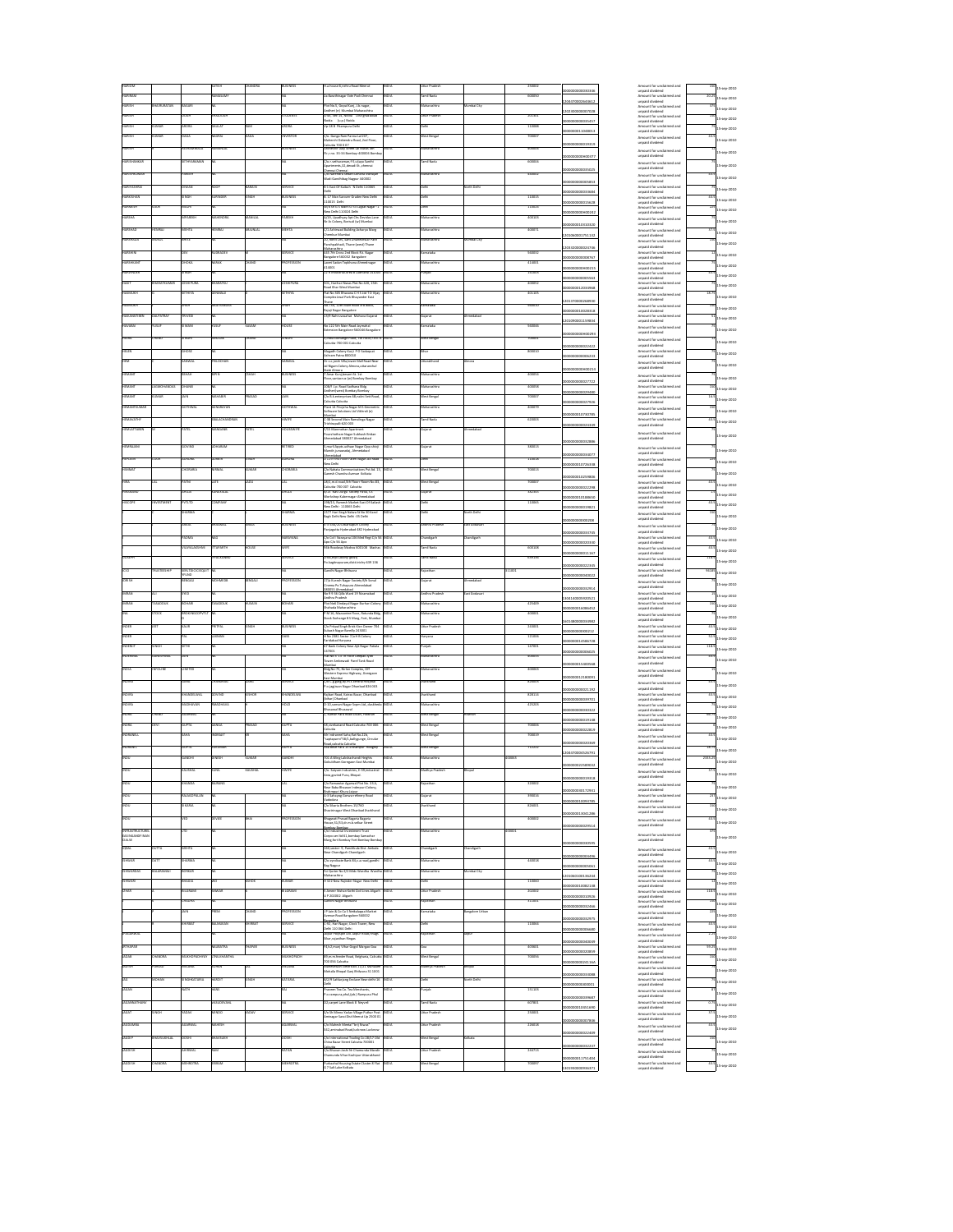|                                     |                       |                |                 |                                                                                                                                       |     |          |                  |                             | Amount for unclaimed and<br>Senson for undertring and<br>Amount for underred and<br>unpaid dividend | 20.                     | Sarp 2010                                                                                                                                                                                                                                                                                                                                                                                                                                                                                                                                                                                                                                                    |
|-------------------------------------|-----------------------|----------------|-----------------|---------------------------------------------------------------------------------------------------------------------------------------|-----|----------|------------------|-----------------------------|-----------------------------------------------------------------------------------------------------|-------------------------|--------------------------------------------------------------------------------------------------------------------------------------------------------------------------------------------------------------------------------------------------------------------------------------------------------------------------------------------------------------------------------------------------------------------------------------------------------------------------------------------------------------------------------------------------------------------------------------------------------------------------------------------------------------|
|                                     |                       |                |                 | xt No. 5, Gopal Kunj, J.b. naga                                                                                                       |     |          |                  | 002644612                   | Amount for unclaimed and                                                                            | F                       | ep-2010                                                                                                                                                                                                                                                                                                                                                                                                                                                                                                                                                                                                                                                      |
|                                     |                       |                |                 | teri (e) Mun<br>arashtra<br>46, Sec-14, Noida Dist-ghaziabad                                                                          |     |          | 201101           | 2023<br>07028               | unpaid dividend<br>Amount for unclaimed and                                                         |                         | 5-sep-2010<br>sep-2010                                                                                                                                                                                                                                                                                                                                                                                                                                                                                                                                                                                                                                       |
|                                     |                       |                |                 | ida (u.p.) Nolda<br>-188 Pitampura Di                                                                                                 |     |          | 11000            |                             | unpaid dividend<br>Amount for unclaimed and                                                         |                         | -<br>sep-2010                                                                                                                                                                                                                                                                                                                                                                                                                                                                                                                                                                                                                                                |
|                                     |                       |                |                 | i. Ganga Ram Panna Lal 207,<br>hershi Debendra Road, 2nd Floor,<br>cutta 700 0 07                                                     |     |          | 700007           | 00000011048013              | unpaid dividend<br>Amount for unclaimed and<br>unpaid dividend                                      | 41                      | sep-2010                                                                                                                                                                                                                                                                                                                                                                                                                                                                                                                                                                                                                                                     |
|                                     |                       |                |                 | cheshir Daly Street Lal Niwas 4th<br>r.r.no. 33-34 Bombay-400004 Boml                                                                 |     |          | 400004           |                             | Amount for unclaimed and                                                                            |                         |                                                                                                                                                                                                                                                                                                                                                                                                                                                                                                                                                                                                                                                              |
|                                     |                       |                |                 |                                                                                                                                       |     |          |                  |                             | unpaid dividend<br>Amount for unclaimed and                                                         |                         | 5-sep-2010                                                                                                                                                                                                                                                                                                                                                                                                                                                                                                                                                                                                                                                   |
|                                     |                       |                |                 |                                                                                                                                       |     |          |                  | 0000000035025               | unpaid dividend                                                                                     |                         | S-sep-2010                                                                                                                                                                                                                                                                                                                                                                                                                                                                                                                                                                                                                                                   |
|                                     |                       |                |                 | innai Chennai<br>: Narendra Sedani Lohana Mahaja<br>Vadi Gandhibag Nagpur 440002                                                      |     |          | 440002           |                             | Amount for unclaimed and<br>unpaid dividend                                                         | 41                      | sep-2010                                                                                                                                                                                                                                                                                                                                                                                                                                                                                                                                                                                                                                                     |
|                                     |                       |                |                 | L East Of Kallash N Delhi 11005                                                                                                       |     |          |                  | 033684                      | Amount for unclaimed and<br>unpaid dividend                                                         |                         | $-$ sep $-2010$                                                                                                                                                                                                                                                                                                                                                                                                                                                                                                                                                                                                                                              |
|                                     |                       |                |                 | 17 Man Sarover Grade<br>2015 Delhi                                                                                                    |     |          | 110019           | 00000000015628              | Amount for unclaimed and<br>unpaid dividend                                                         | $\overline{a}$          | 5-sep-2010                                                                                                                                                                                                                                                                                                                                                                                                                                                                                                                                                                                                                                                   |
|                                     |                       |                |                 | jo Sh G S Maihi G-S3 Lajpat Nagar<br>w Delhi 110024 Delhi                                                                             |     |          | 110024           |                             | Amount for unclaimed and<br>unpaid dividend                                                         | $\overline{\mathbf{z}}$ | 5-sep-2010                                                                                                                                                                                                                                                                                                                                                                                                                                                                                                                                                                                                                                                   |
|                                     |                       |                |                 | 19, Upadhyay Apt O<br>.lic Colony, Borivall (                                                                                         |     |          |                  |                             | Amount for unclaimed and<br>unpaid dividend                                                         |                         | Sarp 2010                                                                                                                                                                                                                                                                                                                                                                                                                                                                                                                                                                                                                                                    |
|                                     |                       |                |                 | : Ashirwad Building Acharya Marg                                                                                                      |     |          | 400071           | 0310320                     | Amount for unclaimed and<br><b>Innehicle History</b>                                                | B                       | 5-sep-2010                                                                                                                                                                                                                                                                                                                                                                                                                                                                                                                                                                                                                                                   |
|                                     |                       |                |                 | embur Mumbal<br>), Rohit Chi, Sant I                                                                                                  |     |          |                  | 01751132                    | Amount for unclaimed and                                                                            | E                       | 5-sep-2010                                                                                                                                                                                                                                                                                                                                                                                                                                                                                                                                                                                                                                                   |
|                                     |                       |                |                 | harashtra<br>5 7th Cross 2nd Block R.t. Nagar<br>ngalore 560032  Bangalore                                                            |     |          | 560032           | 203320000024746             | unpaid dividend<br>Amount for unclaimed and                                                         |                         | sep-2010                                                                                                                                                                                                                                                                                                                                                                                                                                                                                                                                                                                                                                                     |
|                                     |                       |                | <b>DEESSO!</b>  | rni Sadan Topkhana Ahmedragar<br>6001                                                                                                 | XA  |          | 414001           | 00008767                    | unpaid dividend<br>Amount for unclaimed and                                                         |                         | S-sep-2010                                                                                                                                                                                                                                                                                                                                                                                                                                                                                                                                                                                                                                                   |
|                                     |                       |                |                 |                                                                                                                                       |     |          | 14100            | 10215<br>ossea              | unpaid dividend                                                                                     | $\overline{a}$          | S-sep-2010                                                                                                                                                                                                                                                                                                                                                                                                                                                                                                                                                                                                                                                   |
|                                     |                       |                |                 |                                                                                                                                       |     |          |                  |                             | Amount for unclaimed and<br>unpaid dividend<br>Amount for unclaimed and                             |                         | $-$ sep $-2010$                                                                                                                                                                                                                                                                                                                                                                                                                                                                                                                                                                                                                                              |
|                                     |                       |                |                 | lat No 305 Bhavana C H S Ltd T D Vijay<br>Complex Jesal Park Bhayander East                                                           | XA  |          | 401105           | 034968                      | unpaid dividend<br>Amount for unclaimed and                                                         | 187                     | sep-2010                                                                                                                                                                                                                                                                                                                                                                                                                                                                                                                                                                                                                                                     |
|                                     |                       |                |                 | ine<br>.730, 12th Main Road 3rd Block                                                                                                 |     |          | 56001            | 0268930                     | unpaid dividend<br>Amount for unclaimed and                                                         |                         | 5-sep-2010                                                                                                                                                                                                                                                                                                                                                                                                                                                                                                                                                                                                                                                   |
|                                     |                       |                |                 | iai Na<br>I/9 Nahruvasahat Mahuva Gujarat                                                                                             |     | arat     |                  | 10028318                    | unpaid dividend<br>Amount for unclaimed and                                                         | $-51$                   | sep-2010                                                                                                                                                                                                                                                                                                                                                                                                                                                                                                                                                                                                                                                     |
|                                     |                       |                |                 | s 122 5th Main Road Jaymaha                                                                                                           |     |          | 560040           | 201000001159834             | unpaid dividend                                                                                     |                         |                                                                                                                                                                                                                                                                                                                                                                                                                                                                                                                                                                                                                                                              |
|                                     |                       |                |                 | ension Bangalore-560046 Bangalor                                                                                                      |     |          |                  |                             | Amount for unclaimed and<br>unpaid dividend<br>Amount for unclaimed and                             |                         | $-$ sep $-2010$                                                                                                                                                                                                                                                                                                                                                                                                                                                                                                                                                                                                                                              |
|                                     |                       |                |                 | Exchange Place, 7<br>s.700.001 Calcutt                                                                                                |     |          |                  | 022422                      | unpaid dividend                                                                                     |                         | Sarp 2010                                                                                                                                                                                                                                                                                                                                                                                                                                                                                                                                                                                                                                                    |
|                                     |                       |                |                 | gach Colony Kurji P O Sac<br>tram Patria 800010                                                                                       |     |          | soco10           | 16231                       | Amount for unclaimed and<br><b>Innehicle History</b>                                                |                         | 5-sep-2010                                                                                                                                                                                                                                                                                                                                                                                                                                                                                                                                                                                                                                                   |
|                                     |                       |                |                 | .s.c.joshi Villa, lower M<br>Nigam Colony Almora,uttaranchal<br>ate Almora                                                            |     |          |                  | 00H00214                    | Amount for unclaimed and<br>unpaid dividend                                                         |                         | 5-sep-2010                                                                                                                                                                                                                                                                                                                                                                                                                                                                                                                                                                                                                                                   |
|                                     |                       |                |                 | kmar Kuni, besant St. 1st<br>sor, santacruz (w) Bombay Bombay                                                                         |     |          | 400054           |                             | Amount for unclaimed and<br>unpaid dividend                                                         |                         | S-sep-2010                                                                                                                                                                                                                                                                                                                                                                                                                                                                                                                                                                                                                                                   |
|                                     |                       |                |                 | 18/Y J.p. Road Sadhana Bidg<br>rri(west) Bombay Bombar                                                                                |     |          | 400058           | 0027722                     | Amount for unclaimed and                                                                            |                         | S-sep-2010                                                                                                                                                                                                                                                                                                                                                                                                                                                                                                                                                                                                                                                   |
|                                     |                       |                |                 | o II.k. enterprises GB, nalini Set<br>Icutta Calcutta                                                                                 |     |          |                  |                             | unpaid dividend<br>Amount for unclaimed and                                                         | 16                      | -<br>sep-2010                                                                                                                                                                                                                                                                                                                                                                                                                                                                                                                                                                                                                                                |
|                                     |                       |                |                 | nt 14 Pirojsha Nagar M S Geome<br>tware Solutions Ltd Vikhroli (e)                                                                    |     |          | 400079           | 00027926                    | unpaid dividend<br>Amount for unclaimed and                                                         | $\mathbf{H}$            | sep.2010                                                                                                                                                                                                                                                                                                                                                                                                                                                                                                                                                                                                                                                     |
|                                     |                       | LACHANDEAN     |                 | nd Main Ramalinga Naga                                                                                                                |     | d Ne     | 620003           |                             | npaid dividend<br>Amount for unclaimed and                                                          | $\overline{41}$         | S-sep-2010                                                                                                                                                                                                                                                                                                                                                                                                                                                                                                                                                                                                                                                   |
|                                     |                       |                |                 | urron:<br>38 Second Main Ran<br>ichirapalli-620 003                                                                                   |     |          |                  | 024349                      | unpaid dividend                                                                                     |                         |                                                                                                                                                                                                                                                                                                                                                                                                                                                                                                                                                                                                                                                              |
|                                     |                       |                |                 | terrapus<br>15 Manmohan Apartmert<br>surahotham Nagar Subhash Bridae<br>smedabad 380027 Ahmedabad                                     |     |          |                  |                             | Amount for unclaimed and<br>unpaid dividend                                                         |                         | S-sep-2010                                                                                                                                                                                                                                                                                                                                                                                                                                                                                                                                                                                                                                                   |
|                                     |                       |                |                 | surli Appts udhaw Nagar Opp.shi<br>adaj, Ahm<br>dr.ju                                                                                 | XA  | arat     | 380013           |                             | Amount for unclaimed and<br>unpaid dividend                                                         |                         | s.sep.2010                                                                                                                                                                                                                                                                                                                                                                                                                                                                                                                                                                                                                                                   |
|                                     |                       |                |                 | 19 Fint<br>w Delhi<br>re Este                                                                                                         |     |          | 110018           |                             | Amount for unclaimed and                                                                            | $\overline{\mathbf{z}}$ | 5-sep-2010                                                                                                                                                                                                                                                                                                                                                                                                                                                                                                                                                                                                                                                   |
|                                     |                       |                |                 |                                                                                                                                       |     |          |                  | 0726338                     | mpaid dividend<br>Amount for unclaimed and                                                          |                         | S-sep-2010                                                                                                                                                                                                                                                                                                                                                                                                                                                                                                                                                                                                                                                   |
|                                     |                       |                |                 | 8/1,m.d.road,5th Floorr Room No.83<br>alcutta-700 007  Calcutta                                                                       |     |          | 700007           |                             | unpaid dividend<br>Amount for unclaimed and                                                         | $\overline{41}$         | Sarp 2010                                                                                                                                                                                                                                                                                                                                                                                                                                                                                                                                                                                                                                                    |
|                                     |                       |                |                 | 11 Nav Durga Society Patia, S.                                                                                                        |     |          | 382345           | 0022298                     | <b>Institute Manager</b>                                                                            |                         |                                                                                                                                                                                                                                                                                                                                                                                                                                                                                                                                                                                                                                                              |
|                                     |                       |                |                 | shop Br<br>$-1$<br>8/15, Ramesh Market<br>nv Delhi - 110065 Delh                                                                      |     |          |                  | 10188650                    | Amount for unclaimed and<br>unpaid dividend<br>Amount for unclaimed and                             | 43                      | S-sep-2010<br>sep-2010                                                                                                                                                                                                                                                                                                                                                                                                                                                                                                                                                                                                                                       |
|                                     |                       |                |                 | 1577 Hari Singh Nalwa St No 30 Karol<br>Bagh Delhi New Delhi -05 Delhi                                                                | DίA |          |                  | 9821                        | unpaid dividend<br>Amount for unclaimed and                                                         | 15                      |                                                                                                                                                                                                                                                                                                                                                                                                                                                                                                                                                                                                                                                              |
|                                     |                       |                |                 | $-456/20Dv$                                                                                                                           |     |          |                  | 0208                        | unpaid dividend<br>Amount for unclaimed and                                                         |                         | $-$ sep $-2010$                                                                                                                                                                                                                                                                                                                                                                                                                                                                                                                                                                                                                                              |
|                                     |                       |                |                 | jagutta Hyderabad 482 Hyderabac                                                                                                       |     |          |                  | 0033745                     | unpaid dividend                                                                                     |                         | 5-sep-2010                                                                                                                                                                                                                                                                                                                                                                                                                                                                                                                                                                                                                                                   |
|                                     |                       |                |                 | : Col I Narayana 106 Med Regt C/o S<br>po C/o S6 Apo                                                                                  | XA  |          |                  |                             | Amount for unclaimed and                                                                            | ¢                       |                                                                                                                                                                                                                                                                                                                                                                                                                                                                                                                                                                                                                                                              |
|                                     |                       |                |                 |                                                                                                                                       |     |          |                  | 0000000020330               | unpaid dividend                                                                                     |                         |                                                                                                                                                                                                                                                                                                                                                                                                                                                                                                                                                                                                                                                              |
|                                     |                       |                |                 | b Roadway Madras 600108 Madr                                                                                                          |     |          | 600108           |                             | Amount for unclaimed and<br>unpaid dividend                                                         | $\overline{a}$          |                                                                                                                                                                                                                                                                                                                                                                                                                                                                                                                                                                                                                                                              |
|                                     |                       |                |                 | 66,trpl Colory (post)<br>:kagitnapuram,distit trichy-639 136                                                                          |     |          | 63913            |                             | Amount for unclaimed and<br>unpaid dividend                                                         | $\frac{1}{2}$           |                                                                                                                                                                                                                                                                                                                                                                                                                                                                                                                                                                                                                                                              |
|                                     | RIDIOOD<br><b>UND</b> |                |                 | hi Nagar B                                                                                                                            |     |          |                  | 0022345                     | Amount for unclaimed and<br>unpaid dividend                                                         | 9418                    |                                                                                                                                                                                                                                                                                                                                                                                                                                                                                                                                                                                                                                                              |
|                                     | <b>NGAL</b>           |                |                 | Kuresh Nagar Society B/h So<br>na Po Tuhapura Ahmedabad                                                                               |     |          |                  |                             | Amount for unclaimed and                                                                            |                         |                                                                                                                                                                                                                                                                                                                                                                                                                                                                                                                                                                                                                                                              |
|                                     |                       |                |                 | 055 Ahmedabad<br>9 9 36 Qilla Ward 19 Nas                                                                                             |     |          |                  | 000032914                   | unpaid dividend<br>Amount for unclaimed and                                                         |                         |                                                                                                                                                                                                                                                                                                                                                                                                                                                                                                                                                                                                                                                              |
|                                     |                       |                |                 |                                                                                                                                       | XA  |          | 425409           | 104140005920521             | unpaid dividend<br>Amount for unclaimed and                                                         | B                       |                                                                                                                                                                                                                                                                                                                                                                                                                                                                                                                                                                                                                                                              |
|                                     |                       |                |                 | ot No6 Dindayal Nagar Burhari Colo<br>whada Maharashtra<br>M 16. Marza                                                                |     |          | m                | 016086452                   | unpaid dividend<br>Amount for unclaimed and                                                         |                         |                                                                                                                                                                                                                                                                                                                                                                                                                                                                                                                                                                                                                                                              |
|                                     |                       |                |                 | sck Exchange B S Marg, Fort, Mum<br>D Pritpal Singh Brick Kion Owner 704                                                              |     |          | 243001           | 601480000034982             | unpaid dividend<br>Amount for unclaimed and                                                         | 43.                     |                                                                                                                                                                                                                                                                                                                                                                                                                                                                                                                                                                                                                                                              |
|                                     |                       |                |                 | ash Nagar Barelly 243001<br>No 2381 Sector 7/a H B Colony                                                                             |     |          | 121000           | 0000000000212               | unpaid dividend<br>Amount for unclaimed and                                                         | 52                      |                                                                                                                                                                                                                                                                                                                                                                                                                                                                                                                                                                                                                                                              |
|                                     |                       |                |                 | ridabad Haryan<br><b>Bank Colo</b>                                                                                                    |     |          | 14700            | 014586728                   | unpaid dividend<br>Amount for unclaimed and                                                         | 118                     |                                                                                                                                                                                                                                                                                                                                                                                                                                                                                                                                                                                                                                                              |
|                                     |                       |                |                 | 2001<br>k No 3 13 Th Floor Deepak Jyoti<br>wer Ambewadi Parel Tank Road                                                               |     |          | 400033           | 0602                        | unpaid dividend                                                                                     | 43.                     |                                                                                                                                                                                                                                                                                                                                                                                                                                                                                                                                                                                                                                                              |
|                                     |                       |                |                 | No-75, Ninon Complex, Off                                                                                                             |     |          | 400063           | 000000015400568             | Amount for unclaimed and<br>unpaid dividend                                                         |                         |                                                                                                                                                                                                                                                                                                                                                                                                                                                                                                                                                                                                                                                              |
|                                     |                       |                |                 | stern Express Highway, Goregace<br>st Mumba                                                                                           |     |          |                  | 00000012180091              | Amount for unclaimed and<br>unpaid dividend                                                         |                         |                                                                                                                                                                                                                                                                                                                                                                                                                                                                                                                                                                                                                                                              |
|                                     |                       |                |                 | o C.g.garg,dy.m.s.central Hospital<br>1. jagjiwan Nagar Dhanbad 826 003                                                               |     |          |                  | 0021192                     | Amount for unclaimed and<br>unpaid dividend                                                         |                         |                                                                                                                                                                                                                                                                                                                                                                                                                                                                                                                                                                                                                                                              |
|                                     |                       |                |                 | ibari Road, Katras Bazar, Dhanbad<br>har) Dhanbad                                                                                     |     |          | 828114           | <b>HOTO</b>                 | Amount for unclaimed and                                                                            | $\overline{a}$          |                                                                                                                                                                                                                                                                                                                                                                                                                                                                                                                                                                                                                                                              |
|                                     |                       |                |                 | <b>Link of Giftson</b>                                                                                                                |     |          | 425203           | 00030322                    | unpaid dividend<br>Amount for unclaimed and                                                         |                         |                                                                                                                                                                                                                                                                                                                                                                                                                                                                                                                                                                                                                                                              |
|                                     |                       |                |                 | Jumar Para Road Lib                                                                                                                   |     |          |                  | 0019148                     | unpaid dividend<br>Amount for unclaimed and<br>unpaid dividend                                      | 66.7                    |                                                                                                                                                                                                                                                                                                                                                                                                                                                                                                                                                                                                                                                              |
|                                     |                       |                |                 | vivekanand Road Calcutta-700 00<br>tta                                                                                                | XA  | st Benga | 700006           | 0022819                     | Amount for unclaimed and<br>unpaid dividend                                                         |                         |                                                                                                                                                                                                                                                                                                                                                                                                                                                                                                                                                                                                                                                              |
|                                     |                       |                |                 | eel Saha.flat No.226<br>aparni <sup>n</sup> 58/1, ballygunge, Circular<br>of coloutte Colcutta                                        |     |          | 00019            | 000020369                   | Amount for unclaimed and<br>unpaid dividend                                                         |                         |                                                                                                                                                                                                                                                                                                                                                                                                                                                                                                                                                                                                                                                              |
|                                     |                       |                |                 | Bose Para 15 Shirampur Hooghly                                                                                                        |     |          | 712222           | 4526791                     | Amount for unclaimed and<br>unpaid dividend                                                         | 18.7                    |                                                                                                                                                                                                                                                                                                                                                                                                                                                                                                                                                                                                                                                              |
|                                     |                       |                |                 | C A Wing Lakshachandi H<br>skuldham Goreeaon East Mumbai                                                                              |     |          |                  |                             | Amount for unclaimed and<br>unpaid dividend                                                         | 2333.2                  |                                                                                                                                                                                                                                                                                                                                                                                                                                                                                                                                                                                                                                                              |
|                                     |                       |                |                 |                                                                                                                                       |     |          |                  |                             | Amount for unclaimed and                                                                            |                         |                                                                                                                                                                                                                                                                                                                                                                                                                                                                                                                                                                                                                                                              |
|                                     |                       |                |                 | o. Satyam Industries, E-39<br>ea,govind Pura, Bhopal.                                                                                 | DίA | asthan   | 320002           | 019318                      | unpaid dividend                                                                                     |                         |                                                                                                                                                                                                                                                                                                                                                                                                                                                                                                                                                                                                                                                              |
|                                     |                       |                |                 | lo Ramawtar Agarwal Plot No. 33 A.<br>sar Baba Bhawan Inderpuri Colony,<br>puri Khura Jales                                           |     |          | 190010           | 30172931                    | Amount for unclaimed and<br>unpaid dividend                                                         |                         |                                                                                                                                                                                                                                                                                                                                                                                                                                                                                                                                                                                                                                                              |
|                                     |                       |                |                 | .<br>Indus                                                                                                                            |     | khand    | 826001           | 0093785                     | Amount for unclaimed and<br>unpaid dividend                                                         | 15                      |                                                                                                                                                                                                                                                                                                                                                                                                                                                                                                                                                                                                                                                              |
|                                     |                       |                | 3901            | o Sikaria Brothers 15/760<br>astrinagar West Dhanbad Jharkhan                                                                         |     |          |                  | 000000013041286             | Amount for unclaimed and<br>unpaid dividend                                                         |                         |                                                                                                                                                                                                                                                                                                                                                                                                                                                                                                                                                                                                                                                              |
|                                     |                       |                |                 | agwati Prasad Bagaria Bagaria<br>use,31/33,dr.m.b.velkar Street                                                                       |     |          | 400002           | 000029514                   | Amount for unclaimed and<br>unpaid dividend                                                         | $\overline{a}$          |                                                                                                                                                                                                                                                                                                                                                                                                                                                                                                                                                                                                                                                              |
|                                     |                       |                |                 | they Bo                                                                                                                               |     |          |                  |                             | Amount for unclaimed and                                                                            |                         |                                                                                                                                                                                                                                                                                                                                                                                                                                                                                                                                                                                                                                                              |
|                                     |                       |                |                 | s Industrial Investment Trust<br>rpo.ser.hd 61, bombay Samachi<br>ing.fort Bombay Fort Bombay Bi<br>10, sector- 9, Panchkula Dist. Am | XA  |          |                  |                             | unpaid dividend                                                                                     | 41                      |                                                                                                                                                                                                                                                                                                                                                                                                                                                                                                                                                                                                                                                              |
|                                     |                       |                |                 | ar Chandigarh Chandigarh<br>underste Bank 84 z                                                                                        |     |          |                  | haster                      | Amount for unclaimed and<br>unpaid dividend                                                         |                         |                                                                                                                                                                                                                                                                                                                                                                                                                                                                                                                                                                                                                                                              |
|                                     |                       |                |                 |                                                                                                                                       |     |          | 440018           | tres:                       | Amount for unclaimed and                                                                            | 42                      |                                                                                                                                                                                                                                                                                                                                                                                                                                                                                                                                                                                                                                                              |
|                                     |                       |                |                 | No I/2<br>Qurter                                                                                                                      |     |          |                  | 00136244                    | Amount for uncurried and<br>unpaid dividend<br>Amount for unclaimed and<br>unpaid dividend          |                         |                                                                                                                                                                                                                                                                                                                                                                                                                                                                                                                                                                                                                                                              |
|                                     | <b>AGLA</b>           |                |                 | 322 New Rajinder Nagar New Delh<br>veer Nishan Kothi Civil Lines Alies                                                                | XA  |          | 110060<br>202002 | 0082138                     | Amount for unclaimed and<br>unpaid dividend                                                         | 115.                    |                                                                                                                                                                                                                                                                                                                                                                                                                                                                                                                                                                                                                                                              |
|                                     |                       |                |                 | P 202002 Aleam                                                                                                                        |     |          |                  | 0010926                     | Amount for unclaimed and<br>unpaid dividend                                                         |                         |                                                                                                                                                                                                                                                                                                                                                                                                                                                                                                                                                                                                                                                              |
|                                     |                       |                | <b>IFESSION</b> | .<br>Shi Nagar Ohi                                                                                                                    |     |          |                  | 032466                      | Amount for unclaimed and<br>unpaid dividend                                                         |                         |                                                                                                                                                                                                                                                                                                                                                                                                                                                                                                                                                                                                                                                              |
|                                     |                       |                |                 | 'Jain & Co Ca S Netkalappa Mar<br>enue Road Bangalore 560002                                                                          |     |          |                  | 032975                      | Amount for unclaimed and<br>unpaid dividend                                                         | z                       |                                                                                                                                                                                                                                                                                                                                                                                                                                                                                                                                                                                                                                                              |
|                                     |                       | MUKAN          | nr              | veslore<br><sup>19</sup> Harl Nagar, Clock Toy<br>hi 110 064 Delhi                                                                    |     |          | 110064           | 1006680                     | Amount for unclaimed and<br>unpaid dividend                                                         | 43.5                    |                                                                                                                                                                                                                                                                                                                                                                                                                                                                                                                                                                                                                                                              |
|                                     |                       |                |                 | ipur Polyspin Ltd. Jaipur Road,rinags<br>kar,rajasthan Ringas                                                                         |     |          |                  |                             | Amount for unclaimed and                                                                            | 2.2                     |                                                                                                                                                                                                                                                                                                                                                                                                                                                                                                                                                                                                                                                              |
|                                     |                       | JBATA          |                 | (c2, muni Vihar Gogol Margao Gos                                                                                                      |     |          | 403601           | 040049                      | unpaid dividend<br>Amount for unclaimed and                                                         | 59.2                    |                                                                                                                                                                                                                                                                                                                                                                                                                                                                                                                                                                                                                                                              |
|                                     |                       |                |                 | ad, Gelghi<br>OSS Calcutt                                                                                                             |     |          |                  |                             | unpaid dividend<br>Amount for unclaimed and                                                         | $\overline{15}$         |                                                                                                                                                                                                                                                                                                                                                                                                                                                                                                                                                                                                                                                              |
|                                     |                       |                |                 |                                                                                                                                       |     |          |                  | 0024116A                    | unpaid dividend<br>Amount for unclaimed and                                                         |                         |                                                                                                                                                                                                                                                                                                                                                                                                                                                                                                                                                                                                                                                              |
|                                     | <b>DIVATADIA</b>      | ion.           |                 | heshwari Electricals 11/21 Mahawee<br>halla Bhopal Ganj Bhilwara 31 1001<br>2/9 Safdarjang Enclave New-delhi-10                       |     |          |                  |                             | unpaid div<br>Amount for unclaimed and                                                              |                         |                                                                                                                                                                                                                                                                                                                                                                                                                                                                                                                                                                                                                                                              |
|                                     |                       |                |                 |                                                                                                                                       |     |          | 151103           |                             | unpaid dividend<br>Amount for unclaimed and                                                         |                         |                                                                                                                                                                                                                                                                                                                                                                                                                                                                                                                                                                                                                                                              |
|                                     |                       | <b>GUDEVAN</b> |                 | aveen Tea Co. Tea Merchants,<br>o.rampura,phul.(pb.) Rampura Phul<br>2, carpet Lane Block & Neyveli                                   | XA  | ni Nad   | 607801           | 139687                      | unpaid dividend<br>Amount for unclaimed and                                                         | 0.7                     |                                                                                                                                                                                                                                                                                                                                                                                                                                                                                                                                                                                                                                                              |
|                                     |                       |                |                 | Sh Minno Yaday Village Puthar R                                                                                                       |     |          | 25000            | 0451690                     | unpaid dividend                                                                                     | w.                      |                                                                                                                                                                                                                                                                                                                                                                                                                                                                                                                                                                                                                                                              |
|                                     |                       |                |                 | rouse Fold Dist Meerut Up 2500 01 مجاز العربية                                                                                        |     |          |                  | 0007846                     | Amount for unclaimed and<br>unpaid dividend                                                         |                         |                                                                                                                                                                                                                                                                                                                                                                                                                                                                                                                                                                                                                                                              |
|                                     |                       |                |                 | .<br>Mahesh Meetal "brij Niwas"<br>2.aminabad Road Jucknow Luck                                                                       |     | ır Prade | 226018           | 00000000022409              | Amount for unclaimed and<br>unpaid dividend                                                         | 43.                     |                                                                                                                                                                                                                                                                                                                                                                                                                                                                                                                                                                                                                                                              |
| mwa                                 |                       |                |                 | s International Trading Co 28/17 Oh<br>Ina Bazar Street Calcutta 700001                                                               |     | st Gener |                  |                             | Amount for unclaimed and<br>unpaid dividend                                                         |                         |                                                                                                                                                                                                                                                                                                                                                                                                                                                                                                                                                                                                                                                              |
| <b>SDU</b><br>GING<br>ALSE<br>IQBAL |                       |                |                 | uvan Joshi Nr Charnunda Mar<br>Inda Vihar Kashipur Uttarakh                                                                           |     |          |                  | 00032237<br>000000011751404 | Amount for unclaimed and<br>unpaid dividend                                                         |                         | 5-sep-2010<br>sep-2010<br>sep-2010<br>5-sep-2010<br>5-sep-2010<br>sep-2010<br>Sarp 2010<br>5-sep-2010<br>5-sep-2010<br>S-sep-2010<br>5-sep-2010<br>-sep-2010<br>sep-2010<br>S-sep-2010<br>Sarp 2010<br>sep 2010<br>iep-2010<br>sep-2010<br>5-sep-2010<br>15-sep-2010<br>sep-2010<br>S-sep-2010<br>Ssep-2010<br>5-sep-2010<br>5-sep-2010<br>$-$ sep $-2010$<br>5-sep-2010<br>5-sep-2010<br>5-sep-2010<br>5-sep-2010<br>15-sep-2010<br>5-sep-2010<br>sep-2010<br>$-$ sep $-2010$<br>5-sep-2010<br>5-sep-2010<br>S-sep-2010<br>S-sep-2010<br>5-sep-2010<br>S-sep-2010<br>5-sep-2010<br>15-sep-2010<br>5-sep-2010<br>S-sep-2010<br>$-$ sep $-2010$<br>S-sep-2010 |

| mount for unclaimed and                                          | s,                      | iś<br>sep-2010 |
|------------------------------------------------------------------|-------------------------|----------------|
| unpaid dividend<br>Amount for uncla<br>imed and                  |                         | sep-2010       |
| .<br>ad o<br>ini<br>ü<br>med and                                 |                         |                |
| .<br>mount for und<br>npaid dividend<br>Amount for unclaimed and |                         | sep-2010<br>ì, |
| brebivib bison                                                   |                         | is<br>sep-2010 |
| ä<br>$\alpha$<br>for und<br>aimed and<br>aid dividend<br>nş      |                         | sep-2010<br>ú  |
| Amount for unclaimed and<br>unpaid dividend                      |                         | sep-2010<br>ú  |
|                                                                  |                         |                |
| t fa<br>r unda<br>mour<br>in<br>d and<br>id dividend<br>npi      | Þ                       | ep-2010        |
| Amount for unclaimed and                                         |                         | sep-2010       |
| brebivib bien                                                    |                         | ß              |
| t for unda<br>d and<br>id divid                                  |                         | $-2010$        |
| nş<br>nd<br>ount for unda<br>said divident<br>d and              |                         | p-2010         |
| ų<br>imed and                                                    |                         |                |
| unpied Grevens<br>Amount for und<br>unpaid dividend              |                         | ep-2010        |
| Amount for unclaimed and<br>unpaid dividend                      | 25                      | sep-2010       |
| Amount for und<br>imed and                                       |                         | sep-2010<br>ß  |
| unpaid dividend<br>.<br>mount for und<br>im<br>d and             |                         |                |
| unpaid dividend                                                  |                         | p-2010         |
| .<br>mount for und<br>npaid dividend<br>d and<br>im              | s.                      | p-2010         |
| np<br>Amount for uncla<br>d and                                  |                         |                |
| unpaid dividend<br>Amount for und<br>d and                       |                         | p-2010         |
| im<br>unpaid dividend                                            | 75                      | sep-2010       |
| Amour<br>ount for und<br>wid dividend<br>imed and                | 15                      | sep-2010       |
| <br>for und<br>ù<br>d ar                                         | $\frac{1}{25}$          | sep-2010       |
| id divid<br>nd<br>nş<br>d and                                    |                         |                |
| ount for und<br>said dividend<br>ų                               |                         | p-2010         |
| Amount for unclaimed and                                         | s.                      | sep-2010       |
| aid dividend<br>sunt for uncl<br>unpai<br>Amou<br>i ar           |                         | sep-2010       |
| id divid<br>nd<br>nş                                             | 5                       |                |
| endبی<br>unt for und<br>'مواد divider'<br>our<br>da<br>ų         |                         | $-2010$        |
|                                                                  | n                       |                |
| Amount for unclaimed and<br>unpaid dividend                      |                         | sep-2010<br>ß  |
| mount for und<br>im<br>d and<br>unpaid dividend                  |                         | ep-2010        |
| unt for und<br>id dividend<br>mo<br>d and<br>m                   | ž.                      | p-2010         |
| np                                                               |                         |                |
| Amount for unclaimed and<br>mpaid dividend                       |                         | sep-2010<br>ú  |
| Amount for unclaimed and                                         |                         |                |
| brebivib bison<br>'n<br>$\alpha$<br>fer und<br>aimed and         |                         | sep-2010<br>ß  |
| aid dividend<br>nş                                               |                         | 0-2010<br>ú    |
| Amount for unclaimed and<br>unpaid dividend                      |                         | sep-2010<br>ú  |
| Amount for unclaimed and                                         |                         |                |
| unpaid dividend                                                  |                         | 15-sep-2010    |
| ū<br>med and                                                     |                         | 5-sep-2010     |
| unpaid dividend                                                  |                         |                |
| for unclaimed and<br>ź                                           |                         | sep-2010       |
| aid dividend<br>unp<br>Amount for unclaimed and                  | 225                     |                |
| unpaid dividend                                                  |                         | sep-2010<br>ú  |
| Amount for und<br>imed and                                       |                         | ú<br>sep-2010  |
| npaid dividend<br>mount for u<br>nd<br>im<br>d and               |                         |                |
| unpaid dividend                                                  | 13.5                    | sep-2010<br>í. |
| Amount for uncl<br>unpaid dividend<br>imed and                   |                         | sep-2010<br>ú  |
| $\frac{1}{10^{11}}$<br>t for und<br>ù<br>i ar                    | ŧ                       | ep-2010        |
| id divid<br>nd<br>np<br>گاہ<br>ar und<br>Adr<br>da               | u                       |                |
| ت<br>unt fo<br>id di<br>ų                                        |                         | p-2010         |
| t fe<br>nd<br>med and                                            |                         | ep-2010        |
| unpaid dividend<br>imed and                                      |                         |                |
| .<br>Amount for und<br>unpaid dividend                           |                         | $-2010$        |
| Amount for unclaimed and<br>unpaid dividend                      | 5                       | sep-2010       |
| Amount for unclaimed and                                         |                         | sep-2010       |
| unpaid dividend                                                  |                         |                |
| Amount for und<br>d and<br>im<br>unpaid dividend                 |                         | ep-2010        |
| .<br>Amount for und<br>unpaid dividend<br>imed and               |                         | p-2010         |
| Amount for unclaimed and                                         |                         |                |
| unpaid dividend<br>Amount for und                                |                         | -2010          |
| imi<br>d and<br>unpaid dividend                                  | 150                     | sep-2010       |
| j<br>t fa<br>md<br>d and<br>mo<br>'n                             |                         | ep-2010        |
| unpaid dividend<br>t for uncla<br>.<br>41<br>d and               |                         |                |
| puu<br>sount for v<br>paid dividi<br>nş<br>nd                    |                         | 2010<br>ėρ     |
| Amount for unclaimed and<br>unpaid dividend                      | 5                       | sep-2010<br>ß  |
| Amount for und<br>aimed and                                      |                         | sep-2010<br>ú  |
| aid divider<br>.<br>1d<br>aimed and                              |                         |                |
| .<br>Amount for uncl<br>unpaid dividend                          |                         | sep-2010<br>ú  |
| nount for uncla<br>d and                                         |                         | ep-2010        |
| id dividend<br>np                                                |                         |                |
| Amount for unclaimed and<br>hreaid dividend                      |                         | sep-2010<br>ß  |
| Amount for unclaimed and                                         |                         | sep-2010<br>1Ś |
| brebivib bisons<br>Amount for unclaimed and                      |                         |                |
| aid divide<br>sunt for u<br>lend<br>und<br>unpai<br>Amou         |                         | 0.0010<br>ú    |
| aimed and<br>Amount tor una<br>unpaid dividend<br>Amount for una |                         | p-2010         |
| ime<br>d and<br>unpaid dividend                                  | ¢                       | ú<br>sep-2010  |
| t fe<br>è<br>nd<br>imed and<br>mo                                |                         |                |
| unpaid dividend                                                  |                         | 15-sep-2010    |
| t for unclaimed and<br>h<br>.<br><br>id divis<br>nd<br>nş        |                         | 5-sep-2010     |
| <i>Amour</i><br>t for und<br>d and                               | 2333<br>25              | 15-sep-2010    |
| id divi<br>nş<br>nd                                              |                         |                |
| mount for unclaimed and<br>dd                                    |                         |                |
| unt for<br>iid divi<br>d a                                       | 75                      | p-2010         |
|                                                                  |                         |                |
| Amount for uncl<br>unpaid dividend<br>imed and                   | 217                     | 15-sep-2010    |
| Amount for uncl<br>unpaid dividend<br>imed and                   |                         | 15-sep-2010    |
|                                                                  |                         |                |
| nount for uncla<br>d and<br>id divis<br>nş<br>lend               |                         | ıs<br>sep-2010 |
|                                                                  |                         |                |
| Amount for unclaimed and<br>unpaid dividend                      |                         | 5-sep-2010     |
| Amount for unclaimed and                                         |                         |                |
| unpaid dividend                                                  |                         | 15-sep-2010    |
| Amount for unclaimed and<br>unpaid dividend                      | 15                      | 15-sep-2010    |
| .<br>nou<br>for und<br>ù<br>ed and                               | $\overline{\mathbf{r}}$ | 15-sep-2010    |
| embarn ne<br>unpaid dividend<br>Amount for und<br>imed and       |                         |                |
| unpaid dividend                                                  | 12                      | 15-sep-2010    |
| Amount for unclaimed and<br>aid dividend                         | ш                       | 15-sep-2010    |
| aimed and<br>ount for und<br>said dividend<br>m<br>ng            |                         | 15-sep-2010    |
|                                                                  |                         |                |
| Amount for unclaimed and<br>unpaid dividend<br>unp               |                         | is<br>sep-2010 |
| Amount for unclaimed and<br>aid dividend                         |                         | 15-sep-2010    |
| inş<br>Amount for unclaimed and                                  |                         |                |
| unpaid dividend                                                  |                         | 15-sep-2010    |
| Amount for unclaimed and<br><b>Innahörith History</b>            |                         | 5-sep-2010     |
| 'n<br>$\alpha$<br>for unclaimed and                              | ī                       | 15-sep-2010    |
| aid dividend<br>nş                                               |                         |                |
| Amount for unclaimed and<br>unpaid dividend                      |                         | 15-sep-2010    |
| Amount for unclaimed and                                         | 75                      | 15-sep-2010    |
| <b>unpaid dividend</b>                                           |                         |                |
| Amount for unclaimed and<br>unpaid dividend                      |                         | 15-sep-2010    |
| t fe<br>r und<br>med and<br>mo                                   | 0.75                    | 5-sep-2010     |
| unpaid dividend<br>imed and                                      | ī                       |                |
| mount for und<br>npaid dividend<br>npi                           |                         | 5-sep-2010     |
| Amount for unclaimed and<br>unpaid dividend                      |                         | 15-sep-2010    |
|                                                                  |                         |                |
| t for unda<br>nour<br>d ar<br>d<br>id dividend<br>np             |                         | 15-sep-2010    |
| Amount for unclaimed and                                         |                         |                |
| brebivib bien                                                    |                         | 15-sep-2010    |
| Amount for unclaimed and                                         |                         | 15-sep-2010    |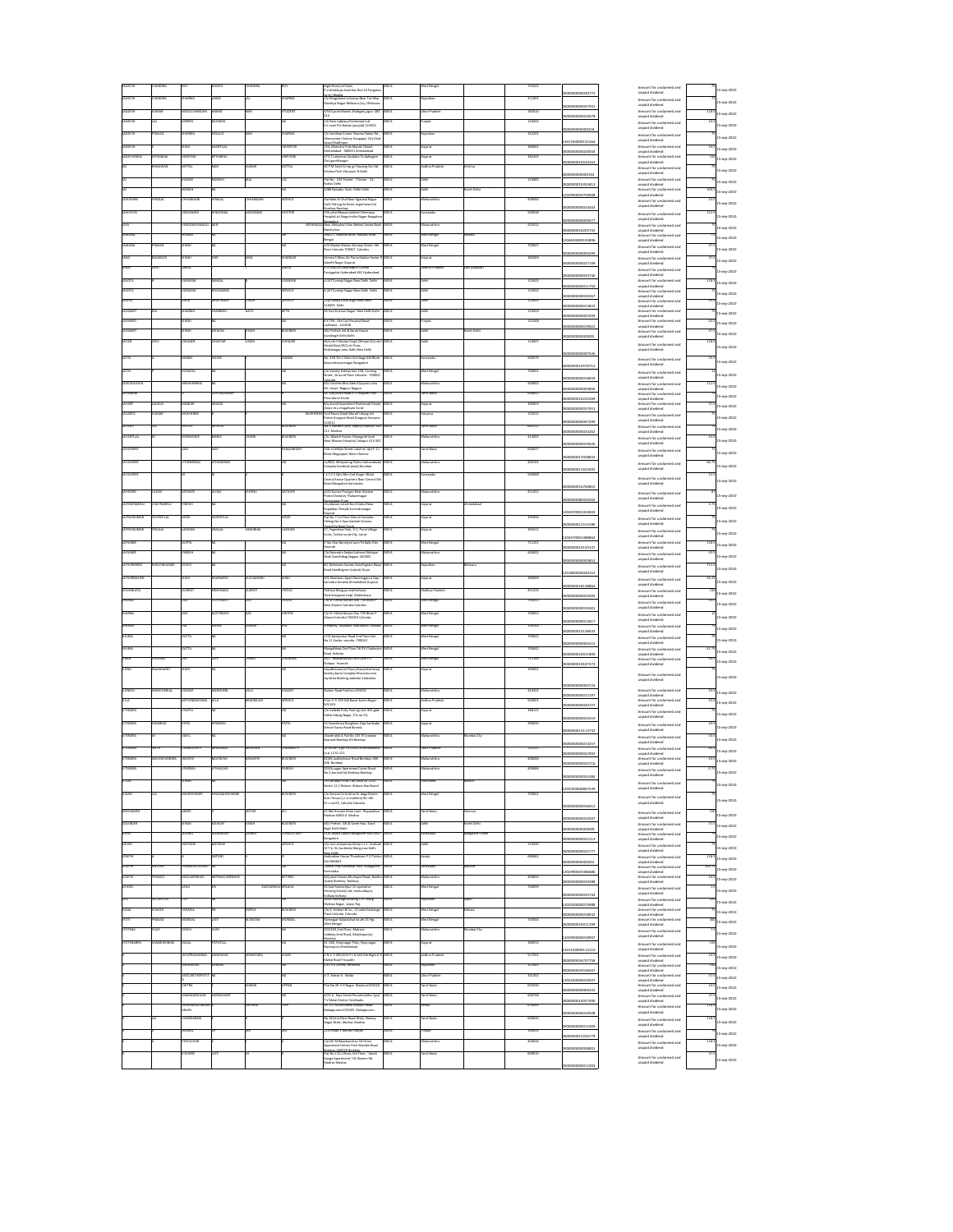|      |                   |        |        |              | ni koad,raii Gate,<br>.bhabla,ps.basirhat Dist.24 Pargan                                                                                                        |    |                    |                 | 030772             | Amount for unclaimed and<br>unpaid dividend                                                         |                       | 5-sep-2010                                                                                                                                                                                                                                                                                                                 |
|------|-------------------|--------|--------|--------------|-----------------------------------------------------------------------------------------------------------------------------------------------------------------|----|--------------------|-----------------|--------------------|-----------------------------------------------------------------------------------------------------|-----------------------|----------------------------------------------------------------------------------------------------------------------------------------------------------------------------------------------------------------------------------------------------------------------------------------------------------------------------|
|      |                   |        |        |              | <b>Bhagchand Luhariya Near Tar Ghar</b><br>nikya Nagar Bhilwara (raj.) Bhilwara                                                                                 |    |                    | 311001          |                    | Amount for unclaimed and<br>unpaid dividend                                                         |                       | sep-2010                                                                                                                                                                                                                                                                                                                   |
|      |                   |        |        |              | hganj, agra-2                                                                                                                                                   |    |                    |                 |                    | Amount for unclaimed and<br>unpaid dividend                                                         | 118                   | sep-2010                                                                                                                                                                                                                                                                                                                   |
|      |                   |        |        |              | Ram Labhaya Parshotam La<br>t road P/o Batala (punjab) 143505                                                                                                   |    |                    | 141507          | 00318              | Amount for unclaimed and<br>unpaid dividend                                                         | $\overline{a}$        | -<br>sep-2010                                                                                                                                                                                                                                                                                                              |
|      |                   |        |        |              | <b>MAN TIME OF</b><br>tari Colony Gangapur City Dis                                                                                                             |    |                    | 322201          |                    | Amount for unclaimed and                                                                            |                       | 5-sep-2010                                                                                                                                                                                                                                                                                                                 |
|      |                   |        |        |              | usi Madho<br>34, Ghanchis Pole Manek Chowk<br>hmedabad - 380001 Ahmedabad                                                                                       |    |                    | 380001          | 101760000131564    | unpaid dividend<br>Amount for unclaimed and                                                         | 43.                   | 5-sep-2010                                                                                                                                                                                                                                                                                                                 |
|      |                   |        |        |              | 71-2,rabarivas Kadadra Ta dahegan<br>ht.eandhinaea                                                                                                              |    |                    | 382305          | 0020044<br>0544163 | unpaid dividend<br>Amount for unclaimed and                                                         |                       | sep-2010                                                                                                                                                                                                                                                                                                                   |
|      |                   |        |        |              | s<br>P M Sectt Co-op.gr Hi<br>fishna Park Viksapuri N<br>.<br>HNDeb                                                                                             |    |                    |                 |                    | unpaid dividend<br>Amount for unclaimed and                                                         |                       | 5-sep-2010                                                                                                                                                                                                                                                                                                                 |
|      |                   |        |        |              | it No - 233 Pocket - 7 Sector - 23,                                                                                                                             |    |                    | 110083          | 0000102            | unpaid dividend<br>Amount for unclaimed and                                                         |                       | 5-sep-2010                                                                                                                                                                                                                                                                                                                 |
|      |                   |        |        |              | hini Delhi<br>088 Bahadur Garh Delhi Delh                                                                                                                       |    |                    |                 | 00000010355813     | unpaid dividend<br>Amount for unclaimed and                                                         | 100                   | 5-sep-2010                                                                                                                                                                                                                                                                                                                 |
|      |                   |        |        |              | ribdas Ki Chal Near Agarwal Nagar<br>fa Tekri <sub>d</sub> gufa Road, Jogeshwari (e)                                                                            |    |                    | 400             |                    | unpaid dividend<br>Amount for unclaimed and                                                         | $\overline{a}$        | sep-2010                                                                                                                                                                                                                                                                                                                   |
|      |                   |        |        |              | ind Ch<br>laya                                                                                                                                                  |    |                    | 560038          | (2444)             | unpaid dividend<br>Amount for unclaimed and                                                         | 112                   |                                                                                                                                                                                                                                                                                                                            |
|      |                   |        |        |              | pital,ist Stage,indica Nagar Bangalo<br>ralon<br>dai Vihar Behind Janata Bar                                                                                    |    |                    | 425412          | 'nΣ                | unpaid dividend                                                                                     |                       | -sep-2010                                                                                                                                                                                                                                                                                                                  |
|      |                   |        |        |              | <b>CALLED</b>                                                                                                                                                   |    |                    |                 | 00000010203732     | Amount for unclaimed and<br>unpaid dividend<br>Amount for unclaimed and                             |                       | sep-2010                                                                                                                                                                                                                                                                                                                   |
|      |                   |        |        |              | 04 Madan Mohan Burman Street 4tl<br>Ioor Calcutta 700007 Calcutta                                                                                               |    |                    | 700007          | 0193896            | unpaid dividend<br>Amount for unclaimed and                                                         | 17                    | sep-2010                                                                                                                                                                                                                                                                                                                   |
|      |                   |        |        |              | en 5 Mess Air Force St                                                                                                                                          |    |                    | 382009          | 54299              | unpaid dividend<br>Amount for unclaimed and                                                         | $\overline{v}$        | sep-2010                                                                                                                                                                                                                                                                                                                   |
|      |                   |        |        |              | <b>Inchi Nagar Gujara</b>                                                                                                                                       |    |                    |                 | 027149             | unpaid dividend                                                                                     |                       | sep-2010                                                                                                                                                                                                                                                                                                                   |
|      |                   |        |        |              | l-456/20 Dwarkapuri Colony<br>sjagutta Hyderabad 482 Hyderabad<br>-<br>2475, netaji Nagar New Delhi Delhi                                                       |    |                    | 110023          |                    | Amount for unclaimed and<br>unpaid dividend<br>.<br>Impaid di<br>Amount for unclaimed and           | 118.5                 | sep-2010                                                                                                                                                                                                                                                                                                                   |
|      |                   |        |        |              | 1475, netaji Naga                                                                                                                                               |    |                    | 110027          |                    | unpaid dividend<br>Amount for unclaimed and                                                         |                       | sep-2010                                                                                                                                                                                                                                                                                                                   |
|      |                   |        |        |              | ia/SGwea Karol Bagh New                                                                                                                                         |    |                    | 110007          | 330367             | unpaid dividend<br>Amount for unclaimed and                                                         | $\overline{a}$        | sep-2010                                                                                                                                                                                                                                                                                                                   |
|      |                   |        |        |              | ICOS Delhi<br>6 Hari Krishan Nagar New Delhi Delh                                                                                                               |    |                    | 110055          | 000013822          | unpaid dividend<br>Amount for unclaimed and                                                         |                       | 5-sep-2010<br>Sarp 2010                                                                                                                                                                                                                                                                                                    |
|      |                   |        |        |              | : 759 , 01d Cwl )<br>Priana - 141008                                                                                                                            |    |                    | 141008          |                    | Senson for understand and<br>Amount for underred and<br>unpaid dividend                             | 41                    | S-sep-2010                                                                                                                                                                                                                                                                                                                 |
|      |                   |        |        |              | s Perfectalik & Sa                                                                                                                                              |    |                    |                 | 3022               | Amount for unclaimed and                                                                            | IJ                    | 5-sep-2010                                                                                                                                                                                                                                                                                                                 |
|      |                   |        |        |              | sibagh Delhi Dy<br>i/o.shri Chhatar Singh Chhajer D/o<br>Iralal Bald, 19/1, let Floo                                                                            |    |                    | 110007          | J00005             | unpaid dividend<br>Amount for unclaimed and                                                         | 118                   |                                                                                                                                                                                                                                                                                                                            |
|      |                   |        |        |              | taktinagar, new Delhi New Delhi                                                                                                                                 |    |                    |                 | 17526              | unpaid dividend                                                                                     |                       | sep-2010                                                                                                                                                                                                                                                                                                                   |
|      |                   |        |        |              | 258 7th C Main 3rd Stare 4th 9<br>vestwaranagar Bang                                                                                                            |    |                    | 550070          | 0570712            | Amount for unclaimed and<br>unpaid dividend                                                         |                       | 5-sep-2010                                                                                                                                                                                                                                                                                                                 |
|      |                   |        |        |              | s Variety Enterprices 138, Canning<br>eet , Ground Floor Calcutta - 700000                                                                                      |    |                    | 700001          |                    | Amount for unclaimed and<br>unpaid dividend                                                         |                       | $5$ sep $-2010$                                                                                                                                                                                                                                                                                                            |
|      |                   |        |        |              | im Bhai Abdul Qoyum Loha<br><b>B. Harari, Newman Newman</b>                                                                                                     |    |                    | 440002          | oosase             | Amount for unclaimed and                                                                            | 112.                  | sep-2010                                                                                                                                                                                                                                                                                                                   |
|      |                   |        |        |              | اس<br>Kanjkovil Road K S Palaya<br>Indural Erode<br>Alloya                                                                                                      |    |                    |                 | 0225269            | unpaid dividend<br>Amount for unclaimed and                                                         |                       | sep-2010                                                                                                                                                                                                                                                                                                                   |
|      |                   |        |        |              | anand Apartm<br>prum.c.mugalisara Surat                                                                                                                         |    |                    | 395007          | 0037951            | unpaid dividend<br>Amount for unclaimed and<br>unpaid dividend                                      | B                     | 5-sep-2010                                                                                                                                                                                                                                                                                                                 |
|      |                   |        |        |              | al Room Deptt Maruti Udyog Ltd<br>am Gurgaon Road Gurgaon Haryana                                                                                               |    |                    | 122012          |                    | Amount for unclaimed and<br>unpaid dividend                                                         |                       | 5-sep-2010                                                                                                                                                                                                                                                                                                                 |
|      |                   |        |        |              | 2012<br>nters Lane, Vepery,m                                                                                                                                    |    |                    |                 | 007299             | Amount for unclaimed and                                                                            |                       | sep-2010                                                                                                                                                                                                                                                                                                                   |
|      |                   |        |        |              | is. Manish Estate, Ghangade Vasti<br>ear Ahavani Hospital, Solapur 411 001                                                                                      |    |                    | 413002          | 024262             | unpaid dividend                                                                                     | $\overline{a}$        |                                                                                                                                                                                                                                                                                                                            |
|      |                   |        |        |              | 6-a Vellalar Street Lakshmi, Azt F-1                                                                                                                            |    |                    | sanna           | 19626              | Amount for unclaimed and<br>unpaid dividend<br>Amount for unclaimed and                             |                       | sep-2010                                                                                                                                                                                                                                                                                                                   |
|      | endran            |        |        |              | ock Mogappair West Chenna<br>(804, Whispering Palms Lokhar                                                                                                      |    |                    | 400101          | 28834              | unpaid dividend                                                                                     | gg:                   | 5-sep-2010                                                                                                                                                                                                                                                                                                                 |
|      |                   |        |        |              | nplex Kand<br>ali (east) Mun                                                                                                                                    |    |                    |                 | 011622492          | Amount for unclaimed and<br>unpaid dividend                                                         |                       | sep 2010                                                                                                                                                                                                                                                                                                                   |
|      |                   |        |        |              | CCE Obys Blom 2nd Stage 1 BL<br>Central SI<br>tise Quarters 8<br>ard Bangalore Karnataka                                                                        |    |                    |                 |                    | Amount for unclaimed and<br>unpaid dividend                                                         |                       | 5-sep-2010                                                                                                                                                                                                                                                                                                                 |
|      |                   |        |        |              |                                                                                                                                                                 |    |                    |                 | 00000016700810     | Amount for unclaimed and                                                                            |                       |                                                                                                                                                                                                                                                                                                                            |
|      |                   |        |        |              | 24 Kumar Prangan Near Alas<br>ilce Chowkey Thakarenagar<br>rvenasar Pune<br>street No,1 Gokul Neu                                                               |    | jara               |                 |                    | unpaid dividend                                                                                     | 17                    | S-sep-2010                                                                                                                                                                                                                                                                                                                 |
|      |                   |        |        |              | palbas Temple Surendranagar                                                                                                                                     |    |                    |                 |                    | Amount for unclaimed and<br>unpaid dividend                                                         |                       | $-$ sep $-2010$                                                                                                                                                                                                                                                                                                            |
|      |                   |        |        |              | at No 7 1st Floor Maruti Comple<br>bhar No 2 Opp Valshall Cirema                                                                                                |    |                    | 3950            | 011511586          | Amount for unclaimed and<br>unpaid dividend                                                         |                       | sep-2010                                                                                                                                                                                                                                                                                                                   |
|      |                   |        |        |              | erachha Road Surat<br>1, Yogenhwe Park, V-1, Purse Village<br>eat, Taluka-surat City, Surat                                                                     |    |                    | 394213          |                    | Amount for unclaimed and                                                                            |                       | $5$ sep $-2010$                                                                                                                                                                                                                                                                                                            |
|      |                   |        |        |              | ari Das Baneriee Lane Po Bally Dis<br>este.                                                                                                                     |    |                    | 711201          | 204470001488864    | unpaid dividend<br>Amount for unclaimed and<br>unpaid dividend                                      | 118                   | sep-2010                                                                                                                                                                                                                                                                                                                   |
|      |                   |        |        |              | Narendra Sedani Luxuma<br>di Gandhibag Nagpur 440002                                                                                                            |    |                    |                 | 000000010150137    | Amount for unclaimed and                                                                            |                       | 5-sep-2010                                                                                                                                                                                                                                                                                                                 |
|      |                   |        |        |              | Neminath Society Gandhigram                                                                                                                                     |    |                    |                 | 100005852          | unpaid dividend<br>Amount for unclaimed and                                                         | $^{712}$              |                                                                                                                                                                                                                                                                                                                            |
|      |                   |        |        |              | sad Gandhigram (rajkot) Gujar                                                                                                                                   |    |                    |                 |                    | unpaid dividend                                                                                     | 56.                   | sep-2010                                                                                                                                                                                                                                                                                                                   |
|      |                   |        |        |              | nu Apart Navrangpura Op<br>                                                                                                                                     |    |                    |                 | 0018138864         | Amount for unclaimed and<br>unpaid dividend                                                         |                       | sep-2010                                                                                                                                                                                                                                                                                                                   |
|      |                   |        |        |              | shwa Marg.po.maheshwar,<br>itt.khargone (mp). Maheshwa<br>5 Sri Chitta Ranian Das 736 Big                                                                       |    | <b>Thus Pra</b>    | 451224          | 0025095            | Amount for unclaimed and<br>unpaid dividend                                                         | -15<br>$\overline{a}$ | S-sep-2010                                                                                                                                                                                                                                                                                                                 |
|      |                   |        |        |              | w Alippre Calcutta Calcutta                                                                                                                                     |    |                    |                 | 00010401           | Amount for unclaimed and<br>unpaid dividend                                                         |                       | 5-sep-2010                                                                                                                                                                                                                                                                                                                 |
|      |                   |        |        |              | : Sri Chitta Ranjan Das 736 Block P<br>sore Calcutta 700053 Calcutta                                                                                            |    | t Bengal           | 700053          |                    | Amount for unclaimed and<br>unpaid dividend                                                         |                       |                                                                                                                                                                                                                                                                                                                            |
|      |                   |        |        |              |                                                                                                                                                                 |    | st Gener           |                 |                    | Amount for unclaimed and                                                                            |                       | sep.2010                                                                                                                                                                                                                                                                                                                   |
|      |                   |        |        |              | polly. Gopalour Sarkarppol Ko                                                                                                                                   |    |                    | 700143          |                    |                                                                                                     |                       | sep-2010                                                                                                                                                                                                                                                                                                                   |
|      |                   |        |        |              | .<br>11 Kasba -cacutta -700042<br>11 Kasba -cacutta -700042                                                                                                     |    |                    |                 | 10138543           | unpaid dividend<br>Amount for unclaimed and                                                         |                       | S-sep-2010                                                                                                                                                                                                                                                                                                                 |
|      |                   |        |        |              |                                                                                                                                                                 |    | est Bengal         | 700042          | 04215              | unpaid dividend<br>Amount for unclaimed and                                                         | 42.7                  |                                                                                                                                                                                                                                                                                                                            |
|      |                   |        |        |              | ingaldeep 2nd Floor 56 R K Chatterje<br>ad Kolkata<br>4/7. Bhattacharva Para Lane P.u                                                                           |    | st Gene            | 711104          |                    | unpaid dividend<br>Amount for unclaimed and                                                         | $\overline{41}$       |                                                                                                                                                                                                                                                                                                                            |
|      |                   |        |        |              | .<br>Der Howrat                                                                                                                                                 |    |                    |                 | 00000010107373     | unpaid dividend                                                                                     |                       |                                                                                                                                                                                                                                                                                                                            |
|      |                   |        |        |              | yubhawani, kit Floor, dhwuarkee<br>:lety, bansi Complex Khancho, n<br>ratna Building, vadodar Vadodi                                                            |    |                    |                 |                    | Amount for unclaimed and<br>unpaid dividend                                                         |                       | 5-sep-2010<br>sep-2010<br>15-sep-2010                                                                                                                                                                                                                                                                                      |
|      |                   |        |        |              | ion Road Pachora 424201                                                                                                                                         |    | arashtra           | 424201          | 0003724            | Amount for unclaimed and                                                                            | 43.5                  | sep-2010                                                                                                                                                                                                                                                                                                                   |
|      |                   |        |        | with         | no.1-3-159 Old Bazar Karim Nagar                                                                                                                                | XA | dhra Prader        | 505001          |                    | unpaid dividend                                                                                     | 41.                   | sep-2010                                                                                                                                                                                                                                                                                                                   |
|      |                   |        |        |              | 25 001<br>Vallabh Polly Pack (o) Ltd. 901.                                                                                                                      |    |                    | 388123          | 3727               | Amount for unclaimed and<br>unpaid dividend<br>Amount for unclaimed and                             |                       |                                                                                                                                                                                                                                                                                                                            |
|      |                   |        |        |              | hal Udyog Nagar, P.b.no.53,                                                                                                                                     |    |                    | 390020          | 33219              | unpaid dividend                                                                                     | ¢                     |                                                                                                                                                                                                                                                                                                                            |
|      |                   |        |        |              | Saundariya Banglows Opp 1<br>Iool Vasna Road Baroda                                                                                                             |    |                    |                 | 13113732           | Amount for unclaimed and<br>unpaid dividend                                                         | $\overline{a}$        | 5-sep-2010<br>iep-2010                                                                                                                                                                                                                                                                                                     |
|      |                   |        |        |              | ndralok A Flat No 105 97,<br>road Borrbay-06 Borrbay                                                                                                            |    |                    |                 | 000013257          | Amount for unclaimed and<br>unpaid dividend                                                         |                       | 5-sep-2010                                                                                                                                                                                                                                                                                                                 |
|      |                   |        |        |              | p.)-231 221<br>14, walkes                                                                                                                                       |    |                    |                 |                    | Amount for unclaimed and<br>unpaid dividend<br>Amount for unclaimed and                             | 41                    | sep-2010                                                                                                                                                                                                                                                                                                                   |
|      |                   |        |        |              | they<br>rtment Carter Roa                                                                                                                                       |    |                    |                 | 123714             | unpaid dividend                                                                                     |                       | 5-sep-2010                                                                                                                                                                                                                                                                                                                 |
|      |                   |        |        |              | .<br>37/6,sagar Apartment Carter Ro.<br>o. 2,borivali (e) Bombay Bombay                                                                                         |    |                    |                 | 000031484          | Amount for unclaimed and<br>unpaid dividend                                                         |                       |                                                                                                                                                                                                                                                                                                                            |
|      |                   |        |        |              | l Gorabal Po Bs City Local Or 1252<br>ctor 12 C Bokaro Bokaro Jharkhand                                                                                         |    |                    |                 | 25.98              | Amount for unclaimed and<br>unpaid dividend                                                         |                       |                                                                                                                                                                                                                                                                                                                            |
|      | <b>IFO WAR</b>    |        |        |              | (o Sensex Co.krishna Kr.daga Mari<br>urn House,1,r.n.mukherji Rd. 4th                                                                                           |    | st Genea           | monot           |                    | Amount for unclaimed and                                                                            |                       |                                                                                                                                                                                                                                                                                                                            |
|      |                   |        |        |              | Ir.r.no.63, Calcutta Calcutta                                                                                                                                   |    |                    |                 |                    | unpaid dividend<br>Amount for unclaimed and                                                         | $\overline{15}$       |                                                                                                                                                                                                                                                                                                                            |
|      |                   |        |        |              | Md Hussain Khan Lane Royape)<br>dras 600014 Madras                                                                                                              |    |                    |                 | 0033297            | unpaid dividend                                                                                     |                       |                                                                                                                                                                                                                                                                                                                            |
|      |                   |        |        | <b>INESS</b> | s Prefect. Silk & Saree Hou<br>agh Delhi Delhi                                                                                                                  |    |                    |                 |                    | Amount for unclaimed and<br>unpaid dividend                                                         | IJ                    |                                                                                                                                                                                                                                                                                                                            |
|      |                   |        |        |              | /6.loyola Layout I                                                                                                                                              |    |                    |                 | 022113             | Amount for unclaimed and<br>unpaid dividend                                                         |                       |                                                                                                                                                                                                                                                                                                                            |
|      |                   |        |        |              | ma Johny L.r.s<br>1do Marg, new                                                                                                                                 |    |                    |                 | 1032777            | Amount for unclaimed and<br>unpaid dividend                                                         |                       |                                                                                                                                                                                                                                                                                                                            |
|      |                   |        |        |              | Nouse Thumboor P O Tri<br>mbooken P<br>st 680662                                                                                                                |    |                    | 680662          | 0300202            | Amount for unclaimed and<br>unpaid dividend                                                         | 118.                  |                                                                                                                                                                                                                                                                                                                            |
|      |                   |        |        |              | nel Villa Kulu<br><b>Service</b>                                                                                                                                |    |                    |                 | nnssnoe            |                                                                                                     | 241.7                 |                                                                                                                                                                                                                                                                                                                            |
|      |                   |        |        |              |                                                                                                                                                                 |    |                    |                 | 9288               | Amount for unclaimed and<br>unpaid dividend<br>Amount for unclaimed and<br>unpaid dividend          | ¢                     |                                                                                                                                                                                                                                                                                                                            |
|      |                   |        |        |              | 34 East Santoshpur Co-operative<br>ing Society Ltd.,mule                                                                                                        | XA | est Bengal         | 700099          | 035744             | Amount for unclaimed and<br>unpaid dividend                                                         | $\overline{1}$        |                                                                                                                                                                                                                                                                                                                            |
|      |                   |        |        |              | <b>Rata Kolkata</b><br>alding 1.U<br>na saurungu wuxung.<br>Arka Nazar, Jalour Ra                                                                               |    |                    |                 | 074988             | Amount for unclaimed and                                                                            | -52                   |                                                                                                                                                                                                                                                                                                                            |
|      |                   |        |        | INESS        | ío G. Kothari & Co., 12,india Exchange<br>Iace Calcutta  Calcutta                                                                                               | XA | nt Bengal          |                 | 8032               | unpaid dividend<br>Amount for unclaimed and<br>unpaid dividend                                      | 75                    |                                                                                                                                                                                                                                                                                                                            |
| ASAD | NDA               |        | LRATAN | <b>INCAL</b> | mnagar Kalatalahat South 24 Pgs                                                                                                                                 |    | est Bengal         | 741504          | 0011299            | Amount for unclaimed and<br>unpaid dividend                                                         | b                     |                                                                                                                                                                                                                                                                                                                            |
|      |                   |        |        |              | est Bengal<br>12/203,2nd Floor, Mahavir<br>bhay kirol Road, Ghatkogache)                                                                                        |    |                    |                 |                    | Amount for unclaimed and<br>unpaid dividend                                                         |                       |                                                                                                                                                                                                                                                                                                                            |
|      |                   | patlal |        |              | ambai<br>-184, Vijaynagar Flats, Vijaynagar                                                                                                                     |    |                    | 380013          |                    |                                                                                                     | 15                    |                                                                                                                                                                                                                                                                                                                            |
|      |                   |        |        |              | arpura Ah                                                                                                                                                       |    |                    | 517503          | 00113110           | Amount for unclaimed and<br>unpaid dividend<br>Amount for unclaimed and                             | $^{22}$               |                                                                                                                                                                                                                                                                                                                            |
|      |                   |        |        |              | : N 4-3 305/403 P L N 403 6th Right G<br>fahal Road Tirupathi<br>1 R K Colony                                                                                   |    |                    | 31100           | 34707758           |                                                                                                     | $\frac{1}{2}$         |                                                                                                                                                                                                                                                                                                                            |
|      | <b>CURITIESPV</b> |        |        |              | 7, Sector-4 Noids                                                                                                                                               |    |                    | 201101          |                    | Amount for uncleaned and<br>Amount for uncleaned and<br>unpaid dividend<br>Amount for unclaimed and | 17                    |                                                                                                                                                                                                                                                                                                                            |
|      | TB 6              |        |        |              | ot No 39 K K Nagar Madurai 625020                                                                                                                               |    |                    | 625020          |                    | unpaid dividend<br>Amount for unclaimed and                                                         | 43.5                  |                                                                                                                                                                                                                                                                                                                            |
|      |                   |        |        |              |                                                                                                                                                                 |    |                    | 60670           | 09332              | unpaid dividend<br>Amount for unclaimed and                                                         | 17.5                  |                                                                                                                                                                                                                                                                                                                            |
|      |                   |        |        |              | 13 A, Raja Street Perunku<br>! Malai District Tamilnadu<br>i 157 Kui                                                                                            |    |                    | 676503          | 014057490          | unpaid dividend<br>Amount for unclaimed and                                                         | 118                   |                                                                                                                                                                                                                                                                                                                            |
|      | <b>IAN</b>        |        |        |              | 157 Kunnummel Manjeri Road<br>appuram 676505 Malappuram<br>a 18 first Main Road West, She                                                                       |    |                    | 600030          |                    | unpaid dividend                                                                                     | 118                   | 5-sep-2010<br>S-sep-2010<br>$-$ sep $-2010$<br>5-sep-2010<br>5-sep-2010<br>S-sep-2010<br>S-sep-2010<br>5-sep-2010<br>5-sep-2010<br>$-$ sep $-2010$<br>Ssep-2010<br>15-sep-2010<br>5-sep-2010<br>5-sep-2010<br>15-sep-2010<br>5-sep-2010<br>15-sep-2010<br>5-sep-2010<br>15-sep-2010<br>5-sep-2010<br>sep-2010<br>-sep-2010 |
|      |                   |        |        |              | ar West, Madras Madras                                                                                                                                          |    |                    |                 | 10011009           | Amount for unclaimed and<br>unpaid dividend                                                         |                       | 5-sep-2010                                                                                                                                                                                                                                                                                                                 |
|      |                   |        |        |              | 4 Phase 1 Mohali Punjab                                                                                                                                         |    | rjab               | 160055          | 12226779           | Amount for unclaimed and<br>unpaid dividend                                                         |                       | sep-2010                                                                                                                                                                                                                                                                                                                   |
|      | <b>ATACHAR</b>    |        |        |              | o Mr M Balachandran 16 Drion<br>artment Oomer Park Wanden Road<br>mbay 400026 Bombay<br>e No.212,ii Block, Ird Floor, "akas!<br>nga Apartments" 19, flowers Rd. |    | aharas <i>htra</i> | 400026<br>60001 |                    | Amount for unclaimed and<br>unpaid dividend                                                         | 115<br>p              | sep-2010                                                                                                                                                                                                                                                                                                                   |

| d d                                                                          |          |                |
|------------------------------------------------------------------------------|----------|----------------|
| oun.<br>Nid d<br>nd<br>ń,                                                    |          | p-2010         |
| mount for und<br>imed and                                                    |          |                |
| npaid dividend                                                               |          | sep-2010       |
| Amount for unclaimed and<br>unpaid dividend                                  | 5        | sep-2010       |
| t fe<br>d and                                                                |          | p-2010         |
| unpaid dividend                                                              |          |                |
| n for und<br><b>Imediand</b><br><b>Longest</b><br>aid divide<br>nd           |          | sep-2010       |
| Amount for unclu<br>imed and                                                 | ś        | sep-2010       |
| hmbivib bison<br>for<br>IM<br>imed and                                       |          | 2010           |
| .<br>ount<br>xiid d<br>ų                                                     |          |                |
| Amount for und<br>ed and<br>ū٣<br>.<br>Iddinis<br>ü                          |          | 0.2010         |
| <b>Amnuel for und</b><br>imed and                                            | š        | 5-sep-2010     |
| aid divide<br>nd<br>aimed and                                                |          | 2010           |
| ount for und<br>ount for und<br>said dividend<br>np                          |          |                |
| owen<br>unt for und<br>id dividend<br>Amour<br>d a<br>ä                      | ś        | 2010           |
| t for und<br>mou<br>d and                                                    | m        |                |
| unpaid dividend                                                              |          | ep-2010        |
| repose secure<br>encunt for uncl<br>npaid dividend<br>d and                  |          | ep-2010        |
| Amount for und<br>imed and                                                   | 5        | sep-2010       |
| npaid dividend<br>Amount for und<br>imed and                                 |          |                |
| unpaid dividend                                                              |          | sep-2010       |
| it for und<br>d and<br>mo<br>unpaid dividend                                 |          | p-2010         |
| .<br>Amount for und<br>unpaid dividend<br>d and<br>m                         |          | p-2010         |
| ù<br><b>TOUT</b><br>i ar<br>ä                                                |          |                |
| t for und<br>emtern ve<br>unpaid dividend<br>Amount for uncl                 |          | $-2010$        |
| imed and<br>unpaid dividend                                                  | 75       | sep-2010       |
| Amount for und<br>imed and                                                   | š        | sep-2010       |
| ed divide<br>nd<br>ed and                                                    |          |                |
| d and                                                                        |          | 2010           |
| Amount for und<br>unpaid dividend<br>Amount for und<br>unpaid dividend<br>'n | ś        | sep-2010       |
| Amour<br>aunt for uncl<br>aid dividend<br>ed and                             | 3        | sep-2010       |
|                                                                              |          |                |
| Amount for uncl<br>unpaid dividend<br>dand                                   |          | sep-2010<br>1Ś |
| Amount for und<br>ed and                                                     |          |                |
| aid dividend<br>unp                                                          |          | sep-2010       |
| Amount for und<br>d and                                                      | n        | p-2010         |
| unpaid dividend<br>t for und<br>ù<br>iour<br>i ar<br>ä                       |          |                |
| <br>ddw<br>nd<br>n;                                                          |          | p-2010         |
| Amount for und<br>imed and<br>unpaid dividend                                | 5        | sep-2010       |
| Amount for und<br>imed and<br>id divide<br>'n.                               | š        | 0-2010         |
| ų<br>ed and                                                                  |          |                |
| Amount for uncl<br>unpaid dividend                                           |          | sep-2010       |
| Amount for uncl<br>ed and<br><b>Innahäult Närnm</b>                          |          | sep-2010       |
| Amount for uncl<br>unpaid dividend<br>imed and                               |          | sep-2010       |
|                                                                              |          |                |
| e for und<br>d and<br>mour<br>aid divide<br>'n.<br>ų                         |          | p-2010         |
| d and                                                                        |          | 0-2010         |
| unpaid dividend                                                              |          |                |
| mount for unclaimed and                                                      |          | 0-2010         |
| unpaid dividend                                                              |          |                |
| .<br>mount for und<br>npaid dividend<br>d ar<br>ä                            |          | p-2010         |
| Amount for und                                                               |          |                |
| d and<br>unpaid dividend                                                     |          | p-2010         |
| nount for uncl<br>spaid dividend<br>d a<br>ä                                 | 75       | 2010           |
|                                                                              |          |                |
| e for u<br>nd<br>mou<br>d and<br>unpaid dividend                             |          | $-2010$        |
| int for unc<br>d dividenc<br>mo<br>d and                                     |          | p-2010         |
| np<br>lend<br>t for und<br>Amour<br>d a<br>ä                                 | 5        |                |
| en.<br>Iddiwd<br>end<br>np                                                   |          | 2010           |
| Amount for und<br>imed and<br>npaid dividend                                 |          | sep-2010       |
| å.                                                                           | 5        |                |
|                                                                              |          | 2010           |
| لہ ہے<br>unt for und<br>استحقان divident<br>nour<br>                         |          |                |
| Amount for und<br>d and                                                      | ī        | $-2010$        |
| aid divide<br>'n.<br>ų<br>Amount for und<br>ed and                           |          |                |
| aid divide<br>'n.<br>y                                                       |          | 0-2010         |
| d and                                                                        | Þ        | p-2010         |
| .<br>mount for und<br>npaid dividend<br>i.<br><b>TOUT</b><br>d a<br>ä        |          |                |
| t for und<br>d divid<br>'n,<br>lend                                          |          | $-2010$        |
| ar und<br>Aden <sup>7</sup><br>d a<br>ä<br>ij                                | 75       | 2010           |
| ant fo<br>id div<br><b>Imediand</b>                                          | 75       | sep-2010       |
| d ar<br>ä                                                                    |          |                |
| Amount for und<br>unpaid dividend<br>Amount for und<br>id diwi<br>nd<br>nş   |          | ep-2010<br>ß   |
| t for unclaim<br>d and                                                       |          |                |
| ano مهر<br>unpaid dividend                                                   |          | p.2010         |
| Amount for unclaimed and                                                     | 41.5     | sep-2010       |
| brebivib bison<br>Á<br>d and                                                 | 3        |                |
| nount for und<br>spaid dividend                                              |          | ep-2010        |
| Amount for und<br>imed and<br>aid divide<br>'n.<br>m                         |          | sep-2010       |
| d and<br>im                                                                  | š        |                |
| .<br>mount for und<br>npaid dividend                                         |          | ep-2010        |
| Amount for unclaimed and<br>unpaid dividend                                  |          | sep-2010       |
| Amount for uncli<br>imed and                                                 |          | 5-sep-2010     |
| npaid dividend<br>$\alpha$<br>for und<br>imed and<br>ı                       |          |                |
| aid divi<br>'n.<br>ų                                                         |          | 15-sep-2010    |
| <b>Amnuel for und</b><br>imed and<br>id c                                    |          | 15-sep-2010    |
| d and<br>im                                                                  |          |                |
| Amount for und<br>unpaid dividend                                            |          | sep-2010<br>ß  |
| Amount for unclaim<br>d and                                                  |          | 15-sep-2010    |
| npaid dividend                                                               |          |                |
| d ar<br>ä                                                                    | 150      | p-2010         |
| ount for unclaim<br>said dividend<br>Amount for unclaimed and                | 3        |                |
|                                                                              |          | 15-sep-2010    |
| unpaid dividend<br>Amount for uncl<br>unpaid dividend<br>aimed and           |          | 5-sep-2010     |
| Amour<br>d and                                                               | 3        | sep-2010       |
| لسب<br>ant for und<br>d dividend<br>Amount for unclaimed and                 | m<br>3   |                |
| and elisable<br>nd<br>ų<br>imed and                                          |          | sep-2010       |
| Amount for und<br>unpaid dividend                                            |          | sep-2010       |
| Amount for unclaimed and<br>unpaid dividend                                  | 5        | sep-2010       |
| nt for und<br>d and<br>mo<br>m                                               | š        | 15-sep-2010    |
| unpaid dividend<br>mour<br>imed and                                          |          |                |
| t for und<br>unpaid dividend                                                 |          | sep-2010       |
| Amount for unclaimed and<br><b>Innability Pricess</b>                        | 75       | 15-sep-2010    |
| any.<br>Amou<br>unt for und<br>id dividend<br>d and                          | ö        | 5-sep-2010     |
| <b>Amnuel for und</b><br><b>Imediand</b>                                     |          |                |
| aid dividend<br>ų                                                            |          | 15-sep-2010    |
| mount for und<br>npaid dividend<br>d and<br>im<br>npi                        | ×        | 15-sep-2010    |
| Amount for uncla<br>imed and                                                 | 5        |                |
| id dividend<br>np                                                            | ī<br>s,  | S-sep-2010     |
| Amount for unclaimed and<br>unpaid dividend                                  |          | 15-sep-2010    |
| Amount for und<br><b>Imediand</b>                                            | ī<br>š   | 15-sep-2010    |
| aid dividend<br>sunt for und<br>unpai<br>Amou<br>ed and                      |          | 15-sep-2010    |
| <br>dd<br>unpaid dividend<br>Amount for und<br>med and                       | S        |                |
| unpaid dividend                                                              | 118<br>3 | 15-sep-2010    |
| mount for und<br>im<br>d and<br>unpaid dividend                              |          | sep-2010<br>LS |
| Amount for uncl<br><b>Imediand</b>                                           |          |                |
| aid dividend                                                                 |          | 15-sep-2010    |
| Amount for unclaimed and<br>breakd dividend                                  | 75       | 15-sep-2010    |
| Amount for und<br>imed and                                                   | m<br>ī.  | 15-sep-2010    |
| unpaid dividend                                                              | 17.5     |                |
| mount for unclaimed and<br>unpaid dividend                                   |          | 15-sep-2010    |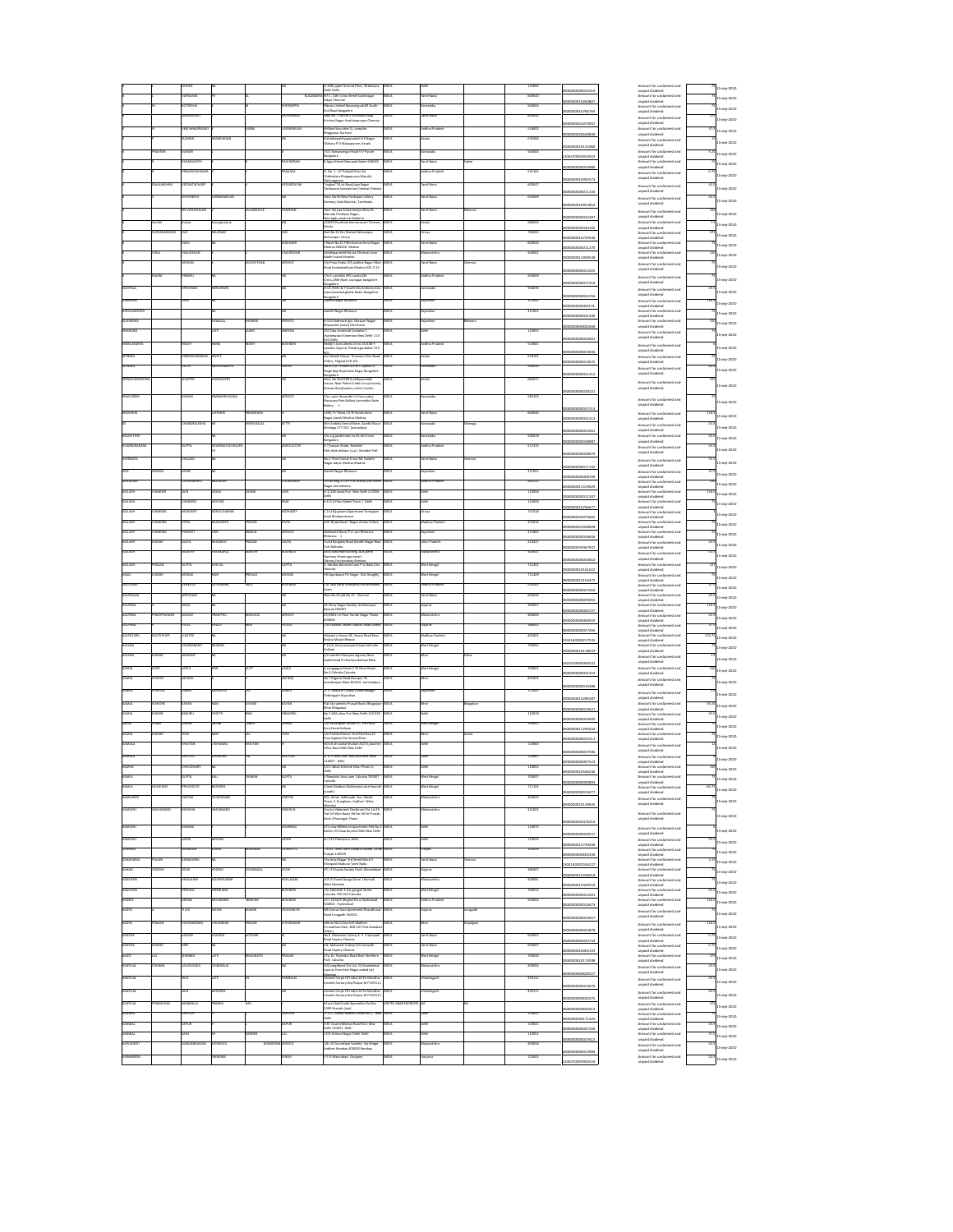|       |          |                |                 |      |                 |                                                                                                                              |    |           |                  |                                   | Amount for unclaimed and                                                                    |                  |                               |
|-------|----------|----------------|-----------------|------|-----------------|------------------------------------------------------------------------------------------------------------------------------|----|-----------|------------------|-----------------------------------|---------------------------------------------------------------------------------------------|------------------|-------------------------------|
|       |          |                |                 |      |                 | hi Delhi                                                                                                                     |    |           |                  |                                   | Senson for uncommodated<br>Amount for unclaimed and<br>unpaid dividend                      |                  | S-sep-2010                    |
|       |          |                |                 |      | KRAPP           |                                                                                                                              |    |           | 56000            |                                   | Amount for unclaimed and                                                                    |                  | ep-2010<br>5-sep-2010         |
|       |          |                |                 |      |                 | d Road Bangal<br>w No 7 Old No 3 3rd Main Road<br>hna Nagar Hasthinapuram Chenna                                             |    |           | 600044           | 016766764                         | unpaid dividend<br>Amount for unclaimed and                                                 |                  | sep-2010                      |
|       |          |                |                 |      |                 |                                                                                                                              |    |           |                  |                                   | unpaid dividend<br>Amount for unclaimed and                                                 |                  | sep-2010                      |
|       |          |                |                 |      |                 | utniyaparambê A R Naga<br>ikara P O Malappuram, Kerala                                                                       |    |           | 676100           |                                   | unpaid dividend<br>Amount for unclaimed and                                                 |                  | <b>S-sep-2010</b>             |
|       |          |                |                 |      |                 |                                                                                                                              |    |           |                  | 1933503                           | unpaid dividend<br>Amount for unclaimed and                                                 | s.               | S-sep-2010                    |
|       |          |                |                 |      |                 |                                                                                                                              |    |           |                  |                                   | unpaid dividend<br>Amount for unclaimed and<br>unpaid dividend                              |                  | sep.2010                      |
|       |          |                |                 |      |                 | .<br>No. 1 - 47 Polipalii Post Via<br>Ntiivalasa Bhogapuram Mandal,                                                          |    | dhra Pri  | 531162           | 202573                            | Amount for unclaimed and<br>unpaid dividend                                                 | 0.7              | sep-2010                      |
|       |          |                |                 |      |                 | anawaram<br>^~~^?4.istRoad.jaya N<br>baran Sanator<br>÷m<br>.<br>Nati                                                        |    |           |                  |                                   | Amount for unclaimed and<br>unpaid dividend                                                 | $\overline{a}$   | 5-sep-2010                    |
|       |          |                |                 |      |                 | or No 60 New Pankajam Colony<br>maraj Salai Madurai, Tamilnadu                                                               |    |           | 625009           | 0011156                           | Amount for unclaimed and                                                                    | ¢                | S-sep-2010                    |
|       |          |                |                 |      |                 | r No.vaa Subramaniya !                                                                                                       |    |           |                  | 052853                            | unpaid dividend<br>Amount for unclaimed and                                                 |                  |                               |
|       | thii     |                | <b>ирравату</b> |      |                 | Imedu madural Madural<br>(/650 Poothole Konnarasser)                                                                         |    |           | GSCCO            | 032497                            | unpaid dividend<br>Amount for unclaimed and                                                 | $\overline{J}$   | 5-sep-2010                    |
|       |          |                | <b>ARAM</b>     |      |                 | tall No 26 Giri Market Berhamou                                                                                              |    |           | 760002           | A30165                            | unpaid dividend<br>Amount for unclaimed and                                                 | $\overline{17}$  | sep-2010<br>sep-2010          |
|       |          |                |                 |      |                 | ur Orissa<br>lock No 22 Fifth Ave                                                                                            |    |           | 600040           | 14729540                          | unpaid dividend<br>Amount for unclaimed and                                                 |                  | $-$ sep $-2010$               |
|       | ш        | <b>UDEVAN</b>  |                 |      |                 | dras 600040 Madra<br>hiparambil House Chri<br>h Island Mumbai                                                                |    |           | 400061           | 011270                            | unpaid dividend<br>Amount for unclaimed and                                                 | 15               | sep-2010                      |
|       |          |                |                 |      | wici            | (o Priya Video 103, mdhok Nagar Mais<br>sad Kodambakkam Madras 600-0 24                                                      |    | of Ned    |                  | 1949538                           | unpaid dividend<br>Amount for unclaimed and                                                 |                  | sep-2010                      |
|       |          |                |                 |      |                 | .<br>K.s. prabhu 891, savita, 4th<br>sss, 28th Main, Jaynagar, bangaiore                                                     |    |           |                  | 23425                             | unpaid dividend<br>Amount for unclaimed and                                                 |                  | 5-sep-2010                    |
|       |          |                |                 |      |                 | nealore<br>10 /506,1 & T South City Arekere,mi                                                                               |    |           | 560070           | 7216                              | unpaid dividend<br>Amount for unclaimed and                                                 | $\overline{a}$   |                               |
|       |          |                |                 |      |                 | out, bannerghatta Road, Bangalore                                                                                            |    |           | 311001           | 122256                            | unpaid dividend<br>Amount for unclaimed and                                                 | $\overline{115}$ | S-sep-2010                    |
|       |          |                |                 |      |                 |                                                                                                                              |    |           | 31               | 100274                            | npaid d<br>Amount for unclaimed and                                                         |                  | S-sep-2010                    |
|       |          |                |                 |      | vici            | -310 Padmavti Apt. Narayan Naga                                                                                              |    |           |                  | 121446                            | unpaid dividend<br>Amount for unclaimed and                                                 | -15              | sep-2010<br>5-sep-2010        |
|       |          |                |                 |      |                 | der (west) Dist th<br>12 Doa Cornercial Cornolex-1                                                                           |    |           | 110055           | <b>NAG</b>                        | unpaid dividend<br>Amount for unclaimed and                                                 |                  |                               |
|       |          |                |                 |      |                 | Ian Extention New Delhi-110<br>55 Delhi                                                                                      |    |           | 515801           | 066                               | unpaid dividend                                                                             |                  | 5-sep-2010                    |
|       |          |                |                 |      |                 | nultents D/no.16/108-f-<br>2.slv Theatre,guntakal- 515<br>ldy's Comulti<br>tairs Opp.slv<br>Nalath House, Thamara Chira Roar |    |           | 678101           | 0023036                           | Amount for unclaimed and<br>unpaid dividend<br>Amount for unclaimed and                     |                  | sep-2010                      |
|       |          |                |                 |      |                 | Bur, Palghat 678 101                                                                                                         |    |           | 540              |                                   | unpaid dividend<br>Amount for unclaimed and                                                 | $\overline{a}$   | 5-sep-2010                    |
|       |          |                |                 |      |                 | .<br>872,6 Th Main & E M L Layout II<br>1ge Raja Rajeshwai Nagar Bangalore                                                   |    |           |                  | 021212                            | unnaid distribute                                                                           |                  | Sarp 2010                     |
|       |          |                |                 |      |                 | ice<br>0.36/2599 B,vellapa<br>0.000 C<br>use, Near Police Credit Co-op Societ<br>may Road,kaloor,cochin Cochin               |    |           | 682017           |                                   | Amount for unclaimed and<br>unpaid dividend                                                 | $\overline{z}$   | -<br>sep-2010                 |
|       |          |                |                 |      |                 | i.r part Hasarathi II Cross,satya<br>rayana Peta Ballary,karnataka State                                                     |    |           | 513107           |                                   | Amount for unclaimed and                                                                    |                  |                               |
|       |          |                |                 |      |                 | dary 1                                                                                                                       |    |           |                  |                                   | unpaid dividend                                                                             |                  | sep-2010                      |
|       |          |                |                 |      |                 | .<br>IS, 'h' Block 14 Th Street A<br>rar./west) Madras Madras                                                                |    |           | COCO             | 1513                              | Amount for unclaimed and<br>unpaid dividend                                                 | $^{\rm 116}$     | sep-2010                      |
|       |          | NORALDOM       |                 |      |                 | i Ambika Genral Store, Gandhi B.<br>moga 577 202 (karnataka)                                                                 |    |           |                  |                                   | Amount for unclaimed and<br>unpaid dividend                                                 | $\overline{a}$   | sep-2010                      |
|       |          |                |                 |      |                 | la gljana<br>Indore<br>th.no.45.4th Cro                                                                                      |    |           |                  | uese:                             | Amount for unclaimed and<br>unpaid dividend                                                 | 41               | sep-2010                      |
|       |          |                |                 |      |                 | wazaar Street,<br>"distt.chittoor i<br>ote put<br>or (a.p.) Su                                                               |    |           | 51741            | 8075                              | Amount for unclaimed and<br>unpaid dividend                                                 | 41               | sep-2010                      |
|       |          |                |                 |      |                 | io.2 Third Cansal Cross Rd. Gandhi<br>Iagar Adyar Madras Madras                                                              |    |           |                  |                                   | Amount for unclaimed and<br>unpaid dividend                                                 | z,               | sep-2010                      |
|       |          |                |                 |      |                 | i Nagar                                                                                                                      |    |           | 31100            | 017142<br>008709                  | Amount for unclaimed and                                                                    | 17               | sep-2010                      |
|       |          |                |                 |      |                 | No Mig 22 A P H B Colony Dist Karin<br>lagar Jar<br>mkunta                                                                   |    |           | 505122           | 00000011319029                    | unpaid dividend<br>Amount for unclaimed and<br>unpaid dividend                              | 15               | S-sep-2010                    |
|       |          |                |                 |      |                 | 1/148 Janak Puri New Debi 110058                                                                                             |    |           | 110058           | 00011597                          | Amount for unclaimed and<br><b>Innehicle Nigero</b>                                         | 118              | sep-2010                      |
|       |          |                |                 |      |                 | <b>DATHM</b>                                                                                                                 |    |           | 110005           | 010766677                         | Amount for unclaimed and<br>unpaid dividend<br>Amount for unclaimed and                     |                  | S-sep-2010                    |
|       |          |                |                 |      |                 | Lo 1 Bijaylaxmi Apartment Tankapani<br>ad Bhubaneshwar                                                                       |    |           | 751018           | 043079465                         | unpaid dividend                                                                             |                  | sep-2010                      |
|       |          |                |                 |      | viri            | 29 Brajeshwari Nagar Annex Indone<br>kanth Road, P.o. our Bh                                                                 |    |           | 452010<br>311502 | 31028028                          | Amount for unclaimed and<br>unpaid dividend<br>Amount for unclaimed and                     |                  | Sarp 2010                     |
|       |          |                |                 |      | Y٨              | heara 1                                                                                                                      |    |           | 210427           | 036626                            | unpaid dividend<br>Amount for unclaimed and                                                 | 43.              | -sep-2010                     |
|       |          |                |                 |      | antss           | ist Banglow Ro<br>1 Mahoba                                                                                                   |    |           | 400001           | 5967937                           | unpaid dividend                                                                             | 41               | sep-2010                      |
|       |          |                |                 |      |                 | 8-b,hanuman Building, 808,peri<br>lariman Street,opp.centri-                                                                 |    |           |                  | 35810                             | Amount for unclaimed and<br>unpaid dividend<br>Amount for unclaimed and                     |                  | sep-2010                      |
|       |          |                |                 |      |                 | facidas Manerjee Lane P.o. Bally D<br>stah.                                                                                  |    |           | 711201           | 10161022                          | unpaid dividend<br>Amount for unclaimed and                                                 | $\overline{2}$   | iep-2010                      |
|       |          |                |                 |      | NESS            | Apurbapur Po Singur Dist Hooghly<br>5 Tata Variy Venkanna So                                                                 |    |           | 712409<br>534201 | 00000013154472                    | unpaid dividend<br>Amount for unclaimed and                                                 | 27               | 5-sep-2010                    |
|       |          |                |                 |      |                 | 43 895 885 21                                                                                                                |    |           | ton to           | 0027064                           | unpaid dividend<br>Amount for unclaimed and                                                 | $\overline{a}$   | sep-2010                      |
|       |          |                |                 |      |                 | Shrey Nagar Society Subhanpura<br>roda 390007                                                                                |    | jarat     | 390007           | 39055                             | unpaid dividend<br>Amount for unclaimed and                                                 | 118.             | <b>S-sep-2010</b><br>sep-2010 |
|       | DIPKUMAR |                |                 |      |                 | 5/1801 Ist Floor Vartak Nagar Thane                                                                                          |    |           | 400600           | 03727                             | unpaid dividend<br>Amount for unclaimed and                                                 | 41               | sep-2010                      |
|       |          |                |                 |      |                 | aos<br>: Kaloana Taikies Subhas Road An                                                                                      |    |           | 388003           | œ                                 | unpaid dividend<br>Amount for unclaimed and                                                 | 27.5             | $-$ sep $-2010$               |
|       |          |                |                 |      |                 | sataru House 18, Itwara Road Nea<br>Isla Masjid Bhopal                                                                       | ιA | lhya Pri  | 462001           | 0027456<br>00217535               | unpaid dividend<br>Amount for unclaimed and<br>unpaid dividend                              | 219.7            | sep-2010                      |
|       |          |                |                 |      |                 | -22/4, Karunamoyee Estate Salt Lake                                                                                          |    | st Ben    | 700091           | 10118033                          | Amount for unclaimed and<br>unpaid dividend                                                 |                  | sep-2010                      |
|       |          |                |                 |      |                 | s Lakshmi Ni<br>r Laksrenn nas again sagrang sana.<br>ddi Road Po Barhiva Barhiva Bihar                                      |    |           |                  |                                   | Amount for unclaimed and<br>unpaid dividend                                                 |                  | 5-sep-2010                    |
|       |          |                |                 |      |                 | synagogue Street 4 Th Floor Room<br>s.4 Calcutta Calcutta                                                                    |    | st Benga  | 700001           | 601010000360532<br>00000000031324 | Amount for unclaimed and<br>unpaid dividend                                                 | 15               | 5-sep-2010                    |
|       |          |                |                 |      |                 | o 7 Digonal Road Bistupur F<br>hedpur Bihar 831001 Jamshedpu                                                                 |    |           | 831001           |                                   | Amount for unclaimed and<br>unpaid dividend                                                 |                  | sep-2010                      |
|       |          |                |                 |      |                 | 17 Adarash Colony I<br>ittorgarh Rajasthan                                                                                   |    |           | 31200            |                                   | Amount for unclaimed and                                                                    |                  | S-sep-2010                    |
|       |          |                |                 |      |                 | lat 4b, rajendra Prasad Road, Bhagaips                                                                                       |    |           |                  | 013289287                         | unpaid dividend<br>Amount for unclaimed and                                                 | 59.2             | 5-sep-2010                    |
|       |          |                |                 |      |                 | ar lihagalpus<br>-1-462. vikas Puri New Delhi-110 018                                                                        |    |           | 110018           | 019621                            | unpaid dividend<br>Amount for unclaimed and<br>unpaid dividend                              | $\overline{a}$   | ep-2010                       |
|       |          |                |                 |      |                 |                                                                                                                              |    |           |                  | 00000000024695                    | Amount for unclaimed and                                                                    |                  | iep-2010                      |
|       |          |                |                 |      |                 | Prahlad Kumar Todi Post Box 21<br>st Jogbani Dist Araria Bihar                                                               |    |           |                  | 00011294434                       | unpaid dividend<br>Amount for unclaimed and<br>unnaid distributed                           |                  | 5-sep-2010                    |
|       |          |                |                 |      |                 | o.E.sh.kamal Khaitan A4/13.<br>tar New Delhi New Delhi                                                                       |    |           |                  |                                   | Amount for unclaimed and<br>unpaid dividend                                                 |                  | 15-sep-2010                   |
|       |          |                |                 |      |                 | 32 E Oda Flats Munirka New Delhi                                                                                             |    |           | 110067           | 307523                            | Amount for unclaimed and<br>unpaid dividend                                                 |                  | $-$ sep $-2010$               |
|       |          |                |                 |      |                 | 2 C Block B Ashok Vihar Phase-II,                                                                                            |    |           | 110052           | 010546240                         | Amount for unclaimed and<br><b>Institute Normal</b>                                         | 15               | S-sep-2010                    |
|       |          |                |                 |      |                 |                                                                                                                              |    |           |                  | coses                             | Amount for unclaimed and<br>unpaid dividend<br>Amount for unclaimed and                     |                  | s-sep-2010                    |
|       |          |                |                 |      |                 |                                                                                                                              |    |           | 71110            | 319477                            | unpaid dividend                                                                             | $^{66}$          | $-$ sep $-2010$               |
| MLAKA |          | <b>RTAK</b>    |                 |      | tai             | 01, Shree Sidharath Soc, Model<br>own, 4 Bunglows, Andheri West,                                                             |    | harashtr. | 400053           | 010139635                         | Amount for unclaimed and<br>unpaid dividend                                                 |                  | $-$ sep $-2010$               |
|       |          |                |                 |      |                 | <b>Identerh Chethram Che Tet Eb</b><br>lat 04 Main Bazar Rd Sec 30 Nr Punjal                                                 |    |           | 421001           |                                   | Amount for unclaimed and                                                                    |                  | 5-sep-2010                    |
|       |          |                |                 |      |                 | K Uhasnagar Th                                                                                                               |    |           | 110075           | 000000042476214                   | unpaid dividend<br>Amount for unclaimed and                                                 |                  |                               |
|       |          |                |                 |      |                 | 1,new Milenium Apartment Plot No.<br>ctor-23 Dwarka,new Delhi New Delhi<br>-115 Pitamoura Defn                               |    |           | 110034           | 030537                            | unpaid dividend<br>Amount for unclaimed and                                                 | S.               | S-sep-2010                    |
|       |          |                |                 |      |                 |                                                                                                                              |    |           | 145029           | 0013739436                        | unpaid dividend<br>Amount for unclaimed and                                                 |                  | 5-sep-2010                    |
|       |          |                |                 |      |                 | /41 Thien Dan<br>(jab 145/329<br>a Anjal Nagar 3rd Street Ward 5                                                             | ιA |           |                  | 0000340                           | unpaid dividend<br>Amount for unclaimed and                                                 | 2.2              | 5-sep-2010                    |
|       |          |                |                 |      |                 | langudi Madurai Tamil Nadu<br>9 / A Shanda Society Paldi Ahmedab                                                             |    |           | 380007           | 1304140002556227                  | unpaid dividend<br>Amount for unclaimed and                                                 |                  | 5-sep-2010<br>S-sep-2010      |
|       |          |                |                 |      |                 | 1 A Chand Ganga G<br>st Mumbai                                                                                               |    |           |                  | 010336018                         | unpaid dividend<br>Amount for unclaimed and                                                 |                  | 15-sep-2010                   |
|       |          | UWAJ           | <b>ERIWAI</b>   |      | INESS           | : Abhishek 3.b. b.ganguli Street<br>cutta-700 012 Calcutta                                                                   |    | st Bengal | 700012           | 0013429554<br>0023201             | unpaid dividend<br>Amount for unclaimed and<br>unpaid dividend                              | 43.5             | Ssep-2010                     |
|       |          |                | MAMA?           |      | antss           | 3 1 1030/5 Moghal Pura Hyderabad                                                                                             |    | thra Prad | 500003           | 10673                             | Amount for unclaimed and<br>unpaid dividend                                                 | 118.             | 5-sep-2010                    |
|       |          |                |                 | 111  | KEWICI          | .<br>10002 Hyderabad<br>15 Amrut Jivan Apartr<br>od Junagach 362001                                                          |    |           |                  |                                   | Amount for unclaimed and<br>unpaid dividend                                                 |                  | 15-sep-2010                   |
|       | ASAD     | <b>INAXXWA</b> | RANKAR          | ASAD | <b>ITINAKAS</b> | irea No.II Qno.b/6 Maid                                                                                                      |    |           |                  |                                   | Amount for unclaimed and                                                                    | 118              | 5-sep-2010                    |
|       |          |                |                 |      |                 | ton Dam -828 207 Dist dh<br>s & Mahaveer Colony E V K<br>sad Vepery Chennai                                                  |    |           |                  | 22878                             | unpaid dividend<br>Amount for unclaimed and                                                 | 0.7              |                               |
|       |          |                |                 |      |                 | dany                                                                                                                         |    |           |                  | 024734                            | Amount for uncularmed and<br>unpaid dividend<br>Amount for unclaimed and<br>unpaid dividend | $\sim$           | S-sep-2010<br>Ssep-2010       |
|       |          |                |                 |      |                 | Vepery Ch<br>7a, Dr. Rajendra Road Near North                                                                                |    | st Beng   | 700020           | 03133                             | Amount for unclaimed and                                                                    | F                | 15-sep-2010                   |
|       |          | KINADIA        |                 |      |                 | ark Calcutta<br>12, meghdoot Chs Ltd. 23, khandels<br>yout, Evenhine Nagar, malad (w)                                        |    |           | soccu            |                                   | unpaid dividend<br>Amount for unclaimed and                                                 | 43.5             | 5-sep-2010                    |
|       |          |                |                 |      |                 | ent Corpn Of India Ltd Po Mandha<br>ent Factory Dist Raipur M P 49311                                                        |    |           | 493113           |                                   | unpaid dividend<br>Amount for unclaimed and                                                 | $\overline{a}$   |                               |
|       |          |                | <b>INESS</b>    |      |                 | nent Corpn Of India Ltd Po Mand!                                                                                             |    |           | 493111           | 00000000012676                    | unpaid dividend                                                                             | 41               | 15-sep-2010                   |
|       |          |                |                 |      |                 | ment Factory Dist Raipur M P 49311                                                                                           |    |           |                  |                                   | Amount for unclaimed and<br>unpaid dividend                                                 |                  | Ssep-2010                     |
|       |          |                |                 |      |                 | sri Gold Smith &jewellers Po Bo<br>9 Sharjah (uae)                                                                           |    |           |                  | 032014                            | Amount for unclaimed and<br>unpaid dividend                                                 | -37              | sep-2010                      |
|       |          |                |                 |      |                 | 137, Anand Niketan, Road No-1, N<br>197 Anand Niketan Road No 1 Ne                                                           |    |           | 110023<br>110021 | 00000030171425                    | Amount for unclaimed and<br>unpaid dividend<br>Amount for unclaimed and                     | $\overline{a}$   | 5-sep-2010                    |
|       |          |                |                 |      |                 | 8:110021 Dehi<br>shan Nagar D                                                                                                |    |           |                  |                                   | Amount for uncommodiate<br>Amount for unclaimed and<br>unpaid dividend                      |                  | Sarp 2010                     |
|       |          |                |                 |      |                 |                                                                                                                              |    |           | 110051           |                                   |                                                                                             | 17               |                               |
|       |          |                |                 |      |                 |                                                                                                                              |    |           |                  | 7613                              |                                                                                             |                  | sep-2010                      |
|       |          |                |                 |      |                 | b -42 Sarvottam Sociiety Tria Bridge<br>dheri Bombay 400058 Bombay<br>O Wazirabad Guns                                       |    |           | 400058<br>122003 | 3984                              | Amount for unclaimed and<br>unpaid dividend<br>Amount for unclaimed and                     | 41<br>22.        | S-sep-2010                    |

|                                                                        | d a                                                                            | p-2010                     |
|------------------------------------------------------------------------|--------------------------------------------------------------------------------|----------------------------|
| on<br>Sanguid dividend<br>Sanguid dividend<br>Sanguid dividend         | imed and<br>75                                                                 | sep-2010<br>ß              |
| Amour<br>aunt for uncl<br>aid dividend                                 | imed and                                                                       | sep-2010                   |
| Amount for und                                                         | imed and                                                                       | sep-2010<br>ß              |
| npaid dividend                                                         | 3                                                                              |                            |
|                                                                        | Amount for unclaimed and<br>unpaid dividend                                    | sep-2010<br>í.             |
| t fa<br>ma<br>unpaid dividend                                          | r und<br>d and                                                                 | p-2010                     |
| .<br>mount for und<br>npaid dividend                                   | imed and                                                                       | ep-2010                    |
|                                                                        | Amount for unclaimed and<br>5                                                  | sep-2010                   |
| hreaid dividend<br>Amount for und                                      | imed and                                                                       |                            |
| unpaid dividend                                                        |                                                                                | sep-2010<br>1Ś             |
| aid dividend<br>n,                                                     | America for inclaimed and                                                      | sep-2010<br>ú              |
| t fa<br>Amou                                                           | r und<br>d and<br>im                                                           | ep-2010                    |
| unpaid dividend                                                        |                                                                                |                            |
| Amount for und<br>aid dividend                                         | aimed and                                                                      | sep-2010<br>ú              |
| hreaid dividend                                                        | Amount for unclaimed and                                                       | sep-2010<br>í.             |
| .<br>Iount for und<br>paid dividend<br>ù                               | d ar<br>$\overline{\mathbf{r}}$                                                | ep-2010                    |
| nt fa<br>mo                                                            | med and<br>nd                                                                  | p-2010                     |
| unpaid dividend<br>Amount for und                                      | imed and<br>i<br>s.                                                            | sep-2010<br>1Ś             |
| npaid dividend                                                         | 7                                                                              |                            |
|                                                                        | Amount for unclaimed and<br>unpaid dividend                                    | sep-2010<br>1Ś             |
| ź<br>mrus<br>aid dividend                                              | for unclaimed and<br>75                                                        | p-2010                     |
| nş<br>t fe                                                             | d and<br>im                                                                    |                            |
| unpaid dividend                                                        |                                                                                | p-2010                     |
| .<br>mount for und<br>npaid dividend                                   | med and                                                                        | ep-2010                    |
| npaid dividend                                                         | Amount for unclaimed and                                                       | sep-2010<br>í.             |
| Amoun<br>for und                                                       | imed and                                                                       | sep-2010<br>ú              |
| .<br>ad o<br>ï                                                         | .<br>ا<br>imed and                                                             |                            |
| Amount for uncl<br>unpaid dividend                                     |                                                                                | sep-2010<br>ú              |
| mount for uncl<br>npaid dividend<br>npi                                | imed and                                                                       | ep-2010<br>ß               |
| <i>Amount for uncla</i><br>unpaid dividend                             | imed and                                                                       | sep-2010                   |
|                                                                        | LS                                                                             |                            |
| Amount for uncl<br>unpaid dividend                                     | d ar                                                                           | p-2010                     |
| t for i                                                                | d and<br>ime                                                                   | p-2010<br>LS               |
| unpaid dividend                                                        |                                                                                |                            |
|                                                                        | Amount for unclaimed and                                                       | is<br>sep-2010             |
| unpaid dividend                                                        |                                                                                |                            |
| t for u<br>Amou<br>unpaid dividend                                     | md<br>d and<br>118.5                                                           | sep-2010<br>1Ś             |
| Amount for und                                                         | med and                                                                        | p-2010                     |
| unpaid dividend<br>ù                                                   | imed and                                                                       |                            |
| ount for und<br>said dividend<br>np                                    |                                                                                | p-2010                     |
| Amount for und<br>id dividend<br>nş                                    | d a                                                                            | sep-2010                   |
|                                                                        | Amount for unclaimed and                                                       | sep-2010<br>ß              |
| unpaid dividend<br>t fe<br>mo                                          | r und<br>med and                                                               |                            |
| unpaid dividend                                                        |                                                                                | ep-2010                    |
| brebivib bison                                                         | Amount for unclaimed and<br>Ì                                                  | sep-2010<br>ú              |
| ount for und<br>aid dividend<br>em<br>ng                               | imed and                                                                       | p-2010                     |
| Amount for und                                                         | imed and                                                                       | ep-2010                    |
| unpaid dividend                                                        | Amount for unclaimed and<br>ĭ                                                  | sep-2010<br>ß              |
| unpaid dividend<br>iount for und<br>paid dividend<br>j,                | d ar<br>$\overline{\mathbf{r}}$                                                | p-2010                     |
| nt for u<br>mo                                                         | med and<br>nd                                                                  |                            |
| unpaid dividend                                                        |                                                                                | sep-2010                   |
| Amount for und<br>npaid dividend                                       | imed and<br>ś                                                                  | 15-sep-2010                |
|                                                                        | Amount for unclaimed and<br>unpaid dividend                                    | sep-2010<br>1Ś             |
| t fe<br>ma                                                             | r und<br>med and                                                               | ep-2010<br>Ľ,              |
|                                                                        |                                                                                |                            |
| unpaid dividend<br>Amount for unclaimed and                            | 75                                                                             |                            |
| brebivib bison                                                         |                                                                                | sep-2010<br>ú              |
|                                                                        | imed and                                                                       | p-2010                     |
| Amount for und<br>unpaid dividend<br>Amount for und<br>unpaid dividend | imed and                                                                       | ep-2010                    |
| unpaid dividend                                                        | Amount for unclaimed and<br>11<br>Ú.                                           | sep-2010<br>í.             |
| j,                                                                     | d ar                                                                           | p-2010                     |
| iount for und<br>paid dividend<br>nt for u<br>mo                       | med and<br>nd                                                                  | ep-2010                    |
| unpaid dividend<br>Amount for und                                      | aimed and<br>21                                                                |                            |
| brebivib bien<br>'n<br>our<br>for und                                  | imed and                                                                       | 15-sep-2010                |
| aid dividend<br>nş                                                     |                                                                                | sep-2010                   |
| Amount for und<br>aid divide                                           | imed and<br>.<br>1d                                                            | sep-2010<br>ú              |
|                                                                        | Amount for unclaimed and<br>150                                                | sep-2010<br>ú              |
| <b>unpaid dividend</b>                                                 | Amount for unclaimed and                                                       | í.                         |
| unpaid dividend                                                        |                                                                                | sep-2010                   |
| unt fa<br>id div<br>for und<br>Mdend<br>ų                              | 1.5<br>d a<br>ä                                                                | sep-2010                   |
| aid dividend                                                           | Amount for unclaimed and<br>35                                                 | sep-2010<br>ú              |
| nş                                                                     | med and                                                                        | sep-2010<br>Ľ,             |
| mount for und<br>npaid dividend                                        | Amount for unclaimed and<br>5                                                  | 5-sep-2010                 |
| unpaid dividend<br>ount for und<br>k                                   | aimed and<br>$\overline{\mathbf{r}}$                                           | Sam2010                    |
| aid dividend<br>ų                                                      |                                                                                |                            |
|                                                                        | Amount for unclaimed and<br>unpaid dividend                                    | is<br>sep-2010             |
| npaid dividend                                                         | Amount for unclaimed and<br>c                                                  | 15-sep-2010                |
| 'n<br>$\alpha$<br>fer und<br>aid divide<br>u                           | bns bemis<br>τz<br>'n.                                                         | 15-sep-2010                |
| mou<br>ń<br>ń,                                                         | unc<br>nd                                                                      |                            |
| dd                                                                     | 75<br>Amount for unclaimed and                                                 | 15-sep-2010                |
| hreaid dividend<br>Amount for und                                      | 7<br>imed and                                                                  |                            |
| unpaid dividend                                                        |                                                                                | 5-sep-2010                 |
|                                                                        |                                                                                | 15-sep-2010                |
|                                                                        | Amount for unclaimed and<br>unpaid dividend                                    |                            |
| Amour<br>np                                                            | c<br>d and                                                                     | sep-2010<br>Ľ,             |
| unt for unclaime<br>id dividend<br>Amount for unclaime                 | d and<br>ŧ                                                                     | sep-2010                   |
| unpaid dividend<br>Amount for und                                      | imed and<br>75                                                                 | sep-2010<br>ì,             |
| unpaid dividend                                                        | Amount for unclaimed and<br>2.25                                               |                            |
| brebivib bison                                                         | aimed and                                                                      | 15-sep-2010                |
| ount for und<br>aid dividend<br>n,                                     |                                                                                | sep-2010                   |
| Amount for und<br>unpaid dividend                                      | imed and                                                                       | ıs<br>sep-2010             |
| unpaid dividend                                                        | Amount for unclaimed and                                                       | 15-sep-2010                |
| .<br>Iount for und<br>paid dividend<br>j,<br>ų                         | d and<br>m<br>i.                                                               | 15-sep-2010                |
|                                                                        | Amount for unclaimed and                                                       | 15-sep-2010                |
| aid dividend<br>nş                                                     | 118                                                                            |                            |
| t fe<br>unpaid dividend                                                | nd<br>imed and                                                                 | 15-sep-2010                |
|                                                                        | t for unclaimed and<br>nd                                                      | 5-sep-2010                 |
| unpa<br>Amount for u<br>unpaid divide                                  | o,<br>75                                                                       | 15-sep-2010                |
|                                                                        | Amount for unclaimed and<br>unpaid dividend<br>Amount for unclaimed and<br>375 | 15-sep-2010                |
| aid divide                                                             | .<br>1d<br>Amount for unclaimed and                                            |                            |
| <b>unpaid dividend</b>                                                 |                                                                                | 15-sep-2010                |
| Amount for unclaim<br>id dividend                                      | d and<br>5                                                                     | sep-2010<br>is             |
| np                                                                     | Amount for unclaimed and                                                       |                            |
| <b>Innovation</b>                                                      |                                                                                | 15-sep-2010                |
| <b>unpaid dividend</b>                                                 | Amount for unclaimed and<br>375                                                | 15-sep-2010                |
| h<br>aid dividend                                                      | ount for unclaimed and<br>$\overline{15}$                                      | 15-sep-2010                |
| $\alpha$<br>t for und                                                  | aimed and                                                                      | ú,<br>sep-2010             |
| <br>id d<br>unpaid dividend<br>Amount for und                          | imed and<br>17.5                                                               | 15-sep-2010                |
| unpaid dividend<br>Amo                                                 | imed and                                                                       |                            |
| t fa<br>unpaid dividend<br>ù                                           | r und<br>.<br>10unt for unclaimed and<br>naid dividend                         | 15-sep-2010<br>15-sep-2010 |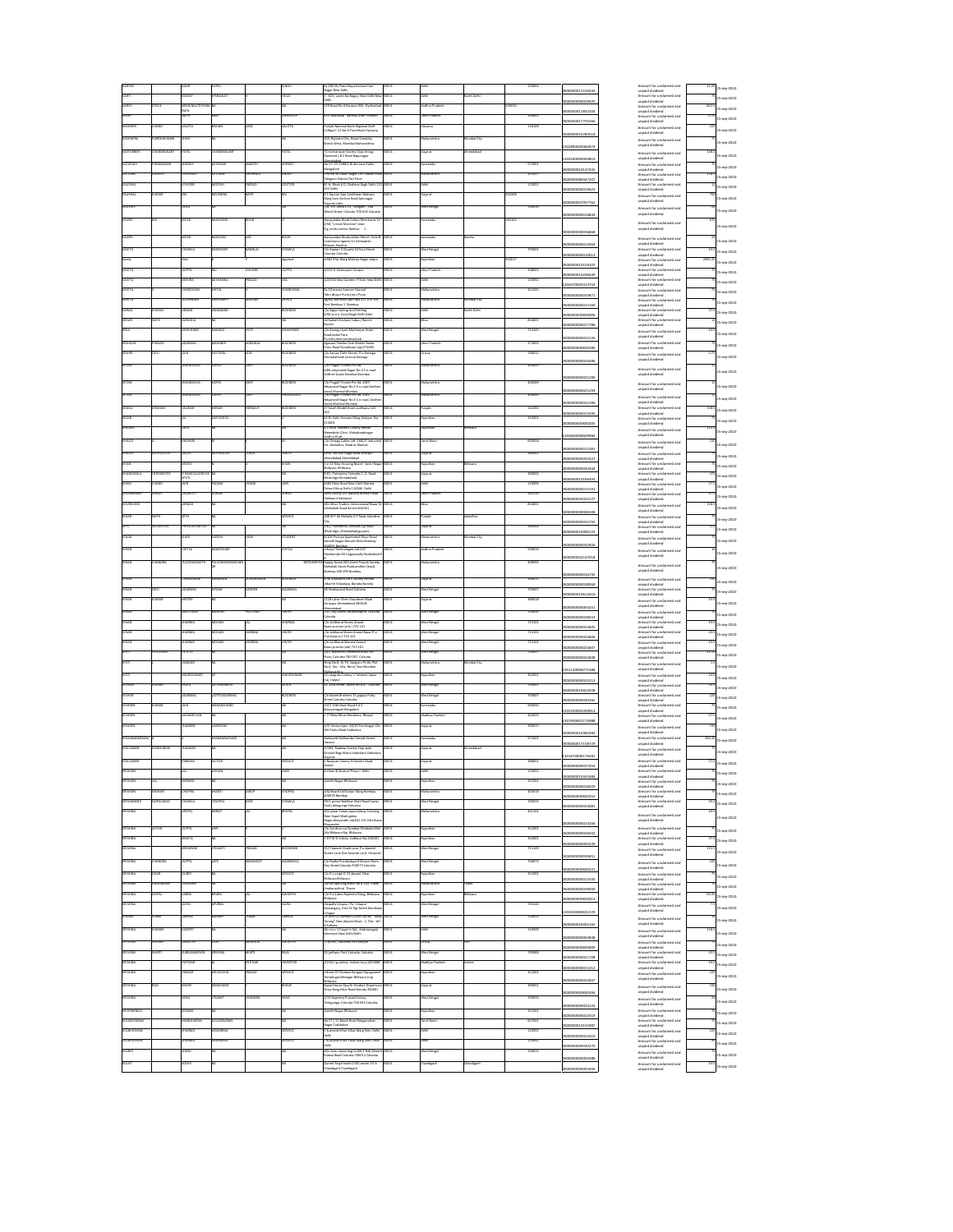|                                                                                                                                                       |         |                    |          |                       |             | 186 Sfs Flats Mar<br>gar New Delhi                                                                                                                 |     |            |                  |                                | Amount for unclaimed and                                                                   | 11.2            | Sarp 2010                                                                                                                                                                                                                        |
|-------------------------------------------------------------------------------------------------------------------------------------------------------|---------|--------------------|----------|-----------------------|-------------|----------------------------------------------------------------------------------------------------------------------------------------------------|-----|------------|------------------|--------------------------------|--------------------------------------------------------------------------------------------|-----------------|----------------------------------------------------------------------------------------------------------------------------------------------------------------------------------------------------------------------------------|
|                                                                                                                                                       |         |                    |          |                       |             |                                                                                                                                                    |     |            |                  |                                | Senson for undertring and<br>Amount for underred and<br>unpaid dividend                    |                 | ep-2010                                                                                                                                                                                                                          |
|                                                                                                                                                       |         | OKINGL<br>ăМ<br>ιm |          |                       |             | 9 Road No-4 Banjara MII<br>5 Shahabad Barelly Uttar Pra                                                                                            |     |            | 243001           | 011832204                      | Amount for unclaimed and<br>unpaid dividend<br>Amount for unclaimed and                    | 302<br>$\alpha$ | 5-sep-2010                                                                                                                                                                                                                       |
|                                                                                                                                                       |         |                    |          |                       |             |                                                                                                                                                    |     |            | 13410            |                                | unpaid dividend<br>Amount for unclaimed and                                                |                 | sep-2010                                                                                                                                                                                                                         |
|                                                                                                                                                       |         |                    |          |                       |             | ab National Bank Regional Staff<br>ge C 12 Sec 6 Panchkula Haryanı                                                                                 |     |            |                  | 13518                          | unpaid dividend                                                                            |                 | sep-2010                                                                                                                                                                                                                         |
|                                                                                                                                                       |         |                    |          |                       |             | 33, Rajlaumi Chs, Royal Complex,<br>Ivî West, Mumbai Mal<br>uhtra                                                                                  |     |            |                  | 164974                         | Amount for unclaimed and<br>unpaid dividend                                                |                 | S-sep-2010                                                                                                                                                                                                                       |
|                                                                                                                                                       |         |                    |          |                       |             | Јррч.<br>Уиладаг<br>and L B S Road Bac                                                                                                             |     |            |                  | 203440000004819                | Amount for unclaimed and<br>unpaid dividend                                                | 145             | 5-sep-2010                                                                                                                                                                                                                       |
|                                                                                                                                                       |         |                    |          |                       |             | 17-19-1388/1 Britto Lane Folhis                                                                                                                    |     |            | 575001           | 000000010127435                | Amount for unclaimed and<br>unpaid dividend                                                |                 | 5-sep-2010                                                                                                                                                                                                                       |
|                                                                                                                                                       |         |                    |          |                       |             | ot No 35 Vatan Nagar Off Chakan                                                                                                                    |     |            | 410507           | 80447207                       | Amount for unclaimed and<br>unpaid dividend                                                | 118             | sep-2010                                                                                                                                                                                                                         |
|                                                                                                                                                       |         |                    |          |                       |             | 6. Block A.D. Shallmar B<br>Date                                                                                                                   |     |            |                  | 0019623                        | Amount for unclaimed and<br>unpaid dividend                                                |                 | <b>S-sep-2010</b>                                                                                                                                                                                                                |
|                                                                                                                                                       |         |                    |          |                       |             | l Gaurav App Vardhman Mahavi<br>Irg Sanu Section Road Jamnagar                                                                                     |     |            |                  | 00000047957762                 | Amount for unclaimed and<br>unpaid dividend                                                | $\overline{z}$  | -<br>sep-2010                                                                                                                                                                                                                    |
|                                                                                                                                                       |         |                    |          |                       |             | Lv. Deva C-11,"sang<br>od Street, Calcutta 700 016 Calcutt                                                                                         |     |            | 10001            | 00016844                       | Amount for unclaimed and<br>unpaid dividend                                                |                 | $-$ sep $-2010$                                                                                                                                                                                                                  |
|                                                                                                                                                       |         |                    |          |                       |             | arayandas Boob Cotton Merc<br>(58,"sriram Mansion",near<br>g.circle,raichur Raichur - 1                                                            |     |            |                  |                                | Amount for unclaimed and                                                                   |                 | S-sep-2010                                                                                                                                                                                                                       |
|                                                                                                                                                       |         |                    |          |                       |             |                                                                                                                                                    |     |            |                  |                                | unpaid dividend                                                                            |                 |                                                                                                                                                                                                                                  |
|                                                                                                                                                       |         |                    |          |                       |             | rayandas Boob,cotton Merch- En<br>ion Agents Sri Venkatesh<br>ran Raicha                                                                           |     |            |                  | 11200                          | Amount for unclaimed and<br>unpaid dividend                                                |                 | -sep-2010                                                                                                                                                                                                                        |
|                                                                                                                                                       |         |                    |          |                       |             | wia 54 Eura Sto<br>uma Calo                                                                                                                        |     |            |                  | 010019                         | Amount for unclaimed and<br>npaid di                                                       | $\overline{a}$  | S-sep-2010                                                                                                                                                                                                                       |
|                                                                                                                                                       |         |                    |          |                       |             | 82 Shiv Marg<br>214 D Vishnupuri Kanpur                                                                                                            |     |            |                  | 159102                         | Amount for unclaimed and<br>unpaid dividend<br>Amount for unclaimed and                    |                 | sep-2010                                                                                                                                                                                                                         |
|                                                                                                                                                       |         | PTA                |          | <b>KISHOR</b><br>ASAD | pτa         | Mit 6 Ekts Garden 1 P Extr                                                                                                                         | XA  | ar Prade   | 208002<br>110092 | 0236639                        | unpaid dividend                                                                            |                 | 5-sep-2010                                                                                                                                                                                                                       |
|                                                                                                                                                       |         |                    |          |                       |             |                                                                                                                                                    |     |            |                  | 204470005413753                | Amount for unclaimed and<br>unpaid dividend<br>Amount for unclaimed and                    |                 | sep-2010                                                                                                                                                                                                                         |
|                                                                                                                                                       |         |                    |          |                       |             | kri <sub>s</sub> dhayri Pune,(ms.) Pune<br><sub>2</sub> 79a, Munirka Dda Flats 327 D.n. Rd                                                         |     |            |                  | 033871                         | unpaid dividend<br>Amount for unclaimed and                                                |                 | sep-2010                                                                                                                                                                                                                         |
|                                                                                                                                                       |         |                    |          |                       |             | rt Bombay-1 Bombay<br>o Sagar Suiting And Shirting<br>90,w.e.a. Karol Bagh Delhi Delhi                                                             |     |            |                  | 115160                         | unpaid dividend<br>Amount for unclaimed and                                                | 17              | 5-sep-2010<br>5-sep-2010                                                                                                                                                                                                         |
|                                                                                                                                                       |         |                    |          |                       |             |                                                                                                                                                    |     |            |                  |                                | Amount for uncommodiate<br>Amount for unclaimed and<br>unpaid dividend                     |                 | $-$ sep $-2010$                                                                                                                                                                                                                  |
|                                                                                                                                                       |         |                    |          |                       |             | ι Anango Jyoti Mul                                                                                                                                 |     |            | 711147           |                                | Amount for unclaimed and                                                                   | 42              | -sep-2010                                                                                                                                                                                                                        |
|                                                                                                                                                       |         |                    |          |                       |             | ad,bohal Para<br>kulti divit bun                                                                                                                   |     |            | 223007           | 122126                         | unpaid dividend<br>Amount for unclaimed and                                                |                 |                                                                                                                                                                                                                                  |
|                                                                                                                                                       |         |                    |          |                       |             | ts Road Gorakhour (up)273005<br>ovra<br>Sanjay Cloth<br>Salahan                                                                                    |     |            |                  |                                | npaid dividend<br>Amount for unclaimed and                                                 | o.              | S-sep-2010                                                                                                                                                                                                                       |
|                                                                                                                                                       |         |                    |          |                       |             | uusi sures.ruuse<br>hdi (orissa) Kesinga<br>> Pragati Finvest Pvt.ht                                                                               |     |            | 10000            | 0035686                        | unpaid dividend                                                                            |                 | S-sep-2010                                                                                                                                                                                                                       |
|                                                                                                                                                       |         |                    |          |                       |             | I/B9,nityanand Nagar No.4 S.n.road<br>Andheri (east) Mumbai Mumbai                                                                                 |     |            |                  |                                | Amount for unclaimed and<br>unpaid dividend                                                |                 | $-$ sep $-2010$                                                                                                                                                                                                                  |
|                                                                                                                                                       |         |                    |          |                       |             | Pragati Finyest Pyt.8d: 4/89<br>d Nasar No.4 S.n.road Andha                                                                                        |     |            |                  | 121290                         | Amount for unclaimed and                                                                   |                 | 5-sep-2010                                                                                                                                                                                                                       |
|                                                                                                                                                       |         |                    |          |                       |             | yanand Naga<br>ati Mumbai Mumbai<br>Armat Finwest Pvt.hd. 4/89                                                                                     |     |            | 400005           | 1294                           | unpaid dividend<br>Amount for unclaimed and                                                |                 |                                                                                                                                                                                                                                  |
|                                                                                                                                                       |         |                    |          |                       |             | d Nagar No.4 S.n. road, Andh<br>umbai Mwwhw<br>ñЮ<br>Mumpa<br>4 Gren Ludhiana-141                                                                  |     |            |                  |                                | unpaid dividend<br>Amount for unclaimed and                                                |                 | -sep-2010                                                                                                                                                                                                                        |
|                                                                                                                                                       |         |                    |          |                       |             |                                                                                                                                                    |     |            | 14100            | 31329                          | npaid dividend                                                                             | 118             | S-sep-2010                                                                                                                                                                                                                       |
|                                                                                                                                                       |         |                    |          |                       |             | Hussain Marg L<br>2 44/b Teachers Colony Beside                                                                                                    |     |            |                  |                                | unpaid diwawnd<br>Amount for unclaimed and<br>unpaid diwdend                               |                 | sep-2010                                                                                                                                                                                                                         |
|                                                                                                                                                       |         |                    |          |                       |             | kshi Cinic Mahat<br>nagar                                                                                                                          |     |            |                  | osa                            | Amount for unclaimed and<br>unpaid dividend                                                | 112             | <b>S-sep-2010</b>                                                                                                                                                                                                                |
|                                                                                                                                                       |         |                    |          |                       |             | thra Prad<br>- Ornera Cables Ltd. 168.17 Ind<br>io Urriega Lacies Ltd. 166.17 i<br>it. Ambattur, Madras Madras                                     |     |            |                  | 0011091                        | Amount for unclaimed and<br>unpaid dividend                                                |                 | 5-sep-2010                                                                                                                                                                                                                       |
|                                                                                                                                                       |         |                    |          |                       |             | ria Tea Stall Nagoriwad Shahpur<br>medabad Ahmedabad                                                                                               |     |            | 380001           | 0000033321                     | Amount for unclaimed and<br>unpaid dividend                                                |                 | 5-sep-2010                                                                                                                                                                                                                       |
|                                                                                                                                                       |         |                    |          |                       |             | e-13 New Housing Board Sasts<br>vara Bhilwari                                                                                                      |     |            |                  | 033444                         | Amount for unclaimed and<br><b>Israèlekéh histori</b> a                                    |                 | Sarp 2010                                                                                                                                                                                                                        |
|                                                                                                                                                       |         |                    |          |                       |             | 81 Darissons Co<br><b>Ann Ahora</b>                                                                                                                |     |            | soco             | 10166393                       | Amount for unclaimed and                                                                   |                 | S-sep-2010                                                                                                                                                                                                                       |
|                                                                                                                                                       |         |                    |          |                       |             | 50 Main Road New Cloth Market<br>1ari Dhiraj Delhi 110006 Delhi                                                                                    |     |            | 110006           | 011591                         | unpaid dividend<br>Amount for unclaimed and<br>unpaid dividend                             | 37.             | sep-2010                                                                                                                                                                                                                         |
|                                                                                                                                                       |         | AKO7               |          |                       |             | ink Colony Do Naharia Bhotla Para                                                                                                                  |     |            | 263139           | 13022127                       | Amount for unclaimed and<br>unpaid dividend                                                | $\overline{17}$ | S-sep-2010                                                                                                                                                                                                                       |
|                                                                                                                                                       |         |                    |          |                       |             | sidwani Haldwani<br>/s Whar Traders International E<br>stullah Road Ranchi 834001                                                                  |     |            | 834001           |                                | Amount for unclaimed and<br>unpaid dividend                                                | 11E             | 5-sep-2010                                                                                                                                                                                                                       |
|                                                                                                                                                       |         |                    |          |                       |             | IS W F All Mohalla G T Road Jak                                                                                                                    |     |            |                  | 308<br>032792                  | Amount for unclaimed and<br>unpaid dividend                                                |                 | 5-sep-2010                                                                                                                                                                                                                       |
|                                                                                                                                                       | :uarne: | VATELIMITEI        |          |                       |             | -81, Pariseema Complex, c.g Road<br>bridge, Ahmedabad gujarat                                                                                      |     |            | 380000           |                                | Amount for unclaimed and<br>unpaid dividend                                                | $\overline{17}$ | S-sep-2010                                                                                                                                                                                                                       |
|                                                                                                                                                       |         |                    |          |                       |             | .<br>06 Pushpa Apartment Eksar Roa<br>sath Nagar Borivall West Bombay                                                                              |     |            |                  |                                | Amount for unclaimed and<br>unpaid dividend                                                |                 | S-sep-2010                                                                                                                                                                                                                       |
|                                                                                                                                                       |         |                    |          |                       |             | ooga Bomba<br>lotvi Techno<br>gies Ltd 210                                                                                                         |     |            | 500019           |                                | Amount for unclaimed and                                                                   |                 | <b>S-sep-2010</b>                                                                                                                                                                                                                |
|                                                                                                                                                       |         |                    |          |                       |             | ikonda VIII Lingampally Hyderaba<br>y Home 265, shere Puniab S                                                                                     |     |            | mm               | 52147018                       | unpaid dividend                                                                            |                 |                                                                                                                                                                                                                                  |
|                                                                                                                                                       |         |                    |          |                       |             | .<br>hakali Caves Road,andheri (east),<br>nbay 400 093 Bombay                                                                                      |     |            |                  | 0016745                        | Amount for unclaimed and<br>unpaid dividend                                                |                 | 5-sep-2010                                                                                                                                                                                                                       |
|                                                                                                                                                       |         |                    |          |                       |             | 5,xubhadra Park Society<br>arsh Vidyalaya, Baroda B                                                                                                |     |            |                  | 028569                         | Amount for unclaimed and<br>unpaid dividend                                                |                 | sep-2010                                                                                                                                                                                                                         |
|                                                                                                                                                       |         |                    |          |                       |             | and Road Calcutta                                                                                                                                  |     |            | 70000            | 0612610                        | Amount for unclaimed and<br>unpaid dividend                                                |                 | 5-sep-2010                                                                                                                                                                                                                       |
|                                                                                                                                                       |         |                    |          |                       |             | 18 Luhar Sheri Vasudevni W.<br>raspur Ahmedabad 380018                                                                                             |     |            | 380018           |                                | Amount for unclaimed and<br>unpaid dividend                                                | $\overline{a}$  | 5-sep-2010                                                                                                                                                                                                                       |
|                                                                                                                                                       |         |                    |          |                       |             | hedsbad<br>7,ray Street, Bhawanipore,                                                                                                              |     | st Genga   | 700020           | 0003251                        | Amount for unclaimed and                                                                   |                 | sep-2010                                                                                                                                                                                                                         |
|                                                                                                                                                       |         |                    |          |                       |             | o Jai Bharat Stores Anand<br>zar,purulla (w.b.) 723 101                                                                                            | XA  | st Benga   | 723101           | 028553<br>024605               | unpaid dividend<br>Amount for unclaimed and<br>unpaid dividend                             | $\overline{41}$ |                                                                                                                                                                                                                                  |
|                                                                                                                                                       |         |                    |          |                       |             |                                                                                                                                                    |     |            |                  |                                | anyana Ohtoeno<br>Amount for unclaimed and<br>unpaid dividend                              |                 | sep-2010                                                                                                                                                                                                                         |
|                                                                                                                                                       |         |                    |          |                       |             | <b>Information</b>                                                                                                                                 |     |            | 72310            |                                |                                                                                            | 41              |                                                                                                                                                                                                                                  |
|                                                                                                                                                       |         |                    |          |                       |             | ula/w.b.)-721 101                                                                                                                                  |     |            |                  | masor                          | Amount for unclaimed and                                                                   | ¢               | <b>S-sep-2010</b><br>sep-2010                                                                                                                                                                                                    |
|                                                                                                                                                       | LDING!  | mm                 |          |                       |             | Jai Bharat Sharma Aras<br>ar,purulla (wb)-723 101                                                                                                  | DίA | est Bengal | 700007           | 4607                           | unpaid dividend<br>Amount for unclaimed and                                                | 15.2            | 5-sep-2010                                                                                                                                                                                                                       |
|                                                                                                                                                       |         |                    |          |                       |             | LII/1,mahamhi Devendra Road Sth<br>Floor, Calcutta-700 007   Calcutta<br>so No.8: Gr Fir: Sadeuru Pride: Plo<br>o.6, Sec - 42a, Nerul, Navi Mumbai | ¥à  |            |                  | 124698                         | unpaid dividend<br>Amount for unclaimed and                                                |                 | 5-sep-2010                                                                                                                                                                                                                       |
|                                                                                                                                                       |         |                    |          |                       |             | harashtra                                                                                                                                          |     | sthan      | 302001           | 000271488<br>201130            | unpaid dividend<br>Amount for unclaimed and                                                | 43.5            | sep-2010                                                                                                                                                                                                                         |
|                                                                                                                                                       |         |                    |          |                       |             | -sangram Colony 'c' Scheme Jaipur<br> .) Jaipur<br>.<br>L'Erra Street, Room No 810 : Calcutti                                                      |     | nt Bengi   | 700001           | 0024213                        | unpaid dividend<br>Amount for unclaimed and                                                | S.              | Sarp 2010                                                                                                                                                                                                                        |
|                                                                                                                                                       |         |                    |          |                       |             | Sabeti Brothers 15.panisa Putty<br>net Calcutta Calc                                                                                               |     |            | moon             | 0022038                        | unpaid dividend<br>Amount for unclaimed and                                                | $\overline{1}$  |                                                                                                                                                                                                                                  |
|                                                                                                                                                       |         |                    |          |                       |             | 17 15th Main Road S A S<br>avanagudi Bangalore                                                                                                     |     |            | 540050           | 00030265<br>033209014<br>03320 | unpaid dividend<br>Amount for unclaimed and<br>unpaid dividend                             |                 |                                                                                                                                                                                                                                  |
|                                                                                                                                                       |         | <b>MYJOJ</b>       |          |                       |             | 77 New Minal Residency libs                                                                                                                        | XA  | dhua i     | 462023           | 301930001174988                | Amount for unclaimed and<br>unnaid distributed                                             | IJ              | sep 2010<br>sep-2010<br>sep-2010                                                                                                                                                                                                 |
|                                                                                                                                                       |         |                    |          |                       |             | n Apts 38/29 Pu<br>d Padra Road Vadodara                                                                                                           |     |            | 190015           |                                | Amount for unclaimed and                                                                   |                 | 5-sep-2010                                                                                                                                                                                                                       |
|                                                                                                                                                       |         |                    |          |                       |             | dunith Kalikamba Temple Street                                                                                                                     |     |            | 573201           | 000000010483283                | unpaid dividend<br>Amount for unclaimed and                                                | 356.2           | 5-sep-2010                                                                                                                                                                                                                       |
|                                                                                                                                                       |         |                    |          |                       |             | san<br>/183, Rajdeep Society Op                                                                                                                    |     |            |                  | 000000017158729                | unpaid dividend<br>Amount for unclaimed and                                                |                 |                                                                                                                                                                                                                                  |
|                                                                                                                                                       |         |                    |          |                       |             | 2CE<br>ing iv                                                                                                                                      |     |            |                  |                                | unpaid dividend                                                                            | IJ              |                                                                                                                                                                                                                                  |
|                                                                                                                                                       |         |                    |          |                       |             | han & Sh                                                                                                                                           |     |            | 110052           | 000027454                      | Amount for unclaimed and<br>unpaid dividend<br>Amount for unclaimed and                    |                 | sep-2010<br>5-sep-2010                                                                                                                                                                                                           |
|                                                                                                                                                       |         |                    |          |                       |             | dhi Nazar Bhilwar                                                                                                                                  |     |            | 311001           | 000000010345484                | unpaid dividend<br>Amount for unclaimed and                                                |                 | 5-sep-2010                                                                                                                                                                                                                       |
|                                                                                                                                                       |         |                    |          |                       |             |                                                                                                                                                    |     |            | 40007            |                                |                                                                                            |                 | Ssep-2010                                                                                                                                                                                                                        |
|                                                                                                                                                       |         | AWLA               |          |                       | wu          | ly Roard Ltd Kanjur Marg Bi<br>1078 Rombav<br>19/1 prince Bakhtlar Shah Road (xwis                                                                 | XA  | nt Bengal  | 700033           | 10352                          | unpaid dividend<br>Amount for unclaimed and<br>unpaid dividend<br>Amount for unclaimed and | s               | 5-sep-2010                                                                                                                                                                                                                       |
|                                                                                                                                                       |         |                    |          |                       |             | rk), to bygunge Calcuuta<br>22, икаг Тоwer, орр. гаймау Crossing<br>ur Kapol Wadi, geet                                                            |     |            | 401101           | 00000000024081                 | unpaid dividend                                                                            | $\overline{a}$  |                                                                                                                                                                                                                                  |
|                                                                                                                                                       |         |                    |          |                       |             | gar, bhayander (w)401 101 Dist tha<br>rrander                                                                                                      |     |            |                  | 0023206                        | Amount for unclaimed and<br>unpaid dividend                                                |                 | Ssep-2010                                                                                                                                                                                                                        |
|                                                                                                                                                       |         |                    |          |                       |             | in Lai Samdani Bhadada M<br>a Bhilwara Rai Bhilwar                                                                                                 |     |            | 311001           | 0026502                        | Amount for unclaimed and                                                                   |                 |                                                                                                                                                                                                                                  |
|                                                                                                                                                       |         | ١ПА                |          |                       |             | BPW D Colony Jochpur Raj 342001                                                                                                                    | XA  | asthan     | 342001           | 005439                         | unpaid dividend<br>Amount for unclaimed and<br>unpaid dividend                             | 37.5            |                                                                                                                                                                                                                                  |
|                                                                                                                                                       |         |                    |          |                       | <b>COMP</b> | (7) danesh Shaik Lane, P.o. danesi<br>alkh Lane Dist. how rah (w.b.) Howra                                                                         |     | nt Benga   | 711109           |                                | Amount for unclaimed and<br>unpaid dividend                                                | 112             |                                                                                                                                                                                                                                  |
|                                                                                                                                                       |         |                    |          |                       |             | o Radha Pustakalaya & Shyam Ch<br>y Street Calcutta 700073 Calcutt                                                                                 |     | st Benga   | 70007            |                                | Amount for unclaimed and<br>unpaid dividend                                                | $\overline{z}$  |                                                                                                                                                                                                                                  |
|                                                                                                                                                       |         |                    |          |                       |             | o R.v.singh D-21, basant Viha<br>wara Dhilwara                                                                                                     |     |            | 311001           | 100221<br>012545               | Amount for unclaimed and<br>unpaid dividend                                                |                 |                                                                                                                                                                                                                                  |
|                                                                                                                                                       |         |                    |          |                       |             | rukrupa Bidg,block N<br>aharasthra) Thane                                                                                                          |     |            |                  |                                | Amount for unclaimed and                                                                   |                 |                                                                                                                                                                                                                                  |
|                                                                                                                                                       |         |                    |          |                       |             | : R.s. Aubra Raj                                                                                                                                   |     |            |                  |                                | mpaid dividend                                                                             | 59.             |                                                                                                                                                                                                                                  |
|                                                                                                                                                       |         |                    |          |                       |             | vpally Ichapar, Po-Ichapu<br>ubganj, Dist-24 Pgs North Ma                                                                                          |     | st Benga   | 743146           |                                | Amount for unclaimed and<br>unpaid dividend<br>Amount for unclaimed and                    |                 |                                                                                                                                                                                                                                  |
|                                                                                                                                                       |         |                    |          |                       |             | spur<br>And SA, Ramtanu Lahiri Sa                                                                                                                  |     |            | 00053            | 00631229                       | unpaid dividend<br>Amount for unclaimed and                                                |                 |                                                                                                                                                                                                                                  |
|                                                                                                                                                       |         |                    |          |                       |             | rane" New Allocre Block - C. Flat - W                                                                                                              |     |            | 110049           | 00000010002165                 | unpaid dividend                                                                            | 118             |                                                                                                                                                                                                                                  |
|                                                                                                                                                       |         |                    |          |                       |             | r.no.c-15,type iv Spl., Andrewsganj<br>nsion New Delhi Delhi                                                                                       |     |            |                  | akai                           | Amount for unclaimed and<br>unpaid dividend                                                |                 |                                                                                                                                                                                                                                  |
|                                                                                                                                                       | 04/21   | <b>ASTH</b>        |          |                       |             | 18/561. Kasushal Puri Kangur                                                                                                                       | ¥ä  |            |                  |                                | Amount for unclaimed and<br>unpaid dividend                                                |                 |                                                                                                                                                                                                                                  |
|                                                                                                                                                       |         |                    |          |                       |             | odhpur Park Calcutta Calc                                                                                                                          |     |            |                  | 0021708                        | Amount for unclaimed and<br>unpaid dividend                                                | $\overline{a}$  |                                                                                                                                                                                                                                  |
|                                                                                                                                                       |         |                    |          |                       |             | 114,11g, colony, Indone (m.p.)45200                                                                                                                | ΟIΑ | lhya Pri   |                  | 00000000021412                 | Amount for unclaimed and<br>unpaid dividend                                                | $\overline{a}$  |                                                                                                                                                                                                                                  |
|                                                                                                                                                       |         |                    |          |                       |             | Iront Of Chetana Kangan Oppigan<br>mple,gandhinagar Bhilwara (raj)                                                                                 |     |            | 311001           | 00033047                       | Amount for unclaimed and<br>unpaid dividend                                                | -22             |                                                                                                                                                                                                                                  |
|                                                                                                                                                       |         |                    |          |                       |             | iat House Opp Dr Hindia's Dispensi<br>ya Baug Main Road Baroda 390001                                                                              |     |            |                  |                                | Amount for unclaimed and                                                                   |                 |                                                                                                                                                                                                                                  |
|                                                                                                                                                       |         |                    |          |                       |             | /11 Rajendra Prasad Colo                                                                                                                           |     | st Denga   | 700033           | 0000394                        | unpaid dividend                                                                            |                 |                                                                                                                                                                                                                                  |
|                                                                                                                                                       |         |                    |          |                       |             | llygunge, Calcutta 700 033 Calcutta<br>hi Nagar I                                                                                                  |     |            | 311001           |                                | Amount for unclaimed and<br>unpaid dividend<br>Amount for unclaimed and                    |                 | 15-sep-2010<br>Ssep-2010<br>S-sep-2010<br>5-sep-2010<br>5-sep-2010<br>5-sep-2010<br>Ssep-2010<br>5-sep-2010<br>15-sep-2010<br>S-sep-2010<br>5-sep-2010<br>$-$ sep $-2010$<br>5-sep-2010<br>Ssep-2010<br>S-sep-2010<br>5-sep-2010 |
|                                                                                                                                                       |         | NOMARAN            | easeoura |                       |             | 27 / 11 Beach Road Ranganathan                                                                                                                     |     | ni Nad     | 607001           | 23519                          | unpaid dividend<br>Amount for unclaimed and                                                |                 | 5-sep-2010                                                                                                                                                                                                                       |
|                                                                                                                                                       |         |                    |          |                       |             | gar Cu<br>6 anand Whar Vikas Marg Extr. Defn                                                                                                       |     |            | 110092           | 10155987                       | unpaid dividend<br>Amount for unclaimed and                                                | $\overline{2}$  | 15-sep-2010<br>5-sep-2010                                                                                                                                                                                                        |
|                                                                                                                                                       |         |                    |          |                       |             | 5, around Whar Vikas Marg Extr. 0                                                                                                                  |     |            | 1100%            |                                | unpaid dividend<br>Amount for unclaimed and                                                |                 |                                                                                                                                                                                                                                  |
|                                                                                                                                                       |         |                    |          |                       |             |                                                                                                                                                    |     | st Geogal  | 700013           | 000030270                      | unpaid dividend<br>Amount for unclaimed and                                                |                 | .<br>S-sep-2010                                                                                                                                                                                                                  |
| rshande<br>asım<br>saw<br>1531068<br><b>RSMN</b><br>asını<br>asını<br><b>SSHNA</b><br>asım<br>saw<br>ssing<br>olastkara<br>0222102045<br>,,,,,<br>aur |         |                    |          |                       |             | s Auto Importing Co 88/2 Rafi Ahme<br>Iwai Road Calcutta 700013 Calcutta<br>Gurmit Singh Sodhi 1160,sector 15-b<br>Chandizarh Chandizath           |     |            |                  | 1288                           | npaid dividend<br>Amount for unclaimed and                                                 | 41.             | S-sep-2010<br>S-sep-2010                                                                                                                                                                                                         |

| imed and<br>t 6<br>ń                                                                       |                         | 0-2010         |
|--------------------------------------------------------------------------------------------|-------------------------|----------------|
| emourn<br>unpaid dividend<br>Amount for und<br>unpaid dividend<br>aimed and                |                         | sep-2010       |
| Amount for unclaimed and<br>unpaid dividend                                                |                         | sep-2010<br>1Ś |
| Amour<br>for und<br>imed and                                                               |                         |                |
| id divide<br>ü                                                                             |                         | sep-2010<br>ú  |
| Amount for und<br>imed and<br>npaid dividend                                               |                         | sep-2010<br>ú  |
| nount for uncla<br>d and                                                                   |                         |                |
| id dividend<br>np                                                                          |                         | sep-2010       |
| Amount for unclaimed and<br>npaid dividend                                                 |                         | sep-2010<br>ß  |
| nt fe<br>r und<br>med and<br>mo                                                            | 75                      |                |
| unpaid dividend<br>Amount for und<br>aimed and                                             | ш                       | sep-2010<br>1Ś |
| id dividend                                                                                |                         | sep-2010<br>ú  |
| ount for und<br>said dividend<br>aimed and                                                 |                         | p-2010         |
| nş<br>.<br>Amount for uncl<br>unpaid dividend<br>d and                                     |                         | $-2010$        |
| ų                                                                                          |                         |                |
| r und<br>d and<br>Amou<br>im<br>unpaid dividend                                            | 24                      | ep-2010<br>LS  |
|                                                                                            |                         |                |
| nount for unclaimed and<br>paid dividend<br>Amour                                          |                         | sep-2010<br>iś |
| t for unclaim<br>d ar<br>ä                                                                 |                         |                |
| id dividend<br>npi                                                                         |                         | sep-2010       |
| ount for unda<br>baid dividend<br>imed and<br>i.                                           |                         | p-2010         |
| imed and<br>Amount for und                                                                 |                         | ep-2010        |
| unpaid dividend<br>aimed and<br>Amount for und                                             | 75                      | sep-2010       |
| hreaid dividend<br>j,<br>i ar                                                              | $\overline{\mathbf{r}}$ |                |
| nount for und<br>spaid dividend                                                            |                         | 2010           |
| unt for und<br>id dividend<br>imed and<br>mo<br>np                                         |                         | ep-2010        |
| Amount for unclaimed and<br>brebivib bien                                                  |                         | sep-2010<br>1Ś |
| 'n<br>$\alpha$<br>for und<br>imed and                                                      |                         | p-2010         |
| aid dividend<br>nş<br>im<br>d and                                                          |                         |                |
| Amount for und<br>unpaid dividend                                                          |                         | sep-2010       |
| t for und<br>Amour<br>d ar<br>d dividend                                                   |                         | ep-2010        |
| nş<br>.<br>ount for unda<br>said dividend<br>d and                                         |                         |                |
| ų                                                                                          |                         | p-2010         |
| Amount for unclaimed and<br>unpaid dividend                                                |                         | sep-2010<br>ú  |
|                                                                                            | n                       |                |
| mount for unclaimed and<br>npaid dividend                                                  |                         | ep-2010<br>Ľ,  |
| Amount for unclaimed and                                                                   |                         |                |
| unpaid dividend                                                                            |                         | 5-sep-2010     |
| nount for unclaim<br>d ar<br>ä                                                             | 12                      | ep-2010        |
| id divid<br>np<br>nd<br>Amount for unclaimed and                                           | ū                       |                |
| ed divide<br>'n.<br>ų                                                                      |                         | p-2010         |
| ime<br>Amount for und<br>unpaid dividend<br>d and                                          |                         | ep-2010        |
| t for und<br><b>Bandon</b><br>d ar                                                         | 5                       | sep-2010       |
| id divis<br>md<br>'np                                                                      |                         |                |
| Amount for unclaimed and<br>brebivib bison                                                 |                         | sep-2010<br>ß  |
| nt fe<br>r und<br>med and<br>mo                                                            | 75                      |                |
| unpaid dividend<br>Amount for und<br>aimed and                                             | $\overline{ }$          | sep-2010<br>1Ś |
| aid dividend                                                                               |                         | sep-2010<br>ú  |
| aimed and<br>.<br>Art<br>$\alpha$<br>t for und                                             |                         | 2010           |
| Amount for uncl<br>unpaid dividend<br>Amount for uncl<br>ime<br>d and                      | 17.5                    | 2010<br>ip     |
| unpaid dividend<br>aiment and                                                              | 17.5                    |                |
| <b>Amount for uncli</b><br>unpaid dividend                                                 |                         | sep-2010       |
| Amount for unclaimed and<br>brebivib bisons                                                |                         | sep-2010<br>1Ś |
| Amount for unclaimed and<br>unpaid dividend                                                | 75                      | sep-2010<br>1Ś |
| Amount for und<br>imed and                                                                 | 372                     |                |
| aid divis<br>ü                                                                             |                         | sep-2010<br>ò, |
| Amount for unclaimed and<br><b>unpaid dividend</b>                                         |                         | sep-2010<br>ú  |
| nount for unclaim<br>d and                                                                 | 11                      |                |
| id dividend<br>np                                                                          |                         | ep-2010        |
| t for i<br>imed and                                                                        |                         | is<br>sep-2010 |
| unpaid dividend                                                                            |                         |                |
| mount for und<br>npaid dividend<br>d and<br>ime                                            |                         | ep-2010        |
| Amount for unclaimed and                                                                   |                         | sep-2010<br>1Ś |
| brebivib bisqn                                                                             |                         |                |
| Amount for unclaimed and<br>unpaid dividend                                                |                         | sep-2010<br>ß  |
| nt fo<br>r und<br>mo<br>imed and<br>unpaid dividend                                        |                         | ep-2010        |
| Amount for unclaimed and                                                                   | 43.5                    | sep-2010<br>ú  |
| brebivib bison<br>aimed and                                                                |                         |                |
| ount for und<br>aid dividend<br>m<br>ng<br>imi<br>d and                                    |                         | p-2010         |
| Amount for und<br>unpaid dividend                                                          |                         | ep-2010        |
| aimed and<br>Amount for und<br>unpaid dividend                                             | 25                      | sep-2010<br>ß  |
| Amount for und<br>imed and                                                                 |                         | 15-sep-2010    |
| unpaid dividend                                                                            |                         |                |
| mount for und<br>d and<br>m<br>unpaid dividend                                             | 41.5                    | sep-2010       |
| <b>Amount for uncl</b><br>unpaid dividend<br>.<br>Manazi anat                              |                         | sep-2010<br>ú  |
| .<br>101<br>for und<br>j,<br>d ar                                                          |                         | sep-2010       |
| unpaid dividend<br>Amount for und<br>imed and                                              |                         |                |
| unpaid dividend<br>Amount for und<br>aimed and                                             | 17.5                    | ep-2010<br>Ľ,  |
| brebivib bien                                                                              |                         | sep-2010<br>ú  |
| Amount for unclaimed and<br>brebivib bien                                                  |                         | sep-2010<br>1Ś |
| re fa<br>r und<br>d and<br>mo<br>m                                                         | 25                      |                |
| unpaid dividend                                                                            |                         | 15-sep-2010    |
| t fe<br>d and<br>r und<br>mou<br>im<br>unpaid dividend                                     |                         | 5-sep-2010     |
| rywww.www<br>enount for uncl<br>npaid dividend<br>imed and                                 |                         | 15-sep-2010    |
| Amount for unclaimed and                                                                   | 5                       |                |
| noaid divis<br>lend<br>for unclaimed and<br>mour                                           |                         | 15-sep-2010    |
|                                                                                            |                         | 15-sep-2010    |
| unpaid dividend<br>Amount for uncl<br>unpaid dividend<br>aimed and                         |                         | sep-2010       |
| Amount for unclaimed and<br>unpaid dividend                                                | s<br>5                  | is<br>sep-2010 |
|                                                                                            |                         |                |
| mount for uncl<br>npaid dividend<br>d and<br>aim                                           |                         | 5-sep-2010     |
|                                                                                            |                         | sep-2010<br>ú, |
| Amount for unclaimed and<br>unpaid dividend<br>Amount for unclaimed and<br>unpaid dividend |                         |                |
|                                                                                            | 17.5                    | ı.<br>sep-2010 |
| unt for und<br>id dividend<br>mo.<br>med and                                               | $\overline{125}$        | 15-sep-2010    |
| np<br><b>Longest</b>                                                                       |                         |                |
| .<br>Imount for unclaimed and<br>inpaid dividend                                           |                         | 15-sep-2010    |
| Amount for unclaimed and<br>brebivib bison                                                 |                         | 5-sep-2010     |
| 'n<br>$\alpha$<br>for unclaimed and                                                        |                         | 15-sep-2010    |
| aid dividend<br>nş<br>my are emailed<br>Amount for und<br>unpaid dividend<br>imed and      |                         |                |
|                                                                                            | 5                       | sep-2010<br>ß  |
| Amount for uncla<br>d and<br>id divis<br>np<br>lend                                        |                         | is<br>sep-2010 |
| Amount for unclaimed and                                                                   |                         | 5-sep-2010     |
| unpaid dividend                                                                            |                         |                |
| mount fo<br>npaid div<br>for und<br>Mdend<br>d and                                         | 118.5                   | sep-2010<br>ú, |
| Amount for unclaimed and<br>unpaid dividend                                                | 75                      | 15-sep-2010    |
| imed and                                                                                   |                         |                |
| unpara awaww<br>Amount for uncl<br>unpaid dividend                                         |                         | 5-sep-2010     |
| Amount for unclaimed and<br>unpaid dividend                                                | 5                       | 5-sep-2010     |
| Amount for und<br>imed and                                                                 | 22                      | 5-sep-2010     |
| unpaid dividend                                                                            |                         |                |
| Amount for unclaimed and<br>aid dividend<br>nş                                             |                         | 15-sep-2010    |
| .<br>Amount for und<br>unpaid dividend<br>imed and                                         | 2                       |                |
|                                                                                            |                         | sep-2010<br>LS |
| Amount for uncla<br>imed and<br>id dividend<br>np                                          |                         | sep-2010<br>Ľ, |
| Amount for unclaimed and<br>unpaid dividend                                                | 75                      | is<br>sep-2010 |
| Amour<br>for und<br>aimed and                                                              | 225                     | 5-sep-2010     |
| aid dividend<br>sunt for uncl<br>unpai<br>Amou<br>ed and                                   |                         |                |
| id divis<br>nş<br>nd                                                                       |                         | 15-sep-2010    |
| ount for unclaimed and<br>said dividend                                                    | 75                      | 15-sep-2010    |
| ų<br>Amount for unclaimed and                                                              |                         | 15-sep-2010    |
| ä.<br>ü                                                                                    |                         |                |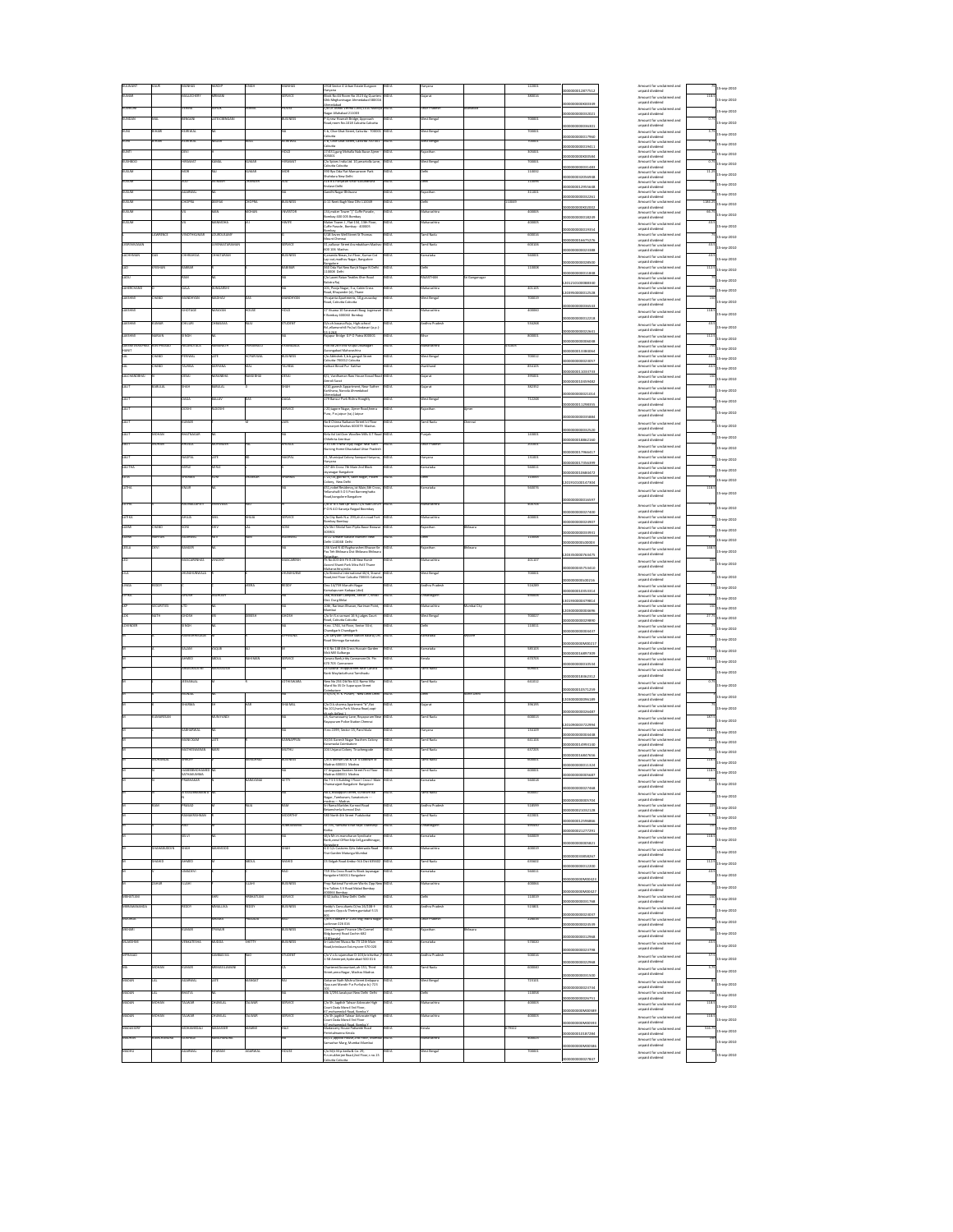|               |                              |              |           |                                                                                                                         |           |           |                  |                    | Amount for unclaimed and<br>unpaid dividend                                                |                                    | 5-sep-2010                                            |
|---------------|------------------------------|--------------|-----------|-------------------------------------------------------------------------------------------------------------------------|-----------|-----------|------------------|--------------------|--------------------------------------------------------------------------------------------|------------------------------------|-------------------------------------------------------|
|               |                              |              |           | 1521 Ag                                                                                                                 |           |           |                  |                    | Amount for inclaimed and<br>unpaid dividend                                                | $^{116}$                           | ep-2010                                               |
|               |                              |              |           | lagar Allahabad 211003                                                                                                  |           |           |                  |                    | Amount for unclaimed and<br>unpaid dividend                                                |                                    | 5-sep-2010                                            |
|               |                              |              |           | new Howrah Brid<br>d.room No.1018 Calcutta Calcutta                                                                     |           |           |                  | 13630:             | Amount for unclaimed and<br>unpaid dividend                                                | $\alpha$                           | 5-sep-2010                                            |
|               |                              |              |           | a, Clive Ghat Street, Ca                                                                                                |           | t Benga   | 700001           |                    | Amount for unclaimed and<br>unpaid dividend                                                | 1.7                                | sep-2010                                              |
|               |                              |              |           | b, Cive Ghat Street, Calcutta<br>sta                                                                                    | XA        | st Beng   | 700001           | 319411             | Amount for unclaimed and<br><b>Innabid distributed</b>                                     | 17                                 | Sarp 2010                                             |
|               |                              |              |           | 7431.                                                                                                                   |           |           |                  | 0584               | Amount for unclaimed and<br>unpaid dividend                                                |                                    | S-sep-2010                                            |
|               |                              |              |           |                                                                                                                         |           |           |                  | 31483              | Amount for unclaimed and<br>unpaid dividend                                                | $\alpha$                           | sep.2010                                              |
|               |                              |              |           | 90 Rps Dda Flat Mansarover Park<br>ara New De<br>16 B 4 Parvatan Vihar V                                                | <b>XA</b> |           | 110032<br>11009  | 056948             | Amount for unclaimed and<br>unpaid dividend                                                | 11.25<br>$\overline{\mathbf{1}}$   | 5-sep-2010                                            |
|               |                              |              |           | clave Delta<br>thi Nagar                                                                                                |           |           |                  | 12955648           | Amount for unclaimed and<br>unpaid dividend                                                |                                    | iep-2010                                              |
|               |                              |              |           | 11 Neeti ilagh New Dihi 110049                                                                                          |           |           |                  | 032261             | Amount for unclair<br>ned and<br>unpaid dividend<br>Amount for unclaimed and               | 1184.2                             | iep-2010                                              |
|               |                              |              |           |                                                                                                                         |           |           |                  |                    | <b>hospitally</b> history<br>Amount for unclaimed and                                      | 66.7                               | S-sep-2010                                            |
|               |                              |              |           | wer Tower "j" Cuffi<br>bay 400 005 Bombay                                                                               |           |           |                  | 018249             | unpaid dividend<br>Amount for inclaimed and                                                | 43                                 | sep-2010                                              |
| <b>IRENCE</b> |                              |              |           |                                                                                                                         | XA        |           | 600016           | 119354             | unpaid dividend<br>Amount for unclaimed and                                                |                                    | sep-2010                                              |
|               |                              |              |           | .<br>/18 Seven Well Street St Th<br>fount Chennai<br>railunar Stre                                                      |           |           |                  | 16675276           | unpaid dividend                                                                            | $\overline{42}$                    | S-sep-2010                                            |
|               |                              |              |           | 105 Madra                                                                                                               |           |           |                  | 023388             | Amount for unclaimed and<br>unpaid dividend<br>Amount for inclaimed and                    | ¢                                  | S-sep-2010                                            |
|               |                              |              |           | Nagar, B<br>talore<br>Oda Flat New Ranjit Nagar N Delhi                                                                 |           |           | 110008           | 00028500           | unpaid dividend<br>Amount for inclaimed and                                                | 112                                | sep-2010                                              |
|               |                              |              |           | 10008 Dehi<br>widwan Ta                                                                                                 |           |           |                  | 00011848           | unpaid dividend<br>Amount for unclaimed and                                                |                                    | sep-2010                                              |
|               |                              |              |           | tra Rai                                                                                                                 |           |           | 401105           | 201210<br>00083340 | unpaid dividend<br>Amount for unclaimed and                                                | 15                                 | <b>S-sep-2010</b><br>sep-2010                         |
|               |                              |              |           | 11, Pooja Nagar, 5-a, Cabin Cross<br>sad, Bhayander (e), Thane<br>ajanta Apartments, 10 gun                             |           | st Genea  | 700019           | 0012528            | unpaid dividend<br>Amount for unclaimed and                                                |                                    |                                                       |
|               |                              |              |           | sad, Calcutta Calcutta                                                                                                  |           |           |                  |                    | unpaid dividend<br>Amount for unclaimed and                                                | $^{115}$                           | $-$ sep $-2010$                                       |
|               |                              |              |           | /hawa 10 Seratwati Baug<br>whay 400060 Brenhav                                                                          |           |           |                  | 312218             | unpaid dividend                                                                            |                                    | sep-2010                                              |
|               |                              |              |           | i ch basava Raju, High school<br>,elamanchili Po.(w) Godavani (a.p.)                                                    |           |           | 534268           | 122641             | Amount for unclain<br>ed and<br>unpaid dividend                                            | $\overline{a}$                     | iep-2010                                              |
|               |                              |              |           | 14 268<br>Kacur Bridge G P O Patria 800001                                                                              |           |           | 800001           | 06048              | Amount for unclaimed and<br>unpaid dividend<br>Amount for unclaimed and                    | 112.5                              | iep-2010                                              |
|               |                              |              |           | t No 269 Shiv Krupa Ukaragari<br>rangabad Maharashitra                                                                  |           |           |                  | 13384064           | unpaid dividend                                                                            | 75                                 | sep-2010                                              |
|               |                              |              |           | (o Abhishek 3,b.b.ganguli Street<br>alcutta-700012 Calcutta<br>uri Binod Pur Katif                                      | <b>XA</b> | st Ben    | 700012<br>854105 | 0023057            | Amount for unclaimed and<br><b>Innabid distributed</b>                                     | $\overline{41}$<br>$\overline{42}$ | sep-2010                                              |
|               |                              |              |           |                                                                                                                         |           |           |                  | 011033733          | unpuid diweiend<br>Amount for unclaimed and<br>unpaid dividend<br>Amount for unclaimed and | $\overline{1}$                     | S-sep-2010                                            |
| <b>IULA</b>   |                              |              |           |                                                                                                                         | XA        | (arat     | 382352           | 159482             | unpaid dividend                                                                            | 41.                                | sep-2010                                              |
|               |                              |              |           | .<br>10 ganesh Appartment, Near Suthe<br>arkhana, Naroda Ahmedabad<br>dabad<br>wuwr Park Rishra Hoogbly                 |           |           | 712248           | 021014             | Amount for unclaimed and<br>unpaid dividend<br>Amount for unclaimed and                    |                                    | sep-2010                                              |
|               |                              |              |           |                                                                                                                         |           |           |                  | 011298355          | unpaid dividend                                                                            |                                    | S-sep-2010                                            |
|               |                              |              |           | 10,tagore Nagar, Ajmer Road,heera<br>ra, P.o.jaipur (raj.) Jaipur                                                       |           |           |                  | 00035884           | Amount for unclaimed and<br>unpaid dividend                                                |                                    | sep-2010                                              |
|               |                              |              |           | a III. Chinna Naikaran Street Ist Floo<br>acarpet Madras 600079 Madras                                                  |           |           |                  | 0032520            | Amount for unclaimed and<br>unpaid dividend                                                |                                    | $-$ sep $-2010$                                       |
|               |                              |              |           |                                                                                                                         |           |           |                  | 18862160           | Amount for unclaimed and<br>unpaid dividend                                                |                                    | sep-2010                                              |
|               |                              |              |           | hhebrta Amritsar<br>35 Sec 9 New Vijay Nagar Near Katri<br>sing Home Ghaziabad Uttar Prades                             |           |           | 201001           | 17966417           | Amount for unclaimed and<br>unpaid dividend                                                |                                    | sep-2010                                              |
|               |                              |              |           | Municipal Colony S                                                                                                      |           |           | 131001           | 017356399          | Amount for unclaimed and                                                                   |                                    | sep-2010                                              |
|               |                              |              |           | 17 4th Cross 7th Main 2nd<br>ragar Bangalor                                                                             |           |           | 560011           | 0684472            | unpaid dividend<br>Amount for unclair<br>ned and<br>unpaid dividend                        |                                    | sep-2010                                              |
|               |                              |              |           | -<br>22/14.gali No-9, Sadh Nagar, Palan                                                                                 | <b>XA</b> |           | 110045           | 01910100147304     | Amount for unclaimed and<br>unpaid dividend                                                | 17                                 | Sarp 2010                                             |
|               |                              |              |           | .<br>1, nobel Residency, ht Main, Eth<br>llanahall 5 O 5 Post Barnerghatt                                               |           |           |                  |                    | Amount for unclaimed and                                                                   | 111                                | 5-sep-2010                                            |
|               |                              |              |           | ad, bangalore Bangalore                                                                                                 |           |           |                  | 016597             | unpaid dividend<br>Amount for unclaimed and                                                |                                    |                                                       |
|               |                              |              |           | (s Sr N S Rao Qtr No 671/4 Nad Co<br>O N A D Karanja Raigad Boombay<br>o City Bank N.a. 293,dr.d.n.road For             |           |           | 400001           | 0027400            | unpaid dividend<br>Amount for unclaimed and                                                |                                    | S-sep-2010                                            |
|               |                              |              |           | bay Born<br>s<br>Shri Shivlei Soni Piolla Bazar Bea                                                                     |           |           |                  | 124000             | unpaid dividend<br>Amount for unclaimed and                                                |                                    | sep-2010                                              |
|               |                              |              |           | 5001                                                                                                                    |           |           | 110048           | 0033931            | unpaid dividend<br>Amount for unclair<br>ed and                                            | 17                                 | -sep-2010                                             |
|               |                              |              |           | 22 Greater Kallash Ma<br>hi-110048 Delhi<br>36 Vard N 40 Raghurashmi Bhavan Ke<br>11 Teh Bhilwara Dist Bhilwara Bhilwar |           |           |                  |                    | unpaid dividend<br>Amount for unclaimed and                                                | 148                                | sep-2010                                              |
|               |                              |              |           | siasthan<br>t No 403 4th Fir B 28 New Harsh<br>ccord Sharti Park Mira Rd E Thane                                        |           |           | 40110            | 63475              | unpaid dividend                                                                            |                                    | sep-2010                                              |
|               |                              |              |           | aharashtra india.<br>5 Mirendra Intern                                                                                  |           |           |                  | 53410              | Amount for unclaimed and<br>unpaid dividend                                                |                                    | 5-sep-2010                                            |
|               |                              |              |           | tional 40/4, Stran<br>ed, Jind Floor Calcutta 700001 Calcu                                                              |           |           |                  | 0216               | Amount for unclaimed and<br>unpaid dividend                                                |                                    | sep-2010                                              |
|               |                              |              |           | 14/759 Maruthi<br>am Kadana (dan                                                                                        |           |           | 516285           | 10353314           | Amount for unclaim<br>ed and<br>npaid di                                                   |                                    | -<br>sep-2010                                         |
|               |                              |              |           | Durg lib                                                                                                                |           |           |                  | 479814             | Amount for unclaimed and<br>unpaid dividend                                                | x                                  | sep-2010                                              |
| tuarmas       |                              |              |           | Xh, Nariman Bhavan, Nariman Point<br>Sri S.n. somani 16-h.                                                              | <b>XA</b> | harashtra | 200022           | 4696               | Amount for unclaimed and<br>unpaid dividend                                                | -15<br>27.7                        | 5-sep-2010                                            |
|               |                              |              |           | ed. Calcutta Calcutt<br>. 1764, list Flox                                                                               |           |           |                  | 0029890            | Amount for unclaimed and<br>unpaid dividend                                                |                                    | sep-2010                                              |
|               |                              |              |           | o Sahyadri Service Sti                                                                                                  |           |           |                  | 1437               | Amount for unclaimed and<br>unpaid dividend<br>Amount for unclaimed and                    |                                    | sep-2010                                              |
|               |                              |              |           | d Shimoga Karnataka                                                                                                     |           |           |                  | 1021               | unpaid dividend                                                                            |                                    | sep-2010                                              |
|               |                              |              |           | Mo 148 4th Cross H<br>sk Mill Gulbara                                                                                   |           |           | 585101           | (6897309           | Amount for unclaimed and<br>unpaid dividend<br>Amount for unclair                          |                                    | sep 2010                                              |
|               |                              |              |           | nara Bank, iritty Car<br>0 703  Cannancre                                                                               | XA        |           | 670703<br>609001 | 1534               | wd and<br>unpaid dividend                                                                  | 112                                | sep-2010                                              |
|               |                              |              |           | a Kallarai Thoppustreet Near Canarı<br>ank Mayiladuthurai Tamiinadu                                                     |           |           |                  | 362312             | Amount for unclaimed and<br>unpaid dividend                                                |                                    | sep-2010                                              |
|               |                              |              |           | v No 234 Old No 611 Namo Vill<br>rd No 35 Dr Suparayan Street                                                           |           |           | 641012           | 71259              | Amount for unclaimed and<br>unpaid dividend                                                | $\alpha$                           | 5-sep-2010                                            |
|               |                              |              |           | imbatore<br>1/570, R. K. Puram,   New Delhi D                                                                           |           |           |                  |                    | Amount for unclaimed and<br>unpaid dividend                                                |                                    | 5-sep-2010                                            |
|               |                              |              |           | b D.k. sharma Apartment "b",flat<br>s. 101, haria Park Silvasa Road,vapi-                                               |           |           | 296195           | 02648              | Amount for unclai<br>ed and<br>unpaid dividend                                             |                                    | 5-sep-2010                                            |
|               |                              |              |           |                                                                                                                         |           |           |                  |                    | Amount for unclaimed and                                                                   |                                    | sep-2010                                              |
|               |                              |              |           | 1500 Carton 15                                                                                                          |           |           | 134109           | 201000003722994    | unpaid dividend<br>Amount for inclaimed and<br><b>Innahid Hidden</b>                       | 118                                | S-sep-2010                                            |
|               |                              |              |           | tal Co                                                                                                                  |           |           | 64110            | 0000448            | mount for unclaimed and                                                                    | 22.                                | S-sep-2010                                            |
|               |                              |              |           |                                                                                                                         |           |           | 63720            | 14993140           | unpaid dividend<br>Amount for unclair<br>ned and<br>unpaid dividend                        | 37.5                               |                                                       |
|               |                              |              |           | A Mohan Das & Co 4 Godown St<br>idras 600001 Madras<br>Angappa Naicken Street First Flo                                 |           |           |                  | 011324             |                                                                                            | 118.5                              | sep-2010                                              |
|               | MAKONAZIE<br><b>THAKUMMA</b> |              |           | ras 600001 Madras                                                                                                       |           |           | sanna            | 1005687            | Amount for unclaimed and<br>unpaid dividend<br>Amount for unclaimed and<br>unpaid dividend | 115.5                              | S-sep-2010                                            |
|               | INAKAR                       |              |           | : 7 5 5 5 Building   Floor   Cross   Mi<br>amarajpet Bangalore  Bangalore                                               |           |           | 560018           | 0027468            | Amount for inclaimed and<br>unpaid dividend                                                | 17.                                | s<br>sep 2010                                         |
|               | SUBRAM                       |              |           | .<br>4.evalappan Street, Sundram Bai<br>gar, Tambaram, Sanatonium -                                                     |           | of Nad    | 600047           |                    | Amount for unclaimed and<br>unpaid dividend                                                |                                    | Ssep-2010                                             |
|               |                              |              |           | dras -- Madras<br>Tama Marbles                                                                                          |           |           | 5185             | 032128             | Amount for unclaimed and                                                                   | $\overline{22}$                    | 5-sep-2010                                            |
|               |                              |              |           | 10 North 4th Street Pudul                                                                                               |           |           | 622003           |                    | unpaid dividend<br>Amount for unclaimed and                                                | 2.75                               | 15-sep-2010                                           |
|               |                              |              |           | 795. Yamuna Vihar Ntoc To                                                                                               |           |           | 495450           | 2127729            | unpaid dividend<br>Amount for unclaimed and<br>unpaid dividend                             | 150                                | 5-sep-2010                                            |
|               |                              |              |           | o Mr.m.i<br>nk.zonal<br>nealore<br>l Office Edp Cell gandhin                                                            |           |           | 56000            |                    | Amount for inclaimed and<br>unpaid dividend                                                | щ                                  | 5-sep-2010                                            |
|               |                              |              |           |                                                                                                                         |           |           |                  | 82                 |                                                                                            |                                    |                                                       |
|               |                              |              |           |                                                                                                                         | XA        | harashtr. | 400019           |                    |                                                                                            |                                    |                                                       |
|               |                              |              |           | O 1/v Customs Orts Adenwala Road<br>ve Ganden Matunga Mumbai                                                            |           |           | 635602           | 033858267          | Amount for unclaimed and<br>unpaid dividend<br>Amount for unclaimed and                    | 112.                               | Ssep-2010                                             |
|               |                              |              |           |                                                                                                                         | ٤A        | iatska    | 560011           | 0012200            | unpaid dividend                                                                            | 43.                                | 15-sep-2010                                           |
|               |                              |              |           | 159 33a Cross Road iv Block Jayanagar<br>Iangalore 560011 Bangalore                                                     |           |           | 400064           | 000M00423          | Amount for unclaimed and<br>unpaid dividend                                                |                                    |                                                       |
|               |                              |              |           | rop National Furniture Works Opp N<br>ro Talkies 5 V Road Malad Bombay                                                  |           |           |                  | 00M0042            | Amount for unclaimed and<br>unpaid dividend                                                |                                    | $-$ sep $-2010$                                       |
|               |                              |              |           | 064 Borrbay<br>! Julius & New Delt                                                                                      |           |           | 515807           | 031768             | Amount for unclaimed and<br>unpaid dividend                                                |                                    | S-sep-2010<br>Ssep-2010                               |
|               |                              |              |           | ddy's Consultants Dyno.16/108-f-<br>stairs Opp.slv Thetre,guntakal-5 15                                                 |           |           |                  | 023037             | Amount for unclaimed and<br>unpaid dividend                                                |                                    |                                                       |
|               |                              |              |           | By Anhana D. 1185 Mar Indian Na<br><b>Snow-226 016</b>                                                                  |           |           | 226016           | 0024539            | Amount for unclaimed and<br>unpaid dividend                                                |                                    |                                                       |
|               |                              |              |           | nna Tangam Finance 19e Connel<br>dg.banerji Road Cochin-682                                                             |           |           |                  | 0012968            | Amount for inclaimed and<br>unpaid dividend                                                | $\boldsymbol{z}$                   | S-sep-2010                                            |
|               | autros                       |              |           | ilkeraas<br>Lakshmi Nivasa No.73 12th Maii<br>ad,brindavan Ext.mysore-570 020                                           |           |           | 570020           | 123798             | Amount for unclaimed and<br>unpaid dividend                                                | 41                                 | Ssep-2010                                             |
|               |                              |              |           | o V.v.k.rajamohan D-103,krishivih<br>S8 Ameerpet,hyderabad-500 01 6                                                     |           |           |                  |                    | Amount for unclaimed and                                                                   | B                                  | 15-sep-2010                                           |
|               | MAR                          |              |           |                                                                                                                         |           | d Nady    | 600040           |                    | unpaid dividend                                                                            | 17                                 |                                                       |
|               |                              |              |           | artered Accountent,ab-151, Third<br>reet,anna Nagar, Madras Madras                                                      |           | t Geogr   | 723101           |                    | Amount for unclaimed and<br>unpaid dividend<br>Amount for unclaimed and                    |                                    | $-$ sep $-2010$                                       |
|               |                              |              |           | .<br>aran Nath Mishra Street Amlapara<br>1. sani Mandir P.o Purlia(w.b.)-723<br>1/294 Janakpuri New Dalhi Dal           |           |           | 110058           | 123734             | unpaid dividend<br>Amount for unclaimed and                                                | -15                                | 15-sep-2010                                           |
|               | WA1                          | <b>IMI A</b> | <b>WW</b> |                                                                                                                         |           |           | Ancona           | 625                | unpaid dividend                                                                            | 115                                |                                                       |
|               |                              |              |           | : Sh. Jagdish Talwar Advo<br>urt Dada Manzil Ird Floor                                                                  |           |           |                  |                    | Amount for unclaimed and<br>unpaid dividend                                                |                                    | S-sep-2010<br>5-sep-2010<br>15-sep-2010<br>5-sep-2010 |
|               |                              |              |           | rnohamedal Road, Bomba<br>Sh.jagdish Talwar Advocat<br>urt Dada Manzil Ind Floor                                        |           |           |                  | <b>CCCOMOOS</b>    | Amount for unclaimed and<br>unpaid dividend                                                | 118                                | 5-sep-2010                                            |
|               |                              |              |           | amedali Road, Bomi<br>my Nouse Pattambi<br>na Kerala<br><b>Stribalis</b><br>vne 3ad fin                                 |           |           |                  | 010187284          | Amount for unclaimed and<br>unpaid dividend                                                | 516.7                              | 5-sep-2010                                            |
|               |                              |              |           | 1/11 appolo H<br>achar Marg, Mumbai Mumba<br>b M/s M p.kedia & Co. 29,<br>n.mukherjee Road, 2nd Floor,r.no.15           |           |           |                  |                    | Amount for unclaimed and<br>unpaid dividend<br>Amount for unclaimed and                    |                                    | 5-sep-2010                                            |

| d ar<br>f<br>d<br>aid diuta<br>١d                                                 |                              | 2010              |
|-----------------------------------------------------------------------------------|------------------------------|-------------------|
| Amour<br>d and                                                                    |                              |                   |
| mount for uncl<br>npaid dividend                                                  |                              | 0.2010            |
| Imount for und<br>d and                                                           |                              | p-2010<br>ß       |
| npaid dividend                                                                    |                              |                   |
| Amount for uncl<br>imed and<br>unpaid dividend                                    |                              | $-2010$           |
| ū<br>d and<br>r und<br>n                                                          |                              |                   |
| unpaid dividend                                                                   |                              | 1010              |
| Amount for und<br>aimed and<br>npaid dividend                                     |                              | 2010              |
| .<br>ount<br>Nid r<br>.<br>for<br>fivid<br>d and<br>r und<br>idend<br>r und       |                              | 010               |
| ų<br>$\tilde{6}$<br>mour<br>d and                                                 |                              |                   |
| unpaid dividend                                                                   |                              |                   |
| imed and<br>Amount for und                                                        |                              | 2010              |
| nnaid distinged<br>6 <sup>o</sup><br>άü<br>i ar<br>ä                              |                              |                   |
| r<br>und<br>idend<br>id<br>id i                                                   |                              | 110               |
| med and<br>unt for und<br>id dividend<br>mo                                       |                              | ì,<br>010         |
| npi<br>imed and<br>Amount for und                                                 |                              |                   |
| npaid dividend                                                                    |                              | 15-sep<br>$-2010$ |
| $\alpha$<br>for<br><b>Control</b><br>imed and<br>Á<br>aid divide                  |                              | $10^{-1}$         |
| mş<br>١d<br>Amount for und<br>ed and<br>ie                                        |                              |                   |
| .<br>aid di<br>á<br>ış                                                            |                              | 2010<br>i         |
| Amount for und<br>imed and                                                        |                              | 0-2010<br>ò,      |
| mount distributed<br>j.                                                           |                              |                   |
| 6 <sup>o</sup><br>d and<br>um<br>id<br>ų                                          |                              | 010               |
| Amount for und<br>d and                                                           |                              |                   |
| .<br>aid di<br>'n.<br>ış                                                          |                              | i<br>010          |
| <b>Amount for und</b><br>imed and                                                 | m                            | ú<br>2010         |
| aid divide<br>۱d<br>ć<br>.<br>Ou<br>imed and                                      |                              |                   |
| unt for und<br>id dividend<br>unt for und                                         |                              | 010               |
| unpaid<br>Amour<br>d and<br>unpaid dividend                                       | 1                            | 010               |
| ma<br>یہ<br>ant fo<br>id div<br>n<br>d and                                        |                              |                   |
| lend<br>npi                                                                       |                              | 2010              |
| airr<br>ed and                                                                    |                              |                   |
| <b>Imount for und</b><br>Impaid dividend                                          |                              | 2010<br>iś        |
| .<br>th<br>r und<br>no<br>d and                                                   |                              |                   |
| d dividend<br>npi                                                                 |                              | 1010              |
| t for und<br>iour<br>d ar<br>ï                                                    |                              | 010               |
| an<br>id divi<br>ant fo<br><br>unpaid<br>Amour<br>idend<br>r und<br>d and         |                              |                   |
| unpaid dividend                                                                   |                              | 010               |
| Amount for und<br>ed and<br>npaid dividend                                        |                              | 2010              |
| i.<br>d ar<br>ä                                                                   |                              |                   |
| .<br>ount<br>xaid d<br>r und<br>idend<br>r und<br>ų                               |                              | 010               |
| mour<br>e fa<br>d and                                                             |                              | 010               |
| unpaid dividend<br>d and                                                          |                              |                   |
| $\frac{1}{2}$<br>.<br>Int for und<br>id dividend<br>np                            |                              | 1010              |
| iour<br>d and                                                                     |                              | 010               |
| unt for uncl<br>id dividend<br>nş                                                 |                              |                   |
| ant for und<br>id dividend<br>id dividend<br>lour<br>d a<br>ä                     |                              | 010               |
| ij                                                                                |                              |                   |
| e fe<br>nd<br>d and<br>mou<br>unpaid dividend                                     |                              | 010               |
| d and                                                                             |                              |                   |
| $\frac{1}{2}$<br>unt for<br>id divis<br>ć,<br>n<br>end<br>np                      |                              | 1010              |
| ent for und<br>id dividend<br>iour<br>d and                                       |                              | 010               |
| nş                                                                                |                              |                   |
| t for und<br>iour<br>i si<br>ä                                                    |                              | oso               |
| renoun<br>unpaid divi<br>Amount fo<br>idend<br>r und<br>d and                     |                              |                   |
| unpaid dividend                                                                   |                              | 2010              |
| Amount for und<br>imed and<br>npaid dividend                                      |                              | 2010<br>ú         |
|                                                                                   |                              |                   |
| d and<br>unpaid dividend                                                          |                              | 5-sep-2010        |
|                                                                                   |                              |                   |
| e fo<br>.<br>Tarihi<br>.<br>Gand<br>no                                            |                              | 0.2010<br>ú       |
| paid dividend<br>ed and                                                           |                              |                   |
| .<br>Amount for uncl<br>unpaid dividend                                           |                              | 2010<br>i         |
| .<br>iou<br>for und<br>å.                                                         | ŧ                            | 010               |
| nnom<br>mpaid dividend<br>mount for und<br>d and                                  |                              |                   |
| npaid dividend                                                                    |                              | 2010              |
| mount for und<br>npaid dividend<br>d and                                          |                              |                   |
|                                                                                   |                              | 2010              |
|                                                                                   |                              |                   |
| mount for und<br>d and                                                            |                              |                   |
| npaid dividend                                                                    |                              | 2010<br>ò,        |
| .<br>Lfr<br>e unit<br>iou<br>d a<br>ä                                             |                              | 010               |
| id dividend<br>npi                                                                |                              |                   |
| e fo<br>dir<br>گاہ<br>rund<br>idr<br>d<br>and<br>ò                                |                              | 010               |
| ų<br>$\frac{1}{10}$<br>e fa<br>d and<br>ŕ,<br>nd                                  |                              |                   |
| unpaid dividend                                                                   |                              | 10                |
| imed and<br>Amount for und<br>npaid dividend                                      | ċ                            | 2010              |
| d ar                                                                              | ŧ                            | 010               |
| iount for und<br>paid dividend<br>u<br>d and<br>no<br>nd                          |                              |                   |
| unt fo<br>id div<br>١d<br>npi                                                     |                              | 1010              |
| t fo<br>iour<br>.<br>rund<br>d and                                                |                              | 010               |
| d dividend<br>npi                                                                 |                              |                   |
| iour<br>t for und<br>á.<br>ä                                                      |                              | 010               |
| dd<br>nd<br>npai<br>mou<br>$\frac{1}{6}$<br>d and<br>nd                           |                              |                   |
| npaid dividend                                                                    |                              | 1010              |
| k<br>d and                                                                        |                              | 2010              |
| nount for und<br>spaid dividend<br>np                                             |                              |                   |
| mount for und<br>d and                                                            |                              | 2010<br>ò,        |
| npaid dividend<br>Amount for und<br>ed and                                        |                              |                   |
| nnaid distinged                                                                   |                              | 2010              |
| ú<br>d and<br>nd<br>nc                                                            |                              | 2010<br>1Ś        |
| unpaid dividend                                                                   |                              |                   |
| e for und<br>aimed and                                                            |                              | 2010<br>i         |
| aid divi<br>'n.<br>ç<br>mount for und<br>.<br>Imad and                            |                              |                   |
| aid dir<br>۱d                                                                     |                              | 2010              |
| .<br>ou<br>$\frac{1}{16}$<br>ed and<br>und                                        |                              | 010               |
|                                                                                   |                              |                   |
| enourit for uncl<br>npaid dividend<br>enount for uncl<br>ed and<br>mpaid dividend |                              | ıs<br>sep-2010    |
| <b>Amount for und</b><br>unpaid dividend<br>imed and                              | $\overline{\mathbf{u}}$<br>š | 15-sep-2010       |
| iou<br>ã<br>r und<br>d ar                                                         | $\overline{\mathbf{u}}$      |                   |
| id i<br>livis<br>kind                                                             |                              | 15-sep-2010       |
| ad and<br>t fo<br>melaire                                                         | 17.5                         | 15-sep-2010       |
| paid dividend                                                                     |                              |                   |
| ū<br>d and<br>m<br>unpaid dividend                                                |                              | ep-2010<br>is.    |
|                                                                                   |                              |                   |
| $\mathbf{f}_{\mathbf{G}}$<br>imed and<br>ar und<br>Adend                          |                              | sep-2010<br>ß     |
| Amount for unclaimed and                                                          | 3                            | 5-sep-2010        |
| unpaid dividend<br>Amoun<br>for und<br><b>Imediand</b>                            | ī                            |                   |
| aid diuta<br>m<br>nş                                                              |                              | 15-sep-2010       |
| .<br>Manazarta davre                                                              |                              | 15-sep-2010       |
| Amount for uncl<br>unpaid dividend                                                |                              |                   |
| .<br>mount for und<br>npaid dividend<br>imed and<br>npi                           |                              | 15-sep-2010       |
| Amour<br>ed and<br>in                                                             | 'n.                          | ú,                |
| unt for und<br>id dividend<br>npi                                                 |                              | sep-2010          |
| d and                                                                             | 5                            | ıs<br>sep.2010    |
| <i><b>Amount for und</b></i><br>unpaid dividend                                   |                              |                   |
| e fo<br>mour<br>r und<br>d and<br>im<br>unpaid dividend                           |                              | ep-2010<br>ß      |
| med and                                                                           |                              |                   |
| .<br>Amount for<br>unpaid divid<br>r und<br>npi<br>lend                           |                              | 15-sep-2010       |
| t for und<br>ı.<br><b>TOUT</b><br>in<br>ed and                                    |                              |                   |
| id dividend<br>npi                                                                | ī                            | sep-2010<br>LS    |
| Amour<br>t for und<br>d and<br>nd                                                 |                              | 15-sep-2010       |
| id divis<br>nş<br>Amount for und<br>imed and                                      |                              |                   |
| aid dividend<br>u                                                                 |                              | is<br>p-2010      |
| t fe<br>n<br>d and<br>ma<br>im                                                    |                              |                   |
| unpaid dividend                                                                   |                              | p-2010<br>۱Ś٠     |
| Amour<br>for unclaimed and                                                        |                              |                   |
| paid dividend                                                                     |                              | 15-sep-2010       |
| im<br>d and                                                                       |                              | sep-2010<br>ß     |
| mount for uncl<br>npaid dividend                                                  |                              |                   |
| Amount for und<br>ed and<br>unpaid dividend                                       |                              | 15-sep-2010       |
| Amount for und<br>imed and                                                        | E<br>ć                       |                   |
| <b>Insald dividend</b>                                                            |                              | 15-sep-2010       |
| t fe<br>d and<br>mo<br>nc                                                         | m                            | 15-sep-2010       |
| unpaid dividend                                                                   |                              |                   |
| Amour<br>for unclaimed and<br>aid dividend                                        |                              | 15-sep-2010       |
| u<br>Amount for und<br>aimed and                                                  | 510                          |                   |
| unpaid dividend                                                                   |                              | 15-sep-2010       |
| Amount for unclaimed and                                                          |                              | 15-sep-2010       |
| unpaid dividend<br>mour<br>e fo<br>r unda<br>imed and                             |                              | 15-sep-2010       |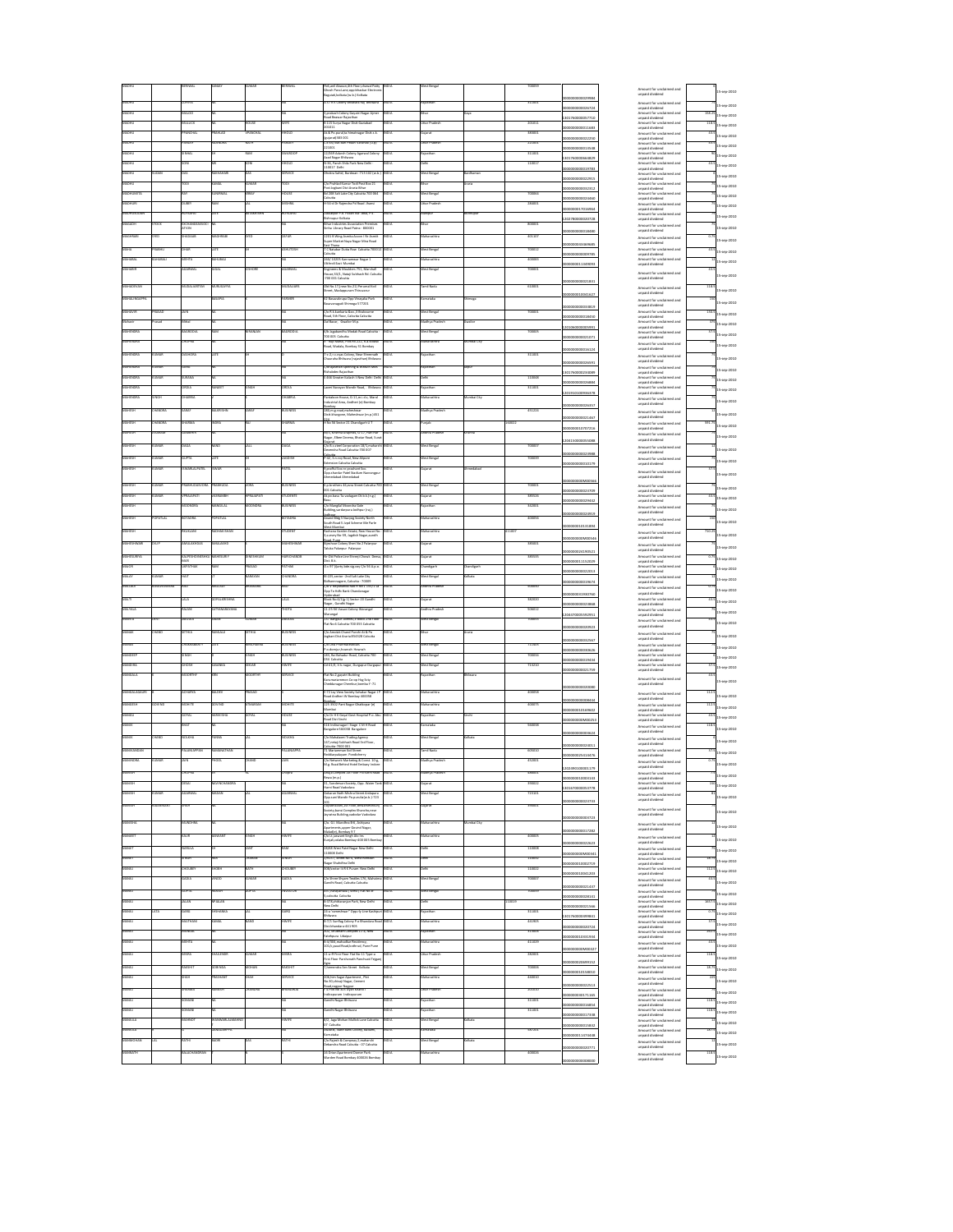|  |            |               |           | anii Abasan, 4th Floor, chawal Patt                                                                                  |                                |                  |         |                 |                  |                                                                                                                            |                 |                                                                                                                                                                                                                                                                                                                                                                                                                                                                                                                                                                                                                                       |
|--|------------|---------------|-----------|----------------------------------------------------------------------------------------------------------------------|--------------------------------|------------------|---------|-----------------|------------------|----------------------------------------------------------------------------------------------------------------------------|-----------------|---------------------------------------------------------------------------------------------------------------------------------------------------------------------------------------------------------------------------------------------------------------------------------------------------------------------------------------------------------------------------------------------------------------------------------------------------------------------------------------------------------------------------------------------------------------------------------------------------------------------------------------|
|  |            |               |           | ish Para Lane,oppd<br>ulati,kolkata (w.b.) Kolkata                                                                   |                                |                  |         |                 |                  | Amount for unclaimed and                                                                                                   |                 | 5-sep-2010                                                                                                                                                                                                                                                                                                                                                                                                                                                                                                                                                                                                                            |
|  |            |               |           | 17 R K Colony Bh                                                                                                     |                                |                  |         | 31100           |                  | Amount for unclaimed and                                                                                                   |                 | sep-2010                                                                                                                                                                                                                                                                                                                                                                                                                                                                                                                                                                                                                              |
|  |            |               |           | lagar                                                                                                                |                                |                  |         |                 | 17710            | unpaid dividend<br>Amount for unclaimed and<br>unpaid dividend                                                             | 158.            | iep-2010                                                                                                                                                                                                                                                                                                                                                                                                                                                                                                                                                                                                                              |
|  | що         |               |           | 115 Surya Nagar Distt Gaz<br>1011                                                                                    |                                |                  |         | 201011          | 011683           | Amount for unclaimed and<br>unpaid dividend                                                                                | 118             | 5-sep-2010                                                                                                                                                                                                                                                                                                                                                                                                                                                                                                                                                                                                                            |
|  | NOU        |               |           | it & Po.pural.ta.himatnagar Distt.s.k<br>ujarat)383 001                                                              |                                |                  |         | 383001          |                  | Amount for unclaimed and<br>unpaid dividend<br>Amount for unclaimed and                                                    | 41              | sep-2010                                                                                                                                                                                                                                                                                                                                                                                                                                                                                                                                                                                                                              |
|  |            |               |           | : 65/248 Bari Pea<br>1001                                                                                            |                                |                  |         | 22100           | 013548           | unpaid dividend                                                                                                            | 41.             | -<br>sep-2010                                                                                                                                                                                                                                                                                                                                                                                                                                                                                                                                                                                                                         |
|  |            |               |           | /169 Adaruh Colony Ag<br>ad Nagar Bhilwara<br>36, Panch Shita Park New C                                             |                                |                  |         | 311007<br>11001 | 301760000664829  | Amount for unclaimed and<br>unpaid dividend<br>Amount for unclaimed and                                                    | $\overline{a}$  | 5-sep-2010                                                                                                                                                                                                                                                                                                                                                                                                                                                                                                                                                                                                                            |
|  |            |               |           | 0017 Debi<br>iza Sahid, B                                                                                            |                                |                  |         |                 | 11978            |                                                                                                                            |                 | S-sep-2010                                                                                                                                                                                                                                                                                                                                                                                                                                                                                                                                                                                                                            |
|  |            |               |           |                                                                                                                      |                                |                  |         |                 | 122015           | Amount for unculatined and<br>unpaid dividend<br>Amount for unclaimed and<br>unpaid dividend<br>Amount for unclaimed and   |                 | <b>S-sep-2010</b>                                                                                                                                                                                                                                                                                                                                                                                                                                                                                                                                                                                                                     |
|  |            |               |           | : Prahlad Kumar Todi Post Box 21<br>st Jogbani Dist Araria Bihar<br>d 208 Salt Lake City Calcutta 700 064            |                                | st Ben           |         | 700064          | 032312           | unpaid dividend<br>Amount for unclaimed and                                                                                |                 | 5-sep-2010                                                                                                                                                                                                                                                                                                                                                                                                                                                                                                                                                                                                                            |
|  |            |               |           | cutta<br>54 d Dr Ralendra Pd Road Jh                                                                                 |                                |                  |         | 284001          | 124460           | unpaid dividend<br>Amount for unclaimed and                                                                                |                 | S-sep-2010                                                                                                                                                                                                                                                                                                                                                                                                                                                                                                                                                                                                                            |
|  |            |               |           |                                                                                                                      |                                |                  |         |                 | 0017016964       | unpaid dividend<br>Amount for unclaimed and                                                                                |                 | -<br>sep-2010                                                                                                                                                                                                                                                                                                                                                                                                                                                                                                                                                                                                                         |
|  |            |               |           | datpur P.o. Pallan Via-Joka, P.s.<br>Imupur Kolkata<br>ar Industries Associa                                         |                                |                  |         | nocco.          | 202780000020728  | unpaid dividend                                                                                                            |                 | sep-2010                                                                                                                                                                                                                                                                                                                                                                                                                                                                                                                                                                                                                              |
|  | now        |               |           | tha Library Road Patna - 800001                                                                                      |                                |                  |         |                 |                  | Amount for unclaimed and<br>unpaid dividend                                                                                |                 | sep-2010                                                                                                                                                                                                                                                                                                                                                                                                                                                                                                                                                                                                                              |
|  |            |               |           | .<br>21 B Wing Asmita Ascon I Nr Asmit<br>per Market Naya Nagar Mira Road                                            |                                |                  |         | 40110           |                  | Amount for unclaimed and<br>unpaid dividend                                                                                | $\alpha$        | S-sep-2010                                                                                                                                                                                                                                                                                                                                                                                                                                                                                                                                                                                                                            |
|  |            |               |           | d<br>Thana<br>Natabar Dutta Row Calcutta 7000<br>utta                                                                |                                |                  |         | 700013          |                  | Amount for unclaimed and<br>unpaid dividend<br>Amount for unclaimed and                                                    | $\overline{a}$  | 5-sep-2010                                                                                                                                                                                                                                                                                                                                                                                                                                                                                                                                                                                                                            |
|  | <b>ATH</b> |               |           | 10/10205 Kannamw<br>khroli East Mumbai                                                                               |                                |                  |         | 400083          | 00000011349093   | unpaid dividend                                                                                                            |                 | sep-2010                                                                                                                                                                                                                                                                                                                                                                                                                                                                                                                                                                                                                              |
|  |            |               |           | ngineers & Moulders 751, Marshall<br>Iouse,33/1, Nataji Subhash Rd. Calcu<br>700 001 Calcutta                        |                                |                  |         |                 |                  | Amount for unclaimed and<br>unpaid dividend                                                                                |                 | Sarp 2010                                                                                                                                                                                                                                                                                                                                                                                                                                                                                                                                                                                                                             |
|  | DALIARTSM  |               |           | d No.17, (new No.21) Perumal Kol                                                                                     | XA                             |                  |         | 610001          | 21831            | Amount for unclaimed and                                                                                                   | 118             |                                                                                                                                                                                                                                                                                                                                                                                                                                                                                                                                                                                                                                       |
|  |            |               |           | eet, Madappuram Thinwanu<br><b>Leuchin De</b>                                                                        |                                |                  |         |                 |                  | unpaid dividend                                                                                                            |                 | sep-2010                                                                                                                                                                                                                                                                                                                                                                                                                                                                                                                                                                                                                              |
|  |            |               |           | iasavakrupa Opp Vinayaka P<br>wanagudi Shimoga 577201                                                                |                                |                  |         |                 | 00033819         | Amount for unclaimed and<br>unpaid dividend                                                                                |                 | 5-sep-2010                                                                                                                                                                                                                                                                                                                                                                                                                                                                                                                                                                                                                            |
|  |            |               |           | o R.k.kankaria Aco., 3 Brabourne<br>ad, 5th Floor, Calcutta Calcutta                                                 |                                |                  |         | 700001          | 00000000018450   | Amount for unclaimed and<br>unpaid dividend                                                                                | 130.            | sep-2010                                                                                                                                                                                                                                                                                                                                                                                                                                                                                                                                                                                                                              |
|  |            |               |           | d Bazar, Gwalior M.p.                                                                                                |                                |                  |         |                 | idiga            | Amount for unclaimed and<br>unpaid dividend                                                                                |                 | S-sep-2010                                                                                                                                                                                                                                                                                                                                                                                                                                                                                                                                                                                                                            |
|  |            |               |           | : Jagabandhu I<br>3 005  Calcutta                                                                                    |                                |                  |         |                 | 0021071          | -<br>Amount for unclaimed and<br>unpaid dividend<br>anoun.<br>unpaid di                                                    |                 | 5-sep-2010                                                                                                                                                                                                                                                                                                                                                                                                                                                                                                                                                                                                                            |
|  |            |               |           | Rup Mahal, Plot.no.222,<br>ed, Wadala, Bombay 31 B                                                                   |                                |                  |         |                 | 000016124        | Amount for unclaimed and<br>unpaid dividend                                                                                |                 | sep.2010                                                                                                                                                                                                                                                                                                                                                                                                                                                                                                                                                                                                                              |
|  |            |               |           | 2. z. c. vyas Colony, Near Shneenat<br>auraha Bhilwara (rajasthan) Bhilwar                                           |                                |                  |         | 311001          |                  | Amount for unclaimed and<br>unpaid dividend                                                                                |                 | sep-2010                                                                                                                                                                                                                                                                                                                                                                                                                                                                                                                                                                                                                              |
|  |            |               |           | rejasthan Spinning I<br>habdev Rajasthan                                                                             |                                |                  |         |                 | 00026591         | Amount for unclaimed and                                                                                                   |                 | sep-2010                                                                                                                                                                                                                                                                                                                                                                                                                                                                                                                                                                                                                              |
|  |            |               |           | <b>656 Greater Kall</b>                                                                                              |                                |                  |         | 110048          | 00234089         | unpaid dividend<br>Amount for unclaimed and                                                                                |                 | 5-sep-2010                                                                                                                                                                                                                                                                                                                                                                                                                                                                                                                                                                                                                            |
|  |            |               |           |                                                                                                                      |                                |                  |         | 31100           | 26884            | unpaid dividend<br>Amount for unclaimed and                                                                                |                 | 5-sep-2010                                                                                                                                                                                                                                                                                                                                                                                                                                                                                                                                                                                                                            |
|  |            |               |           |                                                                                                                      |                                |                  |         |                 |                  | unpaid dividend<br>Amount for unclaimed and                                                                                |                 |                                                                                                                                                                                                                                                                                                                                                                                                                                                                                                                                                                                                                                       |
|  |            |               |           |                                                                                                                      |                                |                  |         |                 | 26357            | unpaid dividend                                                                                                            |                 | sep-2010                                                                                                                                                                                                                                                                                                                                                                                                                                                                                                                                                                                                                              |
|  |            |               |           | 10,m.g.road,maheshwar<br>sti.khargone, Maheshwar (m.p.)151                                                           |                                |                  |         | 451224          | 121467           | Amount for unclaimed and<br>unpaid dividend                                                                                |                 | sep-2010                                                                                                                                                                                                                                                                                                                                                                                                                                                                                                                                                                                                                              |
|  |            |               |           | s 56 Sector 21 Chandigarh U T                                                                                        |                                |                  |         |                 | 10707216         | Amount for unclaimed and<br>unpaid dividend                                                                                | 5917            | -sep-2010                                                                                                                                                                                                                                                                                                                                                                                                                                                                                                                                                                                                                             |
|  |            |               |           | (S, Krishna Graphics, G-17, Hari Har<br>gar, Elbee Cinema, Bhatar Road, Sur                                          |                                |                  |         |                 | 204150000055088  | Amount for unclaimed and<br>inpaid                                                                                         |                 | S-sep-2010                                                                                                                                                                                                                                                                                                                                                                                                                                                                                                                                                                                                                            |
|  |            |               |           | iarat<br>: II.s.steel Corporation 18/1,ma<br>endra Road Calcutta-700 007                                             |                                |                  |         |                 |                  | Amount for unclaimed and                                                                                                   |                 | sep-2010                                                                                                                                                                                                                                                                                                                                                                                                                                                                                                                                                                                                                              |
|  |            |               |           | lcutta<br>12,5 m r                                                                                                   |                                |                  |         |                 |                  | unpaid dividend<br>Amount for unclaimed and<br>unpaid dividend                                                             |                 | $-$ sep $-2010$                                                                                                                                                                                                                                                                                                                                                                                                                                                                                                                                                                                                                       |
|  |            |               |           |                                                                                                                      |                                |                  |         |                 |                  |                                                                                                                            |                 |                                                                                                                                                                                                                                                                                                                                                                                                                                                                                                                                                                                                                                       |
|  |            |               |           | i,prafful Soc.nr.prashant Soc.<br>Opp.shardar Patel Stadium Nav<br>Urmedabad Ahmedabad<br>rangp                      |                                |                  |         |                 |                  | Amount for unclaimed and<br>unpaid dividend                                                                                |                 | S-sep-2010                                                                                                                                                                                                                                                                                                                                                                                                                                                                                                                                                                                                                            |
|  |            |               |           | thers 46, erra 56<br>Calcutta                                                                                        |                                |                  |         |                 |                  | Amount for unclaimed and                                                                                                   |                 | S-sep-2010                                                                                                                                                                                                                                                                                                                                                                                                                                                                                                                                                                                                                            |
|  |            |               |           | iu Ta vadagam Dt.b.k.(n.g.)                                                                                          |                                |                  |         | 31552           | 9442             | unpaid dividend<br>Amount for unclaimed and<br>unpaid dividend                                                             | $\overline{a}$  | sep-2010                                                                                                                                                                                                                                                                                                                                                                                                                                                                                                                                                                                                                              |
|  | MDRA       | VGILAI        | NESS      | o Mangliai Moondra Gole<br>Ing, sardarpura Jodhpur (raj.)                                                            | XA                             |                  |         | 342003          |                  | Amount for unclaimed and                                                                                                   |                 | -<br>sep-2010                                                                                                                                                                                                                                                                                                                                                                                                                                                                                                                                                                                                                         |
|  |            |               |           | and<br>and Bidg 5 Nevyog Society North<br>ath Road 5 Jupd Scheme Vile Parle                                          |                                |                  |         | www             |                  | unpaid dividend<br>Amount for unclaimed and                                                                                |                 | 5-sep-2010                                                                                                                                                                                                                                                                                                                                                                                                                                                                                                                                                                                                                            |
|  |            |               |           | est Mumb                                                                                                             |                                |                  |         |                 | 00000010131894   | unpaid dividend                                                                                                            | 710.2           |                                                                                                                                                                                                                                                                                                                                                                                                                                                                                                                                                                                                                                       |
|  |            |               |           | hana Garden Estate, Row House Ni<br>urvey No-59, Jagdish Nagar,aundh                                                 |                                |                  |         | 385001          | 000M00546        | Amount for unclaimed and<br>unpaid dividend                                                                                |                 | sep.2010                                                                                                                                                                                                                                                                                                                                                                                                                                                                                                                                                                                                                              |
|  |            |               |           | rar Colony Sheri No 2 Palanpu                                                                                        |                                |                  |         |                 |                  |                                                                                                                            |                 |                                                                                                                                                                                                                                                                                                                                                                                                                                                                                                                                                                                                                                       |
|  |            |               |           | luka Palanpur Palanpur                                                                                               |                                |                  |         |                 |                  | Amount for unclaimed and<br>unpaid dividend                                                                                |                 |                                                                                                                                                                                                                                                                                                                                                                                                                                                                                                                                                                                                                                       |
|  |            |               |           |                                                                                                                      |                                |                  |         |                 | 4190523          | Amount for unclaimed and                                                                                                   | o.              |                                                                                                                                                                                                                                                                                                                                                                                                                                                                                                                                                                                                                                       |
|  |            |               |           | c.97 ((arty.bde.sig.coy C/o S6 A.p.                                                                                  |                                |                  |         |                 |                  | unpaid dividend<br>Amount for unclaimed and                                                                                |                 |                                                                                                                                                                                                                                                                                                                                                                                                                                                                                                                                                                                                                                       |
|  |            |               |           | -<br>1225, sector - 2nd Salt Lake City<br>idhannnagore, Calcutta - 70009                                             |                                | st Gen           |         |                 | 0000019674       | unpaid dividend<br>Amount for unclaimed and                                                                                |                 |                                                                                                                                                                                                                                                                                                                                                                                                                                                                                                                                                                                                                                       |
|  |            |               |           |                                                                                                                      |                                |                  |         |                 |                  | unpaid dividend<br>Amount for unclaimed and                                                                                |                 |                                                                                                                                                                                                                                                                                                                                                                                                                                                                                                                                                                                                                                       |
|  |            | PAURSINA      |           | b V Nityananda Rao H No 1 155<br>pp To Hdfc Bank Chandanagar<br>cherabad<br>ock No.6/1(g-1) Sector-20 Gandhi         | XA                             | arat             |         | 382020          |                  | unpaid dividend<br>Amount for unclaimed and                                                                                | 41              |                                                                                                                                                                                                                                                                                                                                                                                                                                                                                                                                                                                                                                       |
|  |            | <b>EAVANS</b> | ١T        | gar, Gandhi Naga<br>-25-56 Vasayi Colory Warang                                                                      |                                |                  |         | 506012          | 023868           | unpaid dividend                                                                                                            |                 |                                                                                                                                                                                                                                                                                                                                                                                                                                                                                                                                                                                                                                       |
|  |            |               |           |                                                                                                                      |                                |                  |         |                 | 204470005592951  | Amount for unclaimed and<br>unpaid dividend<br>Amount for unclaimed and                                                    |                 |                                                                                                                                                                                                                                                                                                                                                                                                                                                                                                                                                                                                                                       |
|  |            |               |           | 7 Bangaur Aveneu,c-block 2nd Fli<br>it No.6 Calcutta-700 055 Calcutta<br>a Amalak Chand Purohi At & Po               |                                |                  |         |                 | 00020923         | unpaid dividend                                                                                                            |                 |                                                                                                                                                                                                                                                                                                                                                                                                                                                                                                                                                                                                                                       |
|  |            |               |           | gbani Dist Araria 854328 Calcutta                                                                                    |                                |                  |         |                 |                  | Amount for unclaimed and<br>unpaid dividend                                                                                |                 |                                                                                                                                                                                                                                                                                                                                                                                                                                                                                                                                                                                                                                       |
|  |            |               |           |                                                                                                                      |                                | st Benga         |         | 711407          |                  | Amount for unclaimed and<br>unpaid dividend                                                                                |                 |                                                                                                                                                                                                                                                                                                                                                                                                                                                                                                                                                                                                                                       |
|  |            |               | <b>MS</b> | 83, Rai Bahadur Road, Calcutta 700<br><b>H</b> Calc<br>m                                                             |                                | st Denga         |         | 700034          | 019434           | Amount for unclaimed and<br>unpaid dividend                                                                                |                 |                                                                                                                                                                                                                                                                                                                                                                                                                                                                                                                                                                                                                                       |
|  |            |               |           | 5-41/3, V.k.nagar, Durgapur Durgap                                                                                   |                                | nt Benga         |         | 713210          |                  | Amount for unclaimed and<br>unpaid dividend                                                                                | 27              |                                                                                                                                                                                                                                                                                                                                                                                                                                                                                                                                                                                                                                       |
|  |            |               |           |                                                                                                                      |                                |                  |         |                 |                  | Amount for unclaimed and                                                                                                   | ø               |                                                                                                                                                                                                                                                                                                                                                                                                                                                                                                                                                                                                                                       |
|  |            |               |           | it No 2,gayatri Building<br>rumariammon Co-op Hisg Scty<br>eddanagar Chembur,bomba Y-71                              |                                |                  |         | 400058          |                  | unpaid dividend                                                                                                            | 112             |                                                                                                                                                                                                                                                                                                                                                                                                                                                                                                                                                                                                                                       |
|  |            |               |           | 72 Jay View Society Sahakar Nagar J<br>sad Andheri W Bombay 400058                                                   |                                |                  |         | 400075          |                  | Amount for unclaimed and<br>unpaid dividend<br>Amount for unclaimed and                                                    |                 |                                                                                                                                                                                                                                                                                                                                                                                                                                                                                                                                                                                                                                       |
|  |            |               |           | 15 3502 Pant Nagar Gha<br><b>Isda</b>                                                                                |                                |                  |         |                 |                  |                                                                                                                            | 112.            |                                                                                                                                                                                                                                                                                                                                                                                                                                                                                                                                                                                                                                       |
|  |            |               |           | s Dr H K Goyal Go<br>ad Dist Sirohi                                                                                  |                                |                  |         |                 |                  | Ambarn is an<br>unpaid dividend<br>Amount for unclaimed and<br>unpaid dividend                                             | $\overline{41}$ |                                                                                                                                                                                                                                                                                                                                                                                                                                                                                                                                                                                                                                       |
|  |            |               |           | 16 Indiranagar I Stage: C.M.H Roa<br>angalore 560038. Bangalore                                                      |                                |                  |         | 200038          |                  | Amount for unclaimed and<br>unpaid dividend                                                                                | Ħ               |                                                                                                                                                                                                                                                                                                                                                                                                                                                                                                                                                                                                                                       |
|  |            |               |           | o Mahalaxmi Trading Agency<br>7,netaji Subhash Road Ird Floor<br>#ha-7000.001                                        |                                |                  |         |                 | 0024011          | Amount for unclaimed and<br>unpaid dividend                                                                                |                 |                                                                                                                                                                                                                                                                                                                                                                                                                                                                                                                                                                                                                                       |
|  |            |               |           | Mariamman Kol Street                                                                                                 |                                |                  |         |                 |                  | Amount for unclaimed and<br>unpaid dividend                                                                                | 17.             |                                                                                                                                                                                                                                                                                                                                                                                                                                                                                                                                                                                                                                       |
|  |            |               |           | Network Marketing & Const. 10-g.<br>A.g. Road Behind Hotel Embasy Indo                                               |                                |                  |         |                 |                  |                                                                                                                            | ¢,              |                                                                                                                                                                                                                                                                                                                                                                                                                                                                                                                                                                                                                                       |
|  |            |               |           | uja Complex 1st Floor Pili K<br>aa (m.p.)                                                                            |                                |                  |         |                 |                  | Amount for unclaimed and<br>unpaid dividend<br>Amount for unclaimed and                                                    |                 |                                                                                                                                                                                                                                                                                                                                                                                                                                                                                                                                                                                                                                       |
|  |            |               |           | lety, Opp. Wate                                                                                                      |                                |                  |         | 390022          | 00000000003143   | unpaid dividend<br>Amount for unclaimed and                                                                                |                 |                                                                                                                                                                                                                                                                                                                                                                                                                                                                                                                                                                                                                                       |
|  |            |               |           | ni Road Vadodara<br>skaran Nath Mishra Street As<br>pp.sani Mandir Po.purulla(w.b.)-723                              |                                |                  |         | 723101          | 301670000053778  | unpaid dividend<br>Amount for unclaimed and                                                                                |                 |                                                                                                                                                                                                                                                                                                                                                                                                                                                                                                                                                                                                                                       |
|  |            |               |           |                                                                                                                      |                                |                  |         |                 | 0000023733       | unpaid dividend                                                                                                            |                 |                                                                                                                                                                                                                                                                                                                                                                                                                                                                                                                                                                                                                                       |
|  |            |               |           | g<br>yubhavani, 1st Floor, dhwarkeshku<br>ciety, bansi Complex Khancho, near<br>yratra Building, vadodar Vadodara    |                                |                  |         |                 | 03723            | Amount for unclaimed and<br>unpaid dividend                                                                                |                 |                                                                                                                                                                                                                                                                                                                                                                                                                                                                                                                                                                                                                                       |
|  | NDHRA      |               |           | s. G.I. Mundhra B-6, Ashiyana                                                                                        | XA                             |                  | bal Cit |                 |                  | Amount for unclaimed and                                                                                                   |                 |                                                                                                                                                                                                                                                                                                                                                                                                                                                                                                                                                                                                                                       |
|  |            |               |           |                                                                                                                      |                                |                  |         | www             | 0017282          | unpaid dividend<br>Amount for unclaimed and                                                                                |                 |                                                                                                                                                                                                                                                                                                                                                                                                                                                                                                                                                                                                                                       |
|  | а          |               |           | artments, upper Govind Nagar,<br>dadiel. Bombar 9:7<br>5 Lt.jaswant Singh Alo Ins<br>njali,colaba Bombay-400 005 Bor |                                |                  |         | 110008          | 000022623        | unpaid dividend                                                                                                            |                 |                                                                                                                                                                                                                                                                                                                                                                                                                                                                                                                                                                                                                                       |
|  |            |               |           | /68 West Patel Nagar New Del<br>0008 Delhi<br>9157, Street No-4, West Rol                                            |                                |                  |         | 110032          | 00000000M00341   | Amount for unclaimed and<br>unpaid dividend<br>Amount for unclaimed and                                                    | 187             |                                                                                                                                                                                                                                                                                                                                                                                                                                                                                                                                                                                                                                       |
|  |            |               |           | gar Shahdhra Delh<br><b>/sector II RK Purs</b>                                                                       |                                |                  |         | thony.          | 10002719         | brebivib bisons                                                                                                            | 112.            |                                                                                                                                                                                                                                                                                                                                                                                                                                                                                                                                                                                                                                       |
|  |            |               |           |                                                                                                                      |                                |                  |         |                 | 10041203         | Amount for unclaimed and<br>unpaid dividend<br>Amount for unclaimed and                                                    | 43              |                                                                                                                                                                                                                                                                                                                                                                                                                                                                                                                                                                                                                                       |
|  |            |               |           | Shree Shyam Textles<br>idhi Road, Calcutta Ca                                                                        |                                |                  |         |                 | 000021437        | unpaid dividend                                                                                                            |                 |                                                                                                                                                                                                                                                                                                                                                                                                                                                                                                                                                                                                                                       |
|  |            |               |           | 7,narayantala ( West ) Flat No.<br>calcutta Calcutta                                                                 |                                |                  |         | 700055          | 028141           | Amount for unclaimed and                                                                                                   |                 |                                                                                                                                                                                                                                                                                                                                                                                                                                                                                                                                                                                                                                       |
|  |            |               |           | 78,chittaranjan Pa<br>v Delhi                                                                                        |                                |                  |         |                 | 0021566          |                                                                                                                            | 1657.           |                                                                                                                                                                                                                                                                                                                                                                                                                                                                                                                                                                                                                                       |
|  |            |               |           | l-a 'rameshwar" Opp.rly Line Kashij                                                                                  |                                | sthan            |         | 311001          | 301760000499841  | Printerin for uncleaning and<br>Amount for uncleaned and<br>unpaid dividend<br>Amount for uncleaned and<br>unpaid dividend | 0.71            |                                                                                                                                                                                                                                                                                                                                                                                                                                                                                                                                                                                                                                       |
|  |            |               |           | 7/1 Sunflag Colony P.o Bhandara Ro                                                                                   |                                | <b>MARINE</b>    |         | 441905          | 020724           | Amount for unclaimed and                                                                                                   | $\overline{x}$  |                                                                                                                                                                                                                                                                                                                                                                                                                                                                                                                                                                                                                                       |
|  |            |               |           | it.bhandara-441 905<br>2, Shubham Complex 11-a, New<br><b>Hours Udalou</b>                                           |                                |                  |         | 313006          | 000000010331934  | unpaid dividend<br>Amount for unclaimed and<br>unpaid dividend                                                             | 262.5           |                                                                                                                                                                                                                                                                                                                                                                                                                                                                                                                                                                                                                                       |
|  | ИΤΑ        |               |           | l/204,mahadkar Residency,<br>0/c,paud Road,kothrud, Pune Pune                                                        |                                |                  |         | 411029          |                  |                                                                                                                            | 43.             |                                                                                                                                                                                                                                                                                                                                                                                                                                                                                                                                                                                                                                       |
|  | w          |               |           | a et First Floor Flat No-11 Type-a<br>st Floor Parshvnath Panchvati Tejga                                            |                                |                  |         | 282001          | 00000000M00327   | Amount for unclaimed and<br>unpaid dividend<br>Amount for unclaimed and                                                    | 118             |                                                                                                                                                                                                                                                                                                                                                                                                                                                                                                                                                                                                                                       |
|  |            |               |           |                                                                                                                      |                                |                  |         |                 | 99152            | unpaid dividend                                                                                                            | $\overline{1}$  |                                                                                                                                                                                                                                                                                                                                                                                                                                                                                                                                                                                                                                       |
|  |            |               | VICI      |                                                                                                                      |                                |                  |         | 440010          |                  | Amount for unclaimed and<br>unpaid dividend<br>Amount for unclaimed and                                                    | -22             |                                                                                                                                                                                                                                                                                                                                                                                                                                                                                                                                                                                                                                       |
|  |            |               |           | 6, him Sagar Apartment , Plot<br>1 30, shivaji Nagar, Cement                                                         |                                |                  |         |                 | 022513           | unpaid dividend                                                                                                            |                 |                                                                                                                                                                                                                                                                                                                                                                                                                                                                                                                                                                                                                                       |
|  |            |               |           | of names Names<br>Stranger Names<br>وما معتد بن<br>Irapuram Indin                                                    |                                |                  |         | 201010          | 030171165        | Amount for unclaimed and                                                                                                   |                 |                                                                                                                                                                                                                                                                                                                                                                                                                                                                                                                                                                                                                                       |
|  |            |               |           | Nagar B                                                                                                              |                                |                  |         | 3110            | 16854            | Amount for uncurried and<br>unpaid dividend<br>Amount for unclaimed and<br>unpaid dividend                                 | Ħ               |                                                                                                                                                                                                                                                                                                                                                                                                                                                                                                                                                                                                                                       |
|  | MAN<br>wm  |               |           | ndhi Nagar Bhilwara                                                                                                  | DίA<br>$\overline{\mathbf{z}}$ | asthan<br>it San |         | 311001          | 017338           | Amount for unclaimed and<br>unpaid dividend                                                                                | 118.            |                                                                                                                                                                                                                                                                                                                                                                                                                                                                                                                                                                                                                                       |
|  |            |               |           | : Jana Mohan Mullick Lane Cali<br>Calcutta                                                                           |                                |                  |         |                 | 00015832<br>nnnn | Amount for unclaimed and<br>unpaid dividend                                                                                |                 |                                                                                                                                                                                                                                                                                                                                                                                                                                                                                                                                                                                                                                       |
|  |            |               |           | sk, State                                                                                                            |                                |                  |         |                 | 011474448        | Amount for unclaimed and<br>unpaid dividend                                                                                |                 | $-$ sep $-2010$<br>sep-2010<br>5-sep-2010<br>sep-2010<br>sep-2010<br>sep-2010<br>$5 - 56p - 2010$<br>5-sep-2010<br>sep-2010<br>sep-2010<br>5-sep-2010<br>Sarp 2010<br>sep-2010<br>sep-2010<br>Sarp 2010<br>sep-2010<br>ep-2010<br>5-sep-2010<br>$-$ sep $-2010$<br>sep-2010<br>S-sep-2010<br>5-sep-2010<br>$-$ sep $-2010$<br>5-sep-2010<br>5-sep-2010<br>15-sep-2010<br>$-$ sep $-2010$<br>5-sep-2010<br>5-sep-2010<br>5-sep-2010<br>5-sep-2010<br>15-sep-2010<br>15-sep-2010<br>5-sep-2010<br>5-sep-2010<br>S-sep-2010<br>Ssep-2010<br>5-sep-2010<br>S-sep-2010<br>15-sep-2010<br>Ssep-2010<br>5-sep-2010<br>5-sep-2010<br>sep-2010 |
|  |            |               |           | o Rajesh & Compnay 2,maharshi<br>bandra Road Calcutta - 07 Calcutta<br><b>Drion Apartment Domer Park</b>             | XA                             | st Bengal        |         |                 | 220771           | Amount for unclaimed and<br>unpaid dividend<br>Amount for unclaimed and                                                    | 118             | $-$ sep $-2010$                                                                                                                                                                                                                                                                                                                                                                                                                                                                                                                                                                                                                       |

| imed ar<br>tount for und<br>paid dividend<br>á                                                       |                          | 0-2010                     |
|------------------------------------------------------------------------------------------------------|--------------------------|----------------------------|
| mount for unclaimed and                                                                              | ś                        | sep-2010                   |
| npaid dividend<br>$\alpha$<br>for und<br><b>Imediand</b>                                             |                          |                            |
| aid divide<br>nd<br>u<br>imed and                                                                    |                          | p-2010                     |
| Amount for und<br>Amount for und<br>unpaid dividend<br>Amount for unclaimed and                      | 5                        | ép                         |
| unpaid dividend<br>'n<br>.<br>1011<br>for und<br><b>Imediand</b>                                     | ī                        | sep-2010                   |
| aid divide<br>ü                                                                                      |                          | ep-2010                    |
| unt for u<br>id dividi<br>med and<br>Amo<br>nd<br>np<br>end                                          |                          | p-2010                     |
| Amount for unclaimed and<br><b>Innahörith History</b>                                                | 5                        | sep-2010                   |
| ù<br>$\alpha$<br>for und<br>imed and<br>ü<br>Am.<br>unpaid L.<br>Amount for L.<br>The Life of S      |                          | 0-2010                     |
| lend<br>und<br>lend<br>ed and                                                                        |                          | 2010<br>ip                 |
| imed and<br>Amount for uncl<br>unpaid dividend                                                       | 3                        | sep-2010                   |
| h<br>iour<br>for und<br>imed and<br>aid divide                                                       | $\overline{\phantom{a}}$ | sep-2010                   |
| i<br>idend<br>for und<br>ipiai<br>nou<br>d ar<br>ä                                                   |                          | sep.2010                   |
| d divid<br>nd<br>'n,<br>or pend<br>unt for und<br>سماعات divide<br>d and                             |                          |                            |
| ij                                                                                                   |                          | p-2010                     |
| Amount for und<br>d and<br>unpaid dividend                                                           |                          | 15-sep-2010                |
| mount for und<br>d and<br>m<br>unpaid dividend                                                       |                          | 0.2010                     |
| ed and<br>Amount for und<br>im<br>hmbivib bison                                                      | Þ                        | sep-2010                   |
| mount for und<br>d and                                                                               |                          |                            |
| unpaid dividend                                                                                      |                          | sep-2010                   |
| Amount for unclaimed and<br>aid dividend<br>inş                                                      |                          | sep-2010                   |
| .<br>Amount for und<br>unpaid dividend<br>d and                                                      | ċ                        | p-2010                     |
| nount for und<br>ù<br>i ar<br>ä                                                                      |                          |                            |
| d divid<br>d<br>nd<br>'n,                                                                            | 5                        | $-2010$                    |
| Amount for und<br>imed and<br>unpaid dividend                                                        |                          | sep-2010                   |
| ount for und<br>imed and<br>k<br>id dividend                                                         |                          | 0-2010                     |
| Amount for und<br>ed and<br>hmbivib bison                                                            |                          | sep-2010                   |
| t for und<br>d and                                                                                   |                          | p-2010                     |
| d dividend<br>nş<br>.<br>Amount for uncl<br>unpaid dividend<br>d ar<br>ä                             | R                        |                            |
| nt fa<br>d and<br>mo<br>nd                                                                           |                          | $-2010$                    |
| unpaid dividend<br>Amount for und<br>imed and                                                        | ś                        | p-2010                     |
| npaid dividend                                                                                       |                          | sep-2010                   |
| Amount for und<br>ed and<br>unpaid dividend                                                          |                          | sep-2010                   |
| ant for und<br>ed and<br>mn<br>aid divide<br>'n.                                                     | 12                       | p-2010                     |
| ų<br>Amount for und<br>d and                                                                         | 75                       | 0.2010                     |
| aid dividend<br>Amount for und<br>imed and                                                           |                          |                            |
| aid dividend                                                                                         |                          | 0-2010                     |
| t for und<br>Amour<br>d ar<br>ä<br>d dividend                                                        | ø                        | $-2010$                    |
| np<br>ome<br>unt for und<br>استوابات divident<br>d and                                               | ŧ                        | $-2010$                    |
| ij<br>for and                                                                                        |                          |                            |
| imed and<br>mour<br>paid dividend                                                                    |                          | sep-2010                   |
| Amount for unclaimed and                                                                             | š                        | sep-2010                   |
| brebivib bien<br>ù<br>$\alpha$<br>for und<br><b>Imediand</b>                                         |                          | 2010                       |
| aid dividend<br>u<br>ed and                                                                          |                          | sep-2010                   |
| Amount for uncl<br>unpaid dividend<br>y                                                              | ċ                        |                            |
| .<br>mount for und<br>npaid dividend<br>d and<br>im                                                  |                          | p-2010                     |
| mount for uncli<br>npaid dividend<br><b>Imediand</b>                                                 |                          | sep-2010                   |
| t for und<br><b>Lincor</b><br>d ar<br>ä                                                              | S                        |                            |
| id divid<br>nş<br>lend<br>our<br>لەن<br>ar und<br>hdr<br>d and                                       | ţ                        | 2010                       |
| د.<br>unt fo<br>id div<br>ų<br>med and                                                               |                          | 2010                       |
| Amount for und<br>unpaid dividend                                                                    |                          | 2010<br>ip                 |
| imed and<br>Amount for und<br>npaid dividend                                                         | ø                        | sep-2010                   |
| Amount for und<br>ed and<br>npaid dividend                                                           | R                        | sep-2010<br>1Ś             |
| mount for und<br>im<br>d and                                                                         | ś                        | sep-2010                   |
| unpaid dividend<br><b>Amount for uncl</b><br>unpaid dividend<br>ed and                               | š                        | sep-2010                   |
| Amount for und<br>imed and                                                                           |                          | 5-sep-2010                 |
| npaid dividend<br>t for und<br>men<br>d ar<br>ä                                                      | 3                        |                            |
| id diwd<br>np<br>nd                                                                                  |                          | p-2010                     |
| Amount for und<br>imed and<br>in i<br>i.<br>١d<br>n,                                                 |                          | ep-2010                    |
| d and<br><i>Amount for und</i><br>unpaid dividend<br>im                                              |                          | ep-2010                    |
| ed and<br>Amount for und<br>úπ<br>hmbivib bison                                                      | 3                        | sep-2010                   |
| t for und<br>d and<br>Amou                                                                           |                          | sep-2010                   |
| unpaid dividend                                                                                      |                          |                            |
| <b>Amnuel for und</b><br><b>Imediand</b><br>maint clinichand                                         |                          | 0.2010                     |
| Amount for uncl<br>imed and                                                                          | $\overline{1}$<br>ś      | sep-2010                   |
| mpaid dividend<br>ù<br>$\alpha$<br>for und<br>imed and                                               |                          | 2010                       |
| aid dividend<br>ų<br>Amount for und<br>ed and                                                        |                          |                            |
| aid divide<br>'n.<br>ij                                                                              |                          | sep-2010                   |
| mount for und<br>npaid dividend<br>d and<br>im<br>nş                                                 | ¢                        | ep-2010                    |
| t for und<br>i.<br>w<br>d and<br>d divis<br>nd<br>ń,                                                 |                          | sep-2010                   |
| یر<br>unt fa<br>id div<br>imed and<br>ou<br>گاہ<br>ar und<br>dr                                      | 3                        | 15-sep-2010                |
| ij<br>Amount for uncl<br>imed and                                                                    | ī                        | 15-sep-2010                |
| .<br>ad c<br>۱p<br>med and<br>mo<br>ţ                                                                |                          |                            |
| am na<br>id divis<br>np<br>end<br>e fo<br>our<br>r und<br>d ar                                       |                          |                            |
|                                                                                                      |                          | sep-2010<br>ß              |
| d divid<br>nş<br>nd                                                                                  |                          | sep-2010                   |
| t fe<br>r und<br>mou<br>in<br>d ar                                                                   |                          | 15-sep-2010                |
| unpaid dividend                                                                                      |                          |                            |
| Amount for unclaims<br>d and<br>aid dividend                                                         |                          | sep-2010<br>ò,             |
| d and<br>im                                                                                          | Þ                        | sep-2010                   |
| .<br>Amount for und<br>unpaid dividend<br>Amount for unclair<br>d ar<br>ä                            | 7                        |                            |
| d<br>nş<br>nd<br>Amount for unclaimed and                                                            | 5                        | sep-2010                   |
| unpaid dividend<br>ount for und<br><b>Imediand</b><br>k                                              | 112<br>3                 | 15-sep-2010                |
| npaid dividend<br>Amount for unclaimed and                                                           |                          | 15-sep-2010                |
| brebivib bison                                                                                       |                          | 15-sep-2010                |
| Amount for uncli<br>imed and<br>brebivib bisqn                                                       | 5                        | 15-sep-2010                |
| ù<br>$\alpha$<br>fer und<br>bns bemis                                                                | š                        | 15-sep-2010                |
| aimed and                                                                                            |                          | sep-2010                   |
| unpaid dividend<br>Amount for uncl<br>unpaid dividend<br>Amount for unclaimed and<br>unpaid dividend | 5                        | 15-sep-2010                |
| Amount for und<br><b>Imediand</b><br>aid divide<br>nd                                                | 26<br>š                  | 15-sep-2010                |
| imed and                                                                                             |                          | 15-sep-2010                |
| Amount for uncl<br>unpaid dividend<br>Amount for unclair<br>d and                                    | 5                        |                            |
| id dividend<br>npi<br>ä                                                                              | ŧ                        | 15-sep-2010                |
| stywa<br>Amount for und<br>--noaid dividend<br>da<br>ij                                              |                          | S-sep-2010                 |
| Amount for und<br><b>Imediand</b><br>aid divis<br>.<br>1d                                            |                          | 15-sep-2010                |
| ų<br>Amount for und<br><b>Imediand</b><br>aid dividend                                               | š                        | 15-sep-2010                |
| aimed and                                                                                            |                          | 15-sep-2010                |
| Amount for und<br>unpaid dividend<br>Amount for und<br>imed and                                      | 118.5                    | 15-sep-2010                |
| unpaid dividend<br>bns bemis                                                                         | n                        |                            |
| <b>Amount for uncl</b><br>unpaid dividend<br>.<br>104<br>for und<br>ù<br>d and                       | 187.5                    | 15-sep-2010                |
| d divid<br>d<br>np<br>nd<br>Amount for und<br><b>Imediand</b>                                        | 12                       | 15-sep-2010                |
| aid divide<br>u<br>t f<br>imed and                                                                   | 118.5                    | 15-sep-2010<br>15-sep-2010 |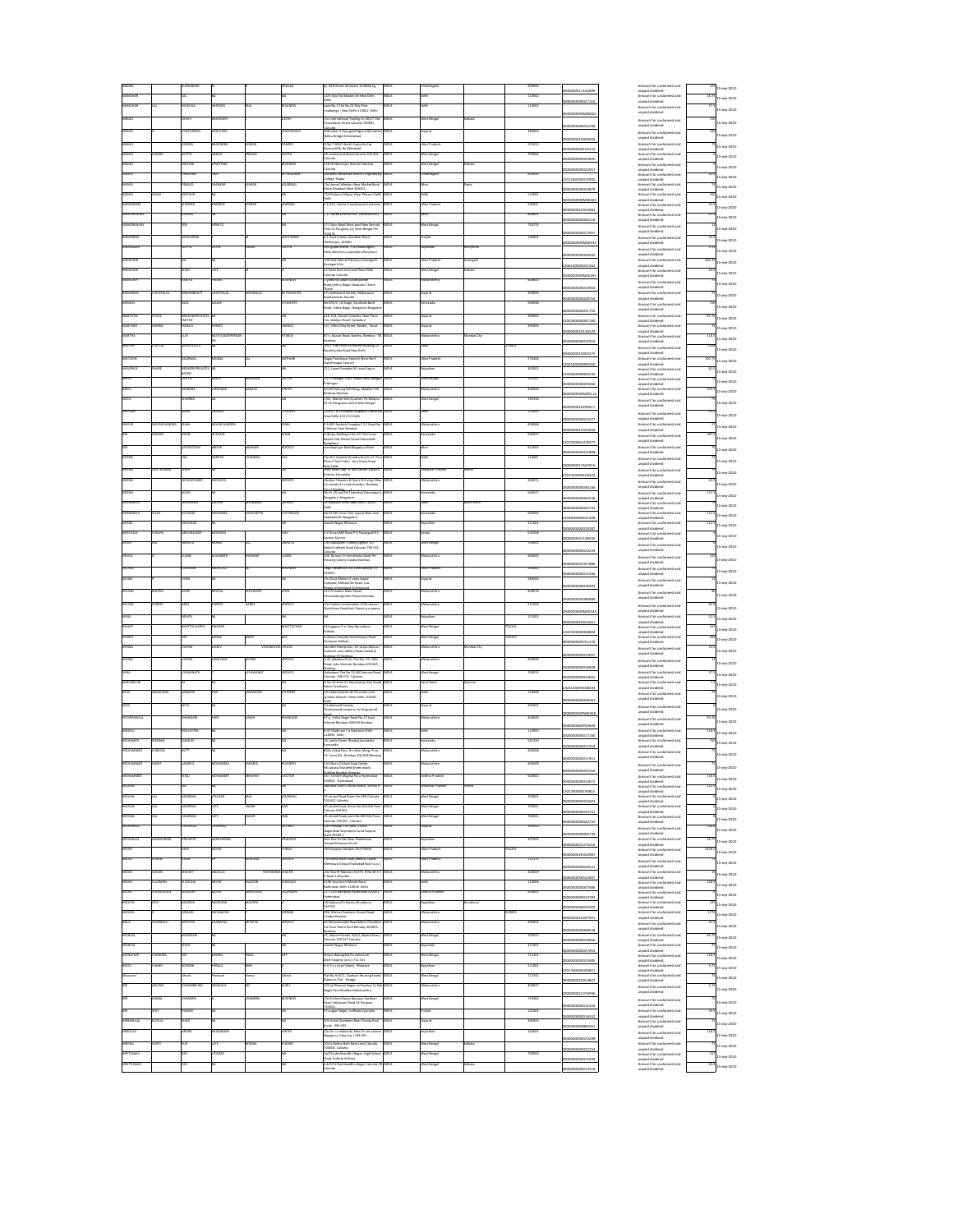|                             |                |                |              |            |              | 2003                                                                                                                     |          |                       |                  |                     | Amount for unclaimed and<br>Amount for uncommodiate<br>Amount for unclaimed and<br>unpaid dividend | $\overline{22}$<br>$\overline{\mathbf{H}}$ |
|-----------------------------|----------------|----------------|--------------|------------|--------------|--------------------------------------------------------------------------------------------------------------------------|----------|-----------------------|------------------|---------------------|----------------------------------------------------------------------------------------------------|--------------------------------------------|
|                             |                | ош             |              |            | NES          | e No.1 Flat No.23 Dda Flat                                                                                               |          |                       | 110062           |                     | Amount for unclaimed and                                                                           | x                                          |
|                             |                |                |              |            |              | damgir , New Delhi-110052 Delhi                                                                                          |          |                       |                  |                     | unpaid dividend                                                                                    |                                            |
|                             |                |                |              |            |              | international Trading Co 28/17 C<br>na Bazar Street Cakutta 700001                                                       |          |                       |                  | 0032238             | Amount for unclaimed and<br>unpaid dividend                                                        |                                            |
|                             |                |                |              |            |              | 8, ukar-1 Opp gandhigran<br>hru Bridge Ahmedabad                                                                         |          | ırat                  | 380009           | 004659              | Amount for unclaimed and<br>unpaid dividend                                                        | 15                                         |
|                             |                |                |              |            |              | (o T 184/1 North Carno Ho Ca<br>sull Nr By Alahabad                                                                      |          |                       | 211012           | 162333              | Amount for unclaimed and<br>unpaid dividend<br>Amount for unclaimed and                            |                                            |
|                             |                |                |              |            |              | sad Calco                                                                                                                |          |                       |                  | 122820              |                                                                                                    |                                            |
|                             |                |                |              |            |              | Chittaranjan /<br>tutta                                                                                                  |          |                       |                  | 00022957            | unpaid dividend<br>Amount for unclaimed and<br>unpaid dividend                                     |                                            |
|                             |                |                |              |            |              | ardens Residence F<br>oge Raipur                                                                                         |          |                       | 49201            | snannnasse          | Amount for unclaimed and<br>unpaid dividend                                                        | $\overline{a}$                             |
|                             |                |                |              |            |              | re Dhanbad Bihar 826                                                                                                     |          |                       |                  | 033879              | Amount for unclaimed and<br>unpaid dividend<br>Amount for unclaimed and                            |                                            |
|                             |                |                |              |            |              | 34 Pocket-e Mayur Vihar Ph                                                                                               |          |                       | 110091           | 400400              | unpaid dividend                                                                                    | 15                                         |
|                             |                |                |              |            |              | 1/151, Sector G Iankipuram Luckno<br>The County of Concession, Name of                                                   |          |                       | 226021<br>shoppi | 5933082             | Amount for unclaimed and<br>unpaid dividend                                                        | 41                                         |
|                             |                |                |              |            |              | moon                                                                                                                     |          |                       |                  | 06118               | Amount for unclaimed and<br>unpaid dividend                                                        | $\overline{v}$                             |
|                             |                |                |              |            |              | 1 Main Road West, post New Barrack<br>re 24 Pargonas (n) West Bengal Pin                                                 |          | st Genga              | 743276           | 0017957             | Amount for unclaimed and<br>unpaid dividend                                                        |                                            |
|                             |                |                |              |            |              | 1276<br>: Govt Colony Jalandhar Roac<br>Harpur 146001                                                                    |          |                       | 146001           |                     | Amount for unclaimed and<br>unpaid dividend                                                        | $\overline{a}$                             |
|                             |                |                |              |            |              | .<br>It ihanihana rajashan ih<br>idgarh.<br>Indhine                                                                      |          |                       |                  |                     | Amount for unclaimed and<br>unpaid dividend                                                        | x                                          |
|                             |                |                |              |            |              | 6 Shafi Manzil Paharpur Azamgarh<br>imgarh Up                                                                            |          |                       |                  |                     | Amount for unclaimed and                                                                           | 206.2                                      |
|                             |                | æ              |              |            |              | 2 Harin Bari 2nd Lane Thana Mali<br>alcutta Calcutta                                                                     |          | st Gen                |                  |                     | unpaid dividend<br>Amount for unclaimed and<br>unpaid dividend                                     | $\overline{41}$                            |
|                             |                |                |              |            |              | emura Sadan II.p. despande<br>d,vishnu Nagar Nanpada, Thane                                                              |          |                       |                  |                     | Amount for unclaimed and<br>unpaid dividend                                                        |                                            |
|                             | HOTALA         | HMBHATT        |              |            | <b>GOVTS</b> | vivekanand Society, Makarpura                                                                                            |          | arat                  | 390009           | <b>NO4</b>          | Amount for unclaimed and                                                                           |                                            |
|                             |                |                |              |            |              | d,ba<br>da Baroda<br>692/1 Ist Stare, Syndicate Bank                                                                     |          |                       | ssona            | 128754              | unpaid dividend<br>Amount for unclaimed and                                                        |                                            |
|                             | XЖ             |                |              |            |              | ad, Indira Nagar, Bangalore Bangal                                                                                       |          | arat                  | 390005           | 0031756             | unpaid dividend<br>Amount for unclaimed and                                                        | 93.73                                      |
|                             | ver            | asia           |              |            |              | 6-219, Glacier Complex, Near Pizza<br>1, Jetalpur Road, Vadodara<br>2, Chiu Chha Street, Rander, Surat                   |          | æ                     | 295005           | 20444<br>0001190    | unpaid dividend<br>Amount for unclaimed and                                                        |                                            |
|                             |                |                |              |            |              | Charant Dood Bandra Bronhou,                                                                                             |          |                       |                  | 0130529             | unpaid dividend<br>Amount for unclaimed and                                                        | 115                                        |
|                             |                | <b>NOTSLTD</b> |              |            |              |                                                                                                                          |          |                       |                  | 015554              | unpaid dividend<br>Amount for unclaimed and                                                        | 226                                        |
|                             |                |                |              |            |              | 12 10th Floor Arunachal Building 19<br>rakhamba Road New Delhi<br>ear Panchayat Secrahi Ward No 9                        |          |                       | 274400           | 0303275             | unpaid dividend<br>Amount for unclaimed and                                                        | 150.7                                      |
|                             |                |                |              |            |              | <b>Stinagar Secrats</b><br>1, Laxmi Complex M.I.n                                                                        |          |                       |                  |                     | unpaid dividend<br>Amount for unclaimed and                                                        | E                                          |
|                             |                | iπp            |              |            |              | Pritinagar Distt. Nadia (w<br>vest Benga                                                                                 |          |                       | 741247           | 203660000002540     | unpaid dividend<br>Amount for unclaimed and                                                        |                                            |
|                             |                |                |              |            |              | inagar<br>hill Park,a.g.bell Marg, Malabar Hill                                                                          |          |                       | 100000           | 00000000029260      | unpaid dividend<br>Amount for unclaimed and                                                        | 355                                        |
|                             |                |                |              |            |              | day So<br>41. Mandir Side O                                                                                              |          |                       | 743318           | 540011              | unpaid dividend                                                                                    |                                            |
|                             |                |                |              |            |              | 24 Paraganan South West Beneal                                                                                           |          |                       |                  | 0296617             | Amount for unclaimed and<br>unpaid dividend                                                        |                                            |
|                             |                |                |              |            |              | l,d-s 1,d-c.complex Wag<br>va Delhi-110 052 Delhi                                                                        |          |                       | 110052           | 024527              | Amount for unclaimed and<br>unpaid dividend                                                        | 43                                         |
|                             |                |                |              |            |              | 1002 Amhinh Complex C S C Rd<br><b>Dahiyar East Mumbe</b>                                                                |          |                       |                  | 00000013443658      | Amount for unclaimed and<br>unpaid dividend                                                        |                                            |
|                             |                |                |              |            |              | ttraju Building H No 477 3rd Cross<br>side Kids Global School Marathall                                                  |          |                       |                  |                     | Amount for unclaimed and                                                                           |                                            |
|                             |                |                |              |            |              | e Bagh par Batti Bhagalpur Bihar                                                                                         |          |                       | 812002           | 301930001478377     | unpaid dividend<br>Amount for unclaimed and                                                        |                                            |
|                             |                |                |              |            |              | s Shri Ganesh Chandra Jha Ch 12 Fi                                                                                       |          |                       | 11000            | 011808              | unpaid dividend<br>Amount for unclaimed and                                                        |                                            |
|                             |                |                |              |            |              | or P And T Oprs Atul Grove Road<br>sor =<br>my Delhi<br>*-in Road Opp To Jain M                                          |          |                       |                  | 7642916             | <b>Innehicle Nanner</b><br>Amount for unclaimed and                                                |                                            |
|                             |                |                |              |            |              | turu Karnataka<br>inkar Cleanery & Dyers B-3. vilay VV                                                                   |          |                       | 400071           | 201320000103424     | unpaid dividend                                                                                    | 43                                         |
|                             |                |                |              |            |              | society S.t.road,chembur, Bor<br>dan                                                                                     |          |                       |                  |                     | Amount for unclaimed and<br>unpaid dividend                                                        |                                            |
|                             |                |                |              |            |              | s Hombay<br>fc-25,hal Old                                                                                                |          |                       |                  |                     | Amount for unclaimed and<br>unpaid dividend                                                        | щ                                          |
|                             |                |                |              |            | VICI         | Navjivan Vihar New Defni 110017                                                                                          |          |                       |                  |                     | Amount for unclaimed and<br>unpaid dividend<br>Amount for unclaimed and                            |                                            |
|                             |                | <b>TYAR</b>    |              |            |              | s 65 4th Cross Gmr Layout Near Vsn<br><b>Idalahall Bangalors</b>                                                         |          |                       | 560094           | 531408              | unpaid dividend                                                                                    | 112                                        |
|                             |                |                |              |            |              |                                                                                                                          |          |                       | 31100            | 0019287             | Amount for unclaimed and<br>unpaid dividend                                                        | $^{\rm 112}$                               |
|                             |                | <b>JEACKER</b> | <b>IDEEN</b> |            |              | House MII Road P O Payangadi R !<br>nur Kannur                                                                           |          |                       | 670358<br>70000  | 00000031148550      | Amount for unclaimed and<br>unpaid dividend                                                        |                                            |
|                             |                |                |              |            |              | (s Mahalaxmi Trading Agency 147<br>etaji Subhash Road Calcutta-700 001                                                   |          |                       |                  | 0024239             | Amount for unclaimed and<br>unpaid dividend                                                        |                                            |
|                             |                |                |              |            |              | Raman Dr Homibhaba Road<br>sing Colony Colaba Mumbai                                                                     |          |                       |                  |                     | Amount for unclaimed and<br>unpaid dividend                                                        |                                            |
|                             |                |                |              |            |              | ga Textiles 88 Cwil Lines Barelly UI<br>1001                                                                             |          |                       | 242001           | 025357886<br>011436 | Amount for unclaimed and<br>unpaid dividend                                                        |                                            |
|                             |                |                |              |            |              | 2 Zinaz Motors 5. venu Go                                                                                                |          |                       | 38000            |                     | Amount for unclaimed and                                                                           |                                            |
|                             |                |                |              |            |              | or anna vecconic, anno usque<br>omplex, Mithalal Six Road, Luis<br>tides ahmedabad Ahmedabad<br>12 Princeton Main Street |          |                       | 400070           | 18393               | unpaid dividend<br>Amount for unclaimed and                                                        |                                            |
|                             |                |                |              |            |              | nandanigarden Powal Mumbai                                                                                               |          |                       | 41100            |                     | unpaid dividend                                                                                    | $\overline{a}$                             |
|                             |                |                |              |            |              | : Prakem Investments 1249, deccan<br>mkhara Goodluck Chowk, p. o. poon                                                   |          |                       |                  | 0M0054              | Amount for unclaimed and<br>unpaid dividend                                                        |                                            |
|                             |                |                |              |            |              |                                                                                                                          |          |                       | 311001           | 0024461             | Amount for unclaimed and<br>unpaid dividend                                                        | $^{22}$                                    |
|                             |                |                |              |            |              | 14, agapur P.o. New Barrackpu<br>skata                                                                                   | XA       | st Ben                | 3131             | 168864              | Amount for unclaimed and<br>unpaid dividend                                                        | -52                                        |
|                             |                |                |              |            |              | mar Kritish                                                                                                              |          |                       |                  | 701270              | Amount for unclaimed and<br>unpaid dividend                                                        |                                            |
|                             |                |                |              |            |              | vijaya Bi                                                                                                                |          |                       |                  | 00015097            | Amount for unclaimed and<br>unpaid dividend                                                        | 43                                         |
|                             |                |                |              |            |              | a Park, Plot No. 15, 106<br>ad, Juhu Scheme, Bombay 400 049                                                              |          |                       | 100049           |                     | Amount for unclaimed and                                                                           |                                            |
|                             |                |                |              |            |              | saav<br>sahaya' Flat No 24 460 Je<br>satta -700 074  Calcutta                                                            |          |                       |                  |                     | unpaid dividend<br>Amount for unclaimed and                                                        | IJ                                         |
|                             |                |                |              |            |              | No 20 N No 41 Maria                                                                                                      | XA       |                       |                  | 024065              | unpaid dividend<br>Amount for unclaimed and                                                        |                                            |
|                             |                |                |              |            |              | en Tamihadu<br>lo Data Systems M-70,co                                                                                   |          |                       | 110048           | 304140005648234     | unpaid dividend<br>Amount for unclaimed and                                                        |                                            |
|                             |                |                |              |            |              | reater Kallash II New Delhi 110048                                                                                       |          |                       |                  | nnest               | unpaid dividend                                                                                    |                                            |
|                             |                |                |              |            |              | dampalli Society,<br>Iyawad,nanpura, Surat (gujarat)                                                                     |          |                       |                  | cossa               | Amount for unclaimed and<br>unpaid dividend                                                        |                                            |
|                             |                |                |              |            |              | a, Vithal Nagar Road No.12 Jupid<br>eme Bombay-400049 Bombay                                                             |          |                       | 400049           |                     | Amount for unclaimed and<br>unpaid dividend                                                        | 59.                                        |
|                             |                |                |              |            |              | 7 Madhuan i<br>1992: Delhi                                                                                               |          |                       | 11009            |                     | Amount for unclaimed and                                                                           | $\frac{1}{2}$                              |
|                             |                |                |              |            |              | Jamia Street, Muskal,ka<br>tataka                                                                                        |          |                       | 581120           | 17160<br>00017254   | unpaid dividend<br>Amount for unclaimed and<br>unpaid dividend                                     | E                                          |
|                             |                |                |              |            |              | .<br>1/b,chikal Para, R.s.nikar Marg, R.<br>2, Faras Rd., Bombay 400 008 Bomba                                           |          |                       |                  |                     | Amount for unclair                                                                                 |                                            |
|                             |                |                |              |            |              |                                                                                                                          |          |                       |                  | 00000000017451      | unpaid dividend<br>Amount for unclaimed and                                                        |                                            |
|                             |                |                |              |            |              | rakaria Masjeed str<br>dine Bombay Bomb                                                                                  | XA       |                       | 500002           | 0035256             | unpaid dividend<br>Amount for unclaimed and                                                        | 115                                        |
|                             |                |                |              |            |              | :3 1 1030/5 Moghal Pura Hyderabad<br>/00002   Hyderabad                                                                  |          |                       |                  | 0010672             | <b>Institute Manager</b>                                                                           | 112.                                       |
|                             |                |                |              |            |              |                                                                                                                          |          |                       |                  | 0194815             | Amount for unclaimed and<br>unpaid dividend<br>Amount for unclaimed and                            |                                            |
|                             |                |                |              |            |              | strand Roa<br>1001 <mark>Cal</mark> cu                                                                                   | XA       | est Benga             | 700001           | 12603               | unpaid dividend<br>Amount for unclaimed and                                                        |                                            |
|                             |                |                |              | <b>CAR</b> |              | 5, strand Road, Room No.669,6th Flo<br>alcuta-700 001<br>strand Road.room No.669 6th Fi                                  | χz       |                       | <b>Monot</b>     | 022741              | unpaid dividend                                                                                    | 15-sep-2010                                |
|                             |                |                |              |            |              | very 200.000 Calves                                                                                                      |          |                       |                  | 00000000022743      | Amount for unclaimed and<br>unpaid dividend<br>Amount for unclaimed and                            |                                            |
|                             |                |                |              |            |              | s Principal T M Vakt 7/3361<br>goriwad Sayedpura Surat Gujarat<br>de 39500 3<br>m Devi Ki Gali Near Shaktimata           |          | :<br>הגוללו           | 307022           | 006739              | unpaid dividend<br>Amount for unclaimed and                                                        | 187                                        |
|                             |                |                |              |            |              | mple Pindwara Sirohi<br>13 Gyaspur Bisalpur Dist Pilibhit                                                                |          |                       | 201              | 31373216            | unpaid dividend<br>Amount for unclaimed and                                                        | 1426.5                                     |
|                             | w              |                |              |            | vict         |                                                                                                                          |          |                       | 272175           | 020342987           | unpaid dividend<br>Amount for unclaimed and                                                        |                                            |
|                             |                |                |              |            |              | o Mohd.nasir Khan,farnous Tailors<br>rhdawal Chauk Khalilabad Basti (u.p.                                                |          |                       |                  | 0026541             | unpaid dividend                                                                                    |                                            |
|                             |                | ųю             |              |            |              | 12 Shariff Mansion 3rd Fir R No 49 S<br>load 1 Mumbai                                                                    |          |                       | 400009           |                     | Amount for unclaimed and<br>unpaid dividend<br>Amount for unclaimed and                            |                                            |
|                             |                |                |              |            |              | 16 Opp Unchi Masjid II.<br>Ilmaran Delhi 1 10006                                                                         |          |                       | 11000            | 1007686             | unpaid dividend<br>Amount for unclaimed and                                                        | щ                                          |
|                             |                |                |              |            |              | 2 225 Nampally Hyderabad 500<br>erabad                                                                                   | XA       |                       | 500001           | 187010000000        | unpaid dividend                                                                                    |                                            |
|                             |                |                |              |            |              | I Ajitpura Po Kaseru Ihunjhur<br>11706<br>.<br>Midry Ch.                                                                 |          |                       |                  | 0033359             | Amount for unclaimed and<br>unpaid dividend                                                        | $\overline{z}$                             |
|                             |                |                |              |            |              | <b>be Mumbai</b>                                                                                                         |          |                       |                  | 010497991           | Amount for unclaimed and<br>unpaid dividend                                                        | $\overline{17}$                            |
|                             |                | <b>DEYA</b>    |              |            | nce          | Mohammedali Road<br>t Floor Room No II Ba<br>ad Akber Ch                                                                 |          |                       | 400003           | 1000008528          | Amount for unclaimed and<br>unpaid dividend                                                        | 43.                                        |
|                             |                |                |              |            |              | mbay<br>. Aliocre Estater, B/6/1 aliocre Ros<br>uma 700 027 Calcuma                                                      |          |                       | 700027           | 016856              | Amount for unclaimed and                                                                           | 66.7                                       |
|                             |                |                |              |            |              | dhi Nagar Ohiba                                                                                                          |          |                       | 31100            | 7053                | unpaid dividend<br>Amount for unclaimed and<br>unpaid dividend                                     |                                            |
|                             |                |                |              |            |              | yam Babusghat Po.cf<br>tt.hooghly (w.b.) 712 101                                                                         | XA       | st Benga              | 712103           | 0023485             | Amount for unclaimed and<br>unpaid dividend                                                        | m<br>15-sep-2010                           |
|                             |                |                |              |            |              | n-S.r.c.vyas Colony Bhilwara                                                                                             |          | :<br>הגוללו           | 311001           | M3982               | Amount for unclaimed and                                                                           | $\overline{17}$                            |
|                             | $\overline{a}$ | WW             |              |            |              | t No H-8/11, Dank<br>nkuni. Dist - Hooel                                                                                 |          |                       | 712331           | 00000010014822      | unpaid dividend<br>Amount for unclaimed and<br>unpaid dividend                                     |                                            |
|                             |                |                |              |            |              |                                                                                                                          |          |                       |                  |                     |                                                                                                    | 2.2                                        |
|                             |                |                |              |            |              |                                                                                                                          |          |                       | 400037           |                     |                                                                                                    |                                            |
|                             |                |                |              |            |              | 14 Jai Ahawani Nagar Jai Shankar Ya I<br>1gar East Mumbai Maharashtra<br>o Krishna Stores B                              |          | st Gene               | 741102           | 2376004             | Amount for unclaimed and<br>unpaid dividend                                                        |                                            |
|                             |                |                |              |            |              | ar Kalyanpur Road 24 Pargana                                                                                             |          |                       |                  | 1012334             | Amount for unclaimed and<br>unpaid dividend                                                        | 15-sep-2010<br>43                          |
|                             | <b>CILAL</b>   |                |              |            |              | 43302<br>7-a,agar Nagar,<br>105 Ankit Chambers Near Chanta Pos                                                           | DίA      | (arat                 | 395003           | 016532              | Amount for unclaimed and<br>unpaid dividend<br>Amount for unclaimed and                            |                                            |
|                             |                |                |              |            |              | rat - 195 003<br>o Dr.r.c.mahenda, Near Dr.                                                                              |          |                       | 32400            | 0361                | unpaid dividend                                                                                    | 11E                                        |
|                             |                |                |              |            |              | apura, Kota (raj.) 324 001                                                                                               |          |                       |                  | 0024298             | Amount for unclaimed and<br>unpaid dividend                                                        |                                            |
|                             |                |                |              |            |              | /Ia Radha Nath Bose Lane Calcutta<br>0006  Calcutta                                                                      |          | st Bengal             |                  | 0032254             | Amount for unclaimed and<br>unpaid dividend                                                        |                                            |
| ritunia<br><b>RITYUNIA'</b> |                |                |              |            |              | a/15c,deshbandhu Nagar, High Scho<br>ad, Kolkata Kolkata<br>1.9/12 Deshbandhu Nagar Calcutta                             | XA<br>×. | nt Bengal<br>st Denga | 700059           | 014399              | Amount for unclaimed and<br>unpaid dividend<br>Amount for unclaimed and                            | 23<br>$^{42}$<br>15-sep-2010               |

| mount for unclaimed and<br>unpaid dividend<br>Amount for uncla                       | 225             | is<br>sep-2010             |
|--------------------------------------------------------------------------------------|-----------------|----------------------------|
| imed and<br>ù.<br>ú<br>ü                                                             |                 | sep-2010                   |
| mount for und<br>imed and<br>ź                                                       |                 | sep-2010<br>ú              |
| id divid<br>١d<br>ų                                                                  |                 |                            |
| mount for und<br>npaid dividend<br>med and<br>np                                     |                 | p-2010                     |
| Amount for unclaimed and                                                             |                 | sep-2010<br>ú              |
| hreaid dividend<br>Amount for unclaimed and                                          |                 |                            |
| brebivib bien<br>'n<br>$\alpha$<br>for und<br>aimed and                              |                 | sep-2010<br>ß              |
| aid divi<br>lend<br>und<br>uns<br>Am<br>aimed and<br>i.                              |                 | sep-2010<br>ú              |
| en.<br>Id dividi<br>nd<br>nş                                                         |                 | 2010<br>ėρ                 |
| Amount for unclaimed and<br>unpaid dividend                                          | 3               | sep-2010<br>ī.             |
| <b>Amount for und</b><br>unpaid dividend<br>aiment and                               | $\overline{15}$ | 500.2010                   |
| لحت<br>Sividend<br>Sivi<br>unpai<br>Amou<br>d ar                                     |                 | ep-2010                    |
| d divi<br>nd<br>nş<br>Amount for unclaimed and                                       | 5               |                            |
| unpaid dividend<br>Amount for und<br>imed and                                        |                 | is<br>sep-2010             |
| aid dividend<br>nş                                                                   |                 | sep-2010<br>ò,             |
| Amount for und<br>aimed and<br>unpaid dividend                                       |                 | sep-2010<br>ú              |
| Amount for und<br>imed and<br>unpaid dividend                                        |                 | sep-2010<br>1Ś             |
| Amount for und<br>im<br>d and                                                        |                 | sep-2010<br>ß              |
| unpaid dividend<br>e fo<br>r und<br>d and<br>mo                                      |                 |                            |
| unpaid dividend<br>Amount for und                                                    |                 | ep-2010                    |
| imed and<br>npaid dividend                                                           |                 | sep-2010<br>1Ś             |
| Amount for unclaimed and<br>unpaid dividend                                          |                 | sep-2010<br>1Ś             |
| t fa<br>r und<br>d and<br>mo                                                         | 75              | ep-2010                    |
| unpaid dividend<br>.<br>Amount for und<br>unpaid dividend<br>imed and                | s.              |                            |
| i and                                                                                |                 | ep-2010                    |
| Amount for und<br>d<br>nd<br>'n,                                                     |                 | ep-2010                    |
| Amount for unclaimed and<br>unpaid dividend                                          |                 | sep-2010<br>1Ś             |
| Amount for und<br>imed and<br>aid dividend<br>nş                                     | ш               | sep-2010<br>ò,             |
| Amount for unclaimed and                                                             |                 | sep-2010<br>ú              |
| unpaid dividend<br>Amount for unclaimed and                                          |                 |                            |
| brebivib bisqn<br>'n<br>$\alpha$<br>for und<br>aimed and                             |                 | is<br>sep-2010             |
| unpai<br>Amou                                                                        |                 | ú<br>sep-2010              |
| aid dividend<br>sunt for und<br>aimed and<br>d dividi<br>nd<br>nş                    |                 | $-2010$<br>ėρ              |
| Amount for unclaimed and<br>unpaid dividend                                          | ī.              | ú<br>sep-2010              |
| t fe<br>r und<br>d and<br>mo<br>'n                                                   |                 | p-2010                     |
| unpaid dividend<br>America for inclaimed and                                         |                 |                            |
| aid dividend<br>nş                                                                   |                 | sep-2010<br>ú              |
| Amount for und<br>aimed and<br>aid distributed                                       | z               | sep-2010<br>ú              |
| Amount for unclaimed and                                                             |                 | sep-2010<br>ī.             |
| unpaid dividend                                                                      |                 |                            |
| Amount for und<br>d and<br>unpaid dividend                                           |                 | sep-2010<br>1Ś             |
| .<br>mount for und<br>d and<br>unpaid dividend                                       |                 | ep-2010                    |
| -<br>Amount for und<br>unpaid dividend<br>med and                                    |                 | ep-2010                    |
| np<br>ount for und<br>d and                                                          |                 |                            |
| d dividend<br>np                                                                     |                 | p-2010                     |
| Amount for uncl<br>unpaid dividend<br>i and                                          |                 | ep-2010                    |
| d and<br>re fe<br>mo<br>nd<br>unpaid dividend                                        |                 | ep-2010                    |
| Amount for und<br>imed and<br>npaid dividend                                         | m               | sep-2010<br>1Ś             |
| asa www<br>ount for und<br>said dividend<br>d a<br>m<br>ng                           |                 | sep-2010                   |
| Amount for und<br>unpaid dividend<br>d and<br>m                                      |                 | sep-2010                   |
| t for und<br>ù<br>nov.<br>d ar                                                       |                 |                            |
| id dividend<br>nş                                                                    |                 | ep-2010                    |
| Amount for unclaimed and<br>mpaid dividend                                           |                 | sep-2010<br>ß              |
| Amount for und<br>imed and                                                           |                 | sep-2010<br>1Ś             |
| unpaid dividend<br>mount for und<br>d and<br>im                                      | n               | ep-2010                    |
|                                                                                      |                 |                            |
| unpaid dividend                                                                      |                 |                            |
| Amount for und<br>imed and<br>aid dividend<br>nş                                     |                 | sep-2010<br>ú              |
| nd<br>d and<br>im                                                                    |                 | p-2010                     |
| mount for v<br>npaid dividi<br>end<br>np<br>Amount for uncli<br>d and                |                 |                            |
|                                                                                      |                 | p-2010                     |
| <br>unpaid dividend<br>Amount for und<br>d and<br>m<br>unpaid dividend               | 25              | sep-2010<br>ß              |
| Amour<br>unt for und<br>aid dividend<br>imed and                                     | s.              | sep-2010<br>ò,             |
| Amount for und<br>imed and<br>npaid dividend                                         |                 | is<br>sep-2010             |
| t for undi<br>d and                                                                  |                 |                            |
| id dividend<br>nş                                                                    |                 | ep-2010                    |
| ount for undi<br>baid dividend<br>d and<br>ų                                         |                 | p-2010                     |
| Amount for und<br>unpaid dividend<br>d and<br>im                                     |                 | sep-2010                   |
| t for und<br>j,<br>w<br>d and<br>id dividend                                         |                 | ep-2010                    |
| nş<br>Amount for unclaimed and                                                       |                 | ß                          |
| npaid dividend                                                                       |                 | sep-2010                   |
| ount fo<br>said div<br>i<br>for und<br>Midler<br>d a<br>ä<br>ų                       |                 | sep-2010                   |
| <b>Amnuel for und</b><br>imed and<br>aid divis<br>.<br>Send                          | Ħ               | sep-2010                   |
| med and                                                                              |                 | sep-2010<br>LS             |
| mount for und<br>npaid dividend<br>ount for undi<br>imed and                         |                 | is                         |
| d divis<br>nş<br>nd                                                                  |                 | sep-2010                   |
| Amount for unclaimed and<br>brebivib bien                                            |                 | 15-sep-2010                |
| mount<br>und<br>unpaid dividend                                                      | 5               | 5-sep-2010                 |
| Amour<br>ount for und<br>wid dividend<br>imed and                                    | 112             | 15-sep-2010                |
| اسم<br>nov<br>t for und<br>dar                                                       | 7               | 15-sep-2010                |
| embarn ne<br>unpaid dividend<br>Amount for und<br>med and                            | ¢               | ıs<br>sep-2010             |
| unpaid dividend<br>ount for und<br>aiment and<br>k                                   |                 |                            |
| npaid dividend                                                                       |                 | 15-sep-2010                |
| Amount for unclaimed and<br>brebivib bison                                           |                 | 15-sep-2010                |
| Amount for unclaimed and<br>unpaid dividend                                          | 5               | 15-sep-2010                |
| Amount for und<br>aimed and<br>aid dividend                                          |                 | 15-sep-2010                |
| ¥<br>Amount for unclaimed and                                                        |                 | sep-2010<br>is             |
| hreaid dividend<br>Amount for unclaimed and                                          | 15              |                            |
| brebivib bisqn<br>'n<br>$\alpha$<br>for unclaimed and                                | m<br>Ġ          | 15-sep-2010                |
|                                                                                      |                 | 15-sep-2010                |
| Amburn na Linn<br>unpaid dividend<br>Amount for uncl<br>unpaid dividend<br>aimed and |                 | sep-2010                   |
| Amount for unclaimed and<br>unpaid dividend                                          | 225             | 15-sep-2010                |
| Amount for unclaimed and<br>unpaid dividend<br>u                                     | 1770            | 15-sep-2010                |
| Amount for und<br>aimed and                                                          |                 | 15-sep-2010                |
| npaid dividend<br>Amount for unclaimed and                                           | 75              |                            |
| unpaid dividend<br>Amount for uncli<br>imed and                                      | 75              | 15-sep-2010                |
| aid dividend                                                                         |                 | 15-sep-2010                |
| mount for und<br>npaid dividend<br>med and                                           |                 | ıs<br>sep-2010             |
| Amount for unclaimed and<br>brebivib bison                                           |                 | 15-sep-2010                |
| 'n<br>$\alpha$<br>for und<br>aimed and<br>aid dividend<br>nş                         | 7               | 15-sep-2010                |
| Amount for unclaim<br>unpaid dividend<br>ed and                                      |                 | sep-2010<br>ò,             |
| t for und<br>Amour<br>d and                                                          |                 |                            |
| id dividend<br>npi<br>a se<br>ä                                                      | ŧ               | sep-2010<br>LS             |
| Amount for und<br>id d                                                               |                 | sep-2010<br>is             |
| unpaid dividend<br>Amount for und<br>imed and<br>unpaid dividend                     | 75              | ep-2010<br>LS              |
| im<br>d and                                                                          | 15.5            | sep-2010<br>ß              |
| .<br>mount for und<br>npaid dividend<br>np<br>Amount for und<br>i ar                 |                 |                            |
| d divis<br>nş<br>nd                                                                  | 2               | 15-sep-2010<br>15-sep-2010 |
| Amount for unclaimed and<br>unpaid dividend<br>ount for unclaimed and<br>ь           |                 | 15-sep-2010                |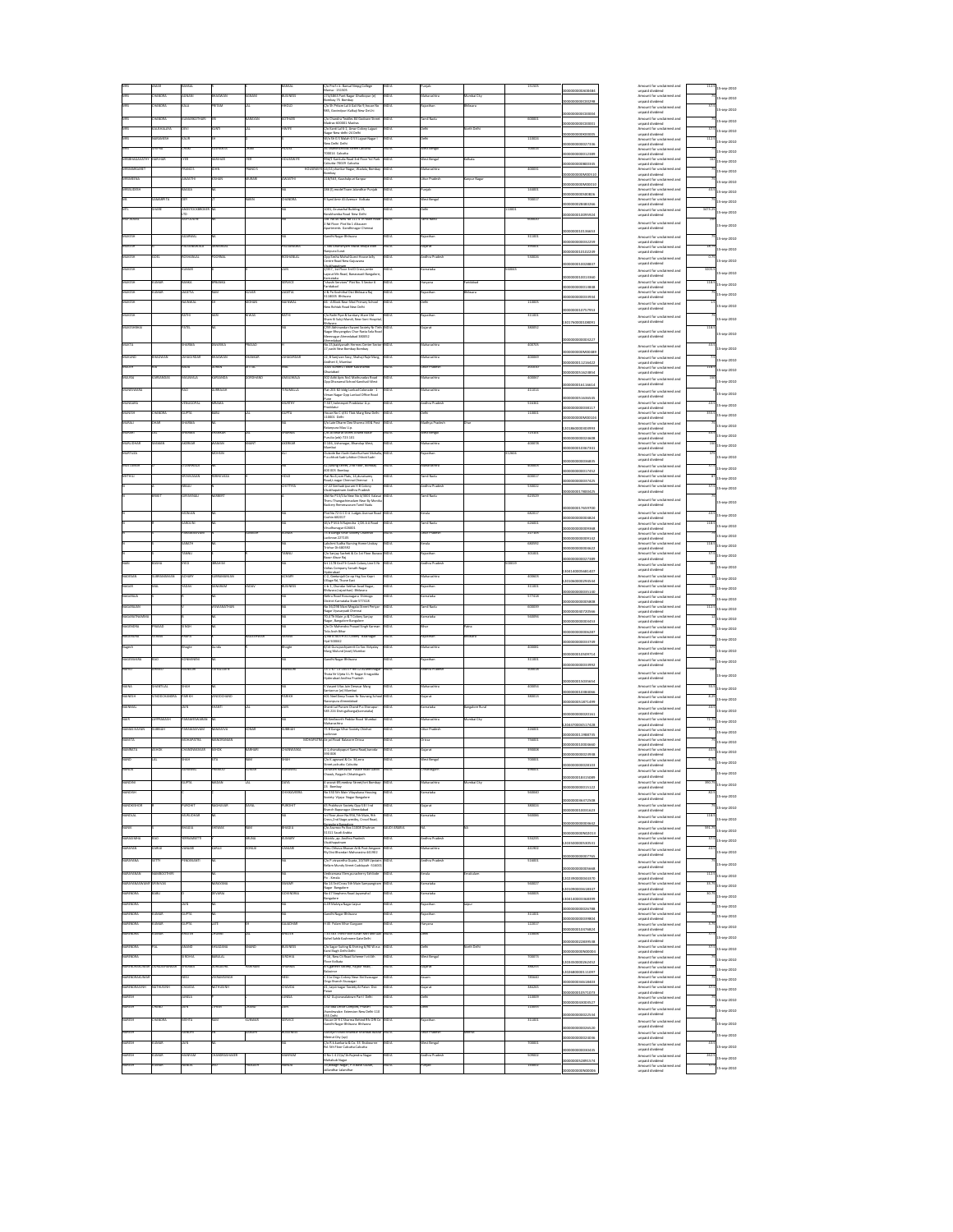|                                                      |     |                |    |              |                                                                                                              |           |          |        |                     | Amount for unclaimed and                                                                           |
|------------------------------------------------------|-----|----------------|----|--------------|--------------------------------------------------------------------------------------------------------------|-----------|----------|--------|---------------------|----------------------------------------------------------------------------------------------------|
|                                                      |     |                |    |              | Prof.r.k. Bansal<br>sa - 151505                                                                              |           |          |        |                     | Amount for uncommodiate<br>Amount for unclaimed and<br>unpaid dividend                             |
|                                                      |     |                |    |              | 1/4863 Pant Naga<br>nbay 75 Bombay<br>ih Pritam Lai Ji Gali No 9, house M                                    |           |          |        |                     | Amount for unclaimed and                                                                           |
|                                                      |     |                |    |              | 5, Govindpuri Kalkaji New De Lhi                                                                             |           |          |        |                     | unpaid dividend                                                                                    |
|                                                      |     |                |    |              | Chandra Textles 84 0<br>dras-600001 Madras                                                                   |           |          |        |                     | Amount for unclaimed and<br>npaid dividend                                                         |
|                                                      |     |                |    |              | Kanti Lal 6-1, Amar                                                                                          |           |          |        |                     | unpaid diwawnd<br>Amount for unclaimed and<br>unpaid diwdend                                       |
|                                                      |     |                |    |              | s Sh G S Malah G S3 Lajpat Nagar<br>w Delhi Delhi                                                            |           |          | 110024 |                     | Amount for unclaimed and<br>unpaid dividend<br>Amount for unclaimed and                            |
|                                                      |     |                |    |              | 6 Chankharitella Graat Cair<br>014 Calcutta                                                                  |           | st Gener | 700014 |                     | unpaid dividend                                                                                    |
|                                                      |     |                |    |              | d/1 Kankulia Road Jrd Fl                                                                                     |           |          |        | 0345                | Amount for unclaimed and<br>unpaid dividend                                                        |
|                                                      |     |                |    |              | /14, shankar Nagar, Wad                                                                                      |           |          | 40003  | 00000000M00510      | Amount for unclaimed and<br>unpaid dividend                                                        |
|                                                      |     |                |    |              | 11/561, Kaushalpuri Kar                                                                                      |           |          |        |                     | Amount for unclaimed and                                                                           |
|                                                      |     |                |    |              | œ,                                                                                                           |           |          | 14400  |                     | unpaid dividend<br>Amount for unclaimed and<br>unpaid dividend                                     |
|                                                      |     |                |    |              | Syed Artir All Avenue 1020                                                                                   |           | st Ben   | 70001  | 826                 | Amount for unclaimed and                                                                           |
|                                                      |     | 0510008        |    |              | 01, Anunachal Building 19,                                                                                   |           |          |        | 8483266             | unpaid dividend<br>Amount for unclaimed and                                                        |
|                                                      |     |                |    |              | skhamba Road New Del<br>id No 46 New No 111 4 Th M<br>Nd Floor Piot No 1 Alkauser                            |           |          |        |                     | unpaid dividend                                                                                    |
|                                                      |     |                |    |              | tments Gandhinagar Chennal                                                                                   |           |          |        |                     | Amount for unclaimed and<br>unpaid dividend                                                        |
|                                                      |     |                |    |              | chi Nagar Bhib                                                                                               |           | រប៉ោរ    | 311001 | 10136653            | Amount for unclaimed and                                                                           |
|                                                      |     | SANAWAD        |    | SANAWA       | litis Ghanshyam Niwas Bhaya Moh                                                                              |           |          | 395001 | 0032259             | unpaid dividend<br>Amount for unclaimed and                                                        |
|                                                      |     |                |    |              | egura Surat<br>10 Senha Mahal Guest Ho                                                                       |           |          |        | 102241              | unpaid dividend<br>Amount for unclaimed and                                                        |
|                                                      |     |                |    |              | the Road New Galuwana                                                                                        |           |          |        | 8837                | unpaid dividend                                                                                    |
|                                                      |     |                |    |              | 1918 room<br><u>unkhapatham</u><br>157, Ist Floor 3rd D Cross,ombr<br>- *** Poad, Renaswad Rangalors         | XA        |          |        |                     | Amount for unclaimed and<br>unpaid dividend                                                        |
|                                                      |     |                |    |              | cm <sup>*</sup> Plot No. 5 S<br>idabad                                                                       |           |          |        | 113848              | Amount for unclaimed and                                                                           |
|                                                      |     |                |    |              |                                                                                                              |           |          |        |                     | Amount for uncommodiate<br>Amount for unclaimed and<br>unpaid dividend                             |
|                                                      |     |                |    |              | - A Block Near Mcd Primary Sch                                                                               |           |          | 11000  |                     | Amount for unclaimed and                                                                           |
|                                                      |     |                |    |              | v Rohtak Road New Delh                                                                                       |           |          | 311002 | (25205)             | unpaid dividend                                                                                    |
|                                                      |     |                |    |              | : Rathi Pipe & Sanitary Ware Old<br>ım Ki Subji Mandi, Near Soni Hou                                         |           |          |        | 301760000108091     | Amount for unclaimed and<br>unpaid dividend                                                        |
|                                                      |     |                |    |              | 59 Abhinandan Swami Society Nr 1                                                                             |           |          | 380052 |                     | Amount for unclaimed and                                                                           |
|                                                      |     |                |    |              | gar Bhuyangduv Char Rasta Sola Ro<br>emnagar Ahmedabad 380052                                                |           |          |        | 0003227             | unpaid dividend                                                                                    |
|                                                      |     |                |    |              | 15 baidyaruth Hermes Center Se<br>vashi New Bombay Bombay                                                    |           |          | 400705 |                     | Amount for unclaimed and<br>unpaid dividend                                                        |
|                                                      |     |                |    |              | , 8 Sanjiwan Socy, Sh.<br>dheri E, Mumbai<br>aji Raj                                                         |           |          | 40006  |                     | Amount for unclaimed and                                                                           |
|                                                      |     |                | TA |              | 35 Sumeru Tower Ka                                                                                           |           |          | 201010 | 11216422            | unpaid dividend<br>Amount for unclaimed and                                                        |
|                                                      |     |                |    |              | 02 Aditi Apts No1 Mathuradas Road                                                                            |           |          | 400067 | 0051623854          | unpaid dividend<br>Amount for unclaimed and                                                        |
|                                                      |     |                |    |              | pp Dhanamal School Kandivali West                                                                            |           |          |        | 1611661             | unpaid dividend                                                                                    |
|                                                      |     |                |    |              | Nagar Opp                                                                                                    |           |          | 41107  |                     | Amount for unclaimed and<br>unpaid dividend                                                        |
|                                                      |     |                |    |              | 307, holmespet Proddatur A.p                                                                                 | XA        | hta      | 516161 | 51636545            | Amount for unclaimed and                                                                           |
|                                                      |     |                |    |              | se No C-M31 TEak M                                                                                           |           |          | 11000  | 0038117             | unnaid distributed<br>Amount for unclaimed and<br>unpaid dividend                                  |
|                                                      |     |                |    |              | cos peh                                                                                                      |           |          |        | woose               | Amount for unclaimed and                                                                           |
|                                                      |     |                |    |              |                                                                                                              | DίA       | nt Benga | 723101 | 03993               | unpaid dividend<br>Amount for unclaimed and                                                        |
|                                                      |     |                |    |              | b Jai Bharat Stores Anand Bazar<br>rulia (wb)-723 101<br>tos, Uthani                                         |           |          | 40007  | 024608              | unpaid dividend                                                                                    |
|                                                      |     |                |    |              |                                                                                                              |           |          |        | 00000010367341      | Amount for unclaimed and<br>unpaid dividend                                                        |
|                                                      |     |                |    |              | itside Bari Sadri Gate Burhari Moh<br>1. chhoti Sadri, chittor Chhoti Sadri                                  |           |          |        | 036835              | Amount for unclaimed and<br>unpaid dividend                                                        |
|                                                      |     | MWALA          |    |              | sarang Street, 2nd Floor, Bombay                                                                             |           |          | 400003 | 017452              | Amount for unclaimed and                                                                           |
|                                                      |     | WASAN          |    |              | 0 003 Bombay<br>è No.6, ram Flats, 14, durais<br>ad t. nagar Chenn<br>nnai 1                                 |           |          | 600017 |                     | unpaid dividend<br>Amount for unclaimed and                                                        |
|                                                      |     |                |    | TTYYA        | 22 Simhadripuram H B Colony<br>ukhapatnam Andhra Pradesh                                                     |           |          | 530022 | 0037425             | unpaid dividend<br>Amount for unclaimed and                                                        |
|                                                      |     | <b>AINAL</b>   |    |              | ld No P13/13a New No 4/3001 Valu                                                                             | XA        | of No    | 623529 | 7800425             | unpaid dividend<br>Amount for unclaimed and                                                        |
|                                                      |     |                |    |              | ru Thangachimadam Near By Mor<br>kery Remeswaram Tamil Nadu                                                  |           |          |        | 659700              | unpaid dividend                                                                                    |
|                                                      |     |                |    |              | t No 72 G C D A Judees Avenue R<br>the 682017                                                                |           |          | 682017 | 0004824             | Amount for unclaimed and                                                                           |
|                                                      |     |                |    |              | PMANR                                                                                                        |           |          |        |                     | unpaid divide<br>Amount for unclaimed and                                                          |
|                                                      |     | MASIVAN        |    |              | agar G<br>B Ganga Vihar Society                                                                              |           |          | 227105 | 9368                | unpaid dividend<br>Amount for unclaimed and                                                        |
|                                                      |     |                |    |              | know 227105<br>shmi Sudha N                                                                                  |           |          |        |                     | unpaid dividend<br>Amount for unclaimed and                                                        |
|                                                      |     |                |    |              | hur Dt 680592<br>Sanjay Sa                                                                                   |           |          |        | 4622                | Amount for uncommodiate<br>Amount for unclaimed and<br>unpaid dividend                             |
|                                                      |     |                |    |              | 1178 Grd Fir Caech Colony Line S                                                                             |           |          |        | 7389                |                                                                                                    |
|                                                      |     |                |    |              | tas Company Sanath Nagar<br>shad                                                                             |           |          |        | 5681407             | Amount for unclaimed and<br>unpaid dividend                                                        |
|                                                      |     |                |    |              | I Co-op Hug Soc Ko<br>are Rd. Thane East                                                                     |           |          |        | 204544              | Amount for unclaimed and<br>npaid di                                                               |
|                                                      |     |                |    |              |                                                                                                              |           |          |        | 35140               | Amount for unclaimed and                                                                           |
|                                                      |     |                |    |              | ara (raja<br>hru Road Hosanagara Shimoga<br>trict Karnataka State 577418                                     | XA        | ataka    | 577418 |                     | unpaid dividend<br>Amount for unclaimed and                                                        |
|                                                      |     |                |    |              | 36/298 Mari Menalai Str                                                                                      |           |          | second | ssos                | unpaid dividend<br>Amount for unclaimed and<br>unpaid dividend                                     |
|                                                      |     |                |    |              | 4 Th Main @&T Colony Sanjay                                                                                  |           |          |        | 0720566             | Amount for unclaimed and                                                                           |
|                                                      |     |                |    |              | gar, Banga<br>idra Prasad Singh K                                                                            |           |          |        | 03453               | unpaid dividend<br>Amount for unclaimed and                                                        |
|                                                      |     |                |    |              | ia Arah Bihar                                                                                                |           |          |        |                     | unpaid dividend                                                                                    |
|                                                      |     |                |    |              | No A-441 H ALC                                                                                               |           |          |        | 082                 | Amount for unclaimed and                                                                           |
|                                                      |     |                |    |              | $d$ 500042                                                                                                   |           |          |        | 33749               | unpaid dividend                                                                                    |
|                                                      |     |                |    |              | 14 Gurupushyamrit Co Soc<br>17g Mulund (east) Mumbai                                                         |           |          |        | 09714               | Amount for unclaimed and<br>unpaid dividend                                                        |
|                                                      |     |                |    |              | ndhi Nagar Bhilwara                                                                                          | XA        |          | 311001 | 033992              | Amount for unclaimed and<br>unpaid dividend                                                        |
|                                                      |     |                |    |              | 147-13-1653 P No 12                                                                                          |           |          | coote  |                     |                                                                                                    |
|                                                      |     |                |    |              | sta Nr Vijeta S L Pr Nagar Erragadd<br>derabad Andhra Pradesh                                                |           |          |        | 015035654           | Amount for unclaimed and<br>unpaid dividend                                                        |
|                                                      |     |                |    |              |                                                                                                              |           |          |        |                     | Amount for unclaimed and                                                                           |
|                                                      |     |                |    |              | Vasant Vilas Jain Derasar Marg<br>ntacruz (w) Mumbai<br>11 Neel Deep Tower Nr Navrang S<br>ranpura Ahmedabad |           |          | 380013 | 10384066<br>5187149 | unpaid dividend<br>Amount for unclaimed and                                                        |
|                                                      |     |                |    |              | nt Lal Punam Chand P.o.S<br>nataka)<br>85 224 Distt gulbargajka                                              |           |          |        |                     | unpaid dividend<br>Amount for unclaimed and                                                        |
|                                                      |     |                |    |              | arth Pe                                                                                                      |           |          |        | 000020161           | unpaid dividend                                                                                    |
|                                                      |     |                |    |              |                                                                                                              |           |          |        | 204470004517428     | Amount for unclaimed and<br>unpaid dividend                                                        |
|                                                      |     |                |    |              | 5 B Ganga Vihar Society Chi<br>at Doad                                                                       |           |          | 226001 | 011988735           | Amount for unclaimed and<br><b>Institute Manager</b>                                               |
|                                                      |     |                |    |              |                                                                                                              |           |          |        |                     |                                                                                                    |
|                                                      |     |                |    |              |                                                                                                              |           |          |        |                     | Amount for unclaimed and<br>unpaid dividend<br>Amount for unclaimed and<br>unpaid dividend         |
|                                                      |     |                |    |              | o Kagrawal & Co. 34,ezra<br>utta Calcu                                                                       | <b>XA</b> | nt Benga |        | 10185               | Amount for unclaimed and<br>unpaid dividend                                                        |
|                                                      |     |                |    |              | <b>Aram Bamsater Dalars D.</b>                                                                               |           |          |        |                     | Amount for unclaimed and<br>unpaid dividend                                                        |
|                                                      |     |                |    |              | owk, Raigarh Chhattisgarh                                                                                    | XA        |          |        | 1831508             | Amount for unclaimed and                                                                           |
|                                                      |     |                |    |              | erarat-89,medow Street,fort Bo<br>Bombay<br>o 330 5th Main Wayakava Housin                                   |           |          | 560040 | 0015122             | unpaid dividend                                                                                    |
|                                                      |     |                |    |              | ciety Vijaya Nagar Bangalore                                                                                 |           |          |        |                     | Amount for unclaimed and<br>unpaid dividend                                                        |
|                                                      |     |                |    |              | Prabhuvir Society Opp S B11<br>nch Bapunarar Alvewelshot                                                     |           |          | 380024 | 31623               | Amount for unclaimed and<br>unpaid dividend                                                        |
|                                                      |     |                |    |              | t Floor,door No.956,7th Main, 9th<br>ss, 2nd Stage, westby, Crovd Road                                       | XA        |          | Stock  |                     | Amount for unclaimed and<br>unpaid dividend                                                        |
|                                                      |     |                |    |              | 11008 Dhahrar                                                                                                |           |          |        |                     | Amount for unclaimed and                                                                           |
|                                                      |     |                |    |              | 1311 Saudi Arabia<br>idu Jap. Andhra<br>                                                                     |           |          |        |                     |                                                                                                    |
|                                                      |     |                |    |              | ru Chhava Musvan At & Post Arrigi                                                                            | XA        |          | 441902 | 0531                | Amount for uncommodiate<br>Amount for unclaimed and<br>unpaid dividend<br>Amount for unclaimed and |
|                                                      |     |                |    |              | ly Dist Bhandari Maharastra 441902                                                                           |           |          |        | 07765               | unpaid dividend                                                                                    |
|                                                      |     |                |    |              | P. vinwantha Guota : 10/569 Us<br>am Mundy Street Cuddapah -5160                                             |           |          | 516001 |                     | Amount for unclaimed and<br>unpaid dividend                                                        |
|                                                      |     |                |    |              | Iramana Illem, puracherry Ezhi                                                                               |           |          |        | 0005668             | Amount for unclaimed and                                                                           |
|                                                      |     |                |    |              | . Kerala<br>s 14 Jad Cross Sth Main Sams                                                                     |           |          | 56002  | 202390000044370     | unpaid dividend<br>Amount for unclaimed and                                                        |
|                                                      |     |                |    |              | gar Bang<br>47500                                                                                            |           |          | 560000 | 201010003618347     | unpaid dividend<br>Amount for unclaimed and                                                        |
|                                                      |     |                |    |              | 49 Malelya Nagar Jaipu                                                                                       |           | sthan    |        | 304140003368399     | unpaid dividend<br>Amount for unclaimed and                                                        |
|                                                      | WA1 | PT.A           |    |              | ndhi Nagar Bhilwari                                                                                          |           | נתוו     | 311001 | 0026788             | unpaid dividend                                                                                    |
|                                                      |     | $\overline{1}$ |    |              |                                                                                                              |           |          |        | 039804              | Amount for unclaimed and                                                                           |
|                                                      |     |                |    |              | 15 Palam Vihar Guns                                                                                          |           |          | 122017 | 00000010476824      | unpaid dividend<br>Amount for unclaimed and<br>unpaid dividend                                     |
|                                                      |     |                |    |              | : 33 563 Third Floor Karan Mot Mitt G<br>lahel Sahib Kashmere Gate Delhi                                     | XA        |          | 110006 |                     | Amount for unclaimed and                                                                           |
|                                                      |     |                |    | <b>INESS</b> | Sagar Suiting & Shirting 6/90 W.e                                                                            |           |          |        | 00000022839538      | unpaid dividend<br>Amount for unclaimed and                                                        |
|                                                      |     |                |    |              | ol Bagh Delhi Delhi                                                                                          |           |          | 700077 |                     |                                                                                                    |
|                                                      |     |                |    |              | .<br>6, New Ot Road Sche<br>10r Kokata                                                                       |           |          |        | 203450000262452     | unpaid dividend<br>Amount for unclaimed and                                                        |
|                                                      |     |                |    |              | S.ganesh Society, Rajpur Road,<br>sinor                                                                      |           |          | 388255 | 202680000111097     | unpaid dividend<br>Amount for unclaimed and<br>unpaid dividend                                     |
|                                                      |     |                |    |              | 11o Orgc Colony Near Sbi Sivas<br>gc Bran<br>ch Sho                                                          |           |          | 785640 | 034618403           | Amount for unclaimed and<br>unpaid dividend                                                        |
|                                                      |     |                |    |              | Jayvinnagar Society At Patan Di                                                                              |           |          | 384265 | 0010571073          | Amount for unclaimed and                                                                           |
|                                                      |     | EJA            |    |              | 32 Gujranwalatown Part I Delhi                                                                               |           |          | 110009 | 000000043003527     | unpaid dividend<br>Amount for unclaimed and<br>unpaid dividend                                     |
|                                                      |     |                |    |              | 2-dda Office Complex, Phase-<br>dewalan Extension New Delhi-110                                              |           |          | 110055 |                     |                                                                                                    |
|                                                      |     |                |    |              | S Delhi                                                                                                      |           |          | 31100  |                     | Amount for unclaimed and<br>unpaid dividend<br>Amount for unclaimed and                            |
|                                                      |     |                |    |              | use Of R.C.Shar<br>Idhi Nav                                                                                  |           |          |        | 026520              | unpaid dividend                                                                                    |
|                                                      |     |                |    |              | i hjan Khadi Di<br>mut City (up)                                                                             |           |          |        | 0024036             | Amount for unclaimed and<br>unpaid dividend                                                        |
|                                                      |     |                |    |              | (o R.k.kankaria & Co. 33 Brat<br>d. 5th Floor Calcutta Calcutta                                              |           |          | 100001 |                     | Amount for unclaimed and<br>unpaid dividend                                                        |
| <b>NDIS</b><br>RENDR<br>rendr<br>RENDR<br><b>RIS</b> |     |                |    |              | io 1 4 22/a/1b Rajendra Nagar                                                                                | XA        |          | 509002 | 0000000030435       | Amount for unclaimed and                                                                           |
|                                                      |     |                |    |              | b Nagar<br>i,dilbagh Nagar, P.o.basti Guzan<br>Iandhar Jalandhar                                             |           |          | 144002 | 0000052891574       | unpaid dividend<br>Amount for unclaimed and<br><b>howhack high</b>                                 |

|                                                                                                                        | $\overline{\cdots}$    |                      |
|------------------------------------------------------------------------------------------------------------------------|------------------------|----------------------|
| claimed and<br>tά                                                                                                      |                        | sep-2010             |
| aan, oo waa<br>aid dividend<br>aant for und<br>unpaid dividend<br>Amount for und<br>unpaid dividend<br>aimed and       |                        | sep-2010             |
| Amour<br>t for und<br>å.                                                                                               | 5                      |                      |
| id diwi<br>np<br>nd                                                                                                    |                        | ep-2010              |
| Amount for unclaimed and<br>a.<br>Historia<br><b>MAG</b><br>١d<br>u                                                    |                        | p-2010               |
| imed and<br>mount for und<br>npaid dividend                                                                            |                        | ep-2010              |
| Amount for unclaimed and                                                                                               | z                      | sep-2010             |
| unpaid dividend<br>Amount for uncla<br>aimed and                                                                       | 75                     |                      |
| aid dividend                                                                                                           |                        | sep-2010             |
| o a awarnd<br>mount for uncl<br>npaid dividend<br>imed and                                                             |                        | p-2010               |
| Amount for unclaimed and                                                                                               | 5                      | sep-2010             |
| <b>Instant biagra</b><br>Amount for unclaimed and                                                                      |                        | sep-2010             |
| enoun lor<br>unpaid divide<br>Amount for u<br>unpaid divide<br>lend<br>und<br>lend<br>lend<br>aimed and                |                        |                      |
|                                                                                                                        |                        | sep-2010             |
| Amount for unclaimed and<br>unpaid dividend                                                                            | 3                      | sep-2010             |
| Amour<br>for und<br><b>Imediand</b>                                                                                    | 473<br>$\overline{25}$ | sep-2010<br>ò,       |
| aid divide<br>.<br>1d                                                                                                  |                        |                      |
| Amount for unclaims<br>d and<br>unpaid dividend                                                                        |                        | sep-2010             |
| it for und<br>d and<br>mou<br>im                                                                                       | 75                     |                      |
| unpaid dividend                                                                                                        |                        | sep-2010             |
| <b>Amount for und</b><br>unpaid dividend<br>.<br>Manazarta davre                                                       | $\overline{15}$        | sep-2010             |
| Amount for und<br>imed and                                                                                             |                        | sep-2010<br>ß        |
| unpaid dividend                                                                                                        |                        |                      |
| t for unda<br>neur<br>d and<br>id dividend                                                                             | 5                      | p-2010               |
| np<br>Amount for unclaimed and                                                                                         |                        |                      |
| aid diad<br>١d<br>im                                                                                                   |                        | p-2010               |
| .<br>mount for und<br>npaid dividend<br>d and<br>npi                                                                   |                        | sep-2010             |
| t for und<br>ù<br>a kan<br>d and                                                                                       |                        | ep-2010              |
| d dividend<br>nş                                                                                                       |                        |                      |
| Amount for unclaimed and<br>unpaid dividend                                                                            |                        | sep-2010             |
| for unclaimed and<br>Amour                                                                                             | 11<br>ĽS               |                      |
| unpaid dividend                                                                                                        |                        | p-2010               |
| d and<br>ime                                                                                                           |                        |                      |
| mount for und<br>npaid dividend                                                                                        |                        | p-2010               |
| <i>Amount for uncla</i><br>unpaid dividend<br>d and                                                                    |                        | $-2010$              |
| Amount for unclaimed and<br>unpaid dividend                                                                            | 5                      |                      |
|                                                                                                                        |                        | sep-2010             |
| t fo<br>r und<br>med and<br>mo<br>unpaid dividend                                                                      |                        | p-2010               |
| Amount for unclaimed and                                                                                               |                        |                      |
| aid divide<br>                                                                                                         |                        | sep-2010             |
| Amount for unclaimed and<br><b>heatstern historic</b>                                                                  |                        | sep-2010             |
| asa www<br>ount for und<br>said dividend<br>ed and<br>Á                                                                |                        | 2010                 |
| Am<br>uns<br>Amount for und<br>imed and                                                                                |                        |                      |
| unpaid dividend                                                                                                        |                        | 2010<br>ėρ           |
| imed and<br>Amount for und<br>unpaid dividend                                                                          |                        | sep-2010             |
| r<br>iou<br>for und<br>Hydend<br>i si<br>Á<br>ä<br>ant<br>id c                                                         |                        | sep-2010             |
| Amount for unclu<br>imed and                                                                                           |                        |                      |
| aid divide<br>'n.<br>u                                                                                                 |                        | sep-2010<br>ú        |
| Amount for unclaimed and<br>unpaid dividend                                                                            | 3                      | sep-2010             |
| ä<br>즚<br>t for und<br>i and                                                                                           | õ                      |                      |
| an<br>id dividend<br>ant for und<br>unpaid<br>Amour<br>imed and                                                        |                        | sep-2010             |
| unpaid dividend                                                                                                        | 7.5                    | ep-2010              |
| for unclaim<br>d ar<br>ä                                                                                               |                        |                      |
| d dividend<br>npi                                                                                                      |                        | p-2010               |
| aunt for unclaim<br>aid dividend<br>d and                                                                              |                        | ep-2010              |
| mount for und<br>mount for und<br>npaid dividend<br>imed and                                                           |                        |                      |
| np                                                                                                                     |                        | ep-2010              |
| Amount for unclaimed and<br>brebivib bien                                                                              |                        | sep-2010             |
| 'n<br>$\alpha$<br>for und<br>aimed and<br>aid dividend                                                                 |                        | p-2010               |
| inş<br>imed and<br>Amount for und<br>unpaid dividend                                                                   |                        | sep-2010             |
| t for und<br>Amour<br>d ar<br>ä                                                                                        |                        |                      |
| id divide<br>nd<br>np                                                                                                  |                        | ep-2010              |
| ount for uncl <mark>a</mark><br>paid dividend<br>imed and<br>ı.                                                        |                        | p-2010               |
| enourit for uncl<br>npaid dividend<br>enount for uncl<br>imed and                                                      |                        | ep-2010              |
| unpaid dividend<br>aimed and<br>Amount for und                                                                         | 75                     |                      |
| unpaid dividend                                                                                                        |                        | sep-2010             |
| nou<br>nou<br>unt for und<br>id dividend<br>Á<br>i ar                                                                  | $\overline{125}$       | 2010                 |
| ,<br>mount for u<br>npaid divide<br>d and<br>nd                                                                        |                        | ep-2010              |
| lend<br>np<br>Amount for unclaimed and                                                                                 |                        |                      |
| brebivib bisqn                                                                                                         |                        | sep-2010             |
| 'n<br>$\alpha$<br>for und<br>imed and<br>aid dividend<br>inş                                                           |                        | p-2010               |
| Amount for unclaimed and                                                                                               |                        | sep-2010             |
| aid dividend                                                                                                           |                        |                      |
| Amount for unclaimed and<br>unpaid dividend                                                                            | 150                    | sep-2010             |
| d and<br>im                                                                                                            |                        |                      |
| unpaid dividend                                                                                                        |                        | 15-sep-2010          |
| mount for uncl<br>npaid dividend<br>aimed and                                                                          |                        | ep-2010<br>Ľ,        |
| np<br>Amount for unclaimed and                                                                                         |                        |                      |
| brebkib bisonu                                                                                                         |                        | sep-2010<br>ß        |
| Amount for unclaimed and<br>unpaid dividend                                                                            |                        | sep-2010             |
| rit fa<br>r und<br>imed and<br>ma                                                                                      |                        | p-2010               |
| unpaid dividend<br>Amount for unclaimed and                                                                            |                        |                      |
| brebivib bison                                                                                                         |                        | sep-2010             |
| ount for und<br>said dividend<br>aimed and<br>ï                                                                        |                        | sep-2010             |
| d and<br>mount for und<br>ime                                                                                          |                        | sep-2010<br>ß        |
| unpaid dividend<br>aimed and<br>Amount for und                                                                         | 7<br>ś                 |                      |
| brebivib bison                                                                                                         |                        | 15-sep-2010          |
| Amount for und<br>ed and<br>im<br>id c<br>м<br>ht                                                                      |                        | 15-sep-2010          |
| e fo<br>d and<br>nd<br>m                                                                                               | 1,75                   | sep-2010             |
| unpaid dividend<br>ê<br>med and                                                                                        |                        |                      |
| .<br>mount for und<br>npaid dividend<br>np                                                                             |                        | p-2010               |
| Amount for uncli<br>imed a                                                                                             |                        | 0.2010               |
| d dividend<br>npi<br>Amour<br>t for und<br>d ar                                                                        | 5                      |                      |
| id diwd<br>np<br>nd                                                                                                    |                        | ep-2010              |
| Amount for unclaimed and<br>aid dividend                                                                               |                        |                      |
| nş<br>im<br>Amount for und<br>unpaid dividend<br>d and                                                                 |                        |                      |
|                                                                                                                        |                        | p-2010               |
|                                                                                                                        |                        | sep-2010             |
| .<br>Amour<br>t for und<br>d ar<br>ä                                                                                   |                        | p.2010               |
| d divis<br>nş<br>lend<br>Amount for unclaimed and                                                                      |                        |                      |
| unpaid dividend                                                                                                        |                        | 5-sep-2010           |
| ant for und<br>med and<br>mo<br>unpaid dividend                                                                        | 112.5                  | 15-sep-2010          |
| Amount for und<br>aimed and                                                                                            | 22<br>7                | 15-sep-2010          |
| id distant<br>simed and                                                                                                |                        |                      |
|                                                                                                                        |                        | sep-2010             |
| imed and                                                                                                               | 75                     | sep-2010             |
| Amount for und<br>unpaid dividend<br>Amount for und<br>unpaid dividend<br>.<br>Manazi anat                             | $\overline{15}$        | sep-2010             |
| <i>Amount for und</i><br>unpaid dividend<br>.<br>An<br>.<br>104<br>for und<br>d and                                    | 7                      |                      |
| d dividi<br>nd<br>np                                                                                                   |                        | sep.2010             |
| <b>Amnunt</b> for unit<br>imed and<br>aid dividend<br>inp                                                              | 7.5                    | p-2010               |
| imed and                                                                                                               | ī.                     |                      |
| d and                                                                                                                  |                        | 5-sep-2010           |
|                                                                                                                        |                        | 15-sep-2010          |
| Amount for und<br>unpaid dividend<br>Amount for und<br>unpaid dividend<br>Amount for und<br>med and<br>unpaid dividend |                        | 15-sep-2010          |
| Amount for und<br>imed and                                                                                             | 7                      | 5-sep-2010           |
| id dividend<br>aimed and                                                                                               |                        |                      |
|                                                                                                                        |                        | sep-2010             |
| im<br>d and                                                                                                            | 75                     | sep-2010             |
| Amount for uncl<br>unpaid dividend<br>Amount for uncl<br>unpaid dividend<br>ê<br>d and                                 | Ġ.                     | p-2010               |
| .<br>mount for und<br>npaid dividend<br>npi                                                                            |                        |                      |
| Amount for unclaimed and<br>unpaid dividend<br>Amour                                                                   |                        | sep-2010<br>ò,       |
| Amount for unclaimed and                                                                                               | 12                     |                      |
| unpaid dividend                                                                                                        |                        | 15-sep-2010          |
| Amount for unclaimed and<br>unpaid dividend                                                                            |                        | 15-sep-2010          |
| ant for und<br>mo<br>imed and                                                                                          | и                      |                      |
| unpaid dividend<br>imed and<br>Amount for und                                                                          |                        | sep-2010<br>sep-2010 |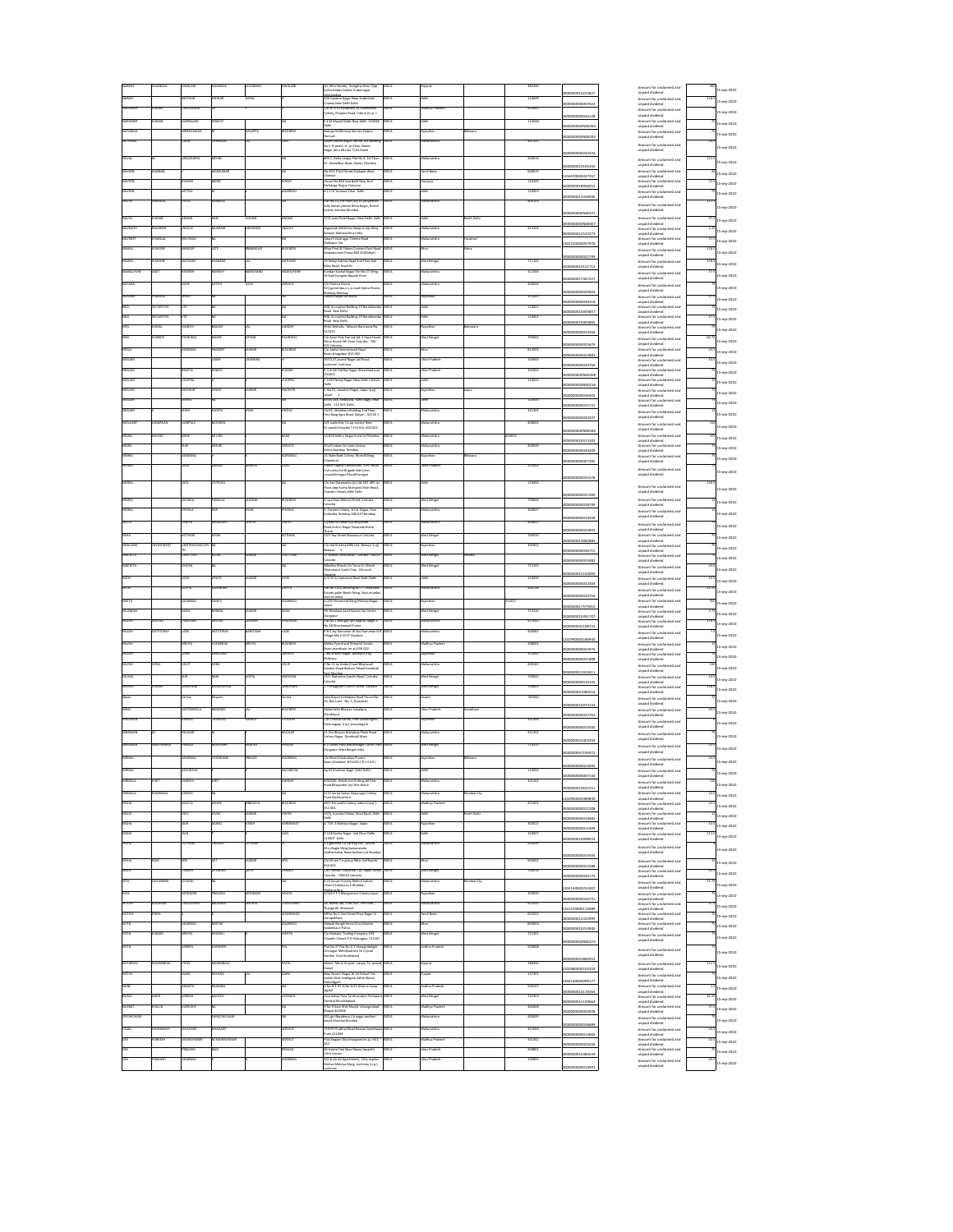|              |                |               |             |              | Society, Bunglow Area, Op<br>das Darbar Kubernagar                                                    |    |           |           |                  | 010225837                        | Amount for unclaimed and<br>unpaid dividend                                                                            |                 | 5-sep-2010                  |
|--------------|----------------|---------------|-------------|--------------|-------------------------------------------------------------------------------------------------------|----|-----------|-----------|------------------|----------------------------------|------------------------------------------------------------------------------------------------------------------------|-----------------|-----------------------------|
|              |                |               |             |              | Gautam Nagar Near Sudersha<br>nema New Delhi Delhi<br>Is Sh V K Chaudhary S4 chanderio                |    |           |           | 110049<br>452001 | n>:                              | Amount for unclaimed and<br>unpaid dividend                                                                            | 118             |                             |
|              |                |               |             |              | my, Khajana Road, Indone (m.p.)                                                                       |    |           |           |                  | 128                              | Amount for unclaimed and<br>unpaid dividend                                                                            |                 | sep-2010                    |
|              | 9alan          |               |             |              | 132 Masjid Moth New Delhi 11004                                                                       |    |           |           | 110048           |                                  | Amount for unclaimed and<br>unpaid dividend<br>Amount for unclaimed and                                                |                 | 5-sep-2010                  |
|              | <b>MYAN GE</b> |               |             |              | ıtraja M Minerya Service Static                                                                       |    |           |           | 401102           |                                  | unpaid dividend                                                                                                        |                 | Sarp 2010                   |
|              |                |               |             |              | weri Shanti Nagar,flat No 104 B:<br>1 C-9,xector -6 ,ist Floor Shanti<br>par mira Rd Jean Ti Dt thane |    |           |           |                  |                                  | Amount for unclaimed and<br>unpaid dividend                                                                            | 41              | sep-2010                    |
|              | <b>AISARA</b>  |               |             |              | 34 C, Ratty Lodge, Flat No 4, 1st Floc                                                                |    |           |           | 400014           | 2334                             | Amount for unclaimed and<br>unpaid dividend                                                                            | 112             | sep-2010                    |
|              |                |               |             |              | Ambedkar Road, Dadar, Mu<br>40 K P Kail Street Sa                                                     |    |           |           | 600015           |                                  | Amount for unclaimed and                                                                                               |                 | 5-sep-2010                  |
|              |                |               |             |              |                                                                                                       |    |           |           | 1241             | 5027357                          | Amount for uncleaned and<br>Amount for uncleaned and<br>unpaid dividend                                                | $\overline{22}$ |                             |
|              | πλ             |               |             |              | 2174 Yamuna Vihar Delh                                                                                |    |           |           | 110053           |                                  | Amount for unclaimed and                                                                                               |                 | sep-2010<br>5-sep-2010      |
|              |                |               |             |              | at No. 33, 2nf Floor, a6/26, jollyjeevan<br>Ily Jeevan Jeevan Birna Nagar, Borivli                    |    |           |           | 400107           |                                  | unpaid dividend                                                                                                        | 112.            |                             |
|              |                |               |             |              | div Jees<br><b>Jack Hadraun, (trave</b>                                                               |    |           |           |                  |                                  | Amount for unclaimed and<br>unpaid dividend                                                                            |                 | sep-2010                    |
|              |                |               |             |              |                                                                                                       |    |           |           |                  |                                  | Amount for unclaimed and<br>unpaid dividend                                                                            | 17.5            | 15-sep-2010                 |
| <b>LARAJ</b> | œu             |               | rram        | юu           | wadi Malshiras Solapur A/p Aklu<br>pur Maharashtra India                                              |    |           |           | 413107           | 012523273                        | Amount for unclaimed and<br>unpaid dividend                                                                            | 22              | 5-sep-2010                  |
|              | <b>STAD</b>    |               |             |              | darsh Vastragar Cinema Road                                                                           |    |           |           |                  | 057976<br>mass                   | Amount for unclaimed and<br>unpaid dividend                                                                            | $\overline{17}$ | sep-2010                    |
|              |                |               |             |              | sikapur Ms<br>sar Print & Pakers Goncern Park R<br><b>Samkrungen Parties-BOD DOSEN Franch</b>         |    |           |           |                  |                                  | Amount for unclaimed and<br>unpaid dividend                                                                            | 115             | sep-2010                    |
| HORS         | <b>THAN</b>    |               |             | วนท          | Netaji Subhas Road 2nd Floor Kali<br>bu Bazar Howrah                                                  |    | st Beng   |           | 711101           | 2791<br>151713                   | Amount for unclaimed and<br>unpaid dividend                                                                            | 118             | 5-sep-2010                  |
|              |                |               |             |              | undan Kushal Nagar Flat No 27 Wing<br>If Koel Complex Bopodi Pune                                     |    |           |           | 411007           |                                  | Amount for unclaimed and<br>unpaid dividend                                                                            | $\overline{v}$  | 5-sep-2010                  |
|              |                |               |             |              | a soores<br>ripa,s.v.p.road Opera Hou                                                                 |    |           |           |                  | 17367227                         | Amount for unclaimed and                                                                                               |                 | S-sep-2010                  |
|              |                |               |             |              | mbay Bornbay<br>nchi Nagar Bhibaata                                                                   |    |           |           | 311001           | 00029904                         | unpaid dividend<br>Amount for unclaimed and                                                                            | 27              | Sarp 2010                   |
|              |                |               |             |              |                                                                                                       |    |           |           | 11000            | 030318                           | unpaid dividend<br>Amount for unclaimed and                                                                            |                 | S-sep-2010                  |
|              |                |               |             |              | of New Delhi<br>06, Arunachal Bu<br>oad New Delhi<br>ding 19 lb                                       |    |           |           | 110001           | 005857                           | unpaid dividend<br>Amount for unclaimed and                                                                            | 37.             | sep-2010                    |
| ш            |                |               |             |              | sipi Mohalla Talwara Banswara Raj                                                                     |    | astha     |           |                  |                                  | unpaid dividend<br>Amount for unclaimed and                                                                            |                 | S-sep-2010                  |
|              |                |               |             |              | 17025<br>Avon Poly Tex Ind.itd. 2 Hare St                                                             |    |           |           | monot            | 333266                           | unpaid dividend<br>Amount for unclaimed and                                                                            | 66.7            |                             |
|              |                |               |             | <b>INESS</b> | co House Sth Floor Calcutta - 700<br>11 Calcuma<br>15 Amba Int                                        |    |           |           | 812002           | 678                              | unpaid dividend<br>Amount for unclaimed and                                                                            | 41              | 5-sep-2010                  |
|              |                |               |             |              | rar, bhagalpur 812 002<br>67/127 anand Nagar Jail Road                                                |    | ar Prade  |           | 22600            | 122883                           | unpaid dividend<br>Amount for unclaimed and                                                                            | 41.             | 5-sep-2010                  |
|              |                |               |             |              | cknow Lucknow<br>7/b-28 Old Raj Nagar Gha                                                             |    |           |           | 201002           | 19766                            | unpaid dividend<br>Amount for unclaimed and                                                                            |                 | S-sep-2010                  |
|              |                |               |             |              | 002<br>590 Netaji Nagar New Delhi 11002:                                                              |    |           |           | 110023           | 00208                            | unpaid dividend<br>Amount for unclaimed and                                                                            |                 | sep-2010                    |
|              |                |               |             |              | Pra 21, Jawahar Nagar, Jaipur (raj)                                                                   |    |           |           |                  | N00216                           | unpaid dividend<br>Amount for unclaimed and                                                                            |                 | 5-sep-2010                  |
|              |                |               |             |              | $\overline{1}$                                                                                        |    |           |           | 11000            | 036405                           | unpaid dividend<br>Amount for unclaimed and                                                                            |                 | Sarp 2010                   |
|              |                |               |             |              | hi - 110 005 Deft                                                                                     |    |           |           | 421101           | 015731                           | unpaid dividend<br>Amount for unclaimed and                                                                            |                 | S-sep-2010                  |
|              |                |               |             |              | 4/15, Shobhana Building 2nd Floor,<br>Ira Baug Agra Road, Kalyan - 42130 1                            |    |           |           |                  | 0020397                          | unpaid dividend                                                                                                        |                 | s.sep.2010                  |
|              |                |               |             |              | /3, rankvihar Co.op. society Near<br>r. pandit Hospital T H A N A -600 602                            |    |           |           | 400602           |                                  | Amount for unclaimed and<br>unpaid dividend                                                                            |                 | sep.2010                    |
|              |                |               |             |              |                                                                                                       |    |           |           |                  | 0073103                          | Amount for unclaimed and<br>unpaid dividend                                                                            |                 | sep-2010                    |
|              |                |               |             |              | San Air Lines Colony<br>Ina,bombay Bombay                                                             |    |           |           | 400029           |                                  | Amount for unclaimed and<br>unpaid dividend                                                                            |                 | 5-sep-2010                  |
|              |                |               |             |              | 4 State Bank Colony Munst Man                                                                         |    |           |           |                  | 17405                            | Amount for unclaimed and<br>unpaid dividend                                                                            |                 | S-sep-2010                  |
|              |                |               |             |              | i Lines, fire Drigade S<br>zaffarnagar Muzaff                                                         |    |           |           |                  |                                  | Amount for unclaimed and                                                                                               |                 | 5-sep-2010                  |
|              |                |               |             |              | tics (p) Ltd,402-4051                                                                                 |    |           |           | 110000           | 035378                           | unpaid dividend                                                                                                        | ĸ               |                             |
|              |                |               |             |              | or,opp:kucha Mahajani Main Road,<br>andri Chowk,delhi Delhi                                           |    |           |           |                  |                                  | Amount for unclaimed and<br>unpaid dividend                                                                            |                 | sep-2010                    |
|              |                |               |             | INESS        | aja Gopi Mohan Street, Calcutta                                                                       |    |           |           | 700000           | 021969<br>28749                  | Amount for unclaimed and<br>unpaid dividend                                                                            |                 | S-sep-2010                  |
|              |                |               |             |              | Owners Colony, G.t.b. Nagar, Sig<br>wada, Bombay 400 037 Bombay                                       |    |           |           |                  |                                  | Amount for unclaimed and                                                                                               |                 | 5-sep-2010                  |
|              |                |               |             | ١F           | umura Sadan ilip desparde                                                                             |    |           |           | 400602           |                                  | unpaid dividend<br>Amount for unclaimed and                                                                            |                 |                             |
|              |                |               |             |              | d,vishnu Nagar Nanpada,thane<br>o Chuat Bh                                                            |    |           |           |                  |                                  | unpaid dividend<br>Amount for unclaimed and                                                                            |                 | <b>S-sep-2010</b>           |
|              |                |               |             |              | the K                                                                                                 |    |           |           |                  | 3082885                          | unpaid dividend<br>Amount for unclaimed and                                                                            |                 | S-sep-2010                  |
|              |                |               |             |              | 2 Aswini Dutta Road Calcutta 700029                                                                   |    | est Benga |           |                  | 36715                            | unpaid dividend<br>Amount for unclaimed and                                                                            |                 | $5 - 56p - 2010$            |
|              |                |               |             |              | utta<br>edita Ghosh C/o Tarun Kr Gho                                                                  |    | ٠.        |           | 712101           | 13483                            | unpaid dividend                                                                                                        | 41.             | 5-sep-2010                  |
|              |                |               |             |              | campur Santhi Tala . Chinnuth<br><b>uch</b>                                                           |    |           |           |                  | 10200                            | Amount for unclaimed and<br>unpaid dividend                                                                            |                 | 5-sep-2010                  |
|              |                |               |             |              | 2/15 A, Lawrence Road D                                                                               |    |           |           | 110035           |                                  | Amount for unclaimed and<br>unpaid dividend                                                                            | 43.5            | sep-2010                    |
|              |                |               |             | PTA          | lat No.1001, building No.17 Seawood<br>ates palm Beach Marg, Navi,mumba                               |    | harashtr  |           | 400700           |                                  | Amount for unclaimed and<br>unpaid dividend                                                                            | 15.25           | sep-2010                    |
|              |                |               |             |              | 226 SI                                                                                                |    |           |           |                  | 75910                            | Amount for unclaimed and<br>unpaid dividend                                                                            | 45              | S-sep-2010                  |
|              |                |               |             |              | Moulana Azad Sarani City Centre<br>rgapu                                                              |    | nt Bengi  |           | 713210           | 0391707                          | Amount for unclaimed and<br>unpaid dividend                                                                            | $^{17}$         | 5-sep-2010                  |
|              | ONA            | nw            | <b>DVAN</b> | OHN          | lat No 1 Bhargav Apt Raghav Nagar S                                                                   |    |           |           | 411043           | (219872)                         | Amount for unclaimed and<br>unpaid dividend                                                                            | 118.            | sep-2010                    |
|              |                |               |             |              | io 28 Ohankawadi Punea<br>N 3 Jay Hanuman W Soc H<br>lage Mal E M 97 Mumbai                           |    |           |           | <b>Annoy</b>     |                                  | Amount for unclaimed and<br>unpaid dividend                                                                            |                 | Sarp 2010                   |
|              | ЭŒА            | NORA)         |             | <b>INESS</b> | hta Pyarchand Kishanlal Sarafı                                                                        |    | dhya F    |           | 458002           |                                  | Amount for unclaimed and                                                                                               |                 | 5-sep-2010                  |
|              |                |               |             | vice         | ear, mandsaur (m.p.) 458 002<br>80, shastri Nagar, Bhilwara (raj)                                     |    |           |           | 311001           |                                  | unpaid dividend<br>Amount for unclaimed and                                                                            |                 | S-sep-2010                  |
|              |                |               |             |              | <br>No 12 Jai Ambe Chawl Bhajiwadi<br>wdevi Road Beehari Tekadi Kandivali                             |    |           |           |                  |                                  | unpaid dividend<br>Amount for unclaimed and                                                                            |                 | S-sep-2010                  |
|              |                |               |             | <b>LAYAN</b> | ast Mumbai<br>1/1 Mahatma Gandhi Road Calcutta                                                        |    | est Benga |           | 700041           | 1932611                          | unpaid dividend<br>Amount for unclaimed and                                                                            | 41.             | 5-sep-2010                  |
|              |                | <b>SHOULS</b> |             |              | utta<br>Portuguese Church Street Kolkata                                                              |    | st Gen    |           | 700001           |                                  | unpaid dividend<br>Amount for unclaimed and                                                                            | 118.9           | sep-2010                    |
|              |                |               |             |              |                                                                                                       |    |           |           |                  | 00000021080516                   | unpaid dividend<br>Amount for unclaimed and                                                                            |                 |                             |
|              |                |               |             | antss        | dia Dispur Kahilipara Road Hi<br>5, Bye Lane - No. 3, Guwahat<br>tanbela lihawan ismalipur,           |    | tar Prade |           |                  | 73143                            | unpaid dividend<br>Amount for unclaimed and                                                                            | 41              | sep-2010                    |
|              |                |               |             |              | srakhpur<br>b Chunfal Karwa, Post Jasw                                                                |    |           |           | 341104           | 022763                           | unpaid dividend                                                                                                        |                 | sep-2010                    |
|              |                |               |             |              | ttt.nagaur (raj.) Jaswantgarh                                                                         |    |           |           |                  |                                  | Amount for unclaimed and<br>unnaid distributed                                                                         |                 | 5-sep-2010                  |
|              |                |               |             | LKAS         | Om Shavan Mahatma Phule I<br>hru Nagar Dombival West                                                  |    |           |           | 421202           |                                  | Amount for unclaimed and<br>unpaid dividend                                                                            |                 | s.sep.2010                  |
|              |                |               |             |              | : Collins Path Bidhannaga<br>ngapur West Bengal,india                                                 |    |           |           | 713212           |                                  | Amount for unclaimed and<br>unpaid dividend                                                                            | 22              | 15-sep-2010                 |
|              |                |               |             |              | - Bharti Vastralaya Purana<br>ar,dhanbad -826 001 ( 8 i H A R )                                       |    |           |           |                  | 17105077                         | Amount for unclaimed and                                                                                               |                 | S-sep-2010                  |
|              |                |               |             |              | p 55 Shalimar Baghi Defni Defr                                                                        |    |           |           | 110052           | 024092                           | unpaid dividend<br>Amount for unclaimed and                                                                            |                 | S-sep-2010                  |
|              |                |               |             |              | 5/405: Devshrusti il Wing 60 Fee                                                                      |    |           |           | 401101           | 17140                            | unpaid dividend<br>Amount for unclaimed and                                                                            |                 |                             |
| MANUA        |                |               |             |              | ad Bhavander (w) Dist thane<br>151 Sarda Sadan Vijaynagar Colony                                      |    |           | sbal City |                  | 3155                             | <b>Innehicle Nanner</b><br>Amount for unclaimed and                                                                    | 41              | S-sep-2010                  |
|              | .<br>س         | 108           |             | <b>INESS</b> | te Maharashtra<br>8/1 B.k.sindhi Colony Indone (m.p.) -                                               |    | has Prac  |           | 452001           |                                  | unpaid dividend<br>Amount for unclaimed and                                                                            | 43.5            | 15-sep-2010                 |
|              |                |               |             |              | 52 001<br>74, Kuncha Chelan, Khari Baoli, E                                                           |    |           |           |                  |                                  | unpaid dividend<br>Amount for unclaimed and                                                                            |                 | 5-sep-2010                  |
|              |                |               |             |              | 719 A Malviya Nagar Jaipu                                                                             |    |           |           | 302017           | 0019481                          | unpaid dividend<br>Amount for unclaimed and                                                                            | $\overline{a}$  | $-$ sep $-2010$             |
|              |                |               |             |              | 148 Karris Nagar 11nd Floor Delhi                                                                     |    |           |           | 110007           | 00000000011699                   | unpaid dividend<br>Amount for unclaimed and                                                                            | - 112           | 5-sep-2010                  |
|              |                |               |             |              | ICO7 Debi                                                                                             |    |           |           |                  | 10008553                         | unpaid dividend                                                                                                        |                 | S-sep-2010                  |
|              |                |               |             |              | a,gokarna Co Op Hig, 10c., Justice<br>Lc.chagla Marg,barnanwada,<br>ndherisahar Road Andheri (e) Mur  |    |           |           |                  |                                  | Amount for unclaimed and<br>unpaid dividend                                                                            |                 | S-sep-2010                  |
|              |                |               |             |              | o M.sen T.e.group Rdck Sail Ranchi-<br>14 002                                                         | XA |           |           | \$14002          | 00000000023504<br>00000000022588 | Amount for unclaimed and<br>unpaid dividend                                                                            |                 | 15-sep-2010                 |
|              |                |               |             |              | lo Premier Industrial 116, Ripon St<br>Little - 700016 Calcutte                                       |    |           |           | 700010           | 0020174                          | Amount for unclaimed and<br>unpaid dividend                                                                            | 41              | S-sep-2010                  |
|              |                |               |             |              | 25 Aaram Society Behind V.<br>rch Santacnuz E Mumba                                                   |    |           |           |                  |                                  | Amount for unclaimed and<br>unpaid dividend                                                                            | 15.7            | 5-sep-2010                  |
|              |                |               |             | z            | nc<br>aharashtra<br>(134 S F S Mangarovar Colony )                                                    |    |           |           | 302020           | 104140000251907                  | Amount for unclaimed and                                                                                               |                 | 5-sep-2010                  |
|              |                |               |             |              | Manu Apt, R.no.303, 3rd Fi<br>ge Ali, Bhiwandi                                                        |    |           |           | 421032           | 00000000026731                   | unpaid dividend<br>Amount for unclaimed and                                                                            | 27              | 5-sep-2010                  |
|              |                |               |             |              | ot No 2 2nd Street Priya<br>spakkam                                                                   |    |           |           | 60320            |                                  | unpaid dividend<br>Amount for unclaimed and<br>unpaid dividend                                                         |                 | 15-sep-2010                 |
|              | uzwa           |               |             |              | ipak Bangle Store Churi Market                                                                        |    |           |           | 800007           | 012432999                        | Amount for unclaimed and                                                                                               |                 | 5-sep-2010                  |
|              |                |               |             |              | mkaun Patna<br>Is Mahabir Trading Company 103<br>andni Chowk P O Kharagpur 721301                     |    | st Geneal |           | 721101           | 00000010253940                   | unpaid dividend<br>Amount for unclaimed and                                                                            |                 | Ssep-2010                   |
|              |                |               |             |              |                                                                                                       |    |           |           |                  |                                  | unpaid dividend                                                                                                        |                 |                             |
|              |                |               |             |              | a a mittagirideli<br>magar Mehdipatnam Nr Crystal<br>rden: Club Hyderabad                             |    |           |           |                  |                                  | Amount for unclaimed and<br>unpaid dividend                                                                            |                 | 15-sep-2010                 |
|              |                |               |             |              | nor Tekro, At post-vasad, Ta.-ar                                                                      |    |           |           | 388300           | 00000041860353                   | Amount for unclaimed and                                                                                               | 112             | 5-sep-2010                  |
|              |                |               |             |              | uad.<br>ew Shastri Nagar Nr Sd School Tel<br>ich Distt Fatehgarh Sahib Mandi                          |    |           |           | 147101           | 1202680000103259                 | unpaid dividend<br>Amount for unclaimed and                                                                            |                 | $-$ sep $-2010$             |
|              |                |               |             |              | sindeach<br>o 8-1-97 Q No A/12 Dha                                                                    |    |           |           |                  | 104140004099177                  | unpaid dividend<br>Amount for unclaimed and                                                                            |                 |                             |
|              |                |               |             |              | ta Sahaji Para Tarafi                                                                                 |    |           |           | 742107           | 010119265                        | unpaid dividend<br>Amount for unclaimed and                                                                            | 32.2            | sep-2010                    |
|              |                |               |             |              | nkal Murshidabad<br>io 9 Aam Wali Masiid .                                                            |    |           |           | 462008           | 0664                             | unpaid dividend<br>Amount for unclaimed and                                                                            | IJ.             | 5-sep-2010                  |
|              |                |               |             |              | pal 462008<br>ughi<br>                                                                                |    |           |           |                  | 003928                           | unpaid dividend<br>Amount for unclaimed and                                                                            |                 | 5-sep-2010                  |
|              |                |               |             |              |                                                                                                       |    |           |           |                  | 16681                            | unpaid dividend<br>Amount for unclaimed and                                                                            | 41.             | S-sep-2010                  |
|              |                |               |             |              |                                                                                                       |    |           |           |                  |                                  |                                                                                                                        |                 |                             |
|              |                |               |             | vici         | 19/95 Prabhat Road Di<br>ine 41 1004                                                                  |    |           |           | 411004           | 0013065                          | unpaid dividend                                                                                                        |                 |                             |
|              |                |               |             |              |                                                                                                       |    |           |           | 451442           | 022636                           |                                                                                                                        | $\overline{a}$  | 5-sep-2010<br>S-sep-2010    |
| <b>UGS</b>   |                |               |             |              | /2-b,shristi Apartments, 10-b,madan<br>fohan Malviya Marg, Lucknow (u.p.)                             |    | r Prade   |           | 226001           | 484559                           | Amount for unclaimed and<br>unpaid dividend<br>Amount for unclaimed and<br>unpaid dividend<br>Amount for unclaimed and | 41              | $-$ sep $-2010$<br>sep-2010 |

| t6<br>ad divide<br>á                                                                          |             | 2010           |
|-----------------------------------------------------------------------------------------------|-------------|----------------|
| Amount for uncl<br>unpaid dividend<br>d and                                                   |             | 2010           |
| Amount for und<br>d and<br>unpaid dividend                                                    |             | 2010           |
| Amount for uncl<br>d and                                                                      |             | $-2010$        |
| unpaid dividend<br>Amount for uncla<br>imed and<br>au.<br>Nid c                               |             | 2010           |
| .<br>ە<br>unp<br>Amount fo<br>und<br>d and                                                    |             |                |
| unpaid dividend                                                                               |             | ú<br>2010      |
| no<br>1pa<br>k<br>ä<br>d a<br>u.<br>Vd                                                        |             | 2010           |
| Amount for uncl<br>imed and<br>۱۵۸ ووي.<br>Mpaid divi<br>.<br>Simd                            |             | 010            |
| .<br>for<br>Hyld<br>nywu 0<br>mount<br>npaid d<br>.<br>und<br>Jend                            |             |                |
| Amount for und<br>imed and<br>npaid dividend                                                  |             | ú<br>2010      |
| d and                                                                                         |             |                |
| unpaid dividend<br>i.<br>e uncl<br>d ar<br>ä                                                  |             |                |
| d<br>nd<br>nş<br>imed and                                                                     |             |                |
| Amount for und<br>unpaid dividend<br>k<br>for und<br>imed and<br>lour                         |             | 2010           |
| id di<br>۱d<br>unp                                                                            |             | ú<br>010       |
| Amount for und<br>ed and<br>unpaid di<br>ddend                                                |             | 2010           |
| Amount fo<br>r und<br>dand<br>unpaid dividend                                                 |             | 2010           |
| d and<br>mo<br>nd<br>t<br>unpaid dividend                                                     |             | 2010<br>1Ś     |
| r und<br>ed and<br>tά<br>in i                                                                 |             | ú<br>2010      |
| d<br>u<br>Amount for und<br><b>Imediand</b>                                                   |             | 010            |
| a<br>Hand<br>unpaid di<br>.<br>Ou<br>6 <sup>o</sup><br>r und<br>i and                         | ţ           |                |
| in<br>ididi<br>int f<br><br>idend<br>rund<br>۱þ<br>med and<br>ñα                              |             |                |
| unpaid dividend<br>for und<br>imed and<br>ь<br>lour                                           |             | 010            |
| id d<br>id<br>Amount for und<br>ed and                                                        |             |                |
| <b>Insald dividend</b><br>Amount for<br>und<br>imed and                                       |             | 2010           |
| unpaid dividend<br>k<br>for und<br>imed and<br>lour                                           |             | 2010<br>1Ś     |
| in ni<br>id<br>imed and<br>i.                                                                 |             | ú<br>30        |
| idend<br>ar und<br>dd<br>npaid div<br>mount fo<br>imed and                                    | S           |                |
| unpaid dividend<br>imed and<br>tennur                                                         | ţ           | 010            |
| t for und<br>dividend<br>unpaid di<br>$\epsilon$<br>.<br>sd<br>d a                            | ţ           | 010            |
| dál<br>nd<br>npi<br>Amount for und<br>ed and                                                  |             |                |
| aid i<br>d<br>u                                                                               |             |                |
| d and<br>unpaid dividend                                                                      | ć           |                |
| Amo<br>ł<br>ar und<br>Adend<br>unt f<br>id di<br>imed and                                     |             |                |
| unpaid aiw<br>Amount for uncli<br>Cataland<br>imed and<br>unpaid dividend<br>Amount for unri- | S           | 0-2010         |
| imed and<br>á<br>in i<br>ij                                                                   | ţ           | 0.2010         |
| mount for<br>und<br>d and                                                                     |             | is.<br>0-2010  |
| unpaid dividend                                                                               |             |                |
| t fo<br>dand<br>r undi<br>unpaid dividend                                                     |             | 2010           |
| t fo<br>r und<br>d and<br>Amour<br>in                                                         | 2           | 2010<br>ú      |
| unpaid dir<br>dénd<br>Amount for und<br>d and                                                 |             |                |
| unpaid dividend<br>.<br>sd<br>d a                                                             |             | 010            |
| id<br>nş<br>divide<br>nd                                                                      |             |                |
| .<br>Lfr<br>í,<br>iou<br>r und<br>å.<br>ï                                                     | ī           |                |
| f<br>nd<br>mo<br>t<br>unpaid dividend                                                         |             |                |
| Amoun<br>t for und<br>imed and<br>unpaid dividend                                             |             | 2010<br>ß      |
| imed and<br>Amount for<br>und<br>unpaid dividend                                              |             | 2010           |
| ū<br>nd<br>d and<br>mc<br>unpaid dividend                                                     |             |                |
| ۰۰<br>mount for ۰۰<br>npaid dividend<br>۰۰ md<br>d and                                        |             |                |
| t for und<br>d an<br>ä                                                                        |             |                |
| d<br>nd<br>nş<br>Amount for und<br>imed and                                                   |             | 2010<br>1Ś     |
| unpaid dividend<br>for und<br>imed and<br>k<br>lour<br>aid di<br>۱d                           |             | ú<br>010       |
| Amount for und<br>imed and                                                                    |             | 010            |
| unpaid di<br>vidend<br>Amount for und<br>ed and                                               |             |                |
| unpaid dividend<br>'n<br>i fe<br><b>Control</b><br>ed and<br>$\alpha$                         |             | $-2010$<br>010 |
| ١d<br>u<br>Amour<br>for und<br>ed and                                                         |             |                |
| ád o<br>imd<br>Amount for und<br>imed and                                                     |             |                |
| <b>Insald dividend</b><br>'n<br><b>Control</b><br><b>Imediand</b><br>$\alpha$<br>Ř.           |             | 2010           |
| unp<br>id d<br>١d                                                                             |             |                |
| .<br>Amour<br>for und<br>ed and<br>.<br>ad<br>unp<br>ia di                                    |             | oso            |
| r und<br>imed and<br>Amo<br>tά<br>aid dir<br>id                                               |             | 2010           |
| Amount for und<br>d and<br>unpaid dividend                                                    |             | 2010<br>1Ś     |
| d<br>d and<br>į                                                                               |             | 2010           |
| mour<br>e fo<br>und<br>d and                                                                  |             | i.<br>ep-2010  |
| mpaid dividend<br>mour<br>n for und<br><b>Imediand</b>                                        |             |                |
| <br>aid i<br>isisi<br>.<br>ad<br>ış<br>mount for unit<br>a and<br>i.                          |             | 15-sep-2010    |
|                                                                                               | ć           | 1Ś<br>p-2010   |
| Amount for unclaimed and<br>unpaid dividend                                                   |             | 0.2010         |
| Amount for uncl<br>imed and<br>unpaid dividend                                                |             | sep-2010       |
| 'n<br>$\alpha$<br>t for<br>und<br>.<br>Manazarta davre                                        |             | sep-2010       |
| unpaid dividend<br>Amount for und<br>unpaid dividend<br>imed and                              |             | ep-2010        |
| unpaid dividend<br>Amount for unclaimed and<br>unpaid dividend                                | S           | 15-sep-2010    |
| Amour<br>unpaid<br>for und<br>ad and<br>aid divide<br>١d                                      | ţ           | 15-sep-2010    |
| Amount for und<br>ed and                                                                      |             | sep-2010<br>is |
| unpaid dividend<br>Amount fo<br>r und<br>d and<br>im                                          | 2           |                |
| unpaid dividend<br>.<br>Imad and                                                              | š           | 15-sep-2010    |
| Amount for uncl<br>unpaid dividend<br>Amount for und<br>imed and                              | ī           | 5-sep-2010     |
| unpaid dividend                                                                               |             | 5-sep-2010     |
| Amount for und<br>imed and<br>unpaid dividend<br><b>Imediand</b>                              | 3<br>3<br>D | 5-sep-2010     |
| Amount for uncl<br>unpaid dividend<br>Amount for uncl<br>d and                                |             | 5-sep-2010     |
| d dividend<br>nş<br>Amount for und                                                            | š           | sep-2010       |
| imed and<br>unpaid dividend                                                                   |             | 15-sep-2010    |
| Amount fo<br>r und<br>d and<br>unpaid dividend                                                |             | ep-2010<br>iS4 |
| Amount for unclaim<br>d and                                                                   |             | 15-sep-2010    |
| unpaid dividend<br>ed and                                                                     | 3           |                |
| Amount for uncl<br>unpaid dividend<br>.<br>Amo<br>e fo<br>r und<br>d and                      |             | 15-sep-2010    |
| unpaid dividend                                                                               |             | p-2010<br>ß    |
| .<br>Amount for und<br>unpaid dividend<br>imed and<br>unpaid dividend<br>Amount for uncli     |             | ep-2010        |
| imed and<br>unpaid dividend<br>Amount for uncli                                               | î           | sep-2010       |
| <b>Imediand</b><br>.<br>aid di<br>.<br>nd<br>unp                                              | š           | sep-2010       |
| Amount for uncl<br>unpaid dividend<br>imed and                                                |             | 5-sep-2010     |
| Amount for uncli<br>imed and<br>unpaid dividend                                               | ś           | 15-sep-2010    |
| i<br>A<br>$\alpha$<br>unt for und<br>aid dividend<br>d ar<br>ij                               | ī           | 15-sep-2010    |
|                                                                                               |             | ep-2010<br>ß   |
| t for und<br>imed and<br>mour<br>unpaid dividend                                              |             |                |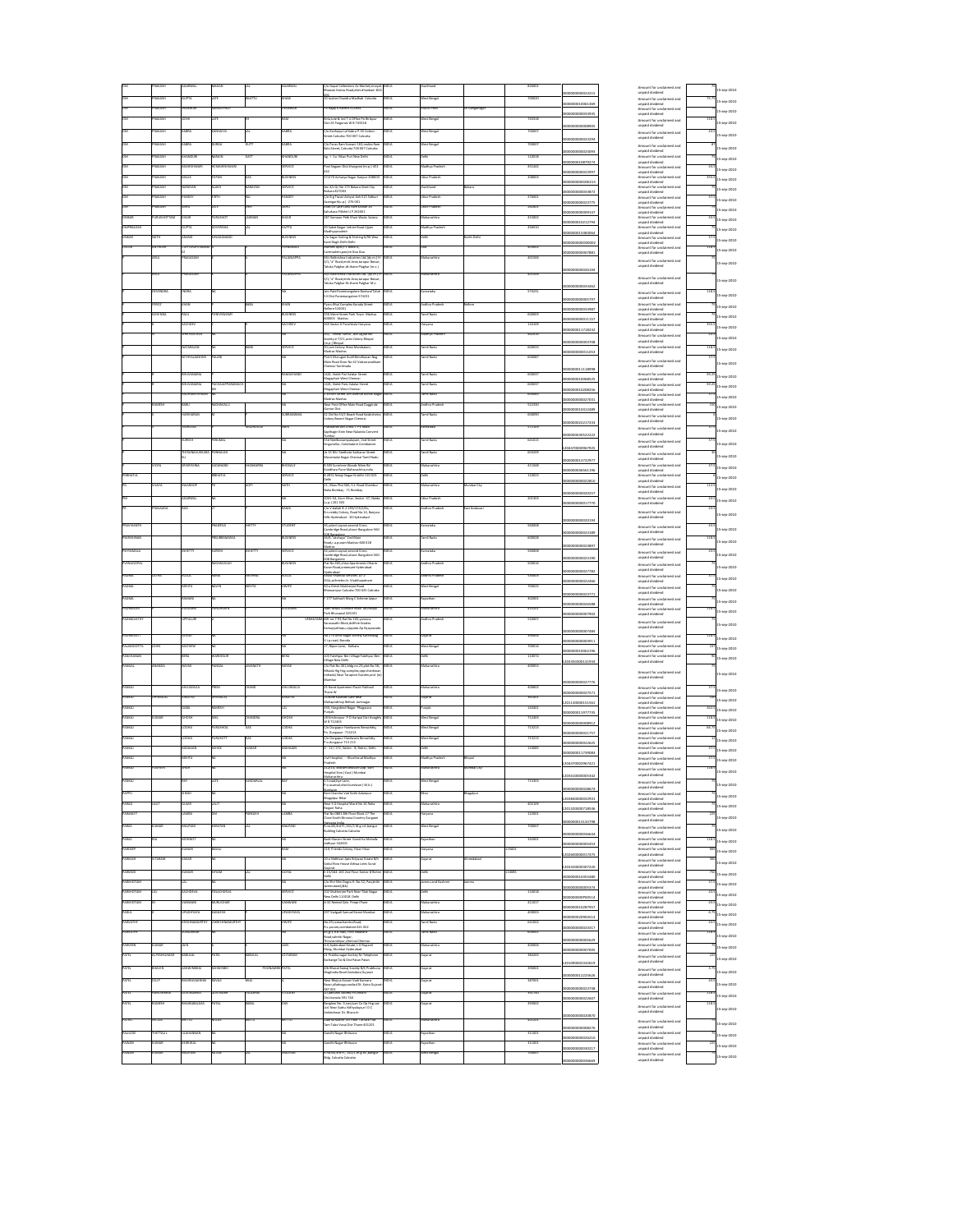|                            |             |            |                |                | Gopal Collections Ac Market, viruya<br>wan Katras Road, divit. dhanbad -82                                                          |     |                               |         |                  | 0023215                    | Amount for unclaimed and<br>unpaid dividend                                         |                 | S-sep-2010                                                                                                                                                                                                                                                                                                                                                                                                                                                                                                                                                                                                                                                 |
|----------------------------|-------------|------------|----------------|----------------|-------------------------------------------------------------------------------------------------------------------------------------|-----|-------------------------------|---------|------------------|----------------------------|-------------------------------------------------------------------------------------|-----------------|------------------------------------------------------------------------------------------------------------------------------------------------------------------------------------------------------------------------------------------------------------------------------------------------------------------------------------------------------------------------------------------------------------------------------------------------------------------------------------------------------------------------------------------------------------------------------------------------------------------------------------------------------------|
|                            |             |            |                |                | ntice Chandra Madhab Calcutts<br>Galali X Karera 311804                                                                             |     | <b>Chemica</b><br><b>THAN</b> |         |                  | 061361                     | Amount for unclaimed and<br>unpaid dividend                                         | 75.7            |                                                                                                                                                                                                                                                                                                                                                                                                                                                                                                                                                                                                                                                            |
|                            |             |            |                |                |                                                                                                                                     |     | : Bengal                      |         | 742318           | 00033935                   | Amount for unclaimed and<br>unpaid dividend                                         | 118             | iep-2010                                                                                                                                                                                                                                                                                                                                                                                                                                                                                                                                                                                                                                                   |
|                            |             |            |                |                | rla Jute & Ind T U Office Po Birla<br>Ist 24 Parganas W B 743318                                                                    |     | a Bana                        |         | 700007           |                            | Amount for unclaimed and<br>unpaid dividend                                         | 41.             | iep-2010                                                                                                                                                                                                                                                                                                                                                                                                                                                                                                                                                                                                                                                   |
|                            |             |            |                |                | Kanhaiya Lal Kabra P-35 Cotto<br>ret Calcutta-700 007 Calcutta                                                                      |     |                               |         |                  | 02329                      | Amount for unclaimed and<br>unpaid dividend                                         |                 | 5-sep-2010                                                                                                                                                                                                                                                                                                                                                                                                                                                                                                                                                                                                                                                 |
|                            |             |            |                |                | Paras Ram Somani 163,mukta F<br>Street, Calcutta 700 007 Calcut                                                                     |     |                               |         |                  | 00024093                   | Amount for unclaimed and<br>unpaid dividend                                         |                 | sep-2010                                                                                                                                                                                                                                                                                                                                                                                                                                                                                                                                                                                                                                                   |
|                            |             |            |                |                | -1-1a Vikas Puri New Delhi                                                                                                          |     |                               |         | 110018           | 10879274                   | Amount for unclaimed and<br>unpaid dividend                                         |                 | Sarp 2010                                                                                                                                                                                                                                                                                                                                                                                                                                                                                                                                                                                                                                                  |
|                            |             |            |                |                |                                                                                                                                     |     |                               |         | 451442           | 022997                     | Amount for unclaimed and<br>unpaid dividend<br>Amount for unclaimed and             | $\overline{a}$  | S-sep-2010                                                                                                                                                                                                                                                                                                                                                                                                                                                                                                                                                                                                                                                 |
|                            |             |            |                |                | /270 Acharya Nagar Kanpur 20800                                                                                                     |     |                               |         | 208003           | 1225                       | unpaid dividend                                                                     | 355.            | sep-2010                                                                                                                                                                                                                                                                                                                                                                                                                                                                                                                                                                                                                                                   |
|                            | AKASH       |            |                | with           | ec 3/c Qr No 173 Bokaro Steel City<br>no 827003<br>o B.e Theari Achwat Ank 521 Sidhari                                              |     | rkhans                        |         | 276001           | 033872                     | Amount for unclaimed and<br>unpaid dividend                                         | $\overline{v}$  | sep-2010                                                                                                                                                                                                                                                                                                                                                                                                                                                                                                                                                                                                                                                   |
|                            |             |            |                |                | thiup.1-276 001                                                                                                                     |     |                               |         |                  | 023775                     | Amount for unclaimed and<br>unpaid dividend<br>Amount for unclair<br>ned and        |                 | sep-2010                                                                                                                                                                                                                                                                                                                                                                                                                                                                                                                                                                                                                                                   |
|                            |             |            |                |                | hi Of Late Sahu Ram I<br>ukara Pilibhit U P 262<br>87 Somwar Peth Khair Wada Satara                                                 |     |                               |         | 415002           | 9147                       | unpaid dividend<br>Amount for unclaimed and                                         | 41              | sep-2010                                                                                                                                                                                                                                                                                                                                                                                                                                                                                                                                                                                                                                                   |
|                            |             |            |                |                |                                                                                                                                     |     |                               |         | 45601            | 0212794                    | unpaid dividend<br>unpuid diweiend<br>Amount for unclaimed and<br>unpaid dividend   |                 | sep-2010<br>S-sep-2010                                                                                                                                                                                                                                                                                                                                                                                                                                                                                                                                                                                                                                     |
|                            |             |            |                |                | Sagar Suiting & S<br>ol Bagh Delhi Delh<br>ing i                                                                                    |     |                               |         |                  | 013383064                  | Amount for unclaimed and                                                            |                 | sep-2010                                                                                                                                                                                                                                                                                                                                                                                                                                                                                                                                                                                                                                                   |
|                            | THONY       | FFORDFE    |                | <b>NANCEZ</b>  | artins Apts,f-1 Block A                                                                                                             |     |                               |         | 403002           |                            | unpaid dividend<br>Amount for unclaimed and                                         | 118.            | 5-sep-2010                                                                                                                                                                                                                                                                                                                                                                                                                                                                                                                                                                                                                                                 |
|                            |             |            |                | <b>EN14001</b> | renzalem,panjim Goa Goa<br>Vs Balkrishna Industries Ltd. (dv.m.) H                                                                  |     |                               |         | 401500           |                            | unpaid dividend<br>Amount for unclaimed and                                         |                 |                                                                                                                                                                                                                                                                                                                                                                                                                                                                                                                                                                                                                                                            |
|                            |             |            |                |                | .<br>(1,"a" Road,midc Area,tarapur Boisar,<br>skaka Palghar,dt.thane Plaghar (m.s.)                                                 |     |                               |         |                  | 02619                      | unpaid dividend                                                                     |                 | 5-sep-2010                                                                                                                                                                                                                                                                                                                                                                                                                                                                                                                                                                                                                                                 |
|                            |             |            |                |                | ,"a" Road,midc Area,tarapur Rois.<br>aka Palghar Dt.thane Palghar M.s.                                                              |     |                               |         |                  |                            | Amount for unclaimed and<br>unpaid dividend                                         |                 | S-sep-2010                                                                                                                                                                                                                                                                                                                                                                                                                                                                                                                                                                                                                                                 |
|                            |             |            |                |                |                                                                                                                                     |     |                               |         | 574233           | 033462                     | Amount for unclaimed and                                                            | Ħ               |                                                                                                                                                                                                                                                                                                                                                                                                                                                                                                                                                                                                                                                            |
|                            |             |            |                |                | in Pate Pariemangalore Bantwa<br>K Dist Panemangalore 574231<br>ru Bhai Complex Ki                                                  |     |                               |         |                  | 797                        | unpaid dividend<br>Amount for unclaimed and                                         |                 | S-sep-2010                                                                                                                                                                                                                                                                                                                                                                                                                                                                                                                                                                                                                                                 |
|                            |             |            |                |                | ore 524001                                                                                                                          |     |                               |         |                  | cossos                     | unpaid dividend<br>Amount for unclaimed and                                         |                 | iep-2010                                                                                                                                                                                                                                                                                                                                                                                                                                                                                                                                                                                                                                                   |
|                            |             |            |                |                | 56 Maint Street<br>30003 - Madras<br>5 Sector 6 Pane                                                                                |     |                               |         | 134109           | 011157                     | unpaid dividend<br>Amount for unclaimed and                                         | 355             | iep-2010                                                                                                                                                                                                                                                                                                                                                                                                                                                                                                                                                                                                                                                   |
|                            |             |            |                |                |                                                                                                                                     |     |                               |         | 462010           | 11718232                   | unpaid dividend<br>Amount for unclaimed and                                         | $\overline{a}$  | S-sep-2010                                                                                                                                                                                                                                                                                                                                                                                                                                                                                                                                                                                                                                                 |
|                            |             |            |                |                | "chinar Sarita",lala Lajpat Rai<br>rty,e-7/21,area Colony Bhopal<br>Cheg,<br><u>Lo.1 Bhomal</u><br>Lram Colony West<br>adras Madras |     |                               |         |                  | 00003708                   | unpaid dividend<br>Amount for unclaimed and                                         |                 | 5-sep-2010                                                                                                                                                                                                                                                                                                                                                                                                                                                                                                                                                                                                                                                 |
|                            |             |            |                |                |                                                                                                                                     |     |                               |         | coccat           | 011053                     | unpaid dividend                                                                     | IJ              | sep-2010                                                                                                                                                                                                                                                                                                                                                                                                                                                                                                                                                                                                                                                   |
|                            |             |            |                |                | ist 5 Murugan Kudil Brindhavan Nag<br>Iain Road Door No 42 Valasaravakka<br>ınai Tamihadu                                           |     |                               |         |                  |                            | Amount for unclaimed and<br>unpaid dividend                                         |                 | sep-2010                                                                                                                                                                                                                                                                                                                                                                                                                                                                                                                                                                                                                                                   |
|                            |             |            |                |                | Aff. Violet Elst Valslar Street<br>shar West Cherry                                                                                 |     |                               |         | 600017           | 00010068525                | Amount for unclaimed and                                                            | 59.25           | sep-2010                                                                                                                                                                                                                                                                                                                                                                                                                                                                                                                                                                                                                                                   |
|                            |             |            |                |                | Vs, Violet Flats Valatas                                                                                                            |     |                               |         |                  |                            | unpaid dividend<br>Amount for unclaimed and<br>unpaid dividend                      |                 | sep-2010                                                                                                                                                                                                                                                                                                                                                                                                                                                                                                                                                                                                                                                   |
|                            |             |            |                |                | 165th Street 11th<br>dras Madras                                                                                                    |     |                               |         | coccaz           | 0208256<br>27031           | Amount for unclaimed and<br>unnaid distributed                                      | B               | S-sep-2010                                                                                                                                                                                                                                                                                                                                                                                                                                                                                                                                                                                                                                                 |
|                            |             |            |                |                | ar Post Office N<br>tur Dist                                                                                                        |     |                               |         | 522330           | 0412489                    | Amount for unclaimed and<br>unpaid dividend                                         | E               | 5-sep-2010                                                                                                                                                                                                                                                                                                                                                                                                                                                                                                                                                                                                                                                 |
|                            |             |            |                |                | Old No 53/7<br>ny B                                                                                                                 |     |                               |         |                  |                            | Amount for unclaimed and<br>unpaid dividend                                         |                 | Sarp 2010                                                                                                                                                                                                                                                                                                                                                                                                                                                                                                                                                                                                                                                  |
|                            |             |            |                |                | shanthi 6th Cross T P K Road<br>thagiri Extn Near Nalanda Conv                                                                      |     |                               |         | 572103           | 22217233                   | Amount for unclaimed and                                                            | 17              |                                                                                                                                                                                                                                                                                                                                                                                                                                                                                                                                                                                                                                                            |
|                            |             |            |                |                | (konampaiwam, 2nd Street                                                                                                            |     |                               |         | 641015           | 522222                     | unpaid dividend<br>Amount for unclaimed and                                         | v               | sep-2010                                                                                                                                                                                                                                                                                                                                                                                                                                                                                                                                                                                                                                                   |
|                            |             |            |                |                | smallur, Coimbatore Coimba                                                                                                          |     |                               |         | 603209           | 1921                       | unpaid dividend<br>Amount for unclaimed and                                         |                 | 5-sep-2010                                                                                                                                                                                                                                                                                                                                                                                                                                                                                                                                                                                                                                                 |
|                            |             |            |                |                | 15 Nh I Seethalal Sathanar Street<br>Iraimalal Nagar Chennai Tamil Nada                                                             |     |                               |         |                  | 13722977                   | unpaid dividend                                                                     |                 | sep-2010                                                                                                                                                                                                                                                                                                                                                                                                                                                                                                                                                                                                                                                   |
|                            |             |            |                |                | 0550<br>uti tatun Br<br>dhwa Pune Maharashtra indi                                                                                  |     |                               |         | 411048           | 4656119                    | Amount for unclaimed and<br>npaid di                                                | v               | -<br>sep-2010                                                                                                                                                                                                                                                                                                                                                                                                                                                                                                                                                                                                                                              |
|                            |             |            |                |                |                                                                                                                                     |     |                               |         |                  |                            | Amount for unclaimed and<br>unpaid dividend                                         |                 | sep-2010                                                                                                                                                                                                                                                                                                                                                                                                                                                                                                                                                                                                                                                   |
|                            |             |            |                |                | 1, Vikas Plot 566, S.t. Road Chembur<br>Iaka Bombay - 71 Bombay                                                                     |     |                               |         |                  | 10257                      | Amount for unclaimed and<br>unpaid dividend                                         | 112             | sep-2010                                                                                                                                                                                                                                                                                                                                                                                                                                                                                                                                                                                                                                                   |
|                            |             |            |                |                | 41-54. At<br>p.1201 101                                                                                                             |     |                               |         | 20110            | 017770                     | Amount for unclaimed and<br>unpaid dividend                                         | $\overline{a}$  | <b>S-sep-2010</b>                                                                                                                                                                                                                                                                                                                                                                                                                                                                                                                                                                                                                                          |
|                            |             |            |                |                | s V. baliah II-2-293/174/1/6c,<br>1 reddy Colony, Road No. 14, I<br>Is Hyderabad - 34 Hyderabad                                     |     |                               |         |                  |                            | Amount for unclaimed and                                                            | 43.             | sep-2010                                                                                                                                                                                                                                                                                                                                                                                                                                                                                                                                                                                                                                                   |
|                            |             |            | <b>JEEVA</b>   | <b>IDEN</b>    |                                                                                                                                     |     |                               |         | 560000           | 3194                       | unpaid dividend                                                                     |                 |                                                                                                                                                                                                                                                                                                                                                                                                                                                                                                                                                                                                                                                            |
|                            |             |            |                |                | i, udani Layout, second Cross<br>enbridge Road, ulsoor Bangalore-560                                                                |     |                               |         |                  |                            |                                                                                     |                 |                                                                                                                                                                                                                                                                                                                                                                                                                                                                                                                                                                                                                                                            |
|                            |             |            |                |                |                                                                                                                                     |     |                               |         |                  | 23189                      | Amount for unclaimed and<br>unpaid dividend                                         | 41.             |                                                                                                                                                                                                                                                                                                                                                                                                                                                                                                                                                                                                                                                            |
|                            |             |            |                |                | 38 Banealore<br>5/9,"akshaya" 2nd Main<br>sed,r.a.puram Madras-600 028                                                              |     |                               |         |                  |                            | Amount for unclaimed and                                                            | 11E             |                                                                                                                                                                                                                                                                                                                                                                                                                                                                                                                                                                                                                                                            |
|                            |             | m          |                | VICI           | lras<br>Idani Layout, second Cross<br>Lineard                                                                                       |     |                               |         | 560000           | 1897                       | unpaid dividend<br>Amount for unclaimed and                                         | $\overline{a}$  |                                                                                                                                                                                                                                                                                                                                                                                                                                                                                                                                                                                                                                                            |
|                            |             |            |                |                | bridge Road,ulsoor Bangalore-560<br>38 Banzalore<br>a Apartments Dh.                                                                |     |                               |         |                  | 023190                     | unpaid dividend<br>Amount for unclaimed and                                         |                 |                                                                                                                                                                                                                                                                                                                                                                                                                                                                                                                                                                                                                                                            |
|                            |             |            |                |                | ran Road ame<br>et Hyderabad<br>rabad                                                                                               |     |                               |         |                  | 0027782                    | unpaid dividend                                                                     |                 |                                                                                                                                                                                                                                                                                                                                                                                                                                                                                                                                                                                                                                                            |
|                            |             |            |                |                | ska Financial Services 10-1-<br>(/a,asilmetta Jn. Visakhapatn<br>0-a Grah Mukherjee Road                                            |     |                               |         | 530003<br>700025 | 000022466                  | Amount for unclaimed and<br>unpaid dividend                                         | $_{17}$         |                                                                                                                                                                                                                                                                                                                                                                                                                                                                                                                                                                                                                                                            |
|                            |             |            |                |                | wanipur Calcutta-700 025 Calcutta                                                                                                   |     |                               |         |                  |                            | Amount for unclaimed and<br>unpaid dividend                                         |                 |                                                                                                                                                                                                                                                                                                                                                                                                                                                                                                                                                                                                                                                            |
|                            |             |            |                |                | 77 Subhash Marg C S                                                                                                                 |     |                               |         |                  | 026588                     | Amount for unclaimed and<br>unpaid dividend                                         |                 |                                                                                                                                                                                                                                                                                                                                                                                                                                                                                                                                                                                                                                                            |
|                            |             |            |                | KARN           | Niwas Sub<br>ark Bhusawal 425201                                                                                                    |     |                               |         | 425207           | 00000000007902             | Amount for unclaimed and<br>unpaid dividend                                         | Ħ               |                                                                                                                                                                                                                                                                                                                                                                                                                                                                                                                                                                                                                                                            |
|                            |             |            |                |                | 01.no.7-93,flat No.105,yi<br>raywathi Block, dollfine Estates<br>ayyathopu, vijayada Ap Vijayawad                                   |     |                               |         | 52000            |                            | Amount for unclaimed and<br>unpaid dividend                                         |                 |                                                                                                                                                                                                                                                                                                                                                                                                                                                                                                                                                                                                                                                            |
|                            |             |            |                |                | 279 Amit Nagar Society Karelibaug                                                                                                   |     |                               |         | 290000           | 07484                      | Amount for unclaimed and                                                            | 115             |                                                                                                                                                                                                                                                                                                                                                                                                                                                                                                                                                                                                                                                            |
|                            | ıN          |            |                |                | Lounad, Baroda<br>Ripon Lane, Kolkata                                                                                               | ιA  | t Bengal                      |         | 700016           | 1003911                    | unpaid dividend<br>Amount for unclaimed and                                         | $^{22}$         |                                                                                                                                                                                                                                                                                                                                                                                                                                                                                                                                                                                                                                                            |
|                            |             |            |                |                | 13 Fatehpur Beri Village Fatehpur Ber                                                                                               |     |                               |         | 110074           | 00000010062196             | unpaid dividend<br>Amount for unclaimed and                                         |                 |                                                                                                                                                                                                                                                                                                                                                                                                                                                                                                                                                                                                                                                            |
|                            |             |            |                |                | age New Delhi<br>Flat No.301 bide.no.23.pict No.58.                                                                                 |     |                               |         |                  | 203350300131934            | unpaid dividend                                                                     |                 |                                                                                                                                                                                                                                                                                                                                                                                                                                                                                                                                                                                                                                                            |
|                            |             |            |                |                |                                                                                                                                     |     |                               |         |                  |                            | Amount for unclaimed and<br>unpaid dividend                                         |                 |                                                                                                                                                                                                                                                                                                                                                                                                                                                                                                                                                                                                                                                            |
|                            |             |            |                |                | Nand Apartm<br>Ine W                                                                                                                |     |                               |         |                  |                            | Amount for unclaimed and                                                            | B               |                                                                                                                                                                                                                                                                                                                                                                                                                                                                                                                                                                                                                                                            |
|                            | <b>BASA</b> |            |                |                | ide Kala<br>ad Gate Nea                                                                                                             |     |                               |         | 361007           | 00027571                   | unpaid dividend<br>Amount for unclaimed and<br>unpaid dividend                      |                 |                                                                                                                                                                                                                                                                                                                                                                                                                                                                                                                                                                                                                                                            |
|                            |             |            |                |                | haprabhuji Bethak Jamnagar<br>30, Hargobind Nagar Phagwara                                                                          |     |                               |         | 144401           | 201130000151561<br>1197773 | Amount for unclaimed and                                                            | 262             |                                                                                                                                                                                                                                                                                                                                                                                                                                                                                                                                                                                                                                                            |
|                            |             |            |                |                | I Krishnapur P O Haripa<br>B 712401                                                                                                 |     |                               |         | 712407           | 8912                       | Ambarn na Museume<br>unpaid dividend<br>Amount for unclaimed and<br>unpaid dividend | $\frac{1}{2}$   |                                                                                                                                                                                                                                                                                                                                                                                                                                                                                                                                                                                                                                                            |
|                            |             |            |                |                | Dungapur Ha<br>hitty,<br>Durgapur -713213                                                                                           |     | nt Denga                      |         | 713213           | 021757                     | Amount for unclaimed and<br>unpaid dividend                                         | 66.7            |                                                                                                                                                                                                                                                                                                                                                                                                                                                                                                                                                                                                                                                            |
|                            |             |            |                |                | is Durgapur Hardwark Benachitty                                                                                                     |     | st Benza                      |         | 713213           | 122625                     | Amount for unclaimed and<br>unpaid dividend                                         |                 |                                                                                                                                                                                                                                                                                                                                                                                                                                                                                                                                                                                                                                                            |
|                            |             |            |                |                | o.durgapur 713 213<br>- 14 / 172, Sector - II, Rohini, Delhi                                                                        |     |                               |         | 11009            |                            | Amount for unclaimed and                                                            | 27.5            |                                                                                                                                                                                                                                                                                                                                                                                                                                                                                                                                                                                                                                                            |
|                            |             |            |                |                | I Hospital, -- Khachraud Madhya                                                                                                     | QίΑ | dhya Pradesh                  |         |                  | 204470002967421            | unpaid dividend<br>Amount for unclaimed and<br>unpaid dividend                      | 17.             |                                                                                                                                                                                                                                                                                                                                                                                                                                                                                                                                                                                                                                                            |
|                            |             |            |                |                | 12/14, Sitaram Bhuvan Opp. Sice<br>spital Sion ( East ) Mumbai                                                                      |     |                               |         |                  | 03410000005342             | Amount for unclaimed and<br>unpaid dividend                                         | 118             |                                                                                                                                                                                                                                                                                                                                                                                                                                                                                                                                                                                                                                                            |
|                            |             |            |                |                | rharashtra<br>/road.bye Lane,<br>s asamol,distt.burdwan (W.b.)<br>rówa                                                              |     |                               |         | 713307           | 28674                      | Amount for unclaimed and<br>unpaid dividend                                         |                 |                                                                                                                                                                                                                                                                                                                                                                                                                                                                                                                                                                                                                                                            |
|                            |             | <b>GEN</b> |                |                | ani Chandra Vati Kothi Adampur<br>agalpur Bihar                                                                                     | XA  | u.                            | agalpur |                  | 2031                       | Amount for unclaimed and                                                            |                 |                                                                                                                                                                                                                                                                                                                                                                                                                                                                                                                                                                                                                                                            |
|                            | īτ          | up         |                |                | r S G Hospital Ward No 16 Roha<br><b><i>Inst Roha</i></b>                                                                           | ¥ä  |                               |         | 402109           | 201320000718546            | unpaid dividend<br>Amount for unclaimed and<br>unpaid dividend                      |                 |                                                                                                                                                                                                                                                                                                                                                                                                                                                                                                                                                                                                                                                            |
|                            |             |            |                |                |                                                                                                                                     |     |                               |         |                  |                            | Amount for unclaimed and                                                            |                 |                                                                                                                                                                                                                                                                                                                                                                                                                                                                                                                                                                                                                                                            |
|                            | MAR         |            |                |                | :<br>No 0801 Eth Floor Block 17 The<br>ne South Nirvana Country Gurgace<br>rvana India<br>to 68, and FL,161/1 M.g.rd., bangun       |     | est Bengal                    |         | 700007           | 013135798                  | unpaid dividend<br>Amount for unclaimed and                                         |                 |                                                                                                                                                                                                                                                                                                                                                                                                                                                                                                                                                                                                                                                            |
|                            |             |            |                |                | <b>Iding Calcutta Calcutts</b>                                                                                                      |     |                               |         | 34200            |                            | unpaid dividend<br>Amount for unclaimed and                                         | 118.5           |                                                                                                                                                                                                                                                                                                                                                                                                                                                                                                                                                                                                                                                            |
|                            |             |            |                |                | lri Narain Street, Gundi Kı<br>hpur 342001<br>19, Friends Colony, Misar Misa                                                        |     |                               |         |                  | 545)                       | unpaid dividend<br>Amount for unclaimed and                                         | 92              |                                                                                                                                                                                                                                                                                                                                                                                                                                                                                                                                                                                                                                                            |
|                            |             |            |                |                | .<br>2-a Nichiyan Apts Britwasi Estate B/b                                                                                          |     | ara                           |         |                  | 00017475                   | unpaid dividend<br>Amount for unclaimed and                                         | $\overline{30}$ |                                                                                                                                                                                                                                                                                                                                                                                                                                                                                                                                                                                                                                                            |
|                            |             |            |                |                | okul Row House Athwa Lines Surat<br>arat<br>5/164-165 2nd F                                                                         |     |                               |         |                  |                            | unpaid dividend                                                                     | - 75            |                                                                                                                                                                                                                                                                                                                                                                                                                                                                                                                                                                                                                                                            |
|                            |             |            |                |                | a Shri Mm Dogra H. No.52, Panjtirti                                                                                                 |     |                               |         |                  | 55480                      | Amount for unclaimed and<br>unpaid dividend<br>Amount for unclaimed and             | 37.             |                                                                                                                                                                                                                                                                                                                                                                                                                                                                                                                                                                                                                                                            |
|                            |             | HDEVA      | <b>LACHDEV</b> | virt           | mutawi)&k)                                                                                                                          |     |                               |         | 110018           | 5374                       | unpaid dividend<br>Amount for unclaimed and                                         | 415             |                                                                                                                                                                                                                                                                                                                                                                                                                                                                                                                                                                                                                                                            |
|                            |             |            |                |                | .<br>12 Mukherjee Park Near Tfak Nagar<br>ew Delhi 110018 Delhi<br>2 Rented Orts Pimpri P                                           |     |                               |         | 411017           |                            | unpaid dividend<br>Amount for unclaimed and                                         | 415             |                                                                                                                                                                                                                                                                                                                                                                                                                                                                                                                                                                                                                                                            |
|                            |             |            |                |                | Vadgadi Samuel St                                                                                                                   |     |                               |         | 400003           | 10287957                   | unpaid dividend<br>Amount for unclaimed and                                         | 67              |                                                                                                                                                                                                                                                                                                                                                                                                                                                                                                                                                                                                                                                            |
|                            |             |            |                |                | 29, ramachandra Ros                                                                                                                 |     |                               |         | 641002           | 00000020904514             | unpaid dividend<br>Amount for unclaimed and                                         | 41              |                                                                                                                                                                                                                                                                                                                                                                                                                                                                                                                                                                                                                                                            |
|                            |             |            |                |                | s.puram.coimbatore 641 002                                                                                                          |     |                               |         | 600043           | 00024317                   | unpaid dividend<br>Amount for unclaimed and                                         | $_{\rm 11L}$    |                                                                                                                                                                                                                                                                                                                                                                                                                                                                                                                                                                                                                                                            |
|                            |             |            |                |                | 5.g-3,h.b.flats, First Seaw<br>ned volmiki Neew<br>uvarenivur chennai Che<br>hyderabad Estate, L D R                                |     |                               |         | 400000           | 1005629                    | unpaid dividend<br>Amount for unclaimed and                                         |                 |                                                                                                                                                                                                                                                                                                                                                                                                                                                                                                                                                                                                                                                            |
|                            |             |            |                |                | larg, Mumbai Hyderabad<br>Frabhunarar Socitey Nr Te                                                                                 |     |                               |         |                  | 1002005                    | unpaid dividend                                                                     |                 |                                                                                                                                                                                                                                                                                                                                                                                                                                                                                                                                                                                                                                                            |
|                            |             |            |                |                | hange Tal & Dist Patan Patan                                                                                                        |     |                               |         | 114267           | 201090002332619            | Amount for unclaimed and<br>unpaid dividend                                         | -22             |                                                                                                                                                                                                                                                                                                                                                                                                                                                                                                                                                                                                                                                            |
|                            |             |            |                |                | - Aharat Samaj Society A/4 Prab<br>ghodia Road Vadodara Gujarat                                                                     |     |                               |         |                  |                            | Amount for unclaimed and                                                            |                 |                                                                                                                                                                                                                                                                                                                                                                                                                                                                                                                                                                                                                                                            |
|                            |             |            |                |                | ar Bhojva Kuvari Vadi Karisar<br>zar, alladvago, nadiad Dt. Kaira Gujan                                                             |     |                               |         | 387001           | 000000012225626            | unpaid dividend<br>Amount for unclaimed and                                         | 41              |                                                                                                                                                                                                                                                                                                                                                                                                                                                                                                                                                                                                                                                            |
|                            |             |            |                |                | 87001                                                                                                                               |     |                               |         | 3917             | 023748                     | unpaid dividend                                                                     | $^{\circ}$      |                                                                                                                                                                                                                                                                                                                                                                                                                                                                                                                                                                                                                                                            |
|                            |             |            |                |                | nglow No.-3,navjivan Co Op Hugi                                                                                                     |     |                               |         | 393002           |                            | Amount for unclaimed and<br>unpaid dividend                                         | 118             |                                                                                                                                                                                                                                                                                                                                                                                                                                                                                                                                                                                                                                                            |
|                            |             |            |                |                | d. Near Gattu Vidhyalaya, e I D C<br>deshwar Dt. Bharuch                                                                            |     |                               |         |                  |                            | Amount for unclaimed and<br>unpaid dividend                                         |                 |                                                                                                                                                                                                                                                                                                                                                                                                                                                                                                                                                                                                                                                            |
|                            |             |            |                |                | abrial Manor 1st Floor Tarrace Flat<br>am Talav Vasai Dist Thane 401201                                                             |     |                               |         | 401201           | 05805000000000             | Amount for unclaimed and                                                            |                 |                                                                                                                                                                                                                                                                                                                                                                                                                                                                                                                                                                                                                                                            |
|                            |             |            |                |                | hi Nagar Ob                                                                                                                         |     |                               |         |                  | 0008276                    | unpaid dividend<br>Amount for unclaimed and                                         |                 |                                                                                                                                                                                                                                                                                                                                                                                                                                                                                                                                                                                                                                                            |
| UPPL<br><b>BAS</b><br>anti |             |            |                |                | dhi Nagar Dhilwara                                                                                                                  |     |                               |         | 311001           | 026210<br>330217           | unpaid dividend<br>Amount for unclaimed and<br>unpaid dividend                      | -22             | sep-2010<br>sep-2010<br>sep-2010<br>5-sep-2010<br>5-sep-2010<br>sep-2010<br>sep-2010<br>5-sep-2010<br>sep-2010<br>sep-2010<br>5-sep-2010<br>S-sep-2010<br>5-sep-2010<br>sep-2010<br>S-sep-2010<br>irp-2010<br>$-$ sep $-2010$<br>S-sep-2010<br>S-sep-2010<br><b>S-sep-2010</b><br>5-sep-2010<br>sep-2010<br>5-sep-2010<br>15-sep-2010<br>5-sep-2010<br>15-sep-2010<br>Ssep-2010<br>15-sep-2010<br>15-sep-2010<br>5-sep-2010<br>15-sep-2010<br>15-sep-2010<br>5-sep-2010<br>sep-2010<br>5-sep-2010<br>5-sep-2010<br>5-sep-2010<br>15-sep-2010<br>15-sep-2010<br>5-sep-2010<br>S-sep-2010<br>S-sep-2010<br>5-sep-2010<br>Ssep-2010<br>sep-2010<br>5-sep-2010 |

| Amount for unclaimed ar<br>unpaid dividend                                                           |                                | 15-sep-2010    |
|------------------------------------------------------------------------------------------------------|--------------------------------|----------------|
| Amount for invitaimed and<br>id dividend                                                             |                                | 15-sep-2010    |
| aimed and<br>$\alpha$<br>t for und                                                                   |                                | 15-sep-2010    |
| d dividend<br>np<br>.<br>Amount for uncl<br>unpaid dividend<br>d and                                 | 118.5                          |                |
| ų                                                                                                    |                                | sep-2010       |
| t for und<br>imed and<br>mou<br>unpaid dividend                                                      |                                | 15-sep-2010    |
| Amount for unclaimed and<br>aid dividend                                                             |                                | 15-sep-2010    |
| ų<br>Amount for unclaimed and<br>unpaid dividend                                                     | $\overline{15}$                | sep-2010<br>ò, |
| .<br>w<br>for und<br>aimed and<br>j,                                                                 | 15                             |                |
| Amburn na Cool<br>unpaid dividend<br>Amburn for uncl<br>imed and                                     | s                              | sep-2010       |
| unpaid dividend                                                                                      |                                | ep-2010        |
| Amount for unclaimed and<br>id dividend                                                              | 75                             | 15-sep-2010    |
| aimed and<br>ount for<br>said divid<br>ų                                                             |                                | 15-sep-2010    |
| Amount for und<br>imed and<br>unpaid dividend                                                        |                                | sep-2010       |
| Amount for unclaimed and<br>brebivib bisons                                                          | 15                             | 15-sep-2010    |
| :<br>for und<br>dividend<br>.<br>Ne<br>ed ar<br>j,<br>.<br>w<br>ä<br>m.                              | $\overline{\mathbf{r}}$        | 15-sep-2010    |
| imed and<br>Amount for und                                                                           |                                | 15-sep-2010    |
| unpaid dividend<br>Amount for unclaimed and                                                          | 118.5                          | 5-sep-2010     |
| npaid dividend                                                                                       |                                |                |
| med and<br>unpaid dividend                                                                           |                                | 5-sep-2010     |
|                                                                                                      |                                |                |
| Amount for unclaimed and<br>unpaid dividend                                                          |                                | 15-sep-2010    |
| t for unclaim<br>kmour<br>d a<br>ä                                                                   | z.                             |                |
| id divid<br>npi<br>nd                                                                                |                                | 15-sep-2010    |
| Amount for unclaimed and<br>a.<br>Historia<br>i.<br>ų                                                | 7                              | ú,<br>sep-2010 |
| imed and<br><i>Amount for und</i><br>unpaid dividend                                                 |                                | sep-2010       |
| Amount for unclaimed and                                                                             | s.                             | 15-sep-2010    |
| brebivib bisons<br>Amount for unclaimed and                                                          |                                |                |
| <b>Instant biagra</b>                                                                                |                                | 15-sep-2010    |
| t for und<br>Amour<br>imed and<br>unpaid dividend                                                    |                                | 15-sep-2010    |
| t for unclaime<br>d ar                                                                               |                                |                |
| id dividend<br>npi                                                                                   |                                | sep-2010       |
| Amount for unclaimed and<br>aid dividend<br>nş                                                       | 25                             | sep-2010       |
| imed and<br><i>Amount for und</i><br>unpaid dividend                                                 |                                | sep-2010       |
| Amount for unclaimed and                                                                             | 5                              | 15-sep-2010    |
| unpaid dividend<br>Amount for uncla<br>bns bemis                                                     | h                              | Sam2010        |
| id divide<br>'n.                                                                                     |                                |                |
| Amount for unclaimed and<br>unpaid dividend                                                          |                                | 15-sep-2010    |
| mount for und<br>npaid dividend<br>med and                                                           | ś                              | 15-sep-2010    |
| Amount for unclaimed and                                                                             |                                |                |
| mpaid dividend                                                                                       |                                | 5-sep-2010     |
| t for und<br>ed ar                                                                                   |                                | p-2010         |
| d dividend<br>'np<br>i ar                                                                            | ŧ                              | ep.2010        |
| .<br>Amount for unclaim<br>unpaid dividend<br>ant for und<br>imed and<br>kmo                         |                                |                |
| unpaid dividend                                                                                      |                                | ep-2010        |
| t for unclaimed and<br>h<br>iour<br>id dividend<br>npi                                               | $\overline{\mathbf{112}}$<br>ś | 5-sep-2010     |
| t for und<br>Amour<br>d ar                                                                           | ţ                              | 15-sep-2010    |
| id divis<br>np<br>lend                                                                               |                                |                |
| Amount for unclaimed and<br>unpaid dividend                                                          |                                | 15-sep-2010    |
| mount for unclaimed and<br>npaid dividend                                                            | 15                             | 15-sep-2010    |
|                                                                                                      |                                |                |
| Amount for unclaimed and<br>unpaid dividend                                                          |                                | 5-sep-2010     |
| t for und<br>mour<br>d a<br>ä                                                                        |                                | p.2010         |
| .<br>id dividend<br>npi<br>Amount for unclaimed and                                                  |                                |                |
| brebivib bisqn                                                                                       |                                | 15-sep-2010    |
| Amount for und<br>imed and<br>unpaid dividend                                                        | 7.5                            | sep-2010<br>1Ś |
| Amo<br>e fe<br>r und<br>imed and                                                                     | $\overline{15}$                | p-2010         |
| unpaid dividend<br>k<br>iour                                                                         |                                |                |
| unt for unclaimed and<br>id dividend<br>nş                                                           | ES.                            | sep-2010       |
| Amount for unclaimed and<br>unpaid dividend                                                          |                                | 15-sep-2010    |
| Amount for unclaims<br>unpaid dividend<br>d and                                                      |                                | sep-2010       |
| mount for uncle                                                                                      | 5                              |                |
| ime<br>d and                                                                                         |                                | 15-sep-2010    |
| .<br>unpaid dividend<br>Amount for und<br>unpaid dividend<br>aimed and                               | 237                            | 15-sep-2010    |
| Amour<br><b>Sunt for und</b><br>aid divident<br>bns bemis                                            | 90                             | 15-sep-2010    |
|                                                                                                      |                                |                |
| Amount for unclaimed and<br>unpaid dividend                                                          |                                | 15-sep-2010    |
|                                                                                                      | 17.                            |                |
| unt for unclaimed and<br>id dividend<br>'np                                                          |                                | sep-2010       |
|                                                                                                      | 150                            | 5-sep-2010     |
| Amount for unclaimed and<br>unpaid dividend<br>Amount for unclaimed and                              | 262.5                          | 15-sep-2010    |
| d divid<br>d<br>nd<br>'np                                                                            |                                | 15-sep-2010    |
| Amount for unclaimed and                                                                             | 75                             | 5-sep-2010     |
| <b>Instant biagra</b><br>нi<br>ount for unclaimed and                                                | n                              | 15-sep-2010    |
| id dividend                                                                                          |                                | 15-sep-2010    |
| anpara universit<br>Amount for unclaimed and<br>Amount for unclaimed and<br>Amount for unclaimed and | 17.5                           |                |
| unpaid dividend                                                                                      | 118.5                          | 15-sep-2010    |
| ū<br>d and<br>nou<br>and<br>im<br>naist st<br>M<br>md                                                |                                | 15-sep-2010    |
| ount for unclaimed and<br>aid dividend                                                               |                                | 15-sep-2010    |
| Amount for unclaimed and                                                                             | 75                             |                |
| brebivib bisqn<br>$\alpha$<br>for und<br>aiment and<br>Á                                             | 75                             | 15-sep-2010    |
| ad dividend<br>nş                                                                                    |                                | 15-sep-2010    |
| Amount for unclaimed and<br>aid divide<br>nd<br>ų                                                    |                                | 15-sep-2010    |
| .<br>Amount for und<br>unpaid dividend<br>imed and                                                   | 75                             | 15-sep-2010    |
| Amount for unclaim<br>d and                                                                          |                                |                |
| id diwd<br>nş<br>kind                                                                                |                                | 15-sep-2010    |
| Amount for unclaimed and<br>unpaid dividend                                                          |                                | 15-sep-2010    |
| Amour<br>it for und<br>imed and<br>unpaid dividend                                                   | $\alpha$                       | 15-sep-2010    |
| .<br>Amount for und<br>unpaid dividend<br>imed and                                                   |                                | 15-sep-2010    |
| Amount for unclaimed and                                                                             | 5                              | 15-sep-2010    |
| npaid dividend<br>'n<br>$\alpha$<br>for und<br>bns bemis                                             |                                |                |
| ad divide<br>unpai<br>Amou<br>aimed and                                                              |                                | 15-sep-2010    |
| id dividend<br>unt for und<br>id dividend<br>nş                                                      |                                | 15-sep-2010    |
| Amount for unclaimed and<br>unpaid dividend                                                          | 6.75                           | 5-sep-2010     |
| Amount for unclaimed and<br>unpaid dividend<br>n,                                                    | 42.5                           | 15-sep-2010    |
| Amount for unclaimed and                                                                             |                                | 15-sep-2010    |
| unpaid dividend<br>Amount for unclaimed and                                                          | 75                             |                |
| unpaid dividend                                                                                      |                                | 5-sep-2010     |
| Amount for unclaimed and<br>unpaid dividend                                                          | 225                            | 15-sep-2010    |
| Amount for unclaimed and                                                                             |                                | 15-sep-2010    |
| aid dividend<br>ų                                                                                    | 15                             |                |
| t for und<br>Amour<br>imed and<br>unpaid dividend                                                    |                                | 15-sep-2010    |
| .<br>Amount for und<br>unpaid dividend<br>med and                                                    |                                | 15-sep-2010    |
| d ar<br>ä                                                                                            | u                              |                |
| nount for unclaim<br>Ipaid dividend                                                                  |                                | 15-sep-2010    |
| t for und<br>aimed and                                                                               | 75                             | 15-sep-2010    |
| unpaid dividend<br>aimed and                                                                         |                                |                |
| .<br>Amount for und<br>unpaid dividend<br>Amount for unclaimed and                                   |                                | 15-sep-2010    |
| ampaid dividend                                                                                      | 25                             | 15-sep-2010    |
| Amount for unclaimed and<br>unpaid dividend                                                          | ,                              | 15-sep-2010    |
|                                                                                                      |                                |                |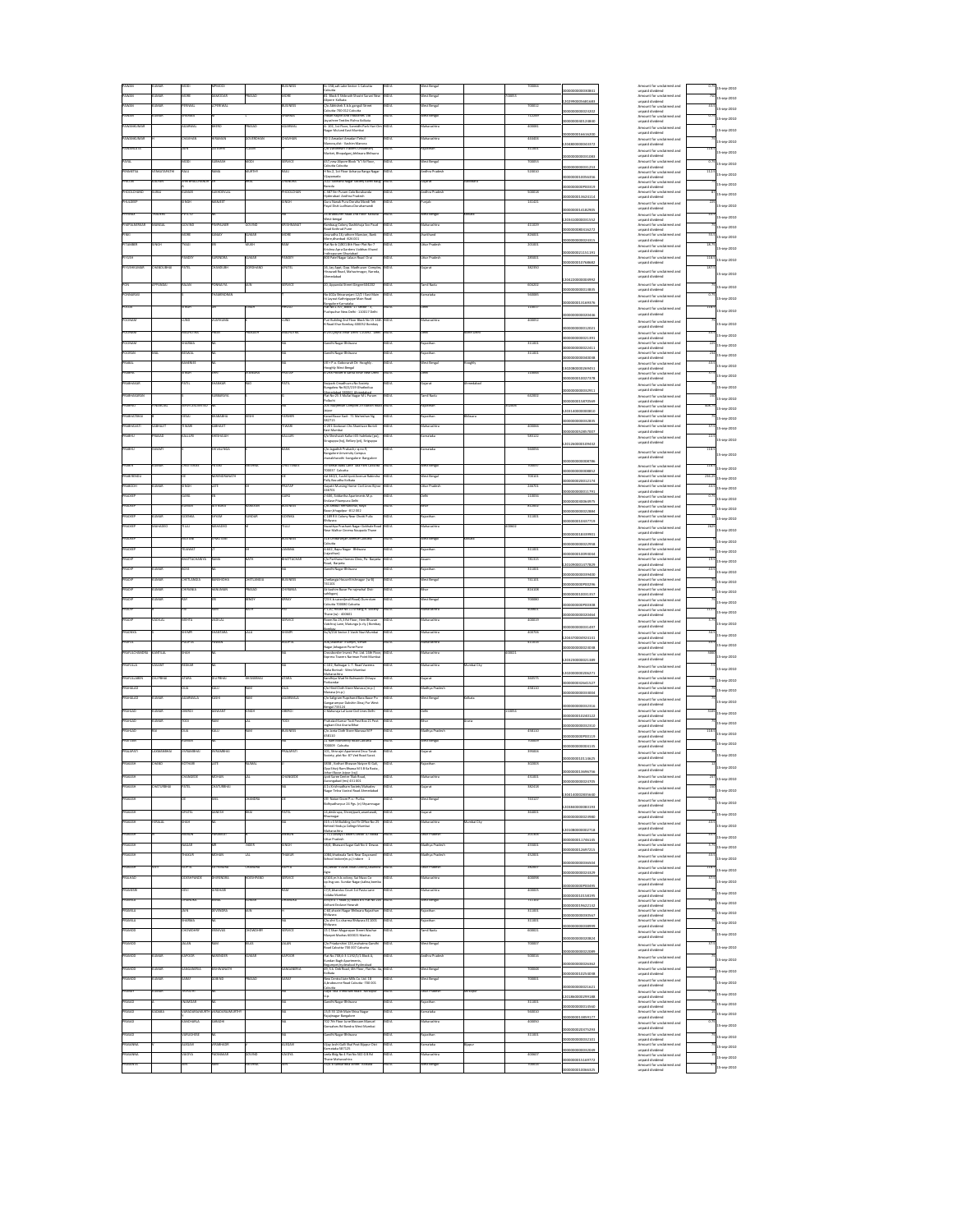|                                                                     |    |             |               |         |             | 158 sait Lak                                                                                                             |     |               |        |                  |                     | Amount for unclaimed and                                                                   | $\alpha$                 |
|---------------------------------------------------------------------|----|-------------|---------------|---------|-------------|--------------------------------------------------------------------------------------------------------------------------|-----|---------------|--------|------------------|---------------------|--------------------------------------------------------------------------------------------|--------------------------|
|                                                                     |    |             |               |         |             |                                                                                                                          |     |               |        |                  | 681683              | Senson for undertring and<br>Amount for underred and<br>unpaid dividend                    | $\overline{z}$           |
|                                                                     |    | <b>FIWA</b> |               |         | <b>INES</b> | Abhahek 3.b.b.ganguli Stree<br>ata-700 012 Ca                                                                            |     | st Genga      |        | 70001            | 023202              | Amount for unclaimed and<br>unpaid dividend                                                | $\overline{a}$           |
|                                                                     |    |             |               |         |             | dian Rayon And Industries Ltd<br>ushree Textles Rishra Kolkata                                                           |     | st Gener      |        | 712249           |                     | Amount for unclaimed and<br>unpaid dividend                                                | $\alpha$                 |
|                                                                     |    |             |               |         |             | .<br>102, 1st Floor, Sannidhi Par<br>gar Mulund East Mumbai                                                              |     |               |        |                  |                     | Amount for unclaimed and<br>unpaid dividend                                                |                          |
|                                                                     |    |             |               |         |             | -1 Amadari Amadari Tehsil<br>ora,dist - Vashim Manora                                                                    |     |               |        | 444404           | 69377               | Amount for unclaimed and<br>unpaid dividend                                                |                          |
|                                                                     |    |             |               |         |             | y Vardhman Traders Choudh<br>ommunes caders Choudhary :<br>cket, Bhopalgari, bhilwara Bhilwara                           |     |               |        | 311001           |                     | Amount for unclaimed and                                                                   | 118                      |
|                                                                     |    |             |               |         |             |                                                                                                                          |     |               |        |                  |                     | unpaid dividend<br>Amount for unclaimed and                                                | $\alpha$                 |
|                                                                     |    |             |               |         |             | No 2, 1st Floor Acharya Ranga Naga                                                                                       | XA  | dhea Pra      |        | 520010           | 131253              | unpaid dividend<br>Amount for unclaimed and                                                | 112.                     |
|                                                                     |    |             |               |         |             | 1/2 Sadhana Nasar Society Kareli Ba                                                                                      |     |               |        |                  | 056356              | unpaid dividend                                                                            |                          |
|                                                                     |    |             |               |         |             | 387 Nor Puram Colo                                                                                                       |     |               |        |                  | 00319               | Amount for unclaimed and<br>unpaid dividend                                                |                          |
|                                                                     |    |             |               |         |             | bra Pra                                                                                                                  |     |               |        |                  | 13624114            | Amount for unclaimed and<br>unpaid dividend                                                |                          |
|                                                                     |    |             |               |         |             | u Nanak Pura Doraha Mandi Teh<br>al Distt Ludhiana Dorahamandi                                                           |     |               |        | 141421           | 4182005             | Amount for unclaimed and<br>unpaid dividend                                                | z                        |
|                                                                     |    |             |               |         |             | brabouren Road 2nd Floor Kolkat<br>st-bennal                                                                             |     |               |        |                  | 203410000031552     | Amount for inclaimed and                                                                   | $\overline{a}$           |
|                                                                     |    |             |               |         |             | nbaug Colony Dash<br>id Kothrud Pune                                                                                     |     |               |        | 411029           |                     | unpaid dividend<br>Amount for unclaimed and                                                |                          |
|                                                                     |    |             |               |         |             | uradha 16,rathore Mansion, Bank<br>ire,dhanbad -826 001                                                                  | ЗÅ  |               |        | 826001           | 00416272            | unpaid dividend<br>Amount for unclaimed and<br>unpaid dividend                             | z,                       |
|                                                                     |    |             |               |         |             | it No-b-2/801 Bth Floor Plot No-7<br>hea Anna Cardera Valdeau Waard                                                      |     |               |        |                  | 024315              | Amount for unclaimed and                                                                   | u                        |
|                                                                     |    |             |               |         |             | dirapuram Charloba<br>Patel Nagar Jalaun Road Orai                                                                       |     |               |        | 285001           | 00000021151191      | unpaid dividend<br>Amount for unclaimed and                                                | 118                      |
|                                                                     |    |             |               |         |             | Jay Appt, Opp. Madhuvan- Co                                                                                              |     |               |        | 382350           | 000000010768682     | unpaid dividend                                                                            | 112                      |
|                                                                     |    |             |               |         |             | Irawadi Road, Mahavirnagar, Naroda,<br>edabad                                                                            |     |               |        |                  |                     | Amount for unclaimed and<br>unpaid dividend                                                |                          |
|                                                                     |    |             |               |         |             | <b>Annundal Street Ginage 604202</b>                                                                                     |     |               |        | 604202           | 204220<br>4992      | Amount for unclaimed and                                                                   |                          |
|                                                                     |    |             |               |         |             |                                                                                                                          |     |               |        | 560000           | 00000000013835      | unpaid dividend<br>Amount for unclaimed and                                                | $\alpha$                 |
|                                                                     |    |             |               |         |             | 402a Shivaranjani 12/2 i East Ma<br>Layout Kathriguppe Main Road                                                         |     |               |        |                  | 000000013169376     | unpaid dividend                                                                            |                          |
|                                                                     |    |             |               |         |             | seasone Karnataka<br>t No.1707, Block -17 Sector - 3<br>hpuhar New Delhi - 110017 Delhi                                  |     |               |        | 110017           |                     | Amount for unclaimed and<br>unpaid dividend                                                | 118                      |
|                                                                     |    |             |               |         |             | i Building 2nd Floor Block No 15 1<br>cad Khar Bombay 400052 Bomba                                                       |     |               |        |                  |                     | Amount for unclaimed and                                                                   |                          |
|                                                                     |    |             |               |         |             |                                                                                                                          |     |               |        |                  | 012023              | unpaid dividend                                                                            |                          |
|                                                                     |    |             |               |         |             | 250, yojna Vihar Delhi -110092. Del                                                                                      |     |               |        |                  | 021391              | Amount for unclaimed and<br>unpaid dividend                                                | $\overline{41}$          |
|                                                                     |    |             |               |         |             |                                                                                                                          |     |               |        | 31100            | 0022411             | wwww.thnoento<br>Amount for unclaimed and<br>unpaid dividend                               |                          |
|                                                                     |    |             |               |         |             |                                                                                                                          |     |               |        |                  | 1038                | Amount for unclaimed and<br>unpaid dividend                                                |                          |
|                                                                     |    | ERICI       |               |         |             | III + P.o. Goborarah Dt- Hooghly<br>ghly West Bengal                                                                     | XA  | nt Benga      |        |                  | 269451<br>30203     | Amount for unclaimed and<br>unpaid dividend                                                | 41.                      |
|                                                                     |    |             |               |         |             | 298 Pocket-b Sarita Vi                                                                                                   |     |               |        | 110044           | 00000010027378      | Amount for unclaimed and<br>unpaid dividend                                                | w.                       |
|                                                                     |    |             |               |         |             | ipark Cmadhuvru No Society<br>ngalow No BI/2/219 Ghatlodi                                                                |     |               |        |                  |                     | Amount for unclaimed and                                                                   |                          |
|                                                                     |    |             |               |         |             | medatolu amoosa Associati<br>t No-25 3 Mullal Nagar M L Pui                                                              |     |               |        | 64200            | 0032911             | mpaid dividend<br>Amount for unclaimed and                                                 | π                        |
|                                                                     |    |             |               |         |             | s Na                                                                                                                     |     |               |        |                  | 5870569             | unpaid dividend<br>Amount for unclaimed and                                                | 408.7                    |
|                                                                     |    |             |               |         |             |                                                                                                                          |     |               |        |                  | 203140<br>100000810 | unpaid dividend<br>Amount for unclaimed and                                                |                          |
|                                                                     |    |             |               |         |             | ad Bazar Kadi<br>2715                                                                                                    |     |               |        |                  | 032835              | unpaid dividend                                                                            |                          |
|                                                                     |    |             |               |         |             | 201 Godavari Chs Shantivan Borivil<br>t Mumbai                                                                           | XA  |               |        | 400000           | \$2857007           | Amount for unclaimed and<br>unpaid dividend                                                | IJ                       |
|                                                                     |    |             |               |         |             | s Shexhalah Kalluri 65-1<br>uguppa (tq), Bellary (pt), Siriguppa                                                         |     |               |        | 583122           |                     | Amount for unclaimed and<br>unpaid dividend                                                | 22                       |
|                                                                     |    |             |               |         |             | a Jagadish Prakash, r.q.no.9,                                                                                            |     |               |        | 54005            | 201260000109432     | Amount for unclaimed and                                                                   | 118                      |
|                                                                     |    |             |               |         |             | ngalore University Campus<br>Inabharathi -bangalore- Bangalore                                                           |     |               |        |                  | 18786               | unpaid dividend                                                                            |                          |
|                                                                     |    | vitere      | AX)           |         |             | <b>17 Market Balbu Lane: Tala Park Calcutta</b><br>037 Calcutta                                                          |     | st Benza      |        | 700037           | 8852                | Amount for unclaimed and                                                                   | 118                      |
|                                                                     |    |             |               |         |             | 340/1. Sushi Juoti Av<br>dha Kolkata<br>iv la                                                                            |     |               |        | 200101           |                     | unpaid dividend<br>Amount for unclaimed and                                                | 216.2                    |
|                                                                     |    |             |               |         |             | atri Mursing Home Civi<br>1701                                                                                           |     |               |        | 246701           | 0012174             | unpaid dividend<br>Amount for unclaimed and                                                | 43.                      |
|                                                                     |    |             |               |         |             | .<br>606, Siddartha Apartm<br>clave Pitampura Delhi                                                                      | XA  |               |        | 110034           | 011791              | unpaid dividend<br>Amount for unclaimed and                                                | 0.7                      |
|                                                                     |    |             |               |         |             | Amba fa                                                                                                                  |     |               |        | \$1200           | 064975              | unpaid dividend                                                                            |                          |
|                                                                     |    |             |               |         |             | ar.bharalpur -812 000<br>189 R K Colony                                                                                  |     |               |        |                  | 022884              | Amount for unclaimed and<br>unpaid dividend<br>Amount for unclaimed and                    |                          |
|                                                                     |    |             |               |         |             |                                                                                                                          |     |               |        |                  | M37719              | unpaid dividend                                                                            |                          |
|                                                                     |    |             |               |         |             | asthya Prashant Nagar Gokhale Ro.<br>ar Malhar Cinema Naupada Thane                                                      | XA  |               |        |                  | 18339901            | Amount for unclaimed and<br>unpaid dividend                                                | 262                      |
|                                                                     |    |             |               |         |             | <b>8 Childrania</b>                                                                                                      |     |               |        |                  |                     | Amount for unclaimed and                                                                   |                          |
|                                                                     |    |             |               |         |             | 642, Rapu Nagar - Rhilwara<br>qasthan)                                                                                   |     |               |        | 311001           | 022958              | unpaid dividend<br>Amount for unclaimed and                                                | 15                       |
|                                                                     |    |             |               |         |             | lo Parthana Homeo Cinic, Po-Barp                                                                                         |     |               |        | 781315           | 03044               | unpaid dividend<br>Amount for unclaimed and                                                | 19.                      |
|                                                                     |    |             |               |         |             | ad, Barpeta<br>ndhi Nasar Bh                                                                                             |     |               |        | 311001           | 1477829             | unpaid dividend<br>Amount for unclaimed and                                                | 42.5                     |
|                                                                     |    |             |               |         |             | vetlangia House Kris<br>1101<br>hnagar (w B)                                                                             |     |               |        | 741101           | 039400              | unpaid dividend<br>Amount for unclaimed and                                                |                          |
|                                                                     |    |             |               |         |             | kashim ilazar Po-raj                                                                                                     | XA  |               |        | 816108           |                     | unpaid dividend<br>Amount for unclaimed and                                                |                          |
|                                                                     |    |             |               |         |             | <b>Agan</b><br><b>IKbu</b>                                                                                               |     |               |        |                  | 031357              | unpaid dividend                                                                            |                          |
|                                                                     |    |             |               |         |             | <b>BO Calcula</b>                                                                                                        |     |               |        |                  |                     | Amount for unclaimed and<br>unpaid dividend<br>Amount for unclaimed and                    | - 11                     |
|                                                                     |    |             |               |         | VICE        |                                                                                                                          | XA  |               |        | 400019           |                     | unpaid dividend                                                                            | $^{17}$                  |
|                                                                     |    |             |               |         |             | om No.25,3 Rd Floor, Hem Bhuvan<br>Ichraj Lane, Matunga (c.rly.) Bomb                                                    |     |               |        |                  | 031497              | Amount for unclaimed and<br>unpaid dividend                                                |                          |
|                                                                     |    |             |               |         |             | bay<br>7216 Sector 2 Vi                                                                                                  |     |               |        |                  |                     | Amount for unclaimed and                                                                   |                          |
|                                                                     |    |             |               |         |             |                                                                                                                          |     |               |        |                  |                     |                                                                                            | R                        |
|                                                                     |    |             |               |         |             |                                                                                                                          |     |               |        | 411014           | 204470004924141     | unpaid dividend<br>Amount for unclaimed and                                                | 43.                      |
|                                                                     | mu |             |               |         |             | 5, shalimar Triumph, Viman<br>gar, lohagaon Pune Pune<br>issborder Invest. Pvt. Ltd. 14th Fig                            |     |               |        |                  | 123038              | unpaid dividend<br>Amount for unclaimed and                                                | 30                       |
|                                                                     |    |             |               |         |             | press Towers Nariman Point Mumbe                                                                                         |     |               |        |                  |                     | unpaid dividend                                                                            |                          |
|                                                                     |    |             |               |         |             | ugar L. T. Road V.<br>G. Moot Months                                                                                     |     |               |        |                  | 06271               | Amount for unclaimed and<br>unpaid dividend                                                |                          |
|                                                                     |    |             |               |         |             | .<br>Aurashtra<br>ndhiya Wad Nr Balr<br>nandir Chhay                                                                     |     |               |        | 360575           |                     | Amount for unclaimed and<br><b>Innabid distributed</b>                                     |                          |
|                                                                     |    |             |               |         |             | Hind Clott<br>ms(mp.)                                                                                                    |     |               |        | 45811            |                     | Amount for unclaimed and                                                                   |                          |
|                                                                     |    |             |               |         |             | naj Pur V                                                                                                                |     |               |        |                  |                     | unpaid dividend<br>Amount for unclaimed and                                                |                          |
|                                                                     |    |             |               |         |             | garampu<br>nai 73312<br>Vaharaja Lal Lane Civil Lines C                                                                  |     |               |        |                  | 132316              | unpaid dividend<br>Amount for unclaimed and                                                | 310                      |
|                                                                     |    |             |               |         |             | alad Kumar Todi Post Box 21 P.                                                                                           |     |               |        |                  | 240122              | unnaid distributed                                                                         |                          |
|                                                                     |    |             |               |         |             | ani Dist Araria Bib                                                                                                      |     |               |        |                  | 32310               | inpalo owner:<br>enount for unclaimed and<br>inpald dividend                               | $\overline{111}$         |
|                                                                     |    |             |               |         |             | o Janta Clot.<br>8110                                                                                                    |     |               |        | 700005           |                     | Amount for unclaimed and<br>unpaid dividend                                                |                          |
|                                                                     |    |             |               |         |             | 1 Ram Mohorroy Road Calcutta<br>10009   Calcutta                                                                         |     | nt Gen        |        |                  | 4135                | Amount for unclaimed and<br>unpaid dividend                                                |                          |
|                                                                     |    |             |               |         |             | ty .plot No- 87 Ved Road Surat.                                                                                          |     |               |        |                  | 000000010114625     | Amount for uncla<br>unpaid dividend                                                        |                          |
|                                                                     |    |             |               |         |             | 1838 , Kothari Bhawan Naiyon Ki Gali,<br>Opp Shivji Ram Bhawa M S B Ka Rasta                                             |     |               |        | 302003           |                     |                                                                                            |                          |
|                                                                     |    |             |               |         |             | an water samur.<br>IS Sares Centre T                                                                                     |     |               |        | 431001           | 000000013696756     | Amount for unclaimed and<br>unpaid dividend<br>Amount for unclaimed and                    | -23                      |
|                                                                     |    |             |               |         |             | rangabad (ms) 431 001                                                                                                    |     |               |        | 38241            | 00024705            | unpaid dividend<br>Amount for unclaimed and                                                | $\mathbf{1}$             |
|                                                                     |    |             |               |         |             | 4 1s Krishnadham Society N<br>Nagar Tekra Vastral Road Al                                                                |     |               |        |                  | 304140002835640     | unpaid dividend                                                                            |                          |
|                                                                     |    |             |               |         |             | - Natun Gram P.o. - Purb<br>Byadharpur 24 Pgs. (n) Shyamnag                                                              |     |               |        | 743127           | 203840000083193     | Amount for unclaimed and<br>unpaid dividend                                                | ø                        |
|                                                                     |    |             |               |         |             | deverups, Streetbark,                                                                                                    |     |               |        | 364001           |                     | Amount for unclaimed and                                                                   |                          |
|                                                                     |    |             |               |         |             |                                                                                                                          |     |               | i City |                  | 00000000023980      | unpaid dividend<br>Amount for unclaimed and                                                | 43.                      |
|                                                                     |    | NON         |               |         |             | 5-c 5 M Building 1st Fir Office No-25<br>hind Hinduja College Mumbai<br>sharashira<br>111 Jalvayu Towers Sector 47 Nolda |     | er Prade      |        | 201106           | 201080000002718     | unpaid dividend<br>Amount for unclaimed and                                                | 41                       |
|                                                                     |    |             |               |         |             | tar Pradesh<br>/4, Ehawani Sagar Gali No 4 C                                                                             |     |               |        |                  | 11746145            |                                                                                            |                          |
|                                                                     |    |             |               |         |             |                                                                                                                          |     |               |        | 45500            | 000000012697215     | unpaid dividend<br>Amount for unclaimed and<br>unpaid dividend                             | $\overline{1}$           |
|                                                                     |    |             |               | LAL     |             | 64,khatiwala Tank Near Dayanand<br>hool Indone(m.p.) Indone 1                                                            |     |               |        | 452001           | 16504               | Amount for unclaimed and<br>unpaid div                                                     | 43.                      |
|                                                                     |    | PTA         | <b>TYTNON</b> | CHANDRA | PTA         | sector-9 Ayan Vikas Colony sikand                                                                                        |     | ir Pradi      |        | 282007           |                     | Amount for unclaimed and                                                                   | 118.5                    |
|                                                                     |    |             |               |         |             |                                                                                                                          |     |               |        |                  | 0024329             | unpaid dividend<br>Amount for unclaimed and                                                | 17                       |
|                                                                     |    |             |               |         |             | i D4, m.h.b. colony, Sai Nvas Co-<br>hug. soc. Sundar Nagar, kalina, bon<br>7/3.bhandus Court 1st Pasta Lane             | XA  | harashtr      |        | 400005           | 0495                | unpaid dividend<br>Amount for unclaimed and                                                |                          |
|                                                                     |    | ini nr a    |               |         | MICA        | ba Mum<br> 2/b G T Road (s) Block B K Flat No 2                                                                          | ×.  |               |        | 711102           | 0158195             | unpaid dividend                                                                            | 42.5                     |
|                                                                     |    |             |               |         |             | hant Enclave Howrah                                                                                                      |     |               |        |                  | 00000019622132      | Amount for unclaimed and<br>unpaid dividend                                                |                          |
|                                                                     |    |             |               |         |             | )<br>Abastri Nagar Dh                                                                                                    |     |               |        |                  | 0030567             | Amount for unclaimed and<br>unpaid dividend                                                |                          |
|                                                                     |    |             |               |         |             | s.shri S.c.sharma Bhilwara 311001<br>aara                                                                                | XA  |               |        | 311007           | 0038191             | Amount for unclaimed and<br>unpaid dividend                                                |                          |
|                                                                     |    |             |               |         |             | .<br>5 C Shan Mugarayan Street War<br>Asnpet Madras 600021 Madras                                                        |     |               |        | 600021           |                     | Amount for unclaimed and<br>unpaid dividend                                                |                          |
|                                                                     |    |             |               |         |             |                                                                                                                          |     | st Bengal     |        | 700007           | 000020824           | Amount for unclaimed and                                                                   | 17.                      |
|                                                                     |    |             |               |         |             | : Priadarshini 124,mahatma Ga<br>ad Calcutta-700 007 Calcutta                                                            |     |               |        |                  | 100022089           | unpaid dividend                                                                            |                          |
|                                                                     |    |             |               |         |             | r. No. 708,6-3-1192/1/1 Block /<br>ndan Bagh Apartm                                                                      |     | hra Pra       |        | 500010           |                     | Amount for unclaimed and<br>unpaid dividend                                                |                          |
|                                                                     |    |             |               |         |             | rumoet hyderabad Hyde<br>, S.k. Deb Road, 4th Floor                                                                      |     |               |        |                  |                     |                                                                                            | $\overline{\phantom{a}}$ |
|                                                                     |    |             |               |         |             | w Central Jute Mills Co. Ltd. 18                                                                                         |     | st Benga      |        | racca            |                     | Amount for unclaimed and<br>unpaid dividend<br>Amount for unclaimed and                    |                          |
|                                                                     |    |             |               |         |             | unne Road Calcutta -700 001<br>Trimphani Drust M                                                                         |     |               |        |                  | 021621              | unpaid dividend                                                                            |                          |
|                                                                     |    |             |               |         |             |                                                                                                                          |     |               |        |                  | 0299188             | Amount for unclaimed and                                                                   |                          |
|                                                                     |    |             |               |         |             |                                                                                                                          |     |               |        |                  | 114560              | Amount for uncurried and<br>unpaid dividend<br>Amount for unclaimed and<br>unpaid dividend |                          |
|                                                                     |    |             |               |         |             | 15/3 55 12th Main Shiva Nagar                                                                                            | DίA | nataka        |        | 560010           | 13859177            | Amount for unclaimed and<br>unpaid dividend                                                |                          |
|                                                                     |    |             |               |         |             | 2 7th Floor June Bloss<br>om Man<br>salves Rd Bandra West Mumbai                                                         |     |               |        | anno             |                     | Amount for unclaimed and                                                                   |                          |
|                                                                     |    |             |               |         |             | dhi Nagar Bhilwara                                                                                                       |     | sthan         |        | 311001           | 20375293            | unpaid dividend                                                                            |                          |
|                                                                     |    |             | ABHADE        |         |             | ay Joshi Galli I kal Post Bijapur Dist                                                                                   |     | <b>Lataka</b> |        |                  | 0032101             | Amount for unclaimed and<br>unpaid dividend                                                |                          |
|                                                                     |    |             | MAAYAS        |         |             |                                                                                                                          |     |               |        |                  | 032049              | Amount for unclaimed and<br>unpaid dividend                                                |                          |
| <b>AKAO</b><br>amisr<br>MMT.<br><b>IASAG</b><br>uca<br><b>IASAN</b> |    |             |               |         |             | nataka 587125<br>Ia Bidg No 4 Flat No 502 G 8 Rd<br>or Maharashtra<br>/4 B Sankaritola Street Kolkata                    |     |               |        | 400607<br>700014 | 00000015169772      | Amount for unclaimed and<br>unpaid dividend<br>Amount for unclaimed and                    | $-4.5$                   |

| mount for unclaimed and                                                                        | 75                           | 15-sep-2010                |
|------------------------------------------------------------------------------------------------|------------------------------|----------------------------|
| unpaid dividend<br>Amount for uncla<br>imed and<br>ini                                         |                              | ú,<br>sep-2010             |
| .<br>ad o<br>ü<br>med and                                                                      |                              |                            |
| .<br>mount for und<br>npaid dividend                                                           |                              | iep-2010<br>ì,             |
| Amount for unclaimed and<br>brebivib bison                                                     |                              | īś<br>sep-2010             |
| mount for und<br>im<br>d and                                                                   |                              | sep-2010<br>ß              |
| unpaid dividend<br>j<br>nt for und<br>d and<br>ma<br>im                                        |                              |                            |
| unpaid dividend                                                                                |                              | p-2010                     |
| room www.w<br>sount for unclaimed and<br>paid dividend<br>k                                    | ı                            | sep-2010                   |
| npi<br>Amount for uncl<br>ă.<br>ä                                                              | $\overline{\mathbf{r}}$      |                            |
| Amount <sub>her sens</sub><br>unpaid dividend<br>Amount for und<br>imed and                    |                              | sep-2010                   |
| unpaid dividend                                                                                |                              | ep-2010<br>ì,              |
| Amount for unclaimed and<br>aid dividend                                                       |                              | sep-2010<br>ú              |
| aimed and                                                                                      |                              | p-2010                     |
| ount for und<br>said dividend<br>n.<br>NS                                                      |                              |                            |
| Amount for unclaimed and<br>aid divide<br>.<br>1d<br>n,                                        |                              | $-2010$                    |
| Amount for unclaimed and                                                                       |                              | sep-2010<br>ò,             |
| <b>Exampled dividend</b><br>Amount for uncl<br>Expaid dividend<br>Amount for uncl<br>aimed and |                              |                            |
|                                                                                                |                              | p-2010                     |
| d and<br>im<br>unpaid dividend                                                                 | 5<br>83                      | sep-2010<br>ß              |
| t for und<br>med and<br>mo                                                                     |                              | ep-2010                    |
| unpaid dividend<br>.<br>N                                                                      |                              | Ľ,                         |
| ruu wwww.<br>tount for unclaime<br>paid dividend<br>d and<br>np                                |                              | ep-2010                    |
| d a                                                                                            |                              |                            |
| mount for undi<br>npaid dividend                                                               |                              | p.2010                     |
| America for inclaimed and                                                                      |                              | sep-2010<br>ú              |
| aid dividend<br>unp                                                                            |                              |                            |
| Amount for unclaimed and<br>unpaid dividend                                                    |                              | sep-2010<br>ú              |
| t for und<br>mour<br>d and                                                                     |                              |                            |
| id dividend<br>npi                                                                             |                              | p-2010                     |
| Amount for unclaimed and                                                                       |                              | sep-2010<br>1Ś             |
| brebivib bisqn<br>Amount for und<br>imed and                                                   | 41.5                         |                            |
| unpaid dividend                                                                                |                              | sep-2010<br>í.             |
| <b>Amount for uncl</b><br>unpaid dividend<br>imed and                                          | 225                          | sep-2010                   |
| اسم<br>"D<br>t for und<br>j,<br>d ar                                                           | 5<br>$\overline{\mathbf{z}}$ | 2010                       |
| emtern ve<br>unpaid dividend<br>Amount for uncl<br>med and                                     | 5                            | p-2010                     |
| unpaid dividend                                                                                |                              |                            |
| Amount for und<br>imed and<br>aid dividend                                                     |                              | sep-2010                   |
| Amount for unclaimed and                                                                       |                              | sep-2010<br>ß              |
| unpaid dividend                                                                                |                              |                            |
| Amount for und<br>imed and<br>unpaid dividend                                                  | s,                           | īś<br>sep-2010             |
| Amount for unclaimed and<br>aid divide                                                         |                              | ú<br>sep-2010              |
| lend<br>und<br>unpai<br>Amou<br>aimed and                                                      |                              | p-2010                     |
| Amount for uncl<br>unpaid dividend<br>Amount for uncl<br>unpaid dividend<br>imed and           | 17.5                         |                            |
|                                                                                                |                              | īś<br>sep-2010             |
| t for und<br>d and<br>mo<br>im                                                                 | 22                           | p-2010<br>LS               |
| unpaid dividend                                                                                |                              |                            |
| Amount for unclaimed and<br>unpaid dividend                                                    |                              | sep-2010<br>īś             |
|                                                                                                |                              |                            |
| Amount for unclaimed and<br>ansaid dividend                                                    |                              | sep-2010<br>1Ś             |
| Amount for unclaimed and                                                                       |                              | sep-2010<br>ú              |
| unpaid dividend<br>Amount for und<br>unpaid dividend<br>Amount for und<br>aimed and            |                              | p-2010                     |
| imed and                                                                                       | 75                           |                            |
| unpaid dividend                                                                                |                              | sep-2010<br>ß              |
| <b>Amount for uncl</b><br>unpaid dividend<br>imed and                                          | n                            | is<br>sep-2010             |
| ----<br>102<br>for und<br>ù<br>i ar                                                            | õ                            | sep-2010                   |
| id divid<br>nd<br>nş<br>imed and                                                               | 25                           |                            |
| ount for und<br>said dividend<br>ų                                                             |                              | p-2010                     |
| Amount for unclaimed and                                                                       |                              | sep-2010                   |
| aid dividend<br>sunt for und<br>unpai<br>Amou<br>d ar                                          |                              | ep-2010                    |
| d divid<br>nş<br>nd<br>Amount for unclaimed and                                                | 5                            |                            |
| unpaid dividend                                                                                |                              | sep-2010<br>ß              |
| Amount for und<br>imed and                                                                     |                              | sep-2010<br>ú              |
| <b>Exampled dividend</b><br>Amount for und<br>Expaid dividend<br>Amount for und<br>aimed and   |                              | sep-2010                   |
| d and<br>im                                                                                    | 12                           |                            |
| unpaid dividend                                                                                |                              | ú<br>sep-2010              |
| Amour<br><b>Imount for und</b><br>Impaid dividend<br>imed and                                  |                              | sep-2010<br>is             |
| С.<br>102<br>for und<br>ù<br>i ar                                                              | 12.5                         | sep-2010                   |
| id divid<br>nd<br>nş<br>d and                                                                  |                              |                            |
| ount for und<br>said dividend<br>ų                                                             |                              | p-2010                     |
| Amount for unclaimed and                                                                       |                              | sep-2010<br>ú              |
| aid dividend<br>sunt for und<br>unpai<br>Amou<br>i ar                                          |                              | sep.2010                   |
| <br>id divid<br>nd<br>np                                                                       |                              |                            |
| .<br>Amount for uncli<br>unpaid dividend<br>da<br>ų                                            |                              | p.2010                     |
| Amount for unclaimed and                                                                       |                              |                            |
| unpaid dividend                                                                                |                              | sep-2010<br>1Ś             |
| mount for und<br>im<br>d and<br>unpaid dividend                                                |                              | ep-2010                    |
| imed and<br>Amount for und                                                                     | 75                           | sep-2010                   |
| hreaid dividend<br>Amount for und<br>imed and                                                  |                              |                            |
| mpaid dividend                                                                                 |                              | sep-2010<br>1Ś             |
| Amount for und<br>d and<br>im                                                                  | ٥s                           | sep-2010<br>1Ś             |
| unpaid dividend<br><b>Amount for und</b><br>unpaid dividend<br>.<br>Manazi anat                |                              | sep-2010                   |
| <br>for und<br>i ar<br>ä                                                                       | ŧ                            | is                         |
| Amwin<br>unpaid dividend<br>Amount for und                                                     |                              | sep-2010                   |
| imed and<br>npaid dividend                                                                     | 75                           | ep-2010<br>LS              |
| imed and                                                                                       |                              |                            |
| .<br>mount for und<br>npaid dividend                                                           |                              | 5-sep-2010                 |
| .<br>Imount for unclaimed and<br>inpaid dividend                                               |                              | 15-sep-2010                |
| Amount for uncl<br>im<br>d as                                                                  | 237                          |                            |
| id divider<br>ıd.                                                                              |                              | 15-sep-2010                |
| Amount for uncl<br>unpaid dividend<br>med and                                                  |                              | 5-sep-2010                 |
| Amount for unclaimed and                                                                       |                              |                            |
| aid disadand<br>ų                                                                              |                              | sep.2010                   |
| America for inclaimed and<br>aid dividend                                                      | n                            | 15-sep-2010                |
| nş<br>Amount for unclaimed and                                                                 |                              |                            |
| brebivib bison                                                                                 |                              | 15-sep-2010                |
| Amount for unclaimed and<br>brebivib bison                                                     |                              | 15-sep-2010                |
| j,<br>$\alpha$<br>fer und<br>aimed and                                                         |                              | 15-sep-2010                |
| aid dividend<br>m<br>ed and                                                                    |                              |                            |
| Amount for unclaim<br>unpaid dividend                                                          |                              | 15-sep-2010                |
| Amount for unclaimed and                                                                       | 11<br>ś                      | 5-sep-2010                 |
| <b>unpaid dividend</b>                                                                         |                              |                            |
| Amount for unclaimed and<br>unpaid dividend                                                    |                              | 15-sep-2010                |
| t fe<br>r und<br>med and<br>mo                                                                 | 75                           | 15-sep-2010                |
| unpaid dividend<br>ount for und<br>aimed and<br>k                                              |                              |                            |
| aid dividend<br>aimed and                                                                      |                              | 15-sep-2010                |
| ount for und<br>said dividend<br>ų                                                             |                              | 15-sep-2010                |
| Amount for und<br>unpaid dividend<br>imed and                                                  |                              | sep-2010<br>LS             |
| d and<br>im                                                                                    |                              |                            |
| .<br>Amount for und<br>unpaid dividend                                                         |                              | ep-2010<br>iS4             |
| Amount for unclaimed and<br>unpaid dividend                                                    |                              | 15-sep-2010                |
| d and                                                                                          |                              |                            |
| Amount for und<br>d dividend<br>np                                                             |                              | sep-2010                   |
| .<br>Amount for uncl<br>unpaid dividend<br>d and                                               | $\overline{\phantom{1}}$     | sep-2010                   |
| ų<br>Amount for und<br>aimed and                                                               |                              |                            |
| aid dividend<br>nş                                                                             |                              | 15-sep-2010                |
| Amount for unclaimed and<br>unpaid dividend                                                    | $\overline{15}$              | 15-sep-2010                |
| .<br>101<br>t for und<br>j,<br>d and                                                           | 7                            |                            |
| unpaid dividend<br>Amount for und<br>imed and                                                  |                              | 15-sep-2010                |
| unpaid dividend                                                                                | 15                           | 15-sep-2010                |
| Amount for und<br>unpaid dividend<br>imed and                                                  | $\overline{\mathbf{r}}$      | sep-2010<br>LS             |
| Amount for unclair<br>d and                                                                    |                              |                            |
| d<br>nş<br>nd                                                                                  |                              | 15-sep-2010                |
| Amount for unclaimed and<br>unpaid dividend                                                    | ī<br>5                       | 15-sep-2010                |
|                                                                                                | $\overline{\mathbf{1}}$      |                            |
| Amount for unclaimed and                                                                       |                              |                            |
| ann for und<br>aid dividend<br>aid dividend<br>ipai<br>nou<br>aimed and                        |                              | 15-sep-2010<br>15-sep-2010 |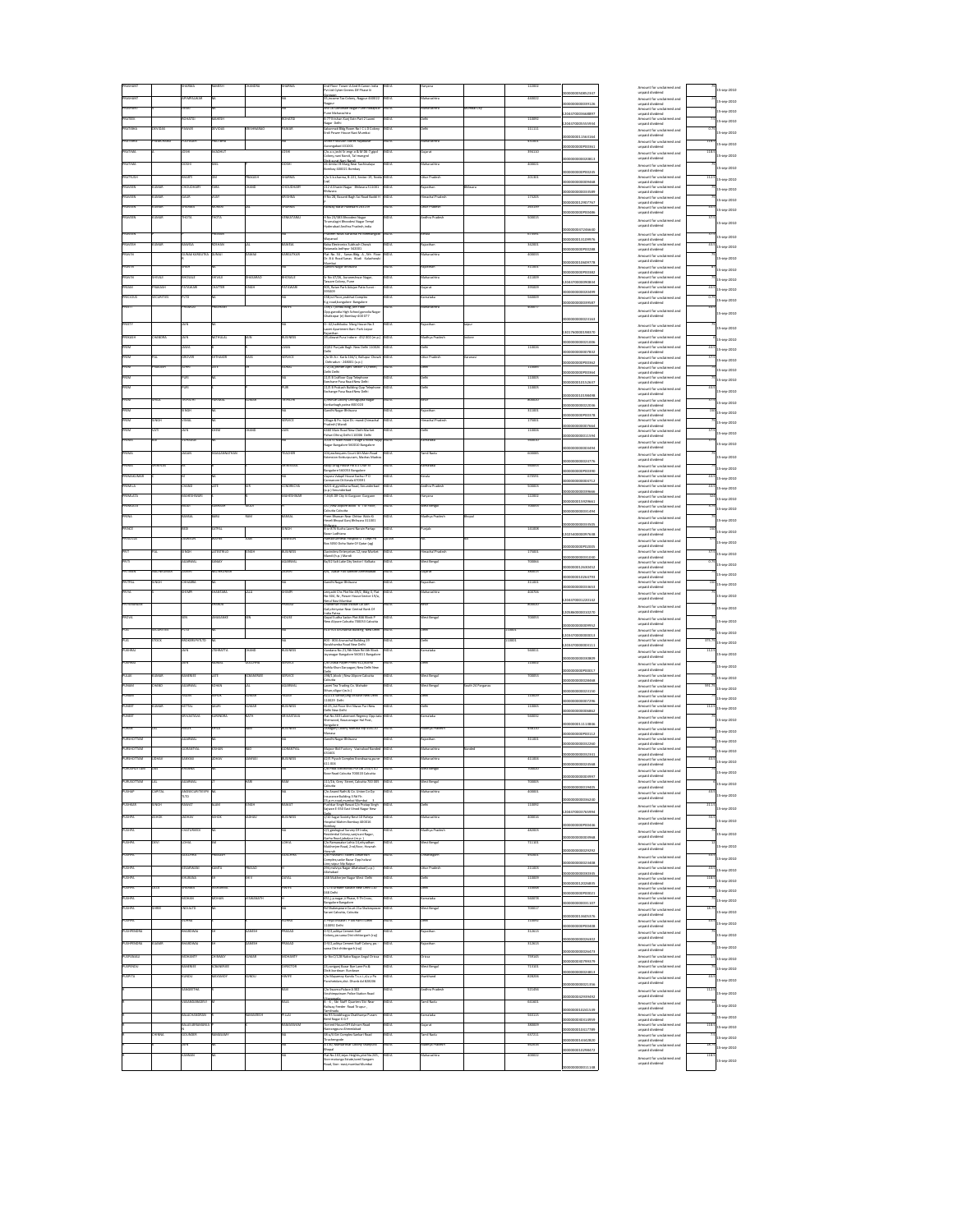|                |         |            |            |      |             | d Floor Tower A And & Canon I<br>t Ltd Cyber Greens Dif Phase III                                                                           |     |           |            |                 | 50852347            | Amount for unclaimed and<br>unpaid dividend                             |                 | 5-sep-2010                                                                                                                                                                                                                                                                                                                                                                                                                                                                                                                                                                                                        |
|----------------|---------|------------|------------|------|-------------|---------------------------------------------------------------------------------------------------------------------------------------------|-----|-----------|------------|-----------------|---------------------|-------------------------------------------------------------------------|-----------------|-------------------------------------------------------------------------------------------------------------------------------------------------------------------------------------------------------------------------------------------------------------------------------------------------------------------------------------------------------------------------------------------------------------------------------------------------------------------------------------------------------------------------------------------------------------------------------------------------------------------|
|                |         |            |            |      |             | ne Tax Colony, Nagpur 44002.                                                                                                                |     |           |            | 440022          | 339126              | Amount for unclaimed and<br>unpaid dividend<br>Amount for unclaimed and |                 | $-2010$                                                                                                                                                                                                                                                                                                                                                                                                                                                                                                                                                                                                           |
|                |         |            |            |      |             | 16 Gondhale Nazar Pur<br>ne Maharashtra                                                                                                     |     |           |            |                 | 204470003668897     | unpaid dividend                                                         |                 | sep-2010                                                                                                                                                                                                                                                                                                                                                                                                                                                                                                                                                                                                          |
|                |         |            |            |      |             | 77 Krishan Kunj Extri Part 2 La<br>gar-Delhi                                                                                                |     |           |            | 110092          | 1204470005555934    | Amount for unclaimed and<br>unpaid dividend                             |                 | 5-sep-2010                                                                                                                                                                                                                                                                                                                                                                                                                                                                                                                                                                                                        |
|                |         |            |            |      |             | sammati Bidg Room No I C L D Col<br>oli Power House Navi Mumbai                                                                             |     |           |            | 111111          |                     | Amount for unclaimed and<br>unpaid dividend                             | $\alpha$        | sep-2010                                                                                                                                                                                                                                                                                                                                                                                                                                                                                                                                                                                                          |
|                |         |            |            |      |             | ree Provision Stores<br>rangabad 431001                                                                                                     |     |           |            | 43100           |                     | Amount for unclaimed and                                                | $^{116}$        | sep-2010                                                                                                                                                                                                                                                                                                                                                                                                                                                                                                                                                                                                          |
|                |         |            |            |      |             | b.a.s. joshi Sr. engr. o & M D6-7,gipc<br>Iony, nani Naroli, Tal-mangrol<br>Itt surat Neci Neroli                                           |     |           |            | 394110          | 0361                | unpaid dividend<br>Amount for unclaimed and                             | Ħ               | -<br>sep-2010                                                                                                                                                                                                                                                                                                                                                                                                                                                                                                                                                                                                     |
|                |         |            |            |      |             | $-105$                                                                                                                                      |     |           |            | 400021          |                     | unpaid dividend<br>Amount for unclaimed and                             |                 |                                                                                                                                                                                                                                                                                                                                                                                                                                                                                                                                                                                                                   |
|                |         |            |            |      |             | mita J B Marg Near S<br>bay 400021 Bombay                                                                                                   |     |           |            |                 | 100245              | unpaid dividend                                                         |                 | 5-sep-2010                                                                                                                                                                                                                                                                                                                                                                                                                                                                                                                                                                                                        |
|                |         |            |            |      |             | 5.b.sharma, B-221, Sector-19, N                                                                                                             |     |           |            | 201101          |                     | Amount for unclaimed and<br>unpaid dividend                             | 112             | iep-2010                                                                                                                                                                                                                                                                                                                                                                                                                                                                                                                                                                                                          |
|                | MA      |            |            |      |             | 12 A Shastri Nagar Bhilwara 311001                                                                                                          | DίA | asthan    |            |                 | ussas               | Amount for unclaimed and<br>unpaid dividend                             |                 | sep-2010                                                                                                                                                                                                                                                                                                                                                                                                                                                                                                                                                                                                          |
|                |         |            |            |      |             | ilwara<br>No 28, Basanti Bagh Sai Road Baddi.                                                                                               | ¥à  |           |            | 173205          | 00000012907767      | Amount for unclaimed and<br>unpaid dividend                             |                 | sep-2010                                                                                                                                                                                                                                                                                                                                                                                                                                                                                                                                                                                                          |
|                |         |            |            |      |             |                                                                                                                                             |     |           |            |                 | 0486                | Amount for unclaimed and<br>unpaid dividend                             |                 | sep-2010                                                                                                                                                                                                                                                                                                                                                                                                                                                                                                                                                                                                          |
|                |         |            |            |      |             | No 23/383 Bhoodevi Nagar<br>sumalagiri Bhoodevi Nagar Templ<br>yderabad Andhra Pradesh,india                                                |     |           |            | 500015          |                     | Amount for unclaimed and                                                | E               |                                                                                                                                                                                                                                                                                                                                                                                                                                                                                                                                                                                                                   |
|                |         |            |            |      |             |                                                                                                                                             |     |           |            |                 |                     | unpaid dividend                                                         |                 | sep-2010                                                                                                                                                                                                                                                                                                                                                                                                                                                                                                                                                                                                          |
|                |         |            |            |      |             | een Nivas Karachal Po Meenangao<br><b>temps</b>                                                                                             |     |           |            | 673591          | 0000013109976       | Amount for unclaimed and<br>unpaid dividend                             | IJ.             | sep-2010                                                                                                                                                                                                                                                                                                                                                                                                                                                                                                                                                                                                          |
|                |         |            |            |      |             | s<br>aba Electronics Subhash Chowk<br>stanada Jodhpur 342001<br>at No. 34 , Sanas Bidg. A, 5th: Flor<br>r. B.A. Road Sanas Wadi - Kalachowl |     |           |            |                 | 1288                | Amount for unclaimed and<br>unpaid dividend                             |                 | sep-2010                                                                                                                                                                                                                                                                                                                                                                                                                                                                                                                                                                                                          |
|                |         |            |            |      |             |                                                                                                                                             |     |           |            | 400033          |                     | Amount for unclaimed and                                                |                 | .<br>sep-2010                                                                                                                                                                                                                                                                                                                                                                                                                                                                                                                                                                                                     |
|                |         |            |            |      |             | rbai<br>- hi Nagar Bhiwara                                                                                                                  |     |           |            | 311001          | 9778                | unpaid dividend<br>Amount for unclaimed and<br>unpaid dividend          |                 | iep-2010                                                                                                                                                                                                                                                                                                                                                                                                                                                                                                                                                                                                          |
|                |         |            |            |      |             |                                                                                                                                             |     |           |            |                 | 00382               | Amount for unclaimed and                                                |                 |                                                                                                                                                                                                                                                                                                                                                                                                                                                                                                                                                                                                                   |
|                |         |            |            |      |             | ure Colony, Pune<br>15, Ratan Park Adajan Patia Surat                                                                                       |     |           |            | 395000          | 0090834             | unpaid dividend<br>Amount for unclaimed and                             | $\overline{41}$ | sep-2010<br>sep-2010                                                                                                                                                                                                                                                                                                                                                                                                                                                                                                                                                                                              |
|                |         |            |            |      |             | <b>BLM Fig</b>                                                                                                                              |     |           |            |                 |                     | unpaid dividend                                                         |                 |                                                                                                                                                                                                                                                                                                                                                                                                                                                                                                                                                                                                                   |
|                |         |            |            |      |             | ore Bar<br>coad b.<br>ildg.,4th                                                                                                             |     |           |            |                 | 39587               | Amount for unclaimed and<br>unpaid dividend                             |                 | S-sep-2010                                                                                                                                                                                                                                                                                                                                                                                                                                                                                                                                                                                                        |
|                |         |            |            |      |             | p.garodia High School,garodi<br>atkopar (e) Bombay-400 077<br>Nag                                                                           |     |           |            |                 |                     | Amount for unclaimed and<br>unpaid dividend                             |                 | 5-sep-2010                                                                                                                                                                                                                                                                                                                                                                                                                                                                                                                                                                                                        |
|                |         |            |            |      |             |                                                                                                                                             |     |           |            |                 | 023163              | Amount for unclaimed and                                                |                 |                                                                                                                                                                                                                                                                                                                                                                                                                                                                                                                                                                                                                   |
|                |         |            |            |      |             | -42,hathibabu Marg House No.3<br>uni Apachnent Bani Park Jaipur                                                                             |     |           |            |                 | 301760<br>000198370 | unpaid dividend                                                         |                 | s.sep.2010                                                                                                                                                                                                                                                                                                                                                                                                                                                                                                                                                                                                        |
|                |         |            |            |      |             | asthan<br>slawat Pura Indore - 45.2 002 (m.)                                                                                                |     |           |            |                 | 00000000021006      | Amount for unclaimed and<br>unpaid dividend                             |                 | $-$ sep $-2010$                                                                                                                                                                                                                                                                                                                                                                                                                                                                                                                                                                                                   |
|                |         |            |            |      |             |                                                                                                                                             |     |           |            |                 | 07832               | Amount for unclaimed and<br>unpaid dividend                             |                 | sep-2010                                                                                                                                                                                                                                                                                                                                                                                                                                                                                                                                                                                                          |
|                |         |            |            |      |             | o Sh.h.r. Karla 104/1, ilallupur Cl<br>Dehradun - 248001 (u.p.)                                                                             |     |           |            |                 | 0362                | Amount for unclaimed and<br>unpaid dividend                             | IJ              | Sarp 2010                                                                                                                                                                                                                                                                                                                                                                                                                                                                                                                                                                                                         |
|                |         |            |            |      |             | .<br>2/16.cr<br><b>STORES</b>                                                                                                               |     |           |            |                 |                     | Amount for unclaimed and<br>unpaid dividend<br>Amount for unclaimed and |                 | S-sep-2010                                                                                                                                                                                                                                                                                                                                                                                                                                                                                                                                                                                                        |
|                |         |            |            |      |             | (SO 1V<br>xx Opp<br>e Pusa I                                                                                                                |     |           |            |                 | 152637              | unpaid dividend                                                         |                 | $-$ sep $-2010$                                                                                                                                                                                                                                                                                                                                                                                                                                                                                                                                                                                                   |
|                |         |            |            |      |             | .1/5 B Prakash Building Opp Tele;<br>achange Pusa Road New Delhi                                                                            | XA  |           |            | 110005          |                     | Amount for unclaimed and                                                | $\overline{41}$ | sep-2010                                                                                                                                                                                                                                                                                                                                                                                                                                                                                                                                                                                                          |
|                |         |            |            |      |             | u Colony Ch                                                                                                                                 |     |           |            |                 | 0198498             | unpaid dividend<br>Amount for unclaimed and                             | B               |                                                                                                                                                                                                                                                                                                                                                                                                                                                                                                                                                                                                                   |
|                |         |            |            |      |             | <b>Karbanhaa</b><br><br>ma                                                                                                                  |     |           |            |                 | 022036              | unpaid dividend<br>Amount for unclaimed and                             |                 | -<br>sep-2010                                                                                                                                                                                                                                                                                                                                                                                                                                                                                                                                                                                                     |
|                |         |            |            |      |             | dhi Nagar Bhilwara                                                                                                                          |     |           |            | 311001          | 3378                | unpaid dividend                                                         | 15              | sep-2010                                                                                                                                                                                                                                                                                                                                                                                                                                                                                                                                                                                                          |
|                | юł      |            |            |      | with        | lage & Po.-bijni Dt.-mandi (himacha<br>sh] Ma<br><b>60 Main Road New Cloth Marke</b>                                                        | DίA | achal Pra |            | 175001          | 7664                | Amount for unclaimed and<br>unpaid dividend                             |                 | sep-2010                                                                                                                                                                                                                                                                                                                                                                                                                                                                                                                                                                                                          |
|                |         |            |            |      |             | hari Dhirai Delhi 110006 Delhi                                                                                                              |     |           |            | 110000          | 0011594             | Amount for unclaimed and<br>unpaid dividend                             | w.              | sep-2010                                                                                                                                                                                                                                                                                                                                                                                                                                                                                                                                                                                                          |
|                |         |            |            |      |             | 116 Iv Main Road II Stage D Block R<br>1gar Bangalore 560010 Bangalore                                                                      |     |           |            |                 | 0003494             | Amount for unclaimed and<br>unpaid dividend                             |                 | 5-sep-2010                                                                                                                                                                                                                                                                                                                                                                                                                                                                                                                                                                                                        |
|                |         |            |            |      |             | M, exchequers Court 4th Main Road<br>sion Kotturpuram, Madras Madra                                                                         |     |           |            | cocost          |                     | Amount for unclaimed and                                                |                 | sep-2010                                                                                                                                                                                                                                                                                                                                                                                                                                                                                                                                                                                                          |
|                |         |            |            |      |             |                                                                                                                                             |     |           |            |                 |                     | unpaid dividend                                                         |                 |                                                                                                                                                                                                                                                                                                                                                                                                                                                                                                                                                                                                                   |
|                |         |            |            |      |             | Drug House Hu<br>~ 500053 Bangak<br>yara Valapil House Eachur P O                                                                           |     |           |            | 67059           |                     | Amount for unclaimed and<br>unpaid dividend<br>Amount for unclaimed and | 41              | sep-2010                                                                                                                                                                                                                                                                                                                                                                                                                                                                                                                                                                                                          |
|                |         |            |            |      | 0(0)        | nancre Dt Kerala 670591                                                                                                                     |     |           |            |                 |                     | unpaid dividend<br>Amount for unclaimed and                             | $\overline{41}$ | 5-sep-2010                                                                                                                                                                                                                                                                                                                                                                                                                                                                                                                                                                                                        |
|                |         |            |            |      |             | .<br>221-d <sub>-A</sub> ymkhana Road, Secunderbad<br>1p.) Secunderbad                                                                      |     |           |            | 500003          |                     | unpaid dividend<br>Amount for unclaimed and                             |                 | Sarp 2010                                                                                                                                                                                                                                                                                                                                                                                                                                                                                                                                                                                                         |
|                |         |            |            |      |             | ts/6 Dif City III Gurgao<br>Gurga                                                                                                           |     |           |            | 12200           | 5929661             | unpaid dividend                                                         | x               | sep-2010                                                                                                                                                                                                                                                                                                                                                                                                                                                                                                                                                                                                          |
| EMLA           |         |            |            |      |             | ",new Allpore Mock "k"   St Floa<br>rutta Calcutta                                                                                          | XA  |           |            | 700053          | 00000000031494      | Amount for unclaimed and<br>unpaid dividend                             | x               | 5-sep-2010                                                                                                                                                                                                                                                                                                                                                                                                                                                                                                                                                                                                        |
|                |         |            |            |      |             | en Bhawan Near Chittor Walo X<br>vel Bhopal Ganj Bhilwara 311001                                                                            |     |           |            |                 |                     | Amount for unclaimed and<br>unpaid dividend                             |                 | sep-2010                                                                                                                                                                                                                                                                                                                                                                                                                                                                                                                                                                                                          |
|                |         |            |            |      |             | heara<br>-876 Kucha L                                                                                                                       |     |           |            |                 | 033505              | Amount for unclaimed and                                                |                 | sep-2010                                                                                                                                                                                                                                                                                                                                                                                                                                                                                                                                                                                                          |
|                |         |            |            |      |             | mad General Hospital O T Dept Po<br>x 3050 Doha State Of Qatar (ag)                                                                         |     |           |            |                 | 097638              | unpaid dividend<br>Amount for unclaimed and                             |                 |                                                                                                                                                                                                                                                                                                                                                                                                                                                                                                                                                                                                                   |
|                |         |            |            |      |             | inders Enterprises 12 new Market                                                                                                            |     |           |            | 175001          |                     | unpaid dividend                                                         | w.              | $-$ sep $-2010$                                                                                                                                                                                                                                                                                                                                                                                                                                                                                                                                                                                                   |
|                |         |            |            |      |             | nd (h.p.) Mand                                                                                                                              |     |           |            |                 | 00031040            | Amount for unclaimed and<br>unpaid dividend                             |                 | sep-2010                                                                                                                                                                                                                                                                                                                                                                                                                                                                                                                                                                                                          |
|                |         |            |            |      |             |                                                                                                                                             |     |           |            | 380019          | 12630452            | Amount for unclaimed and<br>unpaid dividend                             |                 | sep-2010                                                                                                                                                                                                                                                                                                                                                                                                                                                                                                                                                                                                          |
|                |         |            |            |      |             | 4, Askar Flat Satellite A                                                                                                                   |     |           |            |                 |                     | Amount for unclaimed and<br>unpaid dividend                             |                 | Sarp 2010                                                                                                                                                                                                                                                                                                                                                                                                                                                                                                                                                                                                         |
|                |         |            |            |      |             |                                                                                                                                             |     |           |            |                 | 0264793             |                                                                         |                 |                                                                                                                                                                                                                                                                                                                                                                                                                                                                                                                                                                                                                   |
|                |         |            |            |      |             |                                                                                                                                             |     |           |            | 31100           | 033653              |                                                                         |                 |                                                                                                                                                                                                                                                                                                                                                                                                                                                                                                                                                                                                                   |
|                |         |            |            |      |             | yadri Cha Plot No-49/.<br>-304. Nr. Reserv Ma<br>(2, Bidg-3, Flat<br>se Sector-19/a,                                                        |     |           |            |                 |                     | Amount for unclaimed and<br>unpaid dividend<br>Amount for unclaimed and |                 |                                                                                                                                                                                                                                                                                                                                                                                                                                                                                                                                                                                                                   |
|                |         |            |            |      |             | ari Road Madan Lal Jai                                                                                                                      |     |           |            | 800020          | 204470001220142     | unpaid dividend<br>Amount for unclaimed and                             |                 |                                                                                                                                                                                                                                                                                                                                                                                                                                                                                                                                                                                                                   |
|                |         |            |            |      |             | ali,chiriyatar Near Central Bank Of<br>fia Pa                                                                                               |     |           |            |                 |                     | unpaid dividend                                                         |                 |                                                                                                                                                                                                                                                                                                                                                                                                                                                                                                                                                                                                                   |
|                |         |            |            |      |             | ipal Sudha Sadan Plot 846 Block P<br>w Alipure Calcutta 700053 Calcutta                                                                     |     |           |            |                 | 952                 | Amount for unclaimed and<br>unpaid dividend                             |                 |                                                                                                                                                                                                                                                                                                                                                                                                                                                                                                                                                                                                                   |
|                | cuarnes |            |            |      |             | 14-915 Arunachal Building New Delt                                                                                                          | XA  |           |            | CO <sub>1</sub> |                     | Amount for unclaimed and                                                | $\overline{v}$  |                                                                                                                                                                                                                                                                                                                                                                                                                                                                                                                                                                                                                   |
|                |         | KERSPVTLTD |            |      |             | 13 - 804 Arunachal Building 19<br>rakhamba Road New Delhi                                                                                   |     |           |            |                 |                     | unpaid dividend<br>Amount for unclaimed and                             | 375.7           |                                                                                                                                                                                                                                                                                                                                                                                                                                                                                                                                                                                                                   |
|                |         |            |            |      |             |                                                                                                                                             |     |           |            |                 | 203470000003111     | unpaid dividend<br>Amount for unclaimed and                             |                 |                                                                                                                                                                                                                                                                                                                                                                                                                                                                                                                                                                                                                   |
|                |         |            |            |      | with        | ndana No.21,9th Main Rd 4th Bloc<br>unagar Bangalore 560011 Bangalo<br>lo Orwal Paper Prints 922 kucha                                      | XA  |           |            | 110002          |                     | unpaid dividend                                                         |                 |                                                                                                                                                                                                                                                                                                                                                                                                                                                                                                                                                                                                                   |
|                |         |            |            |      |             | hila Khan Daryaganj New Delhi New                                                                                                           |     |           |            |                 |                     | Amount for unclaimed and<br>unpaid dividend                             |                 |                                                                                                                                                                                                                                                                                                                                                                                                                                                                                                                                                                                                                   |
|                |         |            |            |      |             |                                                                                                                                             |     |           |            | 700053          |                     | Amount for unclaimed and<br>unpaid dividend                             |                 |                                                                                                                                                                                                                                                                                                                                                                                                                                                                                                                                                                                                                   |
|                |         |            | HAN        |      | <b>RNJ</b>  | ni Tea Trading Co. Mahab<br>an, sliguri (w.b.)                                                                                              |     | st Beng   | th 24 Parg |                 | 023150              | Amount for unclaimed and<br>unpaid dividend                             | 591.7           |                                                                                                                                                                                                                                                                                                                                                                                                                                                                                                                                                                                                                   |
|                |         |            |            |      |             | 2/210 Safdarjung Enclave New Delhi                                                                                                          |     |           |            | 110029          | 7290                | Amount for unclaimed and<br>unpaid dividend                             |                 |                                                                                                                                                                                                                                                                                                                                                                                                                                                                                                                                                                                                                   |
|                |         |            |            |      |             | 0029 Dehi<br>-25,1st Floor Shri Ni<br>hi New Delh                                                                                           |     |           |            | 11000           | 06862               | Amount for unclaimed and<br>unpaid dividend                             | 112.            |                                                                                                                                                                                                                                                                                                                                                                                                                                                                                                                                                                                                                   |
|                |         |            |            |      |             | t No. 303 Lakemont Regency Opp.to<br>mwood, Basavanagar Hal Post,                                                                           |     |           |            | 560032          |                     | -<br>Amount for unclaimed and                                           |                 |                                                                                                                                                                                                                                                                                                                                                                                                                                                                                                                                                                                                                   |
|                |         |            |            |      | <b>IMES</b> |                                                                                                                                             |     | thia Pr   |            | 458110          |                     | npaid di<br>Amount for unclaimed and                                    | $\overline{22}$ |                                                                                                                                                                                                                                                                                                                                                                                                                                                                                                                                                                                                                   |
|                |         |            |            |      |             | aganj Colony Marasa Mp 458110<br>usa<br>hi Naga                                                                                             |     |           |            | 31100           |                     | unpaid dividend<br>Amount for unclaimed and                             |                 |                                                                                                                                                                                                                                                                                                                                                                                                                                                                                                                                                                                                                   |
|                |         |            |            |      |             |                                                                                                                                             |     |           |            |                 | 032260              | unpaid dividend<br>Amount for unclaimed and                             |                 |                                                                                                                                                                                                                                                                                                                                                                                                                                                                                                                                                                                                                   |
|                |         |            |            |      |             | LO1<br>I/S Piyusi                                                                                                                           |     |           |            | 41100           |                     | Amount for unclaimed and                                                | 41              |                                                                                                                                                                                                                                                                                                                                                                                                                                                                                                                                                                                                                   |
|                |         |            |            |      |             | 11004                                                                                                                                       |     |           |            |                 |                     | unpaid dividend<br>Amount for unclaimed and                             |                 |                                                                                                                                                                                                                                                                                                                                                                                                                                                                                                                                                                                                                   |
|                |         |            |            |      |             | Peak Elec<br># Road Ca                                                                                                                      |     |           |            |                 |                     | unpaid dividend                                                         |                 |                                                                                                                                                                                                                                                                                                                                                                                                                                                                                                                                                                                                                   |
|                |         |            |            |      |             | 11/1b, Grey Street, Calc<br>utta                                                                                                            |     |           |            | 700007          |                     | Amount for unclaimed and<br>unpaid dividend                             |                 |                                                                                                                                                                                                                                                                                                                                                                                                                                                                                                                                                                                                                   |
|                |         | ιTD        |            |      |             | o Anand Rathi & Co<br>rance Building 3 Rd Fir.                                                                                              |     |           |            | 00001           |                     | Amount for unclaimed and<br>unpaid dividend                             | $\overline{a}$  |                                                                                                                                                                                                                                                                                                                                                                                                                                                                                                                                                                                                                   |
|                |         |            |            |      |             |                                                                                                                                             |     |           |            |                 | 00036240            | Amount for unclaimed and                                                |                 |                                                                                                                                                                                                                                                                                                                                                                                                                                                                                                                                                                                                                   |
|                |         |            |            |      |             | La m.road.mumbai Mumbai<br>Jahkar Singh Rawat C/o Pratap Singh<br>Iywan E-350 East Vinod Nagar New<br>10 Sagar Society Nevt 10 Raheja       |     |           |            | 400010          | 204470003765994     | unpaid dividend                                                         | S.              |                                                                                                                                                                                                                                                                                                                                                                                                                                                                                                                                                                                                                   |
|                |         |            |            |      |             | spital Mahim Bombay 400016                                                                                                                  |     |           |            |                 |                     | Amount for unclaimed and<br>unpaid dividend                             |                 |                                                                                                                                                                                                                                                                                                                                                                                                                                                                                                                                                                                                                   |
|                |         |            |            |      |             | 1,geolo<br>Survey O<br>laga                                                                                                                 |     |           |            |                 |                     | Amount for unclaimed and<br>unpaid dividend                             |                 |                                                                                                                                                                                                                                                                                                                                                                                                                                                                                                                                                                                                                   |
|                |         | w          |            |      |             | sidential Colony,sanjivani<br>rha Road Jabalour (m. p. l                                                                                    | XA  | nt Benga  |            | 711101          | 3968                | Amount for unclaimed and                                                |                 |                                                                                                                                                                                                                                                                                                                                                                                                                                                                                                                                                                                                                   |
|                |         |            |            |      |             | o Ramawatar Lohia 14,nityadhan<br><i>s</i> kherjee Road, 2nd,floor, Howrah                                                                  |     |           |            | 49200           | 29292               | unpaid dividend                                                         | $\overline{a}$  |                                                                                                                                                                                                                                                                                                                                                                                                                                                                                                                                                                                                                   |
|                |         |            |            |      |             | wrah<br>: Prashant Traders Amantran<br>gles, sadar Bazar Opp halwal                                                                         |     |           |            |                 | 23408               | Amount for unclaimed and<br>unpaid dividend                             |                 |                                                                                                                                                                                                                                                                                                                                                                                                                                                                                                                                                                                                                   |
|                |         |            |            | ASAD |             | .<br>Talour Mo Raiour<br>,malviya Nagar Allahabad (u.p.)<br>badar                                                                           | XA  |           |            | 211003          |                     | Amount for unclaimed and                                                | 41              |                                                                                                                                                                                                                                                                                                                                                                                                                                                                                                                                                                                                                   |
|                |         |            |            |      |             | 48 Mukherjee Nagar West Delh                                                                                                                |     |           |            | 110009          |                     | unpaid dividend<br>Amount for unclaimed and                             | 118.9           |                                                                                                                                                                                                                                                                                                                                                                                                                                                                                                                                                                                                                   |
|                |         |            |            |      |             | :<br>74 Greater Kallash New Delhi 11<br>8 Delhi                                                                                             |     |           |            | 11004           | 1026835             | unpaid dividend<br>Amount for unclaimed and                             | 17.             |                                                                                                                                                                                                                                                                                                                                                                                                                                                                                                                                                                                                                   |
|                |         | HAN        |            |      |             |                                                                                                                                             | XA  |           |            | 560078          | 00021               | unpaid dividend<br>Amount for unclaimed and                             |                 |                                                                                                                                                                                                                                                                                                                                                                                                                                                                                                                                                                                                                   |
|                |         |            |            |      |             | 151, j.p. nagar, il Phase, 9 Th Cros<br>langalore Bangalore<br>5 Shakespeare Court 21s S                                                    |     |           |            | 700017          | 0000000031107       | unpaid dividend<br>Amount for unclaimed and                             | 387             |                                                                                                                                                                                                                                                                                                                                                                                                                                                                                                                                                                                                                   |
|                |         |            |            |      |             | rani Calcutta, Calcutta                                                                                                                     |     |           |            |                 | 0013605376          | unpaid dividend                                                         |                 |                                                                                                                                                                                                                                                                                                                                                                                                                                                                                                                                                                                                                   |
|                |         |            |            |      |             | riya Enclave I P E<br>1092 Delhi                                                                                                            |     |           |            |                 |                     | Amount for unclaimed and<br>unpaid dividend                             |                 |                                                                                                                                                                                                                                                                                                                                                                                                                                                                                                                                                                                                                   |
|                |         |            |            |      |             | 10092 Delhi<br>9/2,aditya Cem<br>nt Staf<br>lony, po. sawa Dist-chiltorgarh (raj)                                                           |     |           |            | 312613          | 026302              | Amount for unclaimed and<br>unpaid dividend                             |                 |                                                                                                                                                                                                                                                                                                                                                                                                                                                                                                                                                                                                                   |
|                |         |            |            |      |             | 072 with a Camant Staff Cr                                                                                                                  |     |           |            | 312613          |                     | Amount for unclaimed and                                                |                 |                                                                                                                                                                                                                                                                                                                                                                                                                                                                                                                                                                                                                   |
|                |         | жANTI      | <b>NMA</b> |      | <b>HANT</b> | va Dist-chittorgarh (raj)<br>No C/128 Nalco Nagar Angul O                                                                                   | XA  |           |            | 759145          | 16473               | unpaid dividend<br>Amount for unclaimed and                             |                 |                                                                                                                                                                                                                                                                                                                                                                                                                                                                                                                                                                                                                   |
|                |         | eren       | ANDU       |      |             | raniganj Bazar Dye Lane Po.&                                                                                                                |     | nt Benga  |            | 713101          | 0709379             | unpaid dividend                                                         |                 |                                                                                                                                                                                                                                                                                                                                                                                                                                                                                                                                                                                                                   |
|                |         |            |            |      |             |                                                                                                                                             |     |           |            | 828200          | 024813              | Amount for unclaimed and<br>unpaid dividend                             | $\overline{a}$  |                                                                                                                                                                                                                                                                                                                                                                                                                                                                                                                                                                                                                   |
|                |         |            |            |      |             | itt.burdwan Burdwan<br>o Mayamoy Kundu T.s.c.i.,d,v,c F<br>schetdarn.dist. Dhanb Ad 828206                                                  |     |           |            |                 | 21356               | Amount for unclaimed and<br>unpaid dividend                             |                 |                                                                                                                                                                                                                                                                                                                                                                                                                                                                                                                                                                                                                   |
|                |         | GEETHA     |            |      |             | o Swama Palace A 302                                                                                                                        | XA  |           |            | 521456          |                     | Amount for unclaimed and                                                | 112             |                                                                                                                                                                                                                                                                                                                                                                                                                                                                                                                                                                                                                   |
|                |         |            |            |      |             | nam Police Station Road                                                                                                                     |     |           |            | 641601          | 42939492            | unpaid dividend                                                         |                 |                                                                                                                                                                                                                                                                                                                                                                                                                                                                                                                                                                                                                   |
|                |         |            |            |      |             | remenda<br>6. Sbi Staff Quarters Sbi Nea<br>ay Feeder Road Tirupur                                                                          |     |           |            |                 | 00000010241539      | Amount for unclaimed and<br>unpaid dividend                             |                 |                                                                                                                                                                                                                                                                                                                                                                                                                                                                                                                                                                                                                   |
| KHN<br>SPIND   |         |            |            |      |             | i 95 Sowbhagya Chatthanya Puram<br>ml Nagar K G F                                                                                           |     |           |            | 563115          | 00000030314959      | Amount for unclaimed and<br>unpaid dividend                             |                 |                                                                                                                                                                                                                                                                                                                                                                                                                                                                                                                                                                                                                   |
|                |         |            |            |      |             | rent House Off Ashram Roar<br>rangpura Ahmedabad                                                                                            |     |           |            | 380009          | 0010417789          | Amount for unclaimed and<br>unpaid dividend                             | 118             |                                                                                                                                                                                                                                                                                                                                                                                                                                                                                                                                                                                                                   |
|                |         |            |            |      |             | a it Gri Comoley Sank<br>eode                                                                                                               |     |           |            | 637213          |                     | Amount for unclaimed and                                                |                 |                                                                                                                                                                                                                                                                                                                                                                                                                                                                                                                                                                                                                   |
| SHR<br>SPANIAI |         |            |            |      |             | 130, Mansarovar Colony Shahpura                                                                                                             |     | dhya Pra  |            | 462016          | 00000014442820      | unpaid dividend<br>Amount for unclaimed and                             | 18.7            |                                                                                                                                                                                                                                                                                                                                                                                                                                                                                                                                                                                                                   |
|                |         |            |            |      |             | at No.102,tejas Heights,plot No.245<br>m-matunga Estate,tamil Sangam<br>ad, Sion -east,mumbai Mumbai                                        | DίA | harashtra |            | 400022          | 208472              | unpaid dividend<br>Amount for unclaimed and                             | 118             | 5-sep-2010<br>5-sep-2010<br>sep-2010<br>S-sep-2010<br>5-sep-2010<br>sep-2010<br>sep-2010<br>sep-2010<br>S-sep-2010<br>5-sep-2010<br>sep-2010<br>iep-2010<br>iep-2010<br>sep-2010<br>sep-2010<br>5-sep-2010<br>5-sep-2010<br>S-sep-2010<br>5-sep-2010<br>5-sep-2010<br>5-sep-2010<br>$-$ sep $-2010$<br>S-sep-2010<br>S-sep-2010<br>S-sep-2010<br>15-sep-2010<br>5-sep-2010<br>$-$ sep $-2010$<br>5-sep-2010<br>Ssep-2010<br>sep-2010<br>5-sep-2010<br>15-sep-2010<br>5-sep-2010<br>5-sep-2010<br>5-sep-2010<br>5-sep-2010<br>5-sep-2010<br>5-sep-2010<br>S-sep-2010<br>S-sep-2010<br>$-$ sep $-2010$<br>Ssep-2010 |

| mount for und<br>d and<br>npaid dividend                                                   |             | ep-2010         |
|--------------------------------------------------------------------------------------------|-------------|-----------------|
| Amount for und<br>imed and                                                                 |             |                 |
| mpaid dividend<br>Amount for und<br>imed and                                               |             | sep-2010        |
| id divide<br>lend<br>und                                                                   |             | sep-2010<br>ú   |
| .<br>Cu<br>imed and<br>unt for<br>id divid<br>lend                                         |             | 2010            |
| nş<br>t for und<br>i.<br>w<br>å.                                                           | 5           | 2010            |
| d divid<br>n;<br>nd                                                                        |             |                 |
| Amount for und<br>imed and<br>aid diwi<br>ų                                                | š           | 2010            |
| Amount for und<br>d and                                                                    |             | 0.2010          |
| aid divide<br>'n.                                                                          |             |                 |
| .<br>mount for und<br>npaid dividend<br>d and                                              |             | p-2010          |
| t for und<br>i.<br><b>TOUT</b><br>å.<br>ä                                                  |             | $-2010$         |
| d divi<br>nd<br>'n,<br>Amount for und                                                      | š           |                 |
| imed and<br>unpaid dividend                                                                |             | sep-2010        |
| ount for und<br>imed and<br>Les<br>id dividend                                             |             | sep-2010        |
| new<br>ount for<br>said divid<br>t for und<br>ed and                                       |             | 2010            |
| nd<br>np                                                                                   | 5           |                 |
| Amount for und<br>ed and<br>.<br>add<br><b>MAG</b><br>ń                                    |             | p-2010          |
| ı<br>Amount for unclaimed and                                                              |             |                 |
| mpaid dividend                                                                             | ś           | sep-2010        |
| ount for und<br>said dividend<br>da<br>ä                                                   |             | 2010            |
| ij<br><b>Amnuel for und</b><br>d and                                                       |             |                 |
| aid divi<br>ü                                                                              |             | 0-2010          |
| Amount for und<br>imed and<br>aid district<br>nd                                           | D           | sep-2010        |
| imed and<br>άü<br>t for und                                                                |             | p-2010          |
| Amourn for www<br>unpaid dividend<br>Amount for uncl<br>ed and<br>im                       | ś           |                 |
| unpaid dividend                                                                            |             | sep-2010        |
| <b>Amount for uncl</b><br>unpaid dividend<br>ed and                                        | ţ           | sep-2010        |
| Amount for unclaim<br>dand                                                                 |             |                 |
| unpaid dividend                                                                            |             | sep-2010        |
| Amount for unclaim<br>ed and                                                               |             |                 |
| aid divide<br>nd                                                                           |             | 0.2010          |
| Amount for und<br>imed and<br>aid divide<br>нÀ                                             | ī           | sep-2010        |
| ed and                                                                                     |             | 2010            |
| Amount for und<br>Amount for und<br>Amount for und<br>Amount for und<br>d and              | ś           |                 |
| unpaid dividend                                                                            |             | sep-2010        |
| Amoun<br>ount for und<br>wid dividend<br>imed and                                          | š           | sep-2010        |
| <br>for und<br>d ar<br>ä                                                                   | ī.          | sep.2010        |
| d divid<br>nd<br>'np<br><b>Amnunt</b> for unit<br>imed and                                 | 5           |                 |
| id divide<br>ų                                                                             |             | p-2010          |
| Amount for und<br>ed and                                                                   | š           | sep-2010        |
| aid divide<br>نہیں<br>Molend<br>for und<br>h<br>1986<br>1104<br>å.<br>ä                    |             | p-2010          |
| ä<br>nd<br>ń,                                                                              |             |                 |
| Amount for und<br>imed and<br>unpaid dividend                                              | š           | sep-2010        |
| Amount for und<br>imed and<br>aid dividend                                                 |             | sep-2010        |
| Amount for und<br>dand                                                                     |             |                 |
| hmbivib bison                                                                              |             | sep-2010        |
| .<br>Lfr<br>r und<br>d ar<br>ä                                                             |             | 0.2010          |
| id dividend<br>I<br>nş<br>å.<br>ä                                                          | ŧ           |                 |
| .<br>Amount for uncl<br>unpaid dividend                                                    |             | 2010            |
| ant for u<br>d and<br>mo<br>nd<br>unpaid dividend                                          |             | p-2010          |
| Amount for und<br>imed and                                                                 | ś           | sep-2010        |
| npaid dividend<br>'n<br>$\alpha$<br>for und<br>imed and                                    |             | 2010            |
| aid dividend<br>n                                                                          |             |                 |
| <i>Amount for und</i><br>unpaid dividend<br>d and<br>'n                                    |             | ep-2010         |
| t for und<br>Amour<br>å.<br>ä                                                              |             | $-2010$         |
| id diwd<br>nd<br>'np<br>and<br>or und<br>Adr<br>d ar<br>ä                                  |             |                 |
| unt fa<br>id div<br>ij                                                                     |             | p-2010          |
| Amount for und<br>ed and<br>aid divide<br>ü                                                |             | 0.2010          |
| Amount for und<br>imed and                                                                 | š           |                 |
| aid divid<br>۱d                                                                            |             | 0-2010          |
| Amount for und<br>Amount for und<br>Amount for und<br>Amount for und<br>ed and             |             | 2010            |
|                                                                                            |             |                 |
| d and                                                                                      | 3           |                 |
| unpaid dividend<br>Amour<br>ed and                                                         | ż           | sep-2010        |
| aunt for uncl<br>aid dividend                                                              |             | sep-2010        |
| Amount for und<br>ed and                                                                   | ŧ           | sep-2010<br>1Ś  |
| npaid dividend<br>neur<br>d a<br>ä                                                         | 5           |                 |
| t for und<br>id dividend<br>np                                                             |             | 2010            |
| Amount for und<br>imed and                                                                 | 75          |                 |
| unpaid dividend                                                                            |             | ep-2010         |
| n for und<br>mo<br>d and<br>unpaid dividend                                                |             | p-2010          |
| Amount for und<br>imed and                                                                 | ś           | 0-2010          |
| npaid dividend<br>Amount for und<br>ed and                                                 |             |                 |
| npaid dividend                                                                             |             | sep-2010        |
| ü<br>d a<br>ä                                                                              | 75          | p-2010          |
| nount fo<br>Ipaid div<br>ų<br>Amount for und<br>ed and                                     | 75          |                 |
| aid divis<br>nd                                                                            |             | sep-2010        |
| mount for u<br>npaid divide<br>med and<br>nd<br>end                                        |             | p-2010          |
| Amount for und<br>imed and                                                                 | 5           | 5-sep-2010<br>Ĺ |
| unpaid dividend<br>Amount for und<br>imed and                                              | 112<br>3    | sep-2010<br>ú   |
| aid divide<br>'n.<br>ų                                                                     |             |                 |
| Amount for uncl<br>unpaid dividend<br>.<br>Her<br>ed and                                   |             | sep-2010        |
| Amount for uncli<br>imed and                                                               | 225         | 15-sep-2010     |
| hreaid dividend<br>$\alpha$<br>for und<br><b>Imediand</b><br>Á                             |             |                 |
| aid divide<br>١d<br>n                                                                      |             | sep-2010        |
| med and<br><i>Amount for und</i><br>unpaid dividend                                        |             | sep-2010<br>ß   |
| imed and<br>Amount for und                                                                 | 5           | 15-sep-2010     |
| hreaid dividend<br>Amount for und<br>ed and                                                |             |                 |
| id c<br>hr.                                                                                |             | 15-sep-2010     |
| d and<br>e for v<br>nd                                                                     |             | ep-2010         |
| unpaid dividend<br>d and<br>m                                                              |             |                 |
| .<br>mount for unc<br>npaid dividenc<br>np<br>lend                                         |             | p-2010          |
| Amount for unclaimed and                                                                   |             | sep-2010<br>1Ś  |
| npaid dividend<br>e for und                                                                |             |                 |
| d and<br><br>Iddiwd<br>npi<br>lend                                                         |             | p-2010          |
| imed and                                                                                   |             |                 |
| Amount for uncl<br>unpaid dividend                                                         |             | 15-sep-2010     |
| .<br>Amount for unclaim<br>unpaid dividend<br>d ar<br>ä                                    | 12          | ep-2010         |
| ų<br>e for und<br>en our<br>d and<br>im                                                    | š           |                 |
| unpaid dividend                                                                            |             | sep-2010        |
| e for und<br>d and<br>ma<br>m                                                              |             | sep-2010        |
| unpaid dividend<br>Amount for und<br>aimed and                                             | 3<br>i<br>ĭ | 15-sep-2010     |
| npaid dividend<br>'n<br>$\alpha$<br>for und<br><b>Imediand</b>                             | š           |                 |
| aid dividend<br>m                                                                          |             | S-sep-2010      |
| im<br>d and                                                                                |             | S-sep-2010      |
| <i>Amount for und</i><br>unpaid dividend<br>Amour<br>t for und<br>d and                    | 5           |                 |
| d divis<br>n;<br>nd                                                                        |             | S-sep-2010      |
| unt for und<br>id dividend<br>ı.<br>our<br>imed and<br>ij                                  | ī           | sep-2010        |
| imed and                                                                                   |             | 5-sep-2010      |
| Amount for uncl <mark>.</mark><br>unpaid dividend<br>13                                    | š           |                 |
| t for und<br>Amou<br>d and<br>im<br>unpaid dividend                                        |             | 5-sep-2010      |
| med and                                                                                    |             |                 |
| .<br>Amount for und<br>unpaid dividend                                                     | 5           | 5-sep-2010      |
| Amount for unclaimed and<br>unpaid dividend                                                |             | 15-sep-2010     |
| Amount for und<br>im<br>d and                                                              |             | 15-sep-2010     |
| unpaid dividend                                                                            |             |                 |
| Amount for uncl<br>imed and<br>aid divide<br>'n.<br>u                                      |             | 15-sep-2010     |
| t for<br>kmo.<br>inc<br>imed and                                                           | ø           |                 |
| unpaid dividend                                                                            |             | sep-2010<br>ß   |
| .<br><br>t for unclaimed and<br>k                                                          |             | sep-2010        |
| d divide<br>nş<br>nd                                                                       | 18.5        | 15-sep-2010     |
| Amount for unclaimed and<br>unpaid dividend<br><b>Imediand</b>                             | 7.5         |                 |
|                                                                                            |             | 15-sep-2010     |
| Amount for uncl<br>unpaid dividend<br>Amount for uncl<br>d ar<br>ä<br>d divid<br>nş<br>end |             | 15-sep-2010     |
| Amount for unclaimed and<br>unpaid dividend                                                | is,<br>11   | S-sep-2010      |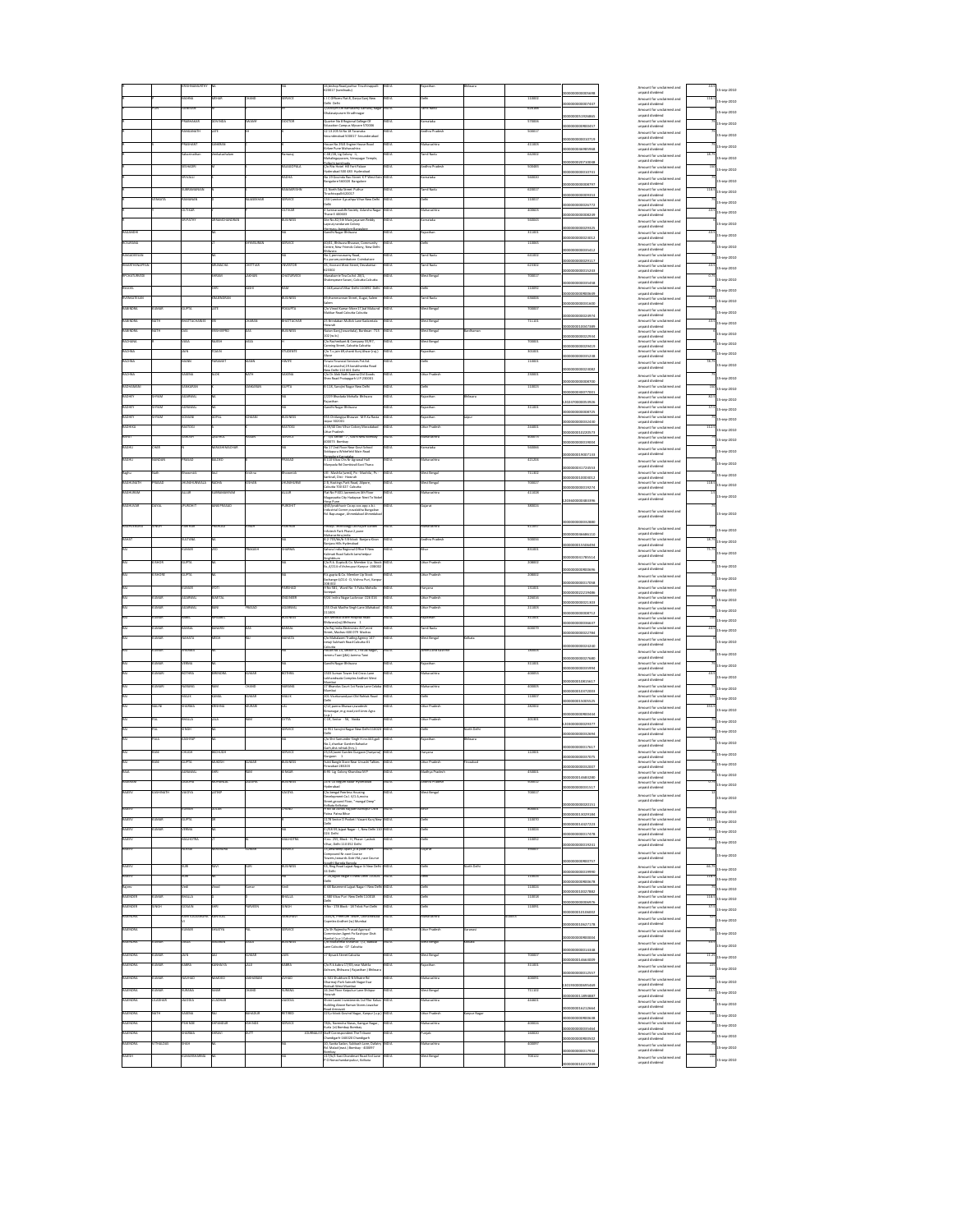|              |            |             |             |                         |               | ,bishop Road,puti<br>0017 (tamilradu)<br>C Officers Flat B. Darya Gani New                   |          |                      |                 |                  | 15698                            | Amount for unclaimed and<br>unpaid dividend                                                 |                 | S-sep-2010                    |
|--------------|------------|-------------|-------------|-------------------------|---------------|----------------------------------------------------------------------------------------------|----------|----------------------|-----------------|------------------|----------------------------------|---------------------------------------------------------------------------------------------|-----------------|-------------------------------|
|              |            | .<br>urcan  |             |                         |               | hi Dehi<br><b>Cita Am Con Daon</b>                                                           |          |                      |                 | 11000<br>626188  | 17443                            | Amount for unclaimed and<br>unpaid dividend                                                 | 118             | irp-2010                      |
|              |            |             |             |                         |               |                                                                                              |          |                      |                 |                  |                                  | Amount for unclaimed and<br>unpaid dividend                                                 |                 | sep-2010                      |
|              |            | unwa        |             |                         | TO:           | arter No II Regional College Of<br>cation Campus Mysore 570006                               |          |                      |                 | 570000           |                                  | Amount for unclaimed and<br>unpaid dividend                                                 |                 | 5-sep-2010                    |
|              |            |             |             |                         |               | 2 13 205 St No 18 Taranaka<br>ecunderabad 500017 Secunderabad                                |          |                      |                 | 500017           |                                  | Amount for unclaimed and<br>unpaid dividend                                                 |                 | 5-sep-2010                    |
|              |            |             |             |                         |               |                                                                                              |          |                      |                 | 4110             |                                  | Amount for unclaimed and<br>unpaid dividend                                                 |                 | $-$ sep $-2010$               |
|              |            |             |             |                         | saraj         | .<br>48 /28, Lig Colony - II,<br>Ashalingspuram, Venayagar Temple,                           | XA       | nil Nac              |                 | 642002           | 1710048                          | Amount for unclaimed and<br>unpaid dividend                                                 | 187             | sep-2010                      |
|              |            |             |             |                         |               | ort Pala<br>erabad 500-483 Hyderabas                                                         |          |                      |                 |                  | 10741                            | Amount for unclaimed and<br>unpaid dividend                                                 |                 | <b>S-sep-2010</b>             |
|              |            | ALLI        |             |                         |               | 19 G<br>rinda Rao Street  K P West E<br>1560020  Bangalore<br>sgalore                        |          |                      |                 | 560020           |                                  | Amount for unclaimed and<br>unpaid dividend                                                 |                 | sep-2010                      |
|              |            |             |             |                         |               | North Eda Street Puthu<br>chirapalli 620017                                                  |          |                      |                 | 62001            | 008797                           | Amount for unclaimed and                                                                    | 118             | S-sep-2010                    |
|              |            |             |             |                         |               | 4-Luector-4, pushpa V                                                                        |          |                      |                 | 110017           | 6772                             | Ambarn na Museume<br>unpaid dividend<br>Amount for unclaimed and<br>unpaid dividend         |                 | <b>S-sep-2010</b>             |
|              |            |             |             |                         |               | ddhi Society. Adarsha Na<br>ne I 400601                                                      |          |                      |                 | 400607           | 08249                            | Amount for unclaimed and<br>unpaid dividend                                                 | $\overline{a}$  | 5-sep-2010                    |
|              |            |             |             |                         |               | te No.82,5th Main, jayaram P<br>yout, nandaram Col                                           |          |                      |                 | 560043           |                                  | Amount for unclaimed and                                                                    |                 | sep-2010                      |
|              |            |             |             |                         |               | mayu banealore Banı<br>idhi Nagar Bhilwara                                                   |          |                      |                 |                  |                                  | unpaid dividend<br>Amount for unclaimed and<br>unpaid dividend                              | 43              | sep-2010                      |
|              |            |             |             |                         | vict          | V41, Bhikara Bhawan, Community<br>entre, New Friends Colony, New Dell                        |          |                      |                 | 11000            |                                  | Amount for unclaimed and                                                                    |                 | <b>S-sep-2010</b>             |
|              |            |             |             |                         |               |                                                                                              |          |                      |                 | 641002           | 85412                            | unpaid dividend<br>-<br>Amount for unclaimed and                                            |                 | S-sep-2010                    |
|              |            |             |             |                         |               | na Co                                                                                        |          |                      |                 | 62               | 029117                           | unpaid dividend<br>Amount for unclaimed and                                                 | ¢               | $-$ sep $-2010$               |
|              |            |             |             |                         | <b>TURVED</b> | nabarrie Tea Co.hd. 28/1,                                                                    | XA       | nt Benga             |                 | 700017           | 15243                            | unpaid dividend<br>Amount for unclaimed and                                                 | 0.7             |                               |
|              |            |             |             |                         |               | kespeare Sarani, Ca<br>68.anand Vihar Dehl-110092 De                                         |          |                      |                 | 1100%            | 035458                           | unpaid dividend<br>Amount for unclaimed and                                                 |                 | sep-2010                      |
|              |            |             |             |                         |               | an Street, Gugai, Salem                                                                      |          |                      |                 | 636000           | 10641                            | unpaid dividend<br>Amount for unclaimed and                                                 | 43.             | S-sep-2010                    |
|              |            |             | σt          |                         | <b>GUPTA</b>  | Jo Vinod Kumar More 17, bal Mukun                                                            | DίA      | nt Geoga             |                 | 700007           |                                  | unpaid dividend<br>Amount for unclaimed and                                                 |                 | sep-2010                      |
|              |            |             |             |                         |               | skiar Road Calcutta Calcutta                                                                 |          |                      |                 |                  | 14974                            | unpaid dividend<br>Amount for unclaimed and                                                 |                 | $-$ sep $-2010$               |
|              |            |             |             |                         |               |                                                                                              |          | st Beng              |                 | 71110            | 47389                            | unpaid dividend                                                                             | $\overline{a}$  | <b>15-sep-2010</b>            |
|              |            |             |             |                         |               | ın Ganj,(İswaritala), Burdwan -717<br>2(w.h)<br>o Rashmikant & Company 55/97,                | XA<br>XA | st Benga<br>st Benga |                 | 700001           | 022934                           | Amount for unclaimed and<br>unpaid dividend<br>Amount for unclaimed and                     |                 | 5-sep-2010                    |
|              |            |             |             |                         |               | nning Street, Calcutta Calcutta<br>o T.c. jain 69, shanti Kunj Alwar (raj. )                 | χz       |                      |                 | 301001           | 29419                            | unpaid dividend<br>Amount for unclaimed and                                                 |                 | S-sep-2010                    |
|              |            |             |             |                         |               |                                                                                              |          |                      |                 | 110001           | 0035238                          | unpaid dividend<br>Amount for unclaimed and                                                 | 78.7            | -<br>sep-2010                 |
|              |            |             |             |                         |               | nwiz Financial Services Pvt Itd.<br>12, arunachal, 19 Joanakhamba Road                       |          |                      |                 |                  |                                  | unpaid divide                                                                               |                 | sep-2010                      |
|              |            |             |             |                         |               | : Dr Alok Nath Saxena Old Goods<br>10 Road Pratapgarh U P 230001                             |          |                      |                 | 230003           |                                  | Amount for unclaimed and<br>unpaid dividend                                                 |                 | 5-sep-2010                    |
|              |            |             |             |                         |               |                                                                                              |          |                      |                 |                  | 700                              | Amount for unclaimed and<br>unpaid dividend                                                 |                 | sep.2010                      |
|              |            | <b>ARWA</b> |             |                         |               | (229 Bhadada Mohalla Bhilwara<br>mutto                                                       | XA       | asthar               |                 |                  |                                  | Amount for unclaimed and<br>unpaid dividend<br>Amount for unclaimed and                     | 12.5            | 5-sep-2010                    |
|              |            |             |             |                         |               | ndhi Nagar Bhilwan                                                                           |          |                      |                 | 311001           | 08725                            | unpaid dividend                                                                             | $\overline{17}$ | sep-2010                      |
|              |            |             |             |                         |               | i5 Chitlergiya lihaw<br>ipur 302001<br>39/40 Dev Vihar Co                                    |          |                      |                 |                  | 032430                           | Amount for unclaimed and<br>unpaid dividend                                                 |                 | sep-2010                      |
|              |            |             |             |                         |               | tar Pradesh                                                                                  |          |                      |                 | 244001           | 20573                            | Amount for unclaimed and<br><b>hospitally</b> history                                       | 112             | S-sep-2010                    |
|              |            |             |             |                         |               | - 5/4 Sector - 7<br>10073  Bombay                                                            |          |                      |                 | <b>MOZ</b>       |                                  | Amount for unclaimed and<br>unpaid dividend                                                 |                 | Sarp 2010                     |
|              |            |             |             |                         |               | dapura wrusew<br>veslore Kernatsk                                                            |          |                      |                 |                  | 007133                           | Amount for unclaimed and<br>unpaid dividend                                                 |                 | sep-2010                      |
|              |            |             |             |                         |               | 110 Vikas Chs Nr Agrawal Hall<br>tenpada Rd Dombivali East Thana                             | XA       |                      |                 | 421204           |                                  | Amount for unclaimed and                                                                    |                 | sep-2010                      |
|              |            |             |             |                         |               | I - Mashila (west), Po - Mashila ; P<br><b>Azall</b> , Dist - Hoy                            |          |                      |                 | 711102           | 31724553                         | unpaid dividend<br>Amount for inclaimed and                                                 |                 | sep-2010                      |
|              |            |             |             |                         |               | i, Hastings Park Road, Alipore,<br>Icutta 700 027  Calcutta                                  |          | st Genga             |                 | 700027           | 00000010003012                   | unpaid dividend<br>Amount for unclaimed and                                                 | 118             | 5-sep-2010                    |
|              |            |             |             |                         |               | at No P 401 Jasmenium 4th Fi<br>sgarpatta City Hadapsar Next To No                           |          |                      |                 | 411028           | 000000000019274                  | unpaid dividend<br>Amount for unclaimed and                                                 |                 | sep.2010                      |
|              |            |             |             |                         |               | eu ruse<br>45/prabhuvir Co.op.soc.opp.s.b.i.<br>tustrial Corner neuslekhe Bunealo            |          |                      |                 |                  |                                  | unpaid dividend                                                                             |                 |                               |
|              |            |             |             |                         |               | i dan<br>sagar, Ahmedabad Ah                                                                 |          |                      |                 |                  |                                  | Amount for unclaimed and<br>unpaid dividend                                                 |                 | 5-sep-2010                    |
|              |            |             |             |                         |               |                                                                                              |          |                      |                 |                  | 0032880                          | Amount for unclaimed and                                                                    |                 |                               |
|              |            |             |             |                         |               | isys Technology Ltd<br>itech Park Phase 2,<br>rashtra india<br>103/6k/b-5 B-block' Banjara I |          |                      |                 |                  | 000000046885110                  | unpaid dividend                                                                             |                 | S-sep-2010                    |
|              |            |             |             |                         |               | (ara Hills Hyderabad<br>ra India Regional Office 9 Ne                                        |          |                      |                 | 500034<br>831001 | 015506494                        | Amount for unclaimed and<br>unpaid dividend                                                 | 187<br>75.      | sep-2010                      |
|              |            |             |             |                         |               | mati Road Sakchi Jamshedoun                                                                  |          |                      |                 |                  | 041785514                        | Amount for unclaimed and<br>unpaid dividend                                                 |                 | 5-sep-2010                    |
|              |            |             |             |                         |               | is R.k. Gupta & Co. Member U.p. Stoc<br>: ,4/214-d Vishnupuri Kanpur -20800                  | XA       |                      |                 | 208002           |                                  | Amount for unclaimed and<br>unpaid dividend                                                 |                 | S-sep-2010                    |
|              |            |             |             |                         |               | gupta & Co. Me<br>ber Up St<br>e 4/214 - D. Vishnu Puri, Kan                                 |          |                      |                 | 208002           |                                  | Amount for unclaimed and                                                                    |                 | 5-sep-2010                    |
|              |            |             |             |                         |               | 00000<br>No 581, Ward No- 5 Falsa Mohalla                                                    |          | yana                 |                 | 131001           | I0017058                         | unpaid dividend<br>Amount for unclaimed and                                                 |                 | sep-2010                      |
|              | MAR        | uwa         | <b>MITA</b> |                         | into          | 2/24 Indira Nagar Lucknow -226 016                                                           | DίA      | ar Prades            |                 | 226016           | 19486                            | unpaid dividend<br>Amount for unclaimed and                                                 |                 | Sarp 2010                     |
|              |            |             |             |                         |               | 5 Chak Madho Singh Lane Allahabi<br>1001                                                     |          |                      |                 | 211003           | 021303                           | unpaid dividend<br>Amount for unclaimed and<br>unpaid dividend                              |                 | $-$ sep $-2010$               |
|              |            |             |             |                         |               | Medical Store Hospita<br>wara(raj) Bhilwara - 1                                              |          |                      |                 |                  | 0008712                          | Amount for unclaimed and                                                                    |                 | sep-2010                      |
|              |            |             |             |                         |               | o Raj India Electronics 427,mint<br>vet, Madras-600 079 Madras                               | XA       | nil Nac              |                 | 600079           | 036637<br>0022784                | unpaid dividend<br>Amount for unclaimed and                                                 | $\overline{41}$ | S-sep-2010                    |
|              |            |             |             |                         |               | : Mahalaxeni Trading Agency 14:<br>Iaji Subhash Road Calcutta-01                             |          |                      |                 |                  |                                  | unpaid dividend<br>Amount for unclaimed and                                                 |                 | 5-sep-2010                    |
|              |            |             |             |                         |               | use No. 14, Sector-4, Trikula Nagar,<br>nmu Tawi (j&k) Jammu Tawi                            |          |                      |                 | 180004           | 00024240                         | unpaid dividend<br>Amount for unclaimed and<br>unpaid dividend                              | 15              |                               |
|              |            | w.          |             |                         |               | dhi Nazar Bhilwar.                                                                           |          |                      |                 | 311001           |                                  | Amount for unclaimed and                                                                    |                 | -<br>sep-2010                 |
|              |            |             |             |                         |               |                                                                                              |          |                      |                 |                  | 035994                           | unpaid dividend<br>Amount for unclaimed and                                                 | $\overline{a}$  | S-sep-2010                    |
|              |            |             |             |                         |               | .<br>13 Suman Tower Jrd Cross Lane<br>thandwala Complex Andheri West<br>unbal                |          |                      |                 |                  | 0815617                          | unpaid dividend                                                                             |                 | 5-sep-2010                    |
|              |            | MNG         |             |                         |               | ndus Court 1st Pasta Lane Colab<br>7 liha<br>hadm                                            | DίA      | harash               |                 | 400005           |                                  | Amount for unclaimed and<br>unpaid dividend<br>Amount for unclaimed and                     |                 | 5-sep-2010                    |
|              |            |             |             |                         |               | 11 Musicanandouri Old Bohtsk Boad                                                            |          |                      |                 | 110007           | 00000015005525                   | unpaid dividend                                                                             | $\overline{17}$ | iep-2010                      |
|              |            |             |             |                         |               |                                                                                              |          |                      |                 |                  | 0444                             | Amount for unclaimed and<br>unpaid dividend                                                 |                 | sep-2010                      |
|              |            | <b>ALLA</b> |             |                         |               | 19, Sector - SG, Noida                                                                       | XA       | ar Prad              |                 | 201101           | 20300<br>0029377                 | Amount for unclaimed and<br>unpaid dividend                                                 |                 | irp-2010                      |
|              |            |             |             |                         |               | 951 Sarolini Nazar New Delhi 1100                                                            |          |                      |                 |                  | 000000000032694                  | Amount for unclaimed and<br>unpaid dividend                                                 |                 | sep-2010                      |
|              |            |             |             |                         |               | : Shri Samunder Singh H.no.<br>1,shankar Garden Bahadur                                      |          |                      |                 |                  | 000000000017617                  | Amount for unclaimed and<br>unpaid dividend                                                 |                 | S-sep-2010                    |
|              |            |             |             |                         |               | Fraco It                                                                                     |          |                      |                 |                  |                                  | Amount for unclaimed and<br>unpaid dividend                                                 |                 |                               |
|              |            |             |             |                         |               | .<br>Iti Baratle Store Near Urvashi Talki<br>EDSERS bedans                                   |          |                      |                 |                  | 0000000032007                    | oripaid dividend<br>Amount for unclaimed and<br>unpaid dividend<br>Amount for unclaimed and |                 | sep-2010                      |
|              |            |             |             |                         |               | 35 Lig Colony Khandwa M                                                                      |          |                      |                 | 450001           | 000000014683280                  | unpaid dividend                                                                             |                 | 5-sep-2010                    |
|              |            |             |             |                         |               | 4-10 Begum Bazar Hyderabao                                                                   |          |                      |                 | 500012           | 0000031517                       | Amount for unclaimed and<br>unpaid dividend                                                 | $\alpha$        | S-sep-2010                    |
|              |            |             |             |                         |               | <b>Jonnes</b> Pe<br>$-2616/14 =$<br>rico                                                     |          |                      |                 | mont             |                                  | Amount for unclaimed and                                                                    |                 | 5-sep-2010                    |
|              |            |             |             |                         |               | et ground Floor, "mangal Deep<br>ikata Kolkataa<br>No 48 Ashok Rajpath B<br>Iza Patra Bihar  |          |                      |                 |                  | 00000000020151                   | unpaid dividend<br>Amount for unclaimed and                                                 |                 |                               |
| UED          |            |             |             |                         |               | 78 Sector D Pocket I Vasant Kunj N                                                           | XA       |                      |                 | 110070           | 000013029184                     | unpaid dividend<br>Amount for unclaimed and                                                 | 112             | sep-2010                      |
|              |            |             |             |                         |               | /SB-59, laipat Nagar - 1,                                                                    |          |                      |                 | 110024           | 014427223                        | unpaid dividend                                                                             | 27              | 5-sep-2010                    |
|              |            |             |             |                         |               | s<br>24 Delh<br>no. 255, Block - H, I<br>har, Delhi 110 052 I                                |          |                      |                 |                  | 0017478                          | Amount for unclaimed and<br>unpaid dividend<br>Amount for unclaimed and                     | 43              | 5-sep-2010<br>$-$ sep $-2010$ |
| urry         |            |             |             |                         | with          | L'A,amardeep Apatt., p.b. patel Park<br>Compound Nr. race Course                             | DίA      | qarat                |                 | 390007           | 319241                           | unpaid dividend<br>Amount for unclaimed and                                                 |                 |                               |
|              |            |             |             |                         |               | ers, towards Gotri Rd., race Cours                                                           |          |                      |                 |                  | 00757                            | unpaid dividend                                                                             |                 | 5-sep-2010                    |
|              |            |             |             |                         |               | arushi Baroda Banuda<br>53, Ring Road Lajpat Nagar III New D<br>14 Delhi                     |          |                      |                 |                  |                                  | Amount for unclaimed and                                                                    | 66.7            | S-sep-2010                    |
|              |            |             |             |                         |               | 26,Jajpat Nagar III New                                                                      |          |                      |                 |                  |                                  | Amount for uncleaned and<br>Amount for uncleaned and<br>unpaid dividend                     | $^{\circ}$      | S-sep-2010                    |
|              |            |             |             |                         |               | 68 Basement Lagrat Nagar 1 New Dy                                                            |          |                      |                 | 110024           | 7882                             | Amount for unclaimed and<br>unpaid dividend<br>Amount for unclaimed and                     |                 | 15-sep-2010                   |
| <b>UTMOE</b> | <b>MAN</b> | <b>ALLA</b> |             |                         | ША            | 380 Vikas Puri New Delhi 110018                                                              | v.       |                      |                 | 110018           |                                  | unpaid dividend<br>Amount for unclaimed and                                                 | 118.5           | 5-sep-2010                    |
|              |            |             |             |                         |               | No - 178 Block - 18 Trilok Puri Del                                                          |          |                      |                 | 110091           | 6002                             | unpaid dividend                                                                             | 17.             | $-$ sep $-2010$               |
| UENDR        |            |             |             |                         |               | 05/6, Premium Tower, Lokh<br>pmlex Andheri (w) Mumbai                                        | XA       |                      |                 |                  | 627178                           | Amount for unclaimed and<br>unpaid dividend                                                 | -52             | 5-sep-2010                    |
| <b>IFM?</b>  |            |             |             |                         | vice          | ls Sh Rajendra Prasad Agarwal<br>ommission Agent Po Kashipur Distt<br>eritel (u.e.) Celcutte |          | r Dras               |                 |                  |                                  | Amount for unclaimed and                                                                    | $\overline{15}$ | 15-sep-2010                   |
|              |            |             |             |                         | <b>INESS</b>  | o Multanmal Kishanlal 7/2, Babulal<br>1e Calcutta - 07 Calcutta                              | XA       | st Bengal            |                 |                  |                                  | unpaid dividend<br>Amount for unclaimed and                                                 | 43.5            |                               |
|              |            |             |             |                         |               | <b>Dysack Street Calcutta</b>                                                                |          | st Gener             |                 | 700007           | 84441000000000                   | unpaid dividend<br>Amount for unclaimed and                                                 | 11.2            | 5-sep-2010                    |
|              |            |             |             |                         |               |                                                                                              |          |                      |                 | 31100            | 1466300                          | unpaid dividend                                                                             | $\overline{z}$  | 5-sep-2010                    |
|              |            |             |             |                         |               | .<br>5/6 R.k.kabra 17/03,near Mahila<br>Ashram, Bhilwara ( Rajasthan ) Bhi                   |          |                      |                 |                  | 0012557                          | Amount for unclaimed and<br>unpaid dividend                                                 |                 | 5-sep-2010                    |
|              |            |             |             |                         |               | 501 Shubham D N Mhatre Rd<br>rmaji Park Sainath Nagar Esar                                   |          |                      |                 | 400091           | 301930000695469                  | Amount for unclaimed and<br>unpaid dividend                                                 |                 | 5-sep-2010                    |
|              |            |             |             | $\overline{\mathbf{r}}$ |               | rivali West Mumbai<br>2nd Floor Kolpukur Lane Shibp<br>erah                                  |          |                      |                 | 711102           | 000000011894887                  | Amount for unclaimed and<br>unpaid dividend                                                 | 42.5            | 5-sep-2010                    |
|              |            |             |             |                         |               |                                                                                              |          |                      |                 |                  |                                  | Amount for unclaimed and                                                                    |                 | 15-sep-2010                   |
|              |            |             |             |                         |               | ad Armavati<br>3,c-block Govind Nagar, Kanpur (u.p                                           |          | ar Prade             | <b>IDEF Nat</b> |                  | 000000016212664                  | unpaid dividend<br>Amount for unclaimed and                                                 |                 | 5-sep-2010                    |
|              |            |             |             |                         | nr            | .<br>Vb. Narendra Niwas, Kamzar Nazar<br>rla (e) Bombay Bomb                                 |          |                      |                 | 400024           | 00638                            | unpaid dividend<br>Amount for unclaimed and                                                 |                 | S-sep-2010                    |
|              |            |             |             |                         |               | ff Correspondent The Tribune<br>andigarh-160020 Chandigarh                                   |          | (ab                  |                 | 160020           | 00000000035464<br>00000000000502 | unpaid dividend<br>Amount for unclaimed and<br>unpaid dividend                              |                 | 5-sep-2010                    |
|              |            |             |             |                         |               | ), Savita Sadan, Subbash Lane, Dafi<br>Rd. Malad (east.) Bombay - 400097                     |          |                      |                 | 400097           |                                  | Amount for unclaimed and                                                                    |                 | Ssep-2010                     |
|              |            |             |             |                         |               | mbav<br>7/b/1 East Chandmari Road Jrd L<br>3 Norschandanpukur, Kokata                        |          |                      |                 | 00122            | 7932                             | unpaid dividend<br>Amount for unclaimed and                                                 |                 |                               |
|              |            |             |             |                         |               |                                                                                              |          |                      |                 |                  |                                  | unpaid dividend                                                                             |                 | 5-sep-2010                    |

| ount for unclaimed a<br>vid dividend<br>mour                                      |                              | sep-2010<br>īś |
|-----------------------------------------------------------------------------------|------------------------------|----------------|
| Amount for und<br>.<br>Imad and                                                   | 118                          |                |
| aid dividend                                                                      |                              | sep-2010       |
| Amount for unclaimed and<br>breakd dividend                                       |                              | sep-2010       |
| Amount for und<br>d and                                                           |                              |                |
| <b>Innability Pricess</b>                                                         |                              | sep-2010       |
| Amount for und<br>d and<br>unpaid dividend                                        |                              | sep-2010       |
| .<br>Amo<br>nt for und<br>d and                                                   |                              | p-2010         |
| unpaid dividend                                                                   | 11                           |                |
| unt for und<br>id dividend<br>ù<br>.<br><br>ima<br>d ar<br>ä<br>nş                |                              | p-2010         |
| t for und<br>Amour<br>å.                                                          | ī                            | p-2010         |
| d divis<br>nş<br>nd<br>Amount for und<br>.<br>Imad and                            | 3                            |                |
| aid divi<br>ų                                                                     |                              | p-2010         |
| <b>Amnuel for und</b><br>imed and                                                 | š                            | sep-2010       |
| aid dividend<br>ount for und<br>unpais<br>Amou<br>ă.<br>ä                         |                              |                |
| äd<br>nd<br>'np                                                                   |                              | sep-2010       |
| Amount for und<br>imed and<br>unpaid dividend                                     |                              | sep-2010<br>1Ś |
| mount for und<br>d and                                                            |                              | p-2010         |
| unpaid dividend<br>d and                                                          |                              |                |
| .<br>mount for und<br>npaid dividend<br>np                                        |                              | p-2010         |
| Amount for unclu<br>unpaid dividend<br>d ar<br>ä                                  |                              | p-2010         |
| .<br>Amount for uncl<br>unpaid dividend<br>ă.<br>ä                                | ŧ                            | p-2010         |
| Ama<br>unt for und<br>imed and                                                    |                              |                |
| unpaid dividend                                                                   |                              | p-2010         |
| un unsernu<br>unt for uncl<br>id dividend<br>ù<br>j.<br>.<br>Imari ar<br>ä        | ċ                            | ep-2010        |
| nş<br>t for undi<br>Amour<br>d ar<br>ä                                            | ī                            |                |
| emtern ve<br>unpaid dividend<br>Amount for uncl                                   |                              | ep-2010        |
| im<br>d and<br>unpaid dividend                                                    |                              | p-2010         |
| mount for und<br>npaid dividend<br>d and<br>im                                    |                              | ep-2010        |
| ă.<br>Amour<br>ä                                                                  |                              |                |
| t for und<br>dd<br>nş<br>nd                                                       |                              | sep-2010       |
| Amount for unclaimed and<br>unpaid dividend                                       | c                            | 15-sep-2010    |
| Amount for und<br>bns bemis                                                       |                              | sep-2010<br>ò, |
| aid dividend<br>aimed and<br>$\alpha$                                             |                              |                |
| u uwat<br>unt for u<br>id divide<br>und<br>nş<br>md                               |                              | sep-2010       |
| .<br>Amount for uncl<br>unpaid dividend<br>d a                                    | 78.75                        | $-2010$        |
|                                                                                   |                              |                |
| k<br>r und<br>d and<br>unpaid dividend                                            |                              | 5-sep-2010     |
| nt for und<br>mo<br>d and<br>im                                                   |                              | sep-2010<br>Ľ, |
| unpaid dividend<br>Amount for und<br>aimed and                                    |                              |                |
| npaid dividend                                                                    |                              | īś<br>sep-2010 |
| 'n<br>$\alpha$<br>t for<br>und<br><b>Imediand</b><br>aid dividend<br>nş           |                              | p-2010         |
| imed and<br>Amount for uncl<br>unpaid dividend                                    |                              | ep-2010        |
| Amount for unclaimed and                                                          | 5                            |                |
| unpaid dividend<br>.<br>An<br>ios<br>fer und<br>bns bemis                         | ī.                           | sep-2010       |
| id divide<br>.<br>ad                                                              |                              | sep-2010       |
| <b>Amnuel for und</b><br>imed and                                                 |                              | sep-2010       |
| aid dividend                                                                      |                              |                |
| mount for und<br>npaid dividend<br>imed and                                       |                              | ep-2010        |
| Amount for uncla<br>imed and                                                      |                              | p-2010         |
| unpaid dividend<br>Amount for uncl<br>unpaid dividend<br>ime<br>d and             |                              |                |
|                                                                                   | 118.5                        | sep-2010<br>ß  |
| t fa<br>r und<br>mo<br>d and                                                      |                              | p-2010         |
| unpaid dividend                                                                   |                              |                |
| Amount for unclaimed and                                                          |                              | ep-2010<br>1Ś  |
| unpaid dividend                                                                   |                              |                |
| mount for unclaims<br>d and                                                       |                              | sep-2010       |
| ano مهر<br>unpaid dividend                                                        |                              |                |
| Amount for unclaimed and<br>unpaid dividend                                       | $\overline{\mathbf{1}}$<br>š | irp-2010       |
| Amount for und<br>imed and                                                        | ŧ                            | sep-2010       |
| unpaid dividend                                                                   | 5                            |                |
| t for und<br><b>Longest</b><br>d a<br>d<br>id dividend<br>np                      |                              | p-2010         |
| Amount for unclaimed and                                                          |                              |                |
| unpaid dividend                                                                   |                              | sep-2010       |
| nt fo<br>r und<br>mo<br>d and<br>unpaid dividend                                  | 75                           | p-2010         |
| Amount for und<br><b>Imediand</b>                                                 | ю                            | 0-2010         |
| aid dividend<br>imed and                                                          |                              |                |
| ount for<br>Nid divis<br>en<br>Nj                                                 |                              | 2010           |
| d and<br>Amount for und<br>im<br>unpaid dividend                                  |                              | sep-2010       |
| aimed and<br>Amount for und<br>breakd dividend                                    | ś                            | sep-2010       |
| Amount for und<br>imed and                                                        | ī                            |                |
| mpaid dividend                                                                    |                              | 15-sep-2010    |
| nount for undi<br>spaid dividend<br>å.                                            | u<br>¢                       | $-2010$        |
| Amount for und<br>imed and                                                        |                              |                |
| aid divi<br>'n.<br>nş                                                             |                              | sep-2010       |
| Amount for uncl <mark>i</mark><br>unpaid dividend<br>imed and                     |                              | sep-2010       |
| Amount for unclaimed and                                                          |                              |                |
| <b>Innability Pricess</b>                                                         |                              | sep-2010<br>1Ś |
| 'n<br>$\alpha$<br>t for<br>und<br>bns bemis<br>aid dividend<br>m                  |                              | p-2010         |
| Amount for unclaimed and                                                          |                              | sep-2010       |
| .<br>Iddinis<br>'n.                                                               |                              |                |
| Amount for unclaimed and<br>aid dividend                                          |                              | 5-sep-2010     |
| unclaimed an<br>Iend<br>ount for<br>said divid<br>ä                               |                              | p.2010         |
| ij<br>Amount for unclaimed and                                                    |                              |                |
| .<br>add<br>ü<br>ü                                                                |                              | 5-sep-2010     |
| Amount for invitaimed and<br>aid dividend                                         |                              | 15-sep-2010    |
| aimed and                                                                         |                              | 15-sep-2010    |
| Amount for uncl<br>unpaid dividend<br>Amount for uncl<br>aimed and                |                              |                |
| noaid dividend<br>aimed and<br>h<br>iout                                          | 0.75                         |                |
| aunt for uncl<br>aid dividend                                                     |                              | 15-sep-2010    |
| Amour<br>for unclaimed and                                                        |                              | 5-sep-2010     |
| unpaid dividend                                                                   |                              |                |
| t for und<br>im<br>d and<br>mo                                                    |                              | sep-2010<br>١Ś |
| unpaid dividend<br>anywu unnamu<br>Amount for unclaimed and                       | 112.5                        |                |
| <b>Innability Pricess</b><br>in.<br>d and<br>ù                                    | ś                            | 15-sep-2010    |
| for und<br>Ixidend<br>pe.<br>Iount<br>naid d                                      |                              | 15-sep-2010    |
| e fo<br>imed and<br>mo<br>r und                                                   |                              | p-2010<br>LS   |
| unpaid dividend<br>t for undi<br><b>Longest</b><br>ie<br>d ar<br>d                |                              |                |
| id dividend<br>npi                                                                |                              | ıs<br>sep.2010 |
| Amount for unclaimed and                                                          | 75                           | 15-sep-2010    |
| aid dividend<br>nş<br>med and                                                     |                              |                |
| unpied awawru<br>Amount for uncl<br>unpaid dividend                               |                              | 15-sep-2010    |
| Amount for unclaimed and<br>brebivib bien                                         | 5                            | 5-sep-2010     |
| 'n<br>$\alpha$<br>for und<br>bns bemis                                            |                              | 15-sep-2010    |
| enoun to und<br>unpaid dividend<br>Amount for und<br>unpaid dividend<br>aimed and |                              |                |
|                                                                                   |                              | 5-sep-2010     |
| Amour<br>t for undi<br>d ar<br>d<br>d dividend<br>np                              | 5                            | 15-sep-2010    |
|                                                                                   |                              |                |
| Amount for unclaimed and<br>unpaid dividend                                       |                              | 15-sep-2010    |
| Amount for uncl<br>imed and                                                       | 15                           | 15-sep-2010    |
| aid dividend<br>inş<br>Amount for unclaimed and                                   | п<br>$\overline{25}$         |                |
| aid dividend                                                                      |                              | 15-sep-2010    |
| Amount for uncl <mark>i</mark><br>unpaid dividend<br>bns bemis                    |                              | 15-sep-2010    |
| <b>Lincor</b><br>ų                                                                | ¢                            |                |
| t for uncla<br>d and<br>id dividend<br>np                                         |                              | ú,<br>sep-2010 |
| unt for undi<br>unt for undi<br>id dividend<br>d ar<br>ı.<br>iour<br>ime<br>ä     | 5                            | sep-2010<br>ú, |
| ij<br>Amount for unclaimed and                                                    |                              |                |
| aid divide<br>.<br>1d<br>ų                                                        |                              | 15-sep-2010    |
| Amount for unclaimed and                                                          | 150                          | 15-sep-2010    |
| aid dividend<br>t for unclaimed and<br>$\alpha$                                   |                              |                |
| <br>id d<br>unpaid dividend<br>Amount for und                                     |                              | 15-sep-2010    |
| imed and<br>unpaid dividend                                                       | 75                           | 15-sep-2010    |
| t for und<br>mo<br>d and<br>im                                                    |                              | 15-sep-2010    |
| unpaid dividend                                                                   |                              |                |
| Amount for unclaimed and<br>unpaid dividend                                       |                              | 15-sep-2010    |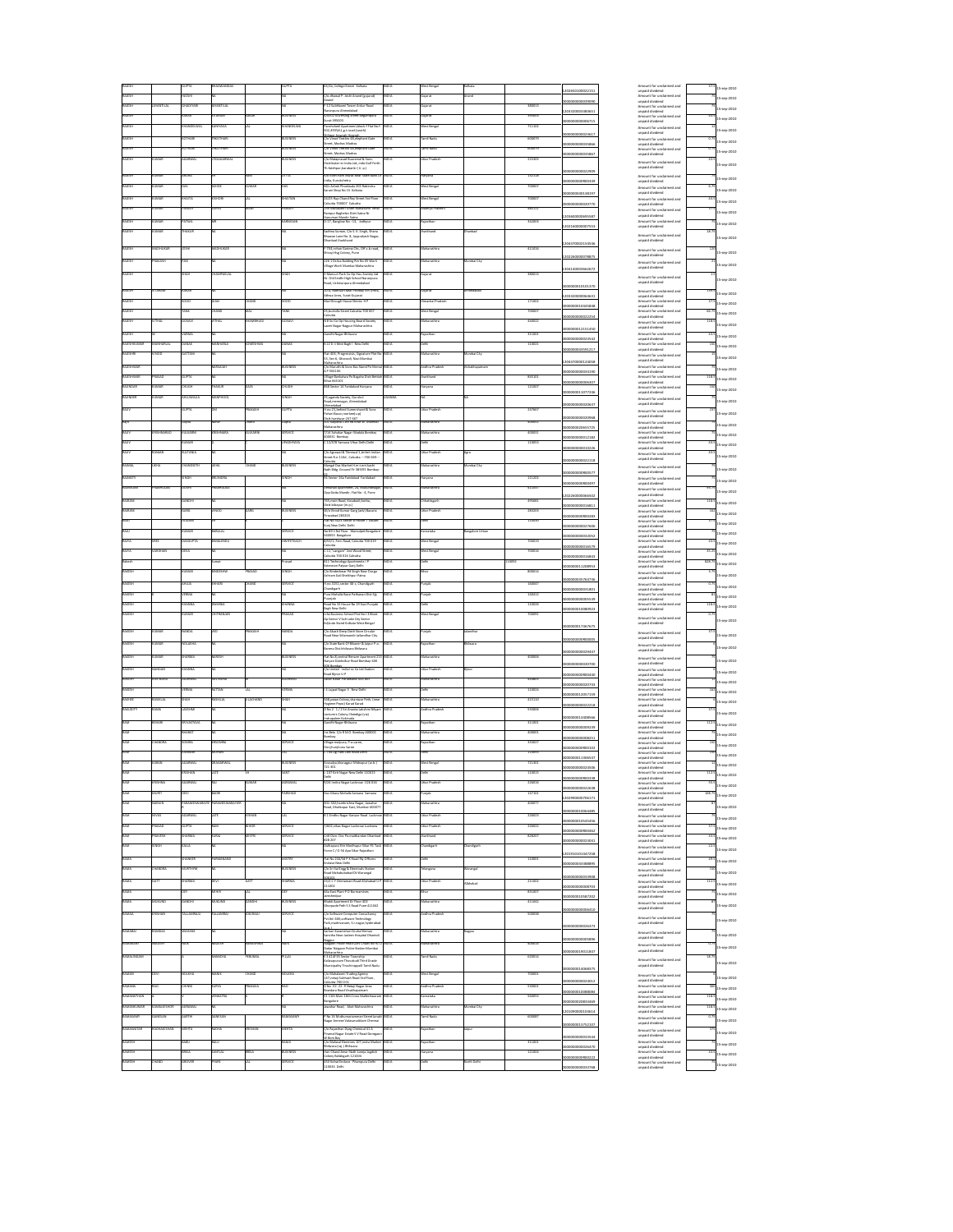|      |                 |        |                |                                                                                                             |     |          |               |        |                          | Amount for unclaimed and                                                              |                         |
|------|-----------------|--------|----------------|-------------------------------------------------------------------------------------------------------------|-----|----------|---------------|--------|--------------------------|---------------------------------------------------------------------------------------|-------------------------|
|      |                 |        |                |                                                                                                             |     |          |               |        |                          | Senson for undertring and<br>Amount for underred and<br>unpaid dividend               |                         |
|      | RAYIGA          |        |                | $2.5$ ubl                                                                                                   |     |          |               | 380013 |                          | Amount for unclaimed and                                                              |                         |
|      |                 |        | NLS            | ınpura Ahm<br>4502 Kuversing Street Begumpura                                                               |     |          |               | 395003 | 203320003383651          | unpaid dividend<br>Amount for unclaimed and                                           | 41                      |
|      |                 |        |                | rat 395003<br>nchiheel Apartment<br>12,493'p\1,g.t.road (                                                   |     |          |               | 711102 |                          | unpaid dividend<br>Amount for unclaimed and                                           |                         |
|      | <b>THAR</b>     | COTHAR |                | teur howrah Howrah<br>Vinod Textiles 48,elep<br>hant Gat                                                    | XA  | si Nad   |               | 600079 | 3617                     | unpaid dividend<br>Amount for unclaimed and                                           | ă                       |
|      | 10 <sup>2</sup> |        |                | eet, Madras Madras<br>b Vincol Textiles 48 electrant Gate                                                   |     | d Ned    |               | 600079 |                          | unpaid dividend<br>Amount for unclaimed and                                           | $\overline{0.7}$        |
|      |                 |        |                | eet, Madras Mad<br>Mataprasad Buaramal & S                                                                  |     |          |               | 22510  | 35867                    | unpaid dividend<br>Amount for unclaimed and                                           | 41                      |
|      |                 |        |                | stributer-ici India Ltd., indo G<br>Lfatehpur, barabanki ( U .p.)                                           |     |          |               |        |                          | unpaid dividend                                                                       |                         |
|      |                 |        |                | o Kothi Ram Niwas Near State Bank<br>la, Kurukshetra                                                        | XA  | yan      |               | 132118 | 00349                    | Amount for unclaimed and<br>unpaid dividend                                           |                         |
|      |                 |        |                | Ms Ashok Phoohwala 205 Ra<br>rani Shop No 15 Kolkata                                                        |     | st Gene. |               | 70000  | 138197                   | Amount for unclaimed and<br>unpaid dividend                                           | E.                      |
|      |                 |        |                |                                                                                                             |     |          |               |        |                          | Amount for unclaimed and<br>unpaid dividend                                           | 43                      |
|      |                 |        |                | 99 Manakahri Gram Manakahri Tel<br>mpur Baghelan Distt Satna Nr                                             |     |          |               | 485113 |                          | Amount for unclaimed and<br>unpaid dividend                                           | B                       |
|      |                 |        |                | un Mandir Satna<br>«>elow No : 13, 35<br>÷                                                                  |     |          |               | 34200  | KK81                     | Amount for unclaimed and<br>unpaid dividend                                           |                         |
|      |                 |        |                | s S. K. Singh,                                                                                              |     |          |               |        | 0007553                  | Amount for unclaimed and                                                              |                         |
|      |                 |        |                | wan Lane No. 8, Jayprak<br>inbad Jharkhand<br>h Nagar                                                       |     |          |               |        | 204470002154546          | unpaid dividend                                                                       |                         |
|      |                 |        |                | 704,rohan Garima Chs, Off.s.b<br>Ivaji Hsg Colony, Pune                                                     |     |          |               | 411010 | 0078875<br>20226         | Amount for unclaimed and<br>unpaid dividend                                           |                         |
|      |                 |        |                | të 1 Dulya Buldine Rm No 05 Wo<br>lage Worll Mumbai Maharashtra                                             |     |          |               |        |                          | Amount for unclaimed and<br>unpaid dividend                                           |                         |
|      |                 |        |                | Aansuri Park Co Op Hou Society Lt                                                                           |     |          |               | 380013 | 2672<br>0414             | Amount for unclaimed and                                                              |                         |
|      |                 |        |                | : Old Sindhi High Scho<br>sød, Ushmanpura Ahn                                                               |     |          |               |        | 000000010101370          | unpaid dividend                                                                       |                         |
|      |                 |        |                | a, Nidhiyan Near Holiday Inn Ur<br>wa Lines, Surat Gujarat                                                  |     |          |               |        | 203320000064631          | Amount for unclaimed and<br>unpaid dividend                                           | 129.                    |
|      |                 |        |                |                                                                                                             |     |          |               | 17100  | 010445848                | Amount for unclaimed and                                                              | v                       |
|      |                 |        |                | burtolla Street Calcutta-700 007                                                                            |     | st Genga |               | 700007 | 0022254                  | unpaid dividend<br>Amount for unclaimed and<br>unpaid dividend                        | 66.7                    |
|      |                 |        |                | Il Sci Co Op Housing Board Society<br>mi Nagar Nagpur Maharashtra                                           |     |          |               | 440022 |                          | Amount for unclaimed and<br>unpaid dividend                                           | 118                     |
|      |                 |        |                | dhi Nagar Bhi                                                                                               |     |          |               | 311001 |                          | Amount for unclaimed and                                                              | 41.                     |
|      | NA              |        |                | 22 D II Moti Bagh I New Delt                                                                                |     |          |               | 110023 | 123542<br>00000043591217 | unpaid dividend<br>Amount for unclaimed and<br>unpaid dividend                        | E                       |
|      |                 |        |                | t-404, Progressivis, Signature Plot<br>53, Sec-6, Ghansol, Navi Mumbai                                      |     |          |               |        |                          | Amount for unclaimed and                                                              |                         |
|      |                 |        |                | sharashtra<br>o Maruthi & S<br>> SO4106                                                                     |     |          |               |        |                          | unpaid dividend<br>Amount for unclaimed and                                           |                         |
|      |                 |        |                | lage Bankatwa Po Bagaha Dist                                                                                |     |          |               | 845101 | 34190                    | unpaid dividend<br>Amount for unclaimed and                                           | 118                     |
|      |                 |        |                | ur 845101<br>58 Sector 14 Faridabad Harv                                                                    |     |          |               | 121007 |                          | unpaid dividend<br>Amount for unclaimed and                                           | $\overline{\mathbf{R}}$ |
|      |                 |        |                | i,uganda Society, Gurukul<br>sad,memnagar, Ahmedabad<br>smedabad                                            |     |          |               |        | 1077246                  | unpaid dividend<br>Amount for unclaimed and                                           |                         |
|      | 17TA            |        | pτa            | no.21, behind Sumerchand & Sor                                                                              | DίA | ar Prade |               | 247667 | 63.                      | unpaid dividend                                                                       | -23                     |
|      |                 |        |                | ari Bazar,ro<br>(u.p)<br>H haridwar-247 667                                                                 |     |          |               |        |                          | Amount for unclaimed and<br>unpaid dividend                                           |                         |
|      |                 |        |                | harashir                                                                                                    |     |          |               |        | 655725                   | Amount for unclaimed and<br>unpaid dividend<br>Amount for unclaimed and               |                         |
|      |                 |        | лс             | 7/14 Sahakar Nagar Wadala Bombay<br>100031 Bombay                                                           |     |          |               | 400031 | 012182                   | unpaid dividend                                                                       |                         |
|      |                 |        |                | 12/378 Yamuna Vihar Delhi Delhi<br>Antawal & Tibrewal 1.british Inc.                                        |     |          |               | 110053 | 10226                    | Amount for unclaimed and<br>unpaid dividend                                           | 41<br>$\overline{a}$    |
|      |                 |        |                | et R.n.110d. Calcutta -- 700 069-                                                                           |     |          |               |        | 22118                    | Amount for unclaimed and<br>unpaid dividend                                           |                         |
|      | <b>IDSETI</b>   |        | NES            | rupat<br>Ingal Das Market H.m.t.ent.kashi<br>th Bidg. Ground Fir 389/91 Bombay                              |     |          |               |        |                          | Amount for unclaimed and                                                              |                         |
|      |                 |        |                | ector-16a Far                                                                                               |     |          |               | 121202 | 1577                     | unpaid dividend<br>Amount for unclaimed and                                           |                         |
|      |                 |        |                | unad Apartment, 24, Mukundi<br>: Datta Mandir, Flat No - 4, Pur                                             |     |          |               | 411    | w                        | mpaid dividend<br>Amount for unclaimed and                                            | 91                      |
|      |                 |        |                |                                                                                                             |     |          |               | 495681 |                          | unpaid dividend<br>Amount for unclaimed and                                           | 115                     |
|      |                 |        |                | 5,main Road, Kosabadi,korba<br>It.bilaspur (m.p.)                                                           |     |          |               | 283207 | 016811                   | unpaid dividend                                                                       |                         |
|      |                 |        |                | cabad 283203<br>: No 5023 Sector<br>I  New Delhi Del                                                        |     |          |               |        | 0028                     | www.awsena<br>Amount for unclaimed and<br>unpaid dividend<br>Amount for unclaimed and |                         |
|      | MAR.            | auw    | WKI            | io 8911 Nd Floor Mamulpet Bangalor                                                                          | DίA | nataka   | ngalore Urba  |        |                          | unpaid dividend<br>Amount for unclaimed and                                           |                         |
|      | <b>GIRTA</b>    | M TNO  | <b>EETEACH</b> | 10053 Bangalore<br>53/1, Fern Road, Calculta 700.019                                                        |     |          |               | 700019 | 132052                   | unpaid dividend<br>Amount for unclaimed and<br>unpaid dividend                        | $\overline{a}$          |
|      |                 |        |                |                                                                                                             |     |          |               |        | 0016579                  | Amount for unclaimed and                                                              |                         |
|      |                 |        |                | Ealcutta 700 016 Calc<br>111 Technology Apart                                                               |     |          |               |        | 116843                   | unpaid dividend<br>Amount for unclaimed and                                           | 828.7                   |
|      |                 |        |                | ension Patpar Ganj Delhi<br><b>b Bindeshwar Pd Singh N</b>                                                  |     |          |               | 800014 |                          | unpaid dividend<br>Amount for unclaimed and                                           | x                       |
|      |                 |        |                | ram Gall Shelkhpur Patna<br>o.3151, sector 46-c, Chandigarh                                                 |     |          |               | 160047 | 0035764736               | unpaid dividend<br>Amount for unclaimed and                                           | 0.7                     |
|      |                 |        |                | ura Mohalla Bassi Pathanan Dist.f/g                                                                         | DLA |          |               | 140412 | 0031800                  | unpaid dividend<br>Amount for unclaimed and                                           |                         |
|      |                 |        |                | od No 32 Mor<br>n tá far                                                                                    |     |          |               |        | 55.98                    | unpaid dividend                                                                       | $\overline{\mathbf{u}}$ |
|      |                 |        |                | th New Delh                                                                                                 |     |          |               |        | 0080923                  | Amount for unclaimed and<br>unpaid dividend                                           |                         |
|      |                 |        |                | hi Business School Plot F<br>Sector V Salt Lake Oly 1<br>/auto Stand Kolkata We                             |     |          |               |        |                          | Amount for unclaimed and<br>unpaid dividend                                           |                         |
|      |                 |        |                | s Akash Deep Cloth Store Crcular<br>ad Near Sitlamandir Jallandhar City                                     |     |          |               |        | 17367675                 | Amount for unclaimed and                                                              | x                       |
|      |                 |        |                | > State Bank Of Bikaner & Jalour I                                                                          |     |          |               |        |                          | unpaid dividend<br>Amount for unclaimed and                                           |                         |
|      |                 |        |                | es Dist bhiliana Milwara                                                                                    |     |          |               |        |                          | unpaid dividend                                                                       |                         |
|      |                 |        |                | at No.B, central Renwer Apartment 2<br>Nur Road Bombay-400                                                  |     |          |               |        |                          | Amount for unclaimed and<br>unpaid dividend                                           |                         |
|      |                 |        |                |                                                                                                             |     |          |               |        |                          | Amount for unclaimed and<br>npaid dividend                                            |                         |
|      |                 |        |                |                                                                                                             |     |          |               |        |                          | Amount for unclaimed and<br>unpaid dividend                                           |                         |
|      |                 |        |                | Lapat Nagar 3 New Dell                                                                                      |     |          |               | 110024 |                          | Amount for unclaimed and<br>unpaid dividend<br>Amount for unclaimed and               | $\overline{10}$         |
|      |                 |        |                | 8.patan Co<br>iene Pepsi) Karad Karad                                                                       |     |          |               | 415110 | 22218                    | unpaid dividend                                                                       |                         |
|      |                 |        |                | No 2   1 / 2 Sri Ananta Lakshm<br>cturers Colony Cheediga (via)<br>drapalem Kakinada                        |     |          |               | 5330   | 408566                   | Amount for unclaimed and<br>unpaid dividend                                           | B                       |
|      | VASTAV          |        |                | chi Nazar Bhil                                                                                              |     |          |               | 311001 | 9239                     | Amount for unclaimed and<br>unpaid dividend                                           | 112                     |
|      |                 |        |                | Bela C/o R M D Bombay 40000                                                                                 |     |          |               | socco  | 08251                    | Amount for unclaimed and<br>unpaid dividend                                           |                         |
|      |                 |        |                |                                                                                                             |     |          |               |        |                          | Amount for unclaimed and<br>unpaid dividend                                           |                         |
|      |                 |        |                |                                                                                                             |     |          |               |        | 1306547                  | Amount for unclaimed and                                                              |                         |
|      |                 |        |                | Гоиваћуа,<br>121. 301                                                                                       |     |          |               | 72110  |                          | unpaid dividend<br>Amount for unclaimed and                                           |                         |
|      |                 |        |                |                                                                                                             |     |          |               |        | 338                      | Amount for uncleaned and<br>Amount for uncleaned and<br>unpaid dividend               | 11                      |
| sw   |                 |        |                | (24 Indira Nagar Luck<br>-226010                                                                            |     |          |               | 226010 | <b>KSI</b>               | Amount for unclaimed and                                                              | s.                      |
| ipti |                 |        |                | s Ghara Mohalla S                                                                                           |     |          |               | 147101 | 06171                    | unpaid dividend<br>Amount for unclaimed and<br>unpaid dividend                        | 168.75                  |
|      |                 |        |                | 0.302h                                                                                                      |     |          |               |        |                          | Amount for unclaimed and<br>unpaid dividend                                           | 5-sep-2010              |
| W    | ARWAI           |        |                | 1 Sindhu Nagar Kanpur Road Luckni                                                                           | DίA | ar Prade |               | 226023 | 064485<br>0545456        | Amount for unclaimed and<br>unpaid dividend                                           | 15-sep-2010             |
|      |                 |        |                | 02 yılcın Narar Lucki                                                                                       |     |          |               | 226022 | 800462                   | Amount for unclaimed and<br>unpaid dividend                                           | $\frac{1}{27}$          |
|      |                 |        |                |                                                                                                             |     |          |               |        | 023041                   | Amount for unclaimed and<br>unpaid dividend                                           |                         |
|      |                 |        |                | ihapura Shir Modhupur Sikar 91 Ta<br>rce C / O 56 Apo Sikar Rajasthan                                       |     |          |               |        |                          | Amount for unclaimed and                                                              | 22                      |
|      |                 |        |                | t No 244/2d P K Road Riv Officer<br><b>Source Niews Chall</b>                                               |     |          |               | 110001 | 201910101447258          | unpaid dividend<br>Amount for unclaimed and                                           | 49.5                    |
|      |                 |        |                | : Sri Sai Engg & Electricals Station<br>ed Mahabubabad Ot Warangal                                          |     | ngana    | rangal        |        | 0000004338895            | unpaid dividend<br>Amount for unclaimed and                                           | 15                      |
|      |                 |        |                | 16101<br>i/2 C Y Chintamani Road Allahabad U                                                                |     | ar Prade |               | 211002 | 80023308                 | mpaid dividend<br>Amount for unclaimed and                                            | 112                     |
|      |                 |        |                | 1002<br>s East Plant P O Bu<br>rehednur                                                                     |     |          | <b>Market</b> | 831007 |                          | unpaid dividend<br>Amount for unclaimed and                                           |                         |
|      |                 |        |                |                                                                                                             |     |          |               | 411042 | 00000010587202           | unpaid dividend                                                                       |                         |
|      |                 |        |                | akti Apartment Gr Floor 402<br>Jorpade Peth S S Road Pune 411042                                            |     |          |               |        | 16410                    | Amount for unclaimed and<br>unpaid dividend                                           |                         |
|      |                 |        | $\overline{a}$ | lo Software Computer Comulta<br>rt.ltd. 606,xoftware Technology<br>rk,maitrivanam, S.r.nagar,hyderab.       |     |          |               | 500038 |                          | Amount for unclaimed and<br>unpaid dividend                                           |                         |
|      |                 |        |                | s<br>Sarkari Karamchari Gru<br>Sara Pua Near Jasleen H                                                      |     |          |               |        | 02637                    | Amount for unclaimed and                                                              |                         |
|      |                 |        |                |                                                                                                             |     |          |               |        |                          | unpaid dividend<br>Amount for unclaimed and                                           |                         |
|      |                 |        |                |                                                                                                             |     |          |               |        |                          |                                                                                       | ø                       |
|      |                 |        |                | reser<br>against Police Head Otrs Chawl No 9/1<br>- The Feathers Mumbai<br>ar Naigaon Police Station Mumbai | XA  |          |               | 400014 |                          |                                                                                       |                         |
|      |                 |        |                | sharashtra<br>I 414f E3 Sector Township<br>vakudi Third Grade                                               |     |          |               | 620014 | 1011847                  | unpaid dividend<br>Amount for unclaimed and                                           | 187                     |
|      |                 |        |                | inicipality Tiruchirappalli Tamil Nedu                                                                      |     |          |               |        | 14068375                 | unpaid dividend                                                                       |                         |
|      |                 |        |                | halaxni Trading Agency<br>taji Subhash Road 3rd Floor                                                       |     |          |               |        |                          | Amount for unclaimed and                                                              | 15-sep-2010             |
|      |                 |        |                | uma-700.001<br>o -32 -22 -9 Netaji Nagar Area                                                               |     |          |               | 530001 | 0000000024012            | unpaid dividend<br>Amount for unclaimed and                                           | 30                      |
|      |                 |        |                | wdara Road Visakh<br>11th Main 16th Cross Mal                                                               |     |          |               |        | 10088084                 | unpaid dividend<br>Amount for unclaimed and                                           | 111.                    |
|      |                 |        |                | ahar Road, Akot Maharashtra                                                                                 |     |          |               |        | 020833469                | unpaid dividend<br>Amount for unclaimed and                                           | 115                     |
|      |                 |        |                | No 16 Muthumariamman Street Ian<br>gar Annexe Valasarvakkam Chennai                                         |     | of Nady  |               | coccaz | 201000000103614          | unpaid dividend                                                                       | $\alpha$                |
|      |                 |        |                |                                                                                                             |     |          |               |        |                          | Amount for unclaimed and<br>unpaid dividend<br>Amount for unclaimed and               | ×                       |
|      |                 |        |                | un Dyng Chemical 41 A<br>pr Estate 5 V Road Fry<br>fon fin<br>lectrices 107, indra Mar                      |     |          |               | 311001 | 033544                   | unpaid dividend<br>Amount for unclaimed and                                           |                         |
|      |                 |        |                | wara (raj.) Ohilwara                                                                                        |     |          |               | 121004 | 126470                   | unpaid dividend<br>Amount for unclaimed and                                           | 41                      |
|      |                 |        |                | ri Chand Amar Nath June<br>Iony Ballabgarh 121004                                                           |     |          |               |        | 00222                    | unpaid dividend<br>Amount for unclaimed and                                           |                         |

| 16<br>å.                                                                                                                                                     |              |                |
|--------------------------------------------------------------------------------------------------------------------------------------------------------------|--------------|----------------|
|                                                                                                                                                              | ŧ            | sep.2010       |
| unpaid dividend<br>Amount for uncl<br>imed and                                                                                                               |              |                |
| unpaid dividend<br>Amount for unclaimed and                                                                                                                  |              | 15-sep-2010    |
| aid dividend                                                                                                                                                 |              | 5-sep-2010     |
| aimed and<br>$\alpha$<br>us unterna<br>unt for und<br>id dividend                                                                                            |              | p-2010         |
| np<br>Amount for unclaimed and                                                                                                                               | 12           | $-2010$        |
| id divide<br>á                                                                                                                                               |              |                |
| Amount for unclaimed and                                                                                                                                     | ī            | 15-sep-2010    |
| aid dividend<br>aid dividend<br>aid dividend<br>aid dividend<br>An<br>unpaid diw<br>Amount for<br>unpaid divid<br>aimed and                                  |              | p-2010         |
| mount for und<br>d and<br>im                                                                                                                                 |              |                |
| aid divide<br>'n.<br>u                                                                                                                                       |              | p-2010         |
| e for uncla<br>d and<br>Amour<br>im                                                                                                                          |              |                |
| npaid dividend                                                                                                                                               |              | 5-sep-2010     |
| Amount for unclaimed and<br>breakd dividend                                                                                                                  |              | sep-2010<br>1Ś |
| Amount for und<br>imed and                                                                                                                                   |              |                |
| unpaid dividend                                                                                                                                              |              | sep-2010<br>1Ś |
| mount for und<br>d and<br>unpaid dividend                                                                                                                    |              | p-2010         |
| .<br>mount for und<br>npaid dividend<br>d and<br>im                                                                                                          |              |                |
| np                                                                                                                                                           |              | p-2010         |
| nount for unclaim<br>ipaid dividend<br>d a<br>ï                                                                                                              |              | p-2010         |
|                                                                                                                                                              |              |                |
| nt for<br>d and<br>im                                                                                                                                        | ċ            | 15-sep-2010    |
| unpaid dividend<br>Amour<br>a few smells<br>imed and                                                                                                         |              |                |
| aid dividend<br>unp                                                                                                                                          |              | sep-2010<br>ò, |
| t for und<br>d a<br>ä                                                                                                                                        |              |                |
| id divis<br>lend<br>nti                                                                                                                                      |              | p-2010         |
| .<br>Amount for uncl<br>unpaid dividend<br>ă.<br>ä                                                                                                           | ś            | sep-2010       |
| imed and<br>Amount for und                                                                                                                                   |              |                |
| unpaid dividend                                                                                                                                              |              | sep-2010<br>ß  |
| Amount for und<br>imed and<br>mpaid dividend                                                                                                                 |              | 15-sep-2010    |
|                                                                                                                                                              |              |                |
| Amount for unclaimed and<br>unpaid dividend                                                                                                                  |              | 15-sep-2010    |
| nt for und<br>mo<br>d and<br>unpaid dividend                                                                                                                 | 5            | 15-sep-2010    |
| Amount for und<br><b>Imediand</b>                                                                                                                            | ć            | 5-sep-2010     |
| aid dividend<br>Amount for unclaimed and                                                                                                                     |              |                |
| breakd dividend                                                                                                                                              |              | 15-sep-2010    |
| Amount for unclaimed and                                                                                                                                     | S            | 15-sep-2010    |
| <b>unpaid dividend</b><br>Amount for und<br>bns bemis                                                                                                        | 118          | 5-sep-2010     |
| aimed and                                                                                                                                                    |              |                |
| r<br>unpaid diw<br>Amount for und<br>unpaid dividend                                                                                                         |              | sep-2010       |
| .<br>Amount for uncl<br>unpaid dividend<br>d a                                                                                                               | 75           | sep-2010       |
|                                                                                                                                                              |              |                |
| Amount for unclaimed and<br>unpaid dividend                                                                                                                  |              | 5-sep-2010     |
| nt for und<br>d and<br>mo                                                                                                                                    |              | sep-2010<br>Ľ, |
| unpaid dividend<br>Amount for unclaimed and                                                                                                                  |              |                |
| <b>Innability Pricess</b>                                                                                                                                    |              | 15-sep-2010    |
| imed and<br>ount for und<br>said dividend<br>i<br>mp                                                                                                         |              | p-2010         |
| Amount for unclaim<br>unpaid dividend<br>d and                                                                                                               |              | sep-2010<br>ò, |
|                                                                                                                                                              |              |                |
| t fa<br>r und<br>Amou<br>d and<br>im<br>unpaid dividend                                                                                                      |              | sep-2010       |
| .<br>An<br>.<br>10ar<br>t for und<br>d a<br>í.<br>ä                                                                                                          |              |                |
| id diwi<br>np<br>nd                                                                                                                                          |              | sep-2010       |
| .<br>Iount for und<br>paid dividend<br>ı.<br>d and                                                                                                           |              | p-2010         |
| np<br>Amount for unclaimed and                                                                                                                               | ī            | p-2010         |
| aid dividend<br>d and                                                                                                                                        |              |                |
| unpeu unne<br>Amount for und<br>unpaid dividend                                                                                                              |              | iep-2010       |
| Amount for unclaimed and<br>brebivib bien                                                                                                                    |              | 15-sep-2010    |
| 'n<br>$\alpha$<br>for und<br><b>Imediand</b>                                                                                                                 |              | 5-sep-2010     |
| unpaid dividend<br>Amount for uncl<br>unpaid dividend<br>imed and                                                                                            |              |                |
|                                                                                                                                                              |              | sep-2010       |
| Amount for unclaimed and<br>unpaid dividend                                                                                                                  | 5            | 15-sep-2010    |
| Amour<br>for und<br>imed and<br>aid divi<br>'n.                                                                                                              | i2l          | 5-sep-2010     |
| Amount for und<br>imed and                                                                                                                                   |              |                |
|                                                                                                                                                              |              | sep-2010<br>ò, |
| aid dividend                                                                                                                                                 |              |                |
| Amount for unclaimed and                                                                                                                                     | ö.<br>7<br>ś | is<br>sep-2010 |
| .<br>An<br>bns bemis                                                                                                                                         | n            |                |
| inpaid dividend<br>Amount for uncla<br>inpaid dividend                                                                                                       |              | ep-2010        |
| imed and                                                                                                                                                     |              | p-2010         |
| Amount for und<br>unpaid dividend<br>d a<br>ä                                                                                                                |              |                |
| nount<br>•paid d<br>for uncla<br>Existent                                                                                                                    |              | ep-2010        |
| e for<br>d and<br>im                                                                                                                                         |              |                |
| unpaid dividend                                                                                                                                              |              | 15-sep-2010    |
| Amour<br>for unclaimed and<br>aid dividend<br>inş                                                                                                            |              | sep-2010<br>ò, |
| d and                                                                                                                                                        |              |                |
| mount for und<br>unpaid dividend                                                                                                                             |              | p-2010         |
| t for und<br>ı.<br><b>TOUT</b><br>å.<br>ä                                                                                                                    |              | p-2010         |
| d diws<br>nş<br>nd<br>Amount for unclaimed and                                                                                                               | 3            | sep-2010       |
| <b>unpaid dividend</b><br>Amount for und<br>bns bemis                                                                                                        | ä            |                |
|                                                                                                                                                              |              | sep-2010       |
| imed and                                                                                                                                                     |              | p-2010         |
| enoun to und<br>unpaid dividend<br>Amount for und<br>unpaid dividend<br>d a<br>Amour<br>ä                                                                    | s<br>17      | sep.2010       |
| int for und<br>id dividend<br><b>Amount for unde</b><br>.<br>Imad and                                                                                        | m            |                |
| ia a<br>ü<br>'n.<br>nş                                                                                                                                       |              | sep-2010<br>ò, |
| imed and                                                                                                                                                     |              | sep-2010       |
| <i>Amount for und</i><br>unpaid dividend                                                                                                                     | 150          | 15-sep-2010    |
| Amount for unclaimed and<br>unpaid dividend<br>bns bemis                                                                                                     | 150          |                |
| imed and                                                                                                                                                     | ī            | 15-sep-2010    |
| Amount for unclu<br>unpaid dividend<br>Amount for unclu<br>äd<br>nd<br>ń,                                                                                    |              | 15-sep-2010    |
| for und<br>Amour<br>unpaid dividend                                                                                                                          |              | ó<br>2010      |
| Amount for und<br>.<br>Imad and                                                                                                                              |              | 15-sep-2010    |
| imed and                                                                                                                                                     |              |                |
| aan oo aa<br>aid divider<br>xant for ur<br>unpaid dividend<br>Amount for uncl<br>unpaid dividend                                                             |              | 15-sep-2010    |
| d a<br>ä                                                                                                                                                     | g)           | ıs<br>sep-2010 |
| <i><b>Amount for uncl</b></i><br>unpaid dividend<br>Amount for unclaimed and                                                                                 |              |                |
|                                                                                                                                                              |              | 15-sep-2010    |
| imed and                                                                                                                                                     |              | sep-2010       |
| unpaid dividend<br>Amount for uncl<br>unpaid dividend                                                                                                        | 5            | 15-sep-2010    |
| Amount for unclaimed and<br>unpaid dividend<br>e fo<br>r und<br>mo<br>d and<br>im                                                                            | z<br>š       |                |
| unpaid dividend                                                                                                                                              |              | 15-sep-2010    |
| Amour<br>t for und<br>imed and                                                                                                                               |              | 5-sep-2010     |
| unpaid dividend<br>.<br>1031<br>t for und<br>d ar<br>.<br>An<br>ù<br>ä                                                                                       | 150          |                |
| id diwi<br>np<br>md                                                                                                                                          |              | 5-sep-2010     |
| Amount for uncli<br>imed and                                                                                                                                 | ŧ            | sep.2010       |
| imed and                                                                                                                                                     | 75           | sep-2010<br>ß  |
| unpaid dividend<br>Amount for uncl<br>unpaid dividend                                                                                                        | D            |                |
| .<br>mount for und<br>npaid dividend<br>d and<br>im                                                                                                          |              | 15-sep-2010    |
| Amount for unclaimed and                                                                                                                                     |              |                |
| unpaid dividend                                                                                                                                              |              | 5-sep-2010     |
| irr<br>d a<br>d                                                                                                                                              | 75           |                |
| Amount for uncla<br>unpaid dividend                                                                                                                          |              | sep-2010       |
| nt for und<br>mo<br>d and<br>im                                                                                                                              |              | 5-sep-2010     |
| unpaid dividend                                                                                                                                              |              |                |
| t for unclaimed and<br>j                                                                                                                                     |              | 15-sep-2010    |
| unpaid dividend                                                                                                                                              |              |                |
| mour<br>d                                                                                                                                                    | ¢            | sep-2010       |
| unt for unclaimed ar<br>id dividend<br>npi<br>d and                                                                                                          | ë            |                |
| .<br>Amount for unclaims<br>unpaid dividend                                                                                                                  |              | sep-2010       |
| imed and<br>ant for und<br>mo<br>unpaid dividend                                                                                                             |              | sep-2010<br>LS |
| Amount for unclaimed and                                                                                                                                     | 118<br>ś     | 15-sep-2010    |
| mpaid dividend                                                                                                                                               |              |                |
| Amount for unclaimed and<br>unpaid dividend                                                                                                                  |              | 15-sep-2010    |
| ed and                                                                                                                                                       | 375          | 15-sep-2010    |
| nount fo<br>Ipaid div<br>for und<br>Mdend                                                                                                                    |              |                |
|                                                                                                                                                              |              | 15-sep-2010    |
| Amount for unclaimed and<br>unpaid dividend<br>Amount for unclaimed and<br>unpaid dividend<br>unpaid dividenu<br>Amount for unclaimed and<br>Amount Contract |              | 15-sep-2010    |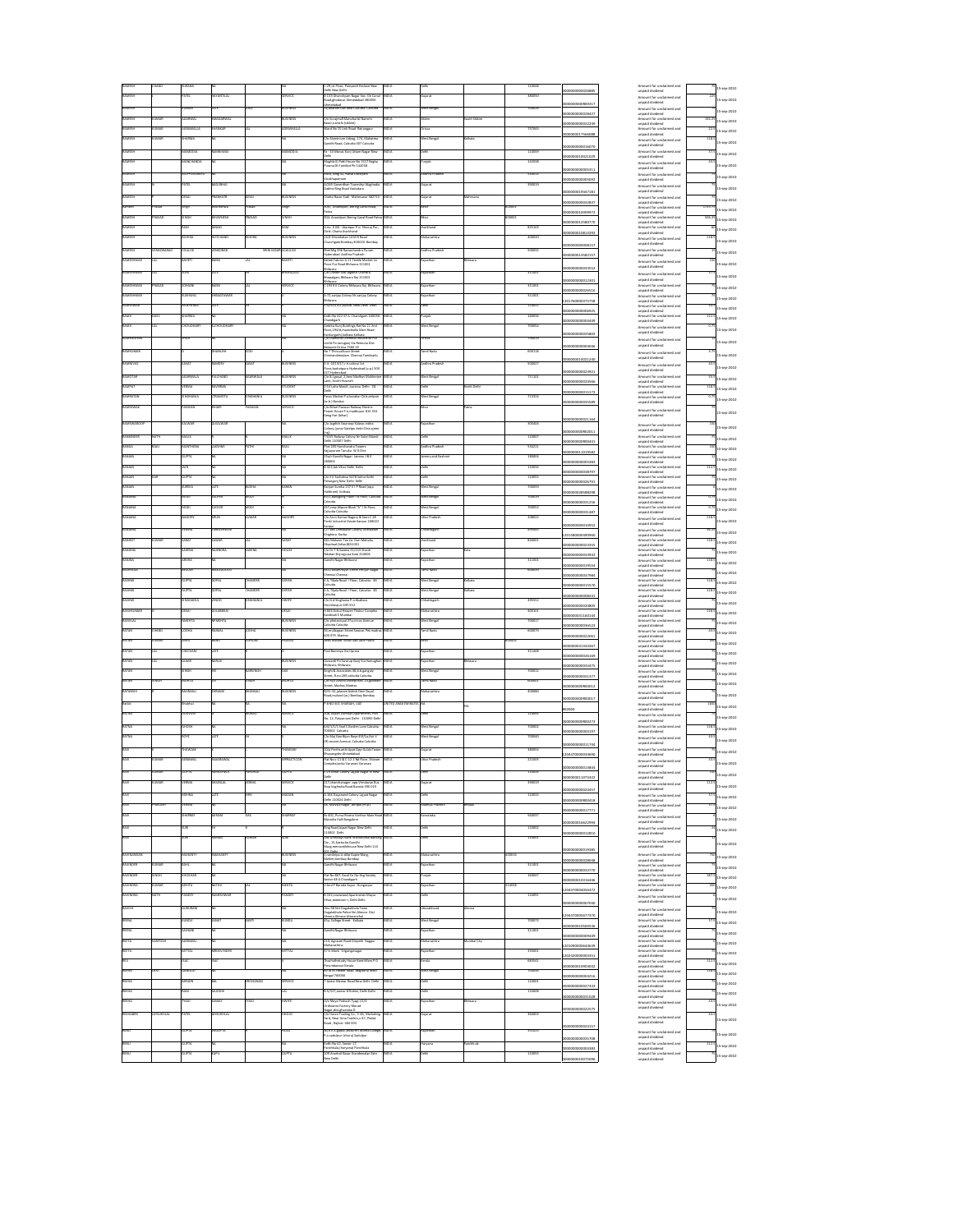|  |            |             |    | <b>Di New Delhi</b>                                                                                                      |            |           |        |                 | Amount for unclaimed and<br>unpaid dividend                                                                  |                | 5-sep-2010                                                                                                                                                                                                                                        |
|--|------------|-------------|----|--------------------------------------------------------------------------------------------------------------------------|------------|-----------|--------|-----------------|--------------------------------------------------------------------------------------------------------------|----------------|---------------------------------------------------------------------------------------------------------------------------------------------------------------------------------------------------------------------------------------------------|
|  |            |             |    | edsbad                                                                                                                   |            |           |        | 331             | Amount for unclaimed and<br>unpaid dividend                                                                  |                | ep-2010                                                                                                                                                                                                                                           |
|  |            |             |    | ata Cal                                                                                                                  |            |           |        |                 | Amount for unclaimed and<br>unpaid dividend<br>Amount for unclaimed and                                      |                | 5-sep-2010                                                                                                                                                                                                                                        |
|  |            |             |    | Surajmall Manoha<br>ar,namchi (sikkim)                                                                                   |            |           |        | 122249          | unpaid dividend                                                                                              | 114.           | ep-2010                                                                                                                                                                                                                                           |
|  |            |             |    | Aluminium Udyog, 174, Mahatn                                                                                             |            |           |        |                 | Amount for unclaimed and<br>unpaid dividend<br>Amount for unclaimed and                                      | 118            | sep-2010                                                                                                                                                                                                                                          |
|  |            |             |    | dhi Road, Calcutta 007 Calcutta                                                                                          |            |           |        | 16070           | unpaid dividend                                                                                              |                | $-$ sep $-2010$                                                                                                                                                                                                                                   |
|  |            |             |    |                                                                                                                          |            |           |        |                 | -<br>Amount for unclaimed and<br>npaid d                                                                     | B              | S-sep-2010                                                                                                                                                                                                                                        |
|  |            |             |    | ighla Ki Patti House No 151<br>rana Dt Faridkot Pb 142031                                                                |            |           |        | 0005311         | Amount for unclaimed and<br>unpaid dividend                                                                  | $^{4}$         | Sarp 2010                                                                                                                                                                                                                                         |
|  |            |             |    | ss, Mdg 42, Naval Dockyard                                                                                               |            |           | 530014 |                 | Amount for unclaimed and<br>unpaid dividend                                                                  |                | S-sep-2010                                                                                                                                                                                                                                        |
|  |            |             |    | 265 Govern<br><b>bhoi Ring Road Vadodara</b>                                                                             |            |           |        |                 | Amount for unclaimed and<br>unpaid dividend                                                                  |                | 5-sep-2010                                                                                                                                                                                                                                        |
|  |            |             |    | hsi Bazar Kadi Mahesanar<br>38273                                                                                        |            |           |        | 019447181       | Amount for unclaimed and                                                                                     |                | 5-sep-2010                                                                                                                                                                                                                                        |
|  |            |             |    | - Anandorei Gorine Canal B                                                                                               |            |           |        | 0000000032837   | unpaid dividend<br>Amount for unclaimed and                                                                  | 1725.          | S-sep-2010                                                                                                                                                                                                                                        |
|  |            |             |    |                                                                                                                          |            |           |        |                 | unpaid dividend<br>unpaid dividend<br>Amount for unclaimed and                                               | 506            | sep-2010                                                                                                                                                                                                                                          |
|  |            |             |    | o. 6 VII. - Atampur P.o- Shivraj Pu                                                                                      |            |           | 825103 | 2580770         | unpaid dividend<br>Amount for unclaimed and                                                                  |                | 5-sep-2010                                                                                                                                                                                                                                        |
|  |            |             |    | tt. Chatra Jharkh<br>4/1 ShivnBatan 14 M K Road<br>rchgate Bombay 400020 Bombay                                          |            |           | 10002  | 10813293        | unpaid dividend<br>Amount for unclaimed and                                                                  | 118            | sep-2010                                                                                                                                                                                                                                          |
|  |            |             |    | Mg 39                                                                                                                    |            |           |        |                 | unpaid dividend                                                                                              |                |                                                                                                                                                                                                                                                   |
|  |            |             |    | ned Fabrics A-11 Textile Market In                                                                                       |            |           |        | \$82157         | Amount for unclaimed and<br>unpaid dividend<br>Amount for unclaimed and                                      |                | sep-2010                                                                                                                                                                                                                                          |
|  |            |             |    | or Pur Road Bhilwara 311001<br>hears<br>er Mail Jaard                                                                    |            |           | 31100  | 333552          | unpaid dividend                                                                                              |                | S-sep-2010                                                                                                                                                                                                                                        |
|  |            |             |    | palganj Bhilwara Raj 311001                                                                                              |            |           |        | 0012301         | Amount for unclaimed and<br>unpaid dividend                                                                  |                | 5-sep-2010                                                                                                                                                                                                                                        |
|  |            |             |    | 193 R K Colony Bhilwara Raj Bhi                                                                                          |            |           | 311001 | 000000026516    | Amount for unclaimed and<br>unpaid dividend                                                                  |                | 5-sep-2010                                                                                                                                                                                                                                        |
|  |            |             |    | 2, sanjay Colony Nr. sanjay Col<br>$1/224$ R.K.s                                                                         |            |           | 311001 | 00375758        | Amount for unclaimed and<br>unpaid dividend                                                                  |                | sep-2010                                                                                                                                                                                                                                          |
|  |            |             |    |                                                                                                                          |            |           | 110022 | 6925            | Amount for unclaimed and<br>unpaid dividend<br>Amount for unclaimed and                                      | $\overline{a}$ | S-sep-2010                                                                                                                                                                                                                                        |
|  |            |             |    | hi No 422 37 A Chandigarh 160031                                                                                         |            | (ab       | 160030 | 0449            | unpaid dividend                                                                                              | 112            | sep-2010                                                                                                                                                                                                                                          |
|  |            |             |    | rbica Kunj Buildings, flat No. 21 2nd<br>or,194/d,manicktalla Main Road<br>rachi kolkata K                               |            | st Bene   | 700054 |                 | Amount for unclaimed and<br>unpaid dividend                                                                  | $\alpha$       | $-$ sep $-2010$                                                                                                                                                                                                                                   |
|  |            |             |    | lo Diamond Chemical Ini<br>Id At Po Januganj Via Rer                                                                     |            |           | 75601  |                 | Amount for unclaimed and<br>unpaid dividend                                                                  |                | sep-2010                                                                                                                                                                                                                                          |
|  |            |             |    | uore Orissa 7560 19<br>! Thiny wh                                                                                        |            |           | 000118 |                 | Amount for unclaimed and                                                                                     | x              |                                                                                                                                                                                                                                                   |
|  |            |             |    | 4-1013/17.rh.colony 1st                                                                                                  |            |           | 100027 | 4021240         | unpaid dividend<br>Amount for unclaimed and                                                                  | $\overline{a}$ | sep-2010                                                                                                                                                                                                                                          |
|  |            |             |    | a Modernhart (a.m.) 500<br>or bark<br>7<br>1 Hederabad<br>1 II. goyal, 2,beni Madhav Mukher                              |            |           |        | 3921            | unpaid dividend                                                                                              |                | 5-sep-2010                                                                                                                                                                                                                                        |
|  |            |             |    |                                                                                                                          |            | st De     | 711101 | 124566          | Amount for unclaimed and<br>unpaid dividend                                                                  | s              | 5-sep-2010                                                                                                                                                                                                                                        |
|  |            |             |    | 54 Loha Mandi ,naraina Delhi - 28                                                                                        |            |           |        |                 | Amount for unclaimed and<br>unpaid dividend<br>Amount for unclaimed and                                      | 118            | Sarp 2010                                                                                                                                                                                                                                         |
|  |            |             |    | ras Market P.o.bar<br>r.b.) Barakar                                                                                      |            |           | 713324 | 1035589         | unpaid dividend                                                                                              | $\alpha$       | sep-2010                                                                                                                                                                                                                                          |
|  |            |             |    | <b>Ghari Paswan Ralway Der</b><br>wer House P.o.madhupur 815 353<br>og Har (bihar)                                       |            |           |        |                 | Amount for unclaimed and<br>unpaid dividend                                                                  |                | sep-2010                                                                                                                                                                                                                                          |
|  |            |             |    | o Jagdish Swaroop Kalwar, Indira                                                                                         |            |           | 305406 | 00021164        |                                                                                                              |                |                                                                                                                                                                                                                                                   |
|  |            |             |    | ny, (junia Gate)po-kekri Dist-ajme                                                                                       |            |           |        |                 | Amount for unclaimed and<br>unpaid dividend<br>Amount for unclaimed and                                      |                | sep-2010                                                                                                                                                                                                                                          |
|  |            |             |    | .<br>G/S Raihawy Colony Nr Su<br>hi 110007 Delhi                                                                         |            |           | 11000  |                 | unpaid dividend                                                                                              |                | sep.2010                                                                                                                                                                                                                                          |
|  | mew        |             |    | x-205 Harichandra To<br>japuram Tanuku W G Dist                                                                          |            | hra Pn    | 534213 | 011019582       | Amount for unclaimed and<br>unpaid dividend                                                                  |                | 5-sep-2010                                                                                                                                                                                                                                        |
|  |            |             |    | a/cGandhi Nagar Jammu J & K<br>acos                                                                                      |            | ma and Ka | 180001 | ssa             | Amount for unclaimed and<br>unpaid dividend<br>Amount for unclaimed and                                      |                | Sarp 2010                                                                                                                                                                                                                                         |
|  |            |             |    | 122,lok Vihar Delhi D                                                                                                    |            |           | 11003  | 0038797         | unpaid dividend<br>Amount for unclaimed and                                                                  | $^{\rm 1D}$    | -sep-2010                                                                                                                                                                                                                                         |
|  | п          |             |    | o S.K Sachdeva 5478 Sohra Kothi<br>harganj New Delhi Delhi                                                               |            |           | 110055 | 000026791       | unpaid dividend                                                                                              |                | 5-sep-2010                                                                                                                                                                                                                                        |
|  |            |             |    | njan Sureka 117 V I P Road (op)<br>dram) Kolkat                                                                          |            |           | 700055 | 8588298         | Amount for unclaimed and<br>unpaid dividend                                                                  |                | 5-sep-2010                                                                                                                                                                                                                                        |
|  |            |             |    | 5/1,ballygung Place I St                                                                                                 |            |           | noott  | 0031256         | Amount for unclaimed and<br>unpaid dividend<br>Amount for unclaimed and                                      |                | S-sep-2010                                                                                                                                                                                                                                        |
|  |            |             |    | 7,new Alpore Block "k" i St Floor,<br>Icutta Calcutta                                                                    |            | st Benga  | 700053 | 0031487         | unpaid dividend                                                                                              | 0.7            | sep.2010                                                                                                                                                                                                                                          |
|  |            |             |    | o Arun Kumar Nagory & Sons C 28<br>nki Industrial Estate Kanpur 208022                                                   |            |           | 208022 |                 | Amount for unclaimed and<br>unpaid dividend                                                                  | 118            | sep-2010                                                                                                                                                                                                                                          |
|  |            |             |    | .<br>/7 Seci Dhelwadi<br>Ohighora Korba                                                                                  |            |           | 495445 |                 | Amount for unclaimed and<br>unpaid dividend                                                                  | 562            | iep-2010                                                                                                                                                                                                                                          |
|  |            |             |    | A/s Mahavir Tea Co. Dari Mohalla<br>bad (bhar)\$26 001                                                                   | XA         | khar      | 826001 | 023355          | Amount for unclaimed and<br>unpaid dividend                                                                  | 118            | 5-sep-2010                                                                                                                                                                                                                                        |
|  | <b>INA</b> |             |    | 5 Dr T N Saxena 21/215 Shant<br>ketan Brijrajpura Kota 324006                                                            |            |           |        | 19932           | Amount for unclaimed and                                                                                     |                | sep-2010                                                                                                                                                                                                                                          |
|  |            |             |    | .<br>Si Nagar Shi                                                                                                        |            |           | 31100  | 019554          | unpaid dividend<br>Amount for unclaimed and                                                                  | щ              | $-$ sep $-2010$                                                                                                                                                                                                                                   |
|  |            |             |    | 1, raniammiyar Street Periyar Nagar<br>nnai Chennai                                                                      |            |           | 600039 | 00037984        | unpaid dividend<br>Amount for unclaimed and<br>unpaid dividend                                               |                | 5-sep-2010                                                                                                                                                                                                                                        |
|  |            |             |    | A, Tijala Road I Floor, Calcutta                                                                                         |            |           |        | 015570          | Amount for unclaimed and<br>unpaid dividend                                                                  | 118            | Sarp 2010                                                                                                                                                                                                                                         |
|  |            |             |    | <b>A</b> Title                                                                                                           |            |           |        | 08241           | Amount for unclaimed and                                                                                     | 115            | S-sep-2010                                                                                                                                                                                                                                        |
|  |            |             |    | s G.d Singhania P.o Akaltara<br>st.bilaspur-495 552                                                                      |            | ttisga    | 495552 | 20805           | unpaid dividend<br>Amount for unclaimed and<br>unpaid dividend                                               | $\rightarrow$  | sep.2010                                                                                                                                                                                                                                          |
|  |            |             |    | 604 Gokul Heaven Thakur Complex<br>dival I Mumbai                                                                        |            |           | 400101 | 1160144         | Amount for unclaimed and<br>unpaid dividend                                                                  | 118            | sep-2010                                                                                                                                                                                                                                          |
|  |            |             |    | $v$ hual 27a<br><b>Ata Calcutt</b>                                                                                       |            |           | 700017 |                 | Amount for unclaimed and<br>unpaid dividend                                                                  |                |                                                                                                                                                                                                                                                   |
|  |            |             |    |                                                                                                                          |            |           |        |                 | Amount for unclaimed and<br>unpaid dividend                                                                  |                |                                                                                                                                                                                                                                                   |
|  |            |             |    | erullappan Street S<br>1079 Madras                                                                                       |            |           | 60007  | 0036523         |                                                                                                              | 43.            |                                                                                                                                                                                                                                                   |
|  |            |             |    | ns Market Alhari Sao Lane Pab                                                                                            |            |           |        | 1334367         | Amount for unclaimed and<br>unpaid dividend                                                                  | B              |                                                                                                                                                                                                                                                   |
|  |            |             |    | the Made                                                                                                                 |            |           | 31140  | 026169          |                                                                                                              |                |                                                                                                                                                                                                                                                   |
|  |            |             |    |                                                                                                                          |            |           |        | 33475           | anyana Ohtoeno<br>Amount for unclaimed and<br>unpaid dividend<br>Amount for unclaimed and<br>unpaid dividend |                |                                                                                                                                                                                                                                                   |
|  |            |             |    | nghi & Associates 46,b.b.ganguly<br>reet, R.no.209,calcutta Calcutta                                                     | DίA        | est Benga | 700012 | 031377          | Amount for unclaimed and<br>unpaid dividend                                                                  |                |                                                                                                                                                                                                                                                   |
|  | <b>HTA</b> |             |    | Mix Arvind Enterprises, 23.eq<br>eet, Madras Madra                                                                       |            |           | 600001 | 0800012         | Amount for unclaimed and<br>unpaid dividend                                                                  |                |                                                                                                                                                                                                                                                   |
|  |            |             |    | .<br>11-12 Jalaram Ashish Devi Dayal<br>sed,mulund (w.) Bombay Bombay                                                    |            |           |        |                 | Amount for unclaimed and                                                                                     |                |                                                                                                                                                                                                                                                   |
|  |            |             |    | INO 601 SHARIAH, UA                                                                                                      | TID        |           |        | 100017          | mpaid dividend<br>Amount for unclaimed and                                                                   | 163            |                                                                                                                                                                                                                                                   |
|  |            |             |    | <b>6 Airest Darchan Anar</b><br>12, Patparnani Delhi - 110092 Dell                                                       |            |           | 110092 |                 | unpaid dividend<br>Amount for unclaimed and                                                                  |                |                                                                                                                                                                                                                                                   |
|  |            |             |    | (4/1/1/1 Seal S Garden Lane Calcult                                                                                      |            | st Benga  | 700002 |                 | unpaid dividend<br>Amount for unclaimed and                                                                  | щ              |                                                                                                                                                                                                                                                   |
|  |            |             |    | 02 Calcutta<br>is Maj Gen Bijon Roye 45f/1a,flat 'o                                                                      |            | st Gener  |        | 04197           | unpaid dividend<br>Amount for unclaimed and                                                                  | $\overline{a}$ |                                                                                                                                                                                                                                                   |
|  |            |             |    | moore Avenue, Calcutta Calcutta                                                                                          |            |           |        |                 | unpaid dividend                                                                                              |                | sep-2010<br>iep-2010<br>sep-2010<br>S-sep-2010<br>sep-2010<br>5-sep-2010<br>sep-2010<br>5-sep-2010<br>sep-2010<br>5-sep-2010<br>5-sep-2010<br>sep-2010                                                                                            |
|  |            |             |    | t No.c-11 & C-12 2 Nd Floor, She                                                                                         |            |           |        |                 | Amount for unclaimed and<br>unpaid d                                                                         | ¢              |                                                                                                                                                                                                                                                   |
|  |            |             |    | mplex, lanka Varanasi Varanasi                                                                                           |            |           |        | 01384           | Amount for unclaimed and<br>unpaid dividend                                                                  |                |                                                                                                                                                                                                                                                   |
|  |            |             |    | 9 Amar Colony Laipat Nasar-Iv                                                                                            |            |           | 11002  | 0011073322      | Amount for unclaimed and<br>unpaid divide                                                                    |                |                                                                                                                                                                                                                                                   |
|  |            |             |    | ',chandranager .opp Vrindavan B<br>p Vaghodia Road Baroda 350 015                                                        |            |           |        | 0000000024457   | Amount for unclaimed and<br>unpaid dividend                                                                  | 112            | sep-2010<br>5-sep-2010<br>5-sep-2010                                                                                                                                                                                                              |
|  |            |             |    | 164 Dayanand Colony Lajpat Nag<br>(h) 110024 Delta                                                                       |            |           | 110024 | 000418          | Amount for unclaimed and<br>unpaid dividend                                                                  | $\overline{x}$ | S-sep-2010                                                                                                                                                                                                                                        |
|  |            |             |    | Mahnya Nagar, 9                                                                                                          |            |           |        | 0017771         |                                                                                                              | 27             | 5-sep-2010                                                                                                                                                                                                                                        |
|  |            |             |    | 401, Purva Riviera Varthur Maii<br>Iratha Hall Bangalore                                                                 |            |           | 560037 |                 | Amount for unclaimed and<br>unpaid dividend                                                                  |                |                                                                                                                                                                                                                                                   |
|  |            |             |    | g Road,Iajpat Nagar New Deb                                                                                              |            |           | 110002 | 000000016622994 | Amount for unclaimed and<br>unpaid dividend<br>Amount for unclaimed and                                      |                |                                                                                                                                                                                                                                                   |
|  |            |             |    | <b>CC2 Debi</b><br>r Grindlays Bank<br>1, 15,kasturba Ga                                                                 |            |           | 1100   | 001281          | unpaid dividend<br>Amount for unclaimed and                                                                  |                |                                                                                                                                                                                                                                                   |
|  |            |             |    | r.mercantlehouse New Debi 110                                                                                            |            |           |        | 00000000019385  | unpaid dividend                                                                                              |                |                                                                                                                                                                                                                                                   |
|  |            |             |    | amkripa Lt. dilip Gupte Marg,<br>im,bombay Scmbay                                                                        |            |           |        | 800000000028048 | Amount for unclaimed and<br>unpaid dividend                                                                  | 75             |                                                                                                                                                                                                                                                   |
|  |            |             |    | ndhi Nagar Bhilwara                                                                                                      |            |           | 311001 | 00033770        | Amount for unclaimed and<br>unpaid dividend                                                                  |                |                                                                                                                                                                                                                                                   |
|  |            |             |    | t No 867, Excel Co Op Hug S<br>the 48 A Chandigan                                                                        |            |           | 160047 | 00010316446     | Amount for unclaimed and                                                                                     | 117            |                                                                                                                                                                                                                                                   |
|  | ИΤΑ        |             |    | And P Baroda Aspur Dungarpur                                                                                             |            |           |        | 204470004056372 | unpaid dividend<br>Amount for unclaimed and<br>unpaid dividend                                               | $-450$         |                                                                                                                                                                                                                                                   |
|  | øø         |             | œ  | 102,rosewood Apartments Mayu<br>har, extension-i, Delhi Delhi                                                            |            |           | 110091 |                 |                                                                                                              |                |                                                                                                                                                                                                                                                   |
|  |            |             |    |                                                                                                                          |            |           |        |                 | Amount for unclaimed and<br>unpaid dividend<br>Amount for unclaimed and                                      |                |                                                                                                                                                                                                                                                   |
|  |            |             |    | s 58 Strt Dugalakhola Town<br>****khola Police Stri Almora: Dist<br>ora Almora Uttaranchal<br>, College Street - Kolkata |            |           | 700073 | 204470005677370 | unpaid dividend<br>Amount for unclaimed and                                                                  | IJ             |                                                                                                                                                                                                                                                   |
|  |            |             |    | hi Nagar Bhibas                                                                                                          |            |           | 311001 | 00536           | unpaid dividend<br>Amount for unclaimed and                                                                  |                |                                                                                                                                                                                                                                                   |
|  |            |             |    | , Agrasen                                                                                                                |            |           |        | 09449           | unpaid dividend                                                                                              |                |                                                                                                                                                                                                                                                   |
|  |            |             |    | k block Sriganganaga                                                                                                     |            |           | 11500  | 4639            | Amount for unclaimed and<br>unpaid dividend<br>Amount for unclaimed and                                      |                |                                                                                                                                                                                                                                                   |
|  |            |             |    | thutheloudy H<br>use Keezhillam P O                                                                                      |            |           | 613541 | ees:            | unpaid dividend<br>Amount for unclaimed and                                                                  | 112.5          |                                                                                                                                                                                                                                                   |
|  |            |             |    | <b>Imbavocr Kerala</b><br>MM Feeder Road Belgho                                                                          |            |           |        |                 | unpaid dividend                                                                                              | щ              |                                                                                                                                                                                                                                                   |
|  | NON        |             | ла | اس.<br>2003ء تع<br>ttar Mantar Road New Delhi                                                                            | XA         |           | 110003 | 0004216         | Amount for unclaimed and<br>unpaid dividend<br>Amount for unclaimed and                                      |                |                                                                                                                                                                                                                                                   |
|  |            |             |    | /117, sector-il Rohini, Delhi Delhi                                                                                      |            |           | 110008 | 00000000027333  | unpaid dividend<br>Amount for unclaimed and                                                                  |                |                                                                                                                                                                                                                                                   |
|  |            |             |    |                                                                                                                          |            |           |        |                 | unpaid dividend                                                                                              |                | 5-sep-2010<br>5-sep-2010<br>5-sep-2010<br>5-sep-2010<br>5-sep-2010<br>15-sep-2010<br>S-sep-2010<br>5-sep-2010<br>5-sep-2010<br>5-sep-2010<br>5-sep-2010<br>5-sep-2010<br>15-sep-2010<br>5-sep-2010<br>$-$ sep $-2010$<br>5-sep-2010<br>S-sep-2010 |
|  |            |             |    | .<br>Maya Prakash Tyagi I/1/1<br>dinance Factory Morad                                                                   |            |           |        | 022575          | Amount for unclaimed and<br>unpaid dividend                                                                  | $\overline{a}$ | 5-sep-2010                                                                                                                                                                                                                                        |
|  |            |             |    | ear dist ehazieba D<br>o Haren Trading Co., C-46, Marketin                                                               |            |           | 360003 |                 | Amount for unclaimed and                                                                                     | 43             | S-sep-2010                                                                                                                                                                                                                                        |
|  |            | <b>SHOT</b> |    | lard, Near Uma Traders,c-47, Pedak<br>Ioad , Rajkot -160 003                                                             |            |           | 331023 |                 | unpaid dividend<br>Amount for unclaimed and                                                                  |                |                                                                                                                                                                                                                                                   |
|  |            |             |    | .<br>o V.k gupta (Jecturer) Mohta C<br>a sadulpur (churu) Sadulpur                                                       |            |           |        | 0035708         | unpaid dividend                                                                                              |                | 15-sep-2010                                                                                                                                                                                                                                       |
|  |            |             |    | No 42, Sector-1<br>109 Anarkali Bazar Jhandewalan Extri<br>Yew Delhi                                                     | <b>DIA</b> |           | 110055 | 04383           | Amount for unclaimed and<br>unpaid dividend<br>Amount for unclaimed and                                      | 112            | 5-sep-2010<br>15-sep-2010                                                                                                                                                                                                                         |

| da<br>e for v<br>im<br>mou<br>unpaid dividend                                                                          |                              | $-2010$        |
|------------------------------------------------------------------------------------------------------------------------|------------------------------|----------------|
| .<br>mount for und<br>npaid dividend<br>d and                                                                          |                              | ep-2010        |
| ount for und<br>i and                                                                                                  |                              |                |
| Amburn na 200<br>unpaid dividend<br>Amburn for und                                                                     |                              | 2010           |
| d and<br>unpaid dividend                                                                                               | 13<br>4.25                   | sep-2010       |
| <b>Amount for uncl</b><br>unpaid dividend<br>d and                                                                     | 22.5                         | sep-2010       |
| Amount for und<br>d and                                                                                                |                              | p-2010         |
| breakd dividend<br>Amount for unclaimed and                                                                            | 5                            |                |
| unpaid dividend                                                                                                        |                              | sep-2010<br>ŕ. |
| e fo<br>mo<br>r und<br>d and<br>unpaid dividend                                                                        |                              | p-2010         |
| .<br>mount for und<br>npaid dividend<br>d and                                                                          |                              | 2010           |
| nş<br>t for und<br>Amour<br>á.                                                                                         |                              |                |
| d divi<br>nş<br>nd                                                                                                     |                              | $-2010$        |
| unt fa<br>id div<br>.<br><br>r und<br>d a<br>ä                                                                         |                              | 2010           |
| Amount for und<br>d and                                                                                                |                              | 2010<br>ip     |
| unpaid dividend<br>imed and<br>Amount for und                                                                          |                              | sep-2010       |
| npaid dividend<br>for und<br>Hydend<br>Á<br>i.<br>å.<br>ä                                                              | $\overline{a}$               |                |
| irit<br>di<br><b>Amnuel for und</b>                                                                                    |                              | 2010           |
| imed and<br>aid divis                                                                                                  |                              | sep-2010<br>ú  |
| Amount for unclaim<br>unpaid dividend<br>d and                                                                         | 15                           | sep-2010       |
| Amount for und<br>imed and                                                                                             |                              |                |
| mpaid dividend                                                                                                         |                              | 15-sep-2010    |
| t for und<br>neur<br>å.<br>ä<br>id diwd<br>np<br>nd                                                                    | 5                            | $-2010$        |
| Amount for und<br>imed and                                                                                             |                              | p-2010         |
| a.<br>Historia<br>i.<br>ų<br>im<br>d and                                                                               |                              |                |
| mount for und<br>npaid dividend<br>Amount for unclaimed and                                                            | 5                            | 2010           |
| hreaid dividend                                                                                                        |                              | sep-2010       |
| Amou<br>for und<br>aimed and<br>id divide<br>'n.                                                                       |                              | sep-2010       |
| mount for und<br>imed and<br>ź                                                                                         |                              | 0-2010         |
| aid dividend                                                                                                           | 12                           |                |
| mount for und<br>npaid dividend<br>d and                                                                               |                              | p-2010         |
| Amount for unclaimed and                                                                                               |                              | sep-2010       |
| hmbivib bison<br>t fo<br>r und<br>d a<br>ä                                                                             |                              |                |
| id dividend<br>np                                                                                                      |                              | 2010           |
| unt for und<br>id dividend<br>Amour<br>å.<br>ä                                                                         |                              | 2010           |
| med and<br>ant fo<br>mo<br>r und                                                                                       |                              | ep-2010<br>Ľ,  |
| unpaid dividend<br>Amount for unclaimed and                                                                            |                              | 5-sep-2010     |
| npaid dividend                                                                                                         |                              |                |
| d and<br>im<br>unpaid dividend                                                                                         |                              | 15-sep-2010    |
|                                                                                                                        |                              |                |
| Amount for unclaimed and<br>unpaid dividend                                                                            |                              | sep-2010<br>ò, |
| Amount for unclaimed and<br>brebivib bison                                                                             | 7<br>ś                       | sep-2010       |
| unt for und<br>id dividend<br>j,<br>$\alpha$<br>i ar<br>ä                                                              | ter                          | ep-2010        |
| nt fo<br>mo<br>nd                                                                                                      |                              |                |
| unpaid dividend                                                                                                        |                              | p-2010         |
| Amount for und<br>aimed and<br>npaid dividend                                                                          | 112.5                        | sep-2010       |
| 'n<br>$\alpha$<br>for und<br>imed and<br>aid dividend<br>nş                                                            |                              | 2010           |
| imi<br>d and<br>Amount for und<br>unpaid dividend                                                                      |                              | 2010<br>ėρ     |
| Amount for unclaimed and                                                                                               | 5                            | sep-2010<br>ß  |
| brebivib bison<br>.<br>An<br>iour<br>for und<br><b>Imediand</b>                                                        | h<br>75                      | 5-sep-2010     |
| .<br>aid di<br>ì<br>'n.<br>Amount for und<br>imed and                                                                  |                              |                |
| aid dividend                                                                                                           |                              | sep-2010<br>ú  |
| Amount for unclaimed and<br>brebivib bison                                                                             | 25                           | sep-2010       |
| unt for und<br>ad dividend<br>j,<br>$\alpha$<br>á.                                                                     | $\overline{\mathbf{u}}$<br>ŧ | sep 2010       |
| ant fo<br>mo<br>nd                                                                                                     |                              | p-2010         |
| unpaid dividend<br>Amount for und<br>aimed and                                                                         | 11                           |                |
| npaid dividend<br>'n<br>$\alpha$<br>for und<br>imed and                                                                |                              | sep-2010       |
| aid dividend<br>nş                                                                                                     |                              | 2010           |
| d and<br>Amount for und<br>unpaid dividend<br>im                                                                       |                              | 2010<br>κp     |
| Amount for unclaimed and<br>hreaid dividend                                                                            |                              | sep-2010<br>í. |
| .<br>An<br>.<br>1011<br>for und<br><b>Imediand</b><br>.<br>aid d<br>ì<br>'n.                                           | $\overline{\mathbf{r}}$      | sep-2010<br>ú  |
| d and<br>mount for v<br>npaid divid<br>nd<br>me                                                                        |                              | $-2010$<br>ip  |
| end<br>Amount for unclaimed and                                                                                        |                              | sep-2010<br>ß  |
| npaid dividend<br>.<br>An<br>$\alpha$<br>for und<br><b>Imediand</b>                                                    |                              |                |
| aid divide<br>lend<br>und<br>lend<br>lend<br>Am.<br>unpaid .<br>Amount for .<br>Youid divid:<br>Your .<br>aimed and    |                              | sep-2010<br>ú  |
|                                                                                                                        |                              | 010            |
| Amount for unclaimed and<br>unpaid dividend                                                                            | 75                           | sep-2010       |
| Amount for und<br><b>Imediand</b><br>aid divide                                                                        | $\overline{15}$              | sep-2010       |
| nd<br>nd<br>.<br>npa<br>nou<br>ï.<br>å.                                                                                |                              | 2010           |
| d divid<br>nd<br>'nş<br>Amount for und<br>imed and                                                                     | 5                            |                |
| unpaid dividend                                                                                                        |                              | sep-2010       |
| Amount for und<br>d and<br>unpaid dividend                                                                             |                              | ep-2010        |
| .<br>Amount for und<br>unpaid dividend<br>d and                                                                        |                              | p-2010         |
| ount for und<br>d ar                                                                                                   |                              | 2010           |
| d divid<br>nş<br>nd<br>å.                                                                                              |                              |                |
| unt for uncl<br>id dividend<br>Amour                                                                                   |                              | 2010           |
| mount for und<br>imed and<br>ź<br>aid divis                                                                            |                              | 5-sep-2010     |
| Amour<br>aunt for uncl<br>aid dividend<br>.<br>Imad and                                                                | š                            | 15-sep-2010    |
| Amount for unclaimed and                                                                                               |                              |                |
| brebivib bisqn                                                                                                         |                              | 5-sep-2010     |
| Amount for unclaimed and<br>d dividend                                                                                 |                              |                |
| med and                                                                                                                | n<br>š                       | p-2010         |
| unpaid dividend<br>mount for und<br>npaid dividend<br>imed and                                                         |                              | sep-2010       |
| Amount for unclaimed and                                                                                               | 5                            | ß              |
| hreaid dividend                                                                                                        |                              | 15-sep-2010    |
| Amount for unclaimed and<br>brebivib bisons                                                                            |                              | 5-sep-2010     |
| .<br>mount for und<br>im<br>d and                                                                                      |                              | sep-2010<br>LS |
| unpaid dividend<br>mour<br>t for und<br>d ar<br>ä                                                                      | Þ                            |                |
| npaid dividend                                                                                                         |                              | sep-2010<br>ß  |
| Amount for unclaimed and                                                                                               |                              | 15-sep-2010    |
| unpaid dividend<br>Amount for uncl<br>unpaid dividend<br>imed and                                                      |                              |                |
| Amount for unclaimed and                                                                                               | 7.5                          | sep-2010<br>ß  |
| impaid dividend<br>Ymount for unclaimed and<br>impaid dividend<br>Amoun                                                | kb.                          | 15-sep-2010    |
|                                                                                                                        |                              | 15-sep-2010    |
| Amount for unclaimed and<br>unpaid dividend                                                                            |                              | 15-sep-2010    |
| imed and                                                                                                               | 75                           |                |
| Amount for uncl<br>unpaid dividend                                                                                     |                              | 5-sep-2010     |
| -<br>Amount for unclaimed and<br>Amount for und<br>unpaid dividend<br>Amount for und                                   | ŧ                            | 15-sep-2010    |
| imed and<br>unpaid dividend                                                                                            | 75                           | 5-sep-2010     |
| Amount for unclaimed and<br>unpaid dividend                                                                            | c                            | 15-sep-2010    |
| Amou<br>t for und<br>aimed ar<br>ä                                                                                     | 75                           | 15-sep-2010    |
| emtern ve<br>unpaid dividend<br>Amount for uncl<br>imed and                                                            | 112.5                        |                |
| unpaid dividend<br>Amount for unclaimed and                                                                            | 118.5                        | 15-sep-2010    |
| aid dividend                                                                                                           |                              | 15-sep-2010    |
|                                                                                                                        |                              | 15-sep-2010    |
| Amount for unclaimed and<br>unpaid dividend<br>Amount for unclaimed and<br>unpaid dividend                             |                              | 5-sep-2010     |
| .<br>mount for und<br>npaid dividend<br>d and<br>im                                                                    | 43.5                         | 15-sep-2010    |
| np                                                                                                                     |                              |                |
| Amount for unclaime<br>dand<br>unpaid dividend                                                                         |                              | 15-sep-2010    |
|                                                                                                                        |                              |                |
|                                                                                                                        |                              |                |
|                                                                                                                        | 75                           | 15-sep-2010    |
| Amount for unclaimed and<br>unpaid dividend<br>Amount for unclaimed and<br>unpaid dividend<br>Amount for unclaimed and | 112.5                        | 15-sep-2010    |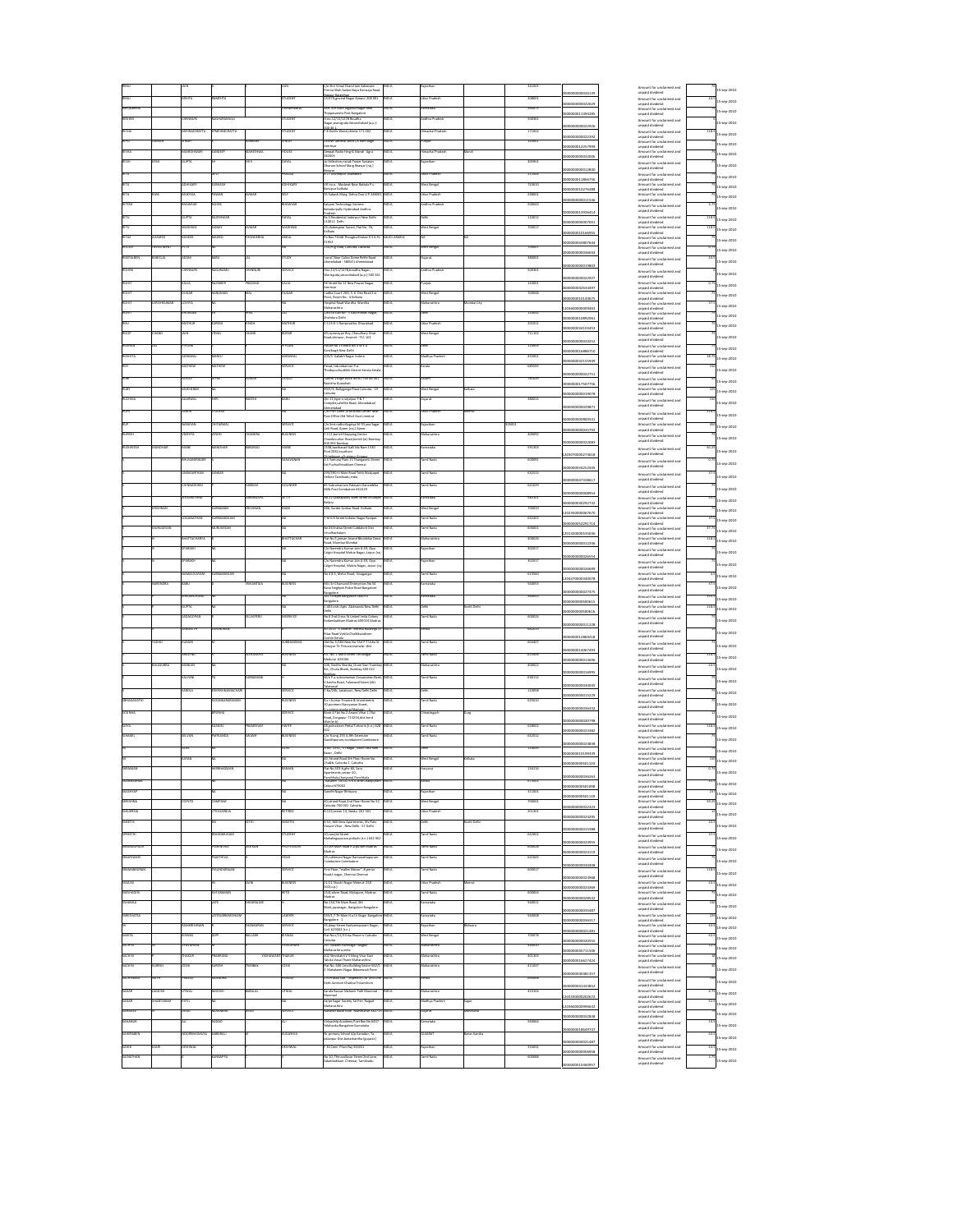|                |                   |               |                 | sen vimai unano zain Advocate<br>rea Shah Sadan Naya Darwaja Ro                                |    |           |          |                  | 026139          | Amount for unclaimed and<br>unpaid dividend                                                 |                               | 5-sep-2010                                                                      |
|----------------|-------------------|---------------|-----------------|------------------------------------------------------------------------------------------------|----|-----------|----------|------------------|-----------------|---------------------------------------------------------------------------------------------|-------------------------------|---------------------------------------------------------------------------------|
|                |                   |               |                 | eaur Hankvour<br>/170 <sub>-</sub> govind Nagar Kanpur 208 001<br>9. Sth Main Janadhi          |    |           |          | 208001<br>560070 | 122621          | Amount for unclaimed and<br>unpaid dividend                                                 | $-41$                         | $-2010$                                                                         |
|                |                   |               |                 | andra Post Banzal                                                                              |    |           |          |                  | 00000011394285  | Amount for unclaimed and<br>unpaid dividend                                                 |                               | iep-2010                                                                        |
|                |                   |               |                 | o.12/11/1278 Boudha<br>țar,warisguda Secundrabad (a.p.)-<br>.                                  |    |           |          | 500161           |                 | Amount for unclaimed and<br>.<br>Impaid di                                                  |                               | sep-2010                                                                        |
|                | <b>INADIDATTA</b> | <b>COATTA</b> | nrM             | Knolk Wood shimla-171 002                                                                      |    |           |          | 171002           | 122392          | Amount for unclaimed and<br>unpaid dividend<br>Amount for unclaimed and                     | 115                           | sep-2010                                                                        |
|                |                   |               |                 | ver General Store I/s Ram Bagh<br>Pro                                                          |    |           |          | 14300            | 012257999       | unpaid dividend                                                                             |                               | sep-2010                                                                        |
|                |                   |               | z               | eepak Radio Hing Ki Mandi - Agra<br>82003<br>ii Sellecti<br><sub>V</sub> oanak Tower Sanat     |    |           |          | 305901           | 000032006       | Amount for unclaimed and<br>unpaid dividend                                                 |                               | 5-sep-2010                                                                      |
|                |                   |               |                 | aram School Marg Beawar (raj.)                                                                 |    |           |          |                  | 012840          | Amount for unclaimed and<br>unpaid dividend                                                 |                               | sep.2010                                                                        |
|                |                   |               |                 |                                                                                                |    |           |          |                  | 011866756       | Amount for unclaimed and<br>unpaid dividend                                                 |                               | sep-2010                                                                        |
|                |                   |               |                 | I.+p.o.- Madarat<br>ulpur Kolkata                                                              |    |           |          | 743610           | 276388          | Amount for unclaimed and<br>unpaid dividend                                                 |                               | 5-sep-2010                                                                      |
|                |                   |               |                 | Subash Mare                                                                                    |    |           |          | 24800            | 0011546         | Amount for unclaimed and<br>unpaid dividend                                                 |                               | Sarp 2010                                                                       |
|                |                   |               |                 | rpally Hyder                                                                                   |    |           |          |                  | 013926414       | Amount for unclaimed and<br>unpaid dividend                                                 | x                             | sep-2010                                                                        |
|                |                   |               |                 | la 3 Residential Inderpuri New Delhi<br>10012: Delhi                                           |    |           |          | 110012           | mozons          | Amount for unclaimed and<br>unnaid distributed                                              | 118.                          | S-sep-2010                                                                      |
|                |                   |               |                 | ä,                                                                                             |    |           |          |                  | 10166955        | Amount for unclaimed and<br>unpaid dividend                                                 | 115                           | 5-sep-2010                                                                      |
|                |                   |               |                 |                                                                                                |    |           |          |                  | 43807644        | Amount for unclaimed and<br>unpaid dividend                                                 |                               | sep-2010                                                                        |
| VISTMEN        |                   |               |                 | 34,m.g.road, Calcutta Calcutta                                                                 |    | est Benga |          | 700007           |                 | Amount for unclaimed and<br>unpaid dividend                                                 | 0.75                          | 5-sep-2010                                                                      |
|                |                   |               |                 | all' Near Calico D<br>edabed - 380001 Ahmedabed                                                |    |           |          | 380003           |                 | Amount for unclaimed and<br>unpaid dividend                                                 | $\overline{41}$               | 5-sep-2010                                                                      |
|                |                   |               |                 | o.12/11/1278,boudha Nagar,<br>riuguda,secundrabad (a.p.)-500 363                               |    |           |          | 500161           | 001980          | Amount for unclaimed and                                                                    |                               | sep-2010                                                                        |
|                |                   |               |                 | Street No 12 New Pawan                                                                         |    |           |          | 143001           | 00022927        | unpaid dividend<br>Amount for unclaimed and                                                 | $\alpha$                      | 5-sep-2010                                                                      |
|                |                   |               |                 | <b>Duan</b><br>ha Court' 266, S. K. Dev Road 1st<br>r. Room No.- 4 Kolkata                     |    |           |          | 70004            | 2634497         | unpaid dividend<br>Amount for unclaimed and<br>unpaid dividend                              |                               | S-sep-2010                                                                      |
|                |                   |               |                 | ipital Road Wardha Wardhi                                                                      |    |           |          |                  | 144675          | Amount for unclaimed and                                                                    | IJ                            | 5-sep-2010                                                                      |
|                |                   |               |                 | urashtra<br>/5334 Gall No - 5 East Rohtas Nagar,                                               |    |           |          | 110032           | 29463           | unpaid dividend<br>Amount for unclaimed and                                                 |                               | Sarp 2010                                                                       |
|                |                   |               |                 | ahdara Dehi<br>115 G-1 Ramprastha Ghaziabad                                                    |    |           |          | 201011           | 002061          | unpaid dividend<br>Amount for unclaimed and                                                 |                               | sep-2010                                                                        |
|                |                   |               |                 | rajnarayan Roy, Choudhary Ghat<br>ad <sub>i</sub> shimpur, Howrah -711 102                     |    |           |          | 711102           | 00034103453     | unpaid dividend<br>Amount for unclaimed and<br>unpaid dividend                              |                               | sep-2010                                                                        |
|                | <b>UW</b>         |               | <b>AM</b>       | use No 11 Block No 4 W E A                                                                     |    |           |          | 110005           |                 | unpaid div<br>Amount for unclaimed and                                                      |                               |                                                                                 |
|                |                   |               |                 | rolbagh New Delhi<br>Adults (1)                                                                |    |           |          | 452001           | 16886710        | unpaid dividend<br>Amount for unclaimed and                                                 | 187                           | sep-2010                                                                        |
|                |                   |               |                 |                                                                                                |    |           |          | 615592           | 12155949        | unpaid dividend<br>Amount for unclaimed and                                                 |                               | sep-2010                                                                        |
|                |                   |               |                 | iat, Udumbannor P.o.<br>Idupuzha,idikki District Kerala Keral                                  |    |           |          |                  | 2753            | unpaid dividend                                                                             |                               | s.sep.2010                                                                      |
|                |                   |               |                 | enes Village Block No-b1 Flat No 401<br>nistha Guwahati                                        |    |           |          | 781029           | 0017507756      | Amount for unclaimed and<br>unpaid dividend                                                 |                               | iep-2010                                                                        |
|                |                   |               |                 | i/S/3, ilaliygunge Pla                                                                         |    |           |          |                  | 319078          | Amount for unclaimed and<br>unpaid dividend                                                 |                               | sep-2010                                                                        |
|                |                   |               |                 | tr.11,type-v,vejalpur P & T<br>lite Road, Ahmedabad                                            |    |           |          | 380015           | 29871           | Amount for unclaimed and<br>unpaid dividend                                                 |                               | $5$ sep $-2010$                                                                 |
|                |                   |               |                 | undu Brock Cantar Na<br>at Office Old Tehnil Guari.<br>seerut                                  |    |           |          |                  |                 | Amount for unclaimed and                                                                    | 11E                           | 5-sep-2010                                                                      |
|                |                   |               |                 | s Sentinadha Dagriya M-70, ana Saga                                                            |    |           |          |                  |                 | unpaid dividend<br>Amount for unclaimed and                                                 | 43                            | 5-sep-2010                                                                      |
|                |                   |               | INESS           | k Road, Ajmer (raj.) Ajme<br>-111, borivil Shopping Centri                                     |    |           |          | 400093           | 035793          | unpaid dividend<br>Amount for unclaimed and                                                 |                               |                                                                                 |
|                |                   |               |                 | davurkar Road, borivli (w) Bombay<br>0.092 Bombay                                              |    |           |          |                  |                 | unpaid dividend<br>Amount for unclaimed and                                                 |                               | sep-2010                                                                        |
|                |                   |               |                 | nya<br>J. 2082, tq:athar<br>winsum.a/tain                                                      |    |           |          |                  | 274618          | unpaid dividend                                                                             |                               | Sarp 2010                                                                       |
|                |                   |               | <b>NYANA3</b>   | 5 Yamuna Flats 15 Thangav<br>d Puzhudhivakkam Chennai<br>rlu Stree                             |    | nil Nad   |          | 600091           | 34252505        | Amount for unclaimed and<br>unpaid dividend                                                 | $\alpha$                      | sep.2010                                                                        |
|                |                   |               |                 | 25/29011 Main Road Trinb<br>.<br>Inte Temilitado India                                         |    |           |          | 632513           |                 | Amount for unclaimed and                                                                    | v                             | Sarp 2010                                                                       |
|                |                   |               | <b>JNDER</b>    | Subramaniam Palayam Gan<br>Ils Post Coimbatore 641029                                          |    |           |          | 641029           | 7328617         | unpaid dividend<br>Amount for unclaimed and                                                 |                               |                                                                                 |
|                |                   |               |                 | ls Past Co<br>225                                                                              |    |           |          | 513101           | оù              | unpaid dividend<br>Amount for unclaimed and                                                 | $\overline{a}$                | S-sep-2010                                                                      |
|                |                   |               |                 |                                                                                                |    |           |          |                  | 0292732         | npaid d<br>Amount for unclaimed and                                                         |                               | S-sep-2010                                                                      |
|                |                   |               |                 | M G R Street Vallalar Nagar Ranipet                                                            |    | mil Nad   |          | 632402           | 67670           | unpaid dividend<br>Amount for unclaimed and                                                 | 37.5                          | sep.2010                                                                        |
| <b>HIGESAN</b> |                   |               |                 | 26 Erattai Street Cuddalore Dist                                                               |    |           |          | 606001           | 201714          | unpaid dividend<br>Amount for unclaimed and                                                 | 27.7                          | 5-sep-2010                                                                      |
|                |                   |               |                 | charloten                                                                                      |    |           |          |                  | 201320000535036 | unpaid dividend                                                                             |                               | sep-2010                                                                        |
|                |                   |               |                 | Narendra Kumar Jain A-49, Opp                                                                  |    |           |          | 302017           | 0012246         | Amount for unclaimed and<br>unpaid dividend                                                 |                               | sep-2010                                                                        |
|                |                   |               |                 | giri Hospital Malvia Nagar, Jaipur (ra                                                         |    |           |          |                  | 6554            | Amount for unclaimed and<br>unpaid dividend                                                 |                               | $5$ sep $-2010$                                                                 |
|                |                   |               |                 | Narendra Kumar Jain A-49, Opp<br>Igiri Hospital, Malvia Nagar, Jaipur (I                       |    |           |          | 302017           |                 | Amount for unclaimed and<br>unpaid dividend                                                 |                               | 5-sep-2010                                                                      |
|                |                   |               |                 | 4 8 S, Melur Road, Sivagangal                                                                  |    |           |          | 623560           | 104470000340078 | Amount for unclaimed and<br>unpaid dividend                                                 |                               | 5-sep-2010                                                                      |
|                |                   |               |                 | /s Sri Chamundi Enterprises No 34<br>ana Singhpet Police Road Bangalore                        |    |           |          | 560053           |                 | Amount for unclaimed and                                                                    | $\overline{v}$                | sep-2010                                                                        |
|                |                   |               |                 |                                                                                                |    |           |          |                  |                 | unpaid dividend<br>Amount for unclaimed and                                                 |                               | sep-2010                                                                        |
|                |                   |               |                 | 104,rishi Apts. Alak<br>nda New Delh                                                           |    |           |          |                  |                 | unpaid dividend<br>Amount for unclaimed and                                                 | 118                           | 5-sep-2010                                                                      |
|                |                   |               |                 | io 6 2nd Cross St United India Colony<br>odambakkam Madras 600024 Madra                        |    |           |          | 600024           |                 | unpaid dividend<br>Amount for unclaimed and                                                 |                               |                                                                                 |
|                |                   |               |                 |                                                                                                |    |           |          |                  | 011228          | unpaid dividend<br>Amount for unclaimed and                                                 |                               | 5-sep-2010                                                                      |
|                |                   |               |                 |                                                                                                |    |           |          |                  | 00000012869218  | unpaid dividend                                                                             |                               | S-sep-2010                                                                      |
|                |                   |               |                 | hin Kerala<br>No-3/184 New No-554 P T Usha St<br>heyyar Tk Thinuvannamalal-dist                |    |           |          | 604407           |                 | Amount for unclaimed and<br>unpaid dividend                                                 |                               | sep-2010                                                                        |
|                |                   |               |                 | . No. 1 Mari Street Thirunaga<br>durai 625006                                                  |    |           |          | 62500            | 013696          | Amount for unclaimed and<br>unpaid dividend                                                 | щ                             | sep-2010                                                                        |
|                |                   |               |                 | 6, Sindhu Sharda, Gram Sion Tram<br>I, Chuna Bhatti, Bombay 400 022                            |    |           |          | 400022           |                 | Amount for unclaimed and                                                                    | $\overline{a}$                | sep-2010                                                                        |
|                |                   |               |                 | o P.a.subramanian Corporation III<br>ochu Road, Talaivasal Salam (dk)                          |    |           |          | 616112           |                 | unpaid dividend<br>Amount for unclaimed and                                                 |                               |                                                                                 |
|                |                   |               |                 |                                                                                                |    |           |          |                  |                 | unpaid dividend<br>Amount for unclaimed and                                                 |                               | 5-sep-2010                                                                      |
|                |                   |               | лс              | 6a/24b, Janakpuri, New Delhi Delhi<br>s.r. kumar Finance & Investments                         |    |           |          | 110058           |                 | unpaid dividend                                                                             |                               | sep-2010                                                                        |
|                |                   |               | antss           | ponmeni Narayanan Street,<br>colony.madurai Madurai                                            |    | mil Nad   |          | 625010           |                 | Amount for unclaimed and<br>unpaid dividend                                                 |                               | $-$ sep $-2010$                                                                 |
|                |                   |               |                 | ck 6 Flat No.2 Anand Vihar LJ R<br>ad, Durgapur-713204,dist.burd                               |    |           |          |                  |                 | Amount for unclaimed and<br>unpaid dividend                                                 |                               | sep-2010                                                                        |
|                |                   |               | m               | es,<br>anke bl<br>Lpolnaicken Pettal Tuticorin (t.n.) 621                                      |    |           |          | 628002           | 10798<br>123382 | Amount for unclaimed and<br>unnaid distributed                                              | Ħ                             | S-sep-2010                                                                      |
|                |                   |               |                 | Yuvraj 255 A,9th Extension<br>schipuram, coimbatore Coimbatore                                 |    |           |          | 642012           |                 | Amount for unclaimed and                                                                    |                               | 5-sep-2010                                                                      |
|                |                   |               |                 |                                                                                                |    |           |          |                  | 0024838         | unpaid dividend<br>Amount for unclaimed and                                                 |                               | sep-2010                                                                        |
|                |                   |               |                 | ar, Delhi<br>, Strand Road 4th Floor R<br>allib, Calcutta-1 Calcutta                           |    |           |          |                  |                 | unpaid dividend<br>Amount for unclaimed and                                                 | 15                            | 5-sep-2010                                                                      |
|                |                   |               |                 | t No. 201-b, ms-60, Sa                                                                         |    |           |          | 134110           | 01101           | unpaid dividend<br>Amount for unclaimed and                                                 |                               |                                                                                 |
|                |                   |               |                 | ts sector-20<br>nchioda (harvana                                                               | XA |           |          | 673002           | 0036263         | unpaid dividend<br>Amount for unclaimed and                                                 | 43.                           | 5-sep-2010                                                                      |
|                |                   |               |                 | asanth" 19/1475 K.k.lane Chalag<br>écut 673002<br>anchi Nagar Dhilwari                         |    |           |          | 311001           | 000501098       | unpaid dividend<br>Amount for unclaimed and                                                 | -21                           | 5-sep-2010                                                                      |
|                |                   |               |                 | od Road, 2nd F                                                                                 |    |           |          |                  | 0501139         | unpaid dividend                                                                             | 59.2                          | Sarp 2010                                                                       |
|                |                   |               |                 | eta.200.001 Calcula<br>124, sector 14, Noida -201 10                                           |    | ar Prad   |          | 201101           | 022323          | Amount for unclaimed and<br>unpaid dividend<br>Amount for unclaimed and                     | - 12                          | S-sep-2010                                                                      |
|                |                   |               | stin            | -53, Mill View Apartments, Sfs Flats                                                           | XA |           | rth Delt |                  | 4295            | unpaid dividend                                                                             | 41.                           | sep-2010                                                                        |
|                |                   |               |                 | sant Vihar, New Delhi - 57 Delhi                                                               |    |           |          |                  | 15388           | Amount for unclaimed and<br>unpaid dividend                                                 |                               | $-$ sep $-2010$                                                                 |
|                |                   |               |                 | ,sarojini Street<br>Avlinasouram, pollachi (t.n.) 642 002                                      |    |           |          | 64200            | 023955          | Amount for unclaimed and<br>unpaid dividend                                                 | IJ                            | S-sep-2010                                                                      |
|                |                   |               | <b>IFESSION</b> | 5th Main Road R.a.pu<br>dras                                                                   |    |           |          | 600028           | 024119          | Amount for unclaimed and<br>unpaid dividend                                                 |                               | 5-sep-2010                                                                      |
|                |                   |               |                 | <b>Erakh</b><br>ukhmani Nagar Ram<br>Ibatore Coimbatore                                        |    |           |          | 641045           | motosos         | Amount for unclaimed and<br>unpaid dividend                                                 |                               | 15-sep-2010                                                                     |
|                |                   |               |                 | it Hoor, "malles Manor", 8,pe<br>sd.t.ragar, Chennal Chennal                                   |    |           |          |                  |                 | Amount for unclaimed and                                                                    |                               | 5-sep-2010                                                                      |
|                |                   |               | antsi           | 1/11 Shastri Nazar Meerut -250                                                                 |    | er Prad   |          |                  | 1023968         | unpaid dividend<br>Amount for unclaimed and                                                 | 41                            | 5-sep-2010                                                                      |
|                |                   | TARAMAN       |                 | $2(\omega p)$<br>14. oliver Road, Mylsoore, Made                                               |    |           |          | 600004           | 024369          | unpaid dividend<br>Amount for unclaimed and                                                 |                               | .<br>S-sep-2010                                                                 |
|                |                   |               |                 |                                                                                                |    |           |          | 560011           | 0028542         | unpaid dividend                                                                             | $\overline{1}$                |                                                                                 |
|                |                   |               |                 | . 134,7th Main Road, 4th<br>ck,jayanagar, Bangalore Bangalore                                  |    |           |          |                  | 5487            | Amount for unclaimed and<br>unpaid dividend<br>Amount for unclaimed and                     |                               | s<br>sep 2010                                                                   |
|                |                   |               | VYER            | 15/1.7 Th Main H.a.Lii Staee, Ganea<br>n <sub>1</sub>                                          |    |           |          | 560008           | 36317           | unpaid dividend<br>Amount for unclaimed and                                                 | 225                           | S-sep-2010                                                                      |
|                |                   |               |                 | deep Street Vai<br>I -425002 (t.n.)                                                            |    |           |          | 700078           | 0021481         | unpaid dividend                                                                             | $^{41}$                       | $-$ sep $-2010$                                                                 |
|                |                   |               |                 | t No.c/11/3 Ectp Pf<br>utta<br>67 Sulaumi Ramnagar                                             |    |           |          | 440010           | 0000000020555   | Amount for unclaimed and<br>unpaid dividend<br>Amount for unclaimed and                     | 41<br>$\overline{\mathbf{z}}$ | 5-sep-2010                                                                      |
|                |                   |               |                 | harashtra, india                                                                               |    |           |          |                  | 15711506        | Amount for uncularmed and<br>unpaid dividend<br>Amount for unclaimed and<br>unpaid dividend |                               | 5-sep-2010                                                                      |
|                |                   |               |                 | .<br>2 Shivshakti V 5 Marg Virar Eas<br>Iuka Vasai Thane Maharashiza                           |    |           |          | 401107           | 627424          |                                                                                             |                               | 15-sep-2010                                                                     |
|                |                   |               |                 |                                                                                                |    |           |          |                  |                 |                                                                                             |                               |                                                                                 |
|                |                   |               |                 | it No. 606 Urna Building Sector 662/<br>Mahalaxmi Nagar Biby<br>adi Pune                       |    |           |          | 411037           | 0481357         | $A {monot} \ for \ undaimed \ and \ an paid \ divided \ and$                                |                               |                                                                                 |
|                |                   |               |                 | i Prasad Sub - Impector Cisf Unit Li<br>eb Junction Chakkai Trivandrum                         |    |           |          | 695008           |                 | Amount for unclaimed and                                                                    | E                             |                                                                                 |
|                |                   |               |                 |                                                                                                |    |           |          |                  | 0000041433852   | unpaid dividend<br>Amount for unclaimed and                                                 |                               |                                                                                 |
|                |                   |               |                 | t/po Sagar Society Tal Pen Raigad                                                              |    |           |          |                  | 03330000202672  | unpaid dividend<br>Amount for unclaimed and                                                 | s.                            |                                                                                 |
|                |                   |               |                 |                                                                                                |    |           |          |                  | 96642           | unpaid dividend                                                                             |                               |                                                                                 |
|                |                   |               |                 |                                                                                                |    |           |          |                  | 032838          | Amount for unclaimed and<br>unpaid dividend<br>Amount for unclaimed and                     |                               |                                                                                 |
|                |                   |               |                 | i Academy Post<br>i Bangalore Kar<br>primary School A/p Kanodar, Ta                            |    |           |          |                  | 00000018649747  | unpaid dividend                                                                             | $\overline{a}$                | s.sep.2010<br>15-sep-2010<br>sep-2010<br>5-sep-2010<br>5-sep-2010<br>5-sep-2010 |
|                |                   |               |                 | anpur Dist banaskantha (gujarat )                                                              |    |           |          |                  | 021487          | Amount for unclaimed and<br>unpaid dividend                                                 |                               | sep-2010                                                                        |
|                |                   |               |                 | 6 Ceeri Pilani Raj 331031<br>10, Thiruvalluvar Street 2nd Lane<br>ambakkam  Chennai, Tamiinadu |    |           |          | 333031           | 6958            | Amount for unclaimed and<br>unpaid dividend<br>Amount for unclaimed and                     | $^{41}$<br>x                  | $-$ sep $-2010$                                                                 |

| imed a<br>nount for und<br>spaid dividend                                         |                         | 0-2010                       |
|-----------------------------------------------------------------------------------|-------------------------|------------------------------|
| Amount for und<br>.<br>Imad and                                                   |                         |                              |
| id dividend                                                                       |                         | sep-2010                     |
| $\alpha$<br>t for<br>imed and<br>d dividend<br>nş                                 |                         | 2010                         |
| .<br>I ount for und<br>paid dividend<br>d a                                       | ¢                       |                              |
|                                                                                   |                         | 2010                         |
| Amount for und<br>imed and                                                        | 3                       | 0.2010                       |
| paid dividend<br>nount for und<br>paid dividend<br>ed a<br>w                      |                         | 1010                         |
| nş<br>imed and                                                                    | 75                      |                              |
| Amount for uncl<br>unpaid dividend                                                |                         | p-2010                       |
| t fo<br>n<br>d and<br>mo                                                          |                         | p-2010                       |
| unpaid dividend<br>imed and                                                       |                         |                              |
| .<br>mount for und<br>npaid dividend<br>nş                                        |                         | p-2010                       |
| imed and<br>Amount for und                                                        | 75                      | ep-2010                      |
| npaid dividend<br>'n<br>nou<br>for und<br>in<br>ed and                            | $\overline{\mathbf{r}}$ | 0.2010                       |
| ed divid<br>'n.                                                                   |                         |                              |
| mount for und<br>ed and<br>aid dividend                                           |                         | 0-2010                       |
| Amount for uncli<br>imed and                                                      | 11<br>ś                 |                              |
| mpaid dividend                                                                    |                         | sep-2010                     |
| r<br>iou<br>unt for und<br>ad dividend<br>á.<br>ä                                 | ŧ                       | p-2010                       |
| ant for a<br>d and<br>mo<br>nd                                                    |                         | p-2010                       |
| unpaid dividend<br>Amount for und<br>imed and                                     |                         |                              |
| npaid dividend                                                                    |                         | sep-2010                     |
| Amount for uncl<br>unpaid dividend<br>imed and                                    |                         | sep-2010                     |
|                                                                                   |                         |                              |
| $m\omega$<br>a few says<br>d and<br>aid divide<br>'n.<br>u                        | ¢                       | p-2010                       |
| Amount for und<br>imed and                                                        | š                       |                              |
| unpaid dividend<br>Amount for und<br>á.<br>ä                                      |                         | ep-2010                      |
| äd<br>nd<br>ń,                                                                    |                         | p-2010                       |
| Amount for und<br>imed and                                                        |                         | sep-2010                     |
| unpaid dividend<br>Amount for und<br>imed and                                     |                         |                              |
| aid dividend                                                                      |                         | 0-2010                       |
| ount for und<br>said dividend<br>in<br>ed and<br>nş                               |                         | 2010                         |
| int for und<br>id dividend<br>nour<br>å.                                          | 75                      |                              |
|                                                                                   |                         | 2010                         |
| Amount for und<br>imed and                                                        |                         | 0-2010                       |
| .An.<br>unpaid a<br>Amount for un.<br>- The shideed<br>- The und -<br>ed a<br>ä   |                         |                              |
|                                                                                   |                         | 2010                         |
| å.<br>d divis<br>nd                                                               |                         | 2010                         |
| ń,<br>Amount for und<br>ed and                                                    |                         |                              |
| .<br>add<br>i.                                                                    |                         | -2010                        |
| Amount for und<br>unpaid dividend<br>d and                                        |                         | 2010                         |
| t for und<br>ù<br>nour<br>d a                                                     |                         | 2010                         |
| d divis<br>nd<br>'n,                                                              |                         |                              |
| Amount for und<br>d and                                                           |                         | p-2010                       |
| nnaid distinged                                                                   |                         |                              |
| Amount for und<br>ed and<br>unpaid dividend                                       |                         | p-2010                       |
| mount for und<br>d and                                                            |                         | 2010                         |
| mpaid dividend                                                                    |                         |                              |
| l<br>mount for und<br>mpaid dividend<br>d and                                     |                         | 0.2010                       |
|                                                                                   |                         |                              |
| mount for und<br>npaid dividend<br>d and                                          |                         | p-2010                       |
| Imount for unclaimed and                                                          |                         | 0.2010                       |
| mount click funnel                                                                |                         |                              |
| t for und<br>d a<br>ä                                                             |                         | 2010                         |
| d dividend<br>nş<br>å.<br>ä                                                       |                         |                              |
| .<br>I ount for und<br>paid dividend                                              |                         | 2010                         |
| ant fo<br>d and<br>mo<br>nd                                                       |                         | p-2010                       |
| unpaid dividend<br>Amount for und<br>imed and                                     |                         | sep-2010                     |
| npaid dividend<br>our<br>for und<br>imed and<br>ı                                 |                         |                              |
| aid divide<br>١d<br>nş                                                            |                         | 2010                         |
| Amount for und<br>unpaid dividend<br>d and                                        |                         | $-2010$<br>ip                |
|                                                                                   |                         |                              |
|                                                                                   |                         | 2010                         |
| t for und<br>ù<br>.<br>Vers<br>d a<br>d divis<br>nd<br>'n,                        |                         |                              |
| Amount for und<br>d and                                                           |                         |                              |
| npaid dividend                                                                    |                         | p-2010                       |
| Amount for und<br>d and                                                           | 5                       | p-2010                       |
| unpaid dividend                                                                   |                         |                              |
| mount for und<br>d and<br>unpaid dividend                                         |                         | 2010                         |
| mo<br>d and                                                                       |                         | p-2010                       |
| unt for und<br>id dividend<br>np<br>Amount for und<br>ed and                      | 5                       |                              |
| npaid dividend                                                                    |                         | p-2010                       |
| Amount for und<br>d and                                                           |                         | ep-2010                      |
| unpaid dividend<br>e for und<br>d and<br>mrus                                     |                         |                              |
| aid divide<br>ü                                                                   |                         | 0-2010                       |
| t fe<br>n<br>d and                                                                |                         |                              |
| unpaid dividend                                                                   |                         | p-2010                       |
| t for und<br>iour<br>d a                                                          |                         | 2010                         |
| d dividend<br>np<br>w<br>d a                                                      | ì                       |                              |
| t for und<br>id diwd<br>nş<br>end                                                 |                         | $-2010$                      |
| imed and                                                                          |                         | 0-2010                       |
| Amount for uncl<br>unpaid dividend                                                |                         |                              |
| t fa<br>r und<br>ma<br>d.<br>npaid dividend                                       | 75                      | p-2010                       |
| d and                                                                             | 75                      | 2010                         |
| mount for und<br>npaid dividend<br>npi                                            |                         |                              |
| imed and                                                                          |                         | 0-2010                       |
| <b>Imount for und</b><br>Impaid dividend<br>Amount for unclaimed and              | 3                       |                              |
| hmbivib bison                                                                     |                         | ep-2010                      |
| Amount for und<br>ed and<br>unpaid dividend                                       |                         | sep-2010                     |
| e fo<br>d and<br>mour<br>nd                                                       |                         |                              |
| unpaid dividend                                                                   |                         | sep-2010                     |
| imed and<br>Amount for und<br><b>Innahörite History</b>                           | s.                      | 15-sep-2010                  |
| mount for und<br>d and                                                            | ŧ                       |                              |
|                                                                                   |                         | 15-sep-2010                  |
| nt fa<br>nd<br>d and<br>mo<br>unpaid dividend                                     | 41.5                    | 15-sep-2010                  |
| imed and                                                                          | 237                     | 15-sep-2010                  |
| <b>Amount for und</b><br>unpaid dividend<br>즚<br>for und<br>d ar<br>ä             | 25                      |                              |
|                                                                                   |                         | sep-2010                     |
| an<br>id dividend<br>ant for und<br>unpaid<br>Amoun<br>med and<br>unpaid dividend | 12                      | p-2010<br>ß                  |
| d and<br>in                                                                       | 15                      | p-2010                       |
| .<br>mount for und<br>npaid dividend                                              |                         |                              |
|                                                                                   |                         | sep-2010<br>ò,               |
| Amount for unclaimed and<br>unpaid dividend<br>Amount for unclaimed and           | 75                      |                              |
| unpaid dividend                                                                   | ī.                      | sep-2010<br>1Ś               |
| Amount for uncl<br>unpaid dividend<br>imed and                                    |                         | 15-sep-2010                  |
| Amount for unclaimed and                                                          |                         |                              |
| aid disadand<br>ų                                                                 |                         | sep-2010<br>is               |
| Amount for unclaimed and                                                          | 15                      | 15-sep-2010                  |
| aid dividend<br>άü<br>aimed and                                                   |                         |                              |
| wwwena<br>unt for und<br>id dividend<br>np                                        |                         | sep-2010                     |
| Amour<br>d a<br>ä                                                                 | 150                     | p.2010                       |
| unt for uncl<br>id dividend<br>Amount for unclaimed and                           | y.                      |                              |
|                                                                                   |                         | 15-sep-2010                  |
| aimed and                                                                         |                         | sep-2010                     |
| unpaid dividend<br>Amount for und<br>unpaid dividend<br>aimed and                 | 5                       | 15-sep-2010                  |
| <b>Amount for uncl</b><br>unpaid dividend<br>Amount for und<br><b>Imediand</b>    | 22.5                    |                              |
|                                                                                   |                         | 15-sep-2010                  |
| aid dividend<br>sunt for und<br>unpais<br>Amou<br>d ar<br>ä                       |                         | 15-sep-2010                  |
| d dividend<br>nş<br>in<br>d and                                                   |                         |                              |
| .<br>Iount for und<br>paid dividend<br>ų                                          |                         | p.2010                       |
| Amount for unclaim<br>ed and                                                      |                         | 15-sep-2010                  |
| unpaid dividend                                                                   |                         |                              |
| mount for und<br>imed and<br>unpaid dividend                                      |                         | 5-sep-2010                   |
| aimed and<br>Amount for und                                                       | ś                       |                              |
| mpaid dividend<br>d ar<br>ä                                                       | 75                      | 15-sep-2010                  |
| .<br>Iou<br>waweind<br>unt for und<br>id dividend                                 |                         | sep-2010                     |
| Amount for und<br>imed and                                                        |                         | 15-sep-2010                  |
| aid dividend<br>nş                                                                |                         |                              |
| t fe<br>nd<br>d and<br>im<br>unpaid dividend                                      |                         | 15-sep-2010                  |
| .<br>10ur<br>k                                                                    |                         |                              |
| np<br>iour<br>t for und<br>d ar<br>ù<br>d                                         | S                       | sep-2010<br>ß<br>15-sep-2010 |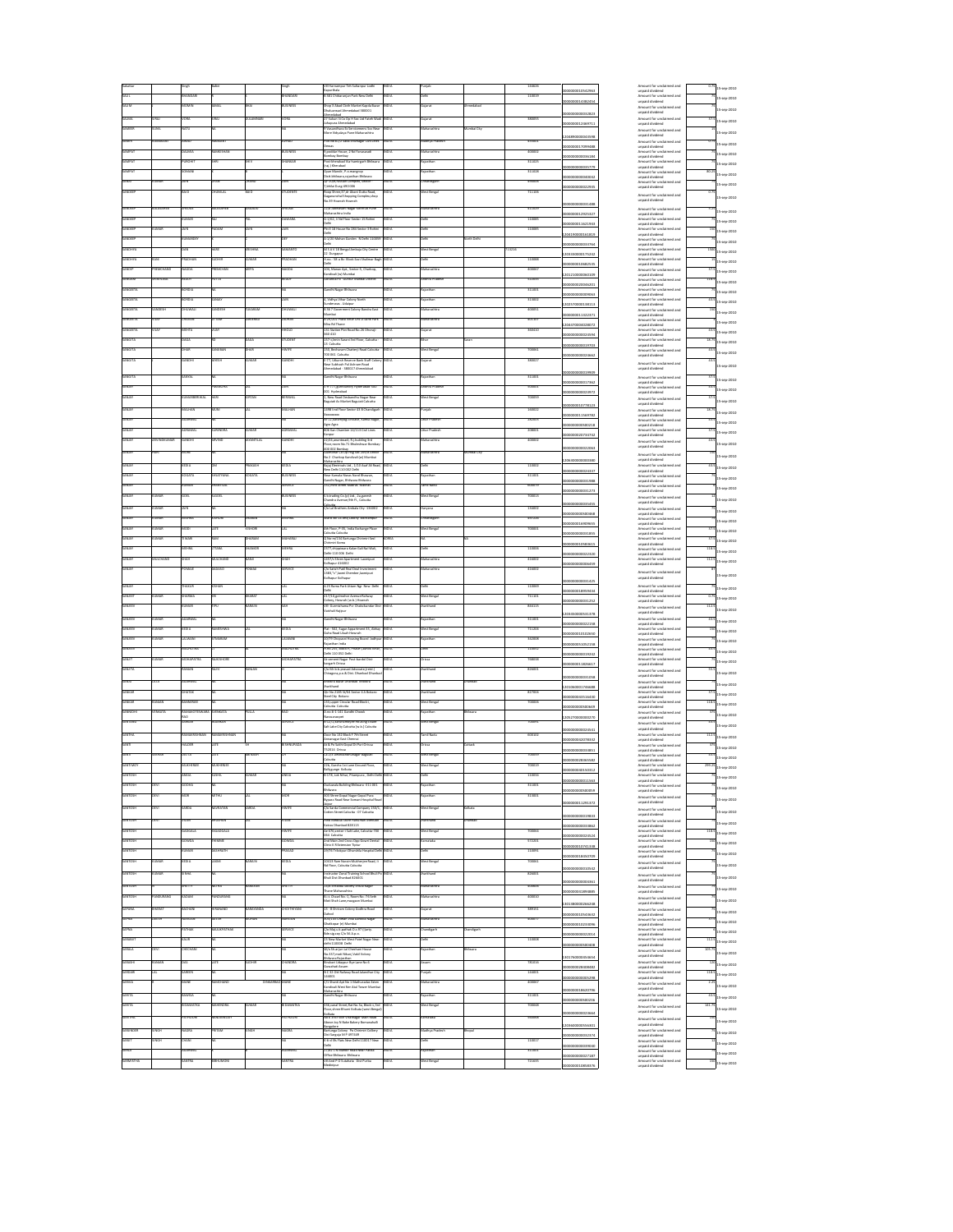|              |               |             |         |       | rthala                                                                                                                    |                         |            | 14462            |                              | Amount for unclaimed and                                                                                               |                  | Sarp 2010                                                                                                                                                                                                                                                                                                                                                                                                                                                               |
|--------------|---------------|-------------|---------|-------|---------------------------------------------------------------------------------------------------------------------------|-------------------------|------------|------------------|------------------------------|------------------------------------------------------------------------------------------------------------------------|------------------|-------------------------------------------------------------------------------------------------------------------------------------------------------------------------------------------------------------------------------------------------------------------------------------------------------------------------------------------------------------------------------------------------------------------------------------------------------------------------|
|              |               |             |         |       | op 3 Abad Cloth Market Kapda ila                                                                                          |                         |            | 1100             |                              | Amount for uncommodiate<br>Amount for unclaimed and<br>unpaid dividend<br>Amount for unclaimed and                     |                  | ep-2010                                                                                                                                                                                                                                                                                                                                                                                                                                                                 |
|              |               |             |         |       | and 380000                                                                                                                |                         |            |                  |                              | unpaid dividend                                                                                                        |                  | ep-2010                                                                                                                                                                                                                                                                                                                                                                                                                                                                 |
|              |               |             |         |       | است.<br>Soc Ltd Fa<br>Sura Ahmedabar                                                                                      |                         |            |                  | 2469713                      | Amount for unclaimed and<br>unpaid dividend                                                                            | IJ               | sep-2010                                                                                                                                                                                                                                                                                                                                                                                                                                                                |
|              |               |             |         |       |                                                                                                                           |                         |            |                  | 043598                       | Amount for unclaimed and<br>unpaid dividend                                                                            |                  | sep-2010                                                                                                                                                                                                                                                                                                                                                                                                                                                                |
|              |               |             |         |       | ot No 81/2 Sada Shiyoarar Civil Line                                                                                      | XA                      |            | 455001           | 1099488                      | Amount for unclaimed and<br>unnaid distributed                                                                         | 0.7              | S-sep-2010                                                                                                                                                                                                                                                                                                                                                                                                                                                              |
|              |               |             |         |       |                                                                                                                           |                         |            |                  | 136184                       | known<br>Imount for unclaimed and<br>impaid dividend                                                                   |                  | S-sep-2010                                                                                                                                                                                                                                                                                                                                                                                                                                                              |
|              |               |             |         |       | (.) Khen                                                                                                                  | XA                      | иħ         | 311028           | 35779                        | Amount for unclaimed and<br>unpaid dividend<br>Amount for unclaimed and                                                | \$0.2            | sep-2010                                                                                                                                                                                                                                                                                                                                                                                                                                                                |
|              |               |             |         |       | un Mandir, P.o.mangrop<br>itt.bhilwara,rajasthan Bhili<br>vara<br>10/e.russian Complex, Secti                             |                         |            | ascon            | 0042                         | unpaid dividend                                                                                                        |                  | 5-sep-2010                                                                                                                                                                                                                                                                                                                                                                                                                                                              |
|              |               |             |         |       | bhilai Durg-490 006                                                                                                       |                         |            |                  | 000022935                    | Amount for unclaimed and<br>unpaid dividend                                                                            |                  | sep-2010                                                                                                                                                                                                                                                                                                                                                                                                                                                                |
|              |               |             |         |       | sop Shree, 17, dr Abani Dutta Road,<br>igaranchal Shopping Complex, shop<br>is 19 Howrah Howrah                           |                         |            |                  |                              | Amount for unclaimed and<br>unpaid dividend                                                                            |                  | Sarp 2010                                                                                                                                                                                                                                                                                                                                                                                                                                                               |
|              |               |             |         |       | /a Jaibhavani Nagar Kothnud Pune<br>sarashtra India                                                                       |                         |            | 411029           | 31488                        | Amount for unclaimed and                                                                                               | 52               | 5-sep-2010                                                                                                                                                                                                                                                                                                                                                                                                                                                              |
|              |               |             |         |       | -1/62. Il Nd Floor Sector 15 Rohini                                                                                       |                         |            | 110082           | 1621943                      | unpaid dividend<br>Amount for unclaimed and<br>unpaid dividend                                                         |                  | Sarp 2010                                                                                                                                                                                                                                                                                                                                                                                                                                                               |
|              |               |             |         |       | t I 1816                                                                                                                  |                         |            | 11008            | 204190000161819              | Amount for unclaimed and<br>unpaid dividend                                                                            |                  | sep-2010                                                                                                                                                                                                                                                                                                                                                                                                                                                                |
|              |               |             |         |       | 1/20 Mohai                                                                                                                |                         |            |                  | 0000000033764                | Amount for unclaimed and<br>unpaid dividend                                                                            |                  | 5-sep-2010                                                                                                                                                                                                                                                                                                                                                                                                                                                              |
|              |               |             |         |       | 5 AV 18 Bengal Arribuj                                                                                                    |                         |            |                  |                              | Amount for unclaimed and                                                                                               | 19               | sep-2010                                                                                                                                                                                                                                                                                                                                                                                                                                                                |
|              |               |             |         |       | o. 58-a Bo                                                                                                                |                         |            | 11008            | 682535                       | Amount for uncularmed and<br>unpaid dividend<br>Amount for unclaimed and<br>unpaid dividend                            |                  | sep-2010                                                                                                                                                                                                                                                                                                                                                                                                                                                                |
|              | <b>IMCHAN</b> |             |         |       | 34, Marav Apt., Sector-5, Charkop,<br>dival (w) Mumba                                                                     |                         |            | 400067           | 20121<br>60109               | Amount for unclaimed and<br>unpaid dividend                                                                            | B                | 5-sep-2010                                                                                                                                                                                                                                                                                                                                                                                                                                                              |
|              | NIVASA        |             |         |       | rantia Po Guntur Mandal District                                                                                          |                         |            | 522035           |                              | Amount for unclaimed and<br>unpaid dividend<br>Amount for unclaimed and                                                | 118              | Sarp 2010                                                                                                                                                                                                                                                                                                                                                                                                                                                               |
|              |               |             |         |       | ni Nagar B                                                                                                                |                         |            | 31100            | 09063                        | unpaid dividend<br>Amount for unclaimed and                                                                            |                  | -<br>sep-2010                                                                                                                                                                                                                                                                                                                                                                                                                                                           |
|              |               |             |         |       | Vidhya Vihar Colony North<br>derwas . Udalpur                                                                             |                         |            | 313002           | 202570000138113              | unpaid dividend                                                                                                        | 43.              | 5-sep-2010                                                                                                                                                                                                                                                                                                                                                                                                                                                              |
|              |               |             |         |       | 36 7 Governent Colony B<br>29/202 Pla                                                                                     |                         |            | 40005<br>40110   | 011322371                    | Amount for unclaimed and<br>unpaid dividend                                                                            | π                | Sarp 2010                                                                                                                                                                                                                                                                                                                                                                                                                                                               |
|              |               |             |         |       | ra Rd Th                                                                                                                  |                         |            |                  | 204470004028072              | Amount for unclaimed and<br>unpaid dividend<br>Amount for unclaimed and                                                |                  | S-sep-2010                                                                                                                                                                                                                                                                                                                                                                                                                                                              |
|              |               |             |         |       | 1 Station Plot Road No. 26 Dhoraji-<br>3 410<br>7-c, lenin Sarani 3rd Floor, Calcutta                                     |                         |            | 360410           | 0024594                      | unpaid dividend<br>Amount for unclaimed and                                                                            | 43.<br>187       | sep.2010                                                                                                                                                                                                                                                                                                                                                                                                                                                                |
|              |               |             |         |       | Calcutta<br>.<br>Recharam Chatterii                                                                                       |                         |            | 700063           | 019703                       | unpaid dividend<br>Amount for unclaimed and                                                                            | $\overline{a}$   | Sarp 2010                                                                                                                                                                                                                                                                                                                                                                                                                                                               |
|              |               |             |         |       | 0051 Calcum                                                                                                               |                         |            | 38002            | 0024662                      | unpaid dividend                                                                                                        | 41               | sep 2010                                                                                                                                                                                                                                                                                                                                                                                                                                                                |
|              |               |             |         |       | 77, Utkarsh Reserve Bank Staff C<br>sar Subhash Pul Ashram Road<br>smedabad - 380027 Ahmedabad                            |                         |            |                  |                              | Amount for unclaimed and<br>unpaid dividend                                                                            |                  | sep-2010                                                                                                                                                                                                                                                                                                                                                                                                                                                                |
|              |               |             |         |       | ndhi Nagar Bhilwara                                                                                                       |                         |            | 311001           | 017362                       | Amount for unclaimed and                                                                                               | 17.              | 5-sep-2010                                                                                                                                                                                                                                                                                                                                                                                                                                                              |
|              |               |             |         |       | 2-777 aunfoundry H<br>tederated                                                                                           |                         |            | sacco            | 00023972                     | unpaid dividend<br>Amount for unclaimed and<br>unpaid dividend                                                         | $\overline{a}$   | sep 2010                                                                                                                                                                                                                                                                                                                                                                                                                                                                |
|              |               |             |         |       | a report success<br>New Road Desbandhu Nagar Near<br>paiati Ac Market Baguiati Calcutta                                   |                         |            |                  |                              | Amount for unclaimed and                                                                                               |                  | sep-2010                                                                                                                                                                                                                                                                                                                                                                                                                                                                |
|              |               |             |         |       | 198 lind Floor Sector 43 B Chandigan                                                                                      |                         | ist        | 160022           | 10778123                     | unpaid dividend<br>Amount for unclaimed and                                                                            | 187              | sep-2010                                                                                                                                                                                                                                                                                                                                                                                                                                                                |
|              |               |             |         |       | -12 karan                                                                                                                 |                         |            | 282005           | 1569782                      | unpaid dividend<br>Amount for unclaimed and                                                                            | $\overline{a}$   | sep-2010                                                                                                                                                                                                                                                                                                                                                                                                                                                                |
|              |               |             |         |       | ra Agra<br>Kan Chamber 14/113 Ou                                                                                          |                         |            | 208001           | 900218                       | unpaid dividend<br>Amount for unclaimed and                                                                            | $_{17}$          | sep-2010                                                                                                                                                                                                                                                                                                                                                                                                                                                                |
|              |               |             |         |       | 2/24, anantwadi, R. J. building 3rd<br>loor, room No. 71 Bhuleshwar Bomb.                                                 | XA                      |            | 400002           | 0734742                      | unpaid dividend<br>Amount for unclaimed and                                                                            | 41               |                                                                                                                                                                                                                                                                                                                                                                                                                                                                         |
|              |               |             |         |       | 0028<br>ar uuz wombav<br>almohar Co Op Hug Soc 209/8 Secto<br>> 2  Charkop Kandivali (w) Mumbai                           |                         |            |                  |                              | unpaid dividend<br>Amount for unclaimed and                                                                            |                  | sep-2010                                                                                                                                                                                                                                                                                                                                                                                                                                                                |
|              |               |             |         |       | rashtra                                                                                                                   |                         |            |                  |                              | unpaid dividend                                                                                                        |                  | sep-2010                                                                                                                                                                                                                                                                                                                                                                                                                                                                |
|              |               | <b>LATA</b> |         | AKASI | is Ltd., 1/10 Asaf Ali Ro<br>v Delhi 110 002 Delhi<br>ur Kamala Niwas Nand Bha                                            |                         |            | 110002<br>311001 |                              | Amount for unclaimed and<br>unpaid dividend<br>Amount for unclaimed and                                                | $\overline{a}$   | 5-sep-2010                                                                                                                                                                                                                                                                                                                                                                                                                                                              |
|              |               |             |         |       | er Karana Kwas Kana Mareka<br>at Madran Made                                                                              |                         |            |                  |                              | unpaid dividend                                                                                                        |                  | sep-2010                                                                                                                                                                                                                                                                                                                                                                                                                                                                |
|              |               |             |         |       |                                                                                                                           |                         |            | 700013           | 81273                        | Amount for unclaimed and<br>unpaid dividend                                                                            |                  | sep-2010                                                                                                                                                                                                                                                                                                                                                                                                                                                                |
|              |               |             |         |       | ctrading Co.(p) Ltd., Za,ganesh<br>andra Avenue,9th FL, Calcutta                                                          |                         |            |                  | 135455                       | Amount for unclaimed and<br>unpaid dividend                                                                            |                  | <b>S-sep-2010</b>                                                                                                                                                                                                                                                                                                                                                                                                                                                       |
|              |               |             |         |       | utta<br>Lai Brothers Ambala City -134002                                                                                  |                         |            | 114002           | 00468                        | Amount for unclaimed and<br>unpaid dividend                                                                            |                  | sep-2010                                                                                                                                                                                                                                                                                                                                                                                                                                                                |
|              |               |             |         |       |                                                                                                                           |                         |            |                  |                              | Amount for unclaimed and<br>unpaid dividend                                                                            |                  | sep-2010                                                                                                                                                                                                                                                                                                                                                                                                                                                                |
|              |               |             |         |       | i Floor, P-35, India Exch<br>rutta Calcutta<br>io-m/114 Bar                                                               |                         |            | 70000            |                              | Amount for unclaimed and<br>unpaid dividend<br>Amount for unclaimed and                                                | x                | S-sep-2010                                                                                                                                                                                                                                                                                                                                                                                                                                                              |
|              |               |             |         |       |                                                                                                                           |                         |            |                  | 583615                       | unpaid dividend                                                                                                        | IJ               | sep-2010                                                                                                                                                                                                                                                                                                                                                                                                                                                                |
|              |               |             |         |       |                                                                                                                           |                         |            | 416002           | 22320                        | Amount for unclaimed and<br>unpaid dividend                                                                            | Ħ<br>112         | sep-2010                                                                                                                                                                                                                                                                                                                                                                                                                                                                |
|              |               |             |         |       | 457/c Shree Apart<br>hapur 416002<br>Satish Patil Real D                                                                  |                         |            | 416002           |                              | Amount for unclaimed and<br>unpaid dividend                                                                            |                  | 5-sep-2010                                                                                                                                                                                                                                                                                                                                                                                                                                                              |
|              |               |             |         |       | 383,"c",laxmi Chember,laxmipuri<br>hapur Kolhapur                                                                         |                         |            |                  |                              | Amount for unclaimed and<br>unpaid dividend                                                                            |                  | sep-2010                                                                                                                                                                                                                                                                                                                                                                                                                                                                |
|              |               |             |         |       | 5 Rama Park Uttam Ng                                                                                                      |                         |            | 11000            |                              | Amount for unclaimed and                                                                                               |                  | sep-2010                                                                                                                                                                                                                                                                                                                                                                                                                                                                |
|              |               | uw          |         |       | 17/10 golmohor Avenue Railway<br>rty, Howrah (w.b.) Howrah                                                                | XA                      | st Benga   | 711102           | 359434<br>0031252            | unpaid dividend<br>Amount for unclaimed and<br>unpaid dividend                                                         | ă                | 5-sep-2010                                                                                                                                                                                                                                                                                                                                                                                                                                                              |
|              |               |             |         |       | II- Gurmishama Po- Chakskandar E<br><b>Inches Helpur</b>                                                                  |                         |            | 844115           |                              | Amount for unclaimed and                                                                                               | 112              |                                                                                                                                                                                                                                                                                                                                                                                                                                                                         |
|              |               |             |         |       |                                                                                                                           |                         |            |                  |                              | unpaid dividend                                                                                                        |                  |                                                                                                                                                                                                                                                                                                                                                                                                                                                                         |
|              |               |             |         |       |                                                                                                                           |                         |            |                  | 531378                       |                                                                                                                        | 43               | $-$ sep $-2010$                                                                                                                                                                                                                                                                                                                                                                                                                                                         |
|              |               |             |         |       | t - 502, Sagar Appartment 33, Abha                                                                                        |                         | st Beng    | 71120            | 22158                        | Amount for unclaimed and<br>unpaid dividend<br>Amount for unclaimed and                                                | E                | sep.2010                                                                                                                                                                                                                                                                                                                                                                                                                                                                |
|              |               |             |         |       | ha Road Liluah Howrah<br>179 Chogasni Housing Board Jodh                                                                  |                         |            | 342008           |                              | unpaid dividend<br>Amount for unclaimed and                                                                            |                  | 5-sep-2010<br>sep-2010                                                                                                                                                                                                                                                                                                                                                                                                                                                  |
|              |               |             |         |       | asthan India<br>n 255 Block-                                                                                              |                         |            | 11005            | 352158                       | unpaid dividend                                                                                                        | $\overline{a}$   |                                                                                                                                                                                                                                                                                                                                                                                                                                                                         |
|              |               |             |         |       | hi 110 052 D<br>reet Nagar Pos                                                                                            |                         |            | 768038           | 019242                       | Amount for unclaimed and<br>unpaid dividend<br>Amount for unclaimed and                                                |                  |                                                                                                                                                                                                                                                                                                                                                                                                                                                                         |
|              |               |             |         |       | rgarh Orissa<br>o Mr. b. b. prasad A                                                                                      |                         |            | 826001           | 00000011826617               | unpaid dividend<br>Amount for unclaimed and                                                                            | z                |                                                                                                                                                                                                                                                                                                                                                                                                                                                                         |
|              |               |             |         |       | rancra p.o.& Dist. Dhanbad Dhanb<br>wra Gu                                                                                |                         |            |                  | 0031058                      | unpaid dividend                                                                                                        |                  |                                                                                                                                                                                                                                                                                                                                                                                                                                                                         |
|              |               |             |         |       | -<br>- No 2185 54,04                                                                                                      |                         |            | 82700            | 01746688                     | Amount for unclaimed and<br>unpaid dividend<br>Amount for unclaimed and                                                | x                |                                                                                                                                                                                                                                                                                                                                                                                                                                                                         |
|              |               |             |         |       | el City Bokaro                                                                                                            |                         |            |                  | <b><i>ISSIGEN</i></b>        | <b>hospitally</b> history<br>Amount for unclaimed and                                                                  | 115              |                                                                                                                                                                                                                                                                                                                                                                                                                                                                         |
|              |               |             |         |       | 11,upper Crculi<br>sicutta Calcutta<br>$3.6 - 1 - 141$                                                                    |                         |            |                  |                              |                                                                                                                        |                  |                                                                                                                                                                                                                                                                                                                                                                                                                                                                         |
|              |               |             |         |       | 12/1,karun<br>rroyee Housing Estab                                                                                        |                         |            |                  |                              | Amount for uncommodiate<br>Amount for unclaimed and<br>unpaid dividend<br>Amount for unclaimed and                     | 42               |                                                                                                                                                                                                                                                                                                                                                                                                                                                                         |
|              |               |             |         |       | It Lake City Calcutta [w.b.] Calcutt<br>Min 117 Block E This G                                                            |                         |            |                  | 04541                        | unpaid dividend<br>Amount for unclaimed and                                                                            | $\overline{112}$ |                                                                                                                                                                                                                                                                                                                                                                                                                                                                         |
|              |               |             |         |       | ar East Of                                                                                                                |                         |            |                  | 12078332                     |                                                                                                                        |                  |                                                                                                                                                                                                                                                                                                                                                                                                                                                                         |
|              | <b>SAHO</b>   | ATTA        | Œ       | INASH | 3/3 Deshbandhunagar Bagulati                                                                                              | <b>NDLA</b>             | est Bengal | 700059           | 13851                        | Amount for uncurried and<br>unpaid dividend<br>Amount for unclaimed and<br>unpaid dividend<br>Amount for unclaimed and | 43.5             |                                                                                                                                                                                                                                                                                                                                                                                                                                                                         |
|              |               | nmen        | meraire |       | sta<br>to. Garcha 1st Lane Gro<br>avi Cou                                                                                 | $\overline{\mathbf{z}}$ | it Santa   | 700019           | 028365582                    |                                                                                                                        | 299.2            |                                                                                                                                                                                                                                                                                                                                                                                                                                                                         |
|              |               |             |         |       | dygunge Kolkata<br>178, Lok Nihar, Pr                                                                                     |                         |            |                  | 00000040150312               | unpaid dividend<br>Amount for unclaimed and<br>unpaid dividend<br>Amount for unclaimed and                             |                  |                                                                                                                                                                                                                                                                                                                                                                                                                                                                         |
|              |               |             |         |       | uwala Building Bhilwara - 311 001                                                                                         | XA                      |            | 311001           | 0011563                      | unpaid dividend<br>Amount for unclaimed and                                                                            |                  |                                                                                                                                                                                                                                                                                                                                                                                                                                                                         |
|              |               |             |         |       | huara<br>33 Shree G                                                                                                       |                         |            | 313001           |                              | unpaid dividend<br>Amount for unclaimed and                                                                            |                  |                                                                                                                                                                                                                                                                                                                                                                                                                                                                         |
|              |               |             |         |       | 1 Shree Gopal Nagar Gopal Pura<br>sass Road Near Somani Hospital Rou                                                      |                         | st Bengal  |                  | 00000011291372               | unpaid dividend<br>Amount for unclaimed and                                                                            |                  |                                                                                                                                                                                                                                                                                                                                                                                                                                                                         |
|              |               |             |         |       | o Sarda Commercial Company 150/1<br>tten Street Calcutta - 07 Calcutta                                                    |                         |            |                  | 00019833                     | unpaid dividend                                                                                                        |                  |                                                                                                                                                                                                                                                                                                                                                                                                                                                                         |
|              |               |             |         |       | nd Medical Store Hanuman Mensio<br>tras Dhanbad 828113                                                                    |                         | rkhand     |                  | 033862                       | Amount for unclaimed and                                                                                               |                  |                                                                                                                                                                                                                                                                                                                                                                                                                                                                         |
|              |               |             |         |       | e 676, sector-i Salt Lake, Cali<br>14  Calcutta                                                                           |                         |            |                  | 00024524                     | unpaid dividend<br>Amount for unclaimed and                                                                            | щ                |                                                                                                                                                                                                                                                                                                                                                                                                                                                                         |
|              |               |             |         |       | d Main 2nd Cross Opp G<br>inic K R Extension Tiptur<br>3/76 Trilokpuri Charshila H                                        |                         |            | 572201<br>110091 | 00000010741338               | unpaid dividend<br>Amount for unclaimed and<br>unpaid dividend<br>Amount for unclaimed and                             | 15               |                                                                                                                                                                                                                                                                                                                                                                                                                                                                         |
|              |               |             |         |       | <b>M13 Ram Narain Muk</b>                                                                                                 |                         |            |                  | 0018450709                   | unpaid dividend<br>Amount for unclaimed and                                                                            |                  |                                                                                                                                                                                                                                                                                                                                                                                                                                                                         |
|              |               |             |         |       | d Floor, Calcutta Calcutta                                                                                                |                         |            |                  | 010542                       | unpaid dividend                                                                                                        |                  |                                                                                                                                                                                                                                                                                                                                                                                                                                                                         |
|              |               |             |         |       | itructor Zonal Training Sch<br>uli Dist Dhanbad 826001                                                                    |                         |            | 826001           | 04361                        | Amount for unclaimed and<br>unpaid dividend                                                                            |                  |                                                                                                                                                                                                                                                                                                                                                                                                                                                                         |
|              |               |             |         |       | 4/8 Shradda Society Shivai f<br>ne Maharashtr                                                                             |                         |            | 400606           | 00000041894885               | Amount for unclaimed and<br>unpaid dividend                                                                            |                  |                                                                                                                                                                                                                                                                                                                                                                                                                                                                         |
|              |               |             |         |       | are wat<br>.t. Chawl No.-1, Room No.-7<br>oti Shah Lane, mazgaon Mum<br>stal                                              |                         |            |                  |                              | Amount for unclaimed and                                                                                               |                  |                                                                                                                                                                                                                                                                                                                                                                                                                                                                         |
|              |               |             |         |       | - B Shricam Colony Godhra Roa                                                                                             |                         |            | 389151           | 301380000266248<br>0543632   | unpaid dividend<br>Amount for unclaimed and                                                                            |                  |                                                                                                                                                                                                                                                                                                                                                                                                                                                                         |
|              |               |             | roi     |       | 12/145 Chetan Villa Gan<br>par (e) Mumbai                                                                                 |                         |            | 400077           |                              | unpaid dividend<br>Amount for unclaimed and                                                                            | $\frac{1}{27}$   |                                                                                                                                                                                                                                                                                                                                                                                                                                                                         |
|              |               |             |         |       | : Maj.u.k.pathak O.c.97 (i)arty.<br>e.sig.coy C/o 56 A.p.o.                                                               |                         |            |                  | 00000010233096<br>0022014    | unpaid dividend<br>Amount for unclaimed and<br>unpaid dividend                                                         |                  |                                                                                                                                                                                                                                                                                                                                                                                                                                                                         |
|              |               |             |         |       | 23 New Market West Patel Nagar Ne<br>delhi 110008 Delhi                                                                   | ЗÅ                      |            | 110008           | 00408                        | Amount for unclaimed and<br>unpaid dividend                                                                            | 112              |                                                                                                                                                                                                                                                                                                                                                                                                                                                                         |
|              |               |             |         |       | .<br>Wo Sh arjun Lal Chechani House<br>io. 337, moti Nikunj Vakil Volony                                                  |                         |            |                  |                              | Amount for unclaimed and                                                                                               | 1053             |                                                                                                                                                                                                                                                                                                                                                                                                                                                                         |
|              |               |             |         |       | <b>Ware Ralastha</b><br>ubari Udaypur Bye Lane No 6                                                                       | XA                      |            | 781016           | 301760000454654              | unpaid dividend<br>Amount for unclaimed and                                                                            | 12               |                                                                                                                                                                                                                                                                                                                                                                                                                                                                         |
|              |               |             |         |       | wahati Assam<br>C 32 Old Railway Road Jalandha<br>4001                                                                    |                         |            | 144001           | 000000028408482<br>05298     | unpaid dividend<br>Amount for unclaimed and                                                                            | 118              |                                                                                                                                                                                                                                                                                                                                                                                                                                                                         |
|              |               |             |         |       | Shanti Apt No 1 Math<br>dival West Ner Atul Tower Mumb                                                                    |                         |            |                  |                              | unpaid dividend<br>Amount for unclaimed and                                                                            | $\overline{z}$   |                                                                                                                                                                                                                                                                                                                                                                                                                                                                         |
|              |               |             |         |       | aharashtra<br>anchi Nagar Dhibwatt                                                                                        | XA                      |            | 311001           | 0018620796                   | unpaid dividend<br>Amount for unclaimed and                                                                            | $\overline{a}$   |                                                                                                                                                                                                                                                                                                                                                                                                                                                                         |
|              |               |             |         |       | , canal Street, flat No. 3a, Mock-c, Inc                                                                                  |                         |            | 700048           | 00000000500236               | unpaid dividend<br>Amount for unclaimed and                                                                            | 1413             |                                                                                                                                                                                                                                                                                                                                                                                                                                                                         |
|              |               |             |         |       | or, shree Bhurri Kolkata (west Benga                                                                                      |                         |            |                  | 000023664                    | unpaid dividend<br>Amount for unclaimed and                                                                            |                  | sep-2010<br>5-sep-2010<br>sep-2010<br>sep-2010<br>5-sep-2010<br>S-sep-2010<br>sep-2010<br>ep-2010<br>sep-2010<br>iep-2010<br>15-sep-2010<br>-<br>sep-2010<br>sep-2010<br>5-sep-2010<br>5-sep-2010<br>S-sep-2010<br>5-sep-2010<br>5-sep-2010<br>5-sep-2010<br>5-sep-2010<br>5-sep-2010<br>S-sep-2010<br>5-sep-2010<br>S-sep-2010<br>5-sep-2010<br>5-sep-2010<br>sep-2010<br>5-sep-2010<br>5-sep-2010<br>5-sep-2010<br>5-sep-2010<br>5-sep-2010<br>5-sep-2010<br>sep-2010 |
|              |               |             |         |       | skata<br>s 6 Jed Floor Viratragar Main Road<br>sove Joy N Bake Bakery Bornanahal                                          |                         |            |                  | 203600000556301              | unpaid dividend                                                                                                        |                  | S-sep-2010                                                                                                                                                                                                                                                                                                                                                                                                                                                              |
|              |               |             |         |       | unga Colony Po Chirimiri Colliery                                                                                         |                         | fria i     | 110017           | 0032374                      | Amount for unclaimed and                                                                                               |                  | S-sep-2010                                                                                                                                                                                                                                                                                                                                                                                                                                                              |
| RABIL<br>au. |               |             |         |       | st Sarguja M P 497449<br>6-d Sfs Flats New Delhi 110017 New<br>/82 L N Mandir Road Near Patika<br>fice Bhilwara  Bhilwara |                         |            | 311001           | 00000000039040<br>0000027187 | unpaid dividend<br>Amount for unclaimed and<br>unpaid dividend<br>Amount for unclaimed and<br>unpaid dividend          |                  | -sep-2010<br>sep-2010                                                                                                                                                                                                                                                                                                                                                                                                                                                   |

| imed and<br>a fe<br>unpaid dividend                                                     |                         | sep-2010       |
|-----------------------------------------------------------------------------------------|-------------------------|----------------|
| imed and<br>Amount for und                                                              | ś                       | sep-2010       |
| hreaid dividend                                                                         |                         |                |
| Amount for und<br>imed and<br>hreaid dividend                                           |                         | sep-2010<br>ß  |
| mount for und<br>im<br>d and<br>unpaid dividend                                         | 7.5                     | sep-2010       |
| e fo<br>r und<br>ma<br>d and                                                            | E                       |                |
| unpaid dividend                                                                         |                         | p-2010         |
| ount for und<br>paid dividend<br>d ar<br>k<br>ä<br>np                                   |                         | 2010<br>ép     |
| Amount for unclaimed and<br>unpaid dividend                                             | 5                       | sep-2010       |
| Amour<br>for and<br><b>Imediand</b>                                                     |                         | sep-2010       |
| aid divide<br>i<br>Mdend<br>for und<br>unpai<br>Amou<br>i si<br>ä                       |                         |                |
| dd<br>nd<br>ń,<br>Amount for unclaimed and                                              |                         | sep-2010       |
| unpaid dividend                                                                         |                         | 5-sep-2010     |
| .<br>mount for und<br>npaid dividend<br>d and<br>im                                     |                         | p-2010         |
|                                                                                         |                         | ß              |
| t for undair<br><b>Longest</b><br>á.<br>ä                                               | $\overline{\mathbf{z}}$ | sep-2010       |
| unpaid dividend<br>Amount for und<br>med and                                            |                         | iep-2010<br>Ľ, |
| unpaid dividend<br>Amount for und<br>imed and                                           | i<br>s.                 | 0.0010         |
| aid divide<br>нÀ<br>aimed and                                                           |                         | ú              |
| Amount for und<br>unpaid dividend<br>Amount for und                                     |                         | 2010           |
| imed and<br>unpaid dividend                                                             |                         | ép<br>2010     |
| Amount for unclaimed and                                                                | 15                      | sep-2010       |
| brebivib bison<br>$A$ mou<br>unt for und<br>aid dividend<br>i ar<br>ä                   | ŧ                       | 2010           |
| d and<br>unt fa                                                                         |                         |                |
| mo<br>nd<br>unpaid dividend                                                             |                         | p-2010         |
| Amount for unclaimed and<br>npaid dividend                                              | 7                       | 5-sep-2010     |
| .<br>An<br>$\alpha$<br>for und<br>imed and<br>aid divide                                |                         | 2010           |
| ١d<br>nş<br>d and<br>unpeu unne<br>Amount for und<br>unpaid dividend<br>m               |                         | 2010<br>sep    |
| Amount for unclaimed and                                                                |                         |                |
| npaid dividend                                                                          |                         | sep-2010<br>ß  |
| .<br>An<br>.<br>1011<br>for und<br><b>Imediand</b><br>aid divide<br>.<br>1d             |                         | sep-2010<br>ú  |
| Amount for und<br>unpaid dividend<br>imed and                                           |                         | sep-2010<br>Ľ, |
| Amount for unclaimed and                                                                |                         |                |
| npaid dividend                                                                          |                         | 15-sep-2010    |
| t fe<br>d and<br>im                                                                     |                         | p-2010         |
| unpaid dividend<br><b>Linco</b><br>t for unda<br>á.<br>ä                                |                         |                |
| id diwd<br>np<br>kind                                                                   |                         | 2010           |
| Amount for unclaimed and<br>unpaid dividend                                             |                         | is<br>sep-2010 |
| .<br>mount for und<br>im<br>d and                                                       |                         |                |
| unpaid dividend                                                                         |                         | p-2010         |
| .<br>mount for und<br>npaid dividend<br>np                                              |                         | ep-2010        |
| Amount for unclaimed and                                                                |                         | 15-sep-2010    |
| hreaid dividend<br>'n<br>$\alpha$<br>for und<br>imed and                                |                         | sep-2010<br>ò, |
| aid divide<br>nd<br>nş                                                                  |                         |                |
| Amount for uncl<br>unpaid dividend<br>d and                                             |                         | sep-2010<br>ú  |
| e fr<br>r und<br>d ar<br>ä                                                              | i                       |                |
| d dividend<br>np                                                                        |                         | ep-2010        |
| Amount for und<br>å.                                                                    |                         | ep-2010        |
| emtern ve<br>unpaid dividend<br>Amount for uncl<br>d and                                |                         | p-2010         |
| unpaid dividend<br>Amount for und<br>imed and                                           | ¢                       |                |
| aid dividend                                                                            |                         | sep-2010       |
| Amount for uncli<br>imed and<br>hreaid dividend                                         |                         | sep-2010<br>í. |
| Amount for und<br>imed and                                                              |                         | sep-2010<br>1Ś |
| unpaid dividend<br>sount for und<br>imed and<br>k                                       | 7                       |                |
| aid divide<br>nd                                                                        |                         | sep-2010<br>ú  |
| d and<br>$\alpha$<br>t for und<br>aime                                                  |                         | 2010           |
| Amourn for www<br>unpaid dividend<br>Amount for uncl<br>im<br>d and<br>unpaid dividend  | 17.5                    | sep-2010<br>ß  |
| <b>Amount for uncl</b><br>unpaid dividend<br>aimed and                                  | 115.5                   | 15-sep-2010    |
| j,<br>.<br>w<br>for und<br>d a                                                          | ś                       |                |
| id divid<br>np<br>lend                                                                  |                         | 15-sep-2010    |
| e for undi<br>d and<br>Amour<br>ime<br>unpaid dividend                                  |                         | sep-2010<br>ú  |
|                                                                                         |                         |                |
| Amount for unclaimed and<br>unpaid dividend                                             | 75                      | sep-2010       |
| Amou<br>unt for und<br>id dividend<br>å.                                                | 7                       | sep-2010       |
| Amount for und<br>d and                                                                 |                         | sep-2010<br>ú  |
| aid divis<br>nş                                                                         |                         |                |
| Amount for uncl<br>unpaid dividend<br>imed and                                          | 3                       | sep-2010<br>ú  |
| 즚<br>t for und<br>ù<br>å.<br>ä                                                          | ter                     | sep-2010       |
| emtern ve<br>unpaid dividend<br>Amount for uncl<br>med and                              |                         | ep-2010<br>Ľ,  |
| unpaid dividend<br>Amount for unclaimed and                                             |                         |                |
| aid dividend                                                                            |                         | sep-2010<br>ú  |
| aimed and<br>ia<br>Am<br>vnp<br>ount for und<br>said dividend                           |                         | 2010           |
| Amount for unclaim<br>d and                                                             |                         | sep-2010       |
| aid divide<br>ü<br>Amount for unclaimed and                                             |                         |                |
| aid dividend                                                                            |                         | sep-2010       |
| aimed and                                                                               |                         | 2010           |
| Amount for uncl<br>Amount for uncl<br>unpaid dividend<br>unpaid dividend<br>d and<br>im | is,                     | sep-2010<br>1Ś |
| Amour<br>aunt for uncl<br>aid dividend<br><b>Imediand</b>                               | 37<br>š                 | 15-sep-2010    |
| Amount for und<br>imed and                                                              |                         |                |
| breakd dividend                                                                         |                         | 5-sep-2010     |
| Amount for unclaimed and<br>unpaid dividend                                             | 12.5                    | 15-sep-2010    |
| imed and                                                                                | 375                     | 15-sep-2010    |
| Amount for uncl<br>unpaid dividend<br>Amount for uncl<br>d ar<br>ä                      |                         |                |
| id diwd<br>nş<br>nd<br>Amount for unclaimed and                                         |                         | 15-sep-2010    |
| unpaid dividend                                                                         | 0.25                    | 15-sep-2010    |
| $\sim$<br>for a<br><br>id di<br>i4<br>nd                                                |                         | 2010           |
| t for<br>.<br>An<br>$\alpha$<br>und<br>da                                               |                         | sep.2010       |
| in.<br>d divid<br>nş<br>nd<br>Amour<br>d a                                              | 75                      |                |
| unt for uncl<br>id divident<br>ų                                                        |                         | sep-2010       |
| it for und<br>d and<br>mour<br>im                                                       |                         | 5-sep-2010     |
| unpaid dividend<br>it for und<br>ma<br>d and<br>im                                      |                         |                |
| unpaid dividend                                                                         |                         | sep-2010<br>LS |
| Amount for unclaimed and<br>npaid dividend                                              | 118                     | 15-sep-2010    |
| 'n<br>$\alpha$<br>fer und<br><b>Imediand</b><br>aid dividend                            |                         | 15-sep-2010    |
| nş<br><i>Amount for und</i><br>unpaid dividend<br>im<br>d and                           |                         | 5-sep-2010     |
| Amour<br>d ar<br>ä                                                                      | 3                       |                |
| t for und<br>d dividend<br>np                                                           |                         | sep.2010       |
| Amount for unclaimed and                                                                |                         | 5-sep-2010     |
| unpaid dividend                                                                         |                         |                |
| Amount for und<br>imed and<br>unpaid dividend                                           | 5                       | 5-sep-2010     |
| it for und<br>mour<br>d and<br>im                                                       |                         | sep-2010<br>ß  |
| unpaid dividend<br>med and                                                              |                         |                |
| .<br>mount for und<br>npaid dividend<br>lend<br>np                                      |                         | 5-sep-2010     |
| Amount for unclaimed and<br>npaid dividend                                              |                         | 5-sep-2010     |
| .<br>An<br>$\alpha$<br>fer und<br>bns bemis                                             |                         | 15-sep-2010    |
| enturn for und<br>unpaid dividend<br>enpaid dividend<br>unpaid dividend<br>aimed and    |                         | sep-2010       |
| .<br>Emreur<br>t for und<br>d ar<br>ä                                                   | 3                       |                |
| d divis<br>nş<br>nd                                                                     |                         | 15-sep-2010    |
| Amount for unclaimed and                                                                |                         | 15-sep-2010    |
| aid dividend<br>nş<br>Amount for und<br>unpaid dividend<br>im<br>d and                  |                         | 5-sep-2010     |
| ä                                                                                       |                         |                |
| Amour<br>t for und<br>d ar<br>id divis<br>nş<br>nd                                      |                         | 15-sep-2010    |
| ount for undi<br>said dividend<br>ı.<br>d ar<br>ä                                       |                         | 15-sep-2010    |
| ų                                                                                       |                         |                |
| Amount for unclaimed and<br>unpaid dividend                                             |                         | 15-sep-2010    |
| t fe<br>knou<br>r und<br>d and<br>im                                                    |                         | 5-sep-2010     |
| unpaid dividend                                                                         |                         |                |
| .<br>mount for und<br>npaid dividend<br>med and                                         |                         | 5-sep-2010     |
| Amount for unclaimed and<br>npaid dividend                                              |                         | 15-sep-2010    |
| i.<br>iour<br>for unclaimed and                                                         |                         | 15-sep-2010    |
| am turent<br>aid dividend<br>aid dividend<br>unpais<br>Amou<br>aimed and                |                         |                |
|                                                                                         |                         | 15-sep-2010    |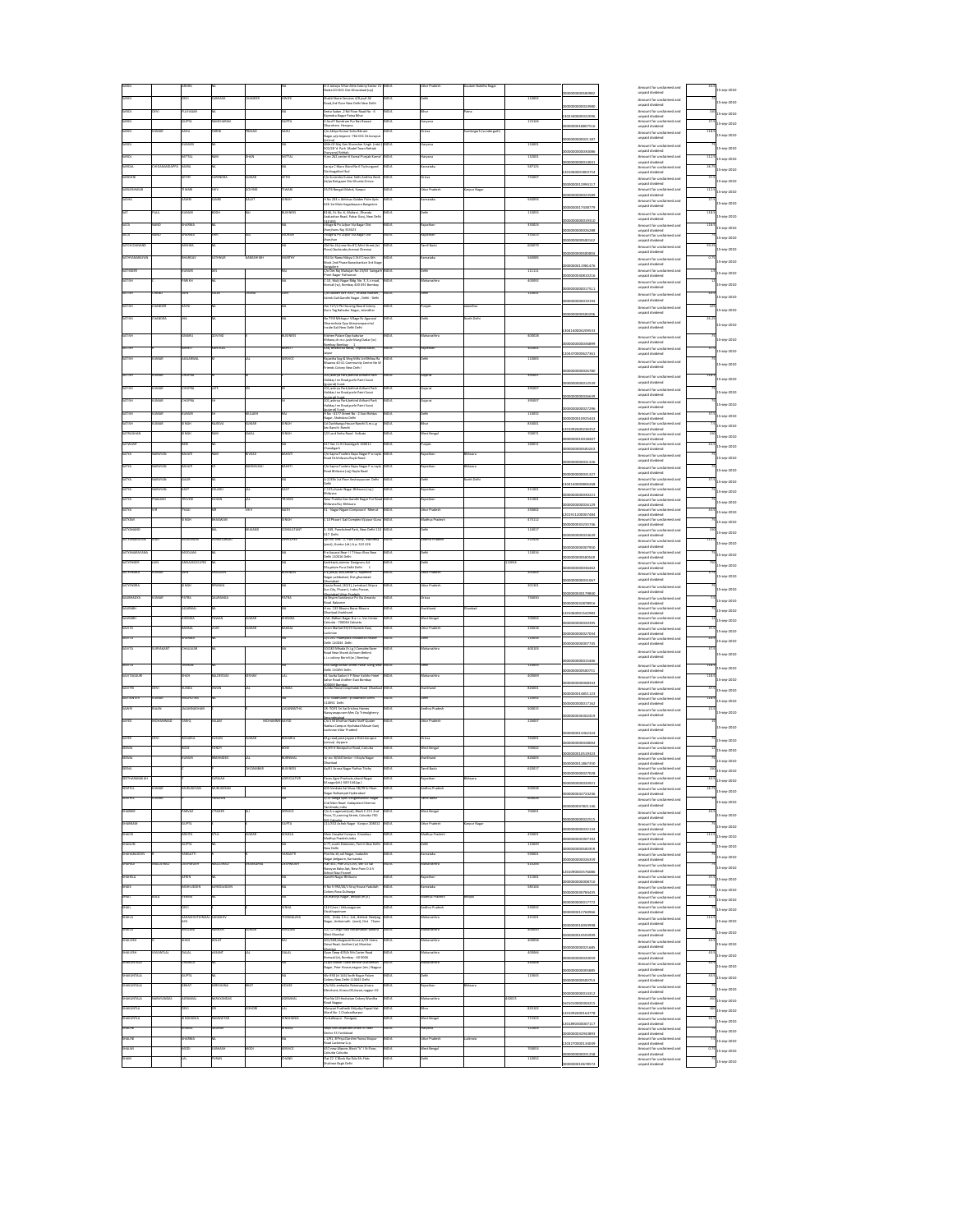|                              |            |                |         |              | : Jalvayu Vihar Afrib Colony Sect<br>da 201301 Dist Ghazlabad (up)                                                    |                |           |           |                  | 0982               | Amount for unclaimed and<br>unpaid dividend                                                                   |                         | 5-sep-2010                                                                                                                                                                                                 |
|------------------------------|------------|----------------|---------|--------------|-----------------------------------------------------------------------------------------------------------------------|----------------|-----------|-----------|------------------|--------------------|---------------------------------------------------------------------------------------------------------------|-------------------------|------------------------------------------------------------------------------------------------------------------------------------------------------------------------------------------------------------|
|                              |            |                |         |              | sktj Share Services 4/9, asaf Ali<br>and Jird Floor New Delhi New Delhi                                               |                |           |           | 11000            |                    | Amount for unclaimed and<br>unpaid dividend                                                                   |                         | iep-2010                                                                                                                                                                                                   |
|                              |            |                |         |              |                                                                                                                       |                |           |           |                  |                    | Amount for unclaimed and<br>unpaid dividend                                                                   |                         | sep-2010                                                                                                                                                                                                   |
|                              |            |                |         |              | nd P Nandram Pur Bas Rewar<br>ruhera Haryana                                                                          |                |           |           | 123100           |                    | Amount for unclaimed and<br>unpaid dividend                                                                   | IJ                      | 5-sep-2010                                                                                                                                                                                                 |
|                              |            |                |         |              | (o Akhya Kumar Sahu Bikram<br>agar,a/p Jeypore -764 001 Dt.koraput                                                    |                |           |           |                  | 021187             | Amount for unclaimed and<br>unpaid dividend                                                                   | 118                     | 5-sep-2010                                                                                                                                                                                                 |
|                              |            |                |         |              | arisse)<br>Afe Of Maj Gen Shamsher Singh-(reb<br>02/28 'd Park-Model Town Rohtak                                      |                |           |           |                  |                    | Amount for unclaimed and<br>unpaid dividend                                                                   |                         | S-sep-2010                                                                                                                                                                                                 |
|                              |            |                |         |              | vana: Honna<br>o.262.sector-6 Karnal Puniab Karn                                                                      |                |           |           | 132001           | 0014041            | Amount for unclaimed and<br>unpaid dividend                                                                   | 112                     | Sarp 2010                                                                                                                                                                                                  |
|                              |            |                |         |              | a C Mara Ward No 6 To<br>dest (Ral)                                                                                   |                |           |           | 587120           | 001803754          | Amount for unclaimed and<br>unpaid dividend                                                                   | u.                      | <b>S-sep-2010</b>                                                                                                                                                                                          |
|                              |            |                |         |              | : Surendra Kumar Sethi Andhra Bank<br>'po Balugaon Dist Khunda Orissa                                                 |                |           |           | 753007           |                    | Amount for unclaimed and<br>unpaid dividend                                                                   | 37                      | sep-2010                                                                                                                                                                                                   |
|                              |            |                |         |              | /76 Bengali Muhel, Kanp                                                                                               |                |           |           |                  | 00012994117        | Amount for unclaimed and                                                                                      | 112                     | S-sep-2010                                                                                                                                                                                                 |
|                              |            |                |         |              | No 203-c Abhinav Gol<br>6 1st Main Kagadasp<br>⊶en Palm Apt<br>ura Benerts                                            |                |           |           | 56009            |                    | unpaid dividend<br>Amount for unclaimed and                                                                   | IJ                      | sep-2010                                                                                                                                                                                                   |
|                              |            |                |         |              | 146, St. No. 6, Multani , Dhanda<br>skashan Road, Pahar Ganj, New Del                                                 |                |           |           | 110055           | 17438779           | unpaid dividend<br>Amount for unclaimed and                                                                   | Ħ                       | sep-2010                                                                                                                                                                                                   |
|                              |            |                |         |              | ó 055<br>Ians & Po Lalpur Via Ragar Dist                                                                              |                |           |           | 333023           | 319310             | unpaid dividend                                                                                               | $\overline{\mathbf{m}}$ |                                                                                                                                                                                                            |
|                              |            |                |         |              | nu Rai 333023<br>age & Po Laipu                                                                                       |                |           |           |                  | 00000000026288     | Amount for unclaimed and<br>unpaid dividend<br>Amount for unclaimed and                                       |                         | iep-2010                                                                                                                                                                                                   |
|                              |            |                |         |              |                                                                                                                       |                |           |           | 600079           | 0142               | unpaid dividend<br>Amount for unclaimed and                                                                   | 59.2                    | sep-2010                                                                                                                                                                                                   |
|                              |            |                |         |              | ild No.44, (new No.87) Mint Street, (n<br>Ioor) Backsude, chennai Chennai<br>.<br>14 Sri Rama Nilaya 1 St E Cross Eth |                |           |           |                  |                    | unpaid dividend                                                                                               |                         | sep-2010                                                                                                                                                                                                   |
|                              |            |                |         |              | vir Zeyl Ohasa Ban<br>karl 3rd Sta                                                                                    |                |           |           |                  | 1981476            | Amount for unclaimed and<br>unpaid dividend                                                                   |                         | sep-2010                                                                                                                                                                                                   |
|                              |            |                |         |              | salore<br>Des Raj Mahajan No 23/63 Salega<br>m Nagar Pathancot                                                        |                |           |           | 111111           |                    | Amount for unclaimed and<br>unpaid dividend                                                                   |                         | 5-sep-2010                                                                                                                                                                                                 |
|                              |            |                |         |              | .<br>10, Mulji Nagar Bidg, No. 3, S.v. road<br>orivali (w), Bornbay 400 092 Bombay                                    |                |           |           | Ancora:          | 317513             | Amount for unclaimed and<br>unpaid dividend                                                                   |                         | 5-sep-2010                                                                                                                                                                                                 |
|                              |            |                |         |              | Solden satt <i>ruur,</i> 111auan n<br>14 Gali Gandhi Nagar , Delhi                                                    |                |           |           |                  |                    | Amount for unclaimed and<br>unpaid dividend                                                                   |                         | S-sep-2010                                                                                                                                                                                                 |
|                              |            |                |         |              | 1727/2 Pb Housing Board Colony                                                                                        |                |           |           |                  | 0000000019194      | Amount for unclaimed and                                                                                      | $\overline{z}$          |                                                                                                                                                                                                            |
|                              |            |                |         |              | uru Teg Bahadur Nagar, Jalandhar<br>.<br>29 ll Mithapur Village Nr Agarwa<br>armshala Opp Atmarampanchal              |                |           |           |                  |                    | unpaid dividend                                                                                               | 26.                     | sep-2010                                                                                                                                                                                                   |
|                              |            |                |         |              | side Gali New Delhi Delhi                                                                                             |                |           |           |                  |                    | Amount for unclaimed and<br>unpaid dividend                                                                   |                         | sep-2010                                                                                                                                                                                                   |
|                              |            |                |         | NESS         | then Palace Oppricabuta                                                                                               |                |           |           | 400028           | 1041<br>9533       | Amount for unclaimed and<br>unpaid dividend                                                                   |                         | -sep-2010                                                                                                                                                                                                  |
|                              |            |                |         |              | ina, dr.m.c.javle Marg Dadar (w)<br>mbay Borrbay<br>III, Bhatto Ka Rasta, Tripola Ba                                  |                |           |           | 302001           |                    | Amount for unclaimed and                                                                                      | 17                      | S-sep-2010                                                                                                                                                                                                 |
|                              |            |                |         |              | stha Spg & Wig 1                                                                                                      |                |           |           |                  | 00627361           | unpaid dividend                                                                                               |                         |                                                                                                                                                                                                            |
|                              |            |                |         |              | wna 40-41 Community Centre Ne V<br>nds Colony New Delh I                                                              |                |           |           |                  |                    | Amount for unclaimed and<br>unpaid dividend                                                                   |                         | 5-sep-2010                                                                                                                                                                                                 |
|                              |            |                |         |              | 1,ashrya Park, be<br>,mhrya Park,behind Arihant Park<br>day Inn Road,parle Paint Surat<br>arati Surat                 |                |           |           | 335007           | 126780             | Amount for unclaimed and                                                                                      | Ħ                       | 5-sep-2010                                                                                                                                                                                                 |
|                              |            |                |         |              | van voe<br>sshrya Park,behind Arihant Par<br>fay Inn Road,parle Paint Surat                                           |                |           |           | 295007           |                    | unpaid dividend<br>Amount for unclaimed and                                                                   |                         |                                                                                                                                                                                                            |
|                              |            |                |         |              | darat) Surat                                                                                                          |                |           |           |                  | 026631             | unpaid dividend                                                                                               |                         | 5-sep-2010                                                                                                                                                                                                 |
|                              |            |                |         |              | 1, ashrya Park, behind Arihant Park<br>liday Inn Road, parle Paint Surat                                              |                |           |           | 395007           | 0027296            | Amount for unclaimed and<br>unpaid dividend                                                                   |                         | S-sep-2010                                                                                                                                                                                                 |
|                              |            |                |         |              | rati Suran<br>- 6177 Street No - 2 East Rohta<br>gar, Shahdara Delhi                                                  |                |           |           | 110032           | 125443             | Amount for unclaimed and                                                                                      | $\overline{17}$         | 5-sep-2010                                                                                                                                                                                                 |
|                              |            |                |         |              | :<br>1 Darbhanga House Ran<br>1 Ranchi  Raechi<br>chi G.m.u.g                                                         |                |           |           | 814001           | 236352             | Amount for uncularmed and<br>unpaid dividend<br>Amount for unclaimed and<br>unpaid dividend                   |                         | S-sep-2010                                                                                                                                                                                                 |
|                              |            |                |         |              | 2 Lord Sinha Road Kolkat                                                                                              |                | st Go     |           | 700073           | 0018407            | Amount for unclaimed and<br>unpaid dividend                                                                   | E                       | 5-sep-2010                                                                                                                                                                                                 |
|                              |            |                |         |              | 17 Sec 11 @ Chandigarh 160011                                                                                         |                |           |           | 160011           | 0243               | Amount for unclaimed and<br>unpaid dividend                                                                   | 41                      | S-sep-2010                                                                                                                                                                                                 |
|                              |            |                |         |              | .<br>K Kwyga Traders Bapu Nai<br>of Dt.bhilwara Revia Road                                                            |                |           |           |                  |                    | Amount for unclaimed and<br>unpaid dividend                                                                   |                         | 5-sep-2010                                                                                                                                                                                                 |
|                              |            |                |         |              | s Sapria Traders Bapu Nagar P.c<br>ad Bhilwara (raj) Rayla Road                                                       |                |           |           |                  | 11326              | Amount for unclaimed and                                                                                      |                         | S-sep-2010                                                                                                                                                                                                 |
|                              |            |                |         |              | $73383 + 5$                                                                                                           |                |           |           |                  | 031327             | unpaid dividend<br>Amount for unclaimed and                                                                   | v                       |                                                                                                                                                                                                            |
|                              |            |                |         |              |                                                                                                                       |                |           |           |                  | 806268             | npaid d<br>Amount for unclaimed and                                                                           |                         | S-sep-2010                                                                                                                                                                                                 |
|                              | <b>UGS</b> |                |         | VED          | ear Prabha Gas Gandhi Nagar Pur Roa                                                                                   |                |           |           | 311001           | 0223               | unpaid dividend<br>Amount for unclaimed and                                                                   |                         | $-$ sep $-2010$                                                                                                                                                                                            |
|                              |            |                |         |              | wara Raj Ahibwara<br>- Nagar Nigam Compound Meerut                                                                    | $\overline{a}$ |           |           | 250002           | 121                | unpaid dividend<br>Amount for unclaimed and                                                                   | 43.5                    | 5-sep-2010                                                                                                                                                                                                 |
|                              |            |                |         |              |                                                                                                                       |                |           |           |                  | 201911200007484    | unpaid dividend<br>Amount for unclaimed and                                                                   |                         | sep 2010                                                                                                                                                                                                   |
|                              |            |                |         |              | 149, Pand<br>eel Park, Nev                                                                                            |                |           |           | 110017           | 033235746          | unpaid dividend<br>Amount for unclaimed and                                                                   |                         | sep-2010                                                                                                                                                                                                   |
|                              |            |                |         |              | 17 Delhi                                                                                                              |                |           |           | 522420           | 124690             | unpaid dividend                                                                                               | 112                     | 5-sep-2010                                                                                                                                                                                                 |
|                              |            |                |         |              | . no. Udc - 2, Pwd Colony, Macl<br>Ist), Guntur (dt.) A.p. 522-426                                                    |                |           |           |                  | 00007950           | Amount for unclaimed and<br>unpaid dividend                                                                   |                         | 5-sep-2010                                                                                                                                                                                                 |
|                              |            |                |         |              | Jasaral Near III<br>Ni 110016 Delhi                                                                                   |                |           |           |                  | 0549               | Amount for unclaimed and<br>unpaid dividend                                                                   |                         | sep-2010                                                                                                                                                                                                   |
|                              |            |                |         |              | chitects,interior Designers Ad<br>a,pitam Pura Delhi Delhi                                                            |                |           |           | 034              | 036462             | Amount for unclaimed and<br>unpaid dividend                                                                   | 7                       | S-sep-2010                                                                                                                                                                                                 |
|                              |            |                |         |              | ain. 6/168. sector-2. Rail<br>ar, sahibabad, Dist ghaziabad                                                           |                |           |           | 20100            | 00031067           | Amount for unclaimed and<br>unpaid dividend                                                                   |                         | 5-sep-2010                                                                                                                                                                                                 |
|                              |            |                |         |              | ssia Road, (30/1), (windsor) Shipra<br>n City, Phase-ii, Indra Puram,                                                 |                |           |           | 201101           |                    | Amount for unclaimed and<br>unpaid dividend                                                                   |                         | S-sep-2010                                                                                                                                                                                                 |
|                              |            |                |         |              | .<br>Shyam Sundarpur Po Via Amarda<br>ad-Balasore                                                                     |                |           |           | 756030           | TORAL              | Amount for unclaimed and                                                                                      | $\overline{L}$          | sep-2010                                                                                                                                                                                                   |
|                              |            |                |         |              | s. 132 Bhaura Baz<br>chad Ibarkhard                                                                                   |                |           |           |                  | 12878916           | unpaid dividend<br>Amount for unclaimed and                                                                   |                         | sep-2010                                                                                                                                                                                                   |
|                              |            |                |         |              | laf, Bidhan Nagar B.a.r.c. Vec Ce<br>écuita - 700064 Calcutta                                                         |                |           |           | 700064           | 001542983          | unpaid dividend<br>Amount for unclaimed and                                                                   |                         | 5-sep-2010                                                                                                                                                                                                 |
|                              |            |                |         |              | ain Market 93/23 Ganesh Gar                                                                                           |                |           |           | 226018           | 00020395           | unpaid dividend<br>Amount for unclaimed and                                                                   | 27                      | S-sep-2010                                                                                                                                                                                                 |
|                              |            |                |         |              | 201 Pitampura Vis<br>si 110034 Delhi                                                                                  |                |           |           | 110034           |                    | unpaid dividend<br>Amount for unclaimed and                                                                   | 41.                     | 15-sep-2010                                                                                                                                                                                                |
|                              |            |                |         |              | (/183 Mhada (h.Lg.) Co                                                                                                |                |           |           | 400107           | 745                | unpaid dividend<br>Amount for unclaimed and                                                                   | x                       |                                                                                                                                                                                                            |
|                              |            |                |         |              | ad Near Shanti Ashram<br>.c.colony Borivil (w.) Box                                                                   |                |           |           |                  | 00000000015406     | unpaid dividend                                                                                               |                         |                                                                                                                                                                                                            |
|                              |            |                |         |              | 34 Sangirashan Street Pahar Gang<br>Ihi 110055 Delhi                                                                  |                |           |           | 110055           |                    | Amount for unclaimed and<br>unpaid dividend                                                                   |                         | $5$ sep $-2010$                                                                                                                                                                                            |
|                              |            |                |         |              |                                                                                                                       |                |           |           |                  | 10731              | Amount for unclaimed and<br>unpaid dividend                                                                   | 118                     | 5-sep-2010                                                                                                                                                                                                 |
|                              |            |                |         |              | iavita Sadan II FI N<br>r Road Andheri East Bombay                                                                    |                |           |           |                  |                    |                                                                                                               | $\overline{115}$        | 5-sep-2010                                                                                                                                                                                                 |
|                              |            |                |         |              | 009 Bomba                                                                                                             |                |           |           | 826001           | 008343             | Amount for unclaimed and                                                                                      | B                       | 5-sep-2010                                                                                                                                                                                                 |
|                              |            |                |         |              | 7 Madhavan I                                                                                                          |                |           |           | 110093           | 00000014851123     | unpaid dividend<br>Amount for unclaimed and                                                                   | 118                     | sep-2010                                                                                                                                                                                                   |
|                              |            |                |         |              | 092 Debi<br>ro/f1 Sri Sai                                                                                             |                |           |           | 500015           |                    | unpaid dividend<br>Amount for unclaimed and                                                                   | 22                      |                                                                                                                                                                                                            |
|                              |            |                |         |              | des Civ Trimuleherry                                                                                                  |                |           |           |                  | 0036302419         | unpaid dividend                                                                                               |                         | sep-2010                                                                                                                                                                                                   |
|                              |            |                |         |              | referabad<br>I M Ghufran Nadvi Staff Qi                                                                               |                |           |           | 226007           |                    |                                                                                                               |                         | sep-2010                                                                                                                                                                                                   |
|                              |            |                |         |              | iwa Campus Hydrabad Masan Ganj<br>know Uttar Pradesh                                                                  |                |           |           | 764001           | 3362324            | Amount for unclaimed and<br>unpaid dividend<br>Amount for unclaimed and                                       |                         | S-sep-2010                                                                                                                                                                                                 |
|                              |            |                |         |              | t.g.road.post.jeypore Distt.koraput<br>xissa). Jeypore                                                                |                |           |           |                  |                    | unpaid dividend<br>Amount for unclaimed and                                                                   |                         | sep-2010                                                                                                                                                                                                   |
|                              |            |                |         |              |                                                                                                                       |                |           |           |                  |                    | unpaid dividend<br>Amount for unclaimed and                                                                   |                         | 5-sep-2010                                                                                                                                                                                                 |
|                              |            |                |         |              | nbad<br>4/4 I Aruna Nagar Puthur Trich                                                                                |                |           |           | 620017           | 00011867350        | unpaid dividend<br>Amount for unclaimed and                                                                   |                         | S-sep-2010                                                                                                                                                                                                 |
|                              |            |                |         |              |                                                                                                                       |                |           |           |                  |                    |                                                                                                               | 41.                     | S-sep-2010                                                                                                                                                                                                 |
|                              |            | <b>RUGESAR</b> |         |              | aras Agro Products, shardi<br>Leaupr(dt.)-509-144(ap.)<br>33 Venkata Sai Nivas 28/39 Sri Ran                          |                |           |           | 500038           | 2923               | unpaid dividend<br>Amount for unclaimed and<br>unpaid dividend<br>Amount for unclaimed and                    | 187                     | 5-sep-2010                                                                                                                                                                                                 |
|                              |            |                |         |              | gar Bulkampet Hyderabad<br>/11 Ranga Aphi Vengeerwarar Naga                                                           |                |           |           | 600020           | 042724246          | unpaid dividend<br>Amount for unclaimed and                                                                   |                         |                                                                                                                                                                                                            |
|                              |            |                |         |              | nd Main Road Vadapalani Chennai<br>instrints                                                                          |                |           |           |                  | 782114             | unpaid dividend<br>Amount for unclaimed and                                                                   | 43                      | sep-2010                                                                                                                                                                                                   |
|                              |            |                |         |              | Av.agence<br>vr,71,cannis<br>ning Street, C                                                                           |                |           |           |                  | 022515             | unpaid dividend                                                                                               |                         | S-sep-2010                                                                                                                                                                                                 |
|                              |            |                |         | PTA          | 1/332 Ashok Narar Kanpur 208012                                                                                       |                | ar Prader | npur Naga |                  | 0032134            | Amount for unclaimed and<br><b>Institute Manager</b>                                                          |                         | S-sep-2010                                                                                                                                                                                                 |
|                              |            |                |         |              | otal Campu<br>dhya Pradesh Jndi                                                                                       |                |           |           |                  | 15907192           |                                                                                                               | $\frac{1}{112}$         | S-sep-2010                                                                                                                                                                                                 |
|                              |            |                |         |              | r,sour<br>delb                                                                                                        |                |           |           |                  | 0350               | Amount for unclaimed and<br>unpaid dividend<br>Amount for unclaimed and<br>unpaid dividend                    |                         |                                                                                                                                                                                                            |
|                              |            | AGATT          |         | <b>IGATT</b> | lot No. 16, rail Nagar, Sadashiv<br>lagar,belgaum, Karnataka                                                          |                | nataka    |           | 590001<br>410200 |                    | Amount for unclaimed and<br>unpaid dividend                                                                   |                         |                                                                                                                                                                                                            |
|                              |            |                |         |              | e-301, Plot-252/255, Sec-10 Sa<br>yan Baba Apt, New Pany D A V<br>col Navi Parryel                                    |                |           |           |                  | 003576086          | Amount for unclaimed and<br>unpaid dividend                                                                   |                         |                                                                                                                                                                                                            |
|                              |            |                |         |              | ndhi Nagar Bhilwara                                                                                                   |                |           |           | 311001           | 8710               | Amount for unclaimed and<br>unpaid dividend                                                                   | 37.                     |                                                                                                                                                                                                            |
|                              |            | HIUDDIN        |         |              | No 5-992/26/1 Siraj House Yadullah                                                                                    | XA             | nataka    |           | 585106           | 30784435           | Amount for unclaimed and                                                                                      |                         |                                                                                                                                                                                                            |
|                              |            |                |         |              | lony Roza Gulbarga<br>malviya Nagar, Bhopal (m.p.)                                                                    |                | us Dr     |           |                  | 00017772           |                                                                                                               | $\overline{v}$          |                                                                                                                                                                                                            |
|                              |            |                |         |              | C/Lec I Ukku                                                                                                          |                |           |           |                  | 12760966           | unpaid dividend<br>Amount for unclaimed and<br>unpaid dividend<br>Amount for unclaimed and<br>unpaid dividend |                         |                                                                                                                                                                                                            |
|                              |            |                |         |              | 03, Anita C.h.s. Ltd., Behind Neelyop<br>lagar, Ambernath (east), Dist Thane                                          |                |           |           | 421501           |                    | Amount for unclaimed and                                                                                      | 112                     |                                                                                                                                                                                                            |
|                              |            |                |         |              | 2/12 Onec Flats Reclamation Ba                                                                                        |                |           |           | 400050           | KODOR              | unpaid dividend<br>Amount for unclaimed and                                                                   |                         |                                                                                                                                                                                                            |
|                              |            |                |         |              | st Mumbai                                                                                                             |                |           |           | 400058           | 0000010593999      | unpaid dividend<br>Amount for unclaimed and                                                                   | 43.                     |                                                                                                                                                                                                            |
|                              | ANTI AL    | ū              | $^{48}$ |              | 1/308, bhagwati House A/19 Veera<br>sai Road, Andheri (w) Mumbai                                                      |                |           |           |                  |                    | unpaid div<br>Amount for unclaimed and                                                                        |                         |                                                                                                                                                                                                            |
|                              |            |                |         |              | in Deep 405/b 5th Carter Ro<br>Iwali (e), Bombay - 40 0066                                                            |                |           |           | uscou            |                    | unpaid dividend                                                                                               | 41.5                    |                                                                                                                                                                                                            |
|                              |            |                |         |              | rheau (6), massan,<br>18/c Model Town Behind Wardhma<br>gar, Poer House,ragpur (ms.) Naga                             |                |           |           | 44000            | 5885               | Amount for unclaimed and<br>unpaid dividend                                                                   | $^{41}$                 |                                                                                                                                                                                                            |
|                              |            | 177.4          |         |              | iz-930 (d-144) Sodh Nagar Palam<br>olony New Delhi-110045 Delhi                                                       |                |           |           | 110045           |                    | Amount for unclaimed and<br>unpaid dividend                                                                   | 41.5                    |                                                                                                                                                                                                            |
|                              |            |                |         |              | io Misambadas Ratensao kirani<br>chant, Kirana Oli, twari, nagpur-02                                                  |                |           |           |                  |                    | Amount for unclaimed and                                                                                      |                         |                                                                                                                                                                                                            |
|                              |            |                |         |              | t No 10 Hindustan Colony Wardha                                                                                       |                |           |           |                  | 0014312            | unpaid dividend<br>Amount for unclaimed and                                                                   | $-450$                  | $-$ sep $-2010$<br>5-sep-2010<br>15-sep-2010<br>sep-2010<br>5-sep-2010<br>S-sep-2010<br>sep-2010<br>sep-2010<br>-sep-2010<br>-sep-2010<br>S-sep-2010<br>S-sep-2010<br>5-sep-2010<br>5-sep-2010<br>sep-2010 |
| <b>AKINTAL</b>               |            |                |         |              | arwari Prathmik Vidyalay Papad Hat                                                                                    |                |           |           | 833102           | 304215<br>60101    | unpaid dividend<br>Amount for unclaimed and                                                                   | ×                       | 5-sep-2010                                                                                                                                                                                                 |
| univm a                      |            |                |         |              | ard No- 1 Chakradharpur<br>-ballavpur - Raniganj                                                                      |                |           |           | 713323           | 201092600164778    |                                                                                                               | $\overline{\mathbf{z}}$ |                                                                                                                                                                                                            |
|                              |            |                |         |              |                                                                                                                       |                |           |           |                  | 201890300007117    | unpaid dividend<br>Amount for unclaimed and<br>unpaid dividend<br>Amount for unclaimed and                    |                         | S-sep-2010<br>sep-2010                                                                                                                                                                                     |
|                              |            |                |         |              | ic Ltd Corporate<br>tor 33 Faridabad<br>1/91, B Priya Darshni Y                                                       |                | r Prade   |           |                  | 132943893          | unpaid dividend<br>Amount for unclaimed and                                                                   |                         | 5-sep-2010                                                                                                                                                                                                 |
| <b>LAXLINTAL</b><br>HAKUNTLA |            |                |         |              | w U.p.<br>Jorw Alpore, M<br><b>Atta Calcutte</b>                                                                      |                |           |           |                  | 00134049<br>031258 | unpaid dividend<br>Amount for unclaimed and<br>unpaid dividend<br>Amount for unclaimed and                    |                         | 15-sep-2010                                                                                                                                                                                                |

| d a<br>unt for und<br>id dividend<br>npi                                                                                           |                         | p-2010         |
|------------------------------------------------------------------------------------------------------------------------------------|-------------------------|----------------|
| mount for unclaimed and                                                                                                            |                         | p-2010         |
| npaid dividend<br>enount for und<br>d and                                                                                          |                         |                |
| unpaid dividend<br>ount for und<br>imed and<br>ь                                                                                   |                         | sep-2010       |
| ad dividend                                                                                                                        |                         | 0.2010         |
| Amount for und<br>ed and<br>npaid dividend                                                                                         |                         | ep-2010        |
| t for und<br>d ar<br>ä                                                                                                             |                         | -2010          |
| d dividend<br>nş<br>ų<br>å.<br>ä                                                                                                   | ŧ                       |                |
| vount for und<br>paid dividend                                                                                                     |                         | 2010           |
| nt fe<br>d and<br>nd<br>unpaid dividend                                                                                            |                         | p-2010         |
| t for und<br>our<br>d a<br>d dividend                                                                                              |                         | 2010           |
| nş<br>t for und<br>Amour<br>å.                                                                                                     | ŧ                       | $-2010$        |
| d divis<br>nd<br>ń,                                                                                                                |                         |                |
| onsend<br>unt for und<br>id divident<br>d ar<br>ij                                                                                 |                         | 2010           |
| e fe<br>nd<br>d and                                                                                                                |                         | p-2010         |
| unpaid dividend<br>d and                                                                                                           |                         |                |
| mount for und<br>npaid dividend<br>Amount for und<br>in<br>ed and                                                                  | 5                       | 2010           |
| <b>Innahörite History</b>                                                                                                          |                         | ep-2010        |
| Amount for und<br>med and<br>unpaid dividend                                                                                       |                         | sep-2010       |
| moure for unclaim<br>d and                                                                                                         |                         |                |
| aid divide<br>'n.                                                                                                                  |                         | 2010           |
| Amount for und<br>d and<br>aid dividend                                                                                            |                         | 2010           |
| Amount for und<br>ed and<br>mount click funnel                                                                                     |                         | 0.2010         |
| t fa<br>r und<br>d ar                                                                                                              |                         |                |
| id dividend<br>I<br>np                                                                                                             |                         | 2010           |
| Amount for und<br>d and<br>unpaid dividend                                                                                         |                         | p-2010         |
| nount for und<br>ed and                                                                                                            |                         |                |
| aid dividend                                                                                                                       |                         | p-2010         |
| mount for und<br>npaid dividend<br>d and<br>im                                                                                     |                         | p-2010         |
| nour<br>d a                                                                                                                        |                         |                |
| t for und<br>d dividend<br>np                                                                                                      |                         | p.2010         |
| mount for uncla<br>npaid dividend<br>d and                                                                                         |                         | 2010           |
|                                                                                                                                    |                         |                |
| t fo<br>d and<br>unpaid dividend                                                                                                   | t                       | p-2010         |
| ed and                                                                                                                             |                         |                |
| Amount for unclaim<br>unpaid dividend                                                                                              |                         | 0-2010         |
| e fo<br>,<br>rund<br>d a<br>ä<br>id dividend<br>np                                                                                 |                         | 2010           |
| t for und<br>Amour<br>å.<br>ä                                                                                                      | ŧ                       | 2010           |
| emtern ve<br>unpaid dividend<br>Amount for uncl<br>med and                                                                         | 5                       |                |
| unpaid dividend<br>Amount for und<br>imed and                                                                                      | s.                      | p-2010         |
| id distant                                                                                                                         |                         | 0.2010         |
| ount for und<br>said dividend<br>in<br>ed and<br>n,                                                                                |                         | 2010           |
| Amount for uncl<br>unpaid dividend<br>d and                                                                                        |                         | 2010           |
| t fe<br>nd<br>d and                                                                                                                |                         |                |
| unpaid dividend                                                                                                                    |                         | 0-2010         |
| .<br>mount for und<br>npaid dividend<br>med and<br>np                                                                              |                         | p-2010         |
| Amount for und<br>imed and<br>npaid dividend                                                                                       | 5                       | p-2010         |
| .<br>An<br>$\alpha$<br>for und<br>imed and                                                                                         |                         | 0.2010         |
| aan oo u<br>aid divide<br>aant for u<br>lend<br>und<br>An.<br>unpain .<br>Amount for .<br>Yoaid divid:<br>Ye for u<br>ed and<br>in |                         | 2010           |
| nd<br>aimed and                                                                                                                    | 3                       |                |
| Amount for uncl<br>unpaid dividend<br>Amount for und<br>.<br>Her<br>ed and                                                         | ż.                      | sep-2010       |
| aid divide<br>'n.                                                                                                                  |                         | ep-2010        |
| mount for und<br>ed and<br>aid dividend                                                                                            |                         | 0-2010         |
| Amount for unclaimed and                                                                                                           | 5                       | sep-2010       |
| unpaid dividend<br>Amount for uncl<br>'n<br>imed and                                                                               | ï                       | p-2010         |
| .<br>Hd dir<br>ï<br>ü<br>Amount for und<br>ed and                                                                                  |                         |                |
| aid divide<br>'n.<br>ij                                                                                                            |                         | 0-2010         |
| unt for<br>id divid<br>nd<br>ma<br>d and                                                                                           |                         | p-2010         |
| lend<br>npi<br>ount for und<br>d a<br>ä                                                                                            |                         | 2010           |
| unpaid dividend<br>Amount for und<br>d and                                                                                         | 75                      |                |
| unpaid dividend                                                                                                                    |                         | sep-2010       |
| Amour<br>mount for uncl<br>npaid dividend<br>imed and                                                                              | n                       | sep-2010       |
| .<br>w<br>for und<br>d ar<br>ä<br>dd<br>nd<br>nş                                                                                   | ś                       | sep-2010       |
| Amour<br>t for und<br>med and                                                                                                      | s                       | ep-2010        |
| unpaid dividend<br>d a                                                                                                             |                         |                |
| t for und<br>npaid dividend                                                                                                        |                         | p-2010         |
| ount for und<br>said dividend<br>d a<br>ä                                                                                          | ś                       | p-2010         |
| mount for und<br>imed and                                                                                                          |                         |                |
| aid divi<br>ü<br>ij                                                                                                                |                         | 0-2010         |
| Amount for uncl<br>unpaid dividend<br>.<br>Manazi anat                                                                             | š                       | ep-2010        |
| مبر<br>101<br>for und<br>d and<br>id diwd<br>np<br>nd                                                                              | ś                       | p-2010         |
| iount fo<br>paid div<br>for und<br>Mdend<br>d and                                                                                  | и                       | p.2010         |
| ij                                                                                                                                 |                         |                |
| Amount for uncl<br>unpaid dividend<br>im<br>d and                                                                                  |                         | 0.2010         |
| t for und<br>$m \sim$<br>d and                                                                                                     |                         |                |
| npaid dividend<br>mount for und                                                                                                    |                         | p.2010         |
| imed and<br>unpaid dividend                                                                                                        | 12                      | sep-2010<br>1Ś |
| Amour<br><b>Imount</b> for und<br>Impaid dividend<br>imed and                                                                      | $\overline{15}$         | 15-sep-2010    |
| iou<br>for und<br>d and<br>npaid divis<br>kind                                                                                     | $\overline{\mathbf{c}}$ | 15-sep-2010    |
| t                                                                                                                                  | 15                      | sep-2010<br>LS |
| unpaid dividend<br>Amount for uncl<br>unpaid dividend<br>imed and                                                                  | 18.75                   | 15-sep-2010    |
| Amount for und<br>imed and                                                                                                         |                         |                |
| npaid dividend                                                                                                                     |                         | sep-2010<br>1Ś |
| ount fo<br>said div<br>for und<br>Mdend<br>d a<br>ų                                                                                | 5                       | p.2010         |
| Amount for und<br>imed and                                                                                                         | 75                      | sep-2010       |
| cana مہر بہت<br>paid dividend<br>med and                                                                                           |                         |                |
| Amount for und<br>unpaid dividend<br>Amount for unclaimed and                                                                      | 5                       | 15-sep-2010    |
| <b>Innahörith History</b>                                                                                                          |                         | 15-sep-2010    |
| $\alpha$<br>for und<br>imed and<br>h<br>aid dividend<br>mp                                                                         | ,                       | 5-sep-2010     |
| Amount for uncl<br>unpaid dividend<br>ed and<br>sin                                                                                |                         | sep-2010       |
| Amount for unclaimed and                                                                                                           | ś                       | 15-sep-2010    |
| <b>Insald dividend</b><br>ed and                                                                                                   |                         |                |
| aid awwww.<br>ount for und<br>aid dividend<br>len<br>anş                                                                           |                         | sep-2010       |
| unpaid dividend<br>Amount for und<br>unpaid dividend<br>med and                                                                    |                         | sep-2010       |
| imed and<br>Amount for und<br>mpaid dividend                                                                                       | 5                       | 15-sep-2010    |
| Amount for uncl<br>unpaid dividend<br>imed and                                                                                     | m                       | 15-sep-2010    |
| .<br>mount for und<br>d and<br>im                                                                                                  |                         | ep-2010        |
| unpaid dividend                                                                                                                    |                         |                |
| ê<br>.<br>mount for und<br>npaid dividend<br>d and<br>m                                                                            |                         | 0.2010         |
| Amount for und<br>d and<br>id dividend                                                                                             |                         | p.2010         |
| np<br><i><b>Amount for uncl</b></i><br>unpaid dividend<br>d a<br>ä                                                                 | 41.5                    | p-2010         |
| Amount for und<br>imed and                                                                                                         |                         |                |
| aid dividend<br>inş                                                                                                                |                         | sep-2010       |
| Amount for uncl<br>unpaid dividend<br>ed and<br>úπ                                                                                 |                         | sep-2010       |
| Amount for und<br>imed and                                                                                                         | ċ                       | 15-sep-2010    |
| mpaid dividend<br>-<br>for<br>fivid<br>ed and<br>$\alpha$                                                                          |                         | sep-2010       |
| und<br>dend<br>unt<br>id d<br>.<br>N<br>d and                                                                                      |                         |                |
| my are emailed<br>Amount for und<br>unpaid dividend                                                                                |                         | sep-2010       |
| aimed and<br>Amount for und<br>unpaid dividend<br>Amount for uncli                                                                 | 5                       | sep-2010       |
| <b>Imediand</b><br>aid dividend                                                                                                    |                         | 15-sep-2010    |
| imed and<br>.<br>mount for und<br>npaid dividend                                                                                   |                         | 15-sep-2010    |
|                                                                                                                                    |                         | 15-sep-2010    |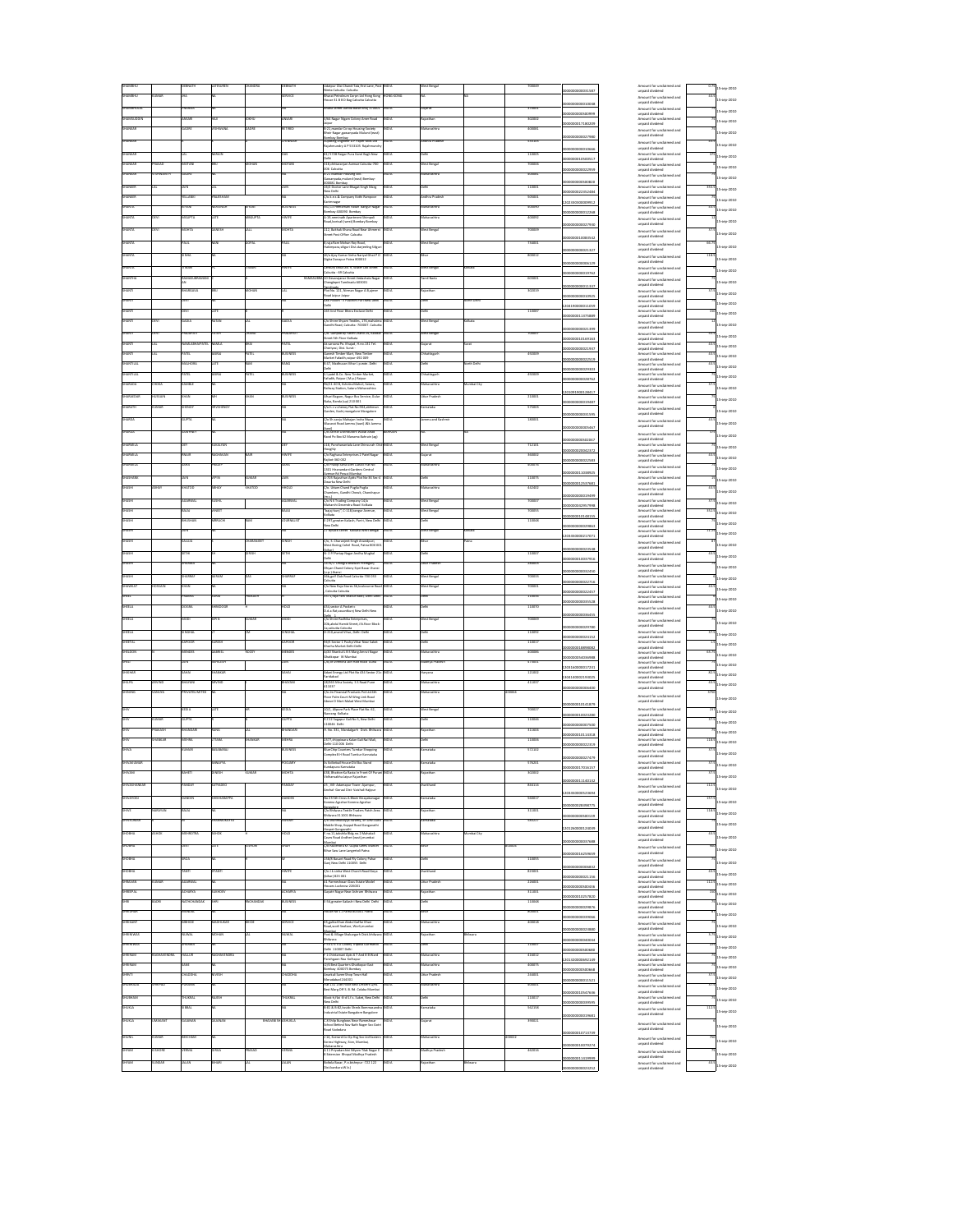|             |    |               |             |     |                                                                                                                                                            |     |          |      |                  |                           | Amount for unclaimed and                                                                            |                     |                                                                                                                                                                                                                                                                                                                                                                                                                                      |
|-------------|----|---------------|-------------|-----|------------------------------------------------------------------------------------------------------------------------------------------------------------|-----|----------|------|------------------|---------------------------|-----------------------------------------------------------------------------------------------------|---------------------|--------------------------------------------------------------------------------------------------------------------------------------------------------------------------------------------------------------------------------------------------------------------------------------------------------------------------------------------------------------------------------------------------------------------------------------|
|             |    |               |             |     | ur Olai Chandi Tala,first I<br>ta Calcutta Calcutta<br>rat Petroleum Corpn Ltd Hong Kor<br>se 31 B B D Bag Calcutta Calcutta                               |     |          |      |                  |                           | unpaid dividend<br>Amount for unclaimed and                                                         | 0.7<br>43           | 5-sep-2010                                                                                                                                                                                                                                                                                                                                                                                                                           |
|             |    |               |             |     | a Street Danda Bazar Bhuj 3700                                                                                                                             |     |          |      | 370001           |                           | unpaid dividend<br>Amount for unclaimed and                                                         |                     | irp-2010<br>5-sep-2010                                                                                                                                                                                                                                                                                                                                                                                                               |
|             |    |               |             |     |                                                                                                                                                            |     |          |      |                  |                           | unpaid dividend<br>Amount for unclaimed and<br>unpaid dividend                                      |                     | sep-2010                                                                                                                                                                                                                                                                                                                                                                                                                             |
|             |    |               |             |     |                                                                                                                                                            |     |          |      |                  |                           | Amount for unclaimed and<br>unpaid dividend                                                         |                     | Sarp 2010                                                                                                                                                                                                                                                                                                                                                                                                                            |
|             |    |               |             |     | odting Engineer A P Paper Mills Ltd<br>ahmundry A P 533105 Rajahmund                                                                                       | XA  |          |      | 533105           |                           | Amount for unclaimed and<br>unpaid dividend                                                         | $\overline{41}$     | $-$ sep $-2010$                                                                                                                                                                                                                                                                                                                                                                                                                      |
|             |    |               |             |     | / 5728 Raigar Pura Karol Bagh N<br>-                                                                                                                       |     |          |      | 11000            | 0500517                   | Amount for unclaimed and                                                                            | IJ                  | -<br>sep-2010                                                                                                                                                                                                                                                                                                                                                                                                                        |
|             |    |               |             |     | 18,chitteranjan Avenue Calcutta-700<br>26. Calcutta                                                                                                        |     |          |      | 700006           | 00000000022959            | unpaid dividend<br>Amount for unclaimed and<br>unpaid dividend                                      |                     | 5-sep-2010                                                                                                                                                                                                                                                                                                                                                                                                                           |
|             |    |               |             |     | 21 Mandar Housing St<br>anpada, mulund (east) Bombay-                                                                                                      |     |          |      | 400083           |                           | Amount for unclaimed and<br>unpaid dividend                                                         |                     | sep-2010                                                                                                                                                                                                                                                                                                                                                                                                                             |
|             |    |               |             |     | 0081 Bombav<br>/2 Doctor Larve Bhagat Singh Marg                                                                                                           |     |          |      | 11000            | 022352484                 | Amount for unclaimed and<br>unpaid dividend                                                         | 15.                 | sep-2010                                                                                                                                                                                                                                                                                                                                                                                                                             |
|             |    |               |             |     | o.k.e.s.& Company Kothi Ra<br>magar<br>11/13 Heeramani Ratan Bangur Nag                                                                                    |     |          |      | 505001<br>400000 | 202330300009912           | Amount for unclaimed and<br>unpaid dividend<br>Amount for unclaimed and                             | $\overline{a}$      | 5-sep-2010                                                                                                                                                                                                                                                                                                                                                                                                                           |
|             |    |               |             |     | bay 400090 Bombay<br>:9,neminath Apartme<br>ad,borivali (west) Bor                                                                                         |     |          |      |                  |                           | unpaid dividend<br>Amount for unclaimed and                                                         |                     | S-sep-2010                                                                                                                                                                                                                                                                                                                                                                                                                           |
|             |    |               |             |     |                                                                                                                                                            |     |          |      | roccos           | 127930                    | unpaid dividend<br>Amount for unclaimed and                                                         | x                   | sep-2010                                                                                                                                                                                                                                                                                                                                                                                                                             |
|             |    |               |             |     | 12, Balthak Khana Road Nea<br>treet Post Office Calcutta<br>aia Ram Mohan Roy Road                                                                         |     |          |      | 734001           | 383542                    | unpaid dividend<br>Amount for unclaimed and                                                         | ee:                 | sep-2010                                                                                                                                                                                                                                                                                                                                                                                                                             |
|             |    |               |             |     | kimpara, sliguri Dist darjeeling Siligu                                                                                                                    |     |          |      |                  | 21327                     | unpaid dividend                                                                                     |                     | 5-sep-2010                                                                                                                                                                                                                                                                                                                                                                                                                           |
|             |    |               |             |     | /o Ajay Kumar Sinha Nariyal Ghat<br>gha Danapur Patna 800012                                                                                               |     |          |      | 800012           |                           | Amount for unclaimed and<br>unpaid dividend<br>Amount for unclaimed and                             | 118                 | sep-2010                                                                                                                                                                                                                                                                                                                                                                                                                             |
|             |    |               |             |     | ntury Enka Ltd. 9, W<br>cutta - 69 Calcutta                                                                                                                |     |          |      |                  | 119762                    | unpaid dividend<br>Amount for unclaimed and                                                         |                     | S-sep-2010                                                                                                                                                                                                                                                                                                                                                                                                                           |
|             |    |               |             |     | ot No. 121, Nirman Nagar A B,aj                                                                                                                            | XA  |          |      | 302019           | 011337                    | unpaid dividend<br>Amount for unclaimed and                                                         | $\overline{17}$     | S-sep-2010                                                                                                                                                                                                                                                                                                                                                                                                                           |
|             |    |               |             |     | d Jalpu<br>n Drohat .                                                                                                                                      |     |          |      |                  | 10925                     | unpaid dividend<br>Amount for unclaimed and<br>unpaid dividend                                      |                     | 5-sep-2010<br>S-sep-2010                                                                                                                                                                                                                                                                                                                                                                                                             |
|             |    |               |             |     |                                                                                                                                                            |     |          |      |                  | 011059                    | Amount for unclaimed and                                                                            |                     | $-$ sep $-2010$                                                                                                                                                                                                                                                                                                                                                                                                                      |
|             |    |               |             |     | Ío Shree Shyam Textiles, 176,mahat<br>anchi Road, Calcutta -700007. Calcu                                                                                  | XA  | nt Benga | kata |                  | 1375889                   | unpaid dividend<br>Amount for unclaimed and                                                         |                     | sep-2010                                                                                                                                                                                                                                                                                                                                                                                                                             |
|             |    |               |             |     | atroy Fateh Ch<br>M24 T<br>et Sth Floor Kolkat                                                                                                             |     |          |      |                  | 021399                    | unpaid dividend<br>Amount for unclaimed and                                                         | z                   | S-sep-2010                                                                                                                                                                                                                                                                                                                                                                                                                           |
|             |    |               |             |     | sarsana Po. Khajad, H.no.131 Tel.<br>sriyasi, Dist. Surat -                                                                                                |     | arat     |      |                  | 10169163<br>021937        | unpaid dividend<br>Amount for unclaimed and<br>unpaid dividend                                      | 43.                 | sep-2010                                                                                                                                                                                                                                                                                                                                                                                                                             |
|             |    |               |             |     | sesh Timber Mart, New Timber<br>arket Fafadih,raipur-492 009<br>47, Madhuvan Vihar I. p.extn. Delhi                                                        |     |          |      | 492009           | 122519                    | Amount for unclaimed and<br>unpaid dividend                                                         | 41                  | S-sep-2010                                                                                                                                                                                                                                                                                                                                                                                                                           |
|             |    |               |             |     |                                                                                                                                                            |     | ttisgar? |      | 492009           | 0029303                   | Amount for unclaimed and<br>unpaid dividend<br>Amount for unclaimed and                             | 42.5                | $-$ sep $-2010$                                                                                                                                                                                                                                                                                                                                                                                                                      |
|             |    |               |             |     | patel & Co. New Timber Market,<br>'adih, Raipur ( M.p.) Raipur<br>lb/11-40 B, Kshetra Mahuli, Satara,<br>Ialiway Station, Satara Maharashtra               | XA  |          |      |                  | 028762                    | unpaid dividend<br>Amount for unclaimed and                                                         | IJ                  | sep-2010                                                                                                                                                                                                                                                                                                                                                                                                                             |
|             |    |               |             |     | ari Bagum, Nagur Bus Service, G<br>ka, Banda (up) 210 001                                                                                                  |     |          |      |                  | 01091900128417            | unpaid dividend<br>Amount for unclaimed and                                                         |                     | sep-2010                                                                                                                                                                                                                                                                                                                                                                                                                             |
|             |    |               |             |     | i.h.r.v.shenoy Flat No.904,abhimar<br>rden, Kadri, mangalore Mangalore                                                                                     |     |          |      | 575003           | 00000000019487            | unpaid dividend<br>Amount for unclaimed and<br>unpaid dividend                                      |                     | -<br>sep-2010                                                                                                                                                                                                                                                                                                                                                                                                                        |
|             |    |               |             |     | o Sh. sanju Mahajan Indra Niwas<br>szarat Road Jammu (tawi) J&k Jam                                                                                        |     |          |      | 180001           |                           | Amount for unclaimed and                                                                            | 41.                 | <b>S-sep-2010</b>                                                                                                                                                                                                                                                                                                                                                                                                                    |
|             |    |               |             |     |                                                                                                                                                            |     |          |      |                  | <b>SAS</b>                | unpaid dividend<br>Amount for unclaimed and                                                         |                     | 5-sep-2010                                                                                                                                                                                                                                                                                                                                                                                                                           |
|             |    |               |             |     | Ashraf Distributors Wallal Ahad<br>d Po Box 62 Manama Bahrain (ag)<br>8, Panchanantala Lane Chinsurah I                                                    |     |          |      | 712101           | 000502047                 | unpaid dividend<br>Amount for unclaimed and                                                         |                     | S-sep-2010                                                                                                                                                                                                                                                                                                                                                                                                                           |
|             |    |               |             |     | $\overline{\phantom{a}}$                                                                                                                                   |     |          |      | <b>Anno</b>      | 0042372                   | unpaid dividend<br>Amount for unclaimed and                                                         | $\overline{a}$      | S-sep-2010<br>S-sep-2010                                                                                                                                                                                                                                                                                                                                                                                                             |
|             |    |               |             |     | ect-360 002<br>o Pradip Saha Glen Classic Flat No<br>01 Hirananderi Conton                                                                                 |     |          |      | 400076           | 0022583                   | unpaid dividend<br>Amount for unclaimed and<br>unpaid dividend                                      |                     | $5 - 56p - 2010$                                                                                                                                                                                                                                                                                                                                                                                                                     |
|             |    |               |             |     | -- 84 P<br>an Aptts Plot No-36 Se                                                                                                                          |     |          |      | 110072           | 0011038925                | Amount for unclaimed and                                                                            |                     | 5-sep-2010                                                                                                                                                                                                                                                                                                                                                                                                                           |
|             |    |               |             |     | arka New Delt<br>Uttam Ch<br>ribers, Ga<br>and Puglia Puglia<br>- ^ Chrusk Chr                                                                             |     |          |      | 44240            |                           | mpaid dividend<br>Amount for unclaimed and                                                          | $\overline{a}$      | Sarp 2010                                                                                                                                                                                                                                                                                                                                                                                                                            |
|             |    |               |             |     | L)<br>NK Trading Company 14/a<br>Track Kolk<br>harshi Devendra Road Kolkata                                                                                |     |          |      |                  | 019499<br>42052008        | unpaid dividend<br>Amount for unclaimed and<br>unpaid dividend                                      | B                   | 5-sep-2010                                                                                                                                                                                                                                                                                                                                                                                                                           |
|             |    |               |             |     | ajaj-kunj", C-118, bangur Avens                                                                                                                            |     |          |      |                  | 0148155                   | Amount for unclaimed and<br>mpaid dividend                                                          | 152                 | -<br>sep-2010                                                                                                                                                                                                                                                                                                                                                                                                                        |
|             |    |               |             |     | 97.gr                                                                                                                                                      |     |          |      |                  |                           | Amount for unclaimed and<br>unpaid dividend                                                         |                     | sep-2010                                                                                                                                                                                                                                                                                                                                                                                                                             |
|             |    |               |             |     | Dysack Street Kolkata West Beng                                                                                                                            |     |          |      |                  | 2022                      | Amount for unclaimed and<br>unpaid dividend                                                         | 11.2                | 5-sep-2010                                                                                                                                                                                                                                                                                                                                                                                                                           |
|             |    |               |             |     | s, S. Charanjeet Singh Anandpuri,<br>1st Boring Cohel Road, Patria-800 00<br>har)<br>2 Ff P                                                                |     |          |      |                  | 123548                    | Amount for unclaimed and<br>unpaid dividend                                                         |                     | 5-sep-2010                                                                                                                                                                                                                                                                                                                                                                                                                           |
|             |    |               |             |     |                                                                                                                                                            | XA  | ar Prag  |      | 284003           | 037916                    | Amount for unclaimed and<br>unpaid dividend                                                         | 43                  | $-$ sep $-2010$                                                                                                                                                                                                                                                                                                                                                                                                                      |
|             |    |               |             |     | 1476/1  Dhingra Bhawan Premganj<br>Ohyan Chand Colony Sipri Bazar Jhar<br>n I (hans)<br>- - # (*ub Road Calcutta-<br>700033                                |     |          |      | mm               | 032450                    | Amount for unclaimed and<br>unpaid dividend<br>Amount for unclaimed and                             |                     | sep-2010                                                                                                                                                                                                                                                                                                                                                                                                                             |
|             |    |               |             |     | lo New Raja Stores 36,brabourne Ro<br>Jalcutta Calcutta                                                                                                    |     | st Genga |      | 700001           | 0022716                   | unpaid dividend<br>Amount for unclaimed and                                                         | 43.                 | S-sep-2010                                                                                                                                                                                                                                                                                                                                                                                                                           |
|             |    |               |             |     | 571,raja Park Shakur Basti, Delhi Del                                                                                                                      |     |          |      | 110034           | 022457                    | unpaid dividend<br>Amount for unclaimed and                                                         |                     | sep-2010<br>S-sep-2010                                                                                                                                                                                                                                                                                                                                                                                                               |
|             |    |               |             |     | 4. sector A Pocket-<br>d.a.flat, vasantkunį New Delhi New                                                                                                  |     |          |      | 110070           | 135528                    | unpaid dividend<br>Amount for unclaimed and<br>unpaid dividend                                      | $\overline{a}$      | 5-sep-2010                                                                                                                                                                                                                                                                                                                                                                                                                           |
|             |    |               |             |     | -th<br>- 1<br>- Shree Radhika Enterprises,<br>b. abdul Hamid Street, i St. floor Block<br>---                                                              |     |          |      | 700069           | 5455                      | Amount for unclaimed and                                                                            |                     | -sep-2010                                                                                                                                                                                                                                                                                                                                                                                                                            |
|             |    |               |             |     | b,abdul Hamid Street,i St.flo<br>.calcutta Calcutta<br>210,anand Vihar, Delhi Delh                                                                         |     |          |      | 1100%            | 024152                    | unpaid dividend<br>Amount for unclaimed and                                                         | IJ                  | -<br>sep-2010                                                                                                                                                                                                                                                                                                                                                                                                                        |
|             |    |               |             |     |                                                                                                                                                            |     |          |      |                  |                           | npaid dividend<br>Amount for unclaimed and<br>unpaid dividend                                       |                     | sep-2010                                                                                                                                                                                                                                                                                                                                                                                                                             |
|             |    |               |             |     | 20 Shankul L B S Marg Amrut Naga<br>tkopar W Mumba                                                                                                         |     |          |      | 400000           |                           | Amount for unclaimed and<br>unpaid dividend<br>Amount for unclaimed and                             | 63.7                | 5-sep-2010                                                                                                                                                                                                                                                                                                                                                                                                                           |
|             |    |               | <b>HES</b>  |     | o.dr. virendra Jain Hatt Road Guna                                                                                                                         |     |          |      | 473001           | 203160<br>0017231         | unpaid dividend                                                                                     |                     | sep-2010                                                                                                                                                                                                                                                                                                                                                                                                                             |
|             |    |               |             |     | ni Energy Ltd Plot No 434 Sector 2:<br>/165 Mira Society S S Road Pun                                                                                      | XA  |          |      | 121002<br>411037 | 304140002193025           | Amount for unclaimed and<br>unpaid dividend<br>Amount for unclaimed and                             | E<br>$\overline{a}$ | sep-2010                                                                                                                                                                                                                                                                                                                                                                                                                             |
|             |    |               |             |     | 1037<br>o Jm Financial Products Pvt Ltd 4d                                                                                                                 |     |          |      |                  | 00300000006400            | unpaid dividend                                                                                     | 27                  | 5-sep-2010                                                                                                                                                                                                                                                                                                                                                                                                                           |
|             |    |               |             |     | or Palm Court M Wine Link Road<br>ove D Mart Malad West Mumbai                                                                                             |     |          |      |                  | 1014187                   | Amount for unclaimed and<br>unpaid dividend                                                         |                     | sep-2010                                                                                                                                                                                                                                                                                                                                                                                                                             |
|             |    |               |             |     | .<br>1, Alipore Park Place Flat No. 62,<br>rrang Kolkata                                                                                                   |     |          |      |                  |                           | Amount for unclaimed and<br>unpaid dividend<br>Amount for unclaimed and                             | $\overline{2}$      |                                                                                                                                                                                                                                                                                                                                                                                                                                      |
|             |    |               |             | τ   | I 22 Sagapur Gall No S, New Delhi<br>0046 Delhi<br>No. 331, Mandalgarh Distt. Bhilws                                                                       |     |          |      |                  | 000000010023280           | unpaid dividend                                                                                     |                     |                                                                                                                                                                                                                                                                                                                                                                                                                                      |
|             |    |               |             |     |                                                                                                                                                            |     |          |      | 110040           | 00000000007500            |                                                                                                     | 17.                 |                                                                                                                                                                                                                                                                                                                                                                                                                                      |
|             |    |               |             |     |                                                                                                                                                            |     |          |      | 31100            | 0010114318                | Amount for unclaimed and<br>unpaid dividend<br>nount for unclaimed and                              | 118.                |                                                                                                                                                                                                                                                                                                                                                                                                                                      |
|             |    |               |             |     | 110006 Deh                                                                                                                                                 |     |          |      | 5721             | 00022319                  | unpaid dividend                                                                                     | 17.5                |                                                                                                                                                                                                                                                                                                                                                                                                                                      |
|             |    |               |             |     | Colkeball House Old Bus Stand                                                                                                                              |     |          |      | 576201           | 00000000027479            | Amount for unclaimed and<br>unpaid dividend<br>Amount for unclaimed and                             |                     |                                                                                                                                                                                                                                                                                                                                                                                                                                      |
|             |    |               |             |     | dapura Karnataka<br>.<br>8, Bhatton Ka Rasta in Front O<br>dhanxabha Jaipur Rajasthan                                                                      |     |          |      | 302              |                           | unpaid dividend<br>Amount for unclaimed and                                                         | p                   |                                                                                                                                                                                                                                                                                                                                                                                                                                      |
|             |    |               |             |     |                                                                                                                                                            | XA  |          |      | 844114           | 011140132                 | unpaid dividend<br>Amount for unclaimed and                                                         | 112                 |                                                                                                                                                                                                                                                                                                                                                                                                                                      |
|             |    |               |             |     | , VII-Adamapur Town-Ajampur,<br>chal- Goraul Dist-Vaishali Hajipur<br>23 Sth Cross A Block Vinavaka                                                        |     |          |      | 560017           | 0523694<br>nase           | unpaid dividend<br>Amount for unclaimed and                                                         | 157                 |                                                                                                                                                                                                                                                                                                                                                                                                                                      |
| m           |    |               |             |     | rna Agrahar Konena Agrahar                                                                                                                                 | XA  |          |      | 311001           | 1398775                   | unpaid dividend<br>Amount for unclaimed and                                                         | 118                 |                                                                                                                                                                                                                                                                                                                                                                                                                                      |
| moz         |    |               |             |     | neuro<br>nealore<br>o Bhibaara Textile Traders Patch Are<br>uara 311001 lihilwara<br>/o Shannukayya Swamy, Sri Devi Au<br>bile Shop, Koppal Road Gangwathi |     |          |      | 583227           | 600139                    | unpaid dividend<br>Amount for unclaimed and                                                         |                     |                                                                                                                                                                                                                                                                                                                                                                                                                                      |
|             |    |               |             |     |                                                                                                                                                            |     |          |      |                  | mazant                    | unpaid dividend<br>Amount for unclaimed and                                                         | $^{4}$              |                                                                                                                                                                                                                                                                                                                                                                                                                                      |
|             |    |               |             |     | ncet Generauthi<br>10. 11, takshila Bidg.no. 2 Mat<br>ves Road Andheri (east), mu                                                                          | XA  |          |      |                  | 0037688                   | unpaid dividend                                                                                     | 92                  |                                                                                                                                                                                                                                                                                                                                                                                                                                      |
| ote         |    |               |             |     | lo Raviendra Kr. Gupta Gerra Marke<br>har Saw Lane Langertoli Patria                                                                                       |     |          |      | 11009            |                           | Amount for unclaimed and<br>unpaid dividend<br>Amount for unclaimed and                             |                     |                                                                                                                                                                                                                                                                                                                                                                                                                                      |
|             |    |               |             |     | .<br>If/8 Basant Road Rly Colony Pa<br>Inj New Delhi 110055  Delhi<br>o J.k. sinha West Church Road Goys                                                   |     |          |      | 823001           | 5832                      | unpaid dividend<br>Amount for unclaimed and                                                         | 41                  |                                                                                                                                                                                                                                                                                                                                                                                                                                      |
|             |    | <b>LOWS</b>   |             |     | har) 823 001<br><b>Permanhanol Dass Estate Mode</b>                                                                                                        |     | ir Br    |      | 226001           |                           | unpaid dividend<br>Amount for unclaimed and                                                         | 112.5               |                                                                                                                                                                                                                                                                                                                                                                                                                                      |
|             |    |               |             |     | ses Lucknow 226001<br>tri Nagar Near Ashram Bhilwa                                                                                                         |     |          |      | 311001           |                           | unpaid dividend                                                                                     | $\overline{15}$     |                                                                                                                                                                                                                                                                                                                                                                                                                                      |
|             |    |               |             |     | 56, greater Kallash-i New Delhi Del                                                                                                                        |     |          |      | 110048           | 10257820<br>0000000029876 | Amount for unclaimed and<br>unpaid dividend<br>Amount for unclaimed and<br>unpaid dividend          |                     |                                                                                                                                                                                                                                                                                                                                                                                                                                      |
|             |    |               |             |     | se No-11 Patria 800001 Patri                                                                                                                               |     |          |      | socco:           |                           | Amount for unclaimed and<br>unpaid dividend                                                         |                     |                                                                                                                                                                                                                                                                                                                                                                                                                                      |
|             |    |               |             |     | 63 gulita Khan Abdul Gaffar Khan<br>Road worli Seaface, Worll mumba                                                                                        |     |          |      | 40001            | 023880                    | Amount for unclaimed and<br>unpaid dividend                                                         |                     |                                                                                                                                                                                                                                                                                                                                                                                                                                      |
|             |    |               |             |     | erbai<br>it & Vilage Shak<br>wara                                                                                                                          |     |          |      |                  | <b>CODA</b>               | Amount for unclaimed and<br>unpaid dividend                                                         | $\overline{17}$     |                                                                                                                                                                                                                                                                                                                                                                                                                                      |
|             |    |               |             |     | 53 D E S U Calony<br>ehi 110007 Delhi                                                                                                                      |     |          |      | 11000            |                           | Amount for unclaimed and                                                                            | 22                  |                                                                                                                                                                                                                                                                                                                                                                                                                                      |
|             |    |               |             |     |                                                                                                                                                            |     |          |      | 400072           | 02149                     | Amount for uncleaned and<br>Amount for uncleaned and<br>unpaid dividend<br>Amount for unclaimed and |                     |                                                                                                                                                                                                                                                                                                                                                                                                                                      |
|             |    | <b>IDOM</b>   |             |     | .<br>2/5 Best Quarters Ghat<br>sbay 400075 Bombay                                                                                                          |     |          |      | 244001           |                           | unpaid dividend<br>Amount for unclaimed and                                                         | 37.5                |                                                                                                                                                                                                                                                                                                                                                                                                                                      |
|             |    |               |             |     | arkali Saree Shop Town Ha<br>radabad 244001                                                                                                                |     |          |      |                  | 01152                     | unpaid dividend<br>Amount for unclaimed and                                                         | 17                  |                                                                                                                                                                                                                                                                                                                                                                                                                                      |
| <b>USHA</b> |    | <b>LICRAL</b> | <b>JESH</b> |     | et 131 13th Floor Best Officers Orts<br>nt Marg Off S. B. Rd. Colaba Mumbi<br>lock-h,flat-8-d S.f.s. Saket, New Delhi                                      | DίA |          |      | 110017           | 547636                    | unpaid dividend<br>Amount for unclaimed and                                                         |                     |                                                                                                                                                                                                                                                                                                                                                                                                                                      |
| mer d       |    |               |             |     | 41 & B-82 kinds Sheds Bon                                                                                                                                  |     |          |      | 562158           | 339595                    | unpaid dividend<br>Amount for unclaimed and                                                         | 112                 |                                                                                                                                                                                                                                                                                                                                                                                                                                      |
| <b>UKLA</b> |    |               |             | uku | ustrial Estate Bangalore Bangalore                                                                                                                         |     | arat     |      | 390021           | 0019681                   | unpaid dividend<br>Amount for unclaimed and                                                         |                     |                                                                                                                                                                                                                                                                                                                                                                                                                                      |
|             |    |               |             |     | 8 Shilp Bunglows Near Rameshwar<br>hool Behind Nav Nath Nager Soc Go<br>ad Vadod                                                                           |     |          |      |                  | 010713739                 | unpaid dividend                                                                                     |                     |                                                                                                                                                                                                                                                                                                                                                                                                                                      |
|             | MA | ICHAM         |             |     | 14, Everard Co Op Hug Soc Ltd Easts<br>sress Highway, Sion, Mumbai,                                                                                        | XA  | harashtr |      |                  | 10079274                  | Amount for unclaimed and<br>unpaid dividend                                                         |                     |                                                                                                                                                                                                                                                                                                                                                                                                                                      |
| HUNL        |    |               |             |     | .<br>11 Priyadarshini Nilyam Tilak Nagar I<br>Extension: Ehopal Madhya Pradesh<br>ola Bazar, P.o.bishripur -722 122                                        |     |          |      | 46201            |                           | Amount for unclaimed and<br>unpaid dividend<br>Amount for unclaimed and                             | 41                  | sep-2010<br>5-sep-2010<br>S-sep-2010<br>S-sep-2010<br>Sarp 2010<br>S-sep-2010<br>$-$ sep $-2010$<br>5-sep-2010<br>5-sep-2010<br>S-sep-2010<br>5-sep-2010<br>Ssep-2010<br>15-sep-2010<br>15-sep-2010<br>5-sep-2010<br>sep-2010<br>5-sep-2010<br>S-sep-2010<br>5-sep-2010<br>15-sep-2010<br>5-sep-2010<br>5-sep-2010<br>15-sep-2010<br>5-sep-2010<br>S-sep-2010<br>15-sep-2010<br>15-sep-2010<br>5-sep-2010<br>Ssep-2010<br>S-sep-2010 |

| d a<br>unt for<br>id divid<br>md<br>np                                               |                     | p-2010         |
|--------------------------------------------------------------------------------------|---------------------|----------------|
| Amour<br>ent for und<br>id divident<br>d a                                           | LS                  | ep-2010        |
| ij<br>Amount for unclaimed and                                                       |                     |                |
| aid diad<br>ü<br>aimed and<br>.<br>Cu                                                |                     | ep-2010        |
| unt for und<br>id dividend<br>np                                                     |                     | 2010           |
| Amount for und<br>d a<br>id dividend<br>nş                                           | 3                   | $-2010$        |
| Amount for unclaimed and                                                             | ī                   | sep-2010       |
| unpaid dividend<br>t fe<br>r und<br>med and<br>mo                                    |                     |                |
| npaid dividend<br>Amount for und                                                     | 75                  | p-2010         |
| aimed and<br>brebivib bien                                                           | ¢                   | ep-2010        |
| Amount for unclaimed and<br>breakd dividend                                          |                     | sep-2010       |
| Amount for unclaimed and                                                             |                     | sep-2010<br>ß  |
| <b>unpaid dividend</b><br>k<br>ount for und<br>aimed and                             |                     | sep-2010<br>ú  |
| aid dividend<br>aimed and                                                            |                     |                |
| ount for und<br>said dividend<br>np                                                  |                     | p.2010         |
| unt for und<br>id dividend<br>Amour<br>d ar<br>ų                                     | 12                  | p-2010         |
| Amount for und<br>d and<br>im                                                        |                     | sep-2010<br>ß  |
| unpaid dividend<br>Amount for uncl<br>imed and                                       |                     |                |
| aid dividend<br>nş                                                                   |                     | sep-2010       |
| it for und<br>Amos<br>imed and                                                       |                     | p-2010         |
| unpaid dividend<br>ount for und<br>ù<br>aimed and                                    |                     |                |
| id divid<br>nş<br>md<br>i ar                                                         | 75                  | p-2010         |
| Amount for und<br>d divis<br>nş<br>nd                                                |                     | p-2010         |
| Amount for unclaimed and<br>aid divide<br>١d<br>nş                                   |                     | p-2010         |
| imed and<br>Amount for und<br>unpaid dividend                                        |                     | $-2010$<br>ép  |
| Amount for unclaimed and                                                             |                     | sep-2010       |
| unpaid dividend<br>Amount for und<br>imed and                                        |                     |                |
| unpaid dividend                                                                      |                     | īś<br>sep-2010 |
| mount for und<br>imed and<br>unpaid dividend                                         |                     | ep-2010        |
| imed and<br>Amount for und<br>npaid dividend                                         | 43.5                | sep-2010       |
| .<br>Iount for und<br>paid dividend<br>j,<br>i ar                                    |                     | ep-2010        |
| ų<br>med and<br>nt for u<br>mo<br>nd                                                 |                     | ep-2010        |
| unpaid dividend<br>Amount for und<br>imed and                                        | 75                  |                |
| npaid dividend                                                                       |                     | sep-2010<br>1Ś |
| Amount for unclaimed and<br>unpaid dividend                                          |                     | sep-2010<br>1Ś |
| t fe<br>r und<br>d and<br>mo                                                         |                     | p-2010         |
| unpaid dividend<br>.<br>mount for und<br>npaid dividend<br>d and<br>im               | ï                   |                |
|                                                                                      |                     | ep-2010        |
| Amount for unclaimed and<br>unpaid dividend                                          |                     | sep-2010       |
| t for und<br><b>Lincor</b><br>d a<br>ä                                               |                     | ep-2010        |
| id dividend<br>np<br>d and                                                           |                     |                |
| Amount for uncl<br>unpaid dividend<br>ij                                             |                     | 0.2010         |
| Amount for und<br>unpaid dividend<br>im<br>d and                                     |                     | $-2010$<br>ip  |
| unt for und<br>id dividend<br>$m\alpha$<br>d and<br>m                                |                     | p-2010         |
| np<br>Amount for uncla<br>da                                                         |                     | $-2010$        |
| id dividend<br>np<br>å.                                                              | 15                  |                |
| unt for uncl<br>id dividend<br>Amour<br>ų                                            |                     | ep-2010        |
| Amount for unclaimed and<br>aid diad<br>ü                                            |                     | ep-2010        |
| unpai<br>Amou<br>id diwdend<br>unt for und<br>id diwdend<br>aimed and                |                     | 2010           |
| nş<br>Amount for unclaimed and<br>unpaid dividend                                    | 75                  | sep-2010       |
| aimed and                                                                            | 11.25               | sep-2010       |
| Amount for uncl<br>unpaid dividend                                                   |                     |                |
| Amount for und<br>imed and<br>unpaid dividend                                        |                     | sep-2010       |
| Amount for unclaimed and<br>unpaid dividend                                          | 5                   | sep-2010<br>í. |
| Amount for und<br>imed and                                                           |                     | sep-2010<br>ß  |
| unpaid dividend<br>mount for und<br>im<br>d and                                      |                     |                |
| unpaid dividend<br>aimed and                                                         |                     | 2010           |
| Amount for und<br>unpaid dividend                                                    | 13.5                | sep-2010       |
| unt for und<br>unt for und<br>id dividend<br>.<br>Art<br>iou<br>i and<br>ų           | 7                   | $-2010$        |
| Amount for und<br>imed and                                                           |                     | sep-2010       |
| aid divi<br>'n.<br>nş<br>t for u<br>kmo<br>md<br>imed and                            |                     |                |
| unpaid dividend                                                                      |                     | ep-2010<br>Ľ,  |
| ount for und<br>h<br>aimed and<br>m.<br>ddiwd<br>nş<br>nd                            |                     | ep-2010        |
| Amount for unclaimed and<br>unpaid dividend                                          | 3                   | sep-2010       |
| imed and                                                                             | $\overline{15}$     | sep-2010       |
| Amount for uncl<br>unpaid dividend<br>Amount for uncl<br>a and                       |                     | ep-2010        |
| d divid<br>nş<br>nd                                                                  |                     |                |
| Amount for unclaimed and<br>unpaid dividend                                          |                     | īś<br>sep-2010 |
|                                                                                      |                     | sep-2010<br>ò, |
| Amount for unclaimed and<br>unpaid dividend                                          |                     | 15-sep-2010    |
| t fe<br>d and                                                                        |                     |                |
| im<br>unpaid dividend                                                                |                     | ep-2010        |
| Amount for unclaimed and<br><b>Innahörith History</b>                                |                     | sep-2010       |
| ount for und<br>baid dividend<br>aimed and<br>ų                                      |                     | p-2010         |
| d and<br>Amour<br>t for und<br>im                                                    |                     | sep-2010<br>ß  |
| unpaid dividend<br>imed and                                                          |                     |                |
| .<br>mount for und<br>npaid dividend<br>np<br>imed and                               |                     | 15-sep-2010    |
| ount for uncla<br>said dividend<br>'n,                                               |                     | 15-sep-2010    |
| th<br>ť,                                                                             |                     |                |
| t fe<br>d a<br>nd<br>mou<br>'n                                                       | ш                   | sep-2010<br>1Ś |
| unpaid dividend                                                                      |                     |                |
| e for und<br>imed and<br>ź<br>mour<br>id divide<br>ü<br>ų                            |                     | 15-sep-2010    |
| Amount for uncl<br>unpaid dividend<br>aimed and                                      | 118.5               | is<br>sep-2010 |
| Amount for und<br>imed and                                                           |                     | 5-sep-2010     |
| unpaid dividend                                                                      |                     |                |
| t for und<br><b>Bandon</b><br>d and<br>id dividend<br>npi                            | 5                   | p-2010         |
| Amount for unclaimed and<br>unpaid dividend                                          |                     | 15-sep-2010    |
| j<br>mount for und<br>imed and                                                       | 75                  |                |
| aid dividend<br>nş                                                                   |                     | sep-2010       |
| Amount for unclaimed and                                                             |                     | 5-sep-2010     |
| aid dividend<br>ount for und<br>unpais<br>Amou<br>d and<br><br>dd                    |                     | 15-sep-2010    |
| nş<br>nd<br>Amount for unclaimed and                                                 | ī.<br>¢             | 15-sep-2010    |
| unpaid dividend<br>Amount for unclaimed and                                          |                     | 15-sep-2010    |
| aid dividend<br>aimed and                                                            |                     |                |
| ount for und<br>said dividend<br>np                                                  |                     | sep-2010       |
| .<br>Amount for unclair<br>unpaid dividend<br>d and                                  | 75                  | sep-2010       |
| Amount for unclaimed and                                                             | $\overline{\cdots}$ | 15-sep-2010    |
| aid divi<br>id dividend<br>unt for uncl<br>id dividend<br>unpai<br>Amou<br>aimed and |                     | sep-2010<br>Ľ, |
| np                                                                                   | 75                  |                |
| Amount for unclaimed and<br>unpaid dividend<br>Amount for und<br>aiment and          | $\overline{15}$     | 15-sep-2010    |
| ann for unc<br>aid dividend<br>sunt for uncl<br>unpai<br>Amou                        |                     | 15-sep-2010    |
| d and<br>id divid<br>nş<br>nd                                                        |                     | 15-sep-2010    |
| ount for uncla<br>said dividend<br>imed and                                          | 17.5                | sep-2010<br>ú, |
| ų<br>Amount for unclaimed and<br>unpaid dividend                                     | 75                  | sep-2010<br>īś |
| nş                                                                                   |                     |                |
| Amount for unclaimed and<br>unpaid dividend                                          |                     | 5-sep-2010     |
| Amount for uncl<br>unpaid dividend<br>d a                                            | ï                   | ep-2010        |
|                                                                                      |                     | LS             |
| Amount for unclaimed and<br>unpaid dividend                                          |                     | 15-sep-2010    |
| Amount for unclaimed and                                                             | 75                  |                |
| unpaid dividend                                                                      |                     | sep-2010       |
| Amount for unclaimed and                                                             |                     | 15-sep-2010    |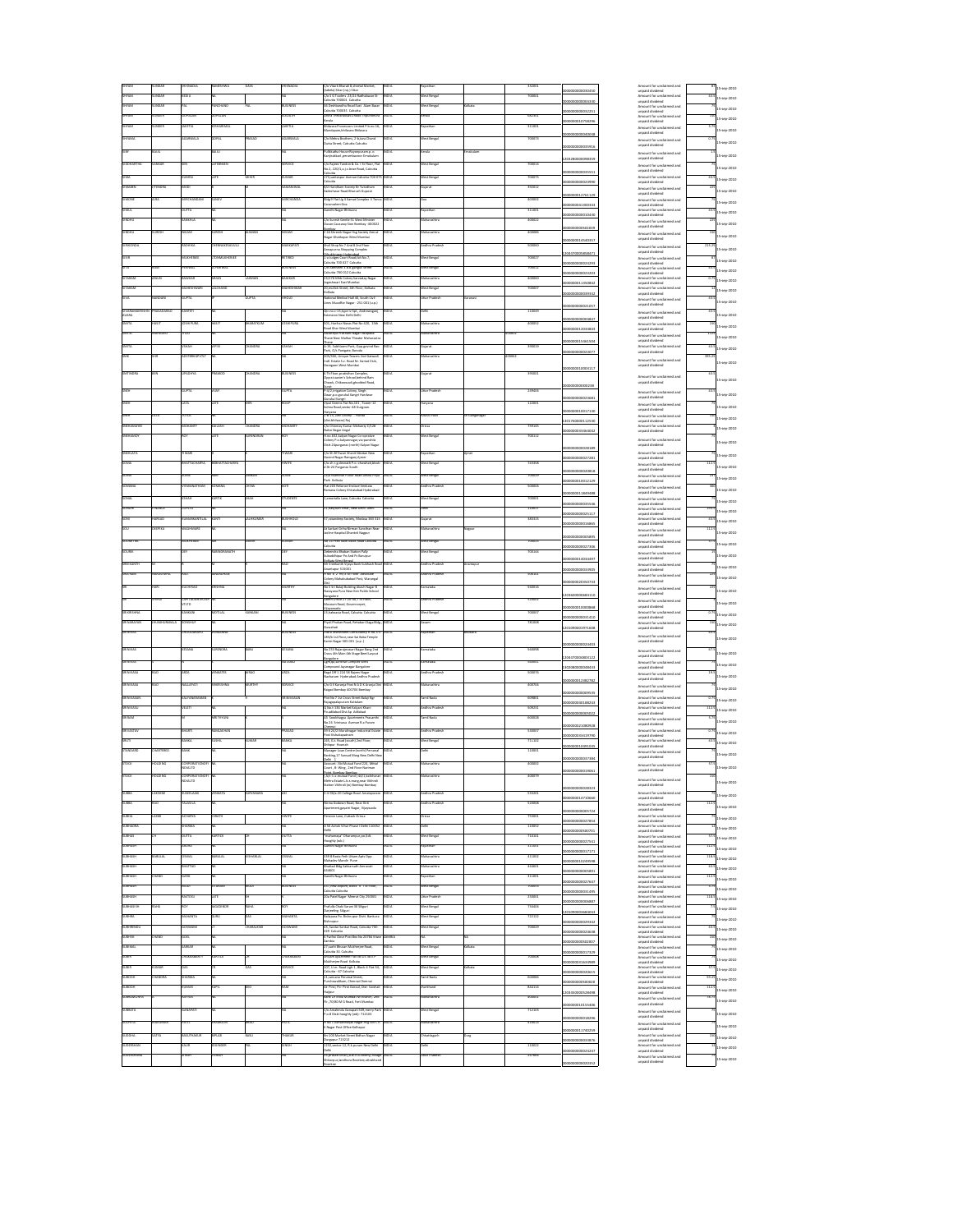|               |     |                  |             |             | Vitark Oharati A,sh<br>ela) Sikar (raj.) Sikar<br>s S G Traders 23/24 R<br>rutta 700001 Calcutt                                                                                                                                                                                                                                  |                  |                   | 33200            |                               | Amount for unclaimed and<br>Senson for understand and<br>Amount for underred and<br>unpaid dividend | 41                      | 5-sep-2010                                                                                                                                                                                                                                                                                                                                                                              |
|---------------|-----|------------------|-------------|-------------|----------------------------------------------------------------------------------------------------------------------------------------------------------------------------------------------------------------------------------------------------------------------------------------------------------------------------------|------------------|-------------------|------------------|-------------------------------|-----------------------------------------------------------------------------------------------------|-------------------------|-----------------------------------------------------------------------------------------------------------------------------------------------------------------------------------------------------------------------------------------------------------------------------------------------------------------------------------------------------------------------------------------|
|               |     |                  |             | <b>INES</b> | oad East                                                                                                                                                                                                                                                                                                                         |                  | st Beng           |                  |                               | Amount for unclaimed and                                                                            |                         | ep-2010<br>5-sep-2010                                                                                                                                                                                                                                                                                                                                                                   |
|               |     |                  |             |             | utta 700035 Calc<br>tira Thevarakkavu Road Trip<br>sis                                                                                                                                                                                                                                                                           |                  |                   | 682301           | 032251                        | unpaid dividend<br>Amount for unclaimed and                                                         |                         | sep-2010                                                                                                                                                                                                                                                                                                                                                                                |
|               |     |                  |             |             | wara Processors Limited P<br>sdaoam,bhilwara Bhilwara                                                                                                                                                                                                                                                                            |                  |                   | 31100            |                               | unpaid dividend<br>Amount for unclaimed and<br>unpaid dividend                                      | x                       | Sarp 2010                                                                                                                                                                                                                                                                                                                                                                               |
|               |     |                  |             | RW AL       | o Mehra Brothers, 2-b,tara Cha<br>tta Street, Calcutta Calcutta                                                                                                                                                                                                                                                                  | XA               | st Geog           | 700073           |                               | Amount for unclaimed and                                                                            | ø                       | S-sep-2010                                                                                                                                                                                                                                                                                                                                                                              |
|               |     |                  |             |             | mo, bukketin<br>.<br>Ve frank                                                                                                                                                                                                                                                                                                    |                  |                   |                  | 035916                        | unpaid dividend<br>Amount for unclaimed and                                                         |                         | 5-sep-2010                                                                                                                                                                                                                                                                                                                                                                              |
|               |     |                  |             |             | o Rajeev Tandon & Co. I St Floor, Flat<br>s.2, 220/1,a.j.c.bose Road, Calcutta                                                                                                                                                                                                                                                   |                  | st Genga          | 700014           | 203280000098359               | unpaid dividend<br>Amount for unclaimed and<br>unpaid dividend                                      |                         | <b>S-sep-2010</b>                                                                                                                                                                                                                                                                                                                                                                       |
|               |     |                  |             |             | spur Avenue Calcutta-700 0                                                                                                                                                                                                                                                                                                       |                  | st Gener          | 700075           |                               | Amount for unclaimed and                                                                            | $\overline{41}$         | S-sep-2010                                                                                                                                                                                                                                                                                                                                                                              |
|               |     |                  |             |             | .<br>2 Haridham Society Nr Tulsidhar<br>deshwar Road Bharuch Gujarat                                                                                                                                                                                                                                                             |                  |                   | 292012           |                               | unpaid dividend<br>Amount for unclaimed and                                                         |                         | 5-sep-2010                                                                                                                                                                                                                                                                                                                                                                              |
|               |     |                  |             |             | idg 9 Flat Ug 4 Kamat Complex 11 To:                                                                                                                                                                                                                                                                                             | XA               |                   | 403002           | 12761129                      | unpaid dividend<br>Amount for unclaimed and                                                         |                         | 5-sep-2010                                                                                                                                                                                                                                                                                                                                                                              |
|               |     |                  |             |             | schi Nazar Bhily                                                                                                                                                                                                                                                                                                                 |                  |                   | 311001           | A1300343<br>00000000010430    | unpaid dividend<br>Amount for unclaimed and<br>unpaid dividend                                      | $\overline{a}$          | sep 2010                                                                                                                                                                                                                                                                                                                                                                                |
|               |     |                  |             |             | s Suresh Gentle 51 West Minister<br>can Causway Sion Bombay -400022                                                                                                                                                                                                                                                              |                  |                   |                  |                               | Amount for unclaimed and                                                                            |                         | Sarp 2010                                                                                                                                                                                                                                                                                                                                                                               |
|               |     |                  |             |             | 44 Shrenik Nagar Hug Society Arres<br>gar Ghatkopar West Mumbai                                                                                                                                                                                                                                                                  |                  |                   | 400000           | 00502039                      | unpaid dividend<br>Amount for unclaimed and                                                         |                         | $-$ sep $-2010$                                                                                                                                                                                                                                                                                                                                                                         |
|               |     |                  |             |             | l Shop No 7 And 8 2nd Flo                                                                                                                                                                                                                                                                                                        |                  |                   |                  |                               | unpaid dividend<br>Amount for unclaimed and                                                         | 215.2                   |                                                                                                                                                                                                                                                                                                                                                                                         |
|               |     | DIERJEE          |             |             | .<br>Nakhnasar Hyderabas                                                                                                                                                                                                                                                                                                         |                  |                   | 70002            | 104470005858471               | unpaid dividend<br>Amount for unclaimed and                                                         |                         | sep-2010                                                                                                                                                                                                                                                                                                                                                                                |
|               |     |                  |             |             | utta 700 027 Calcu<br>o Abhishek 3.b.b.ganguli :<br>Icutta-700 012 Calcutta                                                                                                                                                                                                                                                      |                  |                   | 0001             | 024291                        | <b>hospitally</b> history<br>Amount for unclaimed and                                               | 41                      | 5-sep-2010<br>iep-2010                                                                                                                                                                                                                                                                                                                                                                  |
|               |     |                  |             |             | (178 MHz                                                                                                                                                                                                                                                                                                                         |                  |                   |                  | 023203                        | mpaid dividend<br>Amount for unclaimed and<br>unpaid dividend                                       | $\alpha$                | sep-2010                                                                                                                                                                                                                                                                                                                                                                                |
|               |     | ESHV             |             |             | allok Street, 4th Floor, Kolkata<br>kata                                                                                                                                                                                                                                                                                         |                  |                   | 70000            | 0132                          | Amount for unclaimed and<br>unpaid dividend                                                         |                         | 5-sep-2010                                                                                                                                                                                                                                                                                                                                                                              |
|               |     |                  |             |             | onal M<br>tes Muzaffar Nagar - 251 001 (u.p.)                                                                                                                                                                                                                                                                                    |                  |                   |                  |                               | Amount for unclaimed and<br>unpaid dividend                                                         | $\overline{a}$          | 5-sep-2010                                                                                                                                                                                                                                                                                                                                                                              |
|               |     |                  |             |             | na.c-15,type Iv Spl., J<br>nsion New Delhi Delh                                                                                                                                                                                                                                                                                  |                  |                   |                  |                               | Amount for unclaimed and<br>unpaid dividend                                                         | 43                      | S-sep-2010                                                                                                                                                                                                                                                                                                                                                                              |
|               |     |                  |             |             | , Harihar Niwas Plot No 420, 15th<br>ad Khar West Mumbai                                                                                                                                                                                                                                                                         |                  |                   |                  | 00004847<br>012034843         | Amount for unclaimed and<br>unpaid dividend                                                         | π                       | Sarp 2010                                                                                                                                                                                                                                                                                                                                                                               |
|               |     |                  |             |             | thya Prashant Narar I<br>ne Near Malhar Theater Maharas                                                                                                                                                                                                                                                                          |                  |                   |                  |                               | Amount for unclaimed and<br>unpaid dividend                                                         | $\overline{\mathbf{H}}$ | 5-sep-2010                                                                                                                                                                                                                                                                                                                                                                              |
|               |     |                  |             |             | oni Park, Opp.g<br>urk, O/s Panigate, Baroda                                                                                                                                                                                                                                                                                     | XA               |                   | 390019           | 0015461504<br>000000000023077 | Amount for unclaimed and<br>unpaid dividend                                                         | $\overline{a}$          | 5-sep-2010                                                                                                                                                                                                                                                                                                                                                                              |
|               |     |                  |             |             | 5/205, Unique Towers 2nd Gals<br>ndl. Estate S.v. Road Nr. Kamat Club,                                                                                                                                                                                                                                                           |                  |                   |                  |                               | Amount for unclaimed and<br>unpaid dividend                                                         | 295.                    | sep-2010                                                                                                                                                                                                                                                                                                                                                                                |
|               |     |                  |             |             | regson West Mumbai<br>.<br>In Floor,pratisthan Compl<br>Ip:it.xavier's School,behis                                                                                                                                                                                                                                              |                  |                   |                  | 10003117                      |                                                                                                     | $\overline{a}$          |                                                                                                                                                                                                                                                                                                                                                                                         |
|               |     |                  |             |             | ikh,<br>Hd Ram<br>wk, Chikoowadi,ghoddod Road,                                                                                                                                                                                                                                                                                   |                  |                   |                  | 10100238                      | Amount for unclaimed and<br>unpaid dividend                                                         |                         | 5-sep-2010                                                                                                                                                                                                                                                                                                                                                                              |
|               |     |                  |             |             | <sup>9</sup> -4/2, irrigation Colony, Singh<br>Dwar, p.o. gurukul Kangri Hardwa                                                                                                                                                                                                                                                  |                  | ır Pra            | 249404           |                               | Amount for unclaimed and<br>unpaid dividend                                                         | 43.                     | -sep-2010                                                                                                                                                                                                                                                                                                                                                                               |
|               |     |                  |             |             | kul Kanari<br> Greens Flat No.101 , Tower-12<br>hna Road, sector-48 Gurgoan.                                                                                                                                                                                                                                                     |                  |                   | 122001           | 00000000023681                | Amount for unclaimed and                                                                            |                         | $-$ sep $-2010$                                                                                                                                                                                                                                                                                                                                                                         |
|               |     |                  |             |             | rvana<br>I-15, Zinc Colony Hi                                                                                                                                                                                                                                                                                                    |                  |                   |                  | 010017130                     | unpaid dividend<br>Amount for unclaimed and                                                         |                         | sep-2010                                                                                                                                                                                                                                                                                                                                                                                |
|               |     |                  |             |             | rara) Raj<br>Chineray Kumar M<br>inty C/128<br>Ico Nagar Angul                                                                                                                                                                                                                                                                   |                  |                   | 759145           | 301760000112530<br>1033464041 | unpaid dividend<br>Amount for unclaimed and<br>unpaid dividend                                      |                         | 5-sep-2010                                                                                                                                                                                                                                                                                                                                                                              |
|               |     |                  |             |             | no.632,kalyan Nagar Co-oprative<br>Iony P.o.kalyannagar,via-panshila                                                                                                                                                                                                                                                             |                  |                   | 100112           |                               | Amount for unclaimed and                                                                            |                         | 5-sep-2010                                                                                                                                                                                                                                                                                                                                                                              |
|               |     |                  |             |             | stt 24parganas (north) Kalyan Naga<br>:<br>Sh Bi Tiwari Shanit Miret                                                                                                                                                                                                                                                             |                  |                   |                  |                               | unpaid dividend<br>Amount for unclaimed and                                                         |                         |                                                                                                                                                                                                                                                                                                                                                                                         |
|               |     |                  |             |             | .<br>Jo.wh.r.g.devouth P.o. cha<br>Dt-24 Parganas South                                                                                                                                                                                                                                                                          |                  |                   | 741158           | 0027281                       | unpaid dividend<br>Amount for unclaimed and                                                         | 112                     | sep-2010                                                                                                                                                                                                                                                                                                                                                                                |
|               |     |                  |             |             | .<br>Markahar Pukur Road Desha Prix                                                                                                                                                                                                                                                                                              |                  |                   | 700029           | 20818                         | unpaid dividend                                                                                     | $\overline{2}$          | -sep-2010                                                                                                                                                                                                                                                                                                                                                                               |
|               |     |                  |             |             | .<br>Kabupaten<br>2038                                                                                                                                                                                                                                                                                                           |                  |                   |                  | 00000010012129                | Amount for unclaimed and<br>unpaid dividend<br>Amount for unclaimed and                             |                         | sep-2010                                                                                                                                                                                                                                                                                                                                                                                |
|               |     |                  |             |             | <i>aus newnoe uncure venuss.</i><br>una Colony Khiratabad Hyderaba<br>martalla Lane, Calcutta Calcutta                                                                                                                                                                                                                           |                  | ut ile            | 700001           | 00000011849488                | unpaid dividend<br>Amount for unclaimed and                                                         |                         | S-sep-2010                                                                                                                                                                                                                                                                                                                                                                              |
|               |     |                  |             |             | in Vibar: New Delhi: Delhi                                                                                                                                                                                                                                                                                                       |                  |                   | 110017           | 035546                        | unpaid dividend<br>Amount for unclaimed and                                                         | 192.                    | S-sep-2010<br>sep-2010                                                                                                                                                                                                                                                                                                                                                                  |
|               |     |                  |             |             | atandeep Society, Modasa 383 311                                                                                                                                                                                                                                                                                                 |                  |                   | 383315           | 00025117                      | unpaid dividend<br>Amount for unclaimed and                                                         | 43.                     | sep-2010                                                                                                                                                                                                                                                                                                                                                                                |
|               |     |                  |             |             | : Sarkari Griha Nirman Sansthan Neu<br>sine Haspital Dhantoli Nagpur                                                                                                                                                                                                                                                             | XA               |                   |                  | 016865                        | unpaid dividend<br>Amount for unclaimed and<br>unpaid dividend                                      | 112                     | sep-2010                                                                                                                                                                                                                                                                                                                                                                                |
|               |     |                  |             |             | 14 p                                                                                                                                                                                                                                                                                                                             |                  |                   |                  |                               | Amount for unclaimed and                                                                            | 17                      | sep-2010                                                                                                                                                                                                                                                                                                                                                                                |
|               |     |                  |             |             | endra Bhaban Station Pally<br>uddhipur Po And Ps Baruipur<br>ata Went Benasi                                                                                                                                                                                                                                                     |                  | t Bengal          | 700144           | 0027306                       | unpaid dividend<br>-<br>Amount for unclaimed and                                                    |                         | S-sep-2010                                                                                                                                                                                                                                                                                                                                                                              |
|               |     |                  |             |             |                                                                                                                                                                                                                                                                                                                                  |                  | hes Dr            |                  | 034497                        | Amount for unclaimed and                                                                            |                         | S-sep-2010                                                                                                                                                                                                                                                                                                                                                                              |
|               |     |                  |             |             | intapur Savera<br>io 6-2 99/3 list Floor Advocate<br>iony Mahabubabad Post, Waranga                                                                                                                                                                                                                                              |                  |                   | 50610            |                               | unpaid dividend<br>Amount for unclaimed and                                                         |                         | Sarp 2010                                                                                                                                                                                                                                                                                                                                                                               |
|               |     | DHIRAD           |             |             | o 5 Sri Balaji Building Akash Nagar B<br>arayana Pura Near Ken Public Schoo                                                                                                                                                                                                                                                      | XA               | nataka            | 560016           | 50733                         | unpaid dividend<br>Amount for unclaimed and                                                         | -22                     |                                                                                                                                                                                                                                                                                                                                                                                         |
|               |     |                  |             |             | exion<br>ce 27-20-40. I St Fl                                                                                                                                                                                                                                                                                                    |                  |                   | 520002           | 684110                        | unpaid dividend<br>Amount for unclaimed and                                                         |                         | $-$ sep $-2010$                                                                                                                                                                                                                                                                                                                                                                         |
|               |     | nzo              |             |             | seum Road, Gov<br>remenda<br>load, Cakutta Calcutta                                                                                                                                                                                                                                                                              |                  |                   | 700007           |                               | unpaid dividend<br>Amount for unclaimed and                                                         | ø                       | 5-sep-2010                                                                                                                                                                                                                                                                                                                                                                              |
|               |     |                  |             |             | ali Phukan Road, Rehabari                                                                                                                                                                                                                                                                                                        |                  |                   | 781008           | 00000000031410                | unpaid dividend<br>Amount for unclaimed and                                                         |                         | 5-sep-2010<br>Sarp 2010                                                                                                                                                                                                                                                                                                                                                                 |
|               |     |                  |             |             | wahati<br>ndra i rivestr<br>.83/b 1st Fiz                                                                                                                                                                                                                                                                                        |                  |                   |                  | 0197160                       | unpaid dividend<br>Amount for unclaimed and                                                         | 43                      |                                                                                                                                                                                                                                                                                                                                                                                         |
|               |     |                  |             |             | im Nagar 505 001 (a.p.)                                                                                                                                                                                                                                                                                                          |                  |                   |                  |                               | unpaid dividend                                                                                     |                         |                                                                                                                                                                                                                                                                                                                                                                                         |
|               |     |                  |             |             |                                                                                                                                                                                                                                                                                                                                  |                  |                   |                  | 00000000024403                |                                                                                                     |                         | 5-sep-2010                                                                                                                                                                                                                                                                                                                                                                              |
|               |     |                  |             |             | i 253 Rajarajeswari Nagar Bang 2nd<br>2ss 4th Main 4th Stage Berni Layout                                                                                                                                                                                                                                                        |                  |                   | 560098           | 204470<br>004803123           |                                                                                                     | 67                      | -<br>sep-2010                                                                                                                                                                                                                                                                                                                                                                           |
|               |     |                  |             | 104         | har Com<br>nagar Bangalon                                                                                                                                                                                                                                                                                                        |                  |                   | 560041           | 00048433                      | Amount for unclaimed and<br>unpaid dividend<br>Amount for unclaimed and<br>unpaid dividend          |                         |                                                                                                                                                                                                                                                                                                                                                                                         |
|               |     |                  |             |             | $\begin{array}{l} \underline{\mathsf{ran}}_{\mathsf{L}} \\ \mathsf{n}, \underline{\mathsf{qa}}, \underline{\mathsf{tan}}_{\mathsf{L}} \\ \underline{\mathsf{vec}}_{\mathsf{L}} \underline{\mathsf{large}} \\ \underline{\mathsf{vec}}_{\mathsf{L}} \end{array}$<br>gd Off 1 224 58 Rajeev Nagar<br>charam Hyderabad Andhra Prade |                  |                   |                  |                               | Amount for unclaimed and<br>unpaid dividend                                                         | B                       |                                                                                                                                                                                                                                                                                                                                                                                         |
|               |     |                  |             | wit         | .<br>(o G E Karanja Post N A D K Aranja De<br>Iaigad Bombay 400704 Bombay                                                                                                                                                                                                                                                        | XA               |                   | 400704           | 2382782<br>os e               | Amount for unclaimed and<br>unpaid dividend                                                         |                         | Sarp 2010<br>5-sep-2010<br>sep-2010                                                                                                                                                                                                                                                                                                                                                     |
|               |     |                  |             |             | st No 7 1st Cross Street Balail?                                                                                                                                                                                                                                                                                                 |                  |                   |                  | 040188243                     | Amount for unclaimed and                                                                            |                         | <b>S-sep-2010</b>                                                                                                                                                                                                                                                                                                                                                                       |
|               |     |                  |             |             | No.t-136 Market Kalyani Khani<br>.adilabad Dist Ap <i>Ad</i> ilabad                                                                                                                                                                                                                                                              |                  | hra Pi            | 509231           | 5022                          | unpaid dividend<br>Amount for unclaimed and<br>unpaid dividend                                      | 112.                    |                                                                                                                                                                                                                                                                                                                                                                                         |
|               |     |                  |             |             | 5 Sowbhagya Apartments Prasantl<br>o 24 Srinivasa Avenue R.a Puram                                                                                                                                                                                                                                                               |                  |                   | 600028           |                               | Amount for unclaimed and<br>unpaid dividend                                                         | $\overline{\mathbf{r}}$ |                                                                                                                                                                                                                                                                                                                                                                                         |
|               |     |                  |             |             | a<br>6 24/2 Mura<br>8  Visheken                                                                                                                                                                                                                                                                                                  |                  |                   | 53000            | 033419790                     | Amount for unclaimed and<br>unpaid dividend                                                         | $\alpha$                | sep-2010<br>sep-2010<br>sep-2010                                                                                                                                                                                                                                                                                                                                                        |
|               |     |                  |             |             | (5, G.t. Road (south) 2nd Floor,<br>pur Howrah                                                                                                                                                                                                                                                                                   |                  |                   | 711102           | 00000010491035                | Amount for unclaimed and<br>unpaid dividend                                                         | $\overline{a}$          | 5-sep-2010                                                                                                                                                                                                                                                                                                                                                                              |
|               |     |                  |             |             | inager Loan Centre (north) Personal<br>nking, 17 Sansad Marg New Delhi Ne                                                                                                                                                                                                                                                        |                  |                   |                  | 00000000037384                | Amount for unclair<br>d and<br>unpaid dividend                                                      |                         | sep-2010                                                                                                                                                                                                                                                                                                                                                                                |
|               |     |                  |             |             | rt, B-Wing, 2nd<br>nt, Bombay Bomi                                                                                                                                                                                                                                                                                               |                  |                   |                  | 0019061                       | Amount for unclaimed and<br>unpaid dividend                                                         |                         |                                                                                                                                                                                                                                                                                                                                                                                         |
|               |     | RPORAT<br>IIALTD |             |             | (c-Li.c.mutual Fund ) 44/1,kalichari<br>ehra Estate L.b.s.marg.near Vikhroli                                                                                                                                                                                                                                                     |                  |                   | 400079           |                               | Amount for unclaimed and                                                                            | $\mathbf{R}$            | sep-2010<br>$-$ sep $-2010$                                                                                                                                                                                                                                                                                                                                                             |
|               | OIM | <b>ZELLAY</b>    |             |             | tion Vikhroli (w) Bombay Bombay<br>90/a-20 College Road Arralas                                                                                                                                                                                                                                                                  |                  |                   | 523201           | 028323                        | unpaid dividend                                                                                     |                         |                                                                                                                                                                                                                                                                                                                                                                                         |
|               |     |                  |             |             |                                                                                                                                                                                                                                                                                                                                  |                  |                   |                  | 000000014710660               | Amount for unclaimed and<br>unpaid dividend<br>Amount for unclaimed and                             |                         |                                                                                                                                                                                                                                                                                                                                                                                         |
| m             |     |                  |             |             | ma Godown Road, twar turn<br>artment,gayatri Nagar, Vijaywada<br>ision Lane, Cuttack Orissa                                                                                                                                                                                                                                      |                  |                   | 753001           | 0005724                       | unpaid dividend<br>Amount for unclaimed and                                                         |                         |                                                                                                                                                                                                                                                                                                                                                                                         |
|               |     |                  |             |             | 2 Ashok Vihar Phase I Delhi 11005                                                                                                                                                                                                                                                                                                |                  |                   | 110052           | 027854                        | unpaid dividend<br>Amount for unclaimed and                                                         |                         |                                                                                                                                                                                                                                                                                                                                                                                         |
|               |     |                  |             |             |                                                                                                                                                                                                                                                                                                                                  |                  |                   | 710101           | 0500701<br>0027541            | unpaid dividend<br>Amount for unclaimed and<br>unpaid dividend                                      | 37.                     |                                                                                                                                                                                                                                                                                                                                                                                         |
|               |     |                  |             |             | ahamaya" Dharampur, po. Sdt.<br>oghly (wb.)<br>ndhi Nagar Bhilwara                                                                                                                                                                                                                                                               | XA               |                   | 311001           | 0017171                       | Amount for unclaimed and<br>unpaid dividend                                                         | 112                     |                                                                                                                                                                                                                                                                                                                                                                                         |
|               |     |                  |             |             | a ili Rasta Peth Utti<br>adey Mandir Pune                                                                                                                                                                                                                                                                                        |                  |                   | 411002           | 10249598                      |                                                                                                     | 118.                    |                                                                                                                                                                                                                                                                                                                                                                                         |
|               |     |                  |             |             | attad Bidg Sakkar<br>4601                                                                                                                                                                                                                                                                                                        |                  |                   |                  | 5891                          | Amount for unclaimed and<br>unpaid dividend<br>Amount for unclaimed and<br>unpaid dividend          | $\overline{a}$          |                                                                                                                                                                                                                                                                                                                                                                                         |
|               | AND |                  |             |             | ndhi Nazar Bhilwara<br>7.new Allpore, Block "k"   St Fi                                                                                                                                                                                                                                                                          | DίA<br><b>SE</b> | asthan<br>it Sana | 311001<br>700053 | 027647                        | Amount for unclaimed and<br>unpaid dividend                                                         | 112.<br>$\overline{17}$ |                                                                                                                                                                                                                                                                                                                                                                                         |
|               |     |                  |             |             | <b>Little Calcutte</b>                                                                                                                                                                                                                                                                                                           |                  |                   |                  | 0031495                       | Amount for unclaimed and<br>unpaid dividend                                                         |                         |                                                                                                                                                                                                                                                                                                                                                                                         |
|               |     |                  |             |             | ulla Chaki Sarani 30 Silig                                                                                                                                                                                                                                                                                                       | XA               |                   | 734404           | 1837                          | Amount for unclaimed and<br>unpaid dividend<br>Amount for unclaimed and                             |                         |                                                                                                                                                                                                                                                                                                                                                                                         |
| $\frac{1}{2}$ |     |                  |             |             | rjeeling Sliguri<br>apara Po. Giu                                                                                                                                                                                                                                                                                                |                  |                   | 722122           | 1684043                       | unpaid dividend<br>Amount for unclaimed and                                                         |                         |                                                                                                                                                                                                                                                                                                                                                                                         |
|               |     |                  |             |             |                                                                                                                                                                                                                                                                                                                                  |                  |                   |                  | 29342<br>4638                 |                                                                                                     | $\overline{a}$          |                                                                                                                                                                                                                                                                                                                                                                                         |
|               |     |                  |             |             | Sardar Si<br>  Calcutta<br>wifwi Close Post Box No 20784<br>sbla                                                                                                                                                                                                                                                                 |                  |                   |                  |                               | Amount for uncleaned and<br>Amount for uncleaned and<br>unpaid dividend<br>Amount for unclaimed and | -15                     |                                                                                                                                                                                                                                                                                                                                                                                         |
|               |     |                  |             |             | Aashi Bhusan Mukheriee<br>utta 34 Calcutta                                                                                                                                                                                                                                                                                       |                  | st Gener          |                  | 017329                        | unpaid dividend<br>Amount for unclaimed and<br>unpaid dividend                                      |                         |                                                                                                                                                                                                                                                                                                                                                                                         |
|               |     |                  |             |             | um Apartment Flat No D3 3b<br>kherjee Road: Kolkata                                                                                                                                                                                                                                                                              |                  | t Geogr           |                  | 031634989                     | Amount for unclaimed and<br>unpaid dividend                                                         |                         |                                                                                                                                                                                                                                                                                                                                                                                         |
|               |     |                  |             |             | 7, U.m. Road Ligh-1, Block-4 Flat-14<br>utta - 67 Calcutta<br>Aarvana Perumai Street                                                                                                                                                                                                                                             |                  | st Genga          | coccas           | 0000000020615                 | Amount for unclaimed and<br>unpaid dividend<br>Amount for unclaimed and                             | B<br>59.2               |                                                                                                                                                                                                                                                                                                                                                                                         |
|               |     |                  |             |             | shawaldiam, Chennai Ch                                                                                                                                                                                                                                                                                                           |                  |                   |                  |                               |                                                                                                     |                         |                                                                                                                                                                                                                                                                                                                                                                                         |
|               |     |                  |             |             | .<br>Pirai, Po- Pirai Gor<br>sk Of India Mumbai Nri Branch, 2n                                                                                                                                                                                                                                                                   | XA               |                   | 844114<br>400003 | 528498                        | unpaid dividend<br>Amount for unclaimed and<br>unpaid dividend<br>Amount for unclaimed and          | $112$<br>78.7           |                                                                                                                                                                                                                                                                                                                                                                                         |
| <b>IBHAS</b>  |     |                  |             |             | ., 70/80 M G Road, Fort Mu                                                                                                                                                                                                                                                                                                       |                  |                   | 712103           | 155406                        | unpaid dividend                                                                                     |                         |                                                                                                                                                                                                                                                                                                                                                                                         |
| roo           |     |                  |             |             | (o Amalendu Garupati 549,merr)<br>o.8 Distt.hooghly (wb)- 712103                                                                                                                                                                                                                                                                 |                  |                   |                  | 0000000018296                 | Amount for unclaimed and<br>unpaid dividend                                                         |                         |                                                                                                                                                                                                                                                                                                                                                                                         |
|               |     |                  |             |             | No 1 Ashtavinayak Nagar Hug Soc C F<br>Kagar Post Office Kolhapur                                                                                                                                                                                                                                                                |                  |                   | 416013           | 000000011740259               | Amount for unclaimed and<br>unpaid dividend                                                         |                         |                                                                                                                                                                                                                                                                                                                                                                                         |
|               | w   | <b>UTHAKUR</b>   | <b>PLAD</b> |             | -100 Market Street Bidhan Nagar<br>rgapar 713212<br>12, sector-12, R.k.pu                                                                                                                                                                                                                                                        |                  |                   |                  | 33876                         | Amount for unclaimed and                                                                            |                         |                                                                                                                                                                                                                                                                                                                                                                                         |
|               |     |                  |             |             | prasad Vihar,(a.w.h.o.colony) Villay<br>karpur,landhora Roorkee,uttrakhar                                                                                                                                                                                                                                                        |                  |                   | 110022<br>247056 | 00024247                      | unpaid dividend<br>Amount for unclaimed and<br>unpaid dividend<br>Amount for unclaimed and          |                         | 5-sep-2010<br>S-sep-2010<br>S-sep-2010<br>5-sep-2010<br>sep-2010<br>S-sep-2010<br>15-sep-2010<br>Ssep-2010<br>15-sep-2010<br>5-sep-2010<br>$-$ sep $-2010$<br>5-sep-2010<br>5-sep-2010<br>5-sep-2010<br>15-sep-2010<br>5-sep-2010<br>$-$ sep $-2010$<br>5-sep-2010<br>5-sep-2010<br>$-$ sep $-2010$<br>5-sep-2010<br>5-sep-2010<br>S-sep-2010<br>5-sep-2010<br>5-sep-2010<br>5-sep-2010 |

| i ar                                                                                       |       | p-2010         |
|--------------------------------------------------------------------------------------------|-------|----------------|
| paid dividend<br>1ount for uncla<br>imed and                                               |       | oso            |
| mount for uncl<br>mount for uncl<br>npaid dividend<br>med and                              |       |                |
|                                                                                            |       |                |
| imed and<br>Amount for und<br><b>Innahövän histori</b>                                     |       | 2010           |
| f<br>d and<br>nć<br>nd                                                                     |       |                |
| brebivib bison                                                                             |       | 2010           |
| t for unclaim<br>d and<br>nres                                                             |       |                |
| ad dive<br>ü                                                                               |       | 2010           |
| a fe<br>r und<br>d and<br>na                                                               |       | 010            |
| paid dividend                                                                              |       |                |
| nove<br>e for und<br>imed and                                                              |       | 2010<br>ú      |
| id dividend<br>nount for undi<br>d and                                                     |       |                |
| brebivib bison                                                                             | ś     | 2010           |
| nount fo<br>r und<br>d and                                                                 |       | 2010           |
| paid dividend                                                                              |       |                |
| nount fa<br>r und<br>d and<br>mpaid dividend                                               | 3     |                |
| <b>Imediand</b>                                                                            | 5     |                |
| <b>Amount for uncli</b><br>unpaid dividend                                                 |       | 010            |
| nount for und<br>imed and<br>npaid dividend                                                |       | 2010           |
| d a                                                                                        | ć     |                |
| .<br>Iount fa<br>paid div<br>arund<br>64:<br>ä                                             |       | 2010           |
|                                                                                            |       |                |
| Amount for unclaimed and<br>unpaid dividend                                                |       | $-2010$        |
| na<br>e fe<br>r und<br>d and                                                               |       |                |
| breakd dividend                                                                            |       |                |
| imed and<br>Amount for und<br>hreaid dividend                                              | ś     | ú<br>'nń       |
| imed and                                                                                   |       |                |
| Amount for uncl<br>Amount for uncl<br>unpaid dividend<br>unpaid dividend<br>med and        |       |                |
|                                                                                            |       |                |
| iou<br>t for und<br>d a<br>Á<br>ä                                                          |       |                |
| dd<br>nd<br>ij                                                                             |       |                |
| mount for unclaim<br>ed and                                                                |       | 2010           |
| brebivib bison                                                                             |       |                |
| mount for und<br>d and<br>unpaid dividend                                                  |       | 2010           |
| a fe<br>nour<br>r und<br>d and                                                             |       |                |
| unpaid dividend                                                                            |       |                |
| .<br>nount fo<br>spaid div<br>r und<br>idend<br>d and                                      |       | 2010           |
|                                                                                            |       |                |
| ount fo<br>paid div<br>ir unda<br>İdend<br>å.                                              |       | 2010           |
| ç                                                                                          |       |                |
| tk                                                                                         |       |                |
| Amount for und<br>unpaid dividend                                                          |       | 2010           |
| .<br>Gand                                                                                  |       |                |
| nount for und<br>Isaid dividend                                                            |       | 2010           |
| nour<br>,<br>rund                                                                          |       |                |
| unt for und<br>id dividend<br>۱p                                                           |       | 010            |
| iour<br>oveend<br>unt for und<br>id divide                                                 | ż     |                |
| d a<br>u<br>no<br>nd                                                                       |       |                |
| paid dividend                                                                              |       |                |
| t fo<br>ä<br>d i                                                                           |       |                |
| id dividend<br>۱p                                                                          |       | 2010           |
| .<br>ar und<br>d <sup>ar</sup><br>å.<br>ï                                                  | 75    |                |
| unt fo<br>id div<br>ij                                                                     |       | oso            |
| mount for unit<br>imed and                                                                 |       | 2010<br>ú      |
| .<br>id d<br>id<br>ış                                                                      |       |                |
| nount for unclai <mark>rr</mark><br>1paid dividend<br>d and                                | 17    | 2010           |
| nount fo<br>r und<br>d and                                                                 | ī     |                |
| <b>Innahörith History</b>                                                                  |       | 2010           |
| mount for undi<br>imed and                                                                 | 3     | 010            |
| moaid dividend<br>iour<br>for und<br>imed and<br>h                                         | 5     |                |
| aid divi                                                                                   |       | ú<br>oso       |
| dend<br>rund<br>pai<br>104<br>$\frac{1}{6}$<br>å.<br>ä                                     |       |                |
| d<br>nd<br>ij                                                                              |       |                |
| ب<br>unt fa<br>id div<br>ir undi<br>Mənd<br>d and                                          |       |                |
| mount for unclaim<br>ed and                                                                | ī     |                |
| aid divide<br>.<br>dr                                                                      |       | 2010           |
| nount for uncle<br>imed and                                                                |       | 010            |
|                                                                                            |       |                |
| ed divide<br>                                                                              |       |                |
| mount for undi<br>dand                                                                     | ś     | 2010           |
| brebivib bison                                                                             |       |                |
| nount for und<br>d and<br>mpaid dividend                                                   |       | $-2010$<br>ß   |
| å.                                                                                         | 25    |                |
| unt for und<br>id divident                                                                 |       | 010            |
| a fe<br>r und<br>nour<br>d and                                                             |       |                |
| npaid dividend                                                                             |       |                |
| d a                                                                                        |       | 2010<br>Ľ,     |
| space of the<br>mount for und<br>spaid dividend<br>Amount for und<br>imed and              |       | īś<br>$-2010$  |
| heald dividend                                                                             |       |                |
| ū<br>d d                                                                                   |       | 1Ś             |
| spaid dividend                                                                             |       | p-2010         |
|                                                                                            |       |                |
| nount for unclaimed and<br>paid dividend                                                   |       | 2010<br>ú      |
| nount for unclaim<br>ed and                                                                | ś     | 2010           |
| brebivib bison                                                                             |       |                |
| nount fa<br>und<br>d and<br>paid dividend                                                  |       | 2010           |
| d a<br>ä                                                                                   | 3     |                |
| end<br>ā<br>ij                                                                             |       |                |
| ۷۰<br>mt fa<br>id d <sup>y</sup><br>.<br>noure for inclaimed and                           |       | 010            |
| .<br>And els<br>ä<br>aimed and                                                             |       |                |
| r<br>1998<br>1994<br>ia awaiina<br>unt for und<br>id dividend<br>ų                         |       |                |
| ă.<br>iou<br>ä                                                                             |       |                |
| unt for unda<br>id dividend                                                                |       |                |
| nount for unclaimed and<br><b>Address</b><br>id                                            |       |                |
| imed and                                                                                   |       | 2010           |
| spied dividents<br>mount for und<br>spaid dividend                                         |       |                |
| t for und<br>d and<br>iou<br>ä<br>md<br>ų                                                  |       | p-2010         |
| nount for und<br>imed and                                                                  |       |                |
| npaid dividend                                                                             |       | sep-2010<br>1Ś |
| Á<br>Ġ<br>ò.                                                                               |       |                |
| d<br>á                                                                                     |       | sep-2010       |
| e fe<br>a and<br>mour<br>r und                                                             | ī     |                |
| inpaid dividend                                                                            |       | ep-2010        |
| Amount for uncl<br>imed and                                                                |       | sep-2010<br>1Ś |
| mpaid dividend                                                                             |       |                |
| Amount for uncli<br>imed and<br>unpaid dividend                                            | 3     | 15-sep-2010    |
| Amount for und<br>imed and                                                                 | ø     |                |
| ä                                                                                          |       | 5-sep-2010     |
| ant fo<br>paid divi<br>nour <sup>e</sup><br>dend<br>rund<br>in.<br>for<br>d ar<br>idd      |       | 15-sep-2010    |
| npaid dividend<br>mount for uncl<br>med and                                                | s     | 5-sep-2010     |
| unpaid dividend<br>Amount for unclaimed and                                                | š     |                |
| <b>Senderich Print</b><br>ü                                                                |       | Sam2010        |
| aimed and                                                                                  |       | p-2010         |
| imed and                                                                                   | 112.5 |                |
| unpura aiwawna<br>Amount for uncl<br>unpura for uncl<br>Amount for uncl<br>unpura dividend |       | p-2010         |
| -<br>Amount for unclaimed and<br>unpaid dividend                                           | 5     | sep-2010       |
| ä<br>d and<br>í.                                                                           | ŧ     |                |
| ount for und<br>paid dividend                                                              |       | sep-2010       |
| m<br>med and<br>r und<br>mo<br>unpaid dividend                                             |       | p-2010         |
| Amount for unclaimed and                                                                   |       | sep-2010<br>ò, |
| unpaid dividend                                                                            |       |                |
| ed and                                                                                     |       | p-2010         |
| med and                                                                                    |       |                |
| Amount for uncl<br>Amount for uncl<br>unpaid dividend<br>unpaid dividend                   | ś     | sep-2010       |
| imed and<br>Amount for unclu<br>unpaid dividend                                            |       | sep-2010       |
| d ar<br>Á<br>ä                                                                             | ī     | sep-2010       |
| ount for und<br>paid dividend<br>med and                                                   |       |                |
| mount for und<br>npaid dividend                                                            |       | sep-2010<br>ß  |
| Amount for unclu<br>imed and                                                               |       | 15-sep-2010    |
| mpaid dividend<br>ä<br>our<br>for und<br>imed and                                          |       |                |
| aid dividend<br>u                                                                          |       | -2010          |
| Amount for und<br>d and                                                                    |       | sep-2010       |
| aid dividend<br>ış                                                                         |       |                |
| d and                                                                                      |       | p-2010         |
| mount for uncl<br>npaid dividend<br>mount for und<br>ed and                                |       |                |
| hreaid dividend                                                                            |       | sep-2010<br>īś |
| Amount for unclu<br>imed and                                                               | ć     | īś<br>sep-2010 |
| unpaid dividend<br>Amount for uncli<br>aimed and                                           | ī     |                |
| aid divide<br>.<br>ە<br>mount for undi<br>imed and                                         |       | 15-sep-2010    |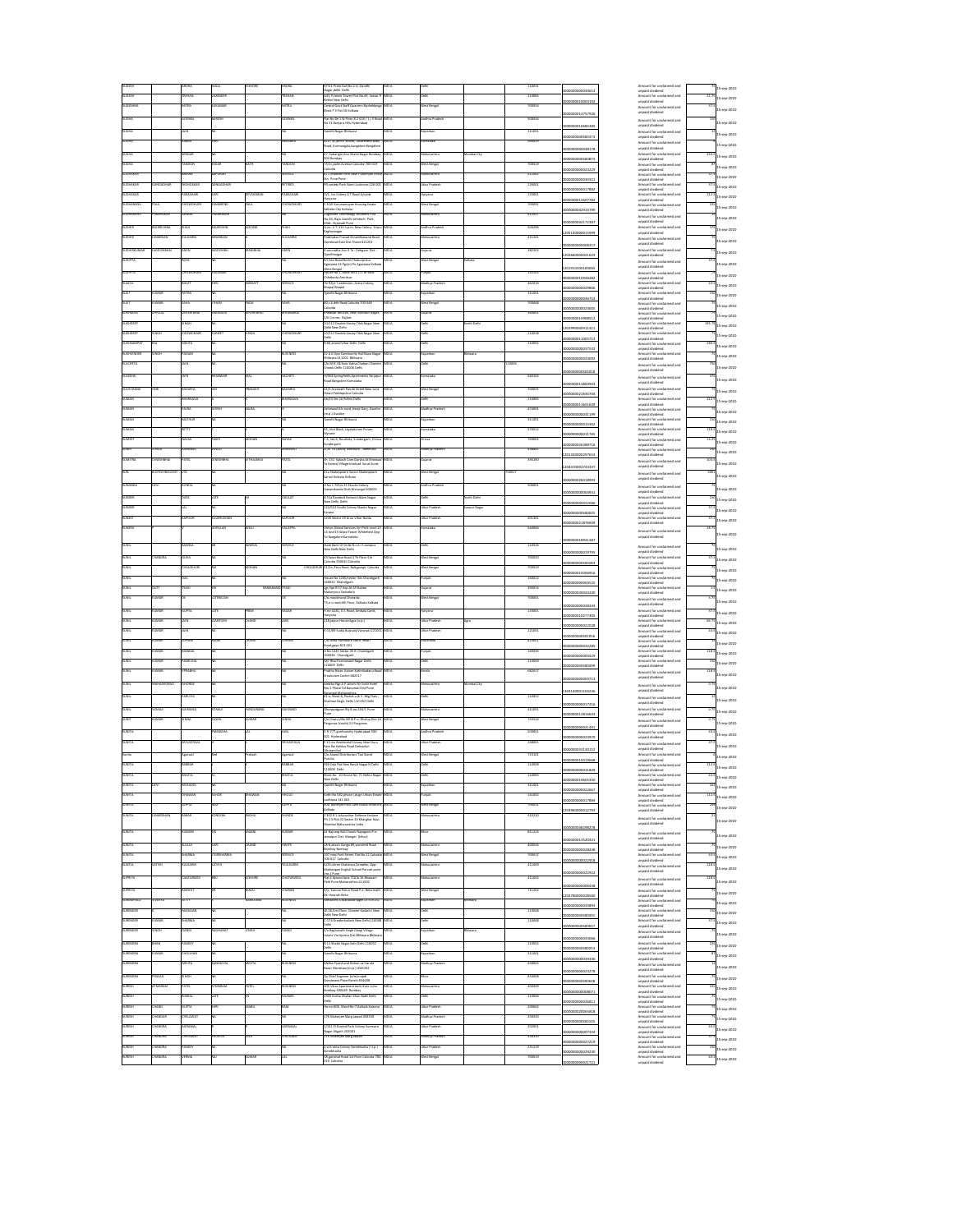|                    |      |       |        |    |             | 21 Prem Gall No.1-                                                                                                                                                              |    |            | 110033           |                                  | Amount for unclaimed and                                                                   |                       |                                 |
|--------------------|------|-------|--------|----|-------------|---------------------------------------------------------------------------------------------------------------------------------------------------------------------------------|----|------------|------------------|----------------------------------|--------------------------------------------------------------------------------------------|-----------------------|---------------------------------|
|                    |      |       |        |    |             | pr,delhi Delhi                                                                                                                                                                  |    |            | 1100             |                                  | Amount for uncommodiate<br>Amount for unclaimed and<br>unpaid dividend                     | 21.7                  | S-sep-2010<br>ep-2010           |
|                    |      |       |        |    |             | ntral Govt Staff Quarte<br>ck F 3 Flat 18 Kolkata                                                                                                                               |    | st Ben     | 700054           |                                  | Amount for unclaimed and                                                                   | B                     | ep-2010                         |
|                    |      |       |        |    |             | lat No De 1 St Floor II 2 618 /<br>Io 11 Nanjara Mih Hyderabad                                                                                                                  |    |            | 500034           |                                  | unpaid dividend<br>Amount for unclaimed and                                                | E                     | 5-sep-2010                      |
|                    |      |       |        |    |             | dhi Nagar Bh                                                                                                                                                                    |    |            | 311001           | 010685385<br>10373               | unpaid dividend<br>Amount for unclaimed and<br>unpaid dividend                             | - 22                  | sep-2010                        |
|                    |      |       |        |    |             | 107 St. john's Wood, Taxarekere Mair<br>194, Kormangala,bangalore Bangalor                                                                                                      |    |            | 560029           | 333178                           | Amount for unclaimed and<br>unpaid dividend                                                |                       | sep.2010                        |
|                    |      |       |        |    |             | .<br>Sabarigiri Anu Shakti N<br>I Bombay                                                                                                                                        |    |            |                  | 500373                           | Amount for unclaimed and<br>unpaid dividend<br>Amount for unclaimed and                    | 15.                   | sep-2010                        |
|                    |      |       |        |    |             | 1c.palm Avenue Cal<br>utta<br>71, bhawarsi Peth                                                                                                                                 |    |            | 700019<br>411042 | 000000023229                     | unpaid dividend<br>Amount for unclaimed and                                                | B                     | 5-sep-2010                      |
|                    |      |       |        |    |             | n. Pune Pune<br>the Darb 1                                                                                                                                                      |    |            | 22600            | 0030321                          | unpaid dividend<br>Amount for unclaimed and                                                | 27                    | sep-2010<br>S-sep-2010          |
|                    |      |       |        |    |             | 1/1, loc Colony G T Road A/cantt                                                                                                                                                |    | yana       | 133001           | 0017882<br>012607782             | unpaid dividend<br>Amount for unclaimed and<br>unpaid dividend                             | 112.                  | sep-2010                        |
|                    |      | WUR   |        |    |             | 10/6 Karunamoyee Housing Estate<br>tiake City Kolkata                                                                                                                           |    | st Denga   | 700091           | A2915799                         | Amount for unclaimed and<br>unpaid dividend                                                | -22                   | Sarp 2010                       |
|                    |      |       |        |    |             | enicant Technology Solutions Pip<br>ognizant i ecrivisiogy solutionii Miot<br>o. 26, Rajiv Gandhi Infotech- Park,<br>lidc. Hiiewadi Pune<br>.no. 2-7-110 S.p.m. New Colony-Sirg |    |            | 411057           | 12172387                         | Amount for unclaimed and<br>unpaid dividend                                                |                       | 5-sep-2010                      |
|                    |      |       | 835510 |    |             | ghaznagar<br>abhakar Prasad Shradcharund Roa                                                                                                                                    |    |            | 504290<br>421201 | 105140000015999                  | Amount for unclaimed and<br>unpaid dividend                                                | 37                    | 5-sep-2010                      |
|                    |      |       |        |    |             | mbivali East Dist Thane 421201                                                                                                                                                  |    |            |                  |                                  | Amount for unclaimed and<br>unpaid dividend                                                |                       | sep-2010                        |
|                    |      |       |        |    |             | : Sen Road<br>North Thakurpuku                                                                                                                                                  |    | it Ben     |                  | 623                              | Amount for unclaimed and<br>unpaid dividend<br>Amount for unclaimed and                    | B                     | sep-2010                        |
|                    |      |       |        |    |             | arpara 24 Pgujn) Po Agarpara Kolka<br>tt Geneal                                                                                                                                 |    |            | 143107           | nanssanss                        | unpaid dividend<br>Amount for unclaimed and                                                |                       | <b>S-sep-2010</b><br>S-sep-2010 |
|                    |      |       |        |    |             | abarta à<br>98,e-7,e                                                                                                                                                            |    |            |                  | 946482                           | unpaid dividend<br>Amount for unclaimed and<br>unpaid dividend                             | $\overline{a}$        | $-$ sep $-2010$                 |
|                    |      |       |        |    |             | ındhi Nagar ühibwara                                                                                                                                                            |    |            | 311001           | 38753                            | Amount for unclaimed and<br>unpaid dividend                                                | -15                   | 5-sep-2010                      |
|                    |      |       |        |    |             | x X deb Road Calcutta<br>                                                                                                                                                       |    |            | 200045           | 023005                           | Amount for unclaimed and<br>unpaid dividend                                                |                       | sep-2010                        |
|                    |      |       |        |    |             | (5 Corner, Rajk<br>1/112 Double S<br>able Storey Titak Nagar                                                                                                                    |    |            |                  | 08512                            | Amount for unclaimed and<br>unpaid dividend<br>Amount for unclaimed and                    | 1953                  | sep-2010                        |
|                    |      |       |        |    |             | hi New Delhi<br>0/112 Double St                                                                                                                                                 |    |            |                  | 011411<br>1005713                | unpaid dividend<br>Amount for unclaimed and                                                |                       | 5-sep-2010<br>-<br>sep-2010     |
|                    |      |       |        |    |             |                                                                                                                                                                                 |    |            |                  | 7532                             | unpaid dividend<br>Amount for unclaimed and<br>unpaid dividend                             |                       | sep-2010                        |
|                    |      |       |        |    |             | A 2 Opp Co.<br>anity Mall Dag<br>Nag<br>vara 311001 Bhily                                                                                                                       |    |            |                  |                                  | Amount for unclaimed and<br>unpaid dividend                                                |                       | 5-sep-2010                      |
|                    |      |       |        |    |             | /o M H J & Sons Katra Cho<br>howk Delhi-110006 Delhi                                                                                                                            |    |            |                  |                                  | Amount for unclaimed and<br>unpaid dividend                                                |                       | 5-sep-2010                      |
|                    |      |       |        |    |             | 904 Springfie<br>ed Bangalore                                                                                                                                                   |    |            |                  | 00000013800903                   | Amount for unclaimed and<br>unpaid dividend<br>Amount for unclaimed and                    |                       | 5-sep-2010                      |
|                    |      |       |        |    |             | /1 Arannath Pandit Street<br>an Poddopukur Calcutta<br>/23 Sec 16 Rohini Dell                                                                                                   |    |            | 110001           | 021630704                        | <b>Innehicle Nigero</b><br>Amount for unclaimed and                                        | 112                   | Sarp 2010                       |
|                    |      |       |        |    |             | irwad A.b.road, Jiwaji Ganj, O<br>p.) Gwallor                                                                                                                                   |    | dhya Pra   | 474001           | 011651649                        | unpaid dividend<br>Amount for unclaimed and                                                |                       | S-sep-2010<br>sep.2010          |
|                    |      |       |        |    |             | ındni Nagar ühilwarı                                                                                                                                                            |    |            | 311001           | 031199<br>015362                 | unpaid dividend<br>Amount for unclaimed and                                                | $\overline{15}$       | Sarp 2010                       |
|                    |      |       |        |    |             | lind Mock. 1                                                                                                                                                                    |    |            | 570012           | 0011765                          | unpaid dividend<br>Amount for unclaimed and<br>unpaid dividend<br>Amount for unclaimed and | 115.5                 | $5-$ sep $-2010$                |
|                    |      |       |        |    |             | G, Sec G, Ro<br>ergart<br>-14 Tit Colony No                                                                                                                                     |    | thia P     | 769002<br>458443 | 26388716                         | unpaid dividend<br>Amount for unclaimed and                                                | 14.2<br>-15           | sep-2010                        |
|                    |      |       |        |    |             | 131 Kallash Com<br>Kamrej Village kholvad Surat Surat                                                                                                                           |    |            | 294190           | 101330000297653                  | unpaid dividend<br>Amount for unclaimed and                                                | 103                   | Sarp 2010<br>5-sep-2010         |
|                    |      |       |        |    |             | s Shakespeare Sarani Shakespeare<br>ani Kolkata Kolkata                                                                                                                         |    | st Bengal  |                  | 204470002743337                  | unpaid dividend<br>Amount for unclaimed and<br>unpaid dividend                             | 50                    |                                 |
|                    |      |       |        |    |             | No 1 705/a 25 Ekasia Colony<br>namkonda Distt Warangal 506001                                                                                                                   |    |            | Shezon           |                                  | Amount for unclaimed and                                                                   |                       | -<br>sep-2010                   |
|                    |      |       |        |    |             |                                                                                                                                                                                 |    |            |                  | 4933                             | unpaid dividend<br>Amount for unclaimed and                                                |                       | 5-sep-2010<br>sep-2010          |
|                    |      |       |        |    |             | 22/552 Sindhi Colony Shastri Nagar                                                                                                                                              |    | tar Prades |                  | 32686<br>0025                    | unpaid dividend<br>Amount for unclaimed and<br>unpaid dividend                             | 17.                   | 5-sep-2010                      |
|                    |      |       |        |    |             | 135 Sector 29 Arun Vihar N                                                                                                                                                      |    |            | 201101           | 00000021876009                   | Amount for unclaimed and<br>unpaid dividend                                                | $\overline{v}$        | sep-2010                        |
|                    |      |       |        |    |             | inisys Global Services Sjri Park Le<br>4 And 15 Warp Tower Whitefield<br>5 Bangalore Karnataka<br>eld Opp                                                                       |    |            |                  |                                  | Amount for unclaimed and<br>unpaid dividend                                                |                       | sep-2010                        |
|                    |      |       |        |    |             | ite Bank Of India N.c.e.r.t<br>w Delhi New Delhi                                                                                                                                |    |            | 110010           | 8941387                          | Amount for unclaimed and                                                                   |                       | .<br>sep-2010                   |
|                    |      |       |        |    |             |                                                                                                                                                                                 |    |            |                  |                                  |                                                                                            |                       |                                 |
|                    |      |       |        |    |             | Sarat Bose Road 4 Th<br>ata 700020 Calcutt                                                                                                                                      |    |            |                  |                                  | unpaid dividend<br>Amount for unclaimed and                                                | 27                    | S-sep-2010                      |
|                    |      |       |        |    |             | le, Ferr                                                                                                                                                                        |    |            |                  | 500283<br>016                    | npaid di<br>Amount for unclaimed and<br>unpaid dividend                                    |                       | sep-2010                        |
|                    |      |       |        |    |             | use No 1205/sector 34c Chandigari<br>022 Chandigart                                                                                                                             |    | njab       | 160022           | 04525                            | Amount for unclaimed and<br>unpaid dividend                                                |                       | 5-sep-2010                      |
|                    |      |       |        |    |             | San 857 Aug Af Af St<br><b>Languina</b> Vados                                                                                                                                   |    |            | 290014           | 00000030044240                   | Amount for unclaimed and<br>unpaid dividend<br>Amount for unclaimed and                    |                       | $-$ sep $-2010$                 |
|                    |      |       |        |    |             | .<br>n.s.road,4th Floor, Kolkata Kolkata<br>to-4181, D.I. Road, Ambala Cantt                                                                                                    |    |            | 133001           | 1038334                          | unpaid dividend<br>Amount for unclaimed and                                                | $\overline{17}$       | S-sep-2010                      |
|                    |      |       |        |    |             | .<br>Liabar House Aera (u.p.)                                                                                                                                                   |    |            |                  | 277305                           | unpaid dividend<br>Amount for unclaimed and                                                | 66.73                 | S-sep-2010<br>sep-2010          |
|                    |      |       |        |    |             | 5/69 Sudia Bu                                                                                                                                                                   |    |            | 221001           | 022028                           | unpaid dividend<br>Amount for unclaimed and<br>unpaid dividend                             | 43.                   | iep-2010                        |
|                    |      |       |        |    |             | : Janta Hardware Store Tel<br>ed <sub>-B</sub> aya-823 001<br>io 1430 Sector 35 B C                                                                                             |    |            | 823001<br>16003  | 022285                           | Amount for unclaimed and<br>unpaid dividend                                                |                       | sep-2010                        |
|                    |      |       |        |    |             | 036 Chandle                                                                                                                                                                     |    |            |                  | 04425                            | www.awsena<br>Amount for unclaimed and<br>unpaid dividend<br>Amount for unclaimed and      | 111.                  | S-sep-2010                      |
|                    |      |       |        |    |             | rabhu Nivas Kaloor Kathrii<br>makulam Cochin 682017                                                                                                                             | XA |            | 682017           |                                  | unpaid dividend<br>Amount for unclaimed and                                                | 115                   | sep-2010<br>sep-2010            |
|                    |      |       |        |    |             | mbika Ngr A P Jalochi Nr Sudit Hot<br>m. 1 Phase Tal Baramati Dist Pune                                                                                                         |    |            |                  | 04713                            | unpaid dividend<br>Amount for unclaimed and                                                |                       | 5-sep-2010                      |
|                    |      |       |        |    |             | arnati Maharashtra<br>a, Block B, Pocket u & V. Mig Flats                                                                                                                       |    |            | 110052           | 104140001104236                  | unpaid dividend<br>Amount for unclaimed and                                                |                       |                                 |
|                    |      |       |        |    |             | mar Bagh, Delhi 110 052 Delhi<br>diraon Ry B.no.246/1 Pun                                                                                                                       |    |            | 411001           | 017316                           | unpaid dividend                                                                            | $\alpha$              | sep-2010<br>sep-2010            |
|                    |      |       |        |    |             | o Chana Villa VIII & P.o. Chala<br>rgonas (south) 24 Pargonas                                                                                                                   |    |            |                  | 00000012816633                   | -<br>Amount for unclaimed and<br>unpaid dividend<br>Amount for unclaimed and               |                       | 5-sep-2010                      |
|                    |      |       |        |    |             | 3-777 gurfoundry Hyderabad-500                                                                                                                                                  |    |            | 500001           | 00031491<br>023970               | unpaid dividend<br>Amount for unclaimed and<br>unpaid dividend                             | 41                    | S-sep-2010                      |
|                    |      |       |        |    |             | 31 Hyderabad<br>13 lirs Residential Colony Near Gu<br>n Rai Kalidas Road Dehradun                                                                                               |    |            | 24800            |                                  | Amount for unclaimed and<br>unnaid distributed                                             | $\overline{v}$        | 5-sep-2010                      |
|                    |      |       |        |    |             | ors Taxi Stand<br>sta<br>60 Dda Flat New Ranjit Nagar N Delh                                                                                                                    |    |            | 723101<br>110000 | 000000010019668                  | Amount for unclaimed and<br>unpaid dividend<br>Amount for unclaimed and                    | 112                   | 5-sep-2010                      |
|                    |      |       |        |    |             | <b>DOOS Dehi</b>                                                                                                                                                                |    |            | 11000            |                                  | unpaid dividend<br>Amount for unclaimed and                                                | 41.                   | S-sep-2010                      |
|                    |      |       |        |    |             | :k No. 10 H<br>r Delhi<br>chi Nagar Dh                                                                                                                                          |    |            | 311001           | 00000019605350<br>00000000022667 | unpaid dividend<br>Amount for unclaimed and<br>unpaid dividend                             | 16                    | 5-sep-2010<br>5-sep-2010        |
|                    |      |       |        |    |             | hi No 582, phase 1,dugri Un<br>Stana 141 002                                                                                                                                    |    |            | 141002           | 0017884                          | Amount for unclaimed and<br>unpaid dividend                                                | 112                   | S-sep-2010                      |
|                    |      |       |        |    |             | i.                                                                                                                                                                              |    |            |                  | 00012793<br>20396                | Amount for unclaimed and<br>unpaid dividend                                                |                       | S-sep-2010                      |
|                    |      |       |        |    |             | 302 B 1 Jalvauvihar Defence Enc<br>1 2 3 Plot 22 Sector 20 Kharghar                                                                                                             |    |            | 410210           | 048298278                        | Amount for unclaimed and<br>unpaid dividend                                                |                       | <b>S-sep-2010</b>               |
|                    |      |       |        |    | war         | t Bajrang Bali Chowk Nayagaon P.<br>smalpur Dist-Munger (bihar)                                                                                                                 |    |            | 811214           |                                  | Amount for unclaimed and<br>unpaid dividend                                                |                       | Ssep-2010                       |
|                    |      |       |        |    |             | -b,akash Ganga 89,w.<br>mbay Bombay                                                                                                                                             |    |            |                  | 013520331<br>00028438            | Amount for unclaimed and                                                                   |                       | <b>S-sep-2010</b>               |
|                    |      |       |        |    | ла          | 97,new Park Street, Flat No. 12 C.<br>30 017  Calcutta<br>/26 xhree Chaltanya Complex, Opp                                                                                      |    |            | 700017<br>411009 | 00000000022918                   | unpaid dividend<br>Amount for unclaimed and<br>unpaid dividend                             | 43.<br>118            | 5-sep-2010                      |
|                    |      |       |        |    |             | ktangan English School Parvati-pun                                                                                                                                              |    |            |                  |                                  | Amount for unclaimed and<br>unpaid dividend<br>Amount for unclaimed and                    |                       | sep-2010                        |
|                    |      | CSHIT |        | мų | <b>USAN</b> | ns : rune<br>at 4 Ajwani Apts 710/b 16 Bhai<br>eth Pune Maharashira 411002                                                                                                      |    | est Benga  | 411002<br>711202 | 16438                            | unpaid dividend<br>Amount for unclaimed and                                                | щ                     | S-sep-2010                      |
|                    |      |       |        |    | INESS       | /1, Karuna Pukur Road P.o: Belurma<br>rah Belur<br>acore A Mahabubnawy Dt 509131                                                                                                |    |            |                  | 0028560<br>102781                |                                                                                            |                       | 15-sep-2010                     |
|                    |      |       |        |    |             | t6,first Floor,                                                                                                                                                                 |    |            |                  | 00000000033893<br>30491          | unpaid dividend<br>Amount for unclaimed and<br>unpaid dividend<br>Amount for unclaimed and |                       | .<br>S-sep-2010<br>sep-2010     |
|                    |      |       |        |    |             | shi New Delhi<br>174 Greaterkaila                                                                                                                                               |    |            | 110048           | 0027                             | unpaid dividend<br>Amount for unclaimed and<br>unpaid dividend                             | B                     | 5-sep-2010                      |
|                    |      |       |        |    |             | a Raghunath Singh Dangi Village<br>Ians Via Uprera Dist Bhilwara Bhilwa                                                                                                         |    |            |                  | 100033066                        | Amount for unclaimed and<br>unpaid dividend                                                |                       | 15-sep-2010                     |
|                    |      |       |        |    |             | 11 Shakti Nagar Extn Delhi 11005                                                                                                                                                | ιA |            | 110052           | 00253                            | Amount for unclaimed and<br>unpaid dividend                                                | 22!                   | sep-2010                        |
|                    | MA   |       |        |    |             | ndhi Nagar Bhilwara                                                                                                                                                             |    |            | 311001<br>45800  | 039336                           | Amount for unclaimed and<br>unpaid dividend<br>Amount for unclaimed and                    |                       | 5-sep-2010                      |
|                    |      |       |        |    |             | gar Mandusunim.p.1-458 002                                                                                                                                                      |    |            | 834008           | 0023278                          | unpaid dividend<br>Amount for unclaimed and                                                |                       | 5-sep-2010                      |
|                    |      |       |        |    |             | Chief Engineer (a/m)cmpdi<br>ndwana Place Ranchi 834008<br>05 Vikas Apartment Janki Kutir Juh                                                                                   |    |            | 400049           | 00000500628                      | unpaid dividend<br>Amount for unclaimed and                                                | $\overline{z}$        | 5-sep-2010<br>S-sep-2010        |
|                    |      |       |        |    |             | bay 400049 Bombay<br><b>MS Kocha Challan Khari Babli D</b>                                                                                                                      |    |            | 110000           | 1008071<br>026811                | unpaid dividend<br>Amount for unclaimed and                                                |                       | S-sep-2010                      |
|                    |      |       |        |    |             | no.608, Ward No-7 Aalkala Kairan.                                                                                                                                               |    | ar Pradesh | 200662           | 065818                           | unpaid dividend<br>Amount for unclaimed and<br>unpaid dividend                             |                       | $-$ sep $-2010$                 |
| arsa<br>arse       |      |       |        |    |             | 5 Mukerjee Marg Jawad 458330<br>131 El Govind Park Colony S                                                                                                                     |    | thya Prade | 458330<br>202001 | 0105                             | Amount for unclaimed and<br>unpaid dividend<br>Amount for unclaimed and                    | 42.5                  | 5-sep-2010                      |
| ars                |      |       |        |    |             | ar Algarh 202001<br>Mukerjee Marg Jaw                                                                                                                                           | ιA | hya Prai   | 458330           | 007324                           | unpaid dividend<br>Amount for unclaimed and                                                | $\boldsymbol{17}$     | 5-sep-2010<br>sep-2010          |
| URESH<br><b>us</b> | ANDR |       |        |    |             | a-6 obra Colony Sonebhadra ( U.p.)<br>nebhadra<br>ahat Road 1st Fi                                                                                                              | XA | tar Prade  | 231219           | 027219<br>029230                 | unpaid dividend<br>Amount for unclaimed and<br>unpaid dividend<br>nount for unclaimed and  | -15<br>$\overline{a}$ | S-sep-2010                      |

| Amount for unclaimed and                                                                                                                               | 5                             | sep-2010<br>1Ś             |
|--------------------------------------------------------------------------------------------------------------------------------------------------------|-------------------------------|----------------------------|
| unpaid dividend<br>Amount for uncla<br>bns bemis<br>.<br>ad<br>ù<br>ü                                                                                  | 21<br>$\overline{\mathbf{r}}$ | sep-2010                   |
| mount for und<br>imed and<br>ź                                                                                                                         |                               | sep-2010<br>ú              |
| aid divis<br>id<br>ij                                                                                                                                  | ść                            |                            |
| mount for v<br>npaid dividi<br>nd<br>d and<br>im<br>lend<br>np                                                                                         |                               | p-2010                     |
| <b>Amount</b> for uncli<br>da<br>id dividend<br>id dividend<br>npi                                                                                     |                               | 2010                       |
| unt for uncl<br>id dividend<br>Amour<br>å.                                                                                                             | ¢                             | 2010                       |
| Amount for unclaimed and                                                                                                                               |                               | 0.2010                     |
| and else<br>ü<br>unpai<br>Amou<br>aimed and                                                                                                            |                               |                            |
| ia awaiina<br>unt for und<br>id dividend<br>nş                                                                                                         | 5                             |                            |
| Amount for unclaimed and<br>unpaid dividend<br>Amount for und<br>aiment and                                                                            |                               | (40.2010)                  |
| aid diuta<br>lend<br>und<br>unpai<br>Amou<br>$\frac{1}{6}$<br>å.                                                                                       |                               | sep-2010                   |
| d divi<br>nd<br>nş                                                                                                                                     |                               | 2010                       |
| Amount for unclaime<br>d and<br>unpaid dividend                                                                                                        |                               | sep-2010<br>1Ś             |
| Amount for und<br>d and                                                                                                                                |                               | 2010                       |
| unpaid dividend<br>.<br>Amount for und<br>unpaid dividend<br>d and                                                                                     |                               |                            |
| ı.<br>d ar                                                                                                                                             |                               | ep-2010                    |
| ount for und<br>seid dividend<br>nş                                                                                                                    |                               | 2010                       |
| unt for uncl<br>id dividend<br>Amour<br>unpaid<br>å.                                                                                                   |                               | 2010                       |
| Amount for und<br>imed and<br>aid divi<br>ü                                                                                                            |                               | 500.2010                   |
| nş<br>imad and                                                                                                                                         | $\overline{15}$               | sep-2010                   |
| Amount for uncl<br>unpaid dividend<br>즚<br>t for und<br>j,<br>å.                                                                                       | ŧ                             |                            |
| an<br>id dividend<br>ant for und<br>unpa<br>Amo<br>med and                                                                                             |                               | sep-2010                   |
| unpaid dividend                                                                                                                                        |                               | ep-2010<br>Ľ,              |
| Amount for unclaimed and<br>aid dividend                                                                                                               |                               | sep-2010<br>ú              |
| d ar<br>i<br>Am<br>unp<br>Amount for uncl<br>unpaid dividend<br>Amount for uncl<br>aime                                                                | ä                             | oso                        |
| im<br>d and                                                                                                                                            |                               | 010<br>ėρ                  |
| unpaid dividend<br>Amount for unclaimed and                                                                                                            | 75                            | sep-2010                   |
| breakd dividend<br>ù<br>iou<br>á.                                                                                                                      | $\frac{1}{2}$                 |                            |
| unt for und<br>aid dividend<br>med and<br>nt fo<br>mo<br>nd                                                                                            |                               | 2010                       |
| unpaid dividend                                                                                                                                        |                               | p-2010                     |
| Amount for uncl<br>unpaid dividend<br>d ar                                                                                                             |                               | ep-2010                    |
| Amount for unclaimed and                                                                                                                               |                               | 5-sep-2010                 |
| brebivib bisqn                                                                                                                                         | 7<br>3                        |                            |
| Amount for unclaimed and<br>unpaid dividend                                                                                                            |                               | sep-2010<br>ß              |
| Amount for und<br><b>Imediand</b><br>aid divide<br>ıd<br>id<br>unpai<br>Amos                                                                           | 112.5                         | sep-2010                   |
| ï.<br>i ar<br>d divi<br>nd<br>'nş                                                                                                                      |                               | 2010                       |
| Amount for unclaimed and<br><b>unpaid dividend</b>                                                                                                     |                               | sep-2010<br>1Ś             |
| Amount for und<br>imed and                                                                                                                             | m                             | 500.2010                   |
| aid divi<br>aid divi<br>xunt fo<br><b>Exampled dividend</b><br>Amount for und<br>Expaid dividend<br>Amount for und<br>d and                            |                               | 2010                       |
| d and                                                                                                                                                  | ĵ                             |                            |
| unpaid dividend                                                                                                                                        |                               | īś<br>sep-2010             |
| t for und<br>mo<br>d and<br>unpaid dividend                                                                                                            |                               | p-2010                     |
| Amount for unclaim<br>unpaid dividend<br>d and                                                                                                         |                               | sep-2010                   |
| t fa<br>r und<br>$m \sim$<br>d a                                                                                                                       | ä                             |                            |
| id dividend<br>npi                                                                                                                                     |                               | ep-2010                    |
| Amaw<br>t for und<br>å.<br>emtern ve<br>unpaid dividend<br>Amount for uncl                                                                             | ä                             | sep 2010                   |
| imed and<br>unpaid dividend                                                                                                                            | 5                             | p-2010<br>Ľ,               |
| Amount for unclaimed and                                                                                                                               |                               | sep-2010<br>ú              |
|                                                                                                                                                        |                               |                            |
| Amount for unclaimed and<br>unpaid dividend                                                                                                            |                               | 15-sep-2010                |
| ant for unclaimed and<br>j<br>$m\alpha$                                                                                                                |                               | sep-2010<br>ò,             |
| unpaid dividend                                                                                                                                        | 3                             |                            |
| Amount for unclaimed and<br>unpaid dividend<br>j,<br>즚<br>t for und<br>å.                                                                              | 7                             | sep-2010                   |
|                                                                                                                                                        |                               | p-2010                     |
|                                                                                                                                                        |                               |                            |
| emtern ve<br>unpaid dividend<br>Amount for uncl<br>d and<br>unpaid dividend                                                                            | 75                            | p-2010                     |
| Amount for und<br>imed and<br>aid dividend                                                                                                             |                               | sep-2010                   |
| Amount for unclaimed and                                                                                                                               |                               | sep-2010<br>ß              |
| breakd dividend<br>Amount for unclaimed and                                                                                                            |                               |                            |
| <b>unpaid dividend</b><br>Amount for und<br>imed and                                                                                                   |                               | sep-2010<br>ß              |
| aid divi<br>ü                                                                                                                                          |                               | sep-2010<br>ú              |
| unpai<br>4mou<br>aimed and                                                                                                                             |                               | <sub>10</sub>              |
| emtern ve<br>unpaid dividend<br>Amount for uncl<br>im<br>d and<br>unpaid dividend                                                                      | 12                            | sep-2010<br>ŕ.             |
| <b>Amount for uncl</b><br>unpaid dividend<br>imed and                                                                                                  | 118.5                         | sep-2010                   |
| ÷,<br>for und<br>ù<br>å.                                                                                                                               | 150                           | $-2010$                    |
| id divid<br>nd<br>nş<br>our<br>d a                                                                                                                     | is,<br>ï<br>11                |                            |
| unt for und<br>id dividend<br>ų                                                                                                                        |                               | p-2010                     |
| t fe<br>d and<br>m<br>unpaid dividend                                                                                                                  |                               | p-2010                     |
| <b><i><u>Ammunt</u></i></b> for unclaima<br>d and<br>aid divide<br>'n.                                                                                 |                               | ep-2010                    |
| <b>Amnuel for und</b><br>d and<br>ime                                                                                                                  |                               | 0-2010                     |
| aid dividend<br>Amount for unclaimed and                                                                                                               |                               |                            |
| breakd dividend                                                                                                                                        |                               | sep-2010<br>ß              |
| Amount for und<br>imed and<br>unpaid dividend                                                                                                          |                               | 15-sep-2010                |
| mount for und<br>im<br>d and                                                                                                                           |                               | ep-2010                    |
| unpaid dividend<br>imed and                                                                                                                            |                               |                            |
| .<br>mount for und<br>npaid dividend<br>nş<br>Amount for unclaimed and                                                                                 | 112.5                         | 15-sep-2010                |
| hreaid dividend<br>ò.<br>four                                                                                                                          |                               | 15-sep-2010                |
| iid dividi<br>unt for u<br>d ar                                                                                                                        | ä                             | 2010                       |
| lend<br>und<br>nd                                                                                                                                      |                               | sep-2010                   |
| As<br>unpain<br>Amount fo.<br>Youid divid<br>Your<br>Amount for unclaimed and<br>unpaid dividend                                                       | D<br>5                        | 5-sep-2010                 |
| k<br>sount for und<br>bns bemis<br>aid divide<br>'n.<br>ų                                                                                              | 245                           | 15-sep-2010                |
| Amount for unclaims<br>d and                                                                                                                           | 7                             | 5-sep-2010                 |
| unpaid dividend                                                                                                                                        |                               |                            |
| d ar                                                                                                                                                   | 75<br>ä                       | sep.2010                   |
| ount for unclaim<br>Niid dividend<br>Amount for unclaimed and                                                                                          | 75                            | 15-sep-2010                |
| aimed and                                                                                                                                              |                               |                            |
| enoun to und<br>unpaid dividend<br>Amount for und<br>unpaid dividend                                                                                   | 118.5<br>ä                    | sep-2010                   |
| Amount for uncli<br>d ar<br>id divid<br>nş<br>lend                                                                                                     |                               | S-sep-2010                 |
| Amount for unclaimed and<br>unpaid dividend                                                                                                            | 118.5                         | 15-sep-2010                |
| e fo<br>r und<br>ma<br>med and                                                                                                                         | 75                            | 15-sep-2010                |
| unpaid dividend<br>Amount for unclaimed and                                                                                                            | 7                             |                            |
| aid dividend                                                                                                                                           |                               | Sam2010                    |
| aimed and<br>a<br>Am<br>unp                                                                                                                            |                               | sep-2010<br>ú,             |
| Amount for uncl<br>unpaid dividend<br>Amount for uncl<br>unpaid dividend<br>imed and                                                                   |                               | sep-2010                   |
| -<br>Amount for und<br>unpaid dividend<br>d and<br>im<br>np                                                                                            | 75                            | sep-2010<br>ß              |
|                                                                                                                                                        |                               |                            |
| Amount for unclaimed and<br>unpaid dividend<br>Amount for unclaimed and                                                                                | g)                            | p-2010                     |
| unpaid dividend                                                                                                                                        | n                             | 15-sep-2010                |
| .<br>Amo<br>it for und<br>imed and<br>unpaid dividend                                                                                                  |                               | sep-2010<br>ß              |
| $_{\alpha}$<br>k<br>nş                                                                                                                                 | 7                             | sep-2010                   |
| ت سخته<br>unt for unclaimed and<br>id dividend                                                                                                         | 225                           | 15-sep-2010                |
| Amount for unclaimed and<br>unpaid dividend                                                                                                            | 75                            | 15-sep-2010                |
| Amount for unclaimed and<br>unpaid dividend<br>Amount for unclaimed and                                                                                | 7                             |                            |
| d divid<br>nş<br>nd<br>Amount for unclaimed and                                                                                                        | 7<br>5                        | S-sep-2010                 |
| <b>unpaid dividend</b><br>Amount for unclaimed and                                                                                                     | 0.5                           | 15-sep-2010                |
| aimed and                                                                                                                                              |                               | 15-sep-2010                |
|                                                                                                                                                        |                               | 15-sep-2010                |
| Amount for uncl<br>unpaid dividend<br>Amount for uncl<br>unpaid dividend<br>unpaid dividend<br>imed and<br>Amount for unclaimed and<br>immain dividend | 150<br>œ                      | 15-sep-2010<br>15-sep-2010 |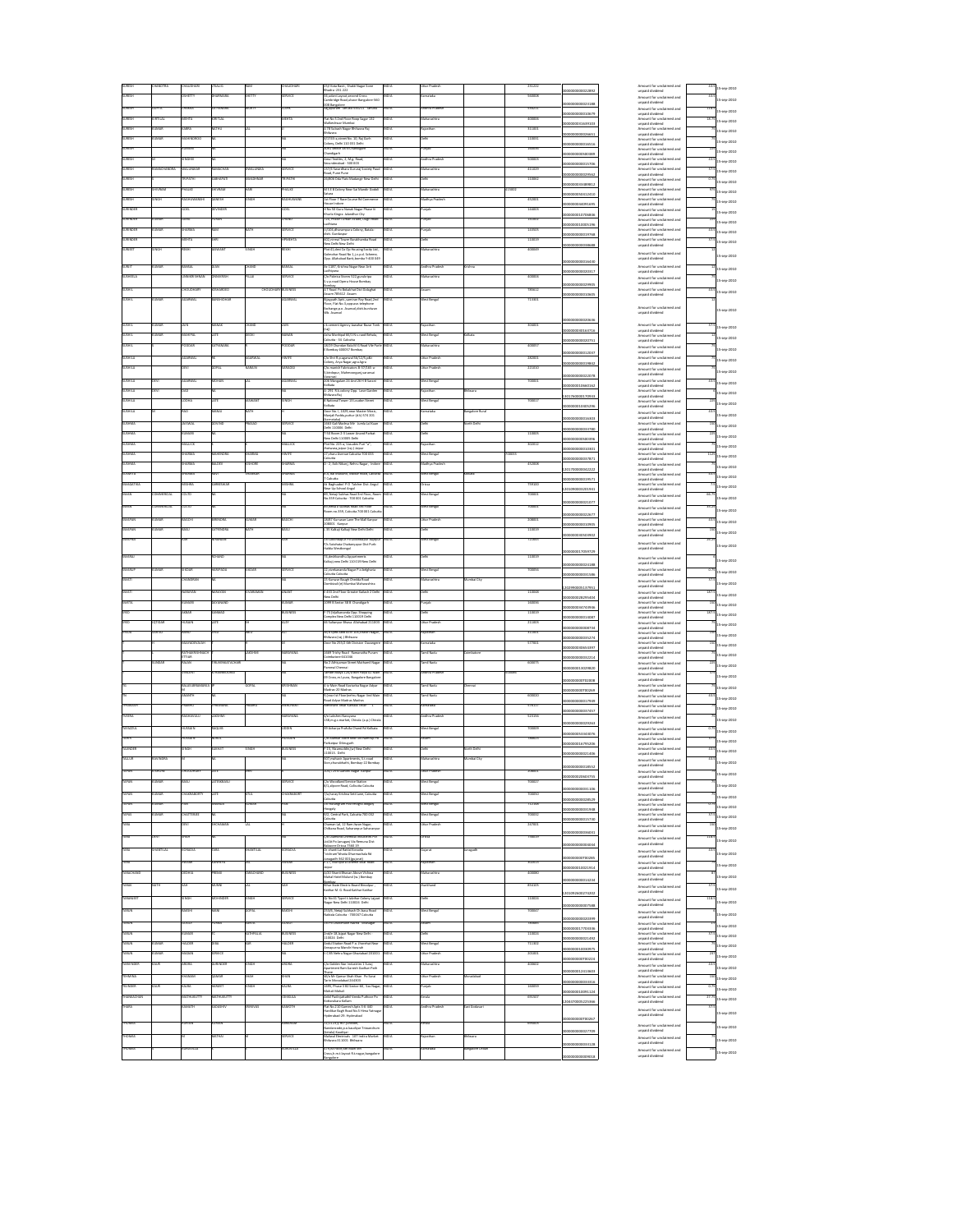|     |                   |      |      | i Kota Davti , Shakti<br>adra -231 222                                                                                                                       |    |           | 23122            |                           | Amount for unclaimed and<br>unpaid dividend<br>Amount for unclaimed and                    | 41<br>$\overline{a}$ | S-sep-2010                   |
|-----|-------------------|------|------|--------------------------------------------------------------------------------------------------------------------------------------------------------------|----|-----------|------------------|---------------------------|--------------------------------------------------------------------------------------------|----------------------|------------------------------|
|     |                   |      |      | lore-S&C<br>as sur<br>uku 534211 Tar                                                                                                                         |    |           | 534213           | 023188                    | unpaid dividend<br>Amount for unclaimed and                                                | 118                  | ep-2010<br>S-sep-2010        |
|     |                   |      |      | it No 5 2nd Floor R<br>sikeshwar Mumbai                                                                                                                      |    |           |                  | 163910                    | unpaid dividend<br>Amount for unclaimed and<br>unpaid dividend                             | 187                  | ep-2010                      |
|     |                   |      |      | Naga                                                                                                                                                         |    |           |                  |                           | Amount for unclaimed and<br>unpaid dividend                                                |                      | sep-2010                     |
|     |                   |      |      | (1745-a,street No. 10, Ruj Garl<br>ony, Delhi 110 031 Dalh<br>91 Sector 38-d Chandigari                                                                      |    |           | 110033<br>160030 | 6514                      | Amount for unclaimed and<br>unpaid dividend<br>Amount for unclaimed and                    | $^{22}$              | 5-sep-2010                   |
|     |                   |      |      | ndgarh<br>al Textiles, 2, M.g. Ro                                                                                                                            |    |           |                  |                           | unpaid dividend<br>Amount for unclaimed and<br>unpaid dividend                             | 41.                  | sep-2010<br>sep-2010         |
|     |                   |      |      | 17/4 Swardhara Gururaj So<br>ad, Pune Pune                                                                                                                   | XA |           | 411029           | 015706<br>0000000029562   | Amount for unclaimed and<br>unpaid dividend                                                | B                    | 5-sep-2010                   |
|     |                   |      |      | 6/806 Dda Flats Madangir                                                                                                                                     |    |           | 11006            |                           | Amount for unclaimed and<br>unpaid dividend<br>Amount for unclaimed and                    | $\alpha$             | S-sep-2010                   |
|     |                   |      |      | M S E B Colony Nea<br>. .<br>t Floor 7 Race Course Rd Co                                                                                                     |    |           | 452001           | 412410                    | unpaid dividend<br>Amount for unclaimed and                                                | $^{9}$               | sep.2010                     |
|     |                   |      |      | se Indore<br>No 50 Guru Narak Nagar Phase III                                                                                                                |    |           | 144003           | 4091695                   | unpaid dividend<br>Amount for unclaimed and                                                |                      | 5-sep-2010<br>S-sep-2010     |
|     |                   |      |      | urla Kingra Jalandhar City                                                                                                                                   |    |           | 14100            | 0005196                   | unpaid dividend<br>Amount for unclaimed and<br>unpaid dividend                             | $\overline{z}$       | -sep-2010                    |
|     |                   |      |      | 104, dharampura Col<br>ttt. Gurdaspur                                                                                                                        |    |           | 141505           | 0000019768                | Amount for unclaimed and<br>unpaid dividend                                                | 43.                  | 5-sep-2010                   |
|     |                   |      |      | 2, nirmal Tower Bara<br>ne Delhi New Delhi<br>x 41 devi Co Op H                                                                                              |    |           | 110019           | nsasse                    | Amount for unclaimed and<br>unpaid dividend                                                | Ð                    | sep-2010                     |
|     |                   |      |      | simohar Road No 1, j.v.p.d. Sch<br>se. Allahabad Bank bomba Y-4<br>-<br>hba Y-400 041                                                                        |    |           |                  | 0000000016430             | Amount for unclaimed and<br>unpaid dividend                                                |                      | 5-sep-2010                   |
|     |                   |      | wicz | -1187, Krishna Nagar Near Arti                                                                                                                               | XA |           | 400004           | 020317                    | Amount for unclaimed and<br>unpaid dividend                                                |                      | sep-2010                     |
|     |                   |      |      | o Pabrica Stores 522, gunukripa<br>r.p. road Opera House Bombay                                                                                              |    |           | 745613           |                           | Amount for unclaimed and<br>unpaid dividend<br>Amount for unclaimed and                    | $^{41}$              | sep-2010                     |
|     |                   |      |      | .<br>FRoad: Po Bokakhat Dist Golagi<br>sam 785612: Assam<br>path Aptt, samiran Roy Road, 2no                                                                 |    |           | 71330            | 10605                     | unpaid dividend                                                                            |                      | s.sep.2010                   |
|     |                   |      |      | ior, Flat No. 3, opp: aun telephone<br>chanes.p.o. Asansol.distt.burdwar<br>change, p.o.<br>b. Asareol                                                       |    |           |                  |                           | Amount for unclaimed and<br>unpaid dividend                                                |                      | S-sep-2010                   |
|     |                   |      |      | cement Agency Jawahar Bazar Tonk                                                                                                                             |    | sthan     | 304001           | 020636                    | Amount for unclaimed and                                                                   | 17.                  | sep-2010                     |
|     |                   |      |      | ha Manhipal EG/1 N.s. racd Behala,<br>cutta - 34 Calcu                                                                                                       |    | nt Benga  |                  | 30163716<br>os:           | unpaid dividend<br>Amount for unclaimed and<br>unpaid dividend                             |                      | Sarp 2010                    |
|     |                   |      |      | 19 Char<br>dan Bala M G Road Vile Pa<br>الا 15 m مست.<br>-- Smbay 400057 Bom                                                                                 | ×. |           | occs             | 2037                      | Amount for unclaimed and<br>unpaid dividend                                                |                      | 5-sep-2010                   |
|     |                   | ARW) |      | s Shri R.p.agarwal 56/12/5,p&t<br>ony, Arya Nagar, agra Agra<br>o.manish Fabricators 0-17/105-a                                                              | XA |           | 282001<br>221010 | 019842                    | Amount for unclaimed and<br>unpaid dividend                                                |                      | 5-sep-2010                   |
|     |                   |      |      | birdoour, Mahmooreani, yaramsal                                                                                                                              |    |           |                  |                           | Amount for unclaimed and<br>unpaid dividend                                                |                      | sep-2010                     |
|     |                   |      |      | 291 R.k.colony Opp. Love Garden                                                                                                                              |    |           |                  |                           | Amount for unclaimed and<br>unpaid dividend<br>Amount for unclaimed and                    | 43                   | sep.2010                     |
|     |                   |      |      | wara Raj<br>iational Tower 13 Loudon Stree<br>kata                                                                                                           |    | st Ger    | 700017           | <b>MAY</b>                | unpaid dividend<br>Amount for unclaimed and                                                | $^{22}$              | 5-sep-2010<br>S-sep-2010     |
|     |                   |      |      | <br>sor No. 1, 1029, near Master Mosic<br>sujali Paddu, puttur (d.k) 574 201<br>grantakal                                                                    |    |           |                  |                           | unpaid dividend<br>Amount for unclaimed and<br>unpaid dividend                             | 41                   | 5-sep-2010                   |
|     | <b>INA</b>        |      | na   | 163 Gali Madrea Mir Jumla Lal Kuan<br>ehi 110006 Delhi                                                                                                       | XA |           |                  | 16303<br>333780           | Amount for unclaimed and<br>unpaid dividend                                                | -15                  | 5-sep-2010                   |
|     |                   |      |      | 0 Room 2-3 Lower Anand Parbat<br>Cally 110005 Dalki<br>e No. 225-a, Vas                                                                                      |    |           | 110005           | 00396                     | Amount for unclaimed and<br>unpaid dividend<br>Amount for unclaimed and                    | $\overline{1}$       | sep-2010                     |
|     |                   |      |      | stwara,jaipur (raj.) Jaipur<br>;charu Avenue Calcutta-700 033                                                                                                |    |           |                  | 10302                     | unpaid dividend<br>Amount for unclaimed and                                                | 112                  | sep-2010<br>S-sep-2010       |
|     |                   |      |      | utta<br>-2. Esk Nikuni.                                                                                                                                      |    |           |                  | 337871<br>342222          | <b>Innabid distributed</b><br>Amount for unclaimed and<br>mpaid dividend                   |                      | -<br>sep-2010                |
|     |                   |      |      |                                                                                                                                                              |    |           |                  | 9571                      | Amount for unclaimed and<br>unpaid dividend                                                | 43                   | sep-2010                     |
|     |                   |      |      | Raghuabol PO Talcher Dist Argu<br>ir Up School Angul<br>. Netali Subhas Road 3rd F                                                                           |    | ut Ge     | 759100<br>monot  | tha                       | Amount for unclaimed and<br>unpaid dividend                                                | 667                  | 5-sep-2010                   |
|     |                   |      |      | o. 159 Calcutta - 700 001 Calcutta                                                                                                                           |    |           |                  |                           | Amount for unclaimed and<br>unpaid dividend<br>Amount for unclaimed and                    | 35.                  | 5-sep-2010                   |
|     |                   |      |      | ia a suprias koad ard Hoor<br>10.359, Calcutta 700 001 Calcu<br>/87 Kurswan Lane The Mall Kanp                                                               |    |           | 208001           | 000022677                 | unpaid dividend<br>Amount for unclaimed and                                                | $\overline{a}$       | sep-2010                     |
|     |                   |      |      | IDO1 Kanpur<br><b>Sindration</b>                                                                                                                             |    |           | 110019           |                           | unpaid dividend<br>Amount for unclaimed and                                                |                      | sep-2010<br>S-sep-2010       |
|     |                   |      |      | Gobindapur Po Gol<br>Sutahata Chaitanyi                                                                                                                      |    | st Genga  | 721645           | 503102                    | unpaid dividend<br>Amount for unclaimed and                                                | 26.2                 | 5-sep-2010                   |
|     |                   |      |      | berga                                                                                                                                                        |    |           | 110019           | 017059729                 | unpaid dividend<br>Amount for unclaimed and                                                |                      |                              |
|     |                   |      |      | i, deshbandhu Appartments<br>ikaji, new Delhi 110 019 New Delhi<br>ivekananda Nagar P.o. belgha<br>atta Calcutta                                             |    |           |                  |                           | unpaid dividend<br>Amount for unclaimed and                                                | 0.7                  | sep-2010<br>$5 - 56p - 2010$ |
|     |                   |      |      | Kunwar Baugh Chedda Road<br>mbivali (e) Mumbai Maharashtra                                                                                                   |    |           |                  | 031586                    | unpaid dividend<br>Amount for unclaimed and                                                | 17                   | <b>S-sep-2010</b>            |
|     |                   |      |      | 411 2nd Floor Greater Kallash 2 Del                                                                                                                          |    |           | 110048           | 2051                      | npaid d<br>Amount for unclaimed and                                                        | 187.                 | sep-2010                     |
|     |                   |      |      | 99 B Sector 38 B Cha                                                                                                                                         |    |           | 16003            | 34743946                  | unpaid dividend<br>Amount for unclaimed and<br>unpaid dividend                             | E                    | iep-2010                     |
|     |                   |      |      | 5 (b)akan<br>s įsįaikananda Opp. Shopping<br>npies New Delhi 110019 Delhi<br>5 Sultanpur Bhava Allahabad 21100                                               |    |           | 110019<br>211007 | 0000000014087             | Amount for unclaimed and<br>unpaid dividend<br>Amount for unclaimed and                    | 113                  | S-sep-2010                   |
|     |                   |      |      |                                                                                                                                                              |    |           |                  |                           |                                                                                            |                      |                              |
|     |                   |      |      |                                                                                                                                                              |    |           |                  |                           |                                                                                            | 15                   | sep-2010                     |
|     |                   |      |      | (o Syed Abid Ali B-104 )<br>Iwara (raj.) Bhilwara<br>r No 255/2 6th Div                                                                                      |    |           | 311001<br>577003 | 35274                     | unpaid dividend<br>Amount for unclaimed and<br>unpaid dividend<br>Amount for unclaimed and | E                    | sep-2010<br>5-sep-2010       |
|     | MAKRISHNA<br>TRAR |      |      | 69 Trichy Road Ram<br>mbatore 641046                                                                                                                         |    | of Nad    |                  | 0654397                   | unpaid dividend<br>Amount for unclaimed and                                                |                      | Sarp 2010                    |
|     |                   |      |      | $2$ Ath<br>kthiyamar<br>val Chenni                                                                                                                           |    |           |                  | 13029820                  | unpaid dividend<br>Amount for unclaimed and<br>unpaid dividend                             | 22                   | <b>S-sep-2010</b>            |
|     | VCENG             |      |      | mbe Nilaya 120/a Bori Palya 02 Mair<br>I Cross,m.1.pura, Bangalore Bangalor                                                                                  |    |           |                  |                           | Amount for unclaimed and<br>.<br>Impaid d<br>Amount for unclaimed and                      | $\overline{a}$       | <b>S-sep-2010</b>            |
|     |                   |      |      | V Main Road Kasturba Nazar Advar<br>Iras-20 Madras                                                                                                           |    |           |                  |                           | unpaid dividend                                                                            | $\overline{a}$       | Sarp 2010                    |
|     |                   |      |      | rear ist Floorjnehn<br>ad Adyar Madras N<br>rchant Tellar Karkala Tellar                                                                                     |    |           | 576117           | 017949                    | Amount for unclaimed and<br>unpaid dividend<br>Amount for unclaimed and                    |                      | sep-2010<br>5-sep-2010       |
|     |                   |      |      | Lakshmi Naray<br>35,m.g.c.market, Chirala (a.p.) Chiral                                                                                                      |    |           | 523150           | 00000000037457            | unpaid dividend<br>Amount for unclaimed and<br>unpaid dividend                             |                      | sep-2010                     |
|     |                   |      |      |                                                                                                                                                              |    |           |                  | 0029263<br>053343076      | Amount for unclaimed and<br>unpaid dividend                                                |                      | sep-2010                     |
|     |                   |      |      | Alankar Store Near Sbi<br>rbatpur Dibrugarh<br>15. Ni<br>modda (w)                                                                                           |    |           | 786627           |                           | Amount for unclaimed and<br>unpaid dividend<br>Amount for unclaimed and                    | B<br>$\overline{41}$ | 5-sep-2010                   |
|     |                   |      |      | 3. Debi                                                                                                                                                      |    |           |                  |                           | Amount for unclaimed and                                                                   | 71                   | ansi<br>sep-2010             |
|     |                   |      |      | 5/729 B Gandhi Nagar Kanpua                                                                                                                                  |    |           | 208001           | 118552                    | unpaid dividend<br>Amount for unclaimed and                                                |                      | S-sep-2010                   |
| PAN |                   |      |      | nd Service Sti<br>1.alipone Road, Calloutta Calcutta                                                                                                         |    |           | 100027           | 603755                    | <b>Innehicle History</b><br>Amount for unclaimed and                                       |                      | 5-sep-2010                   |
| олы |                   |      |      | s, haray Krishna Sett Lane, Calcutta<br>utta                                                                                                                 | ιA | st Bengal | 700050           | 00031106<br>0000000028529 | unpaid dividend<br>Amount for unclaimed and<br>unpaid dividend                             |                      | 15-sep-2010                  |
| PAI |                   |      |      | <b>B-nutargram</b><br>agaly<br>Contractory                                                                                                                   |    |           | 712148           | 031948                    | Amount for unclaimed and<br>unpaid dividend                                                | $\alpha$<br>B        | S-sep-2010                   |
|     |                   |      |      |                                                                                                                                                              |    | ar Prade  | 247001           | 015730                    | Amount for unclaimed and<br>unpaid dividend                                                | 15                   | 5-sep-2010                   |
|     |                   |      |      | aman Lal, 12 Ram Jiwan Nagar,<br>ikana Road, Saharanpur Saharanpi<br><b>Diamond Chemical Industries Pv</b>                                                   |    |           | 756019           | 0000036031                | -<br>Amount for unclaimed and<br>unpaid dividend<br>Amount for unclaimed and               | 118                  | 5-sep-2010                   |
|     |                   |      |      | Ltd At Po Januganj Via Remuna Dist                                                                                                                           |    |           |                  | mmanus                    | unpaid dividend<br>Amount for unclaimed and                                                |                      | $-$ sep $-2010$              |
|     |                   |      |      | Issore Orissa 7560 19<br>Ishanti Lal Ratifal Koradia<br>Ishram"bhatia Dharmash<br>.<br>hala Rd<br>sanudh-362 001(nuiarat)<br>27, Murilpura Scheme Sikar Roac |    |           | 302013           | T00285                    | unpaid dividend<br>Amount for unclaimed and                                                |                      | 5-sep-2010<br>S-sep-2010     |
|     |                   |      |      | 20 Shanti Bhayan Above With<br>hal Hotel Mulund (w.) Bombay                                                                                                  |    |           | Annos            | 021914                    | unpaid dividend<br>Amount for unclaimed and                                                |                      | 15-sep-2010                  |
| αы  |                   |      |      |                                                                                                                                                              | XA |           | 854105           | 14234                     | unpaid dividend<br>Amount for unclaimed and                                                | B                    | 5-sep-2010                   |
|     |                   |      |      | mbav<br>ur State Electric Board Binodpur<br>tihar M. G. Road Katihar Katihar                                                                                 |    |           | 110024           | 00274202                  | unpaid dividend<br>Amount for unclaimed and                                                | 118                  | 15-sep-2010                  |
|     |                   |      |      | : No 41 Type III Jalvhar Colony Lajp<br>Igar New Delhi 110024 Delhi<br>i3/6, Netaji Subhash Ch.basu Road<br>sktala Calcutta - 700047 Calcutta                |    |           | 700047           | 00007588                  | unpaid dividend<br>Amount for unclaimed and                                                |                      |                              |
| RUN |                   |      |      | Po Chakimskh Nazira Siyasanar                                                                                                                                |    |           | 785685           | 20399                     | unpaid dividend<br>Amount for unclaimed and                                                |                      | S-sep-2010<br>5-sep-2010     |
|     |                   |      |      | 'e-18, lajpat Naga<br>124 : Debi                                                                                                                             |    |           | 110024           | 703336<br>00021492        | unpaid dividend<br>Amount for unclaimed and                                                | $17.$                | 5-sep-2010                   |
| RUI |                   |      |      | ful Station Road P.o. Jhorehat Near<br>upuma Mandir Howrah<br>C 85 Nehru Nagar Ghazlabad 20100                                                               |    | st Bengal | 711102<br>201001 | 00000010030975            | unpaid dividend<br>Amount for unclaimed and<br>unpaid dividend<br>Amount for unclaimed and | -23                  | 5-sep-2010                   |
|     |                   |      |      | Golden Star Ind<br>tries 15                                                                                                                                  |    |           |                  | 100224                    | unpaid dividend<br>Amount for unclaimed and                                                | $\overline{a}$       | S-sep-2010                   |
|     |                   |      |      | tment Ram Ganesh Gadkari Path                                                                                                                                |    |           |                  | 0012413603                | unpaid dividend<br>Amount for unclaimed and                                                | Ŧ                    | 15-sep-2010<br>5-sep-2010    |
|     |                   |      |      | rin Moradabad 244303<br>195, Phase 3 02 Sector 60, Sas Na<br><b>IndoM</b> light                                                                              |    |           | 160056           | 0000000003316             | unpaid dividend<br>Amount for unclaimed and                                                | $\alpha$             | 5-sep-2010                   |
|     |                   |      |      | il Padinjattathil Ve<br>tarakara Kollam                                                                                                                      |    |           | 69150            | 5225366                   | unpaid dividend<br>Amount for unclaimed and<br>unpaid dividend                             | 27.7                 | $-$ sep $-2010$              |
|     |                   |      |      | at No.210 Gamesh Apts 3-6-60<br>rdkar Bagh Road No.5 H<br>derabad-29. Hyderabad                                                                              |    |           |                  |                           | Amount for unclaimed and<br>unpaid dividend                                                | x                    | 5-sep-2010                   |
|     |                   |      |      | /1123,y.m.r.juncti<br>ode, p.o.kaudiyar Triwandrus                                                                                                           |    |           |                  | 000000000700267           | Amount for unclaimed and<br>unpaid dividend                                                |                      | $-$ sep $-2010$              |
|     |                   |      |      | rala) Kaud<br>ram Anatovar<br>Awal Dectricals - 107 Indi<br>Neara 311001 - Dhilwara                                                                          |    |           |                  | 333128                    | Amount for unclaimed and<br>unpaid dividend                                                |                      | 5-sep-2010                   |

| unt for und<br>id dividend                                                          |   | 2010           |
|-------------------------------------------------------------------------------------|---|----------------|
| ۱p<br>å.<br>ä                                                                       |   |                |
| ount for und<br>said dividend<br>ij                                                 |   | 2010           |
| mount for und<br>d and                                                              |   | 2010           |
| aid dividend<br>sunt for und<br>,<br>1981<br>1941<br>å.                             |   |                |
| ä<br>nd<br>ij<br>mount for unclu<br>imed and                                        |   | 1010           |
| brebivib bisqn                                                                      |   | 2010           |
| sount for und<br>imed and<br>.<br>1d                                                |   | 2010           |
| said divide<br>ount for u<br>said divide<br>ama<br>und<br>Iend<br>imed ar<br>ä      |   |                |
| np                                                                                  | 5 | 2010           |
| Amount for unclaimed and<br>unpaid dividend<br>imed and                             |   |                |
| Amour<br>mount for und<br>noaid dividend                                            | š | 2010           |
| <br>for und<br>ă.                                                                   | ŧ | nin            |
| id divi<br>unt fo<br>nd<br>nd<br>npa<br>mo<br>idi<br>r<br>med and                   |   | 2010           |
| npaid dividend<br>imed and                                                          |   |                |
| <b>Amount for uncl</b><br>unpaid dividend                                           |   | ú<br>2010      |
| imed and                                                                            |   |                |
| mount for und<br>mount for und<br>mount for und<br>mount for und<br>med and         |   |                |
| npaid dividend<br>imed and<br>Amount for und                                        |   |                |
| <b>Innahörite History</b>                                                           |   | 2010           |
| iou<br>imter<br>for und<br>**idend<br>d a<br>an<br>id d                             | ŧ | 2010           |
| ed and                                                                              |   |                |
| nount for und<br>spaid dividend                                                     |   | 2010           |
| mount for unclair<br>d and                                                          | Þ | 0.2010         |
| npaid dividend                                                                      | ī |                |
| nount for und<br>d and<br>npaid dividend                                            |   | p-2010         |
| .<br>nount for und<br>spaid dividend<br>g,                                          | ś | 010            |
|                                                                                     | ī |                |
| nount for und<br>paid dividend<br>d i                                               |   |                |
|                                                                                     |   | 2010           |
|                                                                                     |   |                |
| ant for unclair<br>d and<br>١à                                                      | ś | p-2010         |
| enount for uncle<br>mount for uncle<br>mount for uncle<br>mpaid dividend<br>d a     |   | 010            |
| ų<br>mount for und<br>d ar<br>d<br>ź                                                |   |                |
| .<br>ad o<br>isisi<br>.<br>1d<br>ış                                                 |   | 010            |
| nount for und<br>imed and<br>ed divid<br>۱d                                         |   | 2010           |
| mount for undi<br>imed and                                                          |   |                |
| hreaid dividend                                                                     |   | 2010           |
| mount for und<br>imed and<br>brebivib bison                                         |   | 2010           |
| mount for und<br>imed and                                                           |   | 2010           |
| ourit ture<br>said dividend<br>ourit for und<br>said dividend<br>ed ar              |   |                |
| ۱p                                                                                  |   |                |
| .<br>1ount for und<br>paid dividend<br>ă.<br>ä                                      |   | 2010           |
| ij<br>mount for unit<br>imed and                                                    |   |                |
| ia a<br>.<br>ad<br>ų<br>ü                                                           |   | 2010           |
| npara announce<br>mount for uncl<br>npaid dividend<br>imed and                      |   |                |
|                                                                                     | 5 | 2010           |
| imed and<br>Amount for und                                                          | š |                |
| aid divi<br>ıd<br>1d<br>,<br>1981<br>1971<br>ï<br>ă.                                |   | 2010           |
| ä<br>nd<br>ų                                                                        |   | 1010           |
| mount for unclu<br>imed and<br>brebivib bison                                       |   | $-2010$        |
| mount for und<br>imed and                                                           |   | 2010           |
| .<br>Iddin<br>á<br>ış                                                               |   |                |
| mount for und<br>d and<br><b>Innahörite History</b>                                 |   | 2010           |
| d and                                                                               |   |                |
| unt for und<br>id dividend<br>۱p                                                    |   | 2010           |
| vount for und<br>paid dividend<br>å.<br>ų                                           |   | 2010           |
| $\frac{1}{16}$<br>d and<br>no<br>nd                                                 |   | 2010           |
| npaid dividend                                                                      |   |                |
| ior<br>t fo<br>r und<br>å.<br>id divi<br>end                                        |   | $-2010$        |
| npi                                                                                 |   |                |
|                                                                                     |   |                |
| nou<br>it for un<br>di<br>d and                                                     |   | p-2010         |
| npaid dividend<br>r und<br>g,                                                       | S |                |
| nount fo<br>npaid dividend                                                          |   | 010            |
| no<br>d and                                                                         |   | 1010           |
| یہ<br>mt fo<br>d div<br>r und<br>idend<br>np<br>d and                               |   | <sub>10</sub>  |
| nount for und<br>paid dividend<br>nş                                                |   |                |
| imed and<br>Amount for uncl<br>unpaid dividend                                      |   | 2010           |
| imed and<br><b>Amount for uncl</b><br>unpaid dividend                               | š | 2010           |
| iou<br>for und<br>å.                                                                | ŧ | nin            |
| an<br>id div<br>ant fo<br>idend<br>rund<br>ipa<br>no<br>ned and                     |   | 2010           |
| npaid dividend<br>mount for und<br>imed and                                         | ć |                |
| ed divide<br>۱d                                                                     |   | 2010           |
| ed ar<br>und<br>ä                                                                   |   |                |
| mount for und<br>mount for und<br>mount for und<br>mount for und<br>ed and          |   |                |
| npaid dividend<br>d and                                                             | ś |                |
| unt for<br>id divis<br>na<br>und<br>end<br>۱p                                       |   | 2010           |
| imed and                                                                            |   | nin            |
| nount for unclu<br>paid dividend<br>ų                                               | 5 | 2010           |
| Amount for unclaimed and<br>unpaid dividend<br>aimed and<br>.<br>Amour              | ī |                |
| unt for undi<br>aid dividend                                                        |   | 2010           |
| nount fo<br>r und<br>imed and<br><b>Innahövän histori</b>                           |   | 2010           |
| imed and                                                                            | 5 |                |
| .<br>mount for uncl<br>npaid dividend<br>imed and<br>iour                           |   | sep-2010       |
| for und<br><br>aid divi                                                             |   | 15.ces.2010    |
| ıd<br>ıd<br>pai<br>104<br>$\frac{1}{6}$<br>d ar<br><br>ddi<br>١d<br>ų               |   | ep-2010<br>ú   |
| ed and                                                                              |   |                |
| nount for und<br>paid dividend<br>ų                                                 |   | 15-sep-2010    |
| t fa<br>r und<br>d ar<br>d<br>our                                                   |   |                |
| t fe<br>und<br>imed ar<br>no<br>d                                                   |   | 0.2010<br>ò,   |
| <b>Address</b><br>ü<br>ış<br>mount for und<br>imed and                              |   |                |
| <b>Innahörite History</b>                                                           |   | sep.2010<br>ò, |
| iou<br>6 <sup>o</sup><br>und<br>d a<br>ä<br>u.                                      | ī | 15-sep-2010    |
| d and<br>u<br>nc<br>nd                                                              |   | p-2010         |
| npaid dividend                                                                      | ċ |                |
| nount for und<br>spaid dividend<br>d and<br>im                                      |   | p-2010         |
| mount for uncl<br>ed and                                                            |   | 15-sep-2010    |
| npaid dividend                                                                      |   |                |
| j.<br>t for und<br>d a<br>ä<br>id diwi<br>end<br>np                                 | S | p-2010         |
| d and                                                                               |   | 0.2010         |
| ount for und<br>paid dividend<br>ų                                                  |   |                |
| mount for uncl<br>npaid dividend<br>ed and<br>ź                                     |   | 0-2010<br>ú    |
| ç<br>e fo<br>mour<br>r und<br>d and                                                 | ī |                |
| npaid dividend                                                                      |   | p-2010         |
| e for und<br>imed and<br>mour                                                       |   | 0.2010<br>ú    |
| npaid dividend                                                                      |   |                |
| t for und<br>.<br>Waxa<br>d and<br>id dividend<br>np                                | ¢ | 0-2010         |
| nount for und<br>d an<br>ä                                                          | ŧ | p-2010         |
|                                                                                     | ś |                |
| un<br>id dividend<br>unt for und<br>npaid<br>mour<br>med and<br>mpaid dividend<br>ı |   | p-2010         |
| imed and<br>Amount for und<br><b>Innahörite History</b>                             | ś | sep-2010       |
| .<br>œ<br>d a<br>ä                                                                  | ٦ | 15-sep-2010    |
| imter<br>for und<br>**idend<br>ä<br>ij<br>mount for und<br>imed and                 |   |                |
| aid divide<br>ş<br>'n.                                                              |   | sep-2010<br>ò, |
| imed and<br>j                                                                       | ć | sep.2010       |
| mount for uncl<br>npaid dividend<br>즚<br>for und<br>d and                           | ś |                |
|                                                                                     |   | sep.2010       |
| an<br>id dividend<br>ant for und<br>npaid<br>mour<br>med and<br>npaid dividend      | š | sep-2010<br>1Ś |
| i lo<br>r und<br>d a<br>d                                                           |   |                |
| id dividend<br>npi                                                                  |   | p-2010<br>Ľ,   |
| nount for unclaim<br>ed and                                                         |   | 15-sep-2010    |
| npaid dividend                                                                      |   |                |
| nount for und<br>spaid dividend<br>d ar<br>ä<br>ų                                   |   | ep-2010        |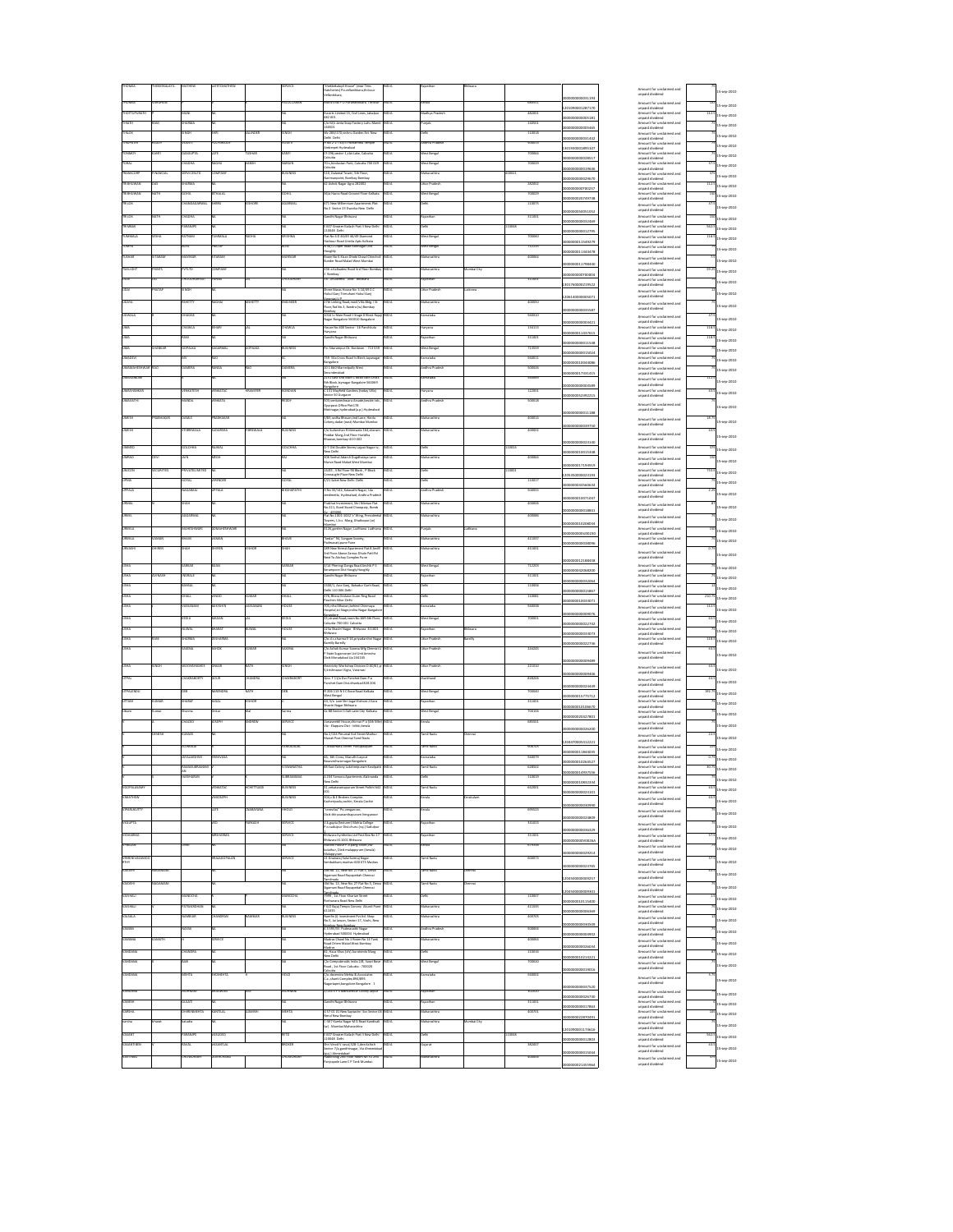|               |                |              |  | ie" (near Ters<br>heries) Po.v<br>dokara, thris s<br>skkara,                                                     |     |          |                  |                            | Amount for unclaimed and                                                                                                 |                         | 5-sep-2010                    |
|---------------|----------------|--------------|--|------------------------------------------------------------------------------------------------------------------|-----|----------|------------------|----------------------------|--------------------------------------------------------------------------------------------------------------------------|-------------------------|-------------------------------|
|               |                |              |  | a Villa P.O.                                                                                                     |     |          |                  | 12871                      | Amount for unclaimed and                                                                                                 |                         | sep-2010                      |
|               |                |              |  |                                                                                                                  |     |          | 48200            | 5181                       | Amount for uncularmed and<br>unpaid dividend<br>Amount for unclaimed and<br>unpaid dividend                              | $\overline{112}$        | iep-2010                      |
|               |                |              |  | o M/s Janta Soap Fa<br>3501                                                                                      |     | įκ       | 140501           | 5465                       | Amount for unclaimed and<br>unpaid dividend                                                                              |                         | 5-sep-2010                    |
|               |                |              |  | Vz 283/170, vishnu Garden Ext. Ne<br>hi Delt                                                                     |     |          | 110018           | 31442                      | Amount for unclaimed and<br>unpaid dividend<br>Amount for unclaimed and                                                  |                         | sep-2010                      |
|               |                |              |  | No 2-2-734/5 P<br>196, sector-1, slat Lake, Car                                                                  |     |          | 700064           | 0193<br>01895107           | unpaid dividend                                                                                                          |                         | <b>S-sep-2010</b>             |
|               |                |              |  | utta<br>i-c, hindustan Park                                                                                      |     |          | 700029           | 00000000028517             | Amount for unclaimed and<br>unpaid dividend<br>Amount for unclaimed and                                                  | Ð                       | 5-sep-2010                    |
|               |                |              |  |                                                                                                                  |     |          |                  |                            |                                                                                                                          | ×                       | S-sep-2010<br>S-sep-2010      |
|               |                |              |  | Ashok Nagar Agra 282002                                                                                          |     |          | 282002           | 29670                      | Amount for unculatined and<br>unpaid dividend<br>Amount for unclaimed and<br>unpaid dividend<br>Amount for unclaimed and | 112                     | 5-sep-2010                    |
|               |                |              |  | Va Hazra Road Ground Floor Kolkatı                                                                               |     | st Ben   | 700029           | 00237<br>749738            | unpaid dividend<br>Amount for unclaimed and<br>unpaid dividend                                                           | π                       | Sarp 2010                     |
|               |                |              |  | New Mile<br>tium Apartr<br>o 2 Sector 23 Dwarks New Delhi                                                        |     |          | 110070           |                            | Amount for unclaimed and<br><b>Innehicle History</b>                                                                     | $\overline{1}$          | 5-sep-2010                    |
|               | <b>LONA</b>    |              |  | ichi Nagar Ohilwari                                                                                              |     |          | 31100            | 032469                     | Amount for unclaimed and<br>unpaid dividend                                                                              | $\mathbf{r}$            | 5-sep-2010                    |
|               |                |              |  | 07 Greater Kallash Part II New Delh<br><b>DOMS</b> Debi                                                          |     |          |                  |                            | Amount for unclaimed and                                                                                                 | 562                     | S-sep-2010                    |
|               |                |              |  | ====<br>it No 4 D 45/49 46/49 Diamond<br>rbour Road Urmila Apts Kolkata                                          |     |          |                  | 11549279                   | unpaid dividend<br>Amount for unclaimed and<br>unpaid dividend                                                           | 118                     | S-sep-2010                    |
|               |                |              |  | 34/1 Criper Roa<br>oghly                                                                                         |     | t Benga  | 712235           | 00000011344478             | Amount for unclaimed and<br>unpaid dividend                                                                              |                         | 5-sep-2010                    |
|               |                |              |  | om No 6 Kisan Dhobi Chawl Chin<br>nder Road Malad West Mumbail                                                   |     |          | 400064           | 011798440                  | Amount for unclaimed and<br>unpaid dividend                                                                              |                         | sep.2010                      |
|               |                |              |  | 100<br>E. Chukhera Disti-Bhi                                                                                     |     |          |                  | 1000004                    | Amount for unclaimed and<br>unpaid dividend                                                                              |                         | sep-2010                      |
|               |                |              |  |                                                                                                                  |     |          | 311001           | 0000219522                 | Amount for unclaimed and<br>unpaid dividend<br>Amount for unclaimed and                                                  |                         | 5-sep-2010                    |
|               |                |              |  | ree Niwas House No. 5 10/49 2<br>akul Ganj Trimuhani Hukul Ganj                                                  |     |          |                  | 206140000005071            | unpaid dividend                                                                                                          |                         | 5-sep-2010                    |
|               |                |              |  | ranasi U.P.<br>th Linking Road, modi Villa Bidg. 1 S<br>sor, flat No. 3, Bandra (w) Bombay                       |     |          |                  | 0000035587                 | Amount for unclaimed and<br>unpaid dividend                                                                              |                         | S-sep-2010                    |
|               |                |              |  | maav<br>06 Iv Main Road II Stage D Block Ru<br>gar Bangalore 560010 Bangalore                                    |     |          | 56001            |                            | Amount for unclaimed and<br>unpaid dividend                                                                              |                         | sep-2010                      |
|               |                |              |  | ie No.600 Sector - 16 Par                                                                                        |     |          | 114111           | 1437615                    | Amount for unclaimed and<br>unpaid dividend                                                                              | $\frac{1}{2}$           | sep-2010                      |
|               |                |              |  | ichi Nagar Bhilwara<br>Sitarampur Dt. Burdwan - 713 559                                                          |     | st Gener | 311003<br>713555 | 011548                     | Amount for unclaimed and<br>unpaid dividend<br>Amount for unclaimed and                                                  | 118                     | 5-sep-2010                    |
|               |                |              |  | 9 33a Cr                                                                                                         |     |          | 56001            |                            | unpaid dividend<br>Amount for unclaimed and                                                                              |                         | sep-2010                      |
|               | wera           |              |  | 1 660 Marredpally                                                                                                |     |          | 500020           | 0044086                    | unpaid dividend<br>Amount for unclaimed and                                                                              |                         | .<br>sep 2010                 |
|               |                |              |  | nderabad<br>151 East End Main C Road 38th C                                                                      |     |          | 560000           | 00000017331415             | unpaid dividend<br>Amount for unclaimed and                                                                              | $\overline{112}$        | 5-sep-2010<br>sep-2010        |
|               |                |              |  | th Block Jaynagar Bangalore 560069<br>vealore<br>31 Mayfield Go                                                  |     |          |                  | 003589                     | unpaid dividend<br>Amount for unclaimed and<br>unpaid dividend                                                           |                         | sep-2010                      |
|               |                |              |  |                                                                                                                  |     |          | 500018           | 52392215                   |                                                                                                                          |                         |                               |
|               |                |              |  | p:post Office Plot178<br>inagar, hyderabad(a.p.) Hyderaba                                                        |     |          |                  | 00000000001138             | Amount for unclaimed and<br>unpaid dividend                                                                              |                         | -<br>sep-2010                 |
|               |                |              |  | 13,racha Bhavan, Ind Lane, Hindu<br>ony, dadar (east) Mumbai Mumbai                                              |     |          | 100014           |                            | Amount for unclaimed and<br>unpaid dividend                                                                              | $\overline{\mathbf{R}}$ | sep-2010                      |
|               |                |              |  | arg 2nd                                                                                                          |     |          |                  |                            | Amount for unclaimed and<br>unpaid dividend                                                                              |                         | 5-sep-2010                    |
|               |                |              |  | r and Dou<br>le Storey Lajpat                                                                                    |     |          |                  | 023140                     | Amount for unclaimed and                                                                                                 |                         | 5-sep-2010                    |
|               |                |              |  | w Delhi<br>6 Snehal A<br>ı sıvenai Adarın Duğonalaya Li<br>rve Road Malad West Mumbai                            |     |          |                  | 115348                     | unpaid dividend<br>Amount for unclaimed and                                                                              |                         | 5-sep-2010                    |
|               |                |              |  | (45 , 3 Rd Floor 90 Block)<br>nnaught Place New Delhi                                                            |     |          |                  | 0017194919                 | unpaid dividend<br>Amount for unclaimed and                                                                              |                         | sep-2010                      |
|               |                |              |  | 21 Saket New Delhi Delh                                                                                          |     |          | 110017           | 00023193                   | unpaid dividend<br>Amount for unclaimed and<br>unpaid dividend                                                           |                         | 5-sep-2010                    |
|               |                |              |  | io 35/142, Kalavathi Nagar, Ida<br>dimetla, Hyderabad, Andhra Prad                                               |     |          |                  | 043560634                  | Amount for unclaimed and                                                                                                 | $\overline{1}$          | 5-sep-2010                    |
|               |                |              |  | abhat Investment, Shri Niketan Flat<br>1221, Bund Stand Chowpaty, Bomb                                           |     |          | 400006           | 00000010071047             | unpaid dividend<br>Amount for unclaimed and<br>unpaid dividend                                                           |                         | -<br>sep-2010                 |
|               |                |              |  | No.1001-1002'c' Wing, Presiden                                                                                   |     |          | 400000           | 000018841                  | Amount for unclaimed and                                                                                                 |                         |                               |
|               |                |              |  | aers, L.b.s. Marg, Ghatkopar (w)<br>rba<br>tga                                                                   |     |          |                  |                            | unpaid dividend<br>Amount for unclaimed and                                                                              |                         | $-$ sep $-2010$               |
|               |                |              |  | idar" 94, Sangam Society,                                                                                        |     |          | 411037           |                            | unpaid dividend<br>Amount for unclaimed and                                                                              |                         | $-$ sep $-2010$<br>5-sep-2010 |
|               |                |              |  | mavati, pune Pune<br>.<br>189 New Nirmal Apartment Flat II And<br>Ind Floor Above Zamus Ohule Patil Rd           |     |          | 411001           |                            | unpaid dividend<br>Amount for unclaimed and                                                                              |                         |                               |
|               |                |              |  | at To Akshay Complex Pune                                                                                        |     |          |                  |                            | unpaid dividend                                                                                                          |                         | 5-sep-2010                    |
|               |                |              |  |                                                                                                                  |     |          | 712207           | 68200                      | Amount for unclaimed and<br>unpaid dividend                                                                              |                         | $-$ sep $-2010$               |
|               | <b>RALI</b>    |              |  | ichi Nagar Dhibaan<br>00/1, Aziz Ganj, Bahadur Garh Ros                                                          |     |          | 311001<br>110000 | 132064                     | Amount for unclaimed and<br>unpaid dividend<br>Amount for unclaimed and                                                  |                         | 5-sep-2010                    |
|               |                |              |  | <b>IN 110006 Delti</b><br>s, Ahera Enclave<br>schim Vihar Delh                                                   |     |          | 11008            |                            | unpaid dividend<br>Amount for unclaimed and                                                                              | 210.                    | Sarp 2010<br>sep-2010         |
|               |                |              |  | ,nhal Bhavan,                                                                                                    |     |          | 560038           | 033071                     | unpaid dividend<br>Amount for unclaimed and                                                                              | 112                     | sep-2010                      |
|               |                |              |  | pital, ist Stage, indira Nagar Bangal<br>am No. 669 6th Fig                                                      |     | st Gener | 700001           |                            | .<br>Impaid dir<br>Amount for unclaimed and                                                                              | $\overline{41}$         |                               |
|               |                |              |  | strand Road,room No.66<br>rutta-700 001 Calcutta<br>1s Shar                                                      |     |          |                  | 0022742                    | unpaid dividend<br>Amount for unclaimed and<br>unpaid dividend                                                           |                         | iep-2010<br>sep-2010          |
|               |                |              |  | 5.43.151<br>rma E-16, priyadar<br>reity Barelly                                                                  |     |          |                  | 033073<br>122736           | Amount for unclaimed and<br>unpaid dividend                                                                              | 118                     | 5-sep-2010                    |
|               |                |              |  | Ashok Kumar<br>State Sugarcorpn Ltd Unit A                                                                       |     |          | 244245           |                            | Amount for unclaimed and                                                                                                 | $\overline{41}$         | sep-2010                      |
|               |                |              |  | Itt Moradabad Up 244245                                                                                          |     |          | 22101            |                            | unpaid dividend<br>Amount for unclaimed and                                                                              | $\overline{a}$          |                               |
|               |                |              |  | ictricity Workshop Division<br>izishnapuri Sigra, Varanasi                                                       |     |          | 828200           |                            | unpaid dividend<br>Amount for unclaimed and                                                                              | 42                      | 5-sep-2010                    |
|               |                |              |  | io. F 11/a Dvc Panchet Dam P.o<br>nchet Dam Dist dhanbad 828 206                                                 |     |          |                  |                            | unpaid dividend                                                                                                          |                         | sep-2010                      |
|               |                |              |  | t06 113 N S C Boxe Road H<br>o da                                                                                |     |          |                  | 1577571                    | Amount for unclaimed and<br>npaid di<br>Amount for unclaimed and                                                         | 192                     | sep-2010                      |
|               | ema            | skan         |  | S/o Late<br>ic 88 Sector III Salt Lake City Kolkata                                                              | XA  | nt Geoga | 700106           |                            | unpaid dividend<br>Amount for unclaimed and                                                                              |                         | sep-2010                      |
|               |                |              |  | hinar P.o Hth                                                                                                    |     |          | 68550            | 0427801                    | unpaid dividend<br>Amount for unclaimed and                                                                              |                         | sep-2010                      |
|               |                |              |  | a - Elappara Dist - Idikki keral<br>: 2/134 Perumal Koll Street Mathu<br>Inali Post Chennai Tamil Nadu           |     |          |                  | 0026200                    | unpaid dividend<br>Amount for unclaimed and                                                                              | 22.                     | 5-sep-2010                    |
|               |                |              |  |                                                                                                                  |     |          |                  |                            | unpaid dividi<br>Amount for unclaimed and                                                                                | 22                      | sep-2010                      |
|               |                |              |  |                                                                                                                  |     |          |                  |                            | anpaid dividend<br>Amount for until                                                                                      | α                       | Sarp 2010                     |
|               |                |              |  | enagar Bangalor<br>IS East Colony Lakshmipuram Kovilpa                                                           | DΙA |          | 628502           | 010264527                  | unpaid dividend<br>Amount for unclaimed and                                                                              | 30.7                    | 5-sep-2010<br>5-sep-2010      |
|               | <b>RINARAN</b> |              |  | 204 Yamuna Apartments Alaknanda<br>w Delhi                                                                       | XA  |          | 110019           | 000000014937556<br>0832334 | unpaid dividend<br>Amount for unclaimed and                                                                              |                         | 5-sep-2010                    |
|               |                |              |  | chi 64                                                                                                           |     |          | 642001           | 0023101                    | unpaid dividend<br>Amount for unclaimed and<br>unpaid dividend                                                           | $^{41}$                 | 5-sep-2010                    |
|               |                |              |  | .<br>104,c & E Brokers Complex<br>Cacheripadu,cochin, Kerala Cochin                                              | XA  |          |                  |                            | Amount for unclaimed and<br>unpaid                                                                                       | $\overline{a}$          | 5-sep-2010                    |
| PARLIQUIT     |                |              |  | reevilas" Po. verganoor,<br>itt.thin.vananthapuram Venganoor                                                     |     |          | 695523           |                            | Amount for unclaimed and<br>unpaid dividend                                                                              |                         | 5-sep-2010                    |
|               |                |              |  | i. gupta (Jecturer) Mohta College<br>5.sadulpur Dist.churu (raj.) Sadulpu                                        |     |          | 33102            |                            | Amount for unclaimed and<br>unpaid dividend                                                                              |                         | 5-sep-2010                    |
| SHAR          |                |              |  | wara Synthetics Ltd Post Box No 17<br>hears 311001 Bhilwara                                                      |     |          | 311001           | 000036329                  | Amount for unclaimed and<br>mpaid dividend                                                                               | -27                     | 5-sep-2010                    |
|               |                |              |  | ath House P.o.pang Souht, via<br>thur. Distt.malapovram ikera                                                    |     |          | 679338           |                            | Amount for unclaimed and<br>unpaid dividend                                                                              |                         | S-sep-2010                    |
| RSAUNI<br>THY |                |              |  | dagos<br>Grana<br>lanovram<br>Granaraj Salai Samraj Nagar<br>nbakkam, madras-600 073 Madras                      |     |          | 600073           | 129214                     | Amount for unclaimed and                                                                                                 | B                       | 5-sep-2010                    |
| <b>AIDDI</b>  |                |              |  | d No. 12. New No. 27 Flat 5: Delv<br>ad Brunnettsh Chevrol                                                       |     |          |                  | 023765                     | unpaid dividend<br>Amount for unclaimed and                                                                              | $\overline{a}$          | 15-sep-2010                   |
| NDEN          |                |              |  | sinati<br>d No. 12, New No. 27 Flat No.5, De<br>jamani Road Royapettah Chennai                                   | XA  |          |                  | 009257                     | unpaid dividend                                                                                                          |                         |                               |
| <b>USHA</b>   |                |              |  | se<br>19, 1st Floor Kharlan Stre<br>shanara Road New Delhi                                                       |     |          | 110007           |                            | Amount for unclaimed and<br>unpaid dividend<br>Amount for unclaimed and                                                  | ı                       | 5-sep-2010<br>S-sep-2010      |
|               |                |              |  | 1/2 Bajaj Tempo Conony. Ak<br>11035                                                                              |     |          | 411035           |                            | unpaid dividend<br>Amount for unclaimed and<br>unpaid dividend                                                           |                         | 5-sep-2010                    |
| ALSALA        |                |              |  | nfin (i) Investment Pvt.ltd. Sho                                                                                 | XA  |          | 400705           |                            | Amount for unclaimed and                                                                                                 |                         | 5-sep-2010                    |
|               |                |              |  | s 5, Jai Jawan, Sector-17, Vashi, New<br>ambay New Rombay<br>1 595/55 Padmavathi Nagar<br>rabad 500004 Hyderabad |     |          | 500004           |                            | unpaid dividend<br>Amount for unclaimed and                                                                              |                         | 5-sep-2010                    |
|               |                |              |  | idras Chawl No 1 Room ?<br>ad Orlem Malad West Bo                                                                |     |          |                  | ito:                       | .<br>Impaid d<br>Amount for unclaimed and                                                                                |                         | S-sep-2010                    |
|               |                |              |  | dras<br>Hauz Khas (sfs) Aurobindo Marg<br>ne Delhi                                                               |     |          | 110016           | 100026034<br>10214221      | unpaid dividend<br>Amount for unclaimed and                                                                              |                         | 5-sep-2010                    |
|               |                |              |  | ids India 2/8, Sarat B<br>ed. 1st Floor Calcutta - 700020                                                        |     |          | 100020           |                            | unpaid dividend<br>Amount for unclaimed and                                                                              |                         | 15-sep-2010                   |
|               |                |              |  | dra Mehta & Ass                                                                                                  |     |          | 560002           | 019016                     | unpaid dividend<br>Amount for unclaimed and                                                                              | x                       |                               |
| WDAN          |                |              |  | a., sharti Complex, 894/895<br>agartapet, bangalore Bangalore - 1<br>124 S F S Mansarovar Colony Jalpus          |     |          |                  | 0037520                    | unpaid dividend                                                                                                          |                         | S-sep-2010                    |
| wish          | HNAN           | GWAN         |  | dhi Nazar Bhilwar.                                                                                               |     | נתוו     | 302020<br>311001 | 026730                     | Amount for unclaimed and<br>unpaid dividend<br>Amount for unclaimed and                                                  |                         | 5-sep-2010                    |
| изм           |                | <b>TILAL</b> |  | 57 01 01 New Saptashri Soc Sector C<br>rul New Bombay                                                            | XA  |          | 400701           | 00017863                   | unpaid dividend<br>Amount for unclaimed and                                                                              | 10                      | 5-sep-2010<br>$-$ sep $-2010$ |
|               |                |              |  | 307 Karria Nagar M G Road Kandiv<br>a). Mumbai Maharashtra                                                       |     |          |                  | 000000022870491            | unpaid dividend<br>Amount for unclaimed and                                                                              |                         | S-sep-2010                    |
|               |                |              |  | 37 Greater Ka<br>1048 Delhi                                                                                      |     |          |                  |                            | unpaid dividend<br>Amount for unclaimed and                                                                              | $50^{1}$                | S-sep-2010                    |
|               |                |              |  |                                                                                                                  |     |          |                  |                            |                                                                                                                          |                         |                               |
|               |                |              |  | Vinad V.raval, 128-1, dee A                                                                                      |     |          | 382007           | 0012803                    | unpaid dividend                                                                                                          | ¢                       |                               |
|               |                |              |  | tor-7/a,gandhinagar, Via Ahmeda<br>olb Bldg 2nd Floor Room No 33 2nd<br>(rapsle Lane C P Tank Mumbai             |     |          | 400004           | 015044                     | Amount for unclaimed and<br>renaid dividend<br>unpaid d<br>Amount for unclaimed and                                      | $\overline{v}$          | S-sep-2010<br>15-sep-2010     |

| nount for unclaimed ar<br>paid dividend<br>á                                            |                         | sep-2010<br>ú  |
|-----------------------------------------------------------------------------------------|-------------------------|----------------|
| Amount for unclaimed and                                                                | 102                     | sep-2010<br>ß  |
| brebivib bison<br>j,<br>$\alpha$<br>for und<br><b>Imediand</b>                          | $\overline{\mathbf{1}}$ |                |
| aid dividend<br>nş<br>imed and                                                          |                         | p-2010         |
| Amount for und<br>unpaid dividend                                                       |                         | ép             |
| Amount for unclaimed and<br><b>Innovation</b>                                           | 75                      | sep-2010       |
| t for unclaimed and<br>Amoun<br>aid divide<br>nd                                        | 75                      | sep-2010       |
| unt for und<br>id dividend<br>imed and<br>Amo                                           |                         | p-2010         |
| np<br>Amount for unclaimed and                                                          |                         | sep-2010       |
| brebivib bien<br>.<br>An<br>$\alpha$<br>for und<br>bns bemis                            |                         |                |
| Amourit for unci<br>unpaid dividend<br>Amourit for uncl<br>unpaid dividend<br>aimed and |                         | sep-2010       |
|                                                                                         |                         | 2010<br>κp     |
| Amount for unclaimed and<br>unpaid dividend                                             |                         | sep-2010<br>ß  |
| e fo<br>r und<br>d and<br>mo                                                            |                         | p-2010<br>Ľ,   |
| unpaid dividend<br>imed and                                                             |                         |                |
| mount for und<br>npaid dividend<br>nş<br>Amount for unclaimed and                       | 5                       | ep-2010        |
| hreaid dividend                                                                         |                         | sep-2010<br>í. |
| Amoun<br>for und<br>bns bemis<br>aid divide<br>.<br>1d                                  | 118<br>ī.               | sep-2010       |
| unt for u<br>id dividi<br>med and<br>Amo<br>nd<br>np<br>end                             |                         | p-2010         |
| .<br>Amount for undi<br>da                                                              |                         | 2010           |
| d dividend<br>np<br>å.                                                                  | $\overline{\mathbf{z}}$ |                |
| unt for uncl<br>id dividend<br>Amour                                                    |                         | $-2010$        |
| Amount for und<br>imed and<br>unpaid dividend                                           |                         | p-2010         |
| t for und<br><br>imed and                                                               | Þ                       | 0.2010         |
| id dividend<br>I<br>np<br>Amount for unclaimed and                                      |                         |                |
| mpaid dividend                                                                          |                         | 15-sep-2010    |
| t for undi<br>d a<br>neur<br>ä                                                          | 3                       | sep-2010       |
| id diwd<br>nd<br>np<br>Amount for unclaimed and                                         | n                       | p-2010         |
| aid d<br>i.<br>nş<br>im<br>d and                                                        |                         |                |
| Amount for und<br>unpaid dividend<br>Amount for unclaimed and                           | 75                      | ep-2010        |
| hreaid dividend                                                                         |                         | sep-2010       |
| Amoun<br>for und<br>bns bemis<br>aid divide<br>nd                                       | 75                      | sep-2010       |
| unt for und<br>id dividend<br>d and<br>Amor<br>m                                        |                         | p-2010         |
| np<br><i>Amount for uncli</i><br>unpaid dividend<br>d ar                                | 3                       | p-2010         |
|                                                                                         |                         |                |
| .<br>Amount for uncl<br>unpaid dividend<br>d a                                          |                         | ep-2010        |
| Amount for unclaime<br>unpaid dividend<br>d and                                         |                         | sep-2010<br>ú  |
|                                                                                         |                         |                |
| t for undaim<br>d a<br>ä<br>id dividend<br>npi                                          | 5                       | $-2010$        |
| Amount for unclaimed and                                                                |                         |                |
| unpaid dividend                                                                         |                         | sep-2010<br>1Ś |
| t for und<br>imed and                                                                   |                         | p-2010         |
| unpaid dividend<br>ù<br>d ar                                                            | Ï                       |                |
| .<br>Iount for und<br>paid dividend<br>nş                                               |                         | 0-2010         |
| t for und<br>Amour<br>å.<br>emtern ve<br>unpaid dividend<br>Amount for uncl             |                         | 2010           |
| d and<br>ime<br>unpaid dividend                                                         |                         | p-2010         |
| Amount for uncl<br>unpaid dividend<br>d and<br>im                                       | ż.                      | ep-2010        |
|                                                                                         |                         |                |
| aunt for unclaimed and<br>aid dividend                                                  |                         | sep-2010<br>ú  |
| t for undi<br>d ar                                                                      |                         | $-2010$        |
| id divid<br>nş<br>lend<br>d ar<br>ä                                                     |                         |                |
| ount for und<br>Nid dividend<br>d and<br>im                                             |                         | p-2010         |
| Amount for und<br>unpaid dividend                                                       |                         | p-2010         |
| t for und<br>d ar<br>ä                                                                  |                         | ep-2010        |
| id dividend<br>np                                                                       |                         |                |
| Amount for unclaims<br>d and<br>aid dividend<br>nş                                      | 7                       | p-2010         |
| imed and<br><i>Amount for und</i><br>unpaid dividend                                    |                         | ep-2010        |
| Amount for unclaimed and<br>brebivib bison                                              | 12                      | sep-2010<br>Ĺ  |
| .<br>An<br>.<br>1011<br>for und<br><b>Imediand</b>                                      | 210<br>75               | sep-2010<br>ú  |
| .<br>Iddin<br>'n.<br>Amount for und<br>imed and                                         |                         |                |
| aid dividend                                                                            |                         | sep-2010<br>ú  |
| Amount for unclaimed and<br>hreaid dividend                                             | ś                       | sep-2010<br>ú  |
| unt for und<br>ad dividend<br>d ar<br>j,<br>$\alpha$<br>ä                               | 7                       | sep-2010       |
| imed and<br>f<br>mo<br>nd                                                               |                         | p-2010<br>ß    |
| unpaid dividend<br>men<br>e for undi<br>ä                                               |                         |                |
| d ar<br>ad dividend<br>npi                                                              |                         | ep-2010        |
| Amount for unclaimed and                                                                |                         |                |
| unpaid dividend                                                                         |                         | 15-sep-2010    |
| Amount for unclaimed and<br>aid dividend<br>unp                                         |                         | sep-2010<br>ú  |
| Amount for unclaimed and                                                                | 197                     | irp-2010<br>ú  |
| aid dividend<br>aimed and<br>$\alpha$<br>t for und                                      |                         | p-2010         |
| Amount for uncl<br>unpaid dividend<br>Amount for uncl<br>unpaid dividend<br>im<br>d and | 75                      |                |
|                                                                                         |                         | sep-2010<br>í. |
| e fo<br>ma<br>r und<br>d and<br>m<br>unpaid dividend                                    | $\overline{15}$         | ep-2010        |
| for unclaimed and<br>mour                                                               |                         | 5-sep-2010     |
| noaid dividend<br>Amount for unclaimed and                                              | 225                     |                |
| <b>hospitally</b> history                                                               |                         | 15-sep-2010    |
| $\alpha$<br>for und<br>bns bemis<br>ı.                                                  | 5                       | 15-sep-2010    |
| unpaid dividend<br>Amount for uncl<br>unpaid dividend<br>imed and                       |                         | 15-sep-2010    |
| Amount for unclaimed and<br>unpaid dividend                                             |                         |                |
| Amou<br>for und<br>imed and                                                             | āš                      | 15-sep-2010    |
| id divi<br>'n.<br>e for und<br>imed and<br>ź<br>mour                                    |                         |                |
| npaid dividend                                                                          |                         | 15-sep-2010    |
| unt for und<br>iid dividend<br>med and<br>mo<br>npi                                     | 75                      | 15-sep-2010    |
| Amount for unclaimed and                                                                |                         | 15-sep-2010    |
| brebivib bison                                                                          |                         |                |
| Amount for uncli<br>imed and<br>brebivib bison                                          | 7.5                     | 5-sep-2010     |
| Amount for und<br>imed and                                                              | ī                       | 5-sep-2010     |
| unpaid dividend<br>Amount for unclaimed and                                             |                         | 15-sep-2010    |
| aid dividend<br>m                                                                       |                         |                |
| th<br>d and<br>im<br>unpaid dividend                                                    | 15                      | 15-sep-2010    |
| Amour                                                                                   |                         |                |
| .<br>Imount for unclaimed and<br>inpaid dividend                                        |                         | 15-sep-2010    |
| Amount for unclaimed and<br><b>Innahörith History</b>                                   | 15                      | 15-sep-2010    |
| 'n<br>$\alpha$<br>fer und<br>bns bemis<br>aid dividend<br>nş                            | 75                      | 15-sep-2010    |
| Amount for unclaimed and                                                                |                         | 15-sep-2010    |
| aid divide<br>nd<br>Amount for unclaimed and                                            | 75                      |                |
| <b>Innehicity history</b>                                                               | 7                       | 15-sep-2010    |
| Amount for unclaimed and<br>unpaid dividend                                             |                         | 5-sep-2010     |
| Amount for unclaimed and                                                                |                         | 5-sep-2010     |
| brebivib bisons<br>Amount for und<br>ims<br>d and                                       | 7                       |                |
| unpaid dividend                                                                         |                         | 5-sep-2010     |
| Amount for unclaim<br>dand                                                              |                         | 15-sep-2010    |
| unpaid dividend                                                                         |                         |                |
| Amount for unclaimed and<br>unpaid dividend                                             | 75                      | 15-sep-2010    |
| Amount for uncl<br>unpaid dividend<br>Amount for uncl<br><b>Imediand</b>                | ī                       | 15-sep-2010    |
| d ar<br>ä                                                                               |                         | 15-sep-2010    |
| id diwd<br>np<br>nd<br>.<br>Art<br>our<br>d ar<br>ä                                     | 7<br>5                  |                |
| unt for undi<br>id dividend<br>ų                                                        |                         | 15-sep-2010    |
| Amount for unclaimed and<br>unpaid dividend                                             | 50.5                    | 15-sep-2010    |
| l<br>mount for unclaimed and<br>inpaid dividend<br>ź                                    |                         | 15-sep-2010    |
| imed and<br>mount for uncli<br>npaid dividend                                           | ĭ.                      | 15-sep-2010    |
|                                                                                         |                         |                |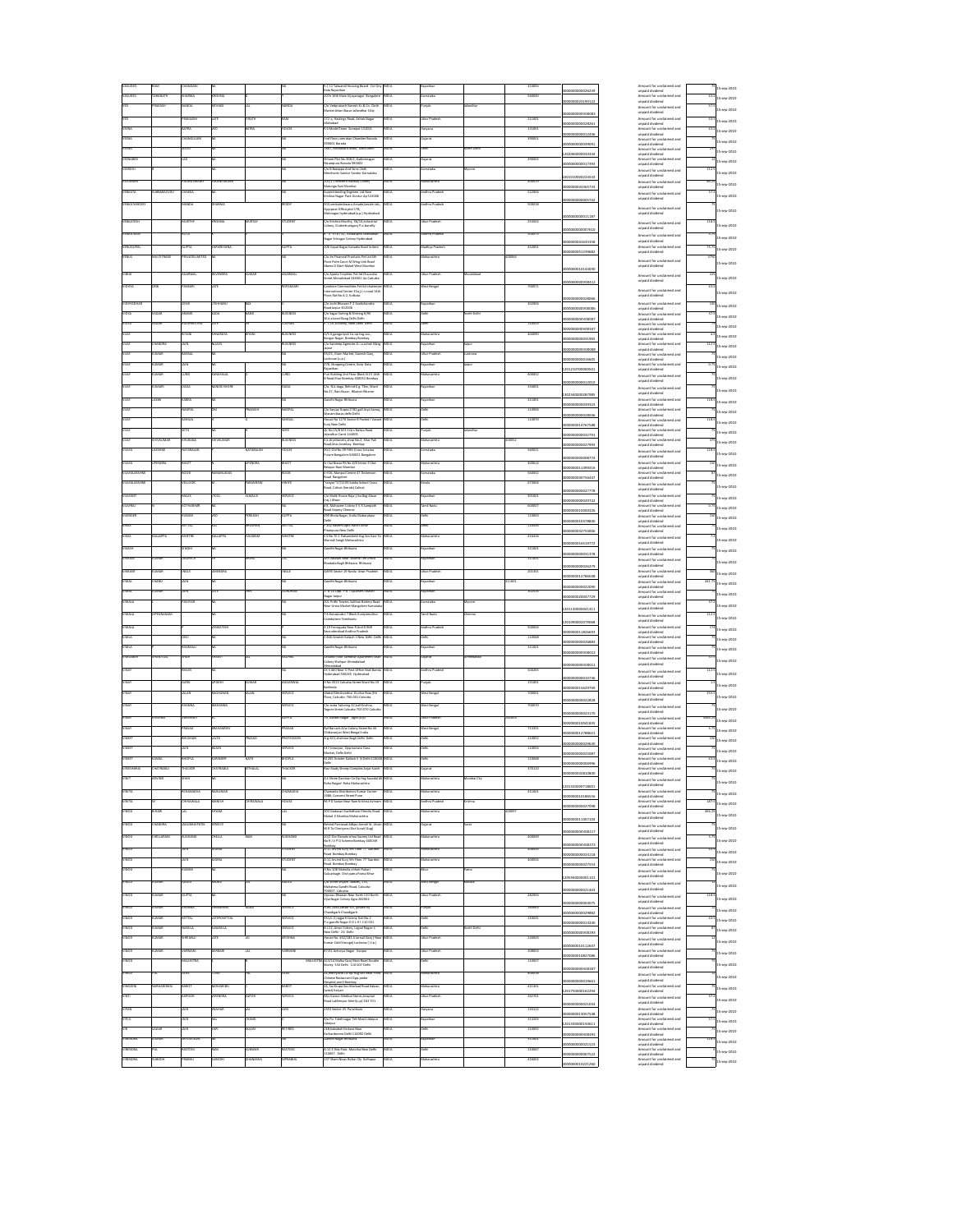|      |                  |  |            | 12 Talwandi                                                                                                   |     |              |          | 32400            |                                   | Amount for unclaimed and                                                                                               |                  |                                                                                                                                                                                                                                                                                                                                                                                                           |
|------|------------------|--|------------|---------------------------------------------------------------------------------------------------------------|-----|--------------|----------|------------------|-----------------------------------|------------------------------------------------------------------------------------------------------------------------|------------------|-----------------------------------------------------------------------------------------------------------------------------------------------------------------------------------------------------------------------------------------------------------------------------------------------------------------------------------------------------------------------------------------------------------|
|      |                  |  |            | ta Raiasthan<br>in Vijayanag                                                                                  |     |              |          |                  |                                   | Amount for uncommodiate<br>Amount for unclaimed and<br>unpaid dividend                                                 | $\overline{a}$   | S-sep-2010<br>ep-2010                                                                                                                                                                                                                                                                                                                                                                                     |
|      |                  |  |            | Vedprakash Naresh Kr.& Co. Clot<br>ket Attari Bazar Jali<br>than Citty                                        |     |              |          |                  |                                   | Amount for unclaimed and                                                                                               | B                | ep-2010                                                                                                                                                                                                                                                                                                                                                                                                   |
|      |                  |  |            | 2-a, Hastings Road, Ashok Nag<br>shabad                                                                       |     |              |          | 21100            | 2826                              | unpaid dividend<br>Amount for unclaimed and<br>npaid dividend                                                          | 41               | ep-2010                                                                                                                                                                                                                                                                                                                                                                                                   |
|      |                  |  |            |                                                                                                               |     |              |          |                  |                                   | Amount for unclaimed and<br>unpaid dividend                                                                            | 43               | iep-2010                                                                                                                                                                                                                                                                                                                                                                                                  |
|      |                  |  |            | d Floor, ramm<br>CO1 Baroda<br>167. Roshanara Ro                                                              |     |              |          | 39000            |                                   | Amount for unclaimed and<br>unpaid dividend<br>Amount for unclaimed and                                                | $\overline{21}$  | 5-sep-2010                                                                                                                                                                                                                                                                                                                                                                                                |
|      |                  |  |            | Plot No. 101/2                                                                                                |     |              |          |                  | 134344                            | unpaid dividend<br>Amount for unclaimed and<br>unpaid dividend                                                         |                  | sep-2010<br>sep-2010                                                                                                                                                                                                                                                                                                                                                                                      |
|      |                  |  |            | rampura Boroda 390002<br>o II Basappa And Sons Cloth<br>chants Sandur Sandur Karna                            |     |              |          |                  | 017393                            | Amount for unclaimed and                                                                                               | E                | sep-2010                                                                                                                                                                                                                                                                                                                                                                                                  |
|      |                  |  |            | 0/11 Western Raily<br>nga East Mumbai                                                                         |     |              |          | 400019           | 0224543<br>00000043365733         | unpaid dividend<br>Amount for unclaimed and<br>unpaid dividend                                                         | 162              | iep-2010                                                                                                                                                                                                                                                                                                                                                                                                  |
|      |                  |  |            | erintending Engineer Ltd Near<br>tea Nagar Park Guntur Ap 522006                                              |     |              |          |                  | 0005742                           | Amount for unclaimed and<br>unpaid dividend                                                                            |                  | Sarp 2010                                                                                                                                                                                                                                                                                                                                                                                                 |
|      |                  |  |            | 3. venkatesha<br>vara Arcade.bes<br>.<br>stragar,hyderabad(a.p.) Hyderaba<br>stragar,hyderabad(a.p.) Hyderaba |     |              |          | 500018           |                                   | Amount for unclaimed and<br>unpaid dividend                                                                            |                  | $-$ sep $-2010$                                                                                                                                                                                                                                                                                                                                                                                           |
|      |                  |  |            | Krishna Murthy, 36/10,industria<br>nny, Clutterbuckganj P.o.barellly                                          |     |              |          | 253502           | 0011187                           | Amount for unclaimed and                                                                                               | $\overline{115}$ | 5-sep-2010                                                                                                                                                                                                                                                                                                                                                                                                |
|      |                  |  |            | - 3 - 976 / 41, Vinwasanti Shalvahar<br>ıgar Srinagar Colony Hyderabad                                        |     |              |          | 500073           | 00007610                          | unpaid dividend<br>Amount for unclaimed and                                                                            | 3.7              | S-sep-2010                                                                                                                                                                                                                                                                                                                                                                                                |
|      |                  |  |            | 6 Goyal Nagar Kanadia Road Indon                                                                              |     | thia Po      |          | 452001           | 11635351                          | npaid d<br>Amount for unclaimed and<br>unpaid dividend                                                                 | 757              | sep-2010                                                                                                                                                                                                                                                                                                                                                                                                  |
|      |                  |  |            | o Jm Financial Products Pvt Ltd 4d<br>sor Palm Court M Wing Link Road<br>ove D Mart Malad West Mumbai         |     |              |          |                  |                                   | Amount for unclaimed and<br>unpaid dividend                                                                            |                  | sep-2010                                                                                                                                                                                                                                                                                                                                                                                                  |
|      |                  |  |            | o Ajanta Trophies Pvt.hd Chauraha<br>reet Moradabad 244001 Up Calcutti                                        |     |              |          |                  |                                   | Amount for unclaimed and                                                                                               | z                | sep-2010                                                                                                                                                                                                                                                                                                                                                                                                  |
|      |                  |  |            | mational Center 33a.j J.n. road 14th                                                                          |     |              |          | 100072           |                                   | unpaid dividend<br>Amount for unclaimed and                                                                            | $\overline{41}$  |                                                                                                                                                                                                                                                                                                                                                                                                           |
|      |                  |  |            | or, flat No A-2, Kolkata                                                                                      |     |              |          |                  |                                   | unpaid dividend                                                                                                        |                  | 5-sep-2010                                                                                                                                                                                                                                                                                                                                                                                                |
|      |                  |  |            | s Sagar Suiting & Shirting G/90                                                                               |     |              |          |                  |                                   | Amount for unclaimed and<br>unpaid dividend<br>Amount for unclaimed and                                                | B                | sep-2010<br>5-sep-2010                                                                                                                                                                                                                                                                                                                                                                                    |
|      |                  |  |            | N.e.a.karol Baug Delhi Delhi<br>7. I.n. a. colony, New Delhi Delhi                                            |     |              |          | 11002            | 000V00003                         | unpaid dividend<br>Amount for unclaimed and                                                                            |                  | sep-2010                                                                                                                                                                                                                                                                                                                                                                                                  |
|      |                  |  |            | .<br>5-6 ganga iyoti Co.op.hug.soc.<br>500 Nazar, Bronhau Bronhau                                             |     |              |          |                  |                                   | unpaid dividend<br>Amount for unclaimed and<br>unpaid dividend                                                         |                  | sep-2010                                                                                                                                                                                                                                                                                                                                                                                                  |
|      |                  |  |            | a Sandeep Agencies G.La.ashok Ma                                                                              |     |              |          |                  |                                   | Amount for unclaimed and<br>unpaid dividend                                                                            | 112              | 5-sep-2010                                                                                                                                                                                                                                                                                                                                                                                                |
|      |                  |  |            | 13/23, Grain Market, Ganesh Ganj<br>know (u.p.)<br>.<br>I, Shopping Ce                                        |     |              |          |                  |                                   | Amount for unclaimed and<br>unpaid dividend<br>Amount for unclaimed and                                                | 0.7              | Sarp 2010                                                                                                                                                                                                                                                                                                                                                                                                 |
|      |                  |  |            | ri Building 2nd Floor Block N 15 14th<br>Ioad Khar Bombay 400052 Bombay                                       |     |              |          | 400052           | 201210700000501                   | unpaid dividend<br>Amount for unclaimed and                                                                            |                  | -<br>sep-2010                                                                                                                                                                                                                                                                                                                                                                                             |
|      |                  |  |            | .<br>b. N.k.daga, Behind K.g. Tiles, Ward<br>s.37, Rani Bazar, Bikaner Bikaner                                |     |              |          | 334003           |                                   | unpaid d<br>Amount for unclaimed and                                                                                   |                  | <b>S-sep-2010</b>                                                                                                                                                                                                                                                                                                                                                                                         |
|      |                  |  |            |                                                                                                               |     |              |          |                  |                                   | unpaid dividend<br>Amount for unclaimed and                                                                            | щ                | 5-sep-2010<br>sep-2010                                                                                                                                                                                                                                                                                                                                                                                    |
|      | <b>SPAU</b>      |  | iPAL       | o Sanjay Gupta 2782 gali Arya Samaj<br>ram Bazar, delhi Delf                                                  | XA  |              |          | 110006           | (932)                             | unpaid dividend<br>Amount for unclaimed and                                                                            |                  | 5-sep-2010                                                                                                                                                                                                                                                                                                                                                                                                |
|      | cм               |  |            | use No 1270 Sector @ Pocket I Van<br>ni New Delt                                                              |     |              |          | 110070           | 28046<br>00000014767588           | unpaid dividend<br>Amount for unclaimed and<br>unpaid dividend                                                         | 115              | iep-2010                                                                                                                                                                                                                                                                                                                                                                                                  |
|      |                  |  |            | .<br>No 15/8 M E S Qri<br>that Cantt 14                                                                       |     |              |          |                  | 032791                            | Amount for unclaimed and<br>unpaid dividend                                                                            |                  | sep-2010                                                                                                                                                                                                                                                                                                                                                                                                  |
|      |                  |  |            | dryckaners, shop No.2, Xhar Pali<br>ad,khar,bombay Bombay<br>1/1 Old No 39 Fifth Cross Srin                   | XA  |              |          | 560021           | 027993                            | Amount for unclaimed and<br>unpaid dividend<br>Amount for unclaimed and                                                | Ŧ<br>118         | 5-sep-2010                                                                                                                                                                                                                                                                                                                                                                                                |
|      |                  |  |            | ram Bangalore 560021 Bangalore                                                                                |     |              |          | 400614           | 00003774                          | unpaid dividend<br>Amount for unclaimed and                                                                            | 15               | 5-sep-2010                                                                                                                                                                                                                                                                                                                                                                                                |
|      | œ                |  |            | Sai Niwas Rh No X/B Sector 9 Cbd<br>Iapur Navi Mumbai<br>916, Manipal Centre 47 Dick                          | XA  |              |          | 560042           | 011399216                         | unpaid dividend<br>Amount for unclaimed and                                                                            |                  | sep-2010<br>sep-2010                                                                                                                                                                                                                                                                                                                                                                                      |
|      |                  |  |            | ad Bangalore<br>rvan"17/11915abha Sc<br>ed. Callcut (kerala) Callcut                                          |     |              |          | 673006           | 0756447                           | unpaid dividend<br>Amount for unclaimed and                                                                            |                  | 5-sep-2010                                                                                                                                                                                                                                                                                                                                                                                                |
|      | ШΚ               |  |            | Malik House Raja-ji-ka Bag Ahvar                                                                              | ιA  |              |          | 301001           | 00027778                          | unpaid dividend<br>Amount for unclaimed and                                                                            |                  | 5-sep-2010                                                                                                                                                                                                                                                                                                                                                                                                |
|      |                  |  |            | aj.) Ahwar<br>I, Mahaveer Colony I V K Sampati<br>ad Vepery Cher                                              |     |              |          | cocca            | 00000029742<br>0000326            | unpaid dividend<br>Amount for unclaimed and<br>unpaid dividend                                                         | ø                | 5-sep-2010                                                                                                                                                                                                                                                                                                                                                                                                |
|      |                  |  |            | a an                                                                                                          |     |              |          | 11000            | 010378840                         | Amount for unclaimed and<br>unpaid dividend<br>Amount for unclaimed and                                                |                  | S-sep-2010                                                                                                                                                                                                                                                                                                                                                                                                |
|      | πм               |  |            | 202 Rashmi Apts Harsh Vibar<br>tampura New Delhi<br>S No 70 1 Patternhetti Hug Soc Eau                        |     |              |          | 110034<br>416410 | 032754006                         | unpaid dividend                                                                                                        |                  | $-$ sep $-2010$                                                                                                                                                                                                                                                                                                                                                                                           |
|      |                  |  |            | arnal Sangi Maharashtra<br>hi Nagar Bh                                                                        |     |              |          | 31100            |                                   | Amount for unclaimed and<br>unpaid dividend<br>Amount for unclaimed and                                                |                  | sep-2010                                                                                                                                                                                                                                                                                                                                                                                                  |
|      | ă                |  |            | : Nikatan Near Income Tex Office                                                                              |     |              |          | 311001           | 31378                             | unpaid dividend<br>Amount for unclaimed and                                                                            |                  | $-$ sep $-2010$                                                                                                                                                                                                                                                                                                                                                                                           |
|      |                  |  |            | dada Bagh Bhilwara Bhilwara<br>23 Sector 191                                                                  |     |              |          | 20110            |                                   | unpaid dividend<br>Amount for unclaimed and                                                                            |                  | S-sep-2010                                                                                                                                                                                                                                                                                                                                                                                                |
|      |                  |  |            |                                                                                                               |     |              |          |                  |                                   | Amount for uncleaned and<br>Amount for uncleaned and<br>unpaid dividend                                                | 441              | S-sep-2010<br>sep.2010                                                                                                                                                                                                                                                                                                                                                                                    |
|      |                  |  |            | 8-10 Opp. P N T Quarters Sha<br>gar Jaipu                                                                     |     |              |          | 30201            |                                   | Amount for unclaimed and<br>unpaid dividend                                                                            |                  | 5-sep-2010                                                                                                                                                                                                                                                                                                                                                                                                |
|      |                  |  |            | <b>C Prithi Toy</b><br>, estti i oweri Suffian Battery Roa<br>er Urwa Market Mangalore Karnata                |     |              |          |                  | 0004131                           | Amount for unclaimed and<br>unpaid dividend                                                                            | $\overline{v}$   | 5-sep-2010                                                                                                                                                                                                                                                                                                                                                                                                |
|      |                  |  |            |                                                                                                               |     |              |          |                  | 201000002079068                   | Amount for unclaimed and<br>unpaid dividend                                                                            | 112              | Sarp 2010                                                                                                                                                                                                                                                                                                                                                                                                 |
|      |                  |  |            | 9 Ferozguda Near R And D Bhf<br>and Andhra Pradesh                                                            |     |              |          | 500004           | 11826693                          | Amount for unclaimed and<br>unpaid dividend                                                                            | Ŧ                | 5-sep-2010                                                                                                                                                                                                                                                                                                                                                                                                |
|      |                  |  |            | <b>AA Creator XxD</b>                                                                                         |     |              |          | tons             | 126883                            | Amount for unclaimed and<br>unpaid dividend<br>Amount for unclaimed and                                                |                  | S-sep-2010                                                                                                                                                                                                                                                                                                                                                                                                |
|      |                  |  |            | dhi Nagar Bhilwara<br>und Floor Sambhar Apart                                                                 |     |              |          | 311001           | /00012                            | unpaid dividend<br>Amount for unclaimed and                                                                            | v                | S-sep-2010                                                                                                                                                                                                                                                                                                                                                                                                |
|      |                  |  |            | ony Shahpur Ahmedabad<br>23 S 460 Near O Post Office Sh<br>Guilerahad 500265 Hudershan                        |     |              |          | 50026            |                                   | unpaid dividend<br>Amount for unclaimed and                                                                            | $112$            | sep-2010                                                                                                                                                                                                                                                                                                                                                                                                  |
|      |                  |  |            | No 3513 Calc                                                                                                  | XA  |              |          | 151001           | 10736                             | unpaid dividend<br>Amount for unclaimed and                                                                            |                  | sep-2010                                                                                                                                                                                                                                                                                                                                                                                                  |
|      |                  |  |            | rda<br>dal Me<br>or, Calcutta -700 001 Calcutta                                                               |     |              |          |                  | 5629769                           | <b>Institute Manager</b><br>Amount for unclaimed and                                                                   |                  |                                                                                                                                                                                                                                                                                                                                                                                                           |
|      |                  |  |            | : Janta Talloring 32,kall Krishna<br>gore Street Calcutta-700 070 Calcutt                                     |     |              |          | noon             |                                   |                                                                                                                        | 12               | 5-sep-2010                                                                                                                                                                                                                                                                                                                                                                                                |
|      |                  |  |            |                                                                                                               |     | st Genga     |          | 700070           | 0022828                           | unpaid dividend<br>Amount for unclaimed and                                                                            |                  |                                                                                                                                                                                                                                                                                                                                                                                                           |
|      |                  |  |            | Gandhi Nagar Agra (2.9)                                                                                       |     | er Prade     |          |                  | 0023170                           | unpaid dividend<br>Amount for unclaimed and                                                                            | 3344.2           |                                                                                                                                                                                                                                                                                                                                                                                                           |
|      |                  |  |            | f Barrack A/w Colony Street No 43<br>Itaranian West Beneal India                                              |     |              |          | 71333            | 04183                             | unpaid dividend<br>Amount for unclaimed and                                                                            | T,               | 5-sep-2010<br>iep-2010<br>irp-2010<br>sep-2010                                                                                                                                                                                                                                                                                                                                                            |
|      |                  |  |            | g-621, shalimar Bagh Delhi Delhi                                                                              |     |              |          | 110052           | 00000012788621<br>00302000000000  | unpaid dividend<br>Amount for unclaimed and<br>unpaid dividend                                                         | 15               | 5-sep-2010                                                                                                                                                                                                                                                                                                                                                                                                |
|      |                  |  |            | our, Opp.bi<br>265.06<br>NIL NOWN 1105                                                                        |     |              |          | 11005<br>1004    |                                   | Amount for unclaimed and                                                                                               |                  |                                                                                                                                                                                                                                                                                                                                                                                                           |
|      |                  |  |            | ri Study Shneeji Complex Anjar Kuts                                                                           |     |              |          | 370110           |                                   |                                                                                                                        | $\overline{a}$   |                                                                                                                                                                                                                                                                                                                                                                                                           |
|      |                  |  |            | i Shree Darshan Co Op Hug Savad                                                                               |     |              |          |                  | 032810840                         | Amount for unclaimed and<br>unpaid dividend<br>Amount for unclaimed and<br>unpaid dividend<br>Amount for unclaimed and |                  |                                                                                                                                                                                                                                                                                                                                                                                                           |
|      |                  |  |            | ha Raigad Roha Maharashtra                                                                                    |     |              |          | 411001           |                                   | unpaid dividend<br>Amount for unclaimed and                                                                            |                  |                                                                                                                                                                                                                                                                                                                                                                                                           |
| NITA |                  |  |            | amadia Distributors Kumar Corne<br>86, Convent Street Pune<br>S P D Sadan Near Ram Krishna A                  |     | hra Po       |          |                  | 00027098                          | unpaid dividend<br>Amount for unclaimed and<br>unpaid dividend                                                         | 187              |                                                                                                                                                                                                                                                                                                                                                                                                           |
|      |                  |  |            | 13 Godavari Suchidham Filmcity R<br>dad C Mumbai Maharashtra                                                  |     |              |          |                  | 407104                            | Amount for unclaimed and<br>unpaid dividend                                                                            | 464.2            |                                                                                                                                                                                                                                                                                                                                                                                                           |
|      |                  |  |            | ehind Parsiwad At&po Amroli St.<br>/ R Ta Choriyansi Dist Surat( Gug)                                         |     |              |          |                  |                                   | Amount for unclaimed and                                                                                               |                  |                                                                                                                                                                                                                                                                                                                                                                                                           |
|      |                  |  |            | .<br>I/2 Shri Ramakrishna Society Ltd Ro<br>19 J V P D Scheme Bombay 400049                                   |     |              |          | 400049           | /00217                            | unpaid dividend                                                                                                        | $^{17}$          |                                                                                                                                                                                                                                                                                                                                                                                                           |
|      |                  |  |            | 4-11 Arvind Kunj Sth Floor 77 Ta<br>Road: Bombay Brenher                                                      |     |              |          |                  | 0372<br>00024118                  | Amount for unclaimed and<br>unpaid dividend<br>Amount for unclaimed and                                                | 41.              |                                                                                                                                                                                                                                                                                                                                                                                                           |
|      |                  |  |            | 11 Arvind Kunj 5th Floor 77 Ta<br>ad Bombay Bombay                                                            | XA  |              |          | 400034           | 00000000027553                    | unpaid dividend<br>Amount for unclaimed and<br>unpaid dividend                                                         | 15               |                                                                                                                                                                                                                                                                                                                                                                                                           |
|      |                  |  |            | No-106 Moholla-chhos Paha<br>drarbarh, Dist-patra Patra Bihar                                                 |     |              |          |                  |                                   | Amount for unclaimed and<br>unpaid dividend                                                                            |                  |                                                                                                                                                                                                                                                                                                                                                                                                           |
|      |                  |  |            | o Shree Shyam Taxtiles, 176,<br>ahatma Gandhi Road, Calcutta<br>10007. Calcutta                               |     |              |          |                  | 121403                            | Amount for unclaimed and<br>unpaid dividend                                                                            |                  |                                                                                                                                                                                                                                                                                                                                                                                                           |
|      | PTA              |  |            | iprasu Bhawan Near Kothi 120 North<br>Ijai Nagar Colony Agra 282004                                           | DίA | ar Prades    |          | 282004           | 003075                            | Amount for unclaimed and<br>unpaid dividend                                                                            | 118.             |                                                                                                                                                                                                                                                                                                                                                                                                           |
|      |                  |  |            | o.1046.xector-61.1p<br><b>March Chanda</b>                                                                    |     |              |          | 160061           | 029882                            | Amount for unclaimed and                                                                                               |                  |                                                                                                                                                                                                                                                                                                                                                                                                           |
|      | <b>TTAL</b><br>w |  | vict<br>nt | 1/c-2,rajgarh Colony Gall No.2<br>1.gandhi Nagar D E L H I-110 031<br>-112, Amar Colony, Lajpat Nagar-II      | XA  |              | rth Delt | 110031           | 0013240                           | unpaid dividend<br>Amount for unclaimed and<br>unpaid dividend<br>Amount for unclaimed and                             | 43.5             |                                                                                                                                                                                                                                                                                                                                                                                                           |
|      |                  |  |            | w Delhi - 24 Delhi<br>use No. 442/183 A Jamail Ganj ( N                                                       |     |              |          | 226001           |                                   | unpaid dividend<br>Amount for unclaimed and                                                                            |                  |                                                                                                                                                                                                                                                                                                                                                                                                           |
|      | avan             |  |            | mar Cold Storage) Lucknow (U.p.)<br>.<br>7/12 Acharya Nagar - Kanpur                                          | XA  |              |          | 208003           | 0112647                           | unpaid dividend<br>Amount for unclaimed and                                                                            |                  |                                                                                                                                                                                                                                                                                                                                                                                                           |
| NOC  |                  |  |            | 13/14 Malka Ganj Main Road Doub                                                                               |     |              |          | 110007           | 00000010827086                    | unpaid dividend<br>Amount for unclaimed and                                                                            |                  |                                                                                                                                                                                                                                                                                                                                                                                                           |
|      |                  |  |            | prey S M Delhi 110 007 Delhi                                                                                  |     |              |          |                  |                                   | unpaid dividend<br>Amount for unclaimed and                                                                            |                  |                                                                                                                                                                                                                                                                                                                                                                                                           |
|      | 10T              |  | юī         | Jpp.po<br>nese kastaurant<br>Loital work Bornb                                                                | XA  |              |          | 421101           | 0019661                           | unpaid dividend<br>Amount for unclaimed and                                                                            |                  |                                                                                                                                                                                                                                                                                                                                                                                                           |
|      |                  |  |            | 4, Sai Krupa Soc Murbad Road Kalya<br>west) Kalyan<br>h Karoor Medical St                                     |     |              |          | 262701           | 201750000162294                   | unpaid dividend<br>Amount for unclaimed and                                                                            | v                |                                                                                                                                                                                                                                                                                                                                                                                                           |
|      |                  |  |            | ad Lakhimpur-kheriju.p)-262 701<br>53 Sector-25 Panchkula                                                     | ιA  |              |          | 134112           | 00021043                          | unpaid dividend<br>Amount for unclaimed and                                                                            |                  |                                                                                                                                                                                                                                                                                                                                                                                                           |
|      |                  |  |            | : Po. Fatehnagar Teh Mavil Udai                                                                               |     |              |          | 313205           | 00000013057548<br>201330000150611 | unpaid dividend<br>Amount for unclaimed and<br>unpaid dividend                                                         | Ð                |                                                                                                                                                                                                                                                                                                                                                                                                           |
|      |                  |  |            | II.babubali Enclave N<br>kandooma Delhi 110092 Delhi                                                          |     |              |          | 11002            | 00000492                          | Amount for unclaimed and                                                                                               |                  |                                                                                                                                                                                                                                                                                                                                                                                                           |
|      |                  |  |            | dhi Nagar Bhilwara<br>12 E Oda Flats Municka New Delhi<br>067 Delhi                                           | XA  | <b>ISTER</b> |          | 311001<br>110067 | 00021523<br>07522                 | unpaid dividend<br>Amount for unclaimed and<br>unpaid dividend<br>Amount for unclaimed and<br>unpaid dividend          | 118.             | 5-sep-2010<br>S-sep-2010<br>$-$ sep $-2010$<br>sep-2010<br>Ssep-2010<br>5-sep-2010<br>Ssep-2010<br>5-sep-2010<br>$-$ sep $-2010$<br>5-sep-2010<br>5-sep-2010<br>Ssep-2010<br>S-sep-2010<br>Ssep-2010<br>S-sep-2010<br>Ssep-2010<br>S-sep-2010<br>15-sep-2010<br>15-sep-2010<br>S-sep-2010<br>5-sep-2010<br>S-sep-2010<br>5-sep-2010<br>15-sep-2010<br>5-sep-2010<br>5-sep-2010<br>Ssep-2010<br>S-sep-2010 |

| Amount for unclaimed and                                                                   |                 | 5                       | sep-2010<br>1Ś    |
|--------------------------------------------------------------------------------------------|-----------------|-------------------------|-------------------|
| unpaid dividend<br>Amount for uncli                                                        | <b>Imediand</b> |                         | sep-2010          |
| .<br>add<br>ï<br>ü<br>Amount for und                                                       | imed and        |                         |                   |
| aid divis<br>ų                                                                             |                 |                         | sep-2010<br>ò,    |
| Amount for unclaimed and                                                                   |                 |                         | sep-2010          |
| breakd dividend<br>iou<br><br>unt for und<br>id dividend                                   | ă.<br>ä         | ī                       | sep.2010          |
| nt fa                                                                                      | d and           |                         |                   |
| mo<br>ć,<br>md<br>unpaid dividend                                                          |                 |                         | p-2010            |
| Amount for und<br>hreaid dividend                                                          | imed and        | ż<br>17                 | 15-sep-2010       |
| ount for<br>baid divid<br>und<br>Iend                                                      | d i<br>ä        | ī                       | 2010              |
| ij<br>Amount for und                                                                       | d and           |                         |                   |
| aid diuta<br>.<br>1d                                                                       |                 |                         | sep-2010<br>ò,    |
| Amount for und<br>aid dividend                                                             | imed and        |                         | sep-2010<br>ò,    |
| Amount for unclu<br>im                                                                     | d and           |                         |                   |
| unpaid dividend                                                                            |                 |                         | sep-2010<br>1Ś    |
| for undi<br>Amour<br>in                                                                    | d ar<br>d       |                         | $-2010$           |
| com on one<br>unpaid dividend                                                              |                 |                         |                   |
| e fo                                                                                       | d and           |                         | p-2010            |
| unpaid dividend<br>Amour                                                                   | imed and        |                         |                   |
| <b>Imount</b> for uncl<br>Insaid dividend                                                  |                 |                         | sep-2010<br>ò,    |
| Amount for und<br>npaid dividend                                                           | imed and        |                         | sep-2010<br>1Ś    |
| t fe                                                                                       |                 |                         |                   |
| im<br>unpaid dividend                                                                      | d and           |                         | 15-sep-2010       |
| mount for unclaimed and                                                                    |                 |                         |                   |
| paid dividend                                                                              |                 |                         | sep-2010<br>ò,    |
| t for undi<br>mour<br>irr                                                                  | d a<br>ä        |                         |                   |
| id dividend<br>npi                                                                         |                 |                         | p-2010            |
| unt fo<br>iid div                                                                          | d a<br>ä        |                         | p-2010            |
| Amount for und<br>unpaid dividend<br>Amount for und<br>unpaid dividend                     | imed and        |                         |                   |
| Amount for unclaimed and                                                                   |                 |                         | p-2010            |
| <b>Innovation</b>                                                                          |                 | 5                       | sep-2010          |
| .<br>An<br>.<br>1011<br>for und<br>aid dividend                                            | bns bemis       |                         | 2010              |
| unt for und<br>id dividend<br>Amo                                                          | d and           |                         | p-2010            |
| np<br>Amount for unclaimed and                                                             |                 | S                       |                   |
| hreaid dividend                                                                            |                 |                         | 15-sep-2010       |
| 'n<br>$\alpha$<br>for und<br>aid dividend<br>nş                                            | imed and        |                         | sep-2010          |
| Amount for uncl<br>unpaid dividend                                                         | imed and        |                         | sep-2010<br>ò,    |
|                                                                                            |                 |                         |                   |
| t fo<br>r und<br>id dividend<br>nş                                                         | d ar<br>ä       |                         | ep-2010           |
| Amount for und                                                                             | ă.<br>ä         | ŧ                       | p.2010            |
| emtern ve<br>unpaid dividend<br>Amount for uncl                                            | d and           |                         |                   |
| unpaid dividend                                                                            |                 | 3                       | p-2010            |
| Amount for und<br>aid dividend                                                             | <b>Imediand</b> | ш<br>š                  | sep-2010          |
| in<br>Am<br>ung<br>ount for und<br>said dividend                                           | imed ar<br>ä    |                         | 2010              |
| Amount for und                                                                             | d and           |                         |                   |
| unpaid dividend                                                                            |                 |                         | 2010<br>ip        |
| .<br>Amount for und<br>unpaid dividend                                                     | d and           | i                       | p-2010            |
|                                                                                            | imed and        |                         | 2010              |
| Amount for unclu<br>unpaid dividend<br>Amount for unclu<br>im                              |                 |                         |                   |
| unpaid dividend                                                                            | d and           | 87                      | sep-2010          |
| re fo<br>r und<br>mo                                                                       | d and           | š                       | p-2010            |
| unpaid dividend<br>iour<br>k                                                               | d ar<br>ä       |                         |                   |
| u uwumu<br>unt for und<br>id dividend<br>np                                                |                 |                         | 2010<br>ėρ        |
| Amount for unclaimed and<br>unpaid dividend                                                |                 | 5                       | sep-2010          |
| Amour<br>for und                                                                           | <b>Imediand</b> | ć                       | sep-2010<br>ò,    |
| aid dividend<br>sunt for uncl<br>unpai<br>Amou                                             | d ar<br>ä       |                         |                   |
| id diwi<br>nd<br>'np                                                                       |                 |                         | sep.2010          |
| unt for und<br>unt for und<br>id dividend                                                  | d ar<br>ä       |                         | p-2010            |
| ij<br>Amount for unclaims                                                                  | d and           | $\overline{\mathbf{r}}$ |                   |
| aid dividend                                                                               |                 |                         | $-2010$           |
| Amount for und<br>aid divi<br>'n.<br>nş                                                    | imed and        |                         | sep-2010          |
| Amount for unclaimed and                                                                   |                 | ċ                       | sep-2010<br>í.    |
| breakd dividend                                                                            |                 |                         |                   |
|                                                                                            |                 |                         |                   |
| .<br>Iount for und<br>paid dividend                                                        | ă.<br>ä         | ÷,                      | sep-2010          |
| unt for und<br>kmo                                                                         | imed and        |                         | p-2010<br>ß       |
| unpaid dividend<br>our<br>in                                                               | ed and          |                         |                   |
| www.md<br>unt for und<br>id dividend<br>np                                                 |                 |                         | ep-2010           |
| Amount for und                                                                             | dand            |                         | 15-sep-2010       |
| mpaid dividend<br>Amount for unclaimed and                                                 |                 | ł                       |                   |
| unpaid dividend                                                                            |                 |                         | 15-sep-2010       |
| Amour<br>for und<br>.<br>aid d<br>ü                                                        | <b>Imediand</b> |                         | 5-sep-2010        |
| ad<br>ad<br>unpai<br>Amou<br>for u                                                         | d ar<br>ä       |                         | sep.2010          |
| id diwd<br>'np                                                                             | ed ar<br>ä      |                         |                   |
| dend<br>unt for und<br>id divider<br>ij                                                    |                 |                         | p-2010            |
| mount for undi                                                                             | d and           |                         | 15-sep-2010       |
| unpaid dividend                                                                            |                 |                         |                   |
| mount for und<br>im<br>unpaid dividend                                                     | d and           |                         | ep-2010           |
|                                                                                            | d and           |                         | p-2010            |
| .<br>mount for und<br>npaid dividend<br>npi<br>Amount for unclaimed and                    |                 |                         |                   |
| <b>Innahörith History</b>                                                                  |                 |                         | sep-2010          |
| Amount for uncla                                                                           | imed and        | S                       | 15-sep-2010       |
| npaid dividend<br>ù<br>iour<br>t for<br>$\sim$                                             | bns bemis       |                         | sep-2010          |
| aid divi<br>ü                                                                              | imed and        |                         |                   |
| inş<br>Ar<br>lens<br>und<br>lend<br>ń,                                                     |                 |                         | 2010<br>Ľ<br>sep. |
| an.<br>Lount fo.<br>Daid divid<br>Amount for unclaimed and<br>unpaid dividend              |                 | 5                       | 15-sep-2010       |
| Amour                                                                                      | bns bemis       | š                       | 15-sep-2010       |
| ount for und<br>aid dividend<br>ount for und<br>npai<br>mou<br>í.                          | d and           |                         |                   |
| npaid divi<br>md                                                                           | ä               |                         | 15-sep-2010       |
| ount for und<br>aid dividend<br>ij                                                         | d ar            |                         | sep-2010          |
|                                                                                            | aiment and      |                         |                   |
| Amount for uncl<br>unpaid dividend<br>nş<br>mo                                             | med and         |                         | sep-2010          |
| unt for und<br>id dividend<br>np                                                           |                 |                         | sep-2010<br>LS    |
| Amour                                                                                      | imed ar<br>ä    |                         | p.2010            |
| unt for undi<br>id dividend<br>npi<br>Amount for unclaimed and                             |                 |                         |                   |
| brebivib bisqn                                                                             |                 |                         | 5-sep-2010        |
|                                                                                            | d and           | 1.75                    | ú,                |
| int for unclaim<br>d dividend<br>nour<br>                                                  |                 |                         | sep.2010          |
| Amount for unclaimed and                                                                   |                 | š                       | 15-sep-2010       |
|                                                                                            | aimed and       |                         | sep-2010<br>LS    |
| unpaid dividend<br>Amount for uncl<br>unpaid dividend<br>Amour                             | da<br>d         | 5                       |                   |
| t for und<br>id divis<br>nş<br>end                                                         |                 |                         | sep-2010          |
|                                                                                            |                 | n                       | 15-sep-2010       |
| Amount for unclaimed and<br>unpaid dividend                                                | ä               | 118.5                   |                   |
| nount for und<br>spaid dividend<br>ų                                                       | d a             |                         | sep-2010          |
| Amount for unclaimed and                                                                   |                 | n                       | 5-sep-2010        |
| unpais<br>Amou<br>í.                                                                       | d ar<br>ä       |                         |                   |
| aid dividend<br>ount for und<br>i.<br>dd<br>nd<br>'np                                      |                 |                         | 15-sep-2010       |
| Amount for unclaimed and<br>unpaid dividend                                                |                 | Ð                       | 15-sep-2010       |
| mount for und                                                                              | imed and        | n                       | sep-2010<br>١Ś    |
| unpaid dividend                                                                            |                 |                         |                   |
| -<br>Amount for und<br>unpaid dividend<br>im<br>np                                         | d and           |                         | 15-sep-2010       |
| Amour                                                                                      | imed and        |                         | sep-2010          |
| unt for uncla<br>id dividend<br>npi                                                        |                 | n                       |                   |
| Amount for unclaimed and<br><b>unpaid dividend</b>                                         |                 |                         | 15-sep-2010       |
| Amount for und<br>im                                                                       | d and           | 75                      | 15-sep-2010       |
| unpaid dividend                                                                            |                 | 3                       |                   |
| e fo<br>r und<br>mo<br>m<br>unpaid dividend                                                | d and           |                         | sep-2010          |
| k<br>iour                                                                                  |                 |                         | sep-2010<br>ß     |
| un annound<br>id dividend<br>id dividend<br>np                                             |                 | 15                      |                   |
| Amount for unclaimed and<br>unpaid dividend                                                |                 |                         | 15-sep-2010       |
| Amour<br>for und                                                                           | bns bemis       | š                       | 15-sep-2010       |
| aid dividend<br>sunt for uncl<br>unpai<br>Amou<br>i.                                       | d ar<br>ä       |                         | 15-sep-2010       |
| dd<br>nd<br>nş                                                                             |                 | c                       | 15-sep-2010       |
| Amount for unclaimed and<br>unpaid dividend<br>Amount for unclaimed and<br>id é<br>i.<br>ü |                 |                         | 15-sep-2010       |